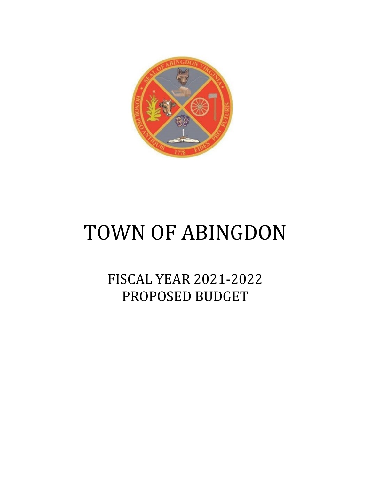

# TOWN OF ABINGDON

FISCAL YEAR 2021-2022 PROPOSED BUDGET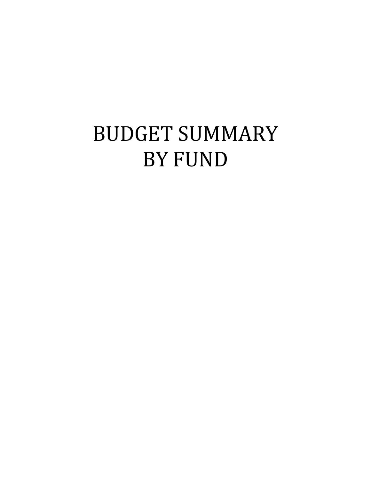# BUDGET SUMMARY BY FUND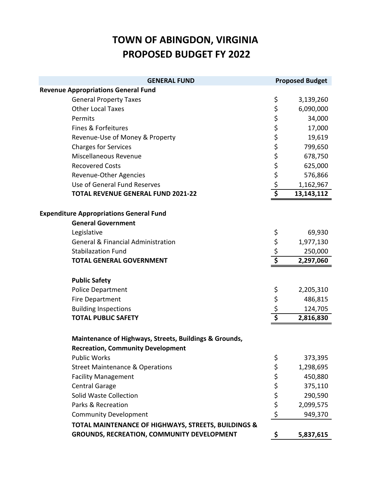| <b>GENERAL FUND</b>                                    |                                                 | <b>Proposed Budget</b> |
|--------------------------------------------------------|-------------------------------------------------|------------------------|
| <b>Revenue Appropriations General Fund</b>             |                                                 |                        |
| <b>General Property Taxes</b>                          | \$                                              | 3,139,260              |
| <b>Other Local Taxes</b>                               |                                                 | 6,090,000              |
| Permits                                                |                                                 | 34,000                 |
| Fines & Forfeitures                                    |                                                 | 17,000                 |
| Revenue-Use of Money & Property                        |                                                 | 19,619                 |
| <b>Charges for Services</b>                            |                                                 | 799,650                |
| Miscellaneous Revenue                                  |                                                 | 678,750                |
| <b>Recovered Costs</b>                                 | SSSSSSSSSSS                                     | 625,000                |
| Revenue-Other Agencies                                 |                                                 | 576,866                |
| Use of General Fund Reserves                           |                                                 | 1,162,967              |
| <b>TOTAL REVENUE GENERAL FUND 2021-22</b>              |                                                 | 13, 143, 112           |
| <b>Expenditure Appropriations General Fund</b>         |                                                 |                        |
| <b>General Government</b>                              |                                                 |                        |
| Legislative                                            | \$                                              | 69,930                 |
| <b>General &amp; Financial Administration</b>          |                                                 | 1,977,130              |
| <b>Stabilazation Fund</b>                              | $\begin{array}{c}\n\zeta \\ \zeta\n\end{array}$ | 250,000                |
| <b>TOTAL GENERAL GOVERNMENT</b>                        | \$                                              | 2,297,060              |
|                                                        |                                                 |                        |
| <b>Public Safety</b>                                   |                                                 |                        |
| <b>Police Department</b>                               |                                                 | 2,205,310              |
| Fire Department                                        |                                                 | 486,815                |
| <b>Building Inspections</b>                            | \$\$\$\$                                        | 124,705                |
| <b>TOTAL PUBLIC SAFETY</b>                             |                                                 | 2,816,830              |
| Maintenance of Highways, Streets, Buildings & Grounds, |                                                 |                        |
| <b>Recreation, Community Development</b>               |                                                 |                        |
| <b>Public Works</b>                                    | \$                                              | 373,395                |
| <b>Street Maintenance &amp; Operations</b>             | \$                                              | 1,298,695              |
| <b>Facility Management</b>                             |                                                 | 450,880                |
| <b>Central Garage</b>                                  | \$<br>\$                                        | 375,110                |
| Solid Waste Collection                                 | \$                                              | 290,590                |
| Parks & Recreation                                     | \$                                              | 2,099,575              |
| <b>Community Development</b>                           | \$                                              | 949,370                |
| TOTAL MAINTENANCE OF HIGHWAYS, STREETS, BUILDINGS &    |                                                 |                        |
| <b>GROUNDS, RECREATION, COMMUNITY DEVELOPMENT</b>      |                                                 | 5,837,615              |
|                                                        | \$                                              |                        |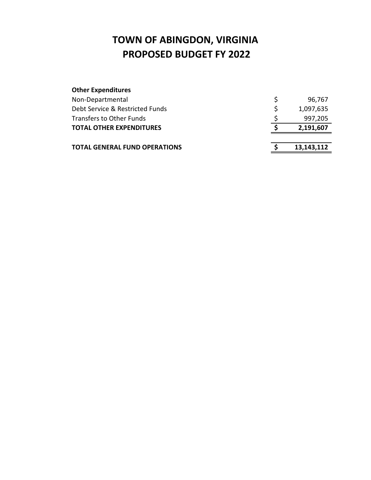| <b>Other Expenditures</b>            |    |            |
|--------------------------------------|----|------------|
| Non-Departmental                     | S  | 96,767     |
| Debt Service & Restricted Funds      | \$ | 1,097,635  |
| <b>Transfers to Other Funds</b>      |    | 997,205    |
| <b>TOTAL OTHER EXPENDITURES</b>      |    | 2,191,607  |
|                                      |    |            |
| <b>TOTAL GENERAL FUND OPERATIONS</b> |    | 13,143,112 |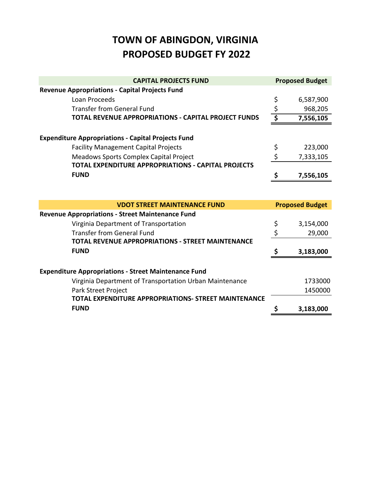| <b>CAPITAL PROJECTS FUND</b>                                        |                                 | <b>Proposed Budget</b> |
|---------------------------------------------------------------------|---------------------------------|------------------------|
| <b>Revenue Appropriations - Capital Projects Fund</b>               |                                 |                        |
| Loan Proceeds                                                       | \$                              | 6,587,900              |
| <b>Transfer from General Fund</b>                                   | \$                              | 968,205                |
| <b>TOTAL REVENUE APPROPRIATIONS - CAPITAL PROJECT FUNDS</b>         | $\overline{\boldsymbol{\zeta}}$ | 7,556,105              |
|                                                                     |                                 |                        |
| <b>Expenditure Appropriations - Capital Projects Fund</b>           |                                 |                        |
| <b>Facility Management Capital Projects</b>                         | \$                              | 223,000                |
| Meadows Sports Complex Capital Project                              | \$                              | 7,333,105              |
| <b>TOTAL EXPENDITURE APPROPRIATIONS - CAPITAL PROJECTS</b>          |                                 |                        |
| <b>FUND</b>                                                         | \$                              | 7,556,105              |
|                                                                     |                                 |                        |
| <b>VDOT STREET MAINTENANCE FUND</b>                                 |                                 | <b>Proposed Budget</b> |
|                                                                     |                                 |                        |
| <b>Revenue Appropriations - Street Maintenance Fund</b>             |                                 |                        |
| Virginia Department of Transportation                               | \$                              |                        |
|                                                                     |                                 | 3,154,000              |
| <b>Transfer from General Fund</b>                                   | \$                              | 29,000                 |
| <b>TOTAL REVENUE APPROPRIATIONS - STREET MAINTENANCE</b>            |                                 |                        |
| <b>FUND</b>                                                         | \$                              | 3,183,000              |
|                                                                     |                                 |                        |
| <b>Expenditure Appropriations - Street Maintenance Fund</b>         |                                 |                        |
| Virginia Department of Transportation Urban Maintenance             |                                 | 1733000                |
| Park Street Project                                                 |                                 | 1450000                |
| TOTAL EXPENDITURE APPROPRIATIONS- STREET MAINTENANCE<br><b>FUND</b> |                                 |                        |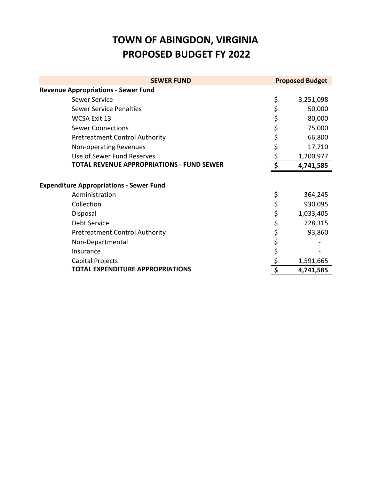| <b>SEWER FUND</b>                                | <b>Proposed Budget</b> |
|--------------------------------------------------|------------------------|
| <b>Revenue Appropriations - Sewer Fund</b>       |                        |
| <b>Sewer Service</b>                             | \$<br>3,251,098        |
| <b>Sewer Service Penalties</b>                   | \$<br>50,000           |
| <b>WCSA Exit 13</b>                              | \$<br>80,000           |
| <b>Sewer Connections</b>                         | \$<br>75,000           |
| <b>Pretreatment Control Authority</b>            | \$<br>66,800           |
| Non-operating Revenues                           | \$<br>17,710           |
| Use of Sewer Fund Reserves                       | \$<br>1,200,977        |
| <b>TOTAL REVENUE APPROPRIATIONS - FUND SEWER</b> | \$<br>4,741,585        |
|                                                  |                        |
| <b>Expenditure Appropriations - Sewer Fund</b>   |                        |
| Administration                                   | \$<br>364,245          |
| Collection                                       | \$<br>930,095          |
| Disposal                                         | \$<br>1,033,405        |
| Debt Service                                     | \$<br>728,315          |
| <b>Pretreatment Control Authority</b>            | \$<br>93,860           |
| Non-Departmental                                 | \$                     |
| Insurance                                        | \$                     |
| Capital Projects                                 | \$<br>1,591,665        |
| <b>TOTAL EXPENDITURE APPROPRIATIONS</b>          | \$<br>4,741,585        |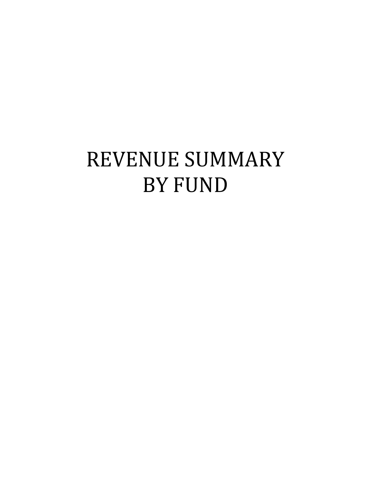# REVENUE SUMMARY BY FUND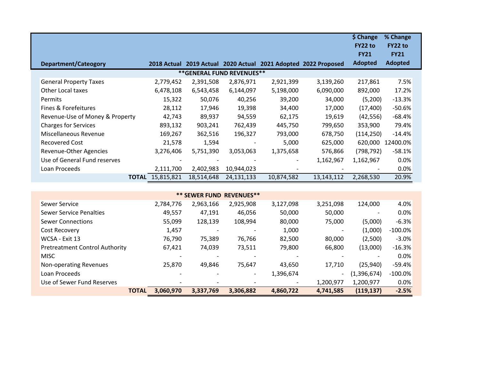| FY22 to<br>FY22 to<br><b>FY21</b><br><b>FY21</b>                                                                                           |         |
|--------------------------------------------------------------------------------------------------------------------------------------------|---------|
|                                                                                                                                            |         |
|                                                                                                                                            |         |
| <b>Adopted</b><br><b>Adopted</b><br>2021 Adopted 2022 Proposed<br><b>Department/Cateogory</b><br>2020 Actual<br>2019 Actual<br>2018 Actual |         |
| ** GENERAL FUND REVENUES**                                                                                                                 |         |
| <b>General Property Taxes</b><br>2,391,508<br>2,876,971<br>2,921,399<br>217,861<br>2,779,452<br>3,139,260                                  | 7.5%    |
| Other Local taxes<br>6,478,108<br>6,543,458<br>6,144,097<br>5,198,000<br>6,090,000<br>892,000                                              | 17.2%   |
| 15,322<br>50,076<br>(5,200)<br>$-13.3%$<br>40,256<br>39,200<br>34,000<br>Permits                                                           |         |
| Fines & Forefeitures<br>28,112<br>17,946<br>19,398<br>17,000<br>(17, 400)<br>$-50.6%$<br>34,400                                            |         |
| (42, 556)<br>Revenue-Use of Money & Property<br>42,743<br>94,559<br>19,619<br>-68.4%<br>89,937<br>62,175                                   |         |
| <b>Charges for Services</b><br>762,439<br>353,900<br>893,132<br>903,241<br>445,750<br>799,650                                              | 79.4%   |
| 362,516<br>196,327<br>(114, 250)<br>Miscellaneous Revenue<br>169,267<br>793,000<br>678,750<br>$-14.4%$                                     |         |
| 625,000<br>620,000<br><b>Recovered Cost</b><br>21,578<br>1,594<br>5,000<br>12400.0%                                                        |         |
| Revenue-Other Agencies<br>3,053,063<br>1,375,658<br>(798, 792)<br>$-58.1%$<br>3,276,406<br>5,751,390<br>576,866                            |         |
| Use of General Fund reserves<br>1,162,967<br>1,162,967                                                                                     | $0.0\%$ |
| 2,402,983<br>Loan Proceeds<br>2,111,700<br>10,944,023                                                                                      | $0.0\%$ |
| 15,815,821<br>18,514,648<br>24,131,133<br>10,874,582<br>13, 143, 112<br>2,268,530<br>TOTAL                                                 | 20.9%   |

| <b>** SEWER FUND REVENUES**</b>       |              |           |           |                          |                          |                          |                              |            |  |  |  |
|---------------------------------------|--------------|-----------|-----------|--------------------------|--------------------------|--------------------------|------------------------------|------------|--|--|--|
| Sewer Service                         |              | 2,784,776 | 2,963,166 | 2,925,908                | 3,127,098                | 3,251,098                | 124,000                      | 4.0%       |  |  |  |
| Sewer Service Penalties               |              | 49,557    | 47,191    | 46,056                   | 50,000                   | 50,000                   | $\qquad \qquad \blacksquare$ | $0.0\%$    |  |  |  |
| <b>Sewer Connections</b>              |              | 55,099    | 128,139   | 108,994                  | 80,000                   | 75,000                   | (5,000)                      | $-6.3%$    |  |  |  |
| <b>Cost Recovery</b>                  |              | 1,457     |           |                          | 1,000                    |                          | (1,000)                      | $-100.0\%$ |  |  |  |
| WCSA - Exit 13                        |              | 76,790    | 75,389    | 76,766                   | 82,500                   | 80,000                   | (2,500)                      | $-3.0%$    |  |  |  |
| <b>Pretreatment Control Authority</b> |              | 67,421    | 74,039    | 73,511                   | 79,800                   | 66,800                   | (13,000)                     | $-16.3%$   |  |  |  |
| <b>MISC</b>                           |              |           |           |                          |                          |                          |                              | $0.0\%$    |  |  |  |
| Non-operating Revenues                |              | 25,870    | 49,846    | 75,647                   | 43,650                   | 17,710                   | (25, 940)                    | $-59.4%$   |  |  |  |
| Loan Proceeds                         |              |           |           | $\overline{\phantom{0}}$ | 1,396,674                | $\overline{\phantom{a}}$ | (1,396,674)                  | $-100.0\%$ |  |  |  |
| Use of Sewer Fund Reserves            |              |           |           |                          | $\overline{\phantom{a}}$ | 1,200,977                | 1,200,977                    | 0.0%       |  |  |  |
|                                       | <b>TOTAL</b> | 3,060,970 | 3,337,769 | 3,306,882                | 4,860,722                | 4,741,585                | (119, 137)                   | $-2.5%$    |  |  |  |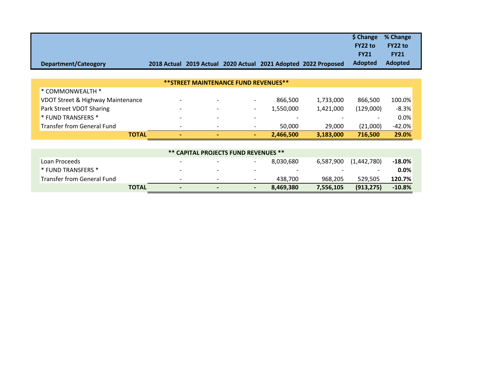|                                   |                              |                                       |                          |           |                                                                | \$ Change                | % Change       |
|-----------------------------------|------------------------------|---------------------------------------|--------------------------|-----------|----------------------------------------------------------------|--------------------------|----------------|
|                                   |                              |                                       |                          |           |                                                                | FY22 to                  | FY22 to        |
|                                   |                              |                                       |                          |           |                                                                | <b>FY21</b>              | <b>FY21</b>    |
| <b>Department/Cateogory</b>       |                              |                                       |                          |           | 2018 Actual 2019 Actual 2020 Actual 2021 Adopted 2022 Proposed | <b>Adopted</b>           | <b>Adopted</b> |
|                                   |                              |                                       |                          |           |                                                                |                          |                |
|                                   |                              | ** STREET MAINTENANCE FUND REVENUES** |                          |           |                                                                |                          |                |
| * COMMONWEALTH *                  |                              |                                       |                          |           |                                                                |                          |                |
| VDOT Street & Highway Maintenance | $\overline{\phantom{0}}$     |                                       | $\overline{\phantom{0}}$ | 866,500   | 1,733,000                                                      | 866,500                  | 100.0%         |
| Park Street VDOT Sharing          | $\qquad \qquad \blacksquare$ | $\overline{\phantom{a}}$              | -                        | 1,550,000 | 1,421,000                                                      | (129,000)                | $-8.3%$        |
| * FUND TRANSFERS *                | $\overline{\phantom{0}}$     | $\overline{\phantom{0}}$              | $\overline{\phantom{0}}$ |           |                                                                | $\overline{\phantom{0}}$ | 0.0%           |
| Transfer from General Fund        | $\overline{\phantom{a}}$     | $\overline{\phantom{a}}$              | $\overline{\phantom{a}}$ | 50,000    | 29,000                                                         | (21,000)                 | $-42.0%$       |
| <b>TOTAL</b>                      | $\blacksquare$               |                                       | ٠                        | 2,466,500 | 3,183,000                                                      | 716,500                  | 29.0%          |
|                                   |                              |                                       |                          |           |                                                                |                          |                |
|                                   |                              | ** CAPITAL PROJECTS FUND REVENUES **  |                          |           |                                                                |                          |                |
| Loan Proceeds                     | -                            |                                       | $\overline{\phantom{a}}$ | 8,030,680 | 6,587,900                                                      | (1,442,780)              | $-18.0\%$      |

| LUUITTI UULLUJ                    |              |                          |                          |                          | <u>0,000,000</u> |           | 0,00,000, 11,772,000 | <b>10.000</b> |
|-----------------------------------|--------------|--------------------------|--------------------------|--------------------------|------------------|-----------|----------------------|---------------|
| * FUND TRANSFERS *                |              | $\overline{\phantom{0}}$ |                          | $\overline{\phantom{0}}$ |                  |           |                      | 0.0%          |
| <b>Transfer from General Fund</b> |              | $\overline{\phantom{0}}$ | $\overline{\phantom{0}}$ | $\overline{\phantom{0}}$ | 438.700          | 968.205   | 529.505              | 120.7%        |
|                                   | <b>TOTAL</b> | $\overline{\phantom{0}}$ |                          | $\overline{\phantom{0}}$ | 8.469.380        | 7,556,105 | (913, 275)           | $-10.8%$      |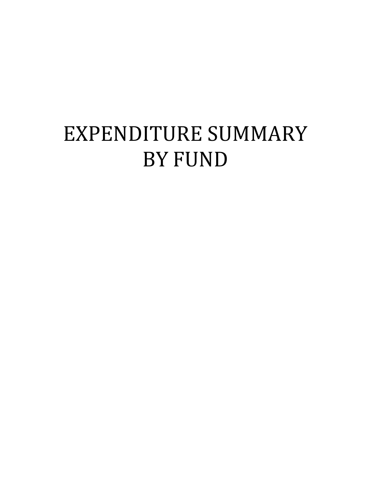# EXPENDITURE SUMMARY BY FUND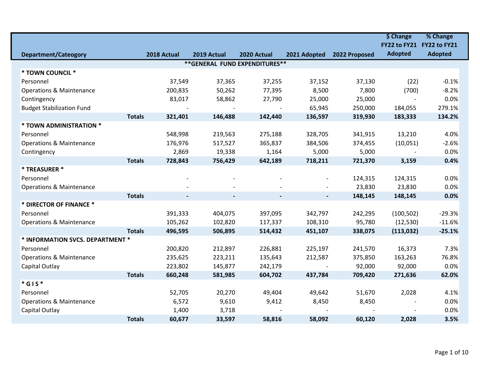|                                     |               |             |             |                                |              |               | \$ Change      | % Change       |  |
|-------------------------------------|---------------|-------------|-------------|--------------------------------|--------------|---------------|----------------|----------------|--|
|                                     |               |             |             |                                |              |               | FY22 to FY21   | FY22 to FY21   |  |
| <b>Department/Cateogory</b>         |               | 2018 Actual | 2019 Actual | 2020 Actual                    | 2021 Adopted | 2022 Proposed | <b>Adopted</b> | <b>Adopted</b> |  |
|                                     |               |             |             | ** GENERAL FUND EXPENDITURES** |              |               |                |                |  |
| * TOWN COUNCIL *                    |               |             |             |                                |              |               |                |                |  |
| Personnel                           |               | 37,549      | 37,365      | 37,255                         | 37,152       | 37,130        | (22)           | $-0.1%$        |  |
| <b>Operations &amp; Maintenance</b> |               | 200,835     | 50,262      | 77,395                         | 8,500        | 7,800         | (700)          | $-8.2%$        |  |
| Contingency                         |               | 83,017      | 58,862      | 27,790                         | 25,000       | 25,000        |                | 0.0%           |  |
| <b>Budget Stabilization Fund</b>    |               |             |             |                                | 65,945       | 250,000       | 184,055        | 279.1%         |  |
|                                     | <b>Totals</b> | 321,401     | 146,488     | 142,440                        | 136,597      | 319,930       | 183,333        | 134.2%         |  |
| * TOWN ADMINISTRATION *             |               |             |             |                                |              |               |                |                |  |
| Personnel                           |               | 548,998     | 219,563     | 275,188                        | 328,705      | 341,915       | 13,210         | 4.0%           |  |
| <b>Operations &amp; Maintenance</b> |               | 176,976     | 517,527     | 365,837                        | 384,506      | 374,455       | (10, 051)      | $-2.6%$        |  |
| Contingency                         |               | 2,869       | 19,338      | 1,164                          | 5,000        | 5,000         |                | 0.0%           |  |
|                                     | <b>Totals</b> | 728,843     | 756,429     | 642,189                        | 718,211      | 721,370       | 3,159          | 0.4%           |  |
| * TREASURER *                       |               |             |             |                                |              |               |                |                |  |
| Personnel                           |               |             |             |                                |              | 124,315       | 124,315        | 0.0%           |  |
| <b>Operations &amp; Maintenance</b> |               |             |             |                                |              | 23,830        | 23,830         | 0.0%           |  |
|                                     | <b>Totals</b> |             |             |                                |              | 148,145       | 148,145        | 0.0%           |  |
| * DIRECTOR OF FINANCE *             |               |             |             |                                |              |               |                |                |  |
| Personnel                           |               | 391,333     | 404,075     | 397,095                        | 342,797      | 242,295       | (100, 502)     | $-29.3%$       |  |
| <b>Operations &amp; Maintenance</b> |               | 105,262     | 102,820     | 117,337                        | 108,310      | 95,780        | (12, 530)      | $-11.6%$       |  |
|                                     | <b>Totals</b> | 496,595     | 506,895     | 514,432                        | 451,107      | 338,075       | (113, 032)     | $-25.1%$       |  |
| * INFORMATION SVCS. DEPARTMENT *    |               |             |             |                                |              |               |                |                |  |
| Personnel                           |               | 200,820     | 212,897     | 226,881                        | 225,197      | 241,570       | 16,373         | 7.3%           |  |
| <b>Operations &amp; Maintenance</b> |               | 235,625     | 223,211     | 135,643                        | 212,587      | 375,850       | 163,263        | 76.8%          |  |
| Capital Outlay                      |               | 223,802     | 145,877     | 242,179                        |              | 92,000        | 92,000         | 0.0%           |  |
|                                     | <b>Totals</b> | 660,248     | 581,985     | 604,702                        | 437,784      | 709,420       | 271,636        | 62.0%          |  |
| $*GIS*$                             |               |             |             |                                |              |               |                |                |  |
| Personnel                           |               | 52,705      | 20,270      | 49,404                         | 49,642       | 51,670        | 2,028          | 4.1%           |  |
| <b>Operations &amp; Maintenance</b> |               | 6,572       | 9,610       | 9,412                          | 8,450        | 8,450         |                | 0.0%           |  |
| Capital Outlay                      |               | 1,400       | 3,718       |                                |              |               |                | 0.0%           |  |
|                                     | <b>Totals</b> | 60,677      | 33,597      | 58,816                         | 58,092       | 60,120        | 2,028          | 3.5%           |  |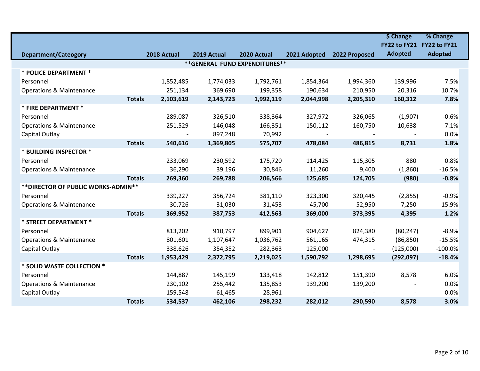|                                     |               |             |                                |             |              |               | \$ Change      | % Change       |
|-------------------------------------|---------------|-------------|--------------------------------|-------------|--------------|---------------|----------------|----------------|
|                                     |               |             |                                |             |              |               | FY22 to FY21   | FY22 to FY21   |
| <b>Department/Cateogory</b>         |               | 2018 Actual | 2019 Actual                    | 2020 Actual | 2021 Adopted | 2022 Proposed | <b>Adopted</b> | <b>Adopted</b> |
|                                     |               |             | ** GENERAL FUND EXPENDITURES** |             |              |               |                |                |
| * POLICE DEPARTMENT *               |               |             |                                |             |              |               |                |                |
| Personnel                           |               | 1,852,485   | 1,774,033                      | 1,792,761   | 1,854,364    | 1,994,360     | 139,996        | 7.5%           |
| <b>Operations &amp; Maintenance</b> |               | 251,134     | 369,690                        | 199,358     | 190,634      | 210,950       | 20,316         | 10.7%          |
|                                     | <b>Totals</b> | 2,103,619   | 2,143,723                      | 1,992,119   | 2,044,998    | 2,205,310     | 160,312        | 7.8%           |
| * FIRE DEPARTMENT *                 |               |             |                                |             |              |               |                |                |
| Personnel                           |               | 289,087     | 326,510                        | 338,364     | 327,972      | 326,065       | (1,907)        | $-0.6%$        |
| <b>Operations &amp; Maintenance</b> |               | 251,529     | 146,048                        | 166,351     | 150,112      | 160,750       | 10,638         | 7.1%           |
| Capital Outlay                      |               |             | 897,248                        | 70,992      |              |               |                | 0.0%           |
|                                     | <b>Totals</b> | 540,616     | 1,369,805                      | 575,707     | 478,084      | 486,815       | 8,731          | 1.8%           |
| * BUILDING INSPECTOR *              |               |             |                                |             |              |               |                |                |
| Personnel                           |               | 233,069     | 230,592                        | 175,720     | 114,425      | 115,305       | 880            | 0.8%           |
| <b>Operations &amp; Maintenance</b> |               | 36,290      | 39,196                         | 30,846      | 11,260       | 9,400         | (1,860)        | $-16.5%$       |
|                                     | <b>Totals</b> | 269,360     | 269,788                        | 206,566     | 125,685      | 124,705       | (980)          | $-0.8%$        |
| ** DIRECTOR OF PUBLIC WORKS-ADMIN** |               |             |                                |             |              |               |                |                |
| Personnel                           |               | 339,227     | 356,724                        | 381,110     | 323,300      | 320,445       | (2,855)        | $-0.9%$        |
| <b>Operations &amp; Maintenance</b> |               | 30,726      | 31,030                         | 31,453      | 45,700       | 52,950        | 7,250          | 15.9%          |
|                                     | <b>Totals</b> | 369,952     | 387,753                        | 412,563     | 369,000      | 373,395       | 4,395          | 1.2%           |
| * STREET DEPARTMENT *               |               |             |                                |             |              |               |                |                |
| Personnel                           |               | 813,202     | 910,797                        | 899,901     | 904,627      | 824,380       | (80, 247)      | $-8.9%$        |
| <b>Operations &amp; Maintenance</b> |               | 801,601     | 1,107,647                      | 1,036,762   | 561,165      | 474,315       | (86, 850)      | $-15.5%$       |
| Capital Outlay                      |               | 338,626     | 354,352                        | 282,363     | 125,000      |               | (125,000)      | $-100.0%$      |
|                                     | <b>Totals</b> | 1,953,429   | 2,372,795                      | 2,219,025   | 1,590,792    | 1,298,695     | (292,097)      | $-18.4%$       |
| * SOLID WASTE COLLECTION *          |               |             |                                |             |              |               |                |                |
| Personnel                           |               | 144,887     | 145,199                        | 133,418     | 142,812      | 151,390       | 8,578          | 6.0%           |
| <b>Operations &amp; Maintenance</b> |               | 230,102     | 255,442                        | 135,853     | 139,200      | 139,200       |                | 0.0%           |
| Capital Outlay                      |               | 159,548     | 61,465                         | 28,961      |              |               |                | 0.0%           |
|                                     | <b>Totals</b> | 534,537     | 462,106                        | 298,232     | 282,012      | 290,590       | 8,578          | 3.0%           |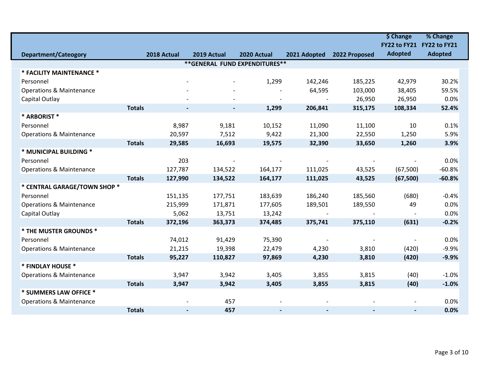|                                                       |                                 |                                |                   |              |                          | \$ Change                      | % Change        |
|-------------------------------------------------------|---------------------------------|--------------------------------|-------------------|--------------|--------------------------|--------------------------------|-----------------|
|                                                       |                                 |                                |                   |              |                          | FY22 to FY21                   | FY22 to FY21    |
| <b>Department/Cateogory</b>                           | 2018 Actual                     | 2019 Actual                    | 2020 Actual       | 2021 Adopted | 2022 Proposed            | <b>Adopted</b>                 | <b>Adopted</b>  |
|                                                       |                                 | ** GENERAL FUND EXPENDITURES** |                   |              |                          |                                |                 |
| * FACILITY MAINTENANCE *                              |                                 |                                |                   |              |                          |                                |                 |
| Personnel                                             |                                 | $\overline{\phantom{a}}$       | 1,299             | 142,246      | 185,225                  | 42,979                         | 30.2%           |
| <b>Operations &amp; Maintenance</b>                   |                                 |                                |                   | 64,595       | 103,000                  | 38,405                         | 59.5%           |
| Capital Outlay                                        |                                 |                                |                   |              | 26,950                   | 26,950                         | 0.0%            |
|                                                       | <b>Totals</b><br>$\blacksquare$ | $\overline{\phantom{a}}$       | 1,299             | 206,841      | 315,175                  | 108,334                        | 52.4%           |
| * ARBORIST *                                          |                                 |                                |                   |              |                          |                                |                 |
| Personnel                                             | 8,987                           | 9,181                          | 10,152            | 11,090       | 11,100                   | 10                             | 0.1%            |
| <b>Operations &amp; Maintenance</b>                   | 20,597                          | 7,512                          | 9,422             | 21,300       | 22,550                   | 1,250                          | 5.9%            |
|                                                       | <b>Totals</b><br>29,585         | 16,693                         | 19,575            | 32,390       | 33,650                   | 1,260                          | 3.9%            |
| * MUNICIPAL BUILDING *                                |                                 |                                |                   |              |                          |                                |                 |
| Personnel                                             | 203                             |                                |                   |              | $\overline{\phantom{a}}$ |                                | 0.0%            |
| <b>Operations &amp; Maintenance</b>                   | 127,787                         | 134,522                        | 164,177           | 111,025      | 43,525                   | (67, 500)                      | $-60.8%$        |
|                                                       | <b>Totals</b><br>127,990        | 134,522                        | 164,177           | 111,025      | 43,525                   | (67, 500)                      | $-60.8%$        |
| * CENTRAL GARAGE/TOWN SHOP *                          |                                 |                                |                   |              |                          |                                |                 |
| Personnel                                             | 151,135<br>215,999              | 177,751                        | 183,639           | 186,240      | 185,560                  | (680)                          | $-0.4%$<br>0.0% |
| <b>Operations &amp; Maintenance</b><br>Capital Outlay | 5,062                           | 171,871<br>13,751              | 177,605<br>13,242 | 189,501      | 189,550                  | 49<br>$\overline{\phantom{a}}$ | 0.0%            |
|                                                       | <b>Totals</b><br>372,196        | 363,373                        | 374,485           | 375,741      | 375,110                  | (631)                          | $-0.2%$         |
| * THE MUSTER GROUNDS *                                |                                 |                                |                   |              |                          |                                |                 |
| Personnel                                             | 74,012                          | 91,429                         | 75,390            |              |                          | $\overline{a}$                 | 0.0%            |
| <b>Operations &amp; Maintenance</b>                   | 21,215                          | 19,398                         | 22,479            | 4,230        | 3,810                    | (420)                          | $-9.9%$         |
|                                                       | <b>Totals</b><br>95,227         | 110,827                        | 97,869            | 4,230        | 3,810                    | (420)                          | $-9.9%$         |
| * FINDLAY HOUSE *                                     |                                 |                                |                   |              |                          |                                |                 |
| <b>Operations &amp; Maintenance</b>                   | 3,947                           | 3,942                          | 3,405             | 3,855        | 3,815                    | (40)                           | $-1.0%$         |
|                                                       | <b>Totals</b><br>3,947          | 3,942                          | 3,405             | 3,855        | 3,815                    | (40)                           | $-1.0%$         |
| * SUMMERS LAW OFFICE *                                |                                 |                                |                   |              |                          |                                |                 |
| <b>Operations &amp; Maintenance</b>                   |                                 | 457                            |                   |              |                          |                                | 0.0%            |
|                                                       | <b>Totals</b>                   | 457                            |                   |              | $\overline{\phantom{a}}$ |                                | 0.0%            |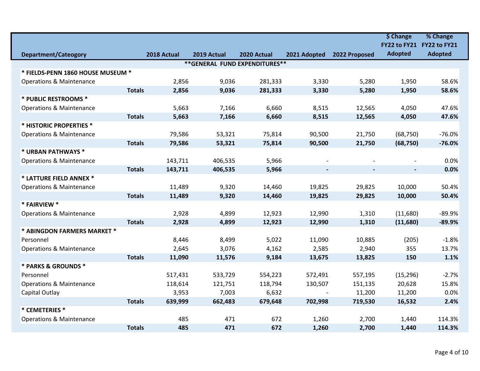|                                     |               |             |             |                                |                |                | \$ Change                | % Change            |
|-------------------------------------|---------------|-------------|-------------|--------------------------------|----------------|----------------|--------------------------|---------------------|
|                                     |               |             |             |                                |                |                | FY22 to FY21             | <b>FY22 to FY21</b> |
| <b>Department/Cateogory</b>         |               | 2018 Actual | 2019 Actual | 2020 Actual                    | 2021 Adopted   | 2022 Proposed  | <b>Adopted</b>           | <b>Adopted</b>      |
|                                     |               |             |             | ** GENERAL FUND EXPENDITURES** |                |                |                          |                     |
| * FIELDS-PENN 1860 HOUSE MUSEUM *   |               |             |             |                                |                |                |                          |                     |
| <b>Operations &amp; Maintenance</b> |               | 2,856       | 9,036       | 281,333                        | 3,330          | 5,280          | 1,950                    | 58.6%               |
|                                     | <b>Totals</b> | 2,856       | 9,036       | 281,333                        | 3,330          | 5,280          | 1,950                    | 58.6%               |
| * PUBLIC RESTROOMS *                |               |             |             |                                |                |                |                          |                     |
| <b>Operations &amp; Maintenance</b> |               | 5,663       | 7,166       | 6,660                          | 8,515          | 12,565         | 4,050                    | 47.6%               |
|                                     | <b>Totals</b> | 5,663       | 7,166       | 6,660                          | 8,515          | 12,565         | 4,050                    | 47.6%               |
| * HISTORIC PROPERTIES *             |               |             |             |                                |                |                |                          |                     |
| <b>Operations &amp; Maintenance</b> |               | 79,586      | 53,321      | 75,814                         | 90,500         | 21,750         | (68, 750)                | $-76.0%$            |
|                                     | <b>Totals</b> | 79,586      | 53,321      | 75,814                         | 90,500         | 21,750         | (68, 750)                | $-76.0%$            |
| * URBAN PATHWAYS *                  |               |             |             |                                |                |                |                          |                     |
| <b>Operations &amp; Maintenance</b> |               | 143,711     | 406,535     | 5,966                          |                |                |                          | 0.0%                |
|                                     | <b>Totals</b> | 143,711     | 406,535     | 5,966                          | $\blacksquare$ | $\blacksquare$ | $\overline{\phantom{a}}$ | 0.0%                |
| * LATTURE FIELD ANNEX *             |               |             |             |                                |                |                |                          |                     |
| <b>Operations &amp; Maintenance</b> |               | 11,489      | 9,320       | 14,460                         | 19,825         | 29,825         | 10,000                   | 50.4%               |
|                                     | <b>Totals</b> | 11,489      | 9,320       | 14,460                         | 19,825         | 29,825         | 10,000                   | 50.4%               |
| * FAIRVIEW *                        |               |             |             |                                |                |                |                          |                     |
| <b>Operations &amp; Maintenance</b> |               | 2,928       | 4,899       | 12,923                         | 12,990         | 1,310          | (11,680)                 | $-89.9%$            |
|                                     | <b>Totals</b> | 2,928       | 4,899       | 12,923                         | 12,990         | 1,310          | (11,680)                 | $-89.9%$            |
| * ABINGDON FARMERS MARKET *         |               |             |             |                                |                |                |                          |                     |
| Personnel                           |               | 8,446       | 8,499       | 5,022                          | 11,090         | 10,885         | (205)                    | $-1.8%$             |
| <b>Operations &amp; Maintenance</b> |               | 2,645       | 3,076       | 4,162                          | 2,585          | 2,940          | 355                      | 13.7%               |
|                                     | <b>Totals</b> | 11,090      | 11,576      | 9,184                          | 13,675         | 13,825         | 150                      | 1.1%                |
| * PARKS & GROUNDS *                 |               |             |             |                                |                |                |                          |                     |
| Personnel                           |               | 517,431     | 533,729     | 554,223                        | 572,491        | 557,195        | (15, 296)                | $-2.7%$             |
| <b>Operations &amp; Maintenance</b> |               | 118,614     | 121,751     | 118,794                        | 130,507        | 151,135        | 20,628                   | 15.8%               |
| Capital Outlay                      |               | 3,953       | 7,003       | 6,632                          |                | 11,200         | 11,200                   | 0.0%                |
|                                     | <b>Totals</b> | 639,999     | 662,483     | 679,648                        | 702,998        | 719,530        | 16,532                   | 2.4%                |
| * CEMETERIES *                      |               |             |             |                                |                |                |                          |                     |
| <b>Operations &amp; Maintenance</b> |               | 485         | 471         | 672                            | 1,260          | 2,700          | 1,440                    | 114.3%              |
|                                     | <b>Totals</b> | 485         | 471         | 672                            | 1,260          | 2,700          | 1,440                    | 114.3%              |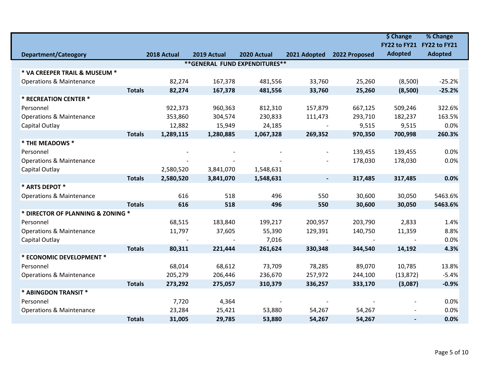|                                     |               |             |                                |             |              |               | \$ Change                | % Change       |
|-------------------------------------|---------------|-------------|--------------------------------|-------------|--------------|---------------|--------------------------|----------------|
|                                     |               |             |                                |             |              |               | FY22 to FY21             | FY22 to FY21   |
| <b>Department/Cateogory</b>         |               | 2018 Actual | 2019 Actual                    | 2020 Actual | 2021 Adopted | 2022 Proposed | <b>Adopted</b>           | <b>Adopted</b> |
|                                     |               |             | ** GENERAL FUND EXPENDITURES** |             |              |               |                          |                |
| * VA CREEPER TRAIL & MUSEUM *       |               |             |                                |             |              |               |                          |                |
| <b>Operations &amp; Maintenance</b> |               | 82,274      | 167,378                        | 481,556     | 33,760       | 25,260        | (8,500)                  | $-25.2%$       |
|                                     | <b>Totals</b> | 82,274      | 167,378                        | 481,556     | 33,760       | 25,260        | (8,500)                  | $-25.2%$       |
| * RECREATION CENTER *               |               |             |                                |             |              |               |                          |                |
| Personnel                           |               | 922,373     | 960,363                        | 812,310     | 157,879      | 667,125       | 509,246                  | 322.6%         |
| <b>Operations &amp; Maintenance</b> |               | 353,860     | 304,574                        | 230,833     | 111,473      | 293,710       | 182,237                  | 163.5%         |
| Capital Outlay                      |               | 12,882      | 15,949                         | 24,185      |              | 9,515         | 9,515                    | 0.0%           |
|                                     | <b>Totals</b> | 1,289,115   | 1,280,885                      | 1,067,328   | 269,352      | 970,350       | 700,998                  | 260.3%         |
| * THE MEADOWS *                     |               |             |                                |             |              |               |                          |                |
| Personnel                           |               |             |                                |             |              | 139,455       | 139,455                  | 0.0%           |
| <b>Operations &amp; Maintenance</b> |               |             |                                |             |              | 178,030       | 178,030                  | 0.0%           |
| Capital Outlay                      |               | 2,580,520   | 3,841,070                      | 1,548,631   |              |               |                          |                |
|                                     | <b>Totals</b> | 2,580,520   | 3,841,070                      | 1,548,631   |              | 317,485       | 317,485                  | 0.0%           |
| * ARTS DEPOT *                      |               |             |                                |             |              |               |                          |                |
| <b>Operations &amp; Maintenance</b> |               | 616         | 518                            | 496         | 550          | 30,600        | 30,050                   | 5463.6%        |
|                                     | <b>Totals</b> | 616         | 518                            | 496         | 550          | 30,600        | 30,050                   | 5463.6%        |
| * DIRECTOR OF PLANNING & ZONING *   |               |             |                                |             |              |               |                          |                |
| Personnel                           |               | 68,515      | 183,840                        | 199,217     | 200,957      | 203,790       | 2,833                    | 1.4%           |
| <b>Operations &amp; Maintenance</b> |               | 11,797      | 37,605                         | 55,390      | 129,391      | 140,750       | 11,359                   | 8.8%           |
| Capital Outlay                      |               |             |                                | 7,016       |              |               |                          | 0.0%           |
|                                     | <b>Totals</b> | 80,311      | 221,444                        | 261,624     | 330,348      | 344,540       | 14,192                   | 4.3%           |
| * ECONOMIC DEVELOPMENT *            |               |             |                                |             |              |               |                          |                |
| Personnel                           |               | 68,014      | 68,612                         | 73,709      | 78,285       | 89,070        | 10,785                   | 13.8%          |
| <b>Operations &amp; Maintenance</b> |               | 205,279     | 206,446                        | 236,670     | 257,972      | 244,100       | (13, 872)                | $-5.4%$        |
|                                     | <b>Totals</b> | 273,292     | 275,057                        | 310,379     | 336,257      | 333,170       | (3,087)                  | $-0.9%$        |
| * ABINGDON TRANSIT *                |               |             |                                |             |              |               |                          |                |
| Personnel                           |               | 7,720       | 4,364                          |             |              |               |                          | 0.0%           |
| <b>Operations &amp; Maintenance</b> |               | 23,284      | 25,421                         | 53,880      | 54,267       | 54,267        |                          | 0.0%           |
|                                     | <b>Totals</b> | 31,005      | 29,785                         | 53,880      | 54,267       | 54,267        | $\overline{\phantom{a}}$ | 0.0%           |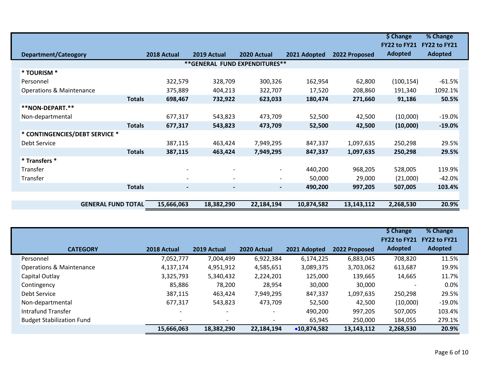|                                     |               |                          |                               |                          |              |               | \$ Change      | % Change            |
|-------------------------------------|---------------|--------------------------|-------------------------------|--------------------------|--------------|---------------|----------------|---------------------|
|                                     |               |                          |                               |                          |              |               | FY22 to FY21   | <b>FY22 to FY21</b> |
| <b>Department/Cateogory</b>         |               | 2018 Actual              | 2019 Actual                   | 2020 Actual              | 2021 Adopted | 2022 Proposed | <b>Adopted</b> | <b>Adopted</b>      |
|                                     |               |                          | **GENERAL FUND EXPENDITURES** |                          |              |               |                |                     |
| * TOURISM *                         |               |                          |                               |                          |              |               |                |                     |
| Personnel                           |               | 322,579                  | 328,709                       | 300,326                  | 162,954      | 62,800        | (100, 154)     | $-61.5%$            |
| <b>Operations &amp; Maintenance</b> |               | 375,889                  | 404,213                       | 322,707                  | 17,520       | 208,860       | 191,340        | 1092.1%             |
|                                     | <b>Totals</b> | 698,467                  | 732,922                       | 623,033                  | 180,474      | 271,660       | 91,186         | 50.5%               |
| **NON-DEPART.**                     |               |                          |                               |                          |              |               |                |                     |
| Non-departmental                    |               | 677,317                  | 543,823                       | 473,709                  | 52,500       | 42,500        | (10,000)       | $-19.0%$            |
|                                     | <b>Totals</b> | 677,317                  | 543,823                       | 473,709                  | 52,500       | 42,500        | (10,000)       | $-19.0%$            |
| * CONTINGENCIES/DEBT SERVICE *      |               |                          |                               |                          |              |               |                |                     |
| Debt Service                        |               | 387,115                  | 463,424                       | 7,949,295                | 847,337      | 1,097,635     | 250,298        | 29.5%               |
|                                     | <b>Totals</b> | 387,115                  | 463,424                       | 7,949,295                | 847,337      | 1,097,635     | 250,298        | 29.5%               |
| * Transfers *                       |               |                          |                               |                          |              |               |                |                     |
| Transfer                            |               | $\overline{\phantom{a}}$ | $\overline{\phantom{a}}$      | $\overline{\phantom{a}}$ | 440,200      | 968,205       | 528,005        | 119.9%              |
| Transfer                            |               | $\overline{\phantom{a}}$ | $\overline{\phantom{a}}$      | $\overline{\phantom{a}}$ | 50,000       | 29,000        | (21,000)       | $-42.0%$            |
|                                     | <b>Totals</b> | $\overline{\phantom{a}}$ | $\overline{\phantom{a}}$      | $\blacksquare$           | 490,200      | 997,205       | 507,005        | 103.4%              |
|                                     |               |                          |                               |                          |              |               |                |                     |
| <b>GENERAL FUND TOTAL</b>           |               | 15,666,063               | 18,382,290                    | 22,184,194               | 10,874,582   | 13, 143, 112  | 2,268,530      | 20.9%               |

|                                     |                          |             |             |              |               | \$ Change      | % Change       |
|-------------------------------------|--------------------------|-------------|-------------|--------------|---------------|----------------|----------------|
|                                     |                          |             |             |              |               | FY22 to FY21   | FY22 to FY21   |
| <b>CATEGORY</b>                     | 2018 Actual              | 2019 Actual | 2020 Actual | 2021 Adopted | 2022 Proposed | <b>Adopted</b> | <b>Adopted</b> |
| Personnel                           | 7,052,777                | 7,004,499   | 6,922,384   | 6,174,225    | 6,883,045     | 708,820        | 11.5%          |
| <b>Operations &amp; Maintenance</b> | 4,137,174                | 4,951,912   | 4,585,651   | 3,089,375    | 3,703,062     | 613,687        | 19.9%          |
| Capital Outlay                      | 3,325,793                | 5,340,432   | 2,224,201   | 125,000      | 139,665       | 14,665         | 11.7%          |
| Contingency                         | 85,886                   | 78,200      | 28,954      | 30,000       | 30,000        |                | 0.0%           |
| Debt Service                        | 387,115                  | 463,424     | 7,949,295   | 847,337      | 1,097,635     | 250,298        | 29.5%          |
| Non-departmental                    | 677,317                  | 543,823     | 473,709     | 52,500       | 42,500        | (10,000)       | $-19.0\%$      |
| Intrafund Transfer                  | $\overline{\phantom{0}}$ |             |             | 490,200      | 997,205       | 507,005        | 103.4%         |
| <b>Budget Stabilization Fund</b>    | $\overline{\phantom{a}}$ |             |             | 65,945       | 250,000       | 184,055        | 279.1%         |
|                                     | 15,666,063               | 18,382,290  | 22,184,194  | •10,874,582  | 13,143,112    | 2,268,530      | 20.9%          |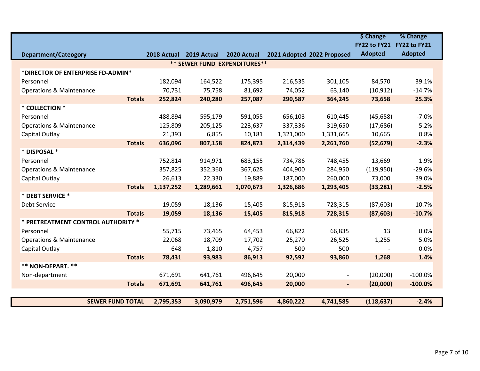|                                     |             |                                     |             |           |                            | \$ Change      | % Change       |
|-------------------------------------|-------------|-------------------------------------|-------------|-----------|----------------------------|----------------|----------------|
|                                     |             |                                     |             |           |                            | FY22 to FY21   | FY22 to FY21   |
| <b>Department/Cateogory</b>         | 2018 Actual | 2019 Actual                         | 2020 Actual |           | 2021 Adopted 2022 Proposed | <b>Adopted</b> | <b>Adopted</b> |
|                                     |             | <b>** SEWER FUND EXPENDITURES**</b> |             |           |                            |                |                |
| *DIRECTOR OF ENTERPRISE FD-ADMIN*   |             |                                     |             |           |                            |                |                |
| Personnel                           | 182,094     | 164,522                             | 175,395     | 216,535   | 301,105                    | 84,570         | 39.1%          |
| <b>Operations &amp; Maintenance</b> | 70,731      | 75,758                              | 81,692      | 74,052    | 63,140                     | (10, 912)      | $-14.7%$       |
| <b>Totals</b>                       | 252,824     | 240,280                             | 257,087     | 290,587   | 364,245                    | 73,658         | 25.3%          |
| * COLLECTION *                      |             |                                     |             |           |                            |                |                |
| Personnel                           | 488,894     | 595,179                             | 591,055     | 656,103   | 610,445                    | (45, 658)      | $-7.0%$        |
| <b>Operations &amp; Maintenance</b> | 125,809     | 205,125                             | 223,637     | 337,336   | 319,650                    | (17,686)       | $-5.2%$        |
| Capital Outlay                      | 21,393      | 6,855                               | 10,181      | 1,321,000 | 1,331,665                  | 10,665         | 0.8%           |
| <b>Totals</b>                       | 636,096     | 807,158                             | 824,873     | 2,314,439 | 2,261,760                  | (52, 679)      | $-2.3%$        |
| * DISPOSAL *                        |             |                                     |             |           |                            |                |                |
| Personnel                           | 752,814     | 914,971                             | 683,155     | 734,786   | 748,455                    | 13,669         | 1.9%           |
| <b>Operations &amp; Maintenance</b> | 357,825     | 352,360                             | 367,628     | 404,900   | 284,950                    | (119,950)      | $-29.6%$       |
| Capital Outlay                      | 26,613      | 22,330                              | 19,889      | 187,000   | 260,000                    | 73,000         | 39.0%          |
| <b>Totals</b>                       | 1,137,252   | 1,289,661                           | 1,070,673   | 1,326,686 | 1,293,405                  | (33, 281)      | $-2.5%$        |
| * DEBT SERVICE *                    |             |                                     |             |           |                            |                |                |
| Debt Service                        | 19,059      | 18,136                              | 15,405      | 815,918   | 728,315                    | (87, 603)      | $-10.7%$       |
| <b>Totals</b>                       | 19,059      | 18,136                              | 15,405      | 815,918   | 728,315                    | (87, 603)      | $-10.7%$       |
| * PRETREATMENT CONTROL AUTHORITY *  |             |                                     |             |           |                            |                |                |
| Personnel                           | 55,715      | 73,465                              | 64,453      | 66,822    | 66,835                     | 13             | 0.0%           |
| <b>Operations &amp; Maintenance</b> | 22,068      | 18,709                              | 17,702      | 25,270    | 26,525                     | 1,255          | 5.0%           |
| Capital Outlay                      | 648         | 1,810                               | 4,757       | 500       | 500                        |                | 0.0%           |
| <b>Totals</b>                       | 78,431      | 93,983                              | 86,913      | 92,592    | 93,860                     | 1,268          | 1.4%           |
| ** NON-DEPART. **                   |             |                                     |             |           |                            |                |                |
| Non-department                      | 671,691     | 641,761                             | 496,645     | 20,000    | $\overline{\phantom{a}}$   | (20,000)       | $-100.0%$      |
| <b>Totals</b>                       | 671,691     | 641,761                             | 496,645     | 20,000    | $\overline{\phantom{a}}$   | (20,000)       | $-100.0%$      |
|                                     |             |                                     |             |           |                            |                |                |
| <b>SEWER FUND TOTAL</b>             | 2,795,353   | 3,090,979                           | 2,751,596   | 4,860,222 | 4,741,585                  | (118, 637)     | $-2.4%$        |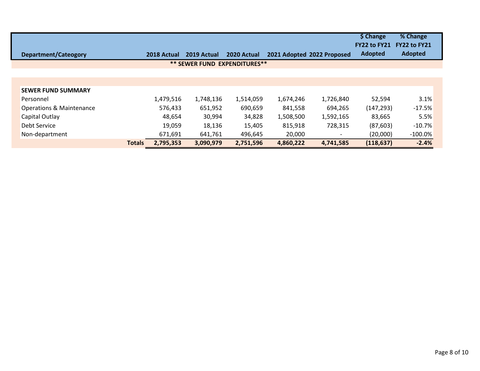|                                     |               |             |             |                                     |           |                            | \$ Change      | % Change       |
|-------------------------------------|---------------|-------------|-------------|-------------------------------------|-----------|----------------------------|----------------|----------------|
|                                     |               |             |             |                                     |           |                            | FY22 to FY21   | FY22 to FY21   |
| Department/Cateogory                |               | 2018 Actual | 2019 Actual | 2020 Actual                         |           | 2021 Adopted 2022 Proposed | <b>Adopted</b> | <b>Adopted</b> |
|                                     |               |             |             | <b>** SEWER FUND EXPENDITURES**</b> |           |                            |                |                |
|                                     |               |             |             |                                     |           |                            |                |                |
|                                     |               |             |             |                                     |           |                            |                |                |
| <b>SEWER FUND SUMMARY</b>           |               |             |             |                                     |           |                            |                |                |
| Personnel                           |               | 1,479,516   | 1,748,136   | 1,514,059                           | 1,674,246 | 1,726,840                  | 52,594         | 3.1%           |
| <b>Operations &amp; Maintenance</b> |               | 576,433     | 651,952     | 690,659                             | 841,558   | 694,265                    | (147, 293)     | $-17.5%$       |
| Capital Outlay                      |               | 48,654      | 30,994      | 34,828                              | 1,508,500 | 1,592,165                  | 83,665         | 5.5%           |
| Debt Service                        |               | 19,059      | 18,136      | 15,405                              | 815,918   | 728,315                    | (87, 603)      | $-10.7\%$      |
| Non-department                      |               | 671,691     | 641,761     | 496,645                             | 20,000    | $\overline{\phantom{a}}$   | (20,000)       | $-100.0%$      |
|                                     | <b>Totals</b> | 2,795,353   | 3,090,979   | 2,751,596                           | 4,860,222 | 4,741,585                  | (118, 637)     | $-2.4%$        |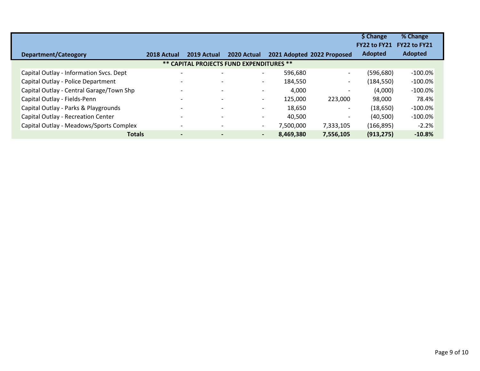|                                          |                          |                                          |                          |           |                            | \$ Change<br>FY22 to FY21 | % Change<br>FY22 to FY21 |
|------------------------------------------|--------------------------|------------------------------------------|--------------------------|-----------|----------------------------|---------------------------|--------------------------|
| <b>Department/Cateogory</b>              | 2018 Actual              | 2019 Actual                              | 2020 Actual              |           | 2021 Adopted 2022 Proposed | <b>Adopted</b>            | <b>Adopted</b>           |
|                                          |                          | ** CAPITAL PROJECTS FUND EXPENDITURES ** |                          |           |                            |                           |                          |
| Capital Outlay - Information Svcs. Dept  | $\overline{\phantom{0}}$ | $\overline{\phantom{a}}$                 | $\overline{\phantom{0}}$ | 596,680   | $\overline{\phantom{0}}$   | (596, 680)                | $-100.0\%$               |
| Capital Outlay - Police Department       |                          | $\overline{\phantom{a}}$                 | $\overline{\phantom{a}}$ | 184,550   | $\overline{\phantom{a}}$   | (184, 550)                | $-100.0\%$               |
| Capital Outlay - Central Garage/Town Shp |                          | $\overline{\phantom{a}}$                 | $\overline{\phantom{a}}$ | 4.000     | -                          | (4,000)                   | $-100.0\%$               |
| Capital Outlay - Fields-Penn             |                          |                                          | $\overline{\phantom{0}}$ | 125,000   | 223,000                    | 98,000                    | 78.4%                    |
| Capital Outlay - Parks & Playgrounds     |                          | $\overline{\phantom{a}}$                 | $\overline{\phantom{0}}$ | 18,650    | ٠                          | (18, 650)                 | $-100.0\%$               |
| Capital Outlay - Recreation Center       |                          | $\overline{\phantom{a}}$                 | $\overline{\phantom{a}}$ | 40,500    | $\overline{\phantom{a}}$   | (40,500)                  | $-100.0\%$               |
| Capital Outlay - Meadows/Sports Complex  |                          |                                          | $\overline{\phantom{a}}$ | 7,500,000 | 7,333,105                  | (166, 895)                | $-2.2%$                  |
| <b>Totals</b>                            | $\overline{\phantom{0}}$ |                                          | $\blacksquare$           | 8,469,380 | 7,556,105                  | (913, 275)                | $-10.8%$                 |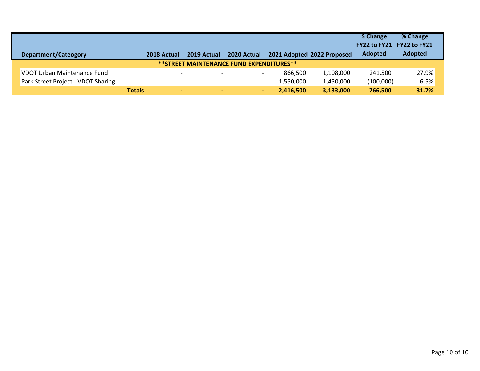|                                    |               |                                                      |                          |           |                            | \$ Change<br>FY22 to FY21 | % Change<br>FY22 to FY21 |
|------------------------------------|---------------|------------------------------------------------------|--------------------------|-----------|----------------------------|---------------------------|--------------------------|
| <b>Department/Cateogory</b>        | 2018 Actual   | 2019 Actual                                          | 2020 Actual              |           | 2021 Adopted 2022 Proposed | Adopted                   | <b>Adopted</b>           |
|                                    |               | ** STREET MAINTENANCE FUND EXPENDITURES**            |                          |           |                            |                           |                          |
| VDOT Urban Maintenance Fund        |               | $\overline{\phantom{0}}$<br>$\overline{\phantom{0}}$ | $\overline{\phantom{0}}$ | 866.500   | 1,108,000                  | 241.500                   | 27.9%                    |
| Park Street Project - VDOT Sharing |               | $\overline{\phantom{0}}$<br>$\overline{\phantom{0}}$ | $\overline{\phantom{0}}$ | 1,550,000 | 1,450,000                  | (100,000)                 | $-6.5%$                  |
|                                    | <b>Totals</b> | $\overline{\phantom{0}}$<br>$\overline{\phantom{0}}$ | $\blacksquare$           | 2,416,500 | 3,183,000                  | 766,500                   | 31.7%                    |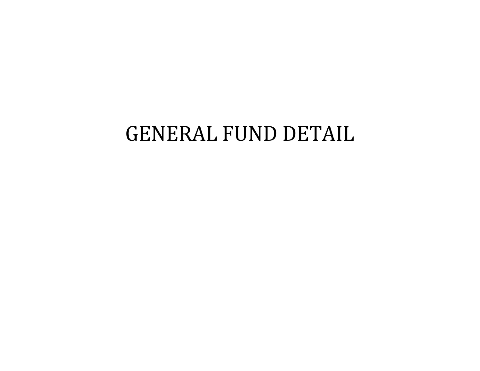## GENERAL FUND DETAIL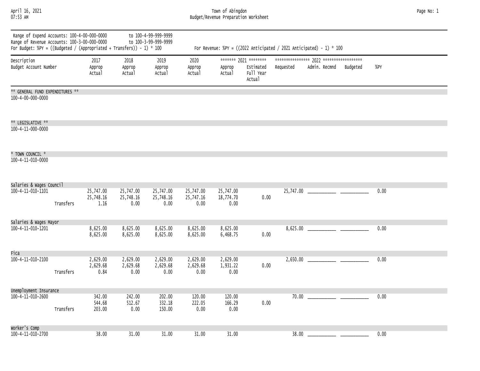April 16, 2021 Town of Abingdon Page No: 1 07:53 AM Budget/Revenue Preparation Worksheet

| Range of Expend Accounts: 100-4-00-000-0000<br>Range of Revenue Accounts: 100-3-00-000-0000<br>For Budget: %PY = ((Budgeted / (Appropriated + Transfers)) - 1) * 100 |           |                              |                              | to 100-4-99-999-9999<br>to 100-3-99-999-9999 |                              |                              |                                                           |           | For Revenue: %PY = $((2022 \text{ Anticipated } / 2021 \text{ Anticipated}) - 1) * 100$ |          |        |
|----------------------------------------------------------------------------------------------------------------------------------------------------------------------|-----------|------------------------------|------------------------------|----------------------------------------------|------------------------------|------------------------------|-----------------------------------------------------------|-----------|-----------------------------------------------------------------------------------------|----------|--------|
| Description<br>Budget Account Number                                                                                                                                 |           | 2017<br>Approp<br>Actual     | 2018<br>Approp<br>Actual     | 2019<br>Approp<br>Actual                     | 2020<br>Approp<br>Actual     | Approp<br>Actual             | ******* 2021 ********<br>Estimated<br>Full Year<br>Actual | Requested | Admin. Recmnd                                                                           | Budgeted | $%$ PY |
| ** GENERAL FUND EXPENDITURES **<br>$100 - 4 - 00 - 000 - 0000$                                                                                                       |           |                              |                              |                                              |                              |                              |                                                           |           |                                                                                         |          |        |
| ** LEGISLATIVE **<br>100-4-11-000-0000                                                                                                                               |           |                              |                              |                                              |                              |                              |                                                           |           |                                                                                         |          |        |
| * TOWN COUNCIL *<br>100-4-11-010-0000                                                                                                                                |           |                              |                              |                                              |                              |                              |                                                           |           |                                                                                         |          |        |
| Salaries & Wages Council<br>100-4-11-010-1101                                                                                                                        |           | 25,747.00<br>25,748.16       | 25,747.00<br>25,748.16       | 25,747.00<br>25,748.16                       | 25,747.00<br>25,747.16       | 25,747.00<br>18,774.70       | 0.00                                                      |           |                                                                                         |          | 0.00   |
|                                                                                                                                                                      | Transfers | 1.16                         | 0.00                         | 0.00                                         | 0.00                         | 0.00                         |                                                           |           |                                                                                         |          |        |
| Salaries & Wages Mayor<br>100-4-11-010-1201                                                                                                                          |           | 8,625.00<br>8,625.00         | 8,625.00<br>8,625.00         | 8,625.00<br>8,625.00                         | 8,625.00<br>8,625.00         | 8,625.00<br>6,468.75         | 0.00                                                      |           | 8,625.00                                                                                |          | 0.00   |
| Fica<br>100-4-11-010-2100                                                                                                                                            | Transfers | 2,629.00<br>2,629.68<br>0.84 | 2,629.00<br>2,629.68<br>0.00 | 2,629.00<br>2,629.68<br>0.00                 | 2,629.00<br>2,629.68<br>0.00 | 2,629.00<br>1,931.22<br>0.00 | 0.00                                                      |           |                                                                                         |          | 0.00   |
| Unemployment Insurance<br>$100 - 4 - 11 - 010 - 2600$                                                                                                                |           | 342.00                       | 242.00                       | 202.00                                       | 120.00                       | 120.00                       |                                                           |           | 70.00                                                                                   |          | 0.00   |
|                                                                                                                                                                      | Transfers | 544.68<br>203.00             | 512.67<br>0.00               | 332.18<br>150.00                             | 222.05<br>0.00               | 166.29<br>0.00               | 0.00                                                      |           |                                                                                         |          |        |
| Worker's Comp<br>100-4-11-010-2700                                                                                                                                   |           | 38.00                        | 31.00                        | 31.00                                        | 31.00                        | 31.00                        |                                                           | 38.00     |                                                                                         |          | 0.00   |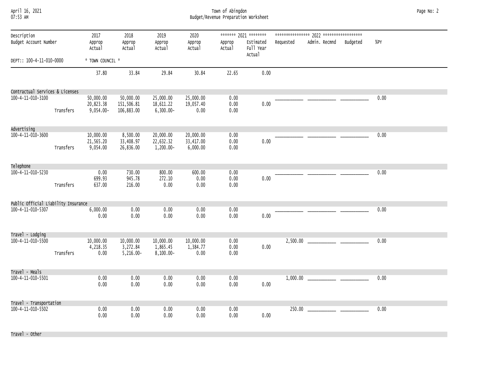| April 16, 2021<br>07:53 AM           |           |                                        |                                       |                                        |                                    | Town of Abingdon<br>Budget/Revenue Preparation Worksheet |                                                           |           |                        |      | Page No: 2 |
|--------------------------------------|-----------|----------------------------------------|---------------------------------------|----------------------------------------|------------------------------------|----------------------------------------------------------|-----------------------------------------------------------|-----------|------------------------|------|------------|
| Description<br>Budget Account Number |           | 2017<br>Approp<br>Actual               | 2018<br>Approp<br>Actual              | 2019<br>Approp<br>Actual               | 2020<br>Approp<br>Actual           | Approp<br>Actual                                         | ******* 2021 ********<br>Estimated<br>Full Year<br>Actual | Requested | Admin. Recmnd Budgeted | %PY  |            |
| DEPT:: 100-4-11-010-0000             |           | * TOWN COUNCIL *                       |                                       |                                        |                                    |                                                          |                                                           |           |                        |      |            |
|                                      |           | 37.80                                  | 33.84                                 | 29.84                                  | 30.84                              | 22.65                                                    | 0.00                                                      |           |                        |      |            |
| Contractual Services & Licenses      |           |                                        |                                       |                                        |                                    |                                                          |                                                           |           |                        |      |            |
| 100-4-11-010-3100                    | Transfers | 50,000.00<br>20,823.38<br>$9,054.00 -$ | 50,000.00<br>151,506.81<br>106,883.00 | 25,000.00<br>18,611.22<br>$6,300.00 -$ | 25,000.00<br>19,057.40<br>0.00     | 0.00<br>0.00<br>0.00                                     | 0.00                                                      |           |                        | 0.00 |            |
| Advertising                          |           |                                        |                                       |                                        |                                    |                                                          |                                                           |           |                        |      |            |
| 100-4-11-010-3600                    | Transfers | 10,000.00<br>21,565.20<br>9,054.00     | 8,500.00<br>33,408.97<br>26,836.00    | 20,000.00<br>22,632.32<br>$1,200.00 -$ | 20,000.00<br>33,417.00<br>6,000.00 | 0.00<br>0.00<br>0.00                                     | 0.00                                                      |           |                        | 0.00 |            |
| Telephone                            |           |                                        |                                       |                                        |                                    |                                                          |                                                           |           |                        |      |            |
| 100-4-11-010-5230                    | Transfers | 0.00<br>699.93<br>637.00               | 730.00<br>945.78<br>216.00            | 800.00<br>272.10<br>0.00               | 600.00<br>0.00<br>0.00             | 0.00<br>0.00<br>0.00                                     | 0.00                                                      |           |                        | 0.00 |            |
| Public Official Liability Insurance  |           |                                        |                                       |                                        |                                    |                                                          |                                                           |           |                        |      |            |
| 100-4-11-010-5307                    |           | 6,000.00<br>0.00                       | 0.00<br>0.00                          | 0.00<br>0.00                           | 0.00<br>0.00                       | 0.00<br>0.00                                             | 0.00                                                      |           |                        | 0.00 |            |
| Travel - Lodging                     |           |                                        |                                       |                                        |                                    |                                                          |                                                           |           |                        |      |            |
| 100-4-11-010-5500                    | Transfers | 10,000.00<br>4,218.35<br>0.00          | 10,000.00<br>3,272.84<br>$5,216.00 -$ | 10,000.00<br>1,865.45<br>$8,100.00 -$  | 10,000.00<br>1,384.77<br>0.00      | 0.00<br>0.00<br>0.00                                     | 0.00                                                      |           |                        | 0.00 |            |
| Travel - Meals                       |           |                                        |                                       |                                        |                                    |                                                          |                                                           |           |                        |      |            |
| 100-4-11-010-5501                    |           | 0.00<br>0.00                           | 0.00<br>0.00                          | 0.00<br>0.00                           | 0.00<br>0.00                       | 0.00<br>0.00                                             | 0.00                                                      |           |                        | 0.00 |            |
| Travel - Transportation              |           |                                        |                                       |                                        |                                    |                                                          |                                                           |           |                        |      |            |
| 100-4-11-010-5502                    |           | 0.00<br>0.00                           | 0.00<br>0.00                          | 0.00<br>0.00                           | 0.00<br>0.00                       | 0.00<br>0.00                                             | 0.00                                                      |           | 250.00                 | 0.00 |            |

Travel - Other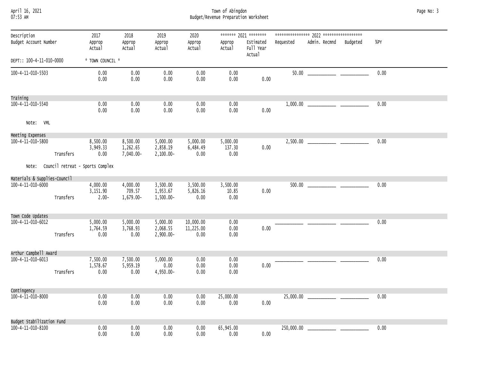April 16, 2021 Town of Abingdon Page No: 3 07:53 AM Budget/Revenue Preparation Worksheet

| Description<br>Budget Account Number       |           | 2017<br>Approp<br>Actual               | 2018<br>Approp<br>Actual           | 2019<br>Approp<br>Actual             | 2020<br>Approp<br>Actual       | Approp<br>Actual           | ******* 2021 ********<br>Estimated<br>Full Year<br>Actual | Requested | Admin. Recmnd | Budgeted | %PY  |
|--------------------------------------------|-----------|----------------------------------------|------------------------------------|--------------------------------------|--------------------------------|----------------------------|-----------------------------------------------------------|-----------|---------------|----------|------|
| DEPT:: 100-4-11-010-0000                   |           | * TOWN COUNCIL *                       |                                    |                                      |                                |                            |                                                           |           |               |          |      |
| 100-4-11-010-5503                          |           | 0.00<br>0.00                           | 0.00<br>0.00                       | 0.00<br>0.00                         | 0.00<br>0.00                   | 0.00<br>0.00               | 0.00                                                      |           |               |          | 0.00 |
| Training                                   |           |                                        |                                    |                                      |                                |                            |                                                           |           |               |          |      |
| $100 - 4 - 11 - 010 - 5540$                |           | 0.00<br>0.00                           | 0.00<br>0.00                       | 0.00<br>0.00                         | 0.00<br>0.00                   | 0.00<br>0.00               | 0.00                                                      |           |               |          | 0.00 |
| Note: VML                                  |           |                                        |                                    |                                      |                                |                            |                                                           |           |               |          |      |
| Meeting Expenses                           |           |                                        |                                    |                                      |                                |                            |                                                           |           |               |          |      |
| 100-4-11-010-5800                          | Transfers | 8,500.00<br>3,949.33<br>0.00           | 8,500.00<br>1,262.65<br>7,040.00-  | 5,000.00<br>2,858.19<br>$2,100.00 -$ | 5,000.00<br>6,484.49<br>0.00   | 5,000.00<br>137.30<br>0.00 | 0.00                                                      |           |               |          | 0.00 |
|                                            |           | Note: Council retreat - Sports Complex |                                    |                                      |                                |                            |                                                           |           |               |          |      |
| Materials & Supplies-Council               |           |                                        |                                    |                                      |                                |                            |                                                           |           |               |          |      |
| 100-4-11-010-6000                          | Transfers | 4,000.00<br>3,151.90<br>$2.00 -$       | 4,000.00<br>709.57<br>$1,679.00 -$ | 3,500.00<br>1,953.67<br>$1,500.00 -$ | 3,500.00<br>5,826.16<br>0.00   | 3,500.00<br>10.85<br>0.00  | 0.00                                                      |           |               |          | 0.00 |
| Town Code Updates                          |           |                                        |                                    |                                      |                                |                            |                                                           |           |               |          |      |
| 100-4-11-010-6012                          | Transfers | 5,000.00<br>1,764.59<br>0.00           | 5,000.00<br>3,768.93<br>0.00       | 5,000.00<br>2,068.55<br>$2,900.00 -$ | 10,000.00<br>11,225.00<br>0.00 | 0.00<br>0.00<br>0.00       | 0.00                                                      |           |               |          | 0.00 |
|                                            |           |                                        |                                    |                                      |                                |                            |                                                           |           |               |          |      |
| Arthur Campbell Award<br>100-4-11-010-6013 | Transfers | 7,500.00<br>1,578.67<br>0.00           | 7,500.00<br>5,959.19<br>0.00       | 5,000.00<br>0.00<br>4,950.00-        | 0.00<br>0.00<br>0.00           | 0.00<br>0.00<br>0.00       | 0.00                                                      |           |               |          | 0.00 |
|                                            |           |                                        |                                    |                                      |                                |                            |                                                           |           |               |          |      |
| Contingency<br>100-4-11-010-8000           |           | 0.00<br>0.00                           | 0.00<br>0.00                       | 0.00<br>0.00                         | 0.00<br>0.00                   | 25,000.00<br>0.00          | 0.00                                                      |           |               |          | 0.00 |
| Budget Stabilization Fund                  |           |                                        |                                    |                                      |                                |                            |                                                           |           |               |          |      |
| 100-4-11-010-8100                          |           | 0.00<br>0.00                           | 0.00<br>0.00                       | 0.00<br>0.00                         | 0.00<br>0.00                   | 65,945.00<br>0.00          | 0.00                                                      |           |               |          | 0.00 |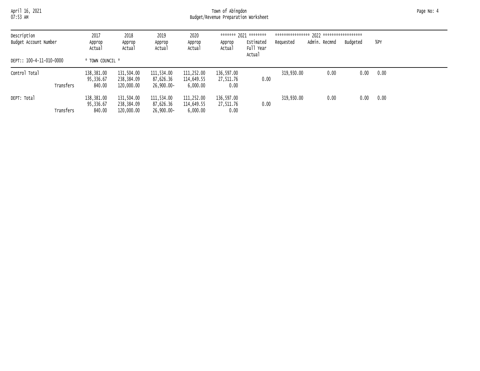April 16, 2021 Town of Abingdon Page No: 4 07:53 AM Budget/Revenue Preparation Worksheet

| Description              |           | 2017                    | 2018                     | 2019                    | 2020                     |                         | ******* 2021 ********            | **************** | 7022 ******************* |          |      |  |
|--------------------------|-----------|-------------------------|--------------------------|-------------------------|--------------------------|-------------------------|----------------------------------|------------------|--------------------------|----------|------|--|
| Budget Account Number    |           | Approp<br>Actual        | Approp<br>Actual         | Approp<br>Actual        | Approp<br>Actual         | Approp<br>Actual        | Estimated<br>Full Year<br>Actual | Requested        | Admin. Recmnd            | Budgeted | %PY  |  |
| DEPT:: 100-4-11-010-0000 |           | * TOWN COUNCIL *        |                          |                         |                          |                         |                                  |                  |                          |          |      |  |
| Control Total            |           | 138,381.00<br>95,336.67 | 131,504.00<br>238,384.09 | 111,534.00<br>87,626.36 | 111,252.00<br>114,649.55 | 136,597.00<br>27,511.76 | 0.00                             | 319,930.00       | 0.00                     | 0.00     | 0.00 |  |
|                          | Transfers | 840.00                  | 120,000.00               | 26,900.00-              | 6,000.00                 | 0.00                    |                                  |                  |                          |          |      |  |
| DEPT: Total              |           | 138,381.00<br>95,336.67 | 131,504.00<br>238,384.09 | 111,534.00<br>87,626.36 | 111,252.00<br>114,649.55 | 136,597.00<br>27,511.76 | 0.00                             | 319,930.00       | 0.00                     | 0.00     | 0.00 |  |
|                          | Transfers | 840.00                  | 120,000,00               | 26,900.00-              | 6,000.00                 | 0.00                    |                                  |                  |                          |          |      |  |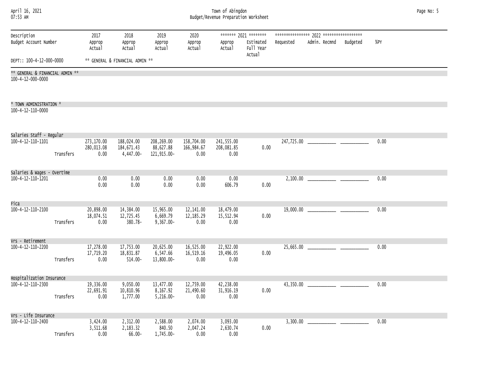| April 16, 2021 | Town of Abingdon                     |
|----------------|--------------------------------------|
| 07:53 AM       | Budget/Revenue Preparation Worksheet |
|                |                                      |

### April 16, 2021 Town of Abingdon Page No: 5

| Description<br>Budget Account Number                 |           | 2017<br>Approp<br>Actual         | 2018<br>Approp<br>Actual              | 2019<br>Approp<br>Actual               | 2020<br>Approp<br>Actual         | Approp<br>Actual                 | ******* 2021 ********<br>Estimated<br>Full Year<br>Actual | Requested | Admin. Recmnd | Budgeted | %PY  |  |
|------------------------------------------------------|-----------|----------------------------------|---------------------------------------|----------------------------------------|----------------------------------|----------------------------------|-----------------------------------------------------------|-----------|---------------|----------|------|--|
| DEPT:: 100-4-12-000-0000                             |           |                                  | ** GENERAL & FINANCIAL ADMIN **       |                                        |                                  |                                  |                                                           |           |               |          |      |  |
| ** GENERAL & FINANCIAL ADMIN **<br>100-4-12-000-0000 |           |                                  |                                       |                                        |                                  |                                  |                                                           |           |               |          |      |  |
| * TOWN ADMINISTRATION *                              |           |                                  |                                       |                                        |                                  |                                  |                                                           |           |               |          |      |  |
| 100-4-12-110-0000                                    |           |                                  |                                       |                                        |                                  |                                  |                                                           |           |               |          |      |  |
| Salaries Staff - Regular                             |           |                                  |                                       |                                        |                                  |                                  |                                                           |           |               |          |      |  |
| 100-4-12-110-1101                                    | Transfers | 273,170.00<br>280,013.08<br>0.00 | 188,024.00<br>184,671.43<br>4,447.00- | 208,269.00<br>88,627.88<br>121,915.00- | 158,704.00<br>166,984.67<br>0.00 | 241,555.00<br>208,081.85<br>0.00 | 0.00                                                      |           |               |          | 0.00 |  |
|                                                      |           |                                  |                                       |                                        |                                  |                                  |                                                           |           |               |          |      |  |
| Salaries & Wages - Overtime<br>100-4-12-110-1201     |           | 0.00                             | 0.00                                  | 0.00                                   | 0.00                             | 0.00                             |                                                           |           |               |          | 0.00 |  |
|                                                      |           | 0.00                             | 0.00                                  | 0.00                                   | 0.00                             | 606.79                           | 0.00                                                      |           |               |          |      |  |
| Fica                                                 |           |                                  |                                       |                                        |                                  |                                  |                                                           |           |               |          |      |  |
| 100-4-12-110-2100                                    | Transfers | 20,898.00<br>18,074.51<br>0.00   | 14,384.00<br>12,725.45<br>380.78-     | 15,965.00<br>6,669.79<br>$9,367.00 -$  | 12,141.00<br>12, 185.29<br>0.00  | 18,479.00<br>15,512.94<br>0.00   | 0.00                                                      |           |               |          | 0.00 |  |
|                                                      |           |                                  |                                       |                                        |                                  |                                  |                                                           |           |               |          |      |  |
| Vrs - Retirement<br>100-4-12-110-2200                | Transfers | 17,278.00<br>17,719.20<br>0.00   | 17,753.00<br>18,831.87<br>$514.00 -$  | 20,625.00<br>6,547.66<br>13,800.00-    | 16,525.00<br>16,519.16<br>0.00   | 22,922.00<br>19,496.05<br>0.00   | 0.00                                                      |           |               |          | 0.00 |  |
| Hospitalization Insurance                            |           |                                  |                                       |                                        |                                  |                                  |                                                           |           |               |          |      |  |
| 100-4-12-110-2300                                    |           | 19,336.00                        | 9,050.00                              | 13,477.00                              | 12,759.00                        | 42,238.00                        |                                                           |           |               |          | 0.00 |  |
|                                                      | Transfers | 22,691.91<br>0.00                | 10,810.96<br>1,777.00                 | 8,167.92<br>$5,216.00 -$               | 21,490.60<br>0.00                | 31,916.19<br>0.00                | 0.00                                                      |           |               |          |      |  |
| Vrs - Life Insurance                                 |           |                                  |                                       |                                        |                                  |                                  |                                                           |           |               |          |      |  |
| 100-4-12-110-2400                                    | Transfers | 3,424.00<br>3,511.68<br>0.00     | 2,312.00<br>2,183.32<br>$66.00 -$     | 2,588.00<br>840.50<br>1,745.00-        | 2,074.00<br>2,047.24<br>0.00     | 3,093.00<br>2,630.74<br>0.00     | 0.00                                                      |           |               |          | 0.00 |  |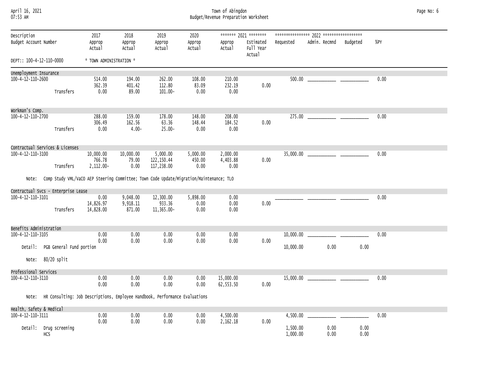| April 16, 2021 |  |
|----------------|--|
| 07.53 AM       |  |

### April 16, 2021 Town of Abingdon Page No: 6 07:53 AM Budget/Revenue Preparation Worksheet

| Description<br>Budget Account Number          |                                                                                               | 2017<br>Approp<br>Actual | 2018<br>Approp<br>Actual | 2019<br>Approp<br>Actual | 2020<br>Approp<br>Actual | Approp<br>Actual       | ******* 2021 ********<br>Estimated<br>Full Year<br>Actual | Requested | Admin. Recmnd | Budgeted | %PY  |
|-----------------------------------------------|-----------------------------------------------------------------------------------------------|--------------------------|--------------------------|--------------------------|--------------------------|------------------------|-----------------------------------------------------------|-----------|---------------|----------|------|
| DEPT:: 100-4-12-110-0000                      |                                                                                               | * TOWN ADMINISTRATION *  |                          |                          |                          |                        |                                                           |           |               |          |      |
| Unemployment Insurance                        |                                                                                               |                          |                          |                          |                          |                        |                                                           |           |               |          |      |
| $100 - 4 - 12 - 110 - 2600$                   |                                                                                               | 514.00<br>362.39         | 194.00<br>401.42         | 262.00<br>112.80         | 108.00<br>83.09          | 210.00<br>232.19       | 0.00                                                      |           |               |          | 0.00 |
|                                               | Transfers                                                                                     | 0.00                     | 89.00                    | $101.00 -$               | 0.00                     | 0.00                   |                                                           |           |               |          |      |
| Workman's Comp.                               |                                                                                               |                          |                          |                          |                          |                        |                                                           |           |               |          |      |
| 100-4-12-110-2700                             |                                                                                               | 288,00                   | 159.00                   | 178,00                   | 148.00                   | 208,00                 |                                                           |           | 275.00        |          | 0.00 |
|                                               | Transfers                                                                                     | 306.49<br>0.00           | 162.56<br>$4.00 -$       | 63.36<br>$25.00 -$       | 148.44<br>0.00           | 184.52<br>0.00         | 0.00                                                      |           |               |          |      |
|                                               |                                                                                               |                          |                          |                          |                          |                        |                                                           |           |               |          |      |
| 100-4-12-110-3100                             | Contractual Services & Licenses                                                               | 10,000.00                | 10,000.00                | 5,000.00                 | 5,000.00                 | 2,000.00               |                                                           |           |               |          | 0.00 |
|                                               |                                                                                               | 766.78                   | 79.00                    | 122,150.44               | 450.00                   | 4,403.88               | 0.00                                                      |           |               |          |      |
|                                               | Transfers                                                                                     | 2,112.00-                | 0.00                     | 117,238.00               | 0.00                     | 0.00                   |                                                           |           |               |          |      |
|                                               | Note: Comp Study VML/VaCO AEP Steering Committee; Town Code Update/Migration/Maintenance; TLO |                          |                          |                          |                          |                        |                                                           |           |               |          |      |
|                                               | Contractual Svcs - Enterprise Lease                                                           |                          |                          |                          |                          |                        |                                                           |           |               |          |      |
| 100-4-12-110-3101                             |                                                                                               | 0.00<br>14,826.97        | 9,048.00<br>9,918.11     | 12,300.00<br>933.36      | 5,898.00<br>0.00         | 0.00<br>0.00           | 0.00                                                      |           |               |          | 0.00 |
|                                               | Transfers                                                                                     | 14,828.00                | 871.00                   | 11,365.00-               | 0.00                     | 0.00                   |                                                           |           |               |          |      |
| Benefits Administration                       |                                                                                               |                          |                          |                          |                          |                        |                                                           |           |               |          |      |
| 100-4-12-110-3105                             |                                                                                               | 0.00                     | 0.00                     | 0.00                     | 0.00                     | 0.00                   |                                                           |           |               |          | 0.00 |
|                                               | Detail: PGB General Fund portion                                                              | 0.00                     | 0.00                     | 0.00                     | 0.00                     | 0.00                   | 0.00                                                      | 10,000.00 | 0.00          | 0.00     |      |
| Note:                                         | 80/20 split                                                                                   |                          |                          |                          |                          |                        |                                                           |           |               |          |      |
| Professional Services                         |                                                                                               |                          |                          |                          |                          |                        |                                                           |           |               |          |      |
| 100-4-12-110-3110                             |                                                                                               | 0.00<br>0.00             | 0.00<br>0.00             | 0.00<br>0.00             | 0.00<br>0.00             | 15,000.00<br>62,553.50 | 0.00                                                      |           |               |          | 0.00 |
|                                               | Note: HR Consulting: Job Descriptions, Employee Handbook, Performance Evaluations             |                          |                          |                          |                          |                        |                                                           |           |               |          |      |
|                                               |                                                                                               |                          |                          |                          |                          |                        |                                                           |           |               |          |      |
| Health, Safety & Medical<br>100-4-12-110-3111 |                                                                                               | 0.00                     | 0.00                     | 0.00                     | 0.00                     | 4,500.00               |                                                           |           |               |          | 0.00 |
|                                               | Detail: Drug screening                                                                        | 0.00                     | 0.00                     | 0.00                     | 0.00                     | 2,162.18               | 0.00                                                      | 1,500,00  | 0.00          | 0.00     |      |
|                                               | HCS                                                                                           |                          |                          |                          |                          |                        |                                                           | 1,000.00  | 0.00          | 0.00     |      |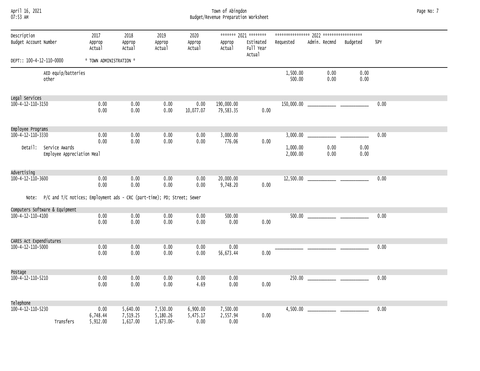| April 16, 2021  |  |
|-----------------|--|
| <b>N7.52 AM</b> |  |

### April 16, 2021 Town of Abingdon Page No: 7 07:53 AM Budget/Revenue Preparation Worksheet

| Description<br>Budget Account Number |                                                                          | 2017<br>Approp<br>Actual     | 2018<br>Approp<br>Actual         | 2019<br>Approp<br>Actual          | 2020<br>Approp<br>Actual     | Approp<br>Actual             | ******* 2021 ********<br>Estimated<br>Full Year<br>Actual | Requested            | Admin. Recmnd | Budgeted     | %PY  |
|--------------------------------------|--------------------------------------------------------------------------|------------------------------|----------------------------------|-----------------------------------|------------------------------|------------------------------|-----------------------------------------------------------|----------------------|---------------|--------------|------|
| DEPT:: 100-4-12-110-0000             |                                                                          | * TOWN ADMINISTRATION *      |                                  |                                   |                              |                              |                                                           |                      |               |              |      |
|                                      | AED equip/batteries<br>other                                             |                              |                                  |                                   |                              |                              |                                                           | 1,500.00<br>500.00   | 0.00<br>0.00  | 0.00<br>0.00 |      |
| Legal Services                       |                                                                          |                              |                                  |                                   |                              |                              |                                                           |                      |               |              |      |
| $100 - 4 - 12 - 110 - 3150$          |                                                                          | 0.00<br>0.00                 | 0.00<br>0.00                     | 0.00<br>0.00                      | 0.00<br>10,077.07            | 190,000.00<br>79,583.35      | 0.00                                                      |                      |               |              | 0.00 |
| Employee Programs                    |                                                                          |                              |                                  |                                   |                              |                              |                                                           |                      |               |              |      |
| 100-4-12-110-3330                    |                                                                          | 0.00                         | 0.00                             | 0.00                              | 0.00                         | 3,000.00                     |                                                           |                      |               |              | 0.00 |
|                                      | Detail: Service Awards<br>Employee Appreciation Meal                     | 0.00                         | 0.00                             | 0.00                              | 0.00                         | 776.06                       | 0.00                                                      | 1,000.00<br>2,000.00 | 0.00<br>0.00  | 0.00<br>0.00 |      |
| Advertising                          |                                                                          |                              |                                  |                                   |                              |                              |                                                           |                      |               |              |      |
| $100 - 4 - 12 - 110 - 3600$          |                                                                          | 0.00<br>0.00                 | 0.00<br>0.00                     | 0.00<br>0.00                      | 0.00<br>0.00                 | 20,000.00<br>9,748.20        | 0.00                                                      |                      |               |              | 0.00 |
| Note:                                | P/C and T/C notices; Employment ads - CRC (part-time); PD; Street; Sewer |                              |                                  |                                   |                              |                              |                                                           |                      |               |              |      |
| Computers Software & Equipment       |                                                                          |                              |                                  |                                   |                              |                              |                                                           |                      |               |              |      |
| $100 - 4 - 12 - 110 - 4100$          |                                                                          | 0.00<br>0.00                 | 0.00<br>0.00                     | 0.00<br>0.00                      | 0.00<br>0.00                 | 500.00<br>0.00               | 0.00                                                      |                      |               |              | 0.00 |
| CARES Act Expendiutures              |                                                                          |                              |                                  |                                   |                              |                              |                                                           |                      |               |              |      |
| $100 - 4 - 12 - 110 - 5000$          |                                                                          | 0.00<br>0.00                 | 0.00<br>0.00                     | 0.00<br>0.00                      | 0.00<br>0.00                 | 0.00<br>56,673.44            | 0.00                                                      |                      |               |              | 0.00 |
| Postage                              |                                                                          |                              |                                  |                                   |                              |                              |                                                           |                      |               |              |      |
| 100-4-12-110-5210                    |                                                                          | 0.00<br>0.00                 | 0.00<br>0.00                     | 0.00<br>0.00                      | 0.00<br>4.69                 | 0.00<br>0.00                 | 0.00                                                      |                      |               |              | 0.00 |
| Telephone                            |                                                                          |                              |                                  |                                   |                              |                              |                                                           |                      |               |              |      |
| $100 - 4 - 12 - 110 - 5230$          | Transfers                                                                | 0.00<br>6,748.44<br>5,912.00 | 5,640.00<br>7,519.25<br>1,617.00 | 7,530.00<br>5,180.26<br>1,673.00- | 6,900.00<br>5,475.17<br>0.00 | 7,500.00<br>2,557.94<br>0.00 | 0.00                                                      |                      |               |              | 0.00 |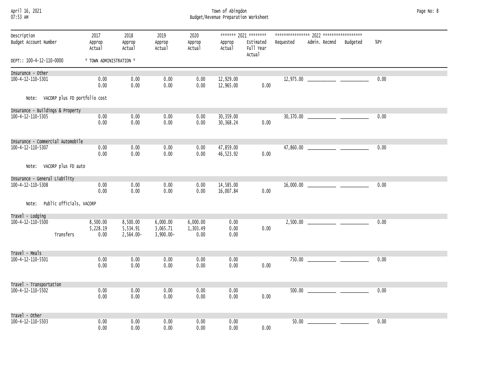### April 16, 2021 Town of Abingdon Page No: 8 07:53 AM Budget/Revenue Preparation Worksheet

| Description<br>Budget Account Number |                          | 2017<br>Approp<br>Actual     | 2018<br>Approp<br>Actual          | 2019<br>Approp<br>Actual             | 2020<br>Approp<br>Actual     | Approp<br>Actual        | ******* 2021 ********<br>Estimated<br>Full Year<br>Actual | Requested | Admin. Recmnd                                                                                                                                                                                                                                                                                                                                                                                                                                                           | Budgeted | %PY  |
|--------------------------------------|--------------------------|------------------------------|-----------------------------------|--------------------------------------|------------------------------|-------------------------|-----------------------------------------------------------|-----------|-------------------------------------------------------------------------------------------------------------------------------------------------------------------------------------------------------------------------------------------------------------------------------------------------------------------------------------------------------------------------------------------------------------------------------------------------------------------------|----------|------|
| DEPT:: 100-4-12-110-0000             |                          | * TOWN ADMINISTRATION *      |                                   |                                      |                              |                         |                                                           |           |                                                                                                                                                                                                                                                                                                                                                                                                                                                                         |          |      |
| Insurance - Other                    |                          |                              |                                   |                                      |                              |                         |                                                           |           |                                                                                                                                                                                                                                                                                                                                                                                                                                                                         |          |      |
| 100-4-12-110-5301                    |                          | 0.00<br>0.00                 | 0.00<br>0.00                      | 0.00<br>0.00                         | 0.00<br>0.00                 | 12,929.00<br>12,965.00  | 0.00                                                      |           |                                                                                                                                                                                                                                                                                                                                                                                                                                                                         |          | 0.00 |
| Note: VACORP plus FD portfolio cost  |                          |                              |                                   |                                      |                              |                         |                                                           |           |                                                                                                                                                                                                                                                                                                                                                                                                                                                                         |          |      |
| Insurance - Buildings & Property     |                          |                              |                                   |                                      |                              |                         |                                                           |           |                                                                                                                                                                                                                                                                                                                                                                                                                                                                         |          |      |
| 100-4-12-110-5305                    |                          | 0.00<br>0.00                 | 0.00<br>0.00                      | 0.00<br>0.00                         | 0.00<br>0.00                 | 30,359.00<br>30, 368.24 | 0.00                                                      |           |                                                                                                                                                                                                                                                                                                                                                                                                                                                                         |          | 0.00 |
| Insurance - Commercial Automobile    |                          |                              |                                   |                                      |                              |                         |                                                           |           |                                                                                                                                                                                                                                                                                                                                                                                                                                                                         |          |      |
| 100-4-12-110-5307                    |                          | 0.00<br>0.00                 | 0.00<br>0.00                      | 0.00<br>0.00                         | 0.00<br>0.00                 | 47,859.00<br>46,523.92  | 0.00                                                      |           |                                                                                                                                                                                                                                                                                                                                                                                                                                                                         |          | 0.00 |
| Note: VACORP plus FD auto            |                          |                              |                                   |                                      |                              |                         |                                                           |           |                                                                                                                                                                                                                                                                                                                                                                                                                                                                         |          |      |
| Insurance - General Liability        |                          |                              |                                   |                                      |                              |                         |                                                           |           |                                                                                                                                                                                                                                                                                                                                                                                                                                                                         |          |      |
| 100-4-12-110-5308                    |                          | 0.00<br>0.00                 | 0.00<br>0.00                      | 0.00<br>0.00                         | 0.00<br>0.00                 | 14,585.00<br>16,007.84  | 0.00                                                      |           |                                                                                                                                                                                                                                                                                                                                                                                                                                                                         |          | 0.00 |
| Note:                                | Public officials, VACORP |                              |                                   |                                      |                              |                         |                                                           |           |                                                                                                                                                                                                                                                                                                                                                                                                                                                                         |          |      |
| Travel - Lodging                     |                          |                              |                                   |                                      |                              |                         |                                                           |           |                                                                                                                                                                                                                                                                                                                                                                                                                                                                         |          |      |
| 100-4-12-110-5500                    | Transfers                | 8,500.00<br>5,228.19<br>0.00 | 8,500.00<br>5,534.91<br>2,564.00- | 6,000.00<br>3,065.71<br>$3,900.00 -$ | 6,000.00<br>1,303.49<br>0.00 | 0.00<br>0.00<br>0.00    | 0.00                                                      |           |                                                                                                                                                                                                                                                                                                                                                                                                                                                                         |          | 0.00 |
|                                      |                          |                              |                                   |                                      |                              |                         |                                                           |           |                                                                                                                                                                                                                                                                                                                                                                                                                                                                         |          |      |
| Travel - Meals                       |                          |                              |                                   |                                      |                              |                         |                                                           |           |                                                                                                                                                                                                                                                                                                                                                                                                                                                                         |          |      |
| 100-4-12-110-5501                    |                          | 0.00<br>0.00                 | 0.00<br>0.00                      | 0.00<br>0.00                         | 0.00<br>0.00                 | 0.00<br>0.00            | 0.00                                                      |           |                                                                                                                                                                                                                                                                                                                                                                                                                                                                         |          | 0.00 |
| Travel - Transportation              |                          |                              |                                   |                                      |                              |                         |                                                           |           |                                                                                                                                                                                                                                                                                                                                                                                                                                                                         |          |      |
| 100-4-12-110-5502                    |                          | 0.00<br>0.00                 | 0.00<br>0.00                      | 0.00<br>0.00                         | 0.00<br>0.00                 | 0.00<br>0.00            | 0.00                                                      |           |                                                                                                                                                                                                                                                                                                                                                                                                                                                                         |          | 0.00 |
| Travel - Other                       |                          |                              |                                   |                                      |                              |                         |                                                           |           |                                                                                                                                                                                                                                                                                                                                                                                                                                                                         |          |      |
| 100-4-12-110-5503                    |                          | 0.00<br>0.00                 | 0.00<br>0.00                      | 0.00<br>0.00                         | 0.00<br>0.00                 | 0.00<br>0.00            | 0.00                                                      |           | $50.00$ $\overline{\phantom{0}}$ $\overline{\phantom{0}}$ $\overline{\phantom{0}}$ $\overline{\phantom{0}}$ $\overline{\phantom{0}}$ $\overline{\phantom{0}}$ $\overline{\phantom{0}}$ $\overline{\phantom{0}}$ $\overline{\phantom{0}}$ $\overline{\phantom{0}}$ $\overline{\phantom{0}}$ $\overline{\phantom{0}}$ $\overline{\phantom{0}}$ $\overline{\phantom{0}}$ $\overline{\phantom{0}}$ $\overline{\phantom{0}}$ $\overline{\phantom{0}}$ $\overline{\phantom{0$ |          | 0.00 |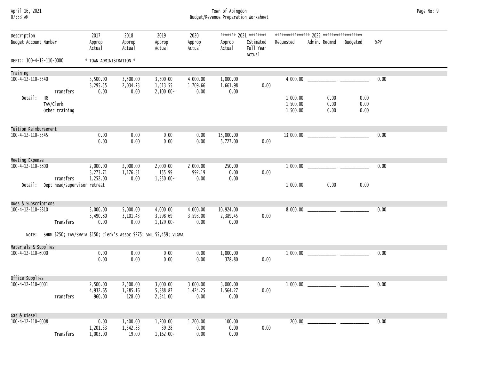| April 16, 2021 |  |
|----------------|--|
| 07.52 AM       |  |

### April 16, 2021 Town of Abingdon Page No: 9 07:53 AM Budget/Revenue Preparation Worksheet

| Description<br>Budget Account Number |                                                                            | 2017<br>Approp<br>Actual         | 2018<br>Approp<br>Actual       | 2019<br>Approp<br>Actual             | 2020<br>Approp<br>Actual     | Approp<br>Actual              | ******* 2021 ********<br>Estimated<br>Full Year<br>Actual | Requested                        | Admin. Recmnd        | Budgeted             | %PY  |
|--------------------------------------|----------------------------------------------------------------------------|----------------------------------|--------------------------------|--------------------------------------|------------------------------|-------------------------------|-----------------------------------------------------------|----------------------------------|----------------------|----------------------|------|
| DEPT:: 100-4-12-110-0000             |                                                                            | * TOWN ADMINISTRATION *          |                                |                                      |                              |                               |                                                           |                                  |                      |                      |      |
| Training                             |                                                                            |                                  |                                |                                      |                              |                               |                                                           |                                  |                      |                      |      |
| 100-4-12-110-5540                    | Transfers                                                                  | 3,500.00<br>3,295.55<br>0.00     | 3,500.00<br>2,034.73<br>0.00   | 3,500.00<br>1,613.55<br>$2,100.00 -$ | 4,000.00<br>1,709.66<br>0.00 | 1,000.00<br>1,661.98<br>0.00  | 0.00                                                      |                                  |                      |                      | 0.00 |
| Detail:<br><b>HR</b>                 | TAV/Clerk<br>Other training                                                |                                  |                                |                                      |                              |                               |                                                           | 1,000.00<br>1,500.00<br>1,500.00 | 0.00<br>0.00<br>0.00 | 0.00<br>0.00<br>0.00 |      |
| Tuition Reimbursement                |                                                                            |                                  |                                |                                      |                              |                               |                                                           |                                  |                      |                      |      |
| 100-4-12-110-5545                    |                                                                            | 0.00<br>0.00                     | 0.00<br>0.00                   | 0.00<br>0.00                         | 0.00<br>0.00                 | 15,000.00<br>5,727.00         | 0.00                                                      |                                  |                      |                      | 0.00 |
| Meeting Expense                      |                                                                            |                                  |                                |                                      |                              |                               |                                                           |                                  |                      |                      |      |
| 100-4-12-110-5800<br>Detail:         | Transfers<br>Dept head/supervisor retreat                                  | 2,000.00<br>3,273.71<br>1,252.00 | 2,000.00<br>1,176.31<br>0.00   | 2,000.00<br>155.99<br>1,350.00-      | 2,000.00<br>992.19<br>0.00   | 250.00<br>0.00<br>0.00        | 0.00                                                      | 1,000.00                         | 0.00                 | 0.00                 | 0.00 |
|                                      |                                                                            |                                  |                                |                                      |                              |                               |                                                           |                                  |                      |                      |      |
| Dues & Subscriptions                 |                                                                            |                                  |                                |                                      |                              |                               |                                                           |                                  |                      |                      |      |
| 100-4-12-110-5810                    | Transfers                                                                  | 5,000.00<br>3,490.80<br>0.00     | 5,000.00<br>3,101.43<br>0.00   | 4,000.00<br>3,298.69<br>1,129.00-    | 4,000.00<br>3,593.00<br>0.00 | 10,924.00<br>2,389.45<br>0.00 | 0.00                                                      |                                  |                      |                      | 0.00 |
|                                      | Note: SHRM \$250; TAV/SWVTA \$150; Clerk's Assoc \$275; VML \$5,459; VLGMA |                                  |                                |                                      |                              |                               |                                                           |                                  |                      |                      |      |
| Materials & Supplies                 |                                                                            |                                  |                                |                                      |                              |                               |                                                           |                                  |                      |                      |      |
| 100-4-12-110-6000                    |                                                                            | 0.00<br>0.00                     | 0.00<br>0.00                   | 0.00<br>0.00                         | 0.00<br>0.00                 | 1,000.00<br>378.80            | 0.00                                                      |                                  |                      |                      | 0.00 |
| Office Supplies                      |                                                                            |                                  |                                |                                      |                              |                               |                                                           |                                  |                      |                      |      |
| 100-4-12-110-6001                    | Transfers                                                                  | 2,500.00<br>4,932.65<br>960.00   | 2,500.00<br>1,285.16<br>128.00 | 3,000.00<br>5,888.87<br>2,541.00     | 3,000.00<br>1,424.25<br>0.00 | 3,000.00<br>1,564.27<br>0.00  | 0.00                                                      |                                  |                      |                      | 0.00 |
| Gas & Diesel                         |                                                                            |                                  |                                |                                      |                              |                               |                                                           |                                  |                      |                      |      |
| 100-4-12-110-6008                    | Transfers                                                                  | 0.00<br>1,201.33<br>1,003.00     | 1,400.00<br>1,542.83<br>19.00  | 1,200.00<br>39.28<br>$1,162.00 -$    | 1,200.00<br>0.00<br>0.00     | 100.00<br>0.00<br>0.00        | 0.00                                                      | 200.00                           |                      |                      | 0.00 |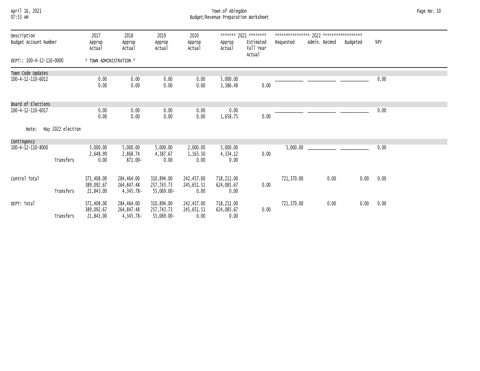### April 16, 2021 Town of Abingdon Page No: 10 07:53 AM Budget/Revenue Preparation Worksheet

| Description              |                   | 2017                                  | 2018                                  | 2019                                   | 2020                             |                                  | ******* 2021 ********            |            |               |          |      |
|--------------------------|-------------------|---------------------------------------|---------------------------------------|----------------------------------------|----------------------------------|----------------------------------|----------------------------------|------------|---------------|----------|------|
| Budget Account Number    |                   | Approp<br>Actual                      | Approp<br>Actual                      | Approp<br>Actual                       | Approp<br>Actual                 | Approp<br>Actual                 | Estimated<br>Full Year<br>Actual | Requested  | Admin. Recmnd | Budgeted | %PY  |
| DEPT:: 100-4-12-110-0000 |                   | * TOWN ADMINISTRATION *               |                                       |                                        |                                  |                                  |                                  |            |               |          |      |
| Town Code Updates        |                   |                                       |                                       |                                        |                                  |                                  |                                  |            |               |          |      |
| 100-4-12-110-6012        |                   | 0.00<br>0.00                          | 0.00<br>0.00                          | 0.00<br>0.00                           | 0.00<br>0.00                     | 5,000.00<br>3,386.48             | 0.00                             |            |               |          | 0.00 |
| Board of Elections       |                   |                                       |                                       |                                        |                                  |                                  |                                  |            |               |          |      |
| 100-4-12-110-6017        |                   | 0.00<br>0.00                          | 0.00<br>0.00                          | 0.00<br>0.00                           | 0.00<br>0.00                     | 0.00<br>1,658.75                 | 0.00                             |            |               |          | 0.00 |
| Note:                    | May 2022 election |                                       |                                       |                                        |                                  |                                  |                                  |            |               |          |      |
| Contingency              |                   |                                       |                                       |                                        |                                  |                                  |                                  |            |               |          |      |
| 100-4-12-110-8000        | Transfers         | 5,000.00<br>2,648.99<br>0.00          | 5,000.00<br>2,868.74<br>871.00-       | 5,000.00<br>4,387.67<br>0.00           | 2,000.00<br>1,163.50<br>0.00     | 5,000.00<br>4,334.12<br>0.00     | 0.00                             | 5,000.00   |               |          | 0.00 |
| Control Total            | Transfers         | 371,408.00<br>389,092.67<br>21,843.00 | 284,464.00<br>264,847.48<br>4,345.78- | 310,894.00<br>257,743.73<br>55,069.00- | 242,457.00<br>245,651.51<br>0.00 | 718,211.00<br>624,085.67<br>0.00 | 0.00                             | 721,370.00 | 0.00          | 0.00     | 0.00 |
| DEPT: Total              | Transfers         | 371,408.00<br>389,092.67<br>21,843.00 | 284,464.00<br>264,847.48<br>4,345.78- | 310,894.00<br>257,743.73<br>55,069.00- | 242,457.00<br>245,651.51<br>0.00 | 718,211.00<br>624,085.67<br>0.00 | 0.00                             | 721,370.00 | 0.00          | 0.00     | 0.00 |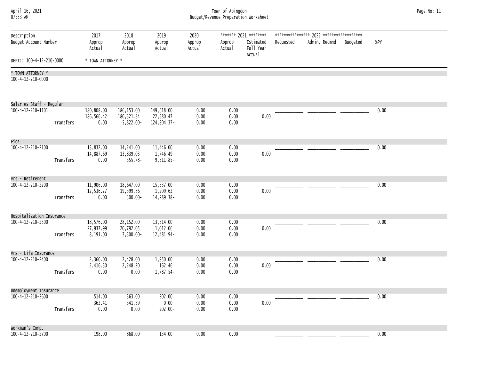| April 16, 2021<br>07:53 AM                     |           | Town of Abingdon<br>Budget/Revenue Preparation Worksheet |                                         |                                        |                          |                      |                                                           |           |               |          |      |  |  |
|------------------------------------------------|-----------|----------------------------------------------------------|-----------------------------------------|----------------------------------------|--------------------------|----------------------|-----------------------------------------------------------|-----------|---------------|----------|------|--|--|
| Description<br>Budget Account Number           |           | 2017<br>Approp<br>Actual                                 | 2018<br>Approp<br>Actual                | 2019<br>Approp<br>Actual               | 2020<br>Approp<br>Actual | Approp<br>Actual     | ******* 2021 ********<br>Estimated<br>Full Year<br>Actual | Requested | Admin. Recmnd | Budgeted | %PY  |  |  |
| DEPT:: 100-4-12-210-0000                       |           | * TOWN ATTORNEY *                                        |                                         |                                        |                          |                      |                                                           |           |               |          |      |  |  |
| * TOWN ATTORNEY *<br>100-4-12-210-0000         |           |                                                          |                                         |                                        |                          |                      |                                                           |           |               |          |      |  |  |
| Salaries Staff - Regular                       |           |                                                          |                                         |                                        |                          |                      |                                                           |           |               |          |      |  |  |
| 100-4-12-210-1101                              | Transfers | 180,808.00<br>186,566.42<br>0.00                         | 186, 153.00<br>180, 321.84<br>5,822.00- | 149,618.00<br>22,580.47<br>124,804.37- | 0.00<br>0.00<br>0.00     | 0.00<br>0.00<br>0.00 | 0.00                                                      |           |               |          | 0.00 |  |  |
| Fica<br>100-4-12-210-2100                      | Transfers | 13,832.00<br>14,887.69<br>0.00                           | 14,241.00<br>13,839.03<br>355.78-       | 11,446.00<br>1,746.49<br>9,511.85-     | 0.00<br>0.00<br>0.00     | 0.00<br>0.00<br>0.00 | 0.00                                                      |           |               |          | 0.00 |  |  |
| Vrs - Retirement<br>100-4-12-210-2200          |           | 11,906.00                                                | 18,647.00                               | 15,537.00                              | 0.00                     | 0.00                 |                                                           |           |               |          | 0.00 |  |  |
|                                                | Transfers | 12,536.27<br>0.00                                        | 19,399.86<br>$300.00 -$                 | 1,209.62<br>14,289.38-                 | 0.00<br>0.00             | 0.00<br>0.00         | 0.00                                                      |           |               |          |      |  |  |
| Hospitalization Insurance                      |           |                                                          |                                         |                                        |                          |                      |                                                           |           |               |          |      |  |  |
| 100-4-12-210-2300                              | Transfers | 18,576.00<br>27,937.99<br>8,191.00                       | 28,152.00<br>20,792.05<br>7,300.00-     | 13,514.00<br>1,012.06<br>12,481.94-    | 0.00<br>0.00<br>0.00     | 0.00<br>0.00<br>0.00 | 0.00                                                      |           |               |          | 0.00 |  |  |
| Vrs - Life Insurance                           |           |                                                          |                                         |                                        |                          |                      |                                                           |           |               |          |      |  |  |
| 100-4-12-210-2400                              | Transfers | 2,360.00<br>2,416.30<br>0.00                             | 2,428.00<br>2,248.20<br>0.00            | 1,950.00<br>162.46<br>1,787.54-        | 0.00<br>0.00<br>0.00     | 0.00<br>0.00<br>0.00 | 0.00                                                      |           |               |          | 0.00 |  |  |
| Unemployment Insurance                         |           |                                                          |                                         |                                        |                          |                      |                                                           |           |               |          |      |  |  |
| $100 - 4 - 12 - 210 - 2600$                    | Transfers | 514.00<br>362.41<br>0.00                                 | 363.00<br>341.59<br>0.00                | 202.00<br>0.00<br>202.00-              | 0.00<br>0.00<br>0.00     | 0.00<br>0.00<br>0.00 | 0.00                                                      |           |               |          | 0.00 |  |  |
| Workman's Comp.<br>$100 - 4 - 12 - 210 - 2700$ |           | 198.00                                                   | 868.00                                  | 134.00                                 | 0.00                     | 0.00                 |                                                           |           |               |          | 0.00 |  |  |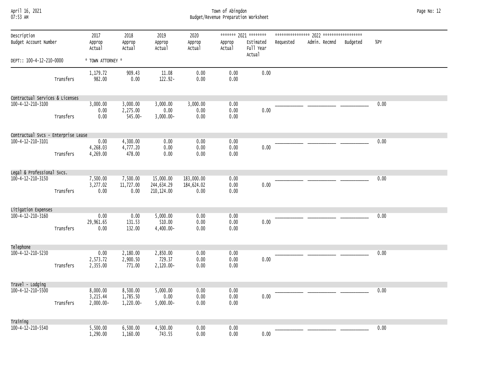April 16, 2021 Town of Abingdon Page No: 12 07:53 AM Budget/Revenue Preparation Worksheet

| Description<br>Budget Account Number |           | 2017<br>Approp<br>Actual             | 2018<br>Approp<br>Actual          | 2019<br>Approp<br>Actual              | 2020<br>Approp<br>Actual         | Approp<br>Actual     | ******* 2021 ********<br>Estimated<br>Full Year<br>Actual | Requested | Admin. Recmnd | Budgeted | $%$ PY |  |
|--------------------------------------|-----------|--------------------------------------|-----------------------------------|---------------------------------------|----------------------------------|----------------------|-----------------------------------------------------------|-----------|---------------|----------|--------|--|
| DEPT:: 100-4-12-210-0000             |           | * TOWN ATTORNEY *                    |                                   |                                       |                                  |                      |                                                           |           |               |          |        |  |
|                                      | Transfers | 1,179.72<br>982.00                   | 909.43<br>$0.00\,$                | 11.08<br>122.92-                      | 0.00<br>0.00                     | 0.00<br>0.00         | 0.00                                                      |           |               |          |        |  |
| Contractual Services & Licenses      |           |                                      |                                   |                                       |                                  |                      |                                                           |           |               |          |        |  |
| 100-4-12-210-3100                    | Transfers | 3,000.00<br>0.00<br>0.00             | 3,000.00<br>2,275.00<br>545.00-   | 3,000.00<br>$0.00\,$<br>$3,000.00 -$  | 3,000.00<br>0.00<br>0.00         | 0.00<br>0.00<br>0.00 | 0.00                                                      |           |               |          | 0.00   |  |
| Contractual Svcs - Enterprise Lease  |           |                                      |                                   |                                       |                                  |                      |                                                           |           |               |          |        |  |
| 100-4-12-210-3101                    | Transfers | 0.00<br>4,268.03<br>4,269.00         | 4,300.00<br>4,777.20<br>478.00    | 0.00<br>$0.00\,$<br>0.00              | 0.00<br>0.00<br>0.00             | 0.00<br>0.00<br>0.00 | 0.00                                                      |           |               |          | 0.00   |  |
| Legal & Professional Svcs.           |           |                                      |                                   |                                       |                                  |                      |                                                           |           |               |          |        |  |
| 100-4-12-210-3150                    | Transfers | 7,500.00<br>3,277.02<br>0.00         | 7,500.00<br>11,727.00<br>0.00     | 15,000.00<br>244,634.29<br>210,124.00 | 183,000.00<br>184,624.02<br>0.00 | 0.00<br>0.00<br>0.00 | 0.00                                                      |           |               |          | 0.00   |  |
| Litigation Expenses                  |           |                                      |                                   |                                       |                                  |                      |                                                           |           |               |          |        |  |
| $100 - 4 - 12 - 210 - 3160$          | Transfers | 0.00<br>29,961.65<br>0.00            | 0.00<br>131.53<br>132.00          | 5,000.00<br>510.00<br>4,400.00-       | 0.00<br>0.00<br>0.00             | 0.00<br>0.00<br>0.00 | 0.00                                                      |           |               |          | 0.00   |  |
| Telephone                            |           |                                      |                                   |                                       |                                  |                      |                                                           |           |               |          |        |  |
| 100-4-12-210-5230                    | Transfers | 0.00<br>2,573.72<br>2,355.00         | 2,180.00<br>2,900.50<br>771.00    | 2,850.00<br>729.37<br>2,120.00-       | 0.00<br>0.00<br>0.00             | 0.00<br>0.00<br>0.00 | 0.00                                                      |           |               |          | 0.00   |  |
| Travel - Lodging                     |           |                                      |                                   |                                       |                                  |                      |                                                           |           |               |          |        |  |
| 100-4-12-210-5500                    | Transfers | 8,000.00<br>3,215.44<br>$2,000.00 -$ | 8,500.00<br>1,785.50<br>1,220.00- | 5,000.00<br>0.00<br>$5,000.00 -$      | 0.00<br>0.00<br>0.00             | 0.00<br>0.00<br>0.00 | 0.00                                                      |           |               |          | 0.00   |  |
| Training                             |           |                                      |                                   |                                       |                                  |                      |                                                           |           |               |          |        |  |
| $100 - 4 - 12 - 210 - 5540$          |           | 5,500.00<br>1,290.00                 | 6,500.00<br>1,160.00              | 4,500.00<br>743.55                    | 0.00<br>0.00                     | 0.00<br>0.00         | 0.00                                                      |           |               |          | 0.00   |  |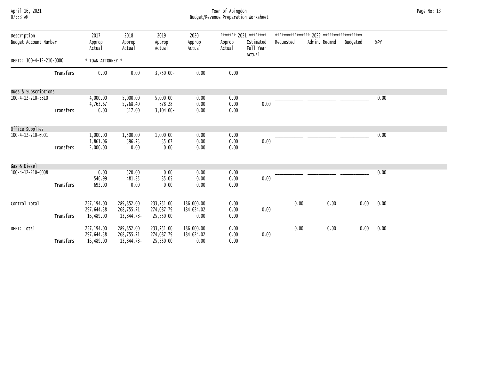| April 16, 2021<br>07:53 AM           |           | Town of Abingdon<br>Budget/Revenue Preparation Worksheet |                                        |                                       |                                  |                      |                                                           |           |               |          |      |  |
|--------------------------------------|-----------|----------------------------------------------------------|----------------------------------------|---------------------------------------|----------------------------------|----------------------|-----------------------------------------------------------|-----------|---------------|----------|------|--|
| Description<br>Budget Account Number |           | 2017<br>Approp<br>Actual                                 | 2018<br>Approp<br>Actual               | 2019<br>Approp<br>Actual              | 2020<br>Approp<br>Actual         | Approp<br>Actual     | ******* 2021 ********<br>Estimated<br>Full Year<br>Actual | Requested | Admin. Recmnd | Budgeted | %PY  |  |
| DEPT:: 100-4-12-210-0000             |           | * TOWN ATTORNEY *                                        |                                        |                                       |                                  |                      |                                                           |           |               |          |      |  |
|                                      | Transfers | 0.00                                                     | 0.00                                   | 3,750.00-                             | 0.00                             | 0.00                 |                                                           |           |               |          |      |  |
| Dues & Subscriptions                 |           |                                                          |                                        |                                       |                                  |                      |                                                           |           |               |          |      |  |
| 100-4-12-210-5810                    | Transfers | 4,000.00<br>4,763.67<br>0.00                             | 5,000.00<br>5,268.40<br>317.00         | 5,000.00<br>678.28<br>$3,104.00 -$    | 0.00<br>0.00<br>0.00             | 0.00<br>0.00<br>0.00 | 0.00                                                      |           |               |          | 0.00 |  |
| Office Supplies                      |           |                                                          |                                        |                                       |                                  |                      |                                                           |           |               |          |      |  |
| 100-4-12-210-6001                    | Transfers | 1,000.00<br>1,861.06<br>2,000.00                         | 1,500.00<br>396.73<br>0.00             | 1,000.00<br>35.07<br>0.00             | 0.00<br>0.00<br>0.00             | 0.00<br>0.00<br>0.00 | 0.00                                                      |           |               |          | 0.00 |  |
| Gas & Diesel                         |           |                                                          |                                        |                                       |                                  |                      |                                                           |           |               |          |      |  |
| 100-4-12-210-6008                    | Transfers | 0.00<br>546.99<br>692.00                                 | 520.00<br>481.85<br>0.00               | 0.00<br>35.05<br>0.00                 | 0.00<br>0.00<br>0.00             | 0.00<br>0.00<br>0.00 | 0.00                                                      |           |               |          | 0.00 |  |
| Control Total                        | Transfers | 257,194.00<br>297,644.38<br>16,489.00                    | 289,852.00<br>268,755.71<br>13,844.78- | 233,751.00<br>274,087.79<br>25,550.00 | 186,000.00<br>184,624.02<br>0.00 | 0.00<br>0.00<br>0.00 | 0.00                                                      | 0.00      | 0.00          | 0.00     | 0.00 |  |
| DEPT: Total                          | Transfers | 257,194.00<br>297,644.38<br>16,489.00                    | 289,852.00<br>268,755.71<br>13,844.78- | 233,751.00<br>274,087.79<br>25,550.00 | 186,000.00<br>184,624.02<br>0.00 | 0.00<br>0.00<br>0.00 | 0.00                                                      | 0.00      | 0.00          | 0.00     | 0.00 |  |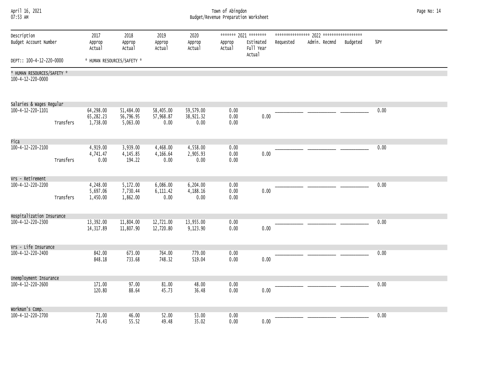| April 16, 2021<br>07:53 AM                                       |           | Town of Abingdon<br>Budget/Revenue Preparation Worksheet |                                    |                                |                                |                      |                                                           |           |               |          | Page No: 14 |  |
|------------------------------------------------------------------|-----------|----------------------------------------------------------|------------------------------------|--------------------------------|--------------------------------|----------------------|-----------------------------------------------------------|-----------|---------------|----------|-------------|--|
| Description<br>Budget Account Number<br>DEPT:: 100-4-12-220-0000 |           | 2017<br>Approp<br>Actual                                 | 2018<br>Approp<br>Actual           | 2019<br>Approp<br>Actual       | 2020<br>Approp<br>Actual       | Approp<br>Actual     | ******* 2021 ********<br>Estimated<br>Full Year<br>Actual | Requested | Admin. Recmnd | Budgeted | %PY         |  |
|                                                                  |           | * HUMAN RESOURCES/SAFETY *                               |                                    |                                |                                |                      |                                                           |           |               |          |             |  |
| * HUMAN RESOURCES/SAFETY *<br>100-4-12-220-0000                  |           |                                                          |                                    |                                |                                |                      |                                                           |           |               |          |             |  |
| Salaries & Wages Regular                                         |           |                                                          |                                    |                                |                                |                      |                                                           |           |               |          |             |  |
| 100-4-12-220-1101                                                | Transfers | 64,298.00<br>65,282.23<br>1,738.00                       | 51,484.00<br>56,796.95<br>5,063.00 | 58,405.00<br>57,968.87<br>0.00 | 59,579.00<br>38,921.32<br>0.00 | 0.00<br>0.00<br>0.00 | 0.00                                                      |           |               |          | 0.00        |  |
| Fica                                                             |           |                                                          |                                    |                                |                                |                      |                                                           |           |               |          |             |  |
| 100-4-12-220-2100                                                | Transfers | 4,919.00<br>4,741.47<br>0.00                             | 3,939.00<br>4,145.85<br>194.22     | 4,468.00<br>4,166.64<br>0.00   | 4,558.00<br>2,905.93<br>0.00   | 0.00<br>0.00<br>0.00 | 0.00                                                      |           |               |          | 0.00        |  |
| Vrs - Retirement                                                 |           |                                                          |                                    |                                |                                |                      |                                                           |           |               |          |             |  |
| 100-4-12-220-2200                                                | Transfers | 4,248.00<br>5,697.06<br>1,450.00                         | 5,172.00<br>7,730.44<br>1,862.00   | 6,086.00<br>6,111.42<br>0.00   | 6,204.00<br>4,188.16<br>0.00   | 0.00<br>0.00<br>0.00 | 0.00                                                      |           |               |          | 0.00        |  |
| Hospitalization Insurance                                        |           |                                                          |                                    |                                |                                |                      |                                                           |           |               |          |             |  |
| 100-4-12-220-2300                                                |           | 13,392.00<br>14, 317.89                                  | 11,804.00<br>11,807.90             | 12,721.00<br>12,720.80         | 13,955.00<br>9,123.90          | 0.00<br>0.00         | 0.00                                                      |           |               |          | 0.00        |  |
| Vrs - Life Insurance                                             |           |                                                          |                                    |                                |                                |                      |                                                           |           |               |          |             |  |
| 100-4-12-220-2400                                                |           | 842.00<br>848.18                                         | 673.00<br>733.68                   | 764.00<br>748.32               | 779.00<br>519.04               | 0.00<br>0.00         | 0.00                                                      |           |               |          | 0.00        |  |
| Unemployment Insurance                                           |           |                                                          |                                    |                                |                                |                      |                                                           |           |               |          |             |  |
| 100-4-12-220-2600                                                |           | 171.00<br>120.80                                         | 97.00<br>88.64                     | 81.00<br>45.73                 | 48.00<br>36.48                 | 0.00<br>0.00         | 0.00                                                      |           |               |          | 0.00        |  |
| Workman's Comp.                                                  |           |                                                          |                                    |                                |                                |                      |                                                           |           |               |          |             |  |
| 100-4-12-220-2700                                                |           | 71.00<br>74.43                                           | 46.00<br>55.52                     | 52.00<br>49.48                 | 53.00<br>35.02                 | 0.00<br>0.00         | 0.00                                                      |           |               |          | 0.00        |  |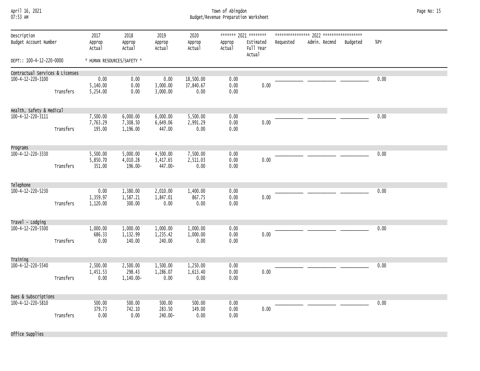| April 16, 2021 |  |
|----------------|--|
| 07.52 AM       |  |

### April 16, 2021 Town of Abingdon Page No: 15 07:53 AM Budget/Revenue Preparation Worksheet

| Description<br>Budget Account Number<br>DEPT:: 100-4-12-220-0000 |           | 2017                       | 2018<br>Approp<br>Actual | 2019<br>Approp<br>Actual | 2020<br>Approp<br>Actual | ******* 2021 ******** |                                  |           |               |          |      |
|------------------------------------------------------------------|-----------|----------------------------|--------------------------|--------------------------|--------------------------|-----------------------|----------------------------------|-----------|---------------|----------|------|
|                                                                  |           | Approp<br>Actual           |                          |                          |                          | Approp<br>Actual      | Estimated<br>Full Year<br>Actual | Requested | Admin. Recmnd | Budgeted | %PY  |
|                                                                  |           | * HUMAN RESOURCES/SAFETY * |                          |                          |                          |                       |                                  |           |               |          |      |
| Contractual Services & Licenses                                  |           |                            |                          |                          |                          |                       |                                  |           |               |          |      |
| 100-4-12-220-3100                                                |           | 0.00<br>5,140.00           | 0.00<br>0.00             | 0.00<br>3,000.00         | 18,500.00<br>37,840.67   | 0.00<br>0.00          | 0.00                             |           |               |          | 0.00 |
|                                                                  | Transfers | 5,254.00                   | 0.00                     | 3,000.00                 | 0.00                     | 0.00                  |                                  |           |               |          |      |
| Health, Safety & Medical                                         |           |                            |                          |                          |                          |                       |                                  |           |               |          |      |
| 100-4-12-220-3111                                                |           | 7,500.00                   | 6,000.00                 | 6,000.00                 | 5,500.00                 | 0.00                  |                                  |           |               |          | 0.00 |
|                                                                  | Transfers | 7,763.29<br>195.00         | 7,308.50<br>1,196.00     | 6,649.06<br>447.00       | 2,991.29<br>0.00         | 0.00<br>0.00          | 0.00                             |           |               |          |      |
| Programs                                                         |           |                            |                          |                          |                          |                       |                                  |           |               |          |      |
| 100-4-12-220-3330                                                |           | 5,500.00                   | 5,000.00                 | 4,500.00                 | 7,500.00                 | 0.00                  |                                  |           |               |          | 0.00 |
|                                                                  | Transfers | 5,850.70<br>351.00         | 4,010.28<br>196.00-      | 3,417.65<br>447.00-      | 2,511.03<br>0.00         | 0.00<br>0.00          | 0.00                             |           |               |          |      |
|                                                                  |           |                            |                          |                          |                          |                       |                                  |           |               |          |      |
| Telephone                                                        |           |                            |                          |                          |                          |                       |                                  |           |               |          |      |
| 100-4-12-220-5230                                                |           | 0.00<br>1,359.97           | 1,380.00<br>1,587.21     | 2,010.00<br>1,847.01     | 1,400.00<br>867.75       | 0.00<br>0.00          | 0.00                             |           |               |          | 0.00 |
|                                                                  | Transfers | 1,120.00                   | 300.00                   | 0.00                     | 0.00                     | 0.00                  |                                  |           |               |          |      |
| Travel - Lodging                                                 |           |                            |                          |                          |                          |                       |                                  |           |               |          |      |
| 100-4-12-220-5500                                                |           | 1,000.00                   | 1,000.00                 | 1,000.00                 | 1,000.00                 | 0.00                  |                                  |           |               |          | 0.00 |
|                                                                  | Transfers | 686.33<br>0.00             | 1,132.99<br>140.00       | 1,235.42<br>240.00       | 1,000.00<br>0.00         | 0.00<br>0.00          | 0.00                             |           |               |          |      |
|                                                                  |           |                            |                          |                          |                          |                       |                                  |           |               |          |      |
| Training                                                         |           |                            |                          |                          |                          |                       |                                  |           |               |          |      |
| 100-4-12-220-5540                                                |           | 2,500.00<br>1,451.53       | 2,500.00<br>298.43       | 1,500.00<br>1,286.07     | 1,250.00<br>1,613.40     | 0.00<br>0.00          | 0.00                             |           |               |          | 0.00 |
|                                                                  | Transfers | 0.00                       | 1,140.00-                | 0.00                     | 0.00                     | 0.00                  |                                  |           |               |          |      |
|                                                                  |           |                            |                          |                          |                          |                       |                                  |           |               |          |      |
| Dues & Subscriptions<br>100-4-12-220-5810                        |           | 500.00                     | 500.00                   | 500.00                   | 500.00                   | 0.00                  |                                  |           |               |          | 0.00 |
|                                                                  |           | 379.73                     | 742.10                   | 283.50                   | 149.00                   | 0.00                  | 0.00                             |           |               |          |      |
|                                                                  | Transfers | 0.00                       | 0.00                     | 240.00-                  | 0.00                     | 0.00                  |                                  |           |               |          |      |

Office Supplies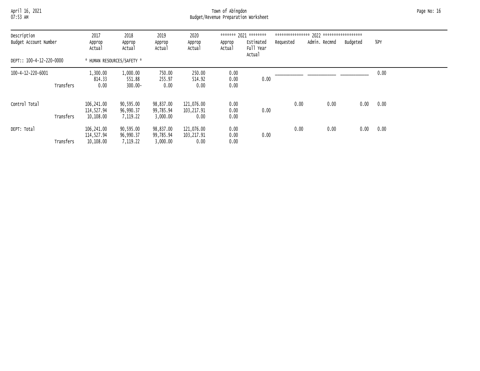## April 16, 2021 Town of Abingdon Page No: 16 07:53 AM Budget/Revenue Preparation Worksheet

|                                                                  |           | 2017                                                                                                                                                                                        | 2018                               | 2019                               | 2020                              |                      |      | **************** | 7022 ****************** |      |      |
|------------------------------------------------------------------|-----------|---------------------------------------------------------------------------------------------------------------------------------------------------------------------------------------------|------------------------------------|------------------------------------|-----------------------------------|----------------------|------|------------------|-------------------------|------|------|
| Description<br>Budget Account Number<br>DEPT:: 100-4-12-220-0000 |           | ******* 2021 ********<br>Admin. Recmnd<br>Estimated<br>Requested<br>Approp<br>Approp<br>Approp<br>Approp<br>Approp<br>Full Year<br>Actual<br>Actual<br>Actual<br>Actual<br>Actual<br>Actual | Budgeted                           | %PY                                |                                   |                      |      |                  |                         |      |      |
|                                                                  |           | * HUMAN RESOURCES/SAFETY *                                                                                                                                                                  |                                    |                                    |                                   |                      |      |                  |                         |      |      |
| 100-4-12-220-6001                                                |           | L, 300.00<br>814.33                                                                                                                                                                         | 1,000.00<br>551.88                 | 750.00<br>255.97                   | 250.00<br>514.92                  | 0.00<br>0.00         | 0.00 |                  |                         |      | 0.00 |
|                                                                  | Transfers | 0.00                                                                                                                                                                                        | $300.00 -$                         | 0.00                               | 0.00                              | 0.00                 |      |                  |                         |      |      |
| Control Total                                                    |           | 106,241.00<br>114,527.94                                                                                                                                                                    | 90,595.00<br>96,990.37             | 98,837.00<br>99,785.94             | 121,076.00<br>103,217.91          | 0.00<br>0.00         | 0.00 | 0.00             | 0.00                    | 0.00 | 0.00 |
|                                                                  | Transfers | 10,108.00                                                                                                                                                                                   | 7,119.22                           | 3,000.00                           | 0.00                              | 0.00                 |      |                  |                         |      |      |
| DEPT: Total                                                      | Transfers | 106,241.00<br>114,527.94<br>10,108.00                                                                                                                                                       | 90,595.00<br>96,990.37<br>7,119.22 | 98,837.00<br>99,785.94<br>3,000.00 | 121,076.00<br>103, 217.91<br>0.00 | 0.00<br>0.00<br>0.00 | 0.00 | 0.00             | 0.00                    | 0.00 | 0.00 |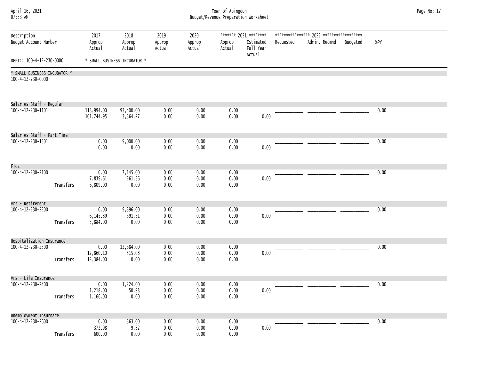| 07:53 AM                                              |           |                              | Budget/Revenue Preparation Worksheet |                          |                          |                      |                                                           |           |               |          |        |  |
|-------------------------------------------------------|-----------|------------------------------|--------------------------------------|--------------------------|--------------------------|----------------------|-----------------------------------------------------------|-----------|---------------|----------|--------|--|
| Description<br>Budget Account Number                  |           | 2017<br>Approp<br>Actual     | 2018<br>Approp<br>Actual             | 2019<br>Approp<br>Actual | 2020<br>Approp<br>Actual | Approp<br>Actual     | ******* 2021 ********<br>Estimated<br>Full Year<br>Actual | Requested | Admin. Recmnd | Budgeted | $%$ PY |  |
| DEPT:: 100-4-12-230-0000                              |           |                              | * SMALL BUSINESS INCUBATOR *         |                          |                          |                      |                                                           |           |               |          |        |  |
| * SMALL BUSINESS INCUBATOR *<br>100-4-12-230-0000     |           |                              |                                      |                          |                          |                      |                                                           |           |               |          |        |  |
| Salaries Staff - Regular<br>100-4-12-230-1101         |           | 118,994.00<br>101,744.95     | 93,400.00<br>3,364.27                | 0.00<br>0.00             | 0.00<br>0.00             | 0.00<br>0.00         | 0.00                                                      |           |               |          | 0.00   |  |
| Salaries Staff - Part Time<br>100-4-12-230-1301       |           | 0.00<br>0.00                 | 9,000.00<br>0.00                     | 0.00<br>0.00             | 0.00<br>0.00             | 0.00<br>0.00         | 0.00                                                      |           |               |          | 0.00   |  |
| Fica<br>100-4-12-230-2100                             | Transfers | 0.00<br>7,839.61<br>6,809.00 | 7,145.00<br>261.56<br>0.00           | 0.00<br>0.00<br>0.00     | 0.00<br>0.00<br>0.00     | 0.00<br>0.00<br>0.00 | 0.00                                                      |           |               |          | 0.00   |  |
| Vrs - Retirement<br>100-4-12-230-2200                 | Transfers | 0.00<br>6,145.89<br>5,884.00 | 9,396.00<br>391.51<br>0.00           | 0.00<br>0.00<br>0.00     | 0.00<br>0.00<br>0.00     | 0.00<br>0.00<br>0.00 | 0.00                                                      |           |               |          | 0.00   |  |
| Hospitalization Insurance<br>100-4-12-230-2300        |           | 0.00<br>12,860.10            | 12,384.00<br>515.08                  | 0.00<br>0.00             | 0.00<br>0.00             | 0.00<br>0.00         | 0.00                                                      |           |               |          | 0.00   |  |
| Vrs - Life Insurance<br>100-4-12-230-2400             | Transfers | 12,384.00<br>0.00            | 0.00<br>1,224.00                     | 0.00<br>0.00             | 0.00<br>0.00             | 0.00<br>0.00         |                                                           |           |               |          | 0.00   |  |
|                                                       | Transfers | 1,218.00<br>1,166.00         | 50.98<br>0.00                        | 0.00<br>0.00             | 0.00<br>0.00             | 0.00<br>0.00         | 0.00                                                      |           |               |          |        |  |
| Unemployment Insurnace<br>$100 - 4 - 12 - 230 - 2600$ | Transfers | 0.00<br>372.98<br>600.00     | 363.00<br>9.82<br>0.00               | 0.00<br>$0.00\,$<br>0.00 | 0.00<br>0.00<br>0.00     | 0.00<br>0.00<br>0.00 | 0.00                                                      |           |               |          | 0.00   |  |

April 16, 2021 Town of Abingdon Page No: 17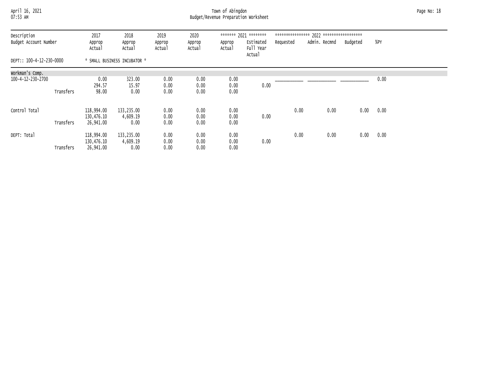# April 16, 2021 Town of Abingdon Page No: 18 07:53 AM Budget/Revenue Preparation Worksheet

| Description<br>Budget Account Number |           | 2017<br>Approp<br>Actual              | 2018<br>Approp<br>Actual       | 2019<br>Approp<br>Actual | 2020<br>Approp<br>Actual | Approp<br>Actual     | ******* 2021 ********<br>Estimated<br>Full Year<br>Actual | ****************<br>Requested | 7022 ******************<br>Admin. Recmnd | Budgeted | %PY  |  |
|--------------------------------------|-----------|---------------------------------------|--------------------------------|--------------------------|--------------------------|----------------------|-----------------------------------------------------------|-------------------------------|------------------------------------------|----------|------|--|
| DEPT:: 100-4-12-230-0000             |           |                                       | * SMALL BUSINESS INCUBATOR *   |                          |                          |                      |                                                           |                               |                                          |          |      |  |
| Workman's Comp.                      |           |                                       |                                |                          |                          |                      |                                                           |                               |                                          |          |      |  |
| 100-4-12-230-2700                    | Transfers | 0.00<br>294.57<br>98.00               | 323.00<br>15.97<br>0.00        | 0.00<br>0.00<br>0.00     | 0.00<br>0.00<br>0.00     | 0.00<br>0.00<br>0.00 | 0.00                                                      |                               |                                          |          | 0.00 |  |
|                                      |           |                                       |                                |                          |                          |                      |                                                           |                               |                                          |          |      |  |
| Control Total                        |           | 118,994.00<br>130,476.10              | 133,235.00<br>4,609.19         | 0.00<br>0.00             | 0.00<br>0.00             | 0.00<br>0.00         | 0.00                                                      | 0.00                          | 0.00                                     | 0.00     | 0.00 |  |
|                                      | Transfers | 26,941.00                             | 0.00                           | 0.00                     | 0.00                     | 0.00                 |                                                           |                               |                                          |          |      |  |
| DEPT: Total                          | Transfers | 118,994.00<br>130,476.10<br>26,941.00 | 133,235.00<br>4,609.19<br>0.00 | 0.00<br>0.00<br>0.00     | 0.00<br>0.00<br>0.00     | 0.00<br>0.00<br>0.00 | 0.00                                                      | 0.00                          | 0.00                                     | 0.00     | 0.00 |  |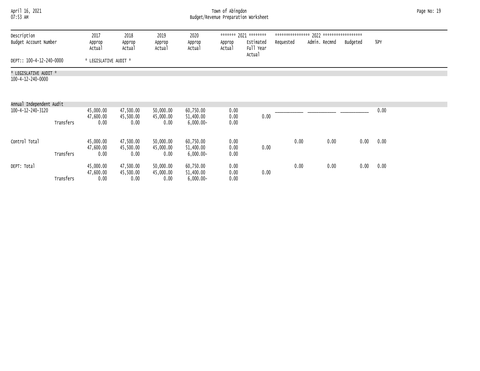| April 16, 2021 |  |
|----------------|--|
| 07.53 AM       |  |

# April 16, 2021 Town of Abingdon Page No: 19 07:53 AM Budget/Revenue Preparation Worksheet

| Description<br>Budget Account Number       |           | 2017<br>Approp<br>Actual       | 2018<br>Approp<br>Actual       | 2019<br>Approp<br>Actual       | 2020<br>Approp<br>Actual               | Approp<br>Actual     | ******* 2021 ********<br>Estimated<br>Full Year<br>Actual | Requested | Admin. Recmnd | Budgeted | %PY  |
|--------------------------------------------|-----------|--------------------------------|--------------------------------|--------------------------------|----------------------------------------|----------------------|-----------------------------------------------------------|-----------|---------------|----------|------|
| DEPT:: 100-4-12-240-0000                   |           | * LEGISLATIVE AUDIT *          |                                |                                |                                        |                      |                                                           |           |               |          |      |
| * LEGISLATIVE AUDIT *<br>100-4-12-240-0000 |           |                                |                                |                                |                                        |                      |                                                           |           |               |          |      |
| Annual Independent Audit                   |           |                                |                                |                                |                                        |                      |                                                           |           |               |          |      |
| 100-4-12-240-3120                          | Transfers | 45,000.00<br>47,600.00<br>0.00 | 47,500.00<br>45,500.00<br>0.00 | 50,000.00<br>45,000.00<br>0.00 | 60,750.00<br>51,400.00<br>$6,000.00 -$ | 0.00<br>0.00<br>0.00 | 0.00                                                      |           |               |          | 0.00 |
| Control Total                              | Transfers | 45,000.00<br>47,600.00<br>0.00 | 47,500.00<br>45,500.00<br>0.00 | 50,000.00<br>45,000.00<br>0.00 | 60,750.00<br>51,400.00<br>$6,000.00 -$ | 0.00<br>0.00<br>0.00 | 0.00                                                      | 0.00      | 0.00          | 0.00     | 0.00 |
| DEPT: Total                                | Transfers | 45,000.00<br>47,600.00<br>0.00 | 47,500.00<br>45,500.00<br>0.00 | 50,000.00<br>45,000.00<br>0.00 | 60,750.00<br>51,400.00<br>$6,000.00 -$ | 0.00<br>0.00<br>0.00 | 0.00                                                      | 0.00      | 0.00          | 0.00     | 0.00 |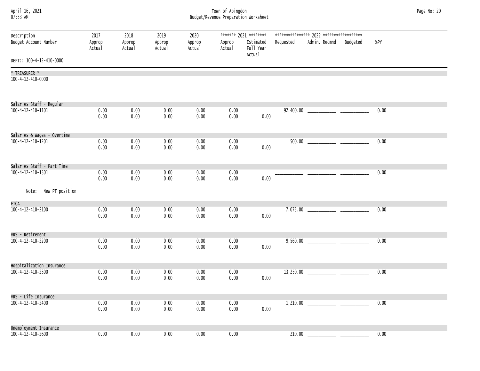## April 16, 2021 Town of Abingdon Page No: 20 07:53 AM Budget/Revenue Preparation Worksheet

| Description<br>Budget Account Number | 2017<br>Approp<br>Actual | 2018<br>Approp<br>Actual | 2019<br>Approp<br>Actual | 2020<br>Approp<br>Actual | Approp<br>Actual | ******* 2021 ********<br>Estimated<br>Full Year<br>Actual | Requested | Admin. Recmnd Budgeted | %PY  |  |
|--------------------------------------|--------------------------|--------------------------|--------------------------|--------------------------|------------------|-----------------------------------------------------------|-----------|------------------------|------|--|
| DEPT:: 100-4-12-410-0000             |                          |                          |                          |                          |                  |                                                           |           |                        |      |  |
| * TREASURER *<br>100-4-12-410-0000   |                          |                          |                          |                          |                  |                                                           |           |                        |      |  |
| Salaries Staff - Regular             |                          |                          |                          |                          |                  |                                                           |           |                        |      |  |
| 100-4-12-410-1101                    | 0.00<br>0.00             | 0.00<br>0.00             | 0.00<br>0.00             | 0.00<br>0.00             | 0.00<br>0.00     | 0.00                                                      |           |                        | 0.00 |  |
| Salaries & Wages - Overtime          |                          |                          |                          |                          |                  |                                                           |           |                        |      |  |
| 100-4-12-410-1201                    | 0.00<br>0.00             | 0.00<br>0.00             | 0.00<br>0.00             | 0.00<br>0.00             | 0.00<br>0.00     | 0.00                                                      |           |                        | 0.00 |  |
| Salaries Staff - Part Time           |                          |                          |                          |                          |                  |                                                           |           |                        |      |  |
| 100-4-12-410-1301                    | 0.00<br>0.00             | 0.00<br>0.00             | 0.00<br>0.00             | 0.00<br>0.00             | 0.00<br>0.00     | 0.00                                                      |           |                        | 0.00 |  |
| Note: New PT position                |                          |                          |                          |                          |                  |                                                           |           |                        |      |  |
| FICA                                 |                          |                          |                          |                          |                  |                                                           |           |                        |      |  |
| 100-4-12-410-2100                    | 0.00<br>0.00             | 0.00<br>0.00             | 0.00<br>0.00             | 0.00<br>0.00             | 0.00<br>0.00     | 0.00                                                      |           |                        | 0.00 |  |
| VRS - Retirement                     |                          |                          |                          |                          |                  |                                                           |           |                        |      |  |
| 100-4-12-410-2200                    | 0.00<br>0.00             | 0.00<br>0.00             | 0.00<br>0.00             | 0.00<br>0.00             | 0.00<br>0.00     | 0.00                                                      |           |                        | 0.00 |  |
| Hospitalization Insurance            |                          |                          |                          |                          |                  |                                                           |           |                        |      |  |
| 100-4-12-410-2300                    | 0.00<br>0.00             | 0.00<br>0.00             | 0.00<br>0.00             | 0.00<br>0.00             | 0.00<br>0.00     | 0.00                                                      |           |                        | 0.00 |  |
| VRS - Life Insurance                 |                          |                          |                          |                          |                  |                                                           |           |                        |      |  |
| 100-4-12-410-2400                    | 0.00<br>0.00             | 0.00<br>0.00             | 0.00<br>0.00             | 0.00<br>0.00             | 0.00<br>0.00     | 0.00                                                      |           |                        | 0.00 |  |
| Unemployment Insurance               |                          |                          |                          |                          |                  |                                                           |           |                        |      |  |
| 100-4-12-410-2600                    | 0.00                     | 0.00                     | 0.00                     | 0.00                     | 0.00             |                                                           | 210.00    |                        | 0.00 |  |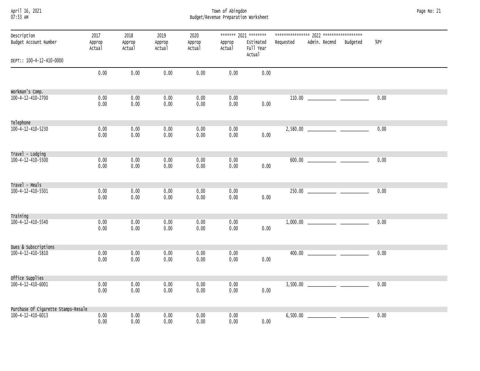| April 16, 2021 |  |
|----------------|--|
| 07.52 AM       |  |

April 16, 2021 Town of Abingdon Page No: 21 07:53 AM Budget/Revenue Preparation Worksheet

| Description<br>Budget Account Number | 2017<br>Approp<br>Actual | 2018<br>Approp<br>Actual | 2019<br>Approp<br>Actual | 2020<br>Approp<br>Actual | Approp<br>Actual | ******* 2021 ********<br>Estimated<br>Full Year<br>Actual | Requested | Admin. Recmnd Budgeted | %PY  |  |
|--------------------------------------|--------------------------|--------------------------|--------------------------|--------------------------|------------------|-----------------------------------------------------------|-----------|------------------------|------|--|
| DEPT:: 100-4-12-410-0000             |                          |                          |                          |                          |                  |                                                           |           |                        |      |  |
|                                      | 0.00                     | 0.00                     | 0.00                     | 0.00                     | 0.00             | 0.00                                                      |           |                        |      |  |
| Workman's Comp.                      |                          |                          |                          |                          |                  |                                                           |           |                        |      |  |
| 100-4-12-410-2700                    | 0.00<br>0.00             | 0.00<br>0.00             | 0.00<br>0.00             | 0.00<br>0.00             | 0.00<br>0.00     | 0.00                                                      |           |                        | 0.00 |  |
| Telephone                            |                          |                          |                          |                          |                  |                                                           |           |                        |      |  |
| 100-4-12-410-5230                    | 0.00<br>0.00             | 0.00<br>0.00             | 0.00<br>0.00             | 0.00<br>0.00             | 0.00<br>0.00     | 0.00                                                      |           |                        | 0.00 |  |
| Travel - Lodging                     |                          |                          |                          |                          |                  |                                                           |           |                        |      |  |
| 100-4-12-410-5500                    | 0.00<br>0.00             | 0.00<br>0.00             | 0.00<br>0.00             | 0.00<br>0.00             | 0.00<br>0.00     | 0.00                                                      |           |                        | 0.00 |  |
| Travel - Meals                       |                          |                          |                          |                          |                  |                                                           |           |                        |      |  |
| 100-4-12-410-5501                    | 0.00<br>0.00             | 0.00<br>0.00             | 0.00<br>0.00             | 0.00<br>0.00             | 0.00<br>0.00     | 0.00                                                      |           |                        | 0.00 |  |
| Training                             |                          |                          |                          |                          |                  |                                                           |           |                        |      |  |
| 100-4-12-410-5540                    | 0.00<br>0.00             | 0.00<br>0.00             | 0.00<br>0.00             | 0.00<br>0.00             | 0.00<br>0.00     | 0.00                                                      |           |                        | 0.00 |  |
| Dues & Subscriptions                 |                          |                          |                          |                          |                  |                                                           |           |                        |      |  |
| 100-4-12-410-5810                    | 0.00<br>0.00             | 0.00<br>0.00             | 0.00<br>0.00             | 0.00<br>0.00             | 0.00<br>0.00     | 0.00                                                      |           |                        | 0.00 |  |
| Office Supplies                      |                          |                          |                          |                          |                  |                                                           |           |                        |      |  |
| 100-4-12-410-6001                    | 0.00<br>0.00             | 0.00<br>0.00             | 0.00<br>0.00             | 0.00<br>0.00             | 0.00<br>0.00     | 0.00                                                      |           |                        | 0.00 |  |
| Purchase Of Cigarette Stamps-Resale  |                          |                          |                          |                          |                  |                                                           |           |                        |      |  |
| 100-4-12-410-6013                    | 0.00<br>0.00             | 0.00<br>0.00             | 0.00<br>0.00             | 0.00<br>0.00             | 0.00<br>0.00     | 0.00                                                      |           |                        | 0.00 |  |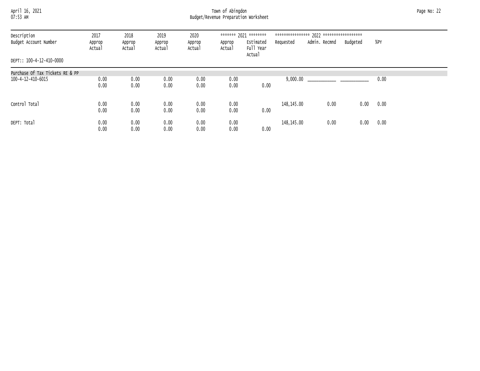April 16, 2021 Town of Abingdon Page No: 22 07:53 AM Budget/Revenue Preparation Worksheet

| Description                     | 2017             | 2018             | 2019             | 2020             |                  | ******* 2021 ********            |             |               |          |      |  |
|---------------------------------|------------------|------------------|------------------|------------------|------------------|----------------------------------|-------------|---------------|----------|------|--|
| Budget Account Number           | Approp<br>Actual | Approp<br>Actual | Approp<br>Actual | Approp<br>Actual | Approp<br>Actual | Estimated<br>Full Year<br>Actual | Requested   | Admin. Recmnd | Budgeted | %PY  |  |
| DEPT:: 100-4-12-410-0000        |                  |                  |                  |                  |                  |                                  |             |               |          |      |  |
| Purchase Of Tax Tickets RE & PP |                  |                  |                  |                  |                  |                                  |             |               |          |      |  |
| 100-4-12-410-6015               | 0.00             | 0.00             | 0.00             | 0.00             | 0.00             |                                  |             |               |          | 0.00 |  |
|                                 | 0.00             | 0.00             | 0.00             | 0.00             | 0.00             | 0.00                             |             |               |          |      |  |
| Control Total                   | 0.00             | 0.00             | 0.00             | 0.00             | 0.00             |                                  | 148, 145.00 | 0.00          | 0.00     | 0.00 |  |
|                                 | 0.00             | 0.00             | 0.00             | 0.00             | 0.00             | 0.00                             |             |               |          |      |  |
| DEPT: Total                     | 0.00             | 0.00             | 0.00             | 0.00             | 0.00             |                                  | 148, 145.00 | 0.00          | 0.00     | 0.00 |  |
|                                 | 0.00             | 0.00             | 0.00             | 0.00             | 0.00             | 0.00                             |             |               |          |      |  |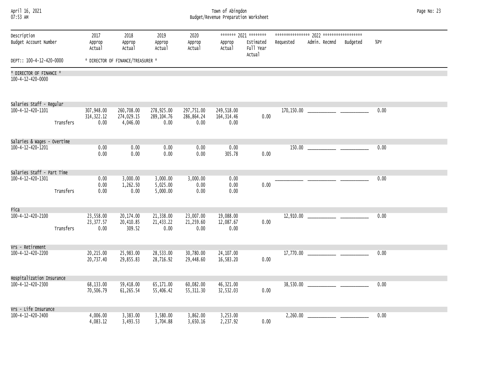| April 16, 2021 |  |
|----------------|--|
| $07:53$ AM     |  |

## April 16, 2021 Town of Abingdon Page No: 23 07:53 AM Budget/Revenue Preparation Worksheet

| Description<br>Budget Account Number          |           | 2017<br>Approp<br>Actual        | 2018<br>Approp<br>Actual          | 2019<br>Approp<br>Actual         | 2020<br>Approp<br>Actual       | Approp<br>Actual               | ******* 2021 ********<br>Estimated<br>Full Year<br>Actual | Requested | Admin. Recmnd Budgeted | %PY  |  |
|-----------------------------------------------|-----------|---------------------------------|-----------------------------------|----------------------------------|--------------------------------|--------------------------------|-----------------------------------------------------------|-----------|------------------------|------|--|
| DEPT:: 100-4-12-420-0000                      |           |                                 | * DIRECTOR OF FINANCE/TREASURER * |                                  |                                |                                |                                                           |           |                        |      |  |
| * DIRECTOR OF FINANCE *<br>100-4-12-420-0000  |           |                                 |                                   |                                  |                                |                                |                                                           |           |                        |      |  |
| Salaries Staff - Regular<br>100-4-12-420-1101 |           | 307,948.00<br>314, 322.12       | 260,708.00<br>274,029.15          | 278,925.00<br>289,104.76         | 297,751.00<br>286,864.24       | 249,518.00<br>164, 314.46      | 0.00                                                      |           |                        | 0.00 |  |
|                                               | Transfers | 0.00                            | 4,046.00                          | 0.00                             | 0.00                           | 0.00                           |                                                           |           |                        |      |  |
| Salaries & Wages - Overtime                   |           |                                 |                                   |                                  |                                |                                |                                                           |           |                        |      |  |
| 100-4-12-420-1201                             |           | 0.00<br>0.00                    | 0.00<br>0.00                      | 0.00<br>0.00                     | 0.00<br>0.00                   | 0.00<br>305.78                 | 0.00                                                      |           |                        | 0.00 |  |
| Salaries Staff - Part Time                    |           |                                 |                                   |                                  |                                |                                |                                                           |           |                        |      |  |
| 100-4-12-420-1301                             | Transfers | 0.00<br>0.00<br>0.00            | 3,000.00<br>1,262.50<br>0.00      | 3,000.00<br>5,025.00<br>5,000.00 | 3,000.00<br>0.00<br>0.00       | 0.00<br>0.00<br>0.00           | 0.00                                                      |           |                        | 0.00 |  |
| Fica                                          |           |                                 |                                   |                                  |                                |                                |                                                           |           |                        |      |  |
| 100-4-12-420-2100                             | Transfers | 23,558.00<br>23, 377.57<br>0.00 | 20,174.00<br>20,410.85<br>309.52  | 21,338.00<br>21,433.22<br>0.00   | 23,007.00<br>21,259.60<br>0.00 | 19,088.00<br>12,087.67<br>0.00 | 0.00                                                      |           |                        | 0.00 |  |
| Vrs - Retirement                              |           |                                 |                                   |                                  |                                |                                |                                                           |           |                        |      |  |
| 100-4-12-420-2200                             |           | 20,215.00<br>20,737.40          | 25,983.00<br>29,855.83            | 28,533.00<br>28,716.92           | 30,780.00<br>29,448.60         | 24,107.00<br>16,583.20         | 0.00                                                      |           |                        | 0.00 |  |
| Hospitalization Insurance                     |           |                                 |                                   |                                  |                                |                                |                                                           |           |                        |      |  |
| 100-4-12-420-2300                             |           | 68,133.00<br>70,506.79          | 59,418.00<br>61,265.54            | 65,171.00<br>55,406.42           | 60,082.00<br>55, 311.30        | 46,321.00<br>32,532.03         | 0.00                                                      |           |                        | 0.00 |  |
| Vrs - Life Insurance                          |           |                                 |                                   |                                  |                                |                                |                                                           |           |                        |      |  |
| 100-4-12-420-2400                             |           | 4,006.00<br>4,083.12            | 3,383.00<br>3,493.53              | 3,580.00<br>3,704.88             | 3,862.00<br>3,650.16           | 3,253.00<br>2,237.92           | 0.00                                                      |           | 2,260.00               | 0.00 |  |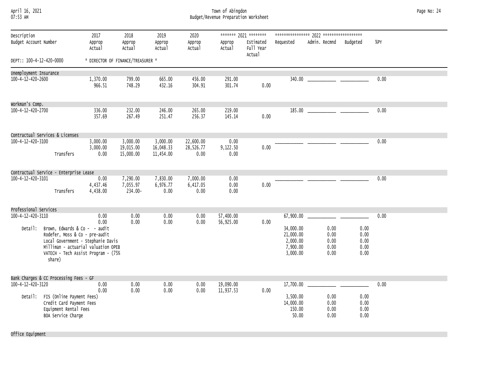| April 16, 2021 |  |
|----------------|--|
| 07.52 AM       |  |

## April 16, 2021 Town of Abingdon Page No: 24 07:53 AM Budget/Revenue Preparation Worksheet

| Description<br>Budget Account Number        |                                                                                                                                                              | 2017<br>Approp<br>Actual          | 2018<br>Approp<br>Actual           | 2019<br>Approp<br>Actual           | 2020<br>Approp<br>Actual       | Approp<br>Actual         | ******* 2021 ********<br>Estimated<br>Full Year<br>Actual | Requested                                             | Admin. Recmnd                                                                                                        | Budgeted                     | %PY  |
|---------------------------------------------|--------------------------------------------------------------------------------------------------------------------------------------------------------------|-----------------------------------|------------------------------------|------------------------------------|--------------------------------|--------------------------|-----------------------------------------------------------|-------------------------------------------------------|----------------------------------------------------------------------------------------------------------------------|------------------------------|------|
| DEPT:: 100-4-12-420-0000                    |                                                                                                                                                              | * DIRECTOR OF FINANCE/TREASURER * |                                    |                                    |                                |                          |                                                           |                                                       |                                                                                                                      |                              |      |
| Unemployment Insurance<br>100-4-12-420-2600 |                                                                                                                                                              | 1,370.00<br>966.51                | 799.00<br>748.29                   | 665.00<br>432.16                   | 456.00<br>304.91               | 291.00<br>301.74         | 0.00                                                      | 340.00                                                | <u> 2000 - Jan James James Jan James James Jan James James James James James James James James James James James</u> |                              | 0.00 |
| Workman's Comp.                             |                                                                                                                                                              |                                   |                                    |                                    |                                |                          |                                                           |                                                       |                                                                                                                      |                              |      |
| 100-4-12-420-2700                           |                                                                                                                                                              | 336.00<br>357.69                  | 232.00<br>267.49                   | 246.00<br>251.47                   | 265.00<br>256.37               | 219.00<br>145.14         | 0.00                                                      | 185.00                                                |                                                                                                                      |                              | 0.00 |
|                                             | Contractual Services & Licenses                                                                                                                              |                                   |                                    |                                    |                                |                          |                                                           |                                                       |                                                                                                                      |                              |      |
| 100-4-12-420-3100                           | Transfers                                                                                                                                                    | 3,000.00<br>3,000.00<br>0.00      | 3,000.00<br>19,015.00<br>15,000.00 | 3,000.00<br>16,048.33<br>11,454.00 | 22,600.00<br>28,526.77<br>0.00 | 0.00<br>9,122.50<br>0.00 | 0.00                                                      |                                                       |                                                                                                                      |                              | 0.00 |
|                                             | Contractual Service - Enterprise Lease                                                                                                                       |                                   |                                    |                                    |                                |                          |                                                           |                                                       |                                                                                                                      |                              |      |
| 100-4-12-420-3101                           | Transfers                                                                                                                                                    | 0.00<br>4,437.46<br>4,438.00      | 7,290.00<br>7,055.97<br>234.00-    | 7,830.00<br>6,976.77<br>0.00       | 7,000.00<br>6,417.05<br>0.00   | 0.00<br>0.00<br>0.00     | 0.00                                                      |                                                       |                                                                                                                      |                              | 0.00 |
| Professional Services                       |                                                                                                                                                              |                                   |                                    |                                    |                                |                          |                                                           |                                                       |                                                                                                                      |                              |      |
| 100-4-12-420-3110<br>Detail:                | Brown, Edwards & Co - - audit                                                                                                                                | 0.00<br>0.00                      | 0.00<br>0.00                       | 0.00<br>0.00                       | 0.00<br>0.00                   | 57,400.00<br>56,925.00   | 0.00                                                      | 67,900.00<br>34,000.00                                | 0.00                                                                                                                 | 0.00                         | 0.00 |
|                                             | Rodefer, Moss & Co - pre-audit<br>Local Government - Stephanie Davis<br>Milliman - actuarial valuation OPEB<br>VATECH - Tech Assist Program - (75%<br>share) |                                   |                                    |                                    |                                |                          |                                                           | 21,000.00<br>2,000.00<br>7,900.00<br>3,000.00         | 0.00<br>0.00<br>0.00<br>0.00                                                                                         | 0.00<br>0.00<br>0.00<br>0.00 |      |
|                                             | Bank Charges & CC Processing Fees - GF                                                                                                                       |                                   |                                    |                                    |                                |                          |                                                           |                                                       |                                                                                                                      |                              |      |
| 100-4-12-420-3120<br>Detail:                | FIS (Online Payment Fees)<br>Credit Card Payment Fees<br>Equipment Rental Fees<br>BOA Service Charge                                                         | 0.00<br>0.00                      | 0.00<br>0.00                       | 0.00<br>0.00                       | 0.00<br>0.00                   | 19,090.00<br>11,937.53   | 0.00                                                      | 17,700.00<br>3,500.00<br>14,000.00<br>150.00<br>50.00 | 0.00<br>0.00<br>0.00<br>0.00                                                                                         | 0.00<br>0.00<br>0.00<br>0.00 | 0.00 |
|                                             |                                                                                                                                                              |                                   |                                    |                                    |                                |                          |                                                           |                                                       |                                                                                                                      |                              |      |

Office Equipment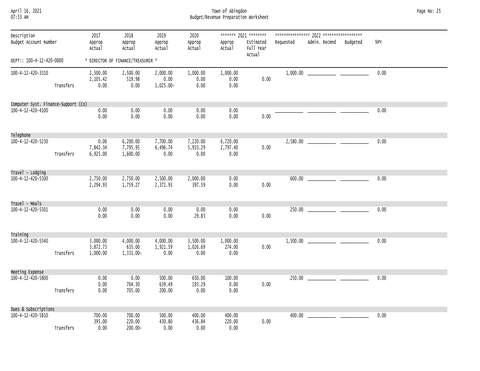April 16, 2021 Town of Abingdon Page No: 25 07:53 AM Budget/Revenue Preparation Worksheet

| Description<br>Budget Account Number |           | 2017<br>Approp<br>Actual         | 2018<br>Approp<br>Actual          | 2019<br>Approp<br>Actual      | 2020<br>Approp<br>Actual     | Approp<br>Actual             | ******* 2021 ********<br>Estimated<br>Full Year<br>Actual | Requested | Admin. Recmnd | Budgeted | %PY  |  |
|--------------------------------------|-----------|----------------------------------|-----------------------------------|-------------------------------|------------------------------|------------------------------|-----------------------------------------------------------|-----------|---------------|----------|------|--|
| DEPT:: 100-4-12-420-0000             |           |                                  | * DIRECTOR OF FINANCE/TREASURER * |                               |                              |                              |                                                           |           |               |          |      |  |
| 100-4-12-420-3310                    | Transfers | 2,500.00<br>2,105.42<br>0.00     | 2,500.00<br>519.98<br>0.00        | 2,000.00<br>0.00<br>1,025.00- | 1,000.00<br>0.00<br>0.00     | 1,000.00<br>0.00<br>0.00     | 0.00                                                      |           |               |          | 0.00 |  |
| Computer Syst. Finance-Support (Co)  |           |                                  |                                   |                               |                              |                              |                                                           |           |               |          |      |  |
| 100-4-12-420-4100                    |           | 0.00<br>0.00                     | 0.00<br>0.00                      | 0.00<br>0.00                  | 0.00<br>0.00                 | 0.00<br>0.00                 | 0.00                                                      |           |               |          | 0.00 |  |
| Telephone                            |           |                                  |                                   |                               |                              |                              |                                                           |           |               |          |      |  |
| 100-4-12-420-5230                    | Transfers | 0.00<br>7,842.34<br>6,925.00     | 6,200.00<br>7,795.95<br>1,600.00  | 7,700.00<br>6,496.74<br>0.00  | 7,220.00<br>5,933.29<br>0.00 | 6,720.00<br>2,797.40<br>0.00 | 0.00                                                      |           |               |          | 0.00 |  |
| Travel - Lodging                     |           |                                  |                                   |                               |                              |                              |                                                           |           |               |          |      |  |
| 100-4-12-420-5500                    |           | 2,750.00<br>2,294.93             | 2,750.00<br>1,759.27              | 2,500.00<br>2,371.93          | 2,000.00<br>397.59           | 0.00<br>0.00                 | 0.00                                                      |           |               |          | 0.00 |  |
| Travel - Meals                       |           |                                  |                                   |                               |                              |                              |                                                           |           |               |          |      |  |
| 100-4-12-420-5501                    |           | 0.00<br>0.00                     | 0.00<br>0.00                      | 0.00<br>0.00                  | 0.00<br>29.83                | 0.00<br>0.00                 | 0.00                                                      |           |               |          | 0.00 |  |
| Training                             |           |                                  |                                   |                               |                              |                              |                                                           |           |               |          |      |  |
| 100-4-12-420-5540                    | Transfers | 3,000.00<br>3,872.73<br>1,000.00 | 4,000.00<br>635.00<br>1,331.00-   | 4,000.00<br>1,921.59<br>0.00  | 3,500.00<br>1,026.69<br>0.00 | 1,000.00<br>274.00<br>0.00   | 0.00                                                      |           |               |          | 0.00 |  |
| Meeting Expense                      |           |                                  |                                   |                               |                              |                              |                                                           |           |               |          |      |  |
| 100-4-12-420-5800                    | Transfers | 0.00<br>0.00<br>0.00             | 0.00<br>704.30<br>705.00          | 500.00<br>639.49<br>200.00    | 650.00<br>193.29<br>0.00     | 100.00<br>0.00<br>0.00       | 0.00                                                      |           |               |          | 0.00 |  |
| Dues & Subscriptions                 |           |                                  |                                   |                               |                              |                              |                                                           |           |               |          |      |  |
| 100-4-12-420-5810                    | Transfers | 700.00<br>395.00<br>0.00         | 700.00<br>220.00<br>$200.00 -$    | 500.00<br>430.80<br>0.00      | 400.00<br>436.84<br>0.00     | 400.00<br>220.00<br>0.00     | 0.00                                                      |           |               |          | 0.00 |  |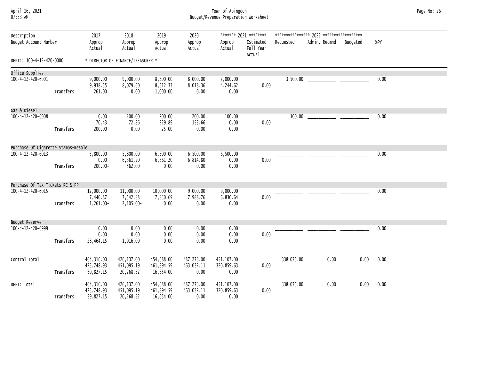#### April 16, 2021 Town of Abingdon Page No: 26 07:53 AM Budget/Revenue Preparation Worksheet

| Description<br>Budget Account Number |           | 2017<br>Approp<br>Actual                    | 2018<br>Approp<br>Actual              | 2019<br>Approp<br>Actual              | 2020<br>Approp<br>Actual         | Approp<br>Actual                 | ******* 2021 ********<br>Estimated<br>Full Year | Requested  | Admin. Recmnd Budgeted |      | %PY  |
|--------------------------------------|-----------|---------------------------------------------|---------------------------------------|---------------------------------------|----------------------------------|----------------------------------|-------------------------------------------------|------------|------------------------|------|------|
| DEPT:: 100-4-12-420-0000             |           | Actual<br>* DIRECTOR OF FINANCE/TREASURER * |                                       |                                       |                                  |                                  |                                                 |            |                        |      |      |
| Office Supplies                      |           |                                             |                                       |                                       |                                  |                                  |                                                 |            |                        |      |      |
| 100-4-12-420-6001                    | Transfers | 9,000.00<br>9,938.55<br>261.00              | 9,000.00<br>8,079.60<br>0.00          | 8,500.00<br>8,512.33<br>1,000.00      | 8,000.00<br>8,018.36<br>0.00     | 7,000.00<br>4,244.62<br>0.00     | 0.00                                            |            |                        |      | 0.00 |
| Gas & Diesel                         |           |                                             |                                       |                                       |                                  |                                  |                                                 |            |                        |      |      |
| 100-4-12-420-6008                    | Transfers | 0.00<br>70.43<br>200.00                     | 200.00<br>72.86<br>0.00               | 200.00<br>229.89<br>25.00             | 200.00<br>153.66<br>0.00         | 100.00<br>0.00<br>0.00           | 0.00                                            |            | 100.00                 |      | 0.00 |
| Purchase Of Cigarette Stamps-Resale  |           |                                             |                                       |                                       |                                  |                                  |                                                 |            |                        |      |      |
| 100-4-12-420-6013                    | Transfers | 5,800.00<br>0.00<br>$200.00 -$              | 5,800.00<br>6,361.20<br>562.00        | 6,500.00<br>6,361.20<br>0.00          | 6,500.00<br>6,814.80<br>0.00     | 6,500.00<br>0.00<br>0.00         | 0.00                                            |            |                        |      | 0.00 |
| Purchase Of Tax Tickets RE & PP      |           |                                             |                                       |                                       |                                  |                                  |                                                 |            |                        |      |      |
| 100-4-12-420-6015                    | Transfers | 12,000.00<br>7,440.87<br>1,261.00-          | 11,000.00<br>7,542.88<br>2,105.00-    | 10,000.00<br>7,830.69<br>0.00         | 9,000.00<br>7,988.76<br>0.00     | 9,000.00<br>6,830.64<br>0.00     | 0.00                                            |            |                        |      | 0.00 |
| Budget Reserve                       |           |                                             |                                       |                                       |                                  |                                  |                                                 |            |                        |      |      |
| 100-4-12-420-6999                    | Transfers | 0.00<br>0.00<br>28,464.15                   | 0.00<br>0.00<br>1,916.00              | 0.00<br>0.00<br>0.00                  | 0.00<br>0.00<br>0.00             | 0.00<br>0.00<br>0.00             | 0.00                                            |            |                        |      | 0.00 |
| Control Total                        | Transfers | 464, 316.00<br>475,748.93<br>39,827.15      | 426,137.00<br>451,095.19<br>20,268.52 | 454,688.00<br>461,894.59<br>16,654.00 | 487,273.00<br>463,032.11<br>0.00 | 451,107.00<br>320,859.63<br>0.00 | 0.00                                            | 338,075.00 | 0.00                   | 0.00 | 0.00 |
| DEPT: Total                          | Transfers | 464, 316.00<br>475,748.93<br>39,827.15      | 426,137.00<br>451,095.19<br>20,268.52 | 454,688.00<br>461,894.59<br>16,654.00 | 487,273.00<br>463,032.11<br>0.00 | 451,107.00<br>320,859.63<br>0.00 | 0.00                                            | 338,075.00 | 0.00                   | 0.00 | 0.00 |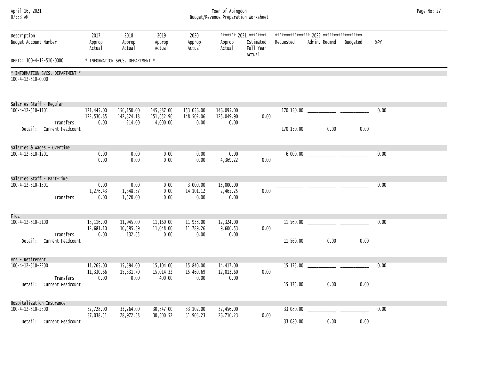| April 16, 2021 |  |
|----------------|--|
| $07:53$ AM     |  |

### April 16, 2021 Town of Abingdon Page No: 27 07:53 AM Budget/Revenue Preparation Worksheet

| Description<br>Budget Account Number                                                    | 2017<br>Approp<br>Actual         | 2018<br>Approp<br>Actual             | 2019<br>Approp<br>Actual             | 2020<br>Approp<br>Actual         | Approp<br>Actual                 | ******* 2021 ********<br>Estimated<br>Full Year<br>Actual | Requested                | Admin. Recmnd | Budgeted | %PY  |
|-----------------------------------------------------------------------------------------|----------------------------------|--------------------------------------|--------------------------------------|----------------------------------|----------------------------------|-----------------------------------------------------------|--------------------------|---------------|----------|------|
| DEPT:: 100-4-12-510-0000                                                                |                                  | * INFORMATION SVCS. DEPARTMENT *     |                                      |                                  |                                  |                                                           |                          |               |          |      |
| * INFORMATION SVCS, DEPARTMENT *<br>100-4-12-510-0000                                   |                                  |                                      |                                      |                                  |                                  |                                                           |                          |               |          |      |
| Salaries Staff - Regular<br>100-4-12-510-1101<br>Transfers<br>Detail: Current Headcount | 171,445.00<br>172,530.85<br>0.00 | 156,150.00<br>142, 324. 18<br>214.00 | 145,887.00<br>151,652.96<br>4,000.00 | 153,056.00<br>148,502.06<br>0.00 | 146,095.00<br>125,049.90<br>0.00 | 0.00                                                      | 170,150.00<br>170,150.00 | 0.00          | 0.00     | 0.00 |
| Salaries & Wages - Overtime                                                             |                                  |                                      |                                      |                                  |                                  |                                                           |                          |               |          |      |
| 100-4-12-510-1201                                                                       | 0.00<br>0.00                     | 0.00<br>0.00                         | 0.00<br>0.00                         | 0.00<br>0.00                     | 0.00<br>4,369.22                 | 0.00                                                      | 6,000.00                 |               |          | 0.00 |
| Salaries Staff - Part-Time                                                              |                                  |                                      |                                      |                                  |                                  |                                                           |                          |               |          |      |
| 100-4-12-510-1301<br>Transfers                                                          | 0.00<br>1,276.43<br>0.00         | 0.00<br>1,348.57<br>1,520.00         | 0.00<br>0.00<br>0.00                 | 3,000.00<br>14, 101. 12<br>0.00  | 15,000.00<br>2,465.25<br>0.00    | 0.00                                                      |                          |               |          | 0.00 |
| Fica                                                                                    |                                  |                                      |                                      |                                  |                                  |                                                           |                          |               |          |      |
| 100-4-12-510-2100<br>Transfers                                                          | 13,116,00<br>12,681.10<br>0.00   | 11,945.00<br>10,595.59<br>132.65     | 11,160.00<br>11,048.00<br>0.00       | 11,938.00<br>11,789.26<br>0.00   | 12,324.00<br>9,606.53<br>0.00    | 0.00                                                      | 11,560.00                |               |          | 0.00 |
| Detail:<br>Current Headcount                                                            |                                  |                                      |                                      |                                  |                                  |                                                           | 11,560.00                | 0.00          | 0.00     |      |
| Vrs - Retirement                                                                        |                                  |                                      |                                      |                                  |                                  |                                                           |                          |               |          |      |
| 100-4-12-510-2200<br>Transfers                                                          | 11,265.00<br>11,330.66<br>0.00   | 15,594.00<br>15,331.70<br>0.00       | 15,104.00<br>15,014.32<br>400.00     | 15,840.00<br>15,460.69<br>0.00   | 14,417.00<br>12,013.60<br>0.00   | 0.00                                                      | 15,175.00                |               |          | 0.00 |
| Detail: Current Headcount                                                               |                                  |                                      |                                      |                                  |                                  |                                                           | 15,175.00                | 0.00          | 0.00     |      |
| Hospitalization Insurance                                                               |                                  |                                      |                                      |                                  |                                  |                                                           |                          |               |          |      |
| 100-4-12-510-2300                                                                       | 32,728.00<br>37,038.51           | 33,264.00<br>28,972.58               | 30,847.00<br>30,500.52               | 33,102.00<br>31,903.23           | 32,456.00<br>26,716.23           | 0.00                                                      | 33,080.00                |               |          | 0.00 |
| Detail: Current Headcount                                                               |                                  |                                      |                                      |                                  |                                  |                                                           | 33,080.00                | 0.00          | 0.00     |      |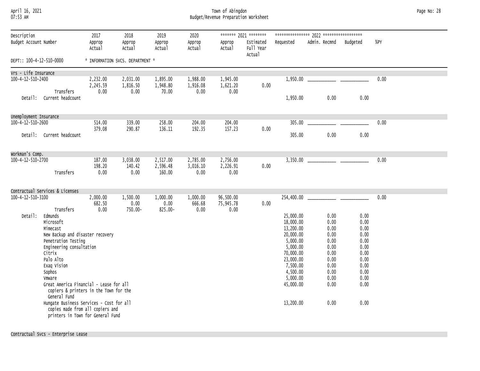## April 16, 2021 Town of Abingdon Page No: 28 07:53 AM Budget/Revenue Preparation Worksheet

| Description<br>Budget Account Number                                                                                                                                     | 2017<br>Approp<br>Actual                                                                                                                                                                                                                   | 2018<br>Approp<br>Actual     | 2019<br>Approp<br>Actual      | 2020<br>Approp<br>Actual     | Approp<br>Actual               | ******* 2021 ********<br>Estimated<br>Full Year<br>Actual | Requested                                                                                                                                                        | Admin. Recmnd                                                                                        | Budgeted                                                                                             | %PY  |
|--------------------------------------------------------------------------------------------------------------------------------------------------------------------------|--------------------------------------------------------------------------------------------------------------------------------------------------------------------------------------------------------------------------------------------|------------------------------|-------------------------------|------------------------------|--------------------------------|-----------------------------------------------------------|------------------------------------------------------------------------------------------------------------------------------------------------------------------|------------------------------------------------------------------------------------------------------|------------------------------------------------------------------------------------------------------|------|
| DEPT:: 100-4-12-510-0000                                                                                                                                                 | * INFORMATION SVCS, DEPARTMENT *                                                                                                                                                                                                           |                              |                               |                              |                                |                                                           |                                                                                                                                                                  |                                                                                                      |                                                                                                      |      |
| Vrs - Life Insurance                                                                                                                                                     |                                                                                                                                                                                                                                            |                              |                               |                              |                                |                                                           |                                                                                                                                                                  |                                                                                                      |                                                                                                      |      |
| 100-4-12-510-2400<br>Transfers                                                                                                                                           | 2,232.00<br>2,245.59<br>0.00                                                                                                                                                                                                               | 2,031.00<br>1,816.50<br>0.00 | 1,895.00<br>1,948.80<br>70.00 | 1,988.00<br>1,916.08<br>0.00 | 1,945.00<br>1,621.20<br>0.00   | 0.00                                                      | 1,950.00                                                                                                                                                         |                                                                                                      |                                                                                                      | 0.00 |
| Current headcount<br>Detail:                                                                                                                                             |                                                                                                                                                                                                                                            |                              |                               |                              |                                |                                                           | 1,950.00                                                                                                                                                         | 0.00                                                                                                 | 0.00                                                                                                 |      |
| Unemployment Insurance                                                                                                                                                   |                                                                                                                                                                                                                                            |                              |                               |                              |                                |                                                           |                                                                                                                                                                  |                                                                                                      |                                                                                                      |      |
| 100-4-12-510-2600                                                                                                                                                        | 514.00<br>379.08                                                                                                                                                                                                                           | 339.00<br>290.87             | 258.00<br>136.11              | 204.00<br>192.35             | 204.00<br>157.23               | 0.00                                                      | 305.00                                                                                                                                                           |                                                                                                      |                                                                                                      | 0.00 |
| Detail: Current headcount                                                                                                                                                |                                                                                                                                                                                                                                            |                              |                               |                              |                                |                                                           | 305.00                                                                                                                                                           | 0.00                                                                                                 | 0.00                                                                                                 |      |
| Workman's Comp.                                                                                                                                                          |                                                                                                                                                                                                                                            |                              |                               |                              |                                |                                                           |                                                                                                                                                                  |                                                                                                      |                                                                                                      |      |
| 100-4-12-510-2700                                                                                                                                                        | 187.00<br>198.20                                                                                                                                                                                                                           | 3,038.00<br>140.42           | 2,517.00<br>2,596.48          | 2,785.00<br>3,016.10         | 2,756.00<br>2,226.91           | 0.00                                                      |                                                                                                                                                                  |                                                                                                      |                                                                                                      | 0.00 |
| Transfers                                                                                                                                                                | 0.00                                                                                                                                                                                                                                       | 0.00                         | 160.00                        | 0.00                         | 0.00                           |                                                           |                                                                                                                                                                  |                                                                                                      |                                                                                                      |      |
| Contractual Services & Licenses                                                                                                                                          |                                                                                                                                                                                                                                            |                              |                               |                              |                                |                                                           |                                                                                                                                                                  |                                                                                                      |                                                                                                      |      |
| 100-4-12-510-3100<br>Transfers                                                                                                                                           | 2,000.00<br>682.50<br>0.00                                                                                                                                                                                                                 | 1,500.00<br>0.00<br>750.00-  | 1,000.00<br>0.00<br>825.00-   | 1,000.00<br>666.68<br>0.00   | 96,500.00<br>75,945.78<br>0.00 | 0.00                                                      | 254,400.00                                                                                                                                                       | <u> 1989 - Johann Barn, mars eta bainar eta i</u>                                                    |                                                                                                      | 0.00 |
| Detail:<br>Edmunds<br>Microsoft<br>Mimecast<br>Penetration Testing<br>Engineering consultation<br>Citrix<br>Palo Alto<br>Exaq Vision<br>Sophos<br>Vmware<br>General Fund | New Backup and disaster recovery<br>Great America Financial - Lease for all<br>copiers & printers in the Town for the<br>Hungate Business Services - Cost for all<br>copies made from all copiers and<br>printers in Town for General Fund |                              |                               |                              |                                |                                                           | 25,000.00<br>18,000.00<br>13,200.00<br>20,000.00<br>5,000.00<br>5,000.00<br>70,000.00<br>23,000.00<br>7,500.00<br>4,500.00<br>5,000.00<br>45,000.00<br>13,200.00 | 0.00<br>0.00<br>0.00<br>0.00<br>0.00<br>0.00<br>0.00<br>0.00<br>0.00<br>0.00<br>0.00<br>0.00<br>0.00 | 0.00<br>0.00<br>0.00<br>0.00<br>0.00<br>0.00<br>0.00<br>0.00<br>0.00<br>0.00<br>0.00<br>0.00<br>0.00 |      |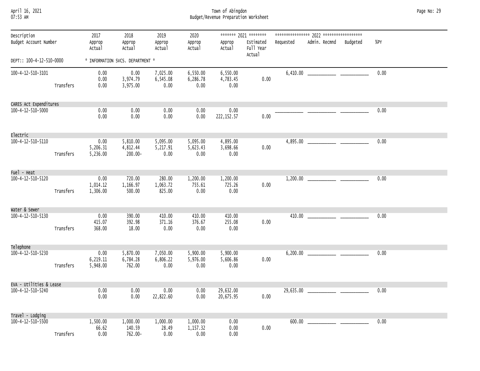| April 16, 2021 |  |
|----------------|--|
| $07.53$ AM     |  |

April 16, 2021 Town of Abingdon Page No: 29 07:53 AM Budget/Revenue Preparation Worksheet

| Description<br>Budget Account Number |           | 2017<br>Approp<br>Actual         | 2018<br>Approp<br>Actual           | 2019<br>Approp<br>Actual     | 2020<br>Approp<br>Actual     | Approp<br>Actual             | ******* 2021 ********<br>Estimated<br>Full Year<br>Actual | Requested | Admin. Recmnd                                                                                                                                                                                                                 | Budgeted | %PY  |
|--------------------------------------|-----------|----------------------------------|------------------------------------|------------------------------|------------------------------|------------------------------|-----------------------------------------------------------|-----------|-------------------------------------------------------------------------------------------------------------------------------------------------------------------------------------------------------------------------------|----------|------|
| DEPT:: 100-4-12-510-0000             |           | * INFORMATION SVCS, DEPARTMENT * |                                    |                              |                              |                              |                                                           |           |                                                                                                                                                                                                                               |          |      |
| 100-4-12-510-3101                    | Transfers | 0.00<br>0.00<br>0.00             | 0.00<br>3,974.79<br>3,975.00       | 7,025.00<br>6,545.08<br>0.00 | 6,550.00<br>6,286.78<br>0.00 | 6,550.00<br>4,783.45<br>0.00 | 0.00                                                      |           |                                                                                                                                                                                                                               |          | 0.00 |
| CARES Act Expenditures               |           |                                  |                                    |                              |                              |                              |                                                           |           |                                                                                                                                                                                                                               |          |      |
| 100-4-12-510-5000                    |           | 0.00<br>0.00                     | 0.00<br>0.00                       | 0.00<br>0.00                 | 0.00<br>0.00                 | 0.00<br>222, 152.57          | 0.00                                                      |           |                                                                                                                                                                                                                               |          | 0.00 |
| Electric                             |           |                                  |                                    |                              |                              |                              |                                                           |           |                                                                                                                                                                                                                               |          |      |
| 100-4-12-510-5110                    | Transfers | 0.00<br>5,206.31<br>5,236.00     | 5,810.00<br>4,812.44<br>$200.00 -$ | 5,095.00<br>5,217.91<br>0.00 | 5,095.00<br>5,623.43<br>0.00 | 4,895.00<br>3,698.66<br>0.00 | 0.00                                                      |           |                                                                                                                                                                                                                               |          | 0.00 |
| Fuel - Heat                          |           |                                  |                                    |                              |                              |                              |                                                           |           |                                                                                                                                                                                                                               |          |      |
| 100-4-12-510-5120                    | Transfers | 0.00<br>1,014.12<br>1,306.00     | 720.00<br>1,166.97<br>500.00       | 280.00<br>1,063.72<br>825.00 | 1,200.00<br>755.61<br>0.00   | 1,200.00<br>725.26<br>0.00   | 0.00                                                      |           |                                                                                                                                                                                                                               |          | 0.00 |
| Water & Sewer                        |           |                                  |                                    |                              |                              |                              |                                                           |           |                                                                                                                                                                                                                               |          |      |
| 100-4-12-510-5130                    | Transfers | 0.00<br>415.07<br>368.00         | 390.00<br>392.98<br>18.00          | 410.00<br>371.16<br>0.00     | 410.00<br>376.67<br>0.00     | 410.00<br>255.08<br>0.00     | 0.00                                                      |           |                                                                                                                                                                                                                               |          | 0.00 |
| Telephone                            |           |                                  |                                    |                              |                              |                              |                                                           |           |                                                                                                                                                                                                                               |          |      |
| $100 - 4 - 12 - 510 - 5230$          | Transfers | 0.00<br>6,219.11<br>5,948.00     | 5,870.00<br>6,784.28<br>762.00     | 7,050.00<br>6,806.22<br>0.00 | 5,900.00<br>5,976.00<br>0.00 | 5,900.00<br>5,606.86<br>0.00 | 0.00                                                      |           |                                                                                                                                                                                                                               |          | 0.00 |
| EVA - Utilities & Lease              |           |                                  |                                    |                              |                              |                              |                                                           |           |                                                                                                                                                                                                                               |          |      |
| 100-4-12-510-5240                    |           | 0.00<br>0.00                     | 0.00<br>0.00                       | 0.00<br>22,822.60            | 0.00<br>0.00                 | 29,632.00<br>20,675.95       | 0.00                                                      |           |                                                                                                                                                                                                                               |          | 0.00 |
| Travel - Lodging                     |           |                                  |                                    |                              |                              |                              |                                                           |           |                                                                                                                                                                                                                               |          |      |
| 100-4-12-510-5500                    | Transfers | 1,500.00<br>66.62<br>0.00        | 1,000.00<br>140.59<br>762.00-      | 1,000.00<br>28.49<br>0.00    | 1,000.00<br>1,157.32<br>0.00 | 0.00<br>0.00<br>0.00         | 0.00                                                      |           | $600.00$ and $1000$ and $1000$ and $1000$ and $1000$ and $1000$ and $1000$ and $1000$ and $1000$ and $1000$ and $1000$ and $1000$ and $1000$ and $1000$ and $1000$ and $1000$ and $1000$ and $1000$ and $1000$ and $1000$ and |          | 0.00 |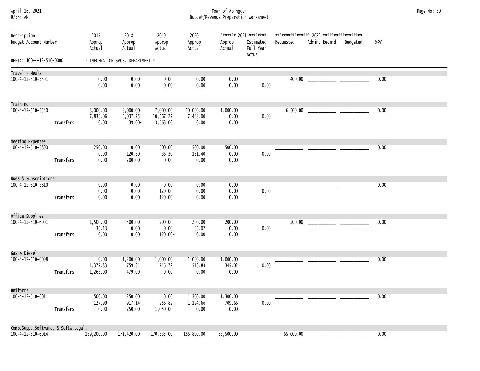| April 16, 2021  |  |
|-----------------|--|
| <b>N7.52 AM</b> |  |

## April 16, 2021 Town of Abingdon Page No: 30 07:53 AM Budget/Revenue Preparation Worksheet

| Description<br>Budget Account Number |           | 2017<br>Approp<br>Actual         | 2018<br>Approp<br>Actual          | 2019<br>Approp<br>Actual          | 2020<br>Approp<br>Actual      | Approp<br>Actual           | ******* 2021 ********<br>Estimated<br>Full Year<br>Actual | Requested | Admin. Recmnd | Budgeted | %PY  |  |
|--------------------------------------|-----------|----------------------------------|-----------------------------------|-----------------------------------|-------------------------------|----------------------------|-----------------------------------------------------------|-----------|---------------|----------|------|--|
| DEPT:: 100-4-12-510-0000             |           | * INFORMATION SVCS. DEPARTMENT * |                                   |                                   |                               |                            |                                                           |           |               |          |      |  |
| Travel - Meals                       |           |                                  |                                   |                                   |                               |                            |                                                           |           |               |          |      |  |
| 100-4-12-510-5501                    |           | 0.00<br>0.00                     | 0.00<br>0.00                      | 0.00<br>0.00                      | 0.00<br>0.00                  | 0.00<br>0.00               | 0.00                                                      | 400.00    |               |          | 0.00 |  |
| Training                             |           |                                  |                                   |                                   |                               |                            |                                                           |           |               |          |      |  |
| $100 - 4 - 12 - 510 - 5540$          | Transfers | 8,000.00<br>7,836.06<br>0.00     | 8,000.00<br>5,037.75<br>$39.00 -$ | 7,000.00<br>10,567.27<br>3,568.00 | 10,000.00<br>7,488.00<br>0.00 | 1,000.00<br>0.00<br>0.00   | 0.00                                                      |           |               |          | 0.00 |  |
| Meeting Expenses                     |           |                                  |                                   |                                   |                               |                            |                                                           |           |               |          |      |  |
| $100 - 4 - 12 - 510 - 5800$          | Transfers | 250.00<br>0.00<br>0.00           | 0.00<br>120.50<br>200.00          | 500.00<br>36.30<br>0.00           | 500.00<br>151.40<br>0.00      | 500.00<br>0.00<br>0.00     | 0.00                                                      |           |               |          | 0.00 |  |
| Dues & Subscriptions                 |           |                                  |                                   |                                   |                               |                            |                                                           |           |               |          |      |  |
| 100-4-12-510-5810                    | Transfers | 0.00<br>0.00<br>0.00             | 0.00<br>0.00<br>0.00              | 0.00<br>120.00<br>120.00          | 0.00<br>0.00<br>0.00          | 0.00<br>0.00<br>0.00       | 0.00                                                      |           |               |          | 0.00 |  |
|                                      |           |                                  |                                   |                                   |                               |                            |                                                           |           |               |          |      |  |
| Office Supplies<br>100-4-12-510-6001 | Transfers | 1,500.00<br>36.13<br>0.00        | 500.00<br>0.00<br>0.00            | 200.00<br>0.00<br>120.00-         | 200.00<br>35.02<br>0.00       | 200.00<br>0.00<br>0.00     | 0.00                                                      | 200.00    |               |          | 0.00 |  |
|                                      |           |                                  |                                   |                                   |                               |                            |                                                           |           |               |          |      |  |
| Gas & Diesel<br>100-4-12-510-6008    | Transfers | 0.00<br>1,377.83<br>1,268.00     | 1,200.00<br>759.31<br>479.00-     | 1,000.00<br>716.72<br>0.00        | 1,000.00<br>516.83<br>0.00    | 1,000.00<br>345.02<br>0.00 | 0.00                                                      |           |               |          | 0.00 |  |
| Uniforms                             |           |                                  |                                   |                                   |                               |                            |                                                           |           |               |          |      |  |
| 100-4-12-510-6011                    | Transfers | 500.00<br>127.99<br>0.00         | 250.00<br>917.14<br>750.00        | 0.00<br>956.82<br>1,050.00        | 1,300.00<br>1,194.66<br>0.00  | 1,300.00<br>709.66<br>0.00 | 0.00                                                      |           |               |          | 0.00 |  |
| Comp.Supp.,Software, & Softw.Legal.  |           |                                  |                                   |                                   |                               |                            |                                                           |           |               |          |      |  |
| 100-4-12-510-6014                    |           | 139,200.00                       | 171,420.00                        | 170,535.00                        | 156,800.00                    | 63,500.00                  |                                                           | 65,000.00 |               |          | 0.00 |  |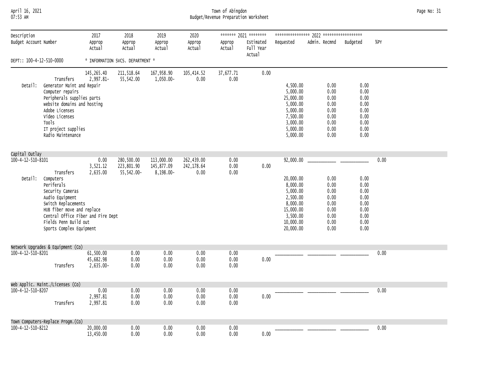## April 16, 2021 Town of Abingdon Page No: 31 07:53 AM Budget/Revenue Preparation Worksheet

| Description                         |                                                                                                                                                                                                                   | 2017                                | 2018                                   | 2019                                  | 2020                             |                      | ******* 2021 ********            |                                                                                                              |                                                                      |                                                                      |      |
|-------------------------------------|-------------------------------------------------------------------------------------------------------------------------------------------------------------------------------------------------------------------|-------------------------------------|----------------------------------------|---------------------------------------|----------------------------------|----------------------|----------------------------------|--------------------------------------------------------------------------------------------------------------|----------------------------------------------------------------------|----------------------------------------------------------------------|------|
| Budget Account Number               |                                                                                                                                                                                                                   | Approp<br>Actual                    | Approp<br>Actual                       | Approp<br>Actual                      | Approp<br>Actual                 | Approp<br>Actual     | Estimated<br>Full Year<br>Actual | Requested                                                                                                    | Admin. Recmnd                                                        | Budgeted                                                             | %PY  |
| DEPT:: 100-4-12-510-0000            |                                                                                                                                                                                                                   |                                     | * INFORMATION SVCS. DEPARTMENT *       |                                       |                                  |                      |                                  |                                                                                                              |                                                                      |                                                                      |      |
| Detail:                             | Transfers<br>Generator Maint and Repair<br>Computer repairs<br>Peripherals supplies parts<br>website domains and hosting<br>Adobe Licenses<br>Video Licenses<br>Tools<br>IT project supplies<br>Radio Maintenance | 145, 265.40<br>2,997.81-            | 211,518.64<br>55,542.00                | 167,958.90<br>$1,050.00 -$            | 105,414.52<br>0.00               | 37,677.71<br>0.00    | 0.00                             | 4,500.00<br>5,000.00<br>25,000.00<br>5,000.00<br>5,000.00<br>7,500.00<br>3,000.00<br>5,000.00<br>5,000.00    | 0.00<br>0.00<br>0.00<br>0.00<br>0.00<br>0.00<br>0.00<br>0.00<br>0.00 | 0.00<br>0.00<br>0.00<br>0.00<br>0.00<br>0.00<br>0.00<br>0.00<br>0.00 |      |
| Capital Outlay<br>100-4-12-510-8101 | Transfers                                                                                                                                                                                                         | 0.00<br>3,521.12<br>2,635.00        | 280,500.00<br>223,801.90<br>55,542.00- | 113,000.00<br>145,877.09<br>8,198.00- | 262,439.00<br>242,178.64<br>0.00 | 0.00<br>0.00<br>0.00 | 0.00                             | 92,000.00                                                                                                    |                                                                      |                                                                      | 0.00 |
| Detail:                             | Computers<br>Periferals<br>Security Cameras<br>Audio Equipment<br>Switch Replacements<br>HUB fiber move and replace<br>Central Office Fiber and Fire Dept<br>Fields Penn Build out<br>Sports Complex Equipment    |                                     |                                        |                                       |                                  |                      |                                  | 20,000.00<br>8,000.00<br>5,000.00<br>2,500.00<br>8,000.00<br>15,000.00<br>3,500.00<br>10,000.00<br>20,000.00 | 0.00<br>0.00<br>0.00<br>0.00<br>0.00<br>0.00<br>0.00<br>0.00<br>0.00 | 0.00<br>0.00<br>0.00<br>0.00<br>0.00<br>0.00<br>0.00<br>0.00<br>0.00 |      |
|                                     | Network Upgrades & Equipment (Co)                                                                                                                                                                                 |                                     |                                        |                                       |                                  |                      |                                  |                                                                                                              |                                                                      |                                                                      |      |
| 100-4-12-510-8201                   | Transfers                                                                                                                                                                                                         | 61,500.00<br>45,682.98<br>2,635.00- | 0.00<br>0.00<br>0.00                   | 0.00<br>0.00<br>0.00                  | 0.00<br>0.00<br>0.00             | 0.00<br>0.00<br>0.00 | 0.00                             |                                                                                                              |                                                                      |                                                                      | 0.00 |
|                                     | Web Applic. Maint./Licenses (Co)                                                                                                                                                                                  |                                     |                                        |                                       |                                  |                      |                                  |                                                                                                              |                                                                      |                                                                      |      |
| 100-4-12-510-8207                   | Transfers                                                                                                                                                                                                         | 0.00<br>2,997.81<br>2,997.81        | 0.00<br>0.00<br>0.00                   | 0.00<br>0.00<br>0.00                  | 0.00<br>0.00<br>0.00             | 0.00<br>0.00<br>0.00 | 0.00                             |                                                                                                              |                                                                      |                                                                      | 0.00 |
|                                     | Town Computers-Replace Progm. (Co)                                                                                                                                                                                |                                     |                                        |                                       |                                  |                      |                                  |                                                                                                              |                                                                      |                                                                      |      |
| $100 - 4 - 12 - 510 - 8212$         |                                                                                                                                                                                                                   | 20,000.00<br>13,450.00              | 0.00<br>0.00                           | 0.00<br>0.00                          | 0.00<br>0.00                     | 0.00<br>0.00         | 0.00                             |                                                                                                              |                                                                      |                                                                      | 0.00 |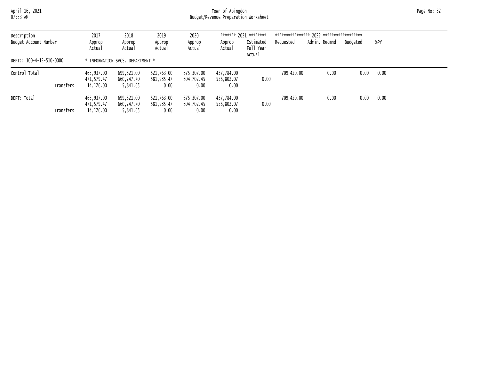## April 16, 2021 Town of Abingdon Page No: 32 07:53 AM Budget/Revenue Preparation Worksheet

| Description<br>Budget Account Number<br>DEPT:: 100-4-12-510-0000 |           | 2017                                  | 2018<br>Approp<br>Actual             | 2019<br>Approp<br>Actual         | 2020                             | ******* 2021 ********            |                                  | 2022 ******************<br>**************** |               |          |      |
|------------------------------------------------------------------|-----------|---------------------------------------|--------------------------------------|----------------------------------|----------------------------------|----------------------------------|----------------------------------|---------------------------------------------|---------------|----------|------|
|                                                                  |           | Approp<br>Actual                      |                                      |                                  | Approp<br>Actual                 | Approp<br>Actual                 | Estimated<br>Full Year<br>Actual | Requested                                   | Admin. Recmnd | Budgeted | %PY  |
|                                                                  |           |                                       | * INFORMATION SVCS, DEPARTMENT *     |                                  |                                  |                                  |                                  |                                             |               |          |      |
| Control Total                                                    |           | 465,937.00<br>471,579.47              | 699,521.00<br>660.247.70             | 521,763.00<br>581,985.47         | 675,307.00<br>604,702.45         | 437,784.00<br>556,802.07         | 0.00                             | 709,420.00                                  | 0.00          | 0.00     | 0.00 |
|                                                                  | Transfers | 14,126.00                             | 5,841.65                             | 0.00                             | 0.00                             | 0.00                             |                                  |                                             |               |          |      |
| DEPT: Total                                                      | Transfers | 465,937.00<br>471,579.47<br>14,126,00 | 699,521.00<br>660,247.70<br>5.841.65 | 521,763.00<br>581,985.47<br>0.00 | 675,307.00<br>604,702.45<br>0.00 | 437,784.00<br>556,802.07<br>0.00 | 0.00                             | 709,420.00                                  | 0.00          | 0.00     | 0.00 |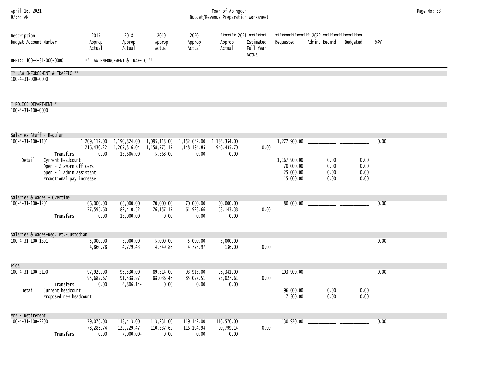| April 16, 2021 |  |
|----------------|--|
| $07:53$ AM     |  |

#### April 16, 2021 Town of Abingdon Page No: 33 07:53 AM Budget/Revenue Preparation Worksheet

| Description<br>Budget Account Number       |                                                                                                                   | 2017<br>Approp<br>Actual       | 2018<br>Approp<br>Actual              | 2019<br>Approp<br>Actual                                           | 2020<br>Approp<br>Actual                              | Approp<br>Actual                 | ******* 2021 ********<br>Estimated<br>Full Year<br>Actual | Requested                                                           | Admin. Recmnd                | Budgeted                     | %PY  |  |
|--------------------------------------------|-------------------------------------------------------------------------------------------------------------------|--------------------------------|---------------------------------------|--------------------------------------------------------------------|-------------------------------------------------------|----------------------------------|-----------------------------------------------------------|---------------------------------------------------------------------|------------------------------|------------------------------|------|--|
| DEPT:: 100-4-31-000-0000                   |                                                                                                                   |                                | ** LAW ENFORCEMENT & TRAFFIC **       |                                                                    |                                                       |                                  |                                                           |                                                                     |                              |                              |      |  |
| 100-4-31-000-0000                          | ** LAW ENFORCEMENT & TRAFFIC **                                                                                   |                                |                                       |                                                                    |                                                       |                                  |                                                           |                                                                     |                              |                              |      |  |
| * POLICE DEPARTMENT *<br>100-4-31-100-0000 |                                                                                                                   |                                |                                       |                                                                    |                                                       |                                  |                                                           |                                                                     |                              |                              |      |  |
| Salaries Staff - Regular                   |                                                                                                                   |                                |                                       |                                                                    |                                                       |                                  |                                                           |                                                                     |                              |                              |      |  |
| 100-4-31-100-1101<br>Detail:               | Transfers<br>Cyrrent Headcount<br>Open - 2 sworn officers<br>open - 1 admin assistant<br>Promotional pay increase | 1,209,117.00<br>0.00           | 1,190,824.00<br>15,606.00             | 1,095,118.00<br>1,216,430.22 1,207,816.04 1,158,775.17<br>5,568.00 | 1, 152, 642.00 1, 184, 354.00<br>1,148,194.85<br>0.00 | 946,435.70<br>0.00               | 0.00                                                      | 1,277,900.00<br>1,167,900.00<br>70,000.00<br>25,000.00<br>15,000.00 | 0.00<br>0.00<br>0.00<br>0.00 | 0.00<br>0.00<br>0.00<br>0.00 | 0.00 |  |
| Salaries & Wages - Overtime                |                                                                                                                   |                                |                                       |                                                                    |                                                       |                                  |                                                           |                                                                     |                              |                              |      |  |
| 100-4-31-100-1201                          | Transfers                                                                                                         | 66,000.00<br>77,595.60<br>0.00 | 66,000.00<br>82,410.52<br>13,000.00   | 70,000.00<br>76, 157. 17<br>0.00                                   | 70,000.00<br>61,923.66<br>0.00                        | 60,000.00<br>58, 143. 38<br>0.00 | 0.00                                                      | 80,000,00                                                           |                              |                              | 0.00 |  |
|                                            | Salaries & Wages-Reg. Pt.-Custodian                                                                               |                                |                                       |                                                                    |                                                       |                                  |                                                           |                                                                     |                              |                              |      |  |
| 100-4-31-100-1301                          |                                                                                                                   | 5,000.00<br>4,860.78           | 5,000.00<br>4,779.43                  | 5,000.00<br>4,849.86                                               | 5,000.00<br>4,778.97                                  | 5,000.00<br>136.00               | 0.00                                                      |                                                                     |                              |                              | 0.00 |  |
| Fica                                       |                                                                                                                   |                                |                                       |                                                                    |                                                       |                                  |                                                           |                                                                     |                              |                              |      |  |
| 100-4-31-100-2100<br>Detail:               | Transfers<br>Current headcount<br>Proposed new headcount                                                          | 97,929.00<br>95,682.67<br>0.00 | 96,530.00<br>91,538.97<br>4,806.14-   | 89,514.00<br>88,036.46<br>0.00                                     | 93,915.00<br>85,027.51<br>0.00                        | 96,341.00<br>73,027.61<br>0.00   | 0.00                                                      | 103,900.00<br>96,600.00<br>7,300.00                                 | 0.00<br>0.00                 | 0.00<br>0.00                 | 0.00 |  |
| Vrs - Retirement                           |                                                                                                                   |                                |                                       |                                                                    |                                                       |                                  |                                                           |                                                                     |                              |                              |      |  |
| 100-4-31-100-2200                          | Transfers                                                                                                         | 79,076.00<br>78,286.74<br>0.00 | 118,413.00<br>122,229.47<br>7,000.00- | 113,231.00<br>110,337.62<br>0.00                                   | 119,142.00<br>116, 104.94<br>0.00                     | 116,576.00<br>90,799.14<br>0.00  | 0.00                                                      | 130,920.00                                                          |                              |                              | 0.00 |  |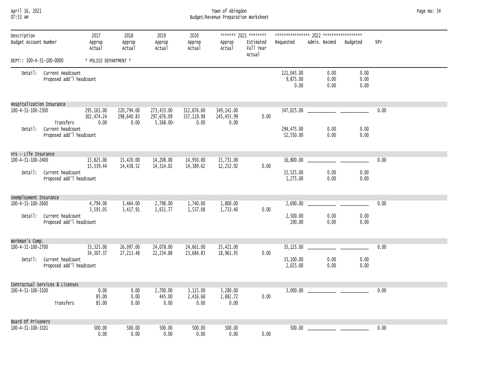## April 16, 2021 Town of Abingdon Page No: 34 07:53 AM Budget/Revenue Preparation Worksheet

| Description                  |                                                       | 2017                             | 2018                             | 2019                                  | 2020                              |                                  | ******* 2021 ********            |                                |                        |                      |      |
|------------------------------|-------------------------------------------------------|----------------------------------|----------------------------------|---------------------------------------|-----------------------------------|----------------------------------|----------------------------------|--------------------------------|------------------------|----------------------|------|
| Budget Account Number        |                                                       | Approp<br>Actual                 | Approp<br>Actual                 | Approp<br>Actual                      | Approp<br>Actual                  | Approp<br>Actual                 | Estimated<br>Full Year<br>Actual | Requested                      | Admin. Recmnd Budgeted |                      | %PY  |
| DEPT:: 100-4-31-100-0000     |                                                       | * POLICE DEPARTMENT *            |                                  |                                       |                                   |                                  |                                  |                                |                        |                      |      |
|                              | Detail: Current Headcount<br>Proposed add'l headcount |                                  |                                  |                                       |                                   |                                  |                                  | 121,045.00<br>9,875.00<br>0.00 | 0.00<br>0.00<br>0.00   | 0.00<br>0.00<br>0.00 |      |
| Hospitalization Insurance    |                                                       |                                  |                                  |                                       |                                   |                                  |                                  |                                |                        |                      |      |
| $100 - 4 - 31 - 100 - 2300$  | Transfers                                             | 295,161.00<br>302,474.24<br>0.00 | 220,794.00<br>298,640.83<br>0.00 | 273,433.00<br>297,676.09<br>5,568.00- | 312,876.00<br>337, 119.98<br>0.00 | 349,141.00<br>245,455.99<br>0.00 | 0.00                             | 347,025.00                     |                        |                      | 0.00 |
| Detail:                      | Current headcount<br>Proposed add'1 headcount         |                                  |                                  |                                       |                                   |                                  |                                  | 294,475.00<br>52,550.00        | 0.00<br>0.00           | 0.00<br>0.00         |      |
| Vrs - Life Insurance         |                                                       |                                  |                                  |                                       |                                   |                                  |                                  |                                |                        |                      |      |
| 100-4-31-100-2400            |                                                       | 15,825.00<br>15,339.44           | 15,420.00<br>14,438.52           | 14,208.00<br>14,314.02                | 14,950.00<br>14,389.62            | 15,731.00<br>12,252.92           | 0.00                             |                                |                        |                      | 0.00 |
|                              | Detail: Current headcount<br>Proposed add'l headcount |                                  |                                  |                                       |                                   |                                  |                                  | 15,525.00<br>1,275.00          | 0.00<br>0.00           | 0.00<br>0.00         |      |
| Unemployment Insurance       |                                                       |                                  |                                  |                                       |                                   |                                  |                                  |                                |                        |                      |      |
| 100-4-31-100-2600<br>Detail: | Current headcount                                     | 4,794.00<br>3,595.05             | 3,464.00<br>3,417.91             | 2,798.00<br>1,651.77                  | 1,740,00<br>1,537.08              | 1,800,00<br>1,733.40             | 0.00                             | 2,500.00                       | 0.00                   | 0.00                 | 0.00 |
|                              | Proposed add'l headcount                              |                                  |                                  |                                       |                                   |                                  |                                  | 190.00                         | 0.00                   | 0.00                 |      |
| Workman's Comp.              |                                                       |                                  |                                  |                                       |                                   |                                  |                                  |                                |                        |                      |      |
| 100-4-31-100-2700            |                                                       | 33,325.00<br>34, 307.37          | 26,097.00<br>27, 213.48          | 24,078.00<br>22,234.88                | 24,661.00<br>23,684.83            | 25,421.00<br>18,961.95           | 0.00                             |                                |                        |                      | 0.00 |
| Detail:                      | Current headcount<br>Proposed add'1 headcount         |                                  |                                  |                                       |                                   |                                  |                                  | 33,100.00<br>2,025.00          | 0.00<br>0.00           | 0.00<br>0.00         |      |
|                              | Contractual Services & Licenses                       |                                  |                                  |                                       |                                   |                                  |                                  |                                |                        |                      |      |
| 100-4-31-100-3100            |                                                       | 0.00<br>85.00                    | 0.00<br>0.00                     | 2,700.00<br>445.00                    | 3,115.00<br>2,416.68              | 3,280.00<br>2,882.72             | 0.00                             |                                |                        |                      | 0.00 |
|                              | Transfers                                             | 85.00                            | 0.00                             | 0.00                                  | 0.00                              | 0.00                             |                                  |                                |                        |                      |      |
| Board Of Prisoners           |                                                       |                                  |                                  |                                       |                                   |                                  |                                  |                                |                        |                      |      |
| 100-4-31-100-3101            |                                                       | 500.00<br>0.00                   | 500.00<br>0.00                   | 500.00<br>0.00                        | 500.00<br>0.00                    | 500.00<br>0.00                   | 0.00                             | 500.00                         |                        |                      | 0.00 |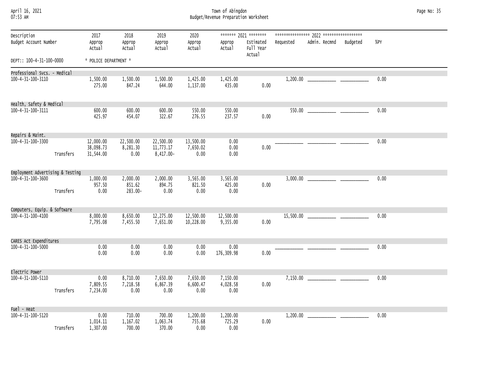| April 16, 2021 |  |
|----------------|--|
| 07.52 AM       |  |

April 16, 2021 Town of Abingdon Page No: 35 07:53 AM Budget/Revenue Preparation Worksheet

| Description<br>Budget Account Number |           | 2017<br>Approp<br>Actual            | 2018<br>Approp<br>Actual      | 2019<br>Approp<br>Actual               | 2020<br>Approp<br>Actual      | Approp<br>Actual             | ******* 2021 ********<br>Estimated<br>Full Year<br>Actual | Requested | Admin. Recmnd | Budgeted | %PY  |  |
|--------------------------------------|-----------|-------------------------------------|-------------------------------|----------------------------------------|-------------------------------|------------------------------|-----------------------------------------------------------|-----------|---------------|----------|------|--|
| DEPT:: 100-4-31-100-0000             |           | * POLICE DEPARTMENT *               |                               |                                        |                               |                              |                                                           |           |               |          |      |  |
| Professional Svcs. - Medical         |           |                                     |                               |                                        |                               |                              |                                                           |           |               |          |      |  |
| 100-4-31-100-3110                    |           | 1,500.00<br>275.00                  | 1,500.00<br>847.24            | 1,500.00<br>644.00                     | 1,425.00<br>1,137.00          | 1,425.00<br>435.00           | 0.00                                                      |           |               |          | 0.00 |  |
| Health, Safety & Medical             |           |                                     |                               |                                        |                               |                              |                                                           |           |               |          |      |  |
| 100-4-31-100-3111                    |           | 600.00<br>425.97                    | 600.00<br>454.07              | 600.00<br>322.67                       | 550.00<br>276.55              | 550.00<br>237.57             | 0.00                                                      |           |               |          | 0.00 |  |
| Repairs & Maint.                     |           |                                     |                               |                                        |                               |                              |                                                           |           |               |          |      |  |
| 100-4-31-100-3300                    | Transfers | 12,000.00<br>38,098.73<br>31,544.00 | 22,500.00<br>8,281.30<br>0.00 | 22,500.00<br>11,773.17<br>$8,417.00 -$ | 13,500.00<br>7,650.02<br>0.00 | 0.00<br>0.00<br>0.00         | 0.00                                                      |           |               |          | 0.00 |  |
| Employment Advertising & Testing     |           |                                     |                               |                                        |                               |                              |                                                           |           |               |          |      |  |
| 100-4-31-100-3600                    | Transfers | 1,000.00<br>957.50<br>0.00          | 2,000.00<br>851.62<br>283.00- | 2,000.00<br>894.75<br>0.00             | 3,565.00<br>821.50<br>0.00    | 3,565.00<br>425.00<br>0.00   | 0.00                                                      |           |               |          | 0.00 |  |
|                                      |           |                                     |                               |                                        |                               |                              |                                                           |           |               |          |      |  |
| Computers, Equip. & Software         |           |                                     |                               |                                        |                               |                              |                                                           |           |               |          |      |  |
| 100-4-31-100-4100                    |           | 8,000.00<br>7,795.08                | 8,650.00<br>7,455.50          | 12,275.00<br>7,651.00                  | 12,500.00<br>10,228.00        | 12,500.00<br>9,355.00        | 0.00                                                      |           |               |          | 0.00 |  |
| CARES Act Expenditures               |           |                                     |                               |                                        |                               |                              |                                                           |           |               |          |      |  |
| 100-4-31-100-5000                    |           | 0.00<br>0.00                        | 0.00<br>0.00                  | 0.00<br>0.00                           | 0.00<br>0.00                  | 0.00<br>176,309.98           | 0.00                                                      |           |               |          | 0.00 |  |
| Electric Power                       |           |                                     |                               |                                        |                               |                              |                                                           |           |               |          |      |  |
| 100-4-31-100-5110                    | Transfers | 0.00<br>7,809.55<br>7,234.00        | 8,710.00<br>7,218.58<br>0.00  | 7,650.00<br>6,867.39<br>0.00           | 7,650.00<br>6,600.47<br>0.00  | 7,150.00<br>4,028.58<br>0.00 | 0.00                                                      |           |               |          | 0.00 |  |
| Fuel - Heat                          |           |                                     |                               |                                        |                               |                              |                                                           |           |               |          |      |  |
| 100-4-31-100-5120                    | Transfers | 0.00<br>1,014.11<br>1,307.00        | 710.00<br>1,167.02<br>700.00  | 700.00<br>1,063.74<br>370.00           | 1,200.00<br>755.68<br>0.00    | 1,200.00<br>725.29<br>0.00   | 0.00                                                      |           |               |          | 0.00 |  |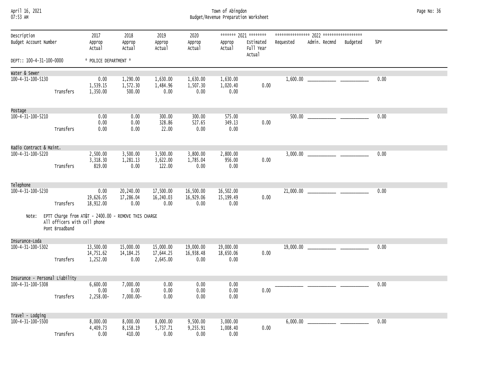| April 16, 2021 |  |
|----------------|--|
| 07.53 AM       |  |

## April 16, 2021 Town of Abingdon Page No: 36 07:53 AM Budget/Revenue Preparation Worksheet

| Description<br>Budget Account Number |                                                | 2017<br>Approp<br>Actual           | 2018<br>Approp<br>Actual                             | 2019<br>Approp<br>Actual           | 2020<br>Approp<br>Actual       | Approp<br>Actual                | ******* 2021 ********<br>Estimated<br>Full Year | Requested | Admin. Recmnd | Budgeted | %PY  |
|--------------------------------------|------------------------------------------------|------------------------------------|------------------------------------------------------|------------------------------------|--------------------------------|---------------------------------|-------------------------------------------------|-----------|---------------|----------|------|
| DEPT:: 100-4-31-100-0000             |                                                | * POLICE DEPARTMENT *              |                                                      |                                    |                                |                                 | Actual                                          |           |               |          |      |
| Water & Sewer                        |                                                |                                    |                                                      |                                    |                                |                                 |                                                 |           |               |          |      |
| 100-4-31-100-5130                    | Transfers                                      | 0.00<br>1,539.15<br>1,350.00       | 1,290.00<br>1,572.30<br>500.00                       | 1,630.00<br>1,484.96<br>0.00       | 1,630.00<br>1,507.30<br>0.00   | 1,630.00<br>1,020.40<br>0.00    | 0.00                                            |           |               |          | 0.00 |
| Postage                              |                                                |                                    |                                                      |                                    |                                |                                 |                                                 |           |               |          |      |
| 100-4-31-100-5210                    | Transfers                                      | 0.00<br>0.00<br>0.00               | 0.00<br>0.00<br>0.00                                 | 300.00<br>328.86<br>22.00          | 300.00<br>527.65<br>0.00       | 575.00<br>349.13<br>0.00        | 0.00                                            |           |               |          | 0.00 |
| Radio Contract & Maint.              |                                                |                                    |                                                      |                                    |                                |                                 |                                                 |           |               |          |      |
| 100-4-31-100-5220                    | Transfers                                      | 2,500.00<br>3,318.30<br>819.00     | 3,500.00<br>1,281.13<br>0.00                         | 3,500.00<br>3,622.00<br>122.00     | 3,800.00<br>1,785.04<br>0.00   | 2,800.00<br>956.00<br>0.00      | 0.00                                            |           |               |          | 0.00 |
| Telephone                            |                                                |                                    |                                                      |                                    |                                |                                 |                                                 |           |               |          |      |
| 100-4-31-100-5230                    | Transfers                                      | 0.00<br>19,626.05<br>18,912.00     | 20,240.00<br>17,286.04<br>0.00                       | 17,500.00<br>16,240.03<br>0.00     | 16,500.00<br>16,929.06<br>0.00 | 16,502.00<br>15, 199.49<br>0.00 | 0.00                                            |           |               |          | 0.00 |
| Note:                                | All officers with cell phone<br>Pont Broadband |                                    | EPTT Charge from AT&T - 2400.00 - REMOVE THIS CHARGE |                                    |                                |                                 |                                                 |           |               |          |      |
| Insurance-Loda                       |                                                |                                    |                                                      |                                    |                                |                                 |                                                 |           |               |          |      |
| 100-4-31-100-5302                    | Transfers                                      | 13,500.00<br>14,751.62<br>1,252.00 | 15,000.00<br>14, 184. 25<br>0.00                     | 15,000.00<br>17,644.25<br>2,645.00 | 19,000.00<br>16,938.48<br>0.00 | 19,000.00<br>18,650.06<br>0.00  | 0.00                                            |           |               |          | 0.00 |
| Insurance - Personal Liability       |                                                |                                    |                                                      |                                    |                                |                                 |                                                 |           |               |          |      |
| $100 - 4 - 31 - 100 - 5308$          | Transfers                                      | 6,600.00<br>0.00<br>$2,258.00 -$   | 7,000.00<br>0.00<br>$7,000.00 -$                     | 0.00<br>0.00<br>0.00               | 0.00<br>0.00<br>0.00           | 0.00<br>0.00<br>0.00            | 0.00                                            |           |               |          | 0.00 |
| Travel - Lodging                     |                                                |                                    |                                                      |                                    |                                |                                 |                                                 |           |               |          |      |
| 100-4-31-100-5500                    | Transfers                                      | 8,000.00<br>4,409.73<br>0.00       | 8,000.00<br>8,158.19<br>410.00                       | 8,000.00<br>5,737.71<br>0.00       | 9,500.00<br>9,255.91<br>0.00   | 3,000.00<br>1,008.40<br>0.00    | 0.00                                            |           |               |          | 0.00 |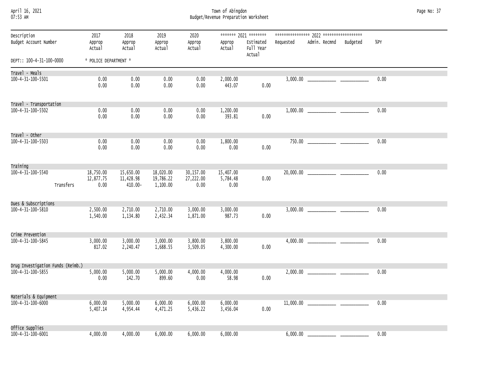| April 16, 2021  |  |
|-----------------|--|
| <b>N7.52 AM</b> |  |

April 16, 2021 Town of Abingdon Page No: 37 07:53 AM Budget/Revenue Preparation Worksheet

| Description<br>Budget Account Number |           | 2017<br>Approp<br>Actual       | 2018<br>Approp<br>Actual             | 2019<br>Approp<br>Actual           | 2020<br>Approp<br>Actual       | Approp<br>Actual              | ******* 2021 ********<br>Estimated<br>Full Year<br>Actual | Requested | Admin. Recmnd | Budgeted | %PY  |  |
|--------------------------------------|-----------|--------------------------------|--------------------------------------|------------------------------------|--------------------------------|-------------------------------|-----------------------------------------------------------|-----------|---------------|----------|------|--|
| DEPT:: 100-4-31-100-0000             |           | * POLICE DEPARTMENT *          |                                      |                                    |                                |                               |                                                           |           |               |          |      |  |
| Travel - Meals                       |           |                                |                                      |                                    |                                |                               |                                                           |           |               |          |      |  |
| 100-4-31-100-5501                    |           | 0.00<br>0.00                   | 0.00<br>0.00                         | 0.00<br>0.00                       | 0.00<br>0.00                   | 2,000.00<br>443.07            | 0.00                                                      |           |               |          | 0.00 |  |
| Travel - Transportation              |           |                                |                                      |                                    |                                |                               |                                                           |           |               |          |      |  |
| 100-4-31-100-5502                    |           | 0.00                           | 0.00                                 | 0.00                               | 0.00                           | 1,200.00                      |                                                           |           |               |          | 0.00 |  |
|                                      |           | 0.00                           | 0.00                                 | 0.00                               | 0.00                           | 393.81                        | 0.00                                                      |           |               |          |      |  |
| Travel - Other                       |           |                                |                                      |                                    |                                |                               |                                                           |           |               |          |      |  |
| 100-4-31-100-5503                    |           | 0.00<br>0.00                   | 0.00<br>0.00                         | 0.00<br>0.00                       | 0.00<br>0.00                   | 1,800.00<br>0.00              | 0.00                                                      |           |               |          | 0.00 |  |
| Training                             |           |                                |                                      |                                    |                                |                               |                                                           |           |               |          |      |  |
| 100-4-31-100-5540                    | Transfers | 18,750.00<br>12,877.75<br>0.00 | 15,650.00<br>11,428.98<br>$410.00 -$ | 18,020.00<br>19,786.22<br>1,100.00 | 30,157.00<br>27,222.00<br>0.00 | 15,407.00<br>5,784.48<br>0.00 | 0.00                                                      |           |               |          | 0.00 |  |
| Dues & Subscriptions                 |           |                                |                                      |                                    |                                |                               |                                                           |           |               |          |      |  |
| 100-4-31-100-5810                    |           | 2,500.00<br>1,540.00           | 2,710.00<br>1,134.80                 | 2,710.00<br>2,432.34               | 3,000.00<br>1,871.00           | 3,000.00<br>987.73            | 0.00                                                      |           |               |          | 0.00 |  |
| Crime Prevention                     |           |                                |                                      |                                    |                                |                               |                                                           |           |               |          |      |  |
| 100-4-31-100-5845                    |           | 3,000.00<br>817.02             | 3,000.00<br>2,240.47                 | 3,000.00<br>1,688.55               | 3,800.00<br>3,509.05           | 3,800.00<br>4,300.00          | 0.00                                                      |           |               |          | 0.00 |  |
| Drug Investigation Funds (Reimb.)    |           |                                |                                      |                                    |                                |                               |                                                           |           |               |          |      |  |
| 100-4-31-100-5855                    |           | 5,000.00<br>0.00               | 5,000.00<br>142.70                   | 5,000.00<br>899.60                 | 4,000.00<br>0.00               | 4,000.00<br>58.98             | 0.00                                                      |           |               |          | 0.00 |  |
| Materials & Equipment                |           |                                |                                      |                                    |                                |                               |                                                           |           |               |          |      |  |
| 100-4-31-100-6000                    |           | 6,000.00<br>5,407.14           | 5,000.00<br>4,954.44                 | 6,000.00<br>4,471.25               | 6,000.00<br>5,436.22           | 6,000.00<br>3,456.04          | 0.00                                                      |           |               |          | 0.00 |  |
| Office Supplies                      |           |                                |                                      |                                    |                                |                               |                                                           |           |               |          |      |  |
| 100-4-31-100-6001                    |           | 4,000.00                       | 4,000.00                             | 6,000.00                           | 6,000.00                       | 6,000.00                      |                                                           |           |               |          | 0.00 |  |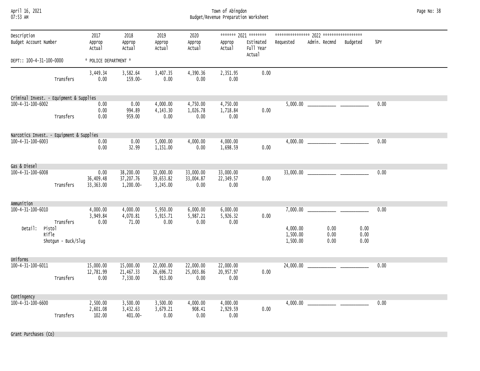April 16, 2021 Town of Abingdon Page No: 38 07:53 AM Budget/Revenue Preparation Worksheet

| Description                                |                     | 2017                           | 2018                                | 2019                               | 2020                           |                                | ******* 2021 ********            |                                  |                      |                      |      |
|--------------------------------------------|---------------------|--------------------------------|-------------------------------------|------------------------------------|--------------------------------|--------------------------------|----------------------------------|----------------------------------|----------------------|----------------------|------|
| Budget Account Number                      |                     | Approp<br>Actual               | Approp<br>Actual                    | Approp<br>Actual                   | Approp<br>Actual               | Approp<br>Actual               | Estimated<br>Full Year<br>Actual | Requested                        | Admin. Recmnd        | Budgeted             | %PY  |
| DEPT:: 100-4-31-100-0000                   |                     | * POLICE DEPARTMENT *          |                                     |                                    |                                |                                |                                  |                                  |                      |                      |      |
|                                            | Transfers           | 3,449.34<br>0.00               | 3,582.64<br>159.00-                 | 3,407.35<br>0.00                   | 4,390.36<br>0.00               | 2,351.95<br>0.00               | 0.00                             |                                  |                      |                      |      |
| Criminal Invest. - Equipment & Supplies    |                     |                                |                                     |                                    |                                |                                |                                  |                                  |                      |                      |      |
| 100-4-31-100-6002                          | Transfers           | 0.00<br>0.00<br>0.00           | 0.00<br>994.89<br>959.00            | 4,000.00<br>4,143.30<br>0.00       | 4,750.00<br>1,026.78<br>0.00   | 4,750.00<br>1,718.84<br>0.00   | 0.00                             |                                  |                      |                      | 0.00 |
| Narcotics Invest. - Equipment & Supplies   |                     |                                |                                     |                                    |                                |                                |                                  |                                  |                      |                      |      |
| 100-4-31-100-6003                          |                     | 0.00<br>0.00                   | 0.00<br>32.99                       | 5,000.00<br>1,151.00               | 4,000.00<br>0.00               | 4,000.00<br>1,698.59           | 0.00                             |                                  |                      |                      | 0.00 |
| Gas & Diesel                               |                     |                                |                                     |                                    |                                |                                |                                  |                                  |                      |                      |      |
| 100-4-31-100-6008                          | Transfers           | 0.00<br>36,409.48<br>33,363.00 | 38,200.00<br>37,207.76<br>1,200.00- | 32,000.00<br>39,653.82<br>3,245.00 | 33,000.00<br>33,004.87<br>0.00 | 33,000.00<br>22,349.57<br>0.00 | 0.00                             |                                  |                      |                      | 0.00 |
| Ammunition                                 |                     |                                |                                     |                                    |                                |                                |                                  |                                  |                      |                      |      |
| 100-4-31-100-6010                          | Transfers           | 4,000.00<br>3,949.84<br>0.00   | 4,000.00<br>4,070.81<br>71.00       | 5,950.00<br>5,915.71<br>0.00       | 6,000.00<br>5,987.21<br>0.00   | 6,000.00<br>5,926.32<br>0.00   | 0.00                             |                                  |                      |                      | 0.00 |
| Detail:<br>Pistol<br>Rifle                 | Shotgun - Buck/Slug |                                |                                     |                                    |                                |                                |                                  | 4,000.00<br>1,500.00<br>1,500.00 | 0.00<br>0.00<br>0.00 | 0.00<br>0.00<br>0.00 |      |
| Uniforms                                   |                     |                                |                                     |                                    |                                |                                |                                  |                                  |                      |                      |      |
| 100-4-31-100-6011                          | Transfers           | 15,000.00<br>12,781.99<br>0.00 | 15,000.00<br>21,467.33<br>7,330.00  | 22,000.00<br>26,696.72<br>913.00   | 22,000.00<br>25,003.86<br>0.00 | 22,000.00<br>20,957.97<br>0.00 | 0.00                             |                                  |                      |                      | 0.00 |
| Contingency<br>$100 - 4 - 31 - 100 - 6600$ | Transfers           | 2,500.00<br>2,601.08<br>102.00 | 3,500.00<br>3,432.63<br>$401.00 -$  | 3,500.00<br>3,679.21<br>0.00       | 4,000.00<br>908.41<br>0.00     | 4,000.00<br>2,929.59<br>0.00   | 0.00                             |                                  |                      |                      | 0.00 |

Grant Purchases (Co)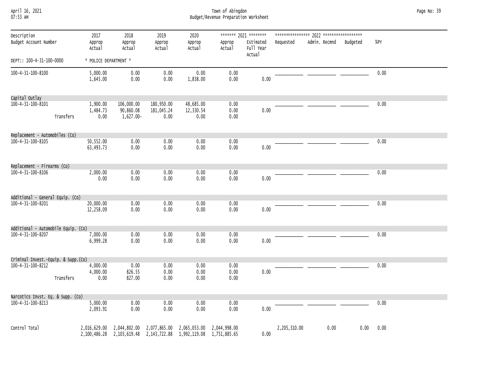April 16, 2021 Town of Abingdon Page No: 39 07:53 AM Budget/Revenue Preparation Worksheet

| Description                          |           | 2017                         | 2018                     | 2019                                                                                                                                           | 2020                 |                      | ******* 2021 ********            |              |               |          |      |  |
|--------------------------------------|-----------|------------------------------|--------------------------|------------------------------------------------------------------------------------------------------------------------------------------------|----------------------|----------------------|----------------------------------|--------------|---------------|----------|------|--|
| Budget Account Number                |           | Approp<br>Actual             | Approp<br>Actual         | Approp<br>Actual                                                                                                                               | Approp<br>Actual     | Approp<br>Actual     | Estimated<br>Full Year<br>Actual | Requested    | Admin. Recmnd | Budgeted | %PY  |  |
| DEPT:: 100-4-31-100-0000             |           | * POLICE DEPARTMENT *        |                          |                                                                                                                                                |                      |                      |                                  |              |               |          |      |  |
| 100-4-31-100-8100                    |           | 5,000.00<br>1,645.00         | 0.00<br>0.00             | $0.00\,$<br>0.00                                                                                                                               | 0.00<br>1,838.00     | 0.00<br>0.00         | 0.00                             |              |               |          | 0.00 |  |
| Capital Outlay                       |           |                              |                          |                                                                                                                                                |                      |                      |                                  |              |               |          |      |  |
| 100-4-31-100-8101                    |           | 1,900.00                     | 106,000.00               | 180,950.00                                                                                                                                     | 48,685.00            | 0.00                 |                                  |              |               |          | 0.00 |  |
|                                      | Transfers | 1,484.73<br>0.00             | 90,860.08<br>1,627.00-   | 181,045.24<br>0.00                                                                                                                             | 12,330.54<br>0.00    | 0.00<br>0.00         | 0.00                             |              |               |          |      |  |
| Replacement - Automobiles (Co)       |           |                              |                          |                                                                                                                                                |                      |                      |                                  |              |               |          |      |  |
| $100 - 4 - 31 - 100 - 8105$          |           | 50,552.00<br>63,493.73       | 0.00<br>0.00             | 0.00<br>0.00                                                                                                                                   | 0.00<br>0.00         | 0.00<br>0.00         | 0.00                             |              |               |          | 0.00 |  |
| Replacement - Firearms (Co)          |           |                              |                          |                                                                                                                                                |                      |                      |                                  |              |               |          |      |  |
| $100 - 4 - 31 - 100 - 8106$          |           | $2,000.00$<br>$0.00$         | 0.00<br>0.00             | 0.00<br>0.00                                                                                                                                   | 0.00<br>0.00         | 0.00<br>0.00         | 0.00                             |              |               |          | 0.00 |  |
| Additional - General Equip. (Co)     |           |                              |                          |                                                                                                                                                |                      |                      |                                  |              |               |          |      |  |
| 100-4-31-100-8201                    |           | 20,000.00<br>12,258.09       | 0.00<br>0.00             | 0.00<br>0.00                                                                                                                                   | 0.00<br>0.00         | 0.00<br>0.00         | 0.00                             |              |               |          | 0.00 |  |
| Additional - Automobile Equip. (Co)  |           |                              |                          |                                                                                                                                                |                      |                      |                                  |              |               |          |      |  |
| 100-4-31-100-8207                    |           | 7,000.00<br>6,999.28         | 0.00<br>0.00             | 0.00<br>0.00                                                                                                                                   | 0.00<br>0.00         | 0.00<br>0.00         | 0.00                             |              |               |          | 0.00 |  |
| Criminal Invest.-Equip. & Supp. (Co) |           |                              |                          |                                                                                                                                                |                      |                      |                                  |              |               |          |      |  |
| 100-4-31-100-8212                    | Transfers | 4,000.00<br>4,000.00<br>0.00 | 0.00<br>826.55<br>827.00 | 0.00<br>0.00<br>0.00                                                                                                                           | 0.00<br>0.00<br>0.00 | 0.00<br>0.00<br>0.00 | 0.00                             |              |               |          | 0.00 |  |
|                                      |           |                              |                          |                                                                                                                                                |                      |                      |                                  |              |               |          |      |  |
| Narcotics Invst. Eq. & Supp. (Co)    |           |                              |                          |                                                                                                                                                |                      |                      |                                  |              |               |          |      |  |
| 100-4-31-100-8213                    |           | 5,000.00<br>2,093.91         | 0.00<br>0.00             | 0.00<br>0.00                                                                                                                                   | 0.00<br>0.00         | 0.00<br>0.00         | 0.00                             |              |               |          | 0.00 |  |
| Control Total                        |           |                              |                          | 2,016,629.00 2,044,802.00 2,077,865.00 2,065,053.00 2,044,998.00<br>2, 100, 486.28 2, 103, 619.48 2, 143, 722.88 1, 992, 119.08 1, 751, 885.65 |                      |                      | 0.00                             | 2,205,310.00 | 0.00          | 0.00     | 0.00 |  |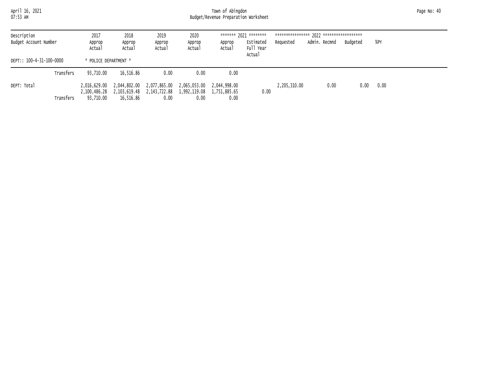April 16, 2021 Town of Abingdon Page No: 40 07:53 AM Budget/Revenue Preparation Worksheet

| Description<br>Budget Account Number |           | 2017<br>Approp<br>Actual                  | 2018<br>Approp<br>Actual | 2019<br>Approp<br>Actual                                       | 2020<br>Approp<br>Actual                                       | Approp<br>Actual | ******* 2021 ********<br>Estimated<br>Full Year<br>Actual | Requested    | Admin. Recmnd | Budaeted | %PY  |
|--------------------------------------|-----------|-------------------------------------------|--------------------------|----------------------------------------------------------------|----------------------------------------------------------------|------------------|-----------------------------------------------------------|--------------|---------------|----------|------|
| DEPT:: 100-4-31-100-0000             |           | * POLICE DEPARTMENT *                     |                          |                                                                |                                                                |                  |                                                           |              |               |          |      |
|                                      | Transfers | 93.710.00                                 | 16,516,86                | 0.00                                                           | 0.00                                                           | 0.00             |                                                           |              |               |          |      |
| DEPT: Total                          | Transfers | 2.016.629.00<br>2,100,486.28<br>93.710.00 | 16.516.86                | 2,044,802.00 2,077,865.00<br>2,103,619.48 2,143,722.88<br>0.00 | 2,065,053.00 2,044,998.00<br>1,992,119.08 1,751,885.65<br>0.00 | 0.00             | 0.00                                                      | 2,205,310.00 | 0.00          | 0.00     | 0.00 |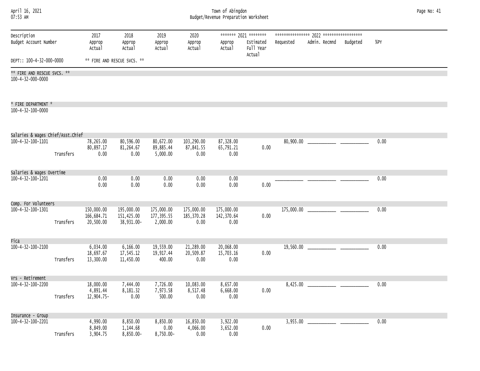| April 16, 2021<br>07:53 AM                       |           | Town of Abingdon<br>Budget/Revenue Preparation Worksheet |                                        |                                      |                                   |                                  |                                                           |            |               |                                                                                                                                                                                                                                      |      |  |  |
|--------------------------------------------------|-----------|----------------------------------------------------------|----------------------------------------|--------------------------------------|-----------------------------------|----------------------------------|-----------------------------------------------------------|------------|---------------|--------------------------------------------------------------------------------------------------------------------------------------------------------------------------------------------------------------------------------------|------|--|--|
| Description<br>Budget Account Number             |           | 2017<br>Approp<br>Actual                                 | 2018<br>Approp<br>Actual               | 2019<br>Approp<br>Actual             | 2020<br>Approp<br>Actual          | Approp<br>Actual                 | ******* 2021 ********<br>Estimated<br>Full Year<br>Actual | Requested  | Admin. Recmnd | Budgeted                                                                                                                                                                                                                             | %PY  |  |  |
| DEPT:: 100-4-32-000-0000                         |           |                                                          | ** FIRE AND RESCUE SVCS. **            |                                      |                                   |                                  |                                                           |            |               |                                                                                                                                                                                                                                      |      |  |  |
| ** FIRE AND RESCUE SVCS. **<br>100-4-32-000-0000 |           |                                                          |                                        |                                      |                                   |                                  |                                                           |            |               |                                                                                                                                                                                                                                      |      |  |  |
| * FIRE DEPARTMENT *<br>100-4-32-100-0000         |           |                                                          |                                        |                                      |                                   |                                  |                                                           |            |               |                                                                                                                                                                                                                                      |      |  |  |
| Salaries & Wages Chief/Asst.Chief                |           |                                                          |                                        |                                      |                                   |                                  |                                                           |            |               |                                                                                                                                                                                                                                      |      |  |  |
| 100-4-32-100-1101                                | Transfers | 78,265.00<br>80,897.17<br>0.00                           | 80,596.00<br>81,264.67<br>0.00         | 80,672.00<br>89,885.44<br>5,000.00   | 103,290.00<br>87,841.55<br>0.00   | 87,328.00<br>65,791.21<br>0.00   | 0.00                                                      | 80,900.00  |               |                                                                                                                                                                                                                                      | 0.00 |  |  |
| Salaries & Wages Overtime                        |           |                                                          |                                        |                                      |                                   |                                  |                                                           |            |               |                                                                                                                                                                                                                                      |      |  |  |
| 100-4-32-100-1201                                |           | 0.00<br>0.00                                             | 0.00<br>0.00                           | 0.00<br>0.00                         | 0.00<br>0.00                      | 0.00<br>0.00                     | 0.00                                                      |            |               |                                                                                                                                                                                                                                      | 0.00 |  |  |
| Comp. For Volunteers                             |           |                                                          |                                        |                                      |                                   |                                  |                                                           |            |               |                                                                                                                                                                                                                                      |      |  |  |
| 100-4-32-100-1301                                | Transfers | 150,000.00<br>166,684.71<br>20,500.00                    | 195,000.00<br>151,425.00<br>38,931.00- | 175,000.00<br>177,395.55<br>2,000.00 | 175,000.00<br>185, 370.28<br>0.00 | 175,000.00<br>142,370.64<br>0.00 | 0.00                                                      | 175,000.00 |               | <u>and the company of the company of the company of the company of the company of the company of the company of the company of the company of the company of the company of the company of the company of the company of the com</u> | 0.00 |  |  |
| Fica                                             |           |                                                          |                                        |                                      |                                   |                                  |                                                           |            |               |                                                                                                                                                                                                                                      |      |  |  |
| 100-4-32-100-2100                                | Transfers | 6,034.00<br>18,697.67<br>13,300.00                       | 6,166.00<br>17,545.12<br>11,450.00     | 19,559.00<br>19,917.44<br>400.00     | 21,289.00<br>20,509.87<br>0.00    | 20,068.00<br>15,703.16<br>0.00   | 0.00                                                      | 19,560.00  |               |                                                                                                                                                                                                                                      | 0.00 |  |  |
| Vrs - Retirement                                 |           |                                                          |                                        |                                      |                                   |                                  |                                                           |            |               |                                                                                                                                                                                                                                      |      |  |  |
| $100 - 4 - 32 - 100 - 2200$                      | Transfers | 18,000.00<br>4,891.44<br>12,904.75-                      | 7,444.00<br>8,181.32<br>0.00           | 7,726.00<br>7,973.58<br>500.00       | 10,083.00<br>8,517.48<br>0.00     | 8,657.00<br>6,668.00<br>0.00     | 0.00                                                      |            |               |                                                                                                                                                                                                                                      | 0.00 |  |  |
| Insurance - Group                                |           |                                                          |                                        |                                      |                                   |                                  |                                                           |            |               |                                                                                                                                                                                                                                      |      |  |  |
| 100-4-32-100-2201                                | Transfers | 4,990.00<br>8,849.00<br>3,904.75                         | 8,850.00<br>1,144.68<br>8,850.00-      | 8,850.00<br>0.00<br>8,750.00-        | 16,850.00<br>4,066.00<br>0.00     | 3,922.00<br>3,652.00<br>0.00     | 0.00                                                      | 3,955.00   |               |                                                                                                                                                                                                                                      | 0.00 |  |  |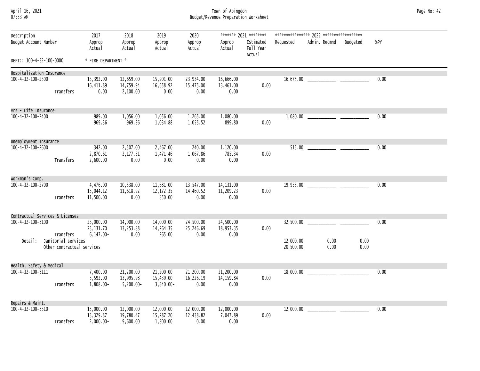| April 16, 2021  |  |
|-----------------|--|
| <b>N7.52 AM</b> |  |

April 16, 2021 Town of Abingdon Page No: 42 07:53 AM Budget/Revenue Preparation Worksheet

| Description<br>Budget Account Number |                                                   | 2017<br>Approp<br>Actual                | 2018<br>Approp<br>Actual               | 2019<br>Approp<br>Actual               | 2020<br>Approp<br>Actual       | Approp<br>Actual                | ******* 2021 ********<br>Estimated<br>Full Year<br>Actual | Requested              | Admin. Recmnd Budgeted |              | %PY  |  |
|--------------------------------------|---------------------------------------------------|-----------------------------------------|----------------------------------------|----------------------------------------|--------------------------------|---------------------------------|-----------------------------------------------------------|------------------------|------------------------|--------------|------|--|
| DEPT:: 100-4-32-100-0000             |                                                   | * FIRE DEPARTMENT *                     |                                        |                                        |                                |                                 |                                                           |                        |                        |              |      |  |
| Hospitalization Insurance            |                                                   |                                         |                                        |                                        |                                |                                 |                                                           |                        |                        |              |      |  |
| 100-4-32-100-2300                    | Transfers                                         | 13,392.00<br>16,411.89<br>0.00          | 12,659.00<br>14,759.94<br>2,100.00     | 15,901.00<br>16,658.92<br>0.00         | 23,934.00<br>15,475.00<br>0.00 | 16,666.00<br>13,461.00<br>0.00  | 0.00                                                      |                        |                        |              | 0.00 |  |
| Vrs - Life Insurance                 |                                                   |                                         |                                        |                                        |                                |                                 |                                                           |                        |                        |              |      |  |
| 100-4-32-100-2400                    |                                                   | 989.00<br>969.36                        | 1,056.00<br>969.36                     | 1,056.00<br>1,034.88                   | 1,265.00<br>1,055.52           | 1,080.00<br>899.80              | 0.00                                                      |                        |                        |              | 0.00 |  |
| Unemployment Insurance               |                                                   |                                         |                                        |                                        |                                |                                 |                                                           |                        |                        |              |      |  |
| $100 - 4 - 32 - 100 - 2600$          | Transfers                                         | 342.00<br>2,870.61<br>2,600.00          | 2,507.00<br>2,177.51<br>0.00           | 2,467.00<br>1,471.46<br>0.00           | 240.00<br>1,067.86<br>0.00     | 1,120.00<br>785.34<br>0.00      | 0.00                                                      |                        |                        |              | 0.00 |  |
| Workman's Comp.                      |                                                   |                                         |                                        |                                        |                                |                                 |                                                           |                        |                        |              |      |  |
| 100-4-32-100-2700                    | Transfers                                         | 4,476.00<br>15,044.12<br>11,500.00      | 10,538.00<br>11,618.92<br>0.00         | 11,681.00<br>12, 172.35<br>850.00      | 13,547.00<br>14,460.52<br>0.00 | 14,131.00<br>11,209.23<br>0.00  | 0.00                                                      |                        |                        |              | 0.00 |  |
| Contractual Services & Licenses      |                                                   |                                         |                                        |                                        |                                |                                 |                                                           |                        |                        |              |      |  |
| 100-4-32-100-3100                    | Transfers                                         | 23,000.00<br>23,131.70<br>$6, 147.00 -$ | 14,000.00<br>13,253.88<br>0.00         | 14,000.00<br>14,264.35<br>265.00       | 24,500.00<br>25,246.69<br>0.00 | 24,500.00<br>18,953.35<br>0.00  | 0.00                                                      |                        |                        |              | 0.00 |  |
| Detail:                              | Janitorial services<br>Other contractual services |                                         |                                        |                                        |                                |                                 |                                                           | 12,000.00<br>20,500.00 | 0.00<br>0.00           | 0.00<br>0.00 |      |  |
| Health, Safety & Medical             |                                                   |                                         |                                        |                                        |                                |                                 |                                                           |                        |                        |              |      |  |
| 100-4-32-100-3111                    | Transfers                                         | 7,400.00<br>5,592.00<br>1,808.00-       | 21,200.00<br>13,995.98<br>$5,200.00 -$ | 21,200.00<br>15,439.00<br>$3,340.00 -$ | 21,200.00<br>16,226.19<br>0.00 | 21,200.00<br>14, 159.84<br>0.00 | 0.00                                                      |                        |                        |              | 0.00 |  |
| Repairs & Maint.                     |                                                   |                                         |                                        |                                        |                                |                                 |                                                           |                        |                        |              |      |  |
| 100-4-32-100-3310                    | Transfers                                         | 15,000.00<br>13,329.87<br>$2,000.00 -$  | 12,000.00<br>19,780.47<br>9,600.00     | 12,000.00<br>15,287.20<br>1,800.00     | 12,000.00<br>12,438.82<br>0.00 | 12,000.00<br>7,047.89<br>0.00   | 0.00                                                      |                        |                        |              | 0.00 |  |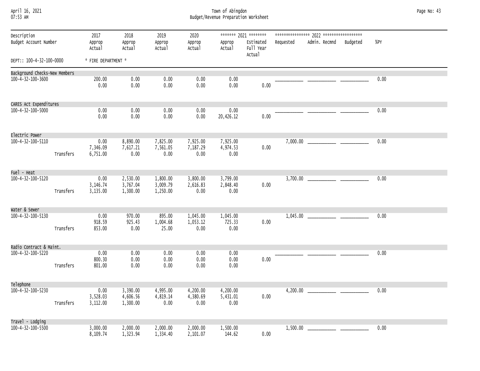| April 16, 2021 |  |
|----------------|--|
| 07.52 AM       |  |

April 16, 2021 Town of Abingdon Page No: 43 07:53 AM Budget/Revenue Preparation Worksheet

| Description<br>Budget Account Number |           | 2017<br>Approp<br>Actual     | 2018<br>Approp<br>Actual         | 2019<br>Approp<br>Actual         | 2020<br>Approp<br>Actual     | Approp<br>Actual             | ******* 2021 ********<br>Estimated<br>Full Year<br>Actual | Requested | Admin. Recmnd | Budgeted | %PY  |  |
|--------------------------------------|-----------|------------------------------|----------------------------------|----------------------------------|------------------------------|------------------------------|-----------------------------------------------------------|-----------|---------------|----------|------|--|
| DEPT:: 100-4-32-100-0000             |           | * FIRE DEPARTMENT *          |                                  |                                  |                              |                              |                                                           |           |               |          |      |  |
| Background Checks-New Members        |           |                              |                                  |                                  |                              |                              |                                                           |           |               |          |      |  |
| 100-4-32-100-3600                    |           | 200.00<br>0.00               | 0.00<br>0.00                     | 0.00<br>0.00                     | 0.00<br>0.00                 | 0.00<br>0.00                 | 0.00                                                      |           |               |          | 0.00 |  |
| CARES Act Expenditures               |           |                              |                                  |                                  |                              |                              |                                                           |           |               |          |      |  |
| $100 - 4 - 32 - 100 - 5000$          |           | 0.00<br>0.00                 | 0.00<br>0.00                     | 0.00<br>0.00                     | 0.00<br>0.00                 | 0.00<br>20,426.12            | 0.00                                                      |           |               |          | 0.00 |  |
| Electric Power                       |           |                              |                                  |                                  |                              |                              |                                                           |           |               |          |      |  |
| 100-4-32-100-5110                    | Transfers | 0.00<br>7,346.09<br>6,751.00 | 8,890.00<br>7,617.21<br>0.00     | 7,825.00<br>7,561.05<br>0.00     | 7,925.00<br>7,187.29<br>0.00 | 7,925.00<br>4,974.53<br>0.00 | 0.00                                                      |           |               |          | 0.00 |  |
| Fuel - Heat                          |           |                              |                                  |                                  |                              |                              |                                                           |           |               |          |      |  |
| 100-4-32-100-5120                    | Transfers | 0.00<br>3,146.74<br>3,135.00 | 2,530.00<br>3,767.04<br>1,300.00 | 1,800.00<br>3,009.79<br>1,250.00 | 3,800.00<br>2,616.83<br>0.00 | 3,799.00<br>2,848.40<br>0.00 | 0.00                                                      |           |               |          | 0.00 |  |
| Water & Sewer                        |           |                              |                                  |                                  |                              |                              |                                                           |           |               |          |      |  |
| 100-4-32-100-5130                    | Transfers | 0.00<br>918.59<br>853.00     | 970.00<br>925.43<br>0.00         | 895.00<br>1,004.68<br>25.00      | 1,045.00<br>1,053.12<br>0.00 | 1,045.00<br>725.33<br>0.00   | 0.00                                                      |           |               |          | 0.00 |  |
| Radio Contract & Maint.              |           |                              |                                  |                                  |                              |                              |                                                           |           |               |          |      |  |
| 100-4-32-100-5220                    | Transfers | 0.00<br>800.30<br>801.00     | 0.00<br>0.00<br>0.00             | 0.00<br>0.00<br>0.00             | 0.00<br>0.00<br>0.00         | 0.00<br>0.00<br>0.00         | 0.00                                                      |           |               |          | 0.00 |  |
| Telephone                            |           |                              |                                  |                                  |                              |                              |                                                           |           |               |          |      |  |
| 100-4-32-100-5230                    | Transfers | 0.00<br>3,528.03<br>3,112.00 | 3,390.00<br>4,606.56<br>1,300.00 | 4,995.00<br>4,819.14<br>0.00     | 4,200.00<br>4,380.69<br>0.00 | 4,200.00<br>5,431.01<br>0.00 | 0.00                                                      |           |               |          | 0.00 |  |
| Travel - Lodging                     |           |                              |                                  |                                  |                              |                              |                                                           |           |               |          |      |  |
| 100-4-32-100-5500                    |           | 3,000.00<br>8,109.74         | 2,000.00<br>1,323.94             | 2,000.00<br>1,334.40             | 2,000.00<br>2,101.07         | 1,500.00<br>144.62           | 0.00                                                      |           |               |          | 0.00 |  |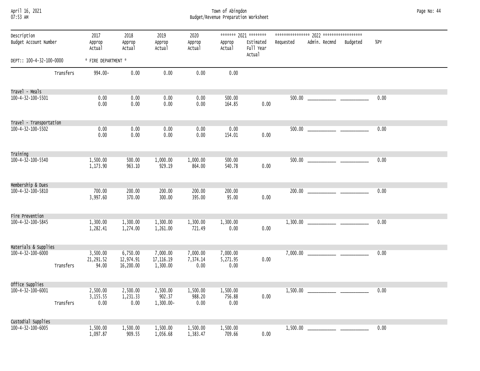| April 16, 2021 |  |
|----------------|--|
| 07.52 AM       |  |

## April 16, 2021 Town of Abingdon Page No: 44 07:53 AM Budget/Revenue Preparation Worksheet

| Description<br>Budget Account Number | 2017<br>Approp<br>Actual       | 2018<br>Approp<br>Actual           | 2019<br>Approp<br>Actual           | 2020<br>Approp<br>Actual     | Approp<br>Actual             | ******* 2021 ********<br>Estimated<br>Full Year<br>Actual | Requested | Admin. Recmnd Budgeted | %PY  |
|--------------------------------------|--------------------------------|------------------------------------|------------------------------------|------------------------------|------------------------------|-----------------------------------------------------------|-----------|------------------------|------|
| DEPT:: 100-4-32-100-0000             | * FIRE DEPARTMENT *            |                                    |                                    |                              |                              |                                                           |           |                        |      |
| Transfers                            | 994.00-                        | 0.00                               | 0.00                               | 0.00                         | 0.00                         |                                                           |           |                        |      |
| Travel - Meals                       |                                |                                    |                                    |                              |                              |                                                           |           |                        |      |
| 100-4-32-100-5501                    | 0.00                           | 0.00                               | 0.00                               | 0.00                         | 500.00                       |                                                           |           |                        | 0.00 |
|                                      | 0.00                           | 0.00                               | 0.00                               | 0.00                         | 164.85                       | 0.00                                                      |           |                        |      |
| Travel - Transportation              |                                |                                    |                                    |                              |                              |                                                           |           |                        |      |
| 100-4-32-100-5502                    | 0.00<br>0.00                   | 0.00<br>0.00                       | 0.00<br>0.00                       | 0.00<br>0.00                 | 0.00<br>154.01               | 0.00                                                      |           |                        | 0.00 |
| Training                             |                                |                                    |                                    |                              |                              |                                                           |           |                        |      |
| $100 - 4 - 32 - 100 - 5540$          | 1,500.00<br>1,173.90           | 500.00<br>963.10                   | 1,000.00<br>929.19                 | 1,000.00<br>864.00           | 500.00<br>540.78             | 0.00                                                      |           |                        | 0.00 |
| Membership & Dues                    |                                |                                    |                                    |                              |                              |                                                           |           |                        |      |
| 100-4-32-100-5810                    | 700.00<br>3,997.60             | 200.00<br>370.00                   | 200.00<br>300.00                   | 200.00<br>395.00             | 200.00<br>95.00              | 0.00                                                      |           |                        | 0.00 |
| Fire Prevention                      |                                |                                    |                                    |                              |                              |                                                           |           |                        |      |
| 100-4-32-100-5845                    | 1,300.00<br>1,282.41           | 1,300.00<br>1,274.00               | 1,300.00<br>1,261.00               | 1,300.00<br>721.49           | 1,300.00<br>0.00             | 0.00                                                      |           |                        | 0.00 |
| Materials & Supplies                 |                                |                                    |                                    |                              |                              |                                                           |           |                        |      |
| 100-4-32-100-6000<br>Transfers       | 3,500.00<br>21,291.52<br>94.00 | 6,750.00<br>12,974.91<br>16,200.00 | 7,000.00<br>17, 116.19<br>1,300.00 | 7,000.00<br>7,374.14<br>0.00 | 7,000.00<br>5,271.95<br>0.00 | 0.00                                                      |           |                        | 0.00 |
| Office Supplies                      |                                |                                    |                                    |                              |                              |                                                           |           |                        |      |
| 100-4-32-100-6001<br>Transfers       | 2,500.00<br>3,155.55<br>0.00   | 2,500.00<br>1,231.33<br>0.00       | 2,500.00<br>902.37<br>$1,300.00 -$ | 1,500.00<br>988.20<br>0.00   | 1,500.00<br>756.88<br>0.00   | 0.00                                                      |           |                        | 0.00 |
| Custodial Supplies                   |                                |                                    |                                    |                              |                              |                                                           |           |                        |      |
| 100-4-32-100-6005                    | 1,500.00<br>1,097.87           | 1,500.00<br>909.55                 | 1,500.00<br>1,056.68               | 1,500.00<br>1,383.47         | 1,500.00<br>709.66           | 0.00                                                      |           |                        | 0.00 |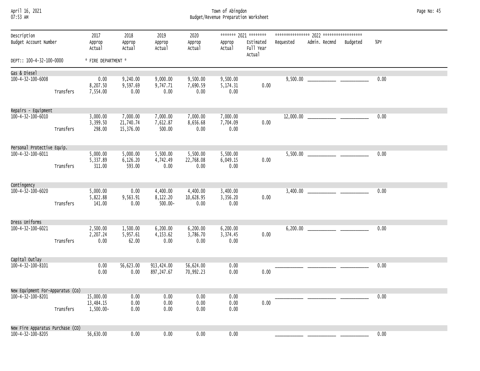| April 16, 2021  |  |
|-----------------|--|
| <b>N7.52 AM</b> |  |

### April 16, 2021 Town of Abingdon Page No: 45 07:53 AM Budget/Revenue Preparation Worksheet

| Description<br>Budget Account Number |           | 2017<br>Approp<br>Actual       | 2018<br>Approp<br>Actual           | 2019<br>Approp<br>Actual       | 2020<br>Approp<br>Actual      | Approp<br>Actual             | ******* 2021 ********<br>Estimated<br>Full Year<br>Actual | Requested | Admin. Recmnd | Budgeted | %PY  |
|--------------------------------------|-----------|--------------------------------|------------------------------------|--------------------------------|-------------------------------|------------------------------|-----------------------------------------------------------|-----------|---------------|----------|------|
| DEPT:: 100-4-32-100-0000             |           | * FIRE DEPARTMENT *            |                                    |                                |                               |                              |                                                           |           |               |          |      |
| Gas & Diesel                         |           |                                |                                    |                                |                               |                              |                                                           |           |               |          |      |
| 100-4-32-100-6008                    | Transfers | 0.00<br>8,207.50<br>7,554.00   | 9,240.00<br>9,597.69<br>0.00       | 9,000.00<br>9,747.71<br>0.00   | 9,500.00<br>7,690.59<br>0.00  | 9,500.00<br>5,174.31<br>0.00 | 0.00                                                      |           |               |          | 0.00 |
| Repairs - Equipment                  |           |                                |                                    |                                |                               |                              |                                                           |           |               |          |      |
| 100-4-32-100-6010                    | Transfers | 3,000.00<br>3,399.50<br>298.00 | 7,000.00<br>21,740.74<br>15,376.00 | 7,000.00<br>7,612.87<br>500.00 | 7,000.00<br>8,656.68<br>0.00  | 7,000.00<br>7,704.09<br>0.00 | 0.00                                                      |           |               |          | 0.00 |
| Personal Protective Equip.           |           |                                |                                    |                                |                               |                              |                                                           |           |               |          |      |
| 100-4-32-100-6011                    | Transfers | 5,000.00<br>5,337.89<br>311.00 | 5,000.00<br>6,126.20<br>593.00     | 5,500.00<br>4,742.49<br>0.00   | 5,500.00<br>22,768.08<br>0.00 | 5,500.00<br>6,049.15<br>0.00 | 0.00                                                      |           |               |          | 0.00 |
|                                      |           |                                |                                    |                                |                               |                              |                                                           |           |               |          |      |
| Contingency<br>100-4-32-100-6020     |           | 5,000.00                       | 0.00                               | 4,400.00                       | 4,400.00                      | 3,400.00                     |                                                           |           |               |          | 0.00 |
|                                      | Transfers | 5,822.88<br>141.00             | 9,563.91<br>0.00                   | 8,122.20<br>$500.00 -$         | 10,628.95<br>0.00             | 3,356.20<br>0.00             | 0.00                                                      |           |               |          |      |
| Dress Uniforms                       |           |                                |                                    |                                |                               |                              |                                                           |           |               |          |      |
| 100-4-32-100-6021                    | Transfers | 2,500.00<br>2,207.24<br>0.00   | 1,500.00<br>5,957.61<br>62.00      | 6,200.00<br>4,153.62<br>0.00   | 6,200.00<br>3,786.70<br>0.00  | 6,200.00<br>3,374.45<br>0.00 | 0.00                                                      |           |               |          | 0.00 |
| Capital Outlay                       |           |                                |                                    |                                |                               |                              |                                                           |           |               |          |      |
| 100-4-32-100-8101                    |           | 0.00<br>0.00                   | 56,623.00<br>0.00                  | 913,424.00<br>897,247.67       | 56,624.00<br>70,992.23        | 0.00<br>0.00                 | 0.00                                                      |           |               |          | 0.00 |
| New Equipment For-Apparatus (Co)     |           |                                |                                    |                                |                               |                              |                                                           |           |               |          |      |
| 100-4-32-100-8201                    |           | 15,000.00<br>13,484.15         | 0.00<br>0.00                       | 0.00<br>0.00                   | 0.00<br>0.00                  | 0.00<br>0.00                 | 0.00                                                      |           |               |          | 0.00 |
|                                      | Transfers | 1,500.00-                      | 0.00                               | 0.00                           | 0.00                          | 0.00                         |                                                           |           |               |          |      |
| New Fire Apparatus Purchase (CO)     |           |                                |                                    |                                |                               |                              |                                                           |           |               |          |      |
| 100-4-32-100-8205                    |           | 56,630.00                      | 0.00                               | 0.00                           | 0.00                          | 0.00                         |                                                           |           |               |          | 0.00 |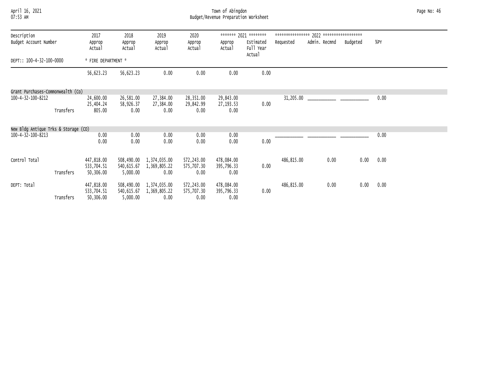| April 16, 2021  |  |
|-----------------|--|
| <b>N7.52 AM</b> |  |

## April 16, 2021 Town of Abingdon Page No: 46 07:53 AM Budget/Revenue Preparation Worksheet

| Description                          | 2017                     | 2018                     | 2019                         | 2020                     |                          | ******* 2021 ********            |            |               |          |      |
|--------------------------------------|--------------------------|--------------------------|------------------------------|--------------------------|--------------------------|----------------------------------|------------|---------------|----------|------|
| Budget Account Number                | Approp<br>Actual         | Approp<br>Actual         | Approp<br>Actual             | Approp<br>Actual         | Approp<br>Actual         | Estimated<br>Full Year<br>Actual | Requested  | Admin. Recmnd | Budgeted | %PY  |
| DEPT:: 100-4-32-100-0000             | * FIRE DEPARTMENT *      |                          |                              |                          |                          |                                  |            |               |          |      |
|                                      | 56,623.23                | 56,623.23                | 0.00                         | 0.00                     | 0.00                     | 0.00                             |            |               |          |      |
| Grant Purchases-Commonwealth (Co)    |                          |                          |                              |                          |                          |                                  |            |               |          |      |
| 100-4-32-100-8212                    | 24,600.00<br>25,404.24   | 26,581.00<br>58,926.37   | 27,384.00<br>27,384.00       | 28,351.00<br>29,842.99   | 29,843.00<br>27,193.53   | 0.00                             |            |               |          | 0.00 |
| Transfers                            | 805.00                   | 0.00                     | 0.00                         | 0.00                     | 0.00                     |                                  |            |               |          |      |
| New Bldg Antique Trks & Storage (CO) |                          |                          |                              |                          |                          |                                  |            |               |          |      |
| 100-4-32-100-8213                    | 0.00<br>0.00             | 0.00<br>0.00             | 0.00<br>0.00                 | 0.00<br>0.00             | 0.00<br>0.00             | 0.00                             |            |               |          | 0.00 |
| Control Total                        | 447,818.00<br>533,704.51 | 508,490.00<br>540,615.67 | 1,374,035.00<br>1,369,805.22 | 572,243.00<br>575,707.30 | 478,084.00<br>395,796.33 | 0.00                             | 486,815.00 | 0.00          | 0.00     | 0.00 |
| Transfers                            | 50,306.00                | 5,000.00                 | 0.00                         | 0.00                     | 0.00                     |                                  |            |               |          |      |
| DEPT: Total                          | 447,818.00               | 508,490.00               | 1,374,035.00                 | 572,243.00               | 478,084.00               |                                  | 486,815.00 | 0.00          | 0.00     | 0.00 |
| Transfers                            | 533,704.51<br>50,306.00  | 540,615.67<br>5,000.00   | 1,369,805.22<br>0.00         | 575,707.30<br>0.00       | 395,796.33<br>0.00       | 0.00                             |            |               |          |      |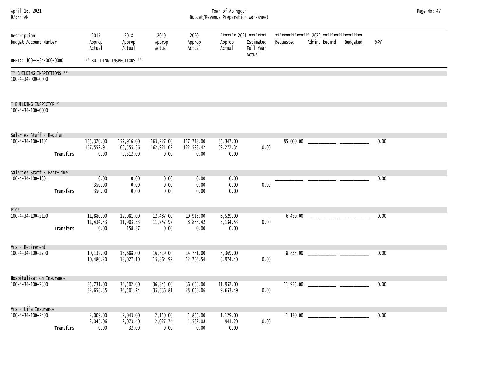| April 16, 2021<br>07:53 AM                      |           |                                  | Town of Abingdon<br>Budget/Revenue Preparation Worksheet |                                  |                                  |                                |                                                           |           |               |          |      |  |
|-------------------------------------------------|-----------|----------------------------------|----------------------------------------------------------|----------------------------------|----------------------------------|--------------------------------|-----------------------------------------------------------|-----------|---------------|----------|------|--|
| Description<br>Budget Account Number            |           | 2017<br>Approp<br>Actual         | 2018<br>Approp<br>Actual                                 | 2019<br>Approp<br>Actual         | 2020<br>Approp<br>Actual         | Approp<br>Actual               | ******* 2021 ********<br>Estimated<br>Full Year<br>Actual | Requested | Admin. Recmnd | Budgeted |      |  |
| DEPT:: 100-4-34-000-0000                        |           |                                  | ** BUILDING INSPECTIONS **                               |                                  |                                  |                                |                                                           |           |               |          |      |  |
| ** BUILDING INSPECTIONS **<br>100-4-34-000-0000 |           |                                  |                                                          |                                  |                                  |                                |                                                           |           |               |          |      |  |
| * BUILDING INSPECTOR *<br>100-4-34-100-0000     |           |                                  |                                                          |                                  |                                  |                                |                                                           |           |               |          |      |  |
|                                                 |           |                                  |                                                          |                                  |                                  |                                |                                                           |           |               |          |      |  |
| Salaries Staff - Regular<br>100-4-34-100-1101   | Transfers | 155,320.00<br>157,552.91<br>0.00 | 157,916.00<br>163,555.36<br>2,312.00                     | 163,227.00<br>162,921.02<br>0.00 | 117,718.00<br>122,598.42<br>0.00 | 85,347.00<br>69,272.34<br>0.00 | 0.00                                                      |           |               |          | 0.00 |  |
| Salaries Staff - Part-Time                      |           |                                  |                                                          |                                  |                                  |                                |                                                           |           |               |          |      |  |
| 100-4-34-100-1301                               | Transfers | 0.00<br>350.00<br>350.00         | 0.00<br>0.00<br>0.00                                     | 0.00<br>0.00<br>0.00             | 0.00<br>0.00<br>0.00             | 0.00<br>0.00<br>0.00           | 0.00                                                      |           |               |          | 0.00 |  |
| Fica                                            |           |                                  |                                                          |                                  |                                  |                                |                                                           |           |               |          |      |  |
| 100-4-34-100-2100                               | Transfers | 11,880.00<br>11,434.53<br>0.00   | 12,081.00<br>11,903.53<br>158.87                         | 12,487.00<br>11,757.97<br>0.00   | 10,918.00<br>8,888.42<br>0.00    | 6,529.00<br>5,134.53<br>0.00   | 0.00                                                      |           |               |          | 0.00 |  |
| Vrs - Retirement                                |           |                                  |                                                          |                                  |                                  |                                |                                                           |           |               |          |      |  |
| 100-4-34-100-2200                               |           | 10,139.00<br>10,480.20           | 15,688.00<br>18,027.10                                   | 16,819.00<br>15,864.92           | 14,781.00<br>12,764.54           | 8,369.00<br>6,974.40           | 0.00                                                      |           |               |          | 0.00 |  |
| Hospitalization Insurance                       |           |                                  |                                                          |                                  |                                  |                                |                                                           |           |               |          |      |  |
| 100-4-34-100-2300                               |           | 35,731.00<br>32,656.35           | 34,502.00<br>34,501.74                                   | 36,845.00<br>35,636.81           | 36,663.00<br>28,053.06           | 11,952.00<br>9,653.49          | 0.00                                                      |           |               |          | 0.00 |  |
| Vrs - Life Insurance                            |           |                                  |                                                          |                                  |                                  |                                |                                                           |           |               |          |      |  |
| 100-4-34-100-2400                               | Transfers | 2,009.00<br>2,045.06<br>0.00     | 2,043.00<br>2,073.40<br>32.00                            | 2,110.00<br>2,027.74<br>0.00     | 1,855.00<br>1,582.08<br>0.00     | 1,129.00<br>941.20<br>0.00     | 0.00                                                      | 1,130.00  |               |          | 0.00 |  |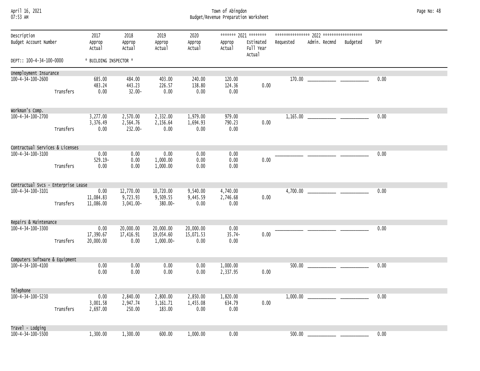| April 16, 2021 |  |
|----------------|--|
| 07.53 AM       |  |

April 16, 2021 Town of Abingdon Page No: 48 07:53 AM Budget/Revenue Preparation Worksheet

| Description<br>Budget Account Number |           | 2017<br>Approp<br>Actual       | 2018<br>Approp<br>Actual              | 2019<br>Approp<br>Actual            | 2020<br>Approp<br>Actual       | Approp<br>Actual             | ******* 2021 ********<br>Estimated<br>Full Year<br>Actual | Requested | Admin. Recmnd | Budgeted | %PY  |
|--------------------------------------|-----------|--------------------------------|---------------------------------------|-------------------------------------|--------------------------------|------------------------------|-----------------------------------------------------------|-----------|---------------|----------|------|
| DEPT:: 100-4-34-100-0000             |           | * BUILDING INSPECTOR *         |                                       |                                     |                                |                              |                                                           |           |               |          |      |
| Unemployment Insurance               |           |                                |                                       |                                     |                                |                              |                                                           |           |               |          |      |
| 100-4-34-100-2600                    | Transfers | 685.00<br>483.24<br>0.00       | 484.00<br>443.23<br>$32.00 -$         | 403.00<br>226.57<br>0.00            | 240.00<br>138.80<br>0.00       | 120,00<br>124.36<br>0.00     | 0.00                                                      |           | 170.00        |          | 0.00 |
|                                      |           |                                |                                       |                                     |                                |                              |                                                           |           |               |          |      |
| Workman's Comp.<br>100-4-34-100-2700 | Transfers | 3,277.00<br>3,376.49<br>0.00   | 2,570.00<br>2,564.76<br>232.00-       | 2,332.00<br>2,156.64<br>0.00        | 1,979.00<br>1,694.93<br>0.00   | 979.00<br>790.23<br>0.00     | 0.00                                                      |           |               |          | 0.00 |
|                                      |           |                                |                                       |                                     |                                |                              |                                                           |           |               |          |      |
| Contractual Services & Licenses      |           |                                |                                       |                                     |                                |                              |                                                           |           |               |          |      |
| 100-4-34-100-3100                    | Transfers | 0.00<br>529.19-<br>0.00        | 0.00<br>0.00<br>0.00                  | 0.00<br>1,000.00<br>1,000.00        | 0.00<br>0.00<br>0.00           | 0.00<br>0.00<br>0.00         | 0.00                                                      |           |               |          | 0.00 |
|                                      |           |                                |                                       |                                     |                                |                              |                                                           |           |               |          |      |
| Contractual Svcs - Enterprise Lease  |           |                                |                                       |                                     |                                |                              |                                                           |           |               |          |      |
| 100-4-34-100-3101                    | Transfers | 0.00<br>11,084.83<br>11,086.00 | 12,770.00<br>9,723.93<br>$3,041.00 -$ | 10,720.00<br>9,509.55<br>380.00-    | 9,540.00<br>9,445.59<br>0.00   | 4,740.00<br>2,746.68<br>0.00 | 0.00                                                      |           |               |          | 0.00 |
|                                      |           |                                |                                       |                                     |                                |                              |                                                           |           |               |          |      |
| Repairs & Maintenance                |           |                                |                                       |                                     |                                |                              |                                                           |           |               |          |      |
| 100-4-34-100-3300                    | Transfers | 0.00<br>17,390.67<br>20,000.00 | 20,000.00<br>17,416.91<br>0.00        | 20,000.00<br>19,054.60<br>1,000.00- | 20,000.00<br>15,071.53<br>0.00 | 0.00<br>$35.74 -$<br>0.00    | 0.00                                                      |           |               |          | 0.00 |
| Computers Software & Equipment       |           |                                |                                       |                                     |                                |                              |                                                           |           |               |          |      |
| 100-4-34-100-4100                    |           | 0.00<br>0.00                   | 0.00<br>0.00                          | 0.00<br>0.00                        | 0.00<br>0.00                   | 1,000.00<br>2,337.95         | 0.00                                                      |           |               |          | 0.00 |
| Telephone                            |           |                                |                                       |                                     |                                |                              |                                                           |           |               |          |      |
| 100-4-34-100-5230                    | Transfers | 0.00<br>3,001.58<br>2,697.00   | 2,840.00<br>2,947.74<br>250.00        | 2,800.00<br>3,161.71<br>183.00      | 2,850.00<br>1,455.08<br>0.00   | 1,820.00<br>634.79<br>0.00   | 0.00                                                      | 1,000.00  |               |          | 0.00 |
| Travel - Lodging                     |           |                                |                                       |                                     |                                |                              |                                                           |           |               |          |      |
| 100-4-34-100-5500                    |           | 1,300.00                       | 1,300.00                              | 600.00                              | 1,000.00                       | 0.00                         |                                                           | 500.00    |               |          | 0.00 |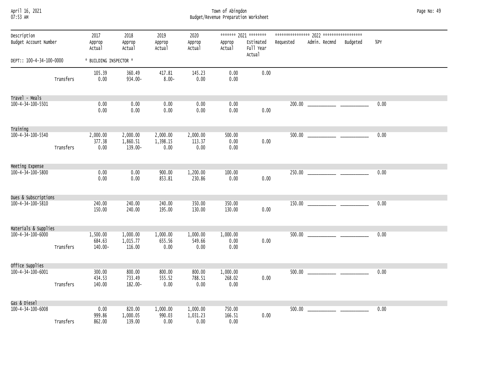| April 16, 2021 |  |
|----------------|--|
| 07.52 AM       |  |

April 16, 2021 Town of Abingdon Page No: 49 07:53 AM Budget/Revenue Preparation Worksheet

| Description<br>Budget Account Number |           | 2017<br>Approp<br>Actual         | 2018<br>Approp<br>Actual        | 2019<br>Approp<br>Actual     | 2020<br>Approp<br>Actual     | Approp<br>Actual           | ******* 2021 ********<br>Estimated<br>Full Year<br>Actual | Requested | Admin. Recmnd                                              | Budgeted | $%$ PY |  |
|--------------------------------------|-----------|----------------------------------|---------------------------------|------------------------------|------------------------------|----------------------------|-----------------------------------------------------------|-----------|------------------------------------------------------------|----------|--------|--|
| DEPT:: 100-4-34-100-0000             |           | * BUILDING INSPECTOR *           |                                 |                              |                              |                            |                                                           |           |                                                            |          |        |  |
|                                      | Transfers | 105.39<br>0.00                   | 360.49<br>934.00-               | 417.81<br>$8.00 -$           | 145.23<br>0.00               | 0.00<br>0.00               | 0.00                                                      |           |                                                            |          |        |  |
| Travel - Meals                       |           |                                  |                                 |                              |                              |                            |                                                           |           |                                                            |          |        |  |
| 100-4-34-100-5501                    |           | 0.00<br>0.00                     | 0.00<br>0.00                    | 0.00<br>0.00                 | 0.00<br>0.00                 | 0.00<br>0.00               | 0.00                                                      |           |                                                            |          | 0.00   |  |
| Training                             |           |                                  |                                 |                              |                              |                            |                                                           |           |                                                            |          |        |  |
| $100 - 4 - 34 - 100 - 5540$          | Transfers | 2,000.00<br>377.38<br>0.00       | 2,000.00<br>1,860.51<br>139.00- | 2,000.00<br>1,398.15<br>0.00 | 2,000.00<br>113.37<br>0.00   | 500.00<br>0.00<br>0.00     | 0.00                                                      |           |                                                            |          | 0.00   |  |
| Meeting Expense                      |           |                                  |                                 |                              |                              |                            |                                                           |           |                                                            |          |        |  |
| 100-4-34-100-5800                    |           | 0.00<br>0.00                     | 0.00<br>0.00                    | 900.00<br>853.81             | 1,200.00<br>230.86           | 100.00<br>0.00             | 0.00                                                      |           |                                                            |          | 0.00   |  |
| Dues & Subscriptions                 |           |                                  |                                 |                              |                              |                            |                                                           |           |                                                            |          |        |  |
| $100 - 4 - 34 - 100 - 5810$          |           | 240.00<br>150.00                 | 240.00<br>240.00                | 240.00<br>195.00             | 350.00<br>130.00             | 350.00<br>130.00           | 0.00                                                      |           | 150.00                                                     |          | 0.00   |  |
| Materials & Supplies                 |           |                                  |                                 |                              |                              |                            |                                                           |           |                                                            |          |        |  |
| $100 - 4 - 34 - 100 - 6000$          | Transfers | 1,500.00<br>684.63<br>$140.00 -$ | 1,000.00<br>1,015.77<br>116.00  | 1,000.00<br>655.56<br>0.00   | 1,000.00<br>549.66<br>0.00   | 1,000.00<br>0.00<br>0.00   | 0.00                                                      |           | $500.00$ $\qquad \qquad$                                   |          | 0.00   |  |
| Office Supplies                      |           |                                  |                                 |                              |                              |                            |                                                           |           |                                                            |          |        |  |
| 100-4-34-100-6001                    | Transfers | 300.00<br>434.53<br>140.00       | 800.00<br>733.49<br>182.00-     | 800.00<br>555.52<br>0.00     | 800.00<br>788.51<br>0.00     | 1,000.00<br>268.02<br>0.00 | 0.00                                                      | 500.00    | <u> 1989 - Johann Barn, mars ar breist fan de Fryske k</u> |          | 0.00   |  |
| Gas & Diesel                         |           |                                  |                                 |                              |                              |                            |                                                           |           |                                                            |          |        |  |
| 100-4-34-100-6008                    | Transfers | 0.00<br>999.86<br>862.00         | 820.00<br>1,000.05<br>139.00    | 1,000.00<br>990.03<br>0.00   | 1,000.00<br>1,031.23<br>0.00 | 750.00<br>166.51<br>0.00   | 0.00                                                      |           |                                                            |          | 0.00   |  |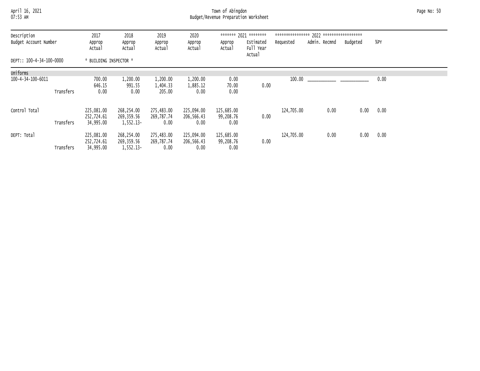April 16, 2021 Town of Abingdon Page No: 50 07:53 AM Budget/Revenue Preparation Worksheet

| Description<br>Budget Account Number | 2017<br>Approp<br>Actual | 2018<br>Approp<br>Actual  | 2019<br>Approp<br>Actual | 2020<br>Approp<br>Actual | Approp<br>Actual  | ******* 2021 ********<br>Estimated<br>Full Year | Requested  | Admin. Recmnd | Budgeted | %PY  |
|--------------------------------------|--------------------------|---------------------------|--------------------------|--------------------------|-------------------|-------------------------------------------------|------------|---------------|----------|------|
| DEPT:: 100-4-34-100-0000             | * BUILDING INSPECTOR *   |                           |                          |                          |                   | Actual                                          |            |               |          |      |
| Uniforms                             |                          |                           |                          |                          |                   |                                                 |            |               |          |      |
| 100-4-34-100-6011                    | 700.00<br>646.15         | 1,200.00<br>991.55        | 1,200.00<br>1,404.33     | 1,200.00<br>1,885.12     | 0.00<br>70.00     | 0.00                                            |            |               |          | 0.00 |
| Transfers                            | 0.00                     | 0.00                      | 205.00                   | 0.00                     | 0.00              |                                                 |            |               |          |      |
| Control Total                        | 225,081.00               | 268,254.00                | 275,483.00               | 225,094.00               | 125,685.00        |                                                 | 124,705.00 | 0.00          | 0.00     | 0.00 |
| Transfers                            | 252,724.61<br>34,995.00  | 269,359.56<br>1,552.13-   | 269,787.74<br>0.00       | 206,566.43<br>0.00       | 99,208.76<br>0.00 | 0.00                                            |            |               |          |      |
| DEPT: Total                          | 225,081.00               | 268,254.00                | 275,483.00               | 225,094.00               | 125,685.00        |                                                 | 124,705.00 | 0.00          | 0.00     | 0.00 |
| Transfers                            | 252,724.61<br>34,995.00  | 269,359.56<br>$1,552.13-$ | 269,787.74<br>0.00       | 206,566.43<br>0.00       | 99,208.76<br>0.00 | 0.00                                            |            |               |          |      |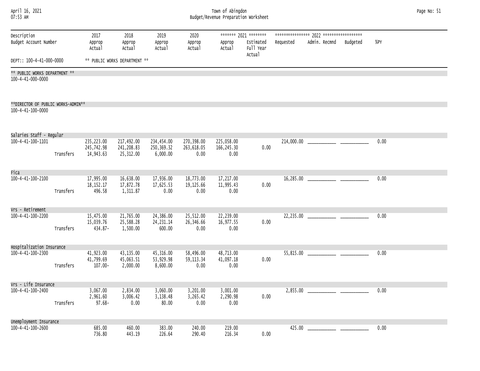| April 16, 2021<br>07:53 AM                              |           | Town of Abingdon<br>Budget/Revenue Preparation Worksheet |                                       |                                                                                                                                          |                                  |                                   |               |            |  |  |      |  |  |
|---------------------------------------------------------|-----------|----------------------------------------------------------|---------------------------------------|------------------------------------------------------------------------------------------------------------------------------------------|----------------------------------|-----------------------------------|---------------|------------|--|--|------|--|--|
| Description<br>Budget Account Number                    |           | 2017<br>Approp<br>Actual                                 | 2018<br>Approp<br>Actual              | ******* 2021 ********<br>2019<br>2020<br>Estimated<br>Requested<br>Approp<br>Approp<br>Approp<br>Full Year<br>Actual<br>Actual<br>Actual |                                  |                                   | Admin. Recmnd |            |  |  |      |  |  |
| DEPT:: 100-4-41-000-0000                                |           |                                                          | ** PUBLIC WORKS DEPARTMENT **         |                                                                                                                                          |                                  |                                   | Actual        |            |  |  |      |  |  |
| ** PUBLIC WORKS DEPARTMENT **<br>100-4-41-000-0000      |           |                                                          |                                       |                                                                                                                                          |                                  |                                   |               |            |  |  |      |  |  |
| **DIRECTOR OF PUBLIC WORKS-ADMIN**<br>100-4-41-100-0000 |           |                                                          |                                       |                                                                                                                                          |                                  |                                   |               |            |  |  |      |  |  |
| Salaries Staff - Regular                                |           |                                                          |                                       |                                                                                                                                          |                                  |                                   |               |            |  |  |      |  |  |
| 100-4-41-100-1101                                       | Transfers | 235,223.00<br>245,742.98<br>14,943.63                    | 217,492.00<br>241,208.83<br>25,312.00 | 234,454.00<br>250,369.32<br>6,000.00                                                                                                     | 270,398.00<br>263,618.05<br>0.00 | 225,058.00<br>166, 245.30<br>0.00 | 0.00          | 214,000.00 |  |  | 0.00 |  |  |
| Fica<br>$100 - 4 - 41 - 100 - 2100$                     | Transfers | 17,995.00<br>18, 152. 17<br>496.58                       | 16,638.00<br>17,872.78<br>1,311.87    | 17,936.00<br>17,625.53<br>0.00                                                                                                           | 18,773.00<br>19,125.66<br>0.00   | 17,217.00<br>11,995.43<br>0.00    | 0.00          | 16,285.00  |  |  | 0.00 |  |  |
| Vrs - Retirement<br>100-4-41-100-2200                   | Transfers | 15,475.00<br>15,039.76<br>434.87-                        | 21,765.00<br>25,588.28<br>1,500.00    | 24,386.00<br>24, 231. 14<br>600.00                                                                                                       | 25,512.00<br>26,346.66<br>0.00   | 22,239.00<br>16,977.55<br>0.00    | 0.00          | 22,235.00  |  |  | 0.00 |  |  |
| Hospitalization Insurance<br>100-4-41-100-2300          |           | 41,923.00                                                | 43,135.00                             | 45,316.00                                                                                                                                | 58,496.00                        | 48,713.00                         |               | 55,815.00  |  |  | 0.00 |  |  |
|                                                         | Transfers | 41,799.69<br>$107.00 -$                                  | 45,063.51<br>2,000.00                 | 53,929.98<br>8,600.00                                                                                                                    | 59, 113.34<br>0.00               | 41,097.18<br>0.00                 | 0.00          |            |  |  |      |  |  |
| Vrs - Life Insurance                                    |           |                                                          |                                       |                                                                                                                                          |                                  |                                   |               |            |  |  |      |  |  |
| $100 - 4 - 41 - 100 - 2400$                             | Transfers | 3,067.00<br>2,961.60<br>$97.68 -$                        | 2,834.00<br>3,006.42<br>0.00          | 3,060.00<br>3,138.48<br>80.00                                                                                                            | 3,201.00<br>3,265.42<br>0.00     | 3,001.00<br>2,290.98<br>0.00      | 0.00          | 2,855.00   |  |  | 0.00 |  |  |
| Unemployment Insurance                                  |           |                                                          |                                       |                                                                                                                                          |                                  |                                   |               |            |  |  |      |  |  |
| $100 - 4 - 41 - 100 - 2600$                             |           | 685.00<br>736.80                                         | 460.00<br>443.19                      | 383.00<br>226.64                                                                                                                         | 240.00<br>290.40                 | 219.00<br>216.34                  | 0.00          | 425.00     |  |  | 0.00 |  |  |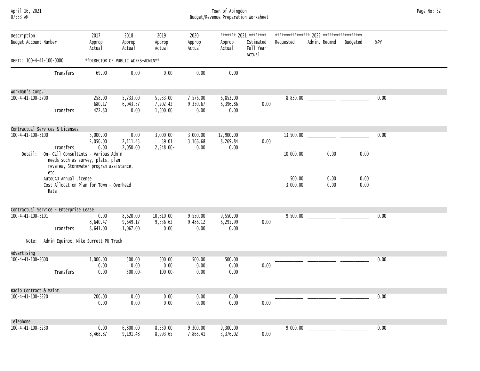### April 16, 2021 Town of Abingdon Page No: 52 07:53 AM Budget/Revenue Preparation Worksheet

| Description<br>Budget Account Number |                                                                                                                                     | 2017<br>Approp<br>Actual     | 2018<br>Approp<br>Actual           | 2019<br>Approp<br>Actual         | 2020<br>Approp<br>Actual     | Approp<br>Actual              | ******* 2021 ********<br>Estimated<br>Full Year<br>Actual | Requested          | Admin. Recmnd | Budgeted     | %PY  |
|--------------------------------------|-------------------------------------------------------------------------------------------------------------------------------------|------------------------------|------------------------------------|----------------------------------|------------------------------|-------------------------------|-----------------------------------------------------------|--------------------|---------------|--------------|------|
| DEPT:: 100-4-41-100-0000             |                                                                                                                                     |                              | **DIRECTOR OF PUBLIC WORKS-ADMIN** |                                  |                              |                               |                                                           |                    |               |              |      |
|                                      | Transfers                                                                                                                           | 69.00                        | 0.00                               | 0.00                             | 0.00                         | 0.00                          |                                                           |                    |               |              |      |
| Workman's Comp.                      |                                                                                                                                     |                              |                                    |                                  |                              |                               |                                                           |                    |               |              |      |
| 100-4-41-100-2700                    | Transfers                                                                                                                           | 258.00<br>680.17<br>422.80   | 5,733.00<br>6,043.57<br>0.00       | 5,933.00<br>7,202.42<br>1,500.00 | 7,576.00<br>9,350.67<br>0.00 | 6,853.00<br>6,396.86<br>0.00  | 0.00                                                      |                    |               |              | 0.00 |
|                                      | Contractual Services & Licenses                                                                                                     |                              |                                    |                                  |                              |                               |                                                           |                    |               |              |      |
| 100-4-41-100-3100                    | Transfers                                                                                                                           | 3,000.00<br>2,050.00<br>0.00 | 0.00<br>2,111.43<br>2,050.00       | 3,000.00<br>39.01<br>2,548.00-   | 3,000.00<br>3,166.68<br>0.00 | 12,900.00<br>8,269.84<br>0.00 | 0.00                                                      | 13,500.00          |               |              | 0.00 |
|                                      | Detail: On- Call Consultants - Various Admin<br>needs such as survey, plats, plan<br>reveiew, Stormwater program assistance,<br>etc |                              |                                    |                                  |                              |                               |                                                           | 10,000.00          | 0.00          | 0.00         |      |
|                                      | AutoCAD Annual License<br>Cost Allocation Plan for Town - Overhead<br>Rate                                                          |                              |                                    |                                  |                              |                               |                                                           | 500.00<br>3,000.00 | 0.00<br>0.00  | 0.00<br>0.00 |      |
|                                      | Contractual Service - Enterprise Lease                                                                                              |                              |                                    |                                  |                              |                               |                                                           |                    |               |              |      |
| 100-4-41-100-3101                    | Transfers                                                                                                                           | 0.00<br>8,640.47<br>8,641.00 | 8,620.00<br>9,649.17<br>1,067.00   | 10,610.00<br>9,536.62<br>0.00    | 9,550.00<br>9,486.12<br>0.00 | 9,550.00<br>6,295.99<br>0.00  | 0.00                                                      | 9,500.00           |               |              | 0.00 |
| Note:                                | Admin Equinox, Mike Surrett PU Truck                                                                                                |                              |                                    |                                  |                              |                               |                                                           |                    |               |              |      |
| Advertising                          |                                                                                                                                     |                              |                                    |                                  |                              |                               |                                                           |                    |               |              |      |
| 100-4-41-100-3600                    | Transfers                                                                                                                           | 1,000.00<br>0.00<br>0.00     | 500.00<br>0.00<br>$500.00 -$       | 500.00<br>0.00<br>$100.00 -$     | 500.00<br>0.00<br>0.00       | 500.00<br>0.00<br>0.00        | 0.00                                                      |                    |               |              | 0.00 |
| Radio Contract & Maint.              |                                                                                                                                     |                              |                                    |                                  |                              |                               |                                                           |                    |               |              |      |
| 100-4-41-100-5220                    |                                                                                                                                     | 200.00<br>0.00               | 0.00<br>0.00                       | 0.00<br>0.00                     | 0.00<br>0.00                 | 0.00<br>0.00                  | 0.00                                                      |                    |               |              | 0.00 |
| Telephone                            |                                                                                                                                     |                              |                                    |                                  |                              |                               |                                                           |                    |               |              |      |
| 100-4-41-100-5230                    |                                                                                                                                     | 0.00<br>8,468.87             | 6,800.00<br>9,191.48               | 8,530.00<br>8,993.65             | 9,300.00<br>7,865.41         | 9,300.00<br>3,376.02          | 0.00                                                      | 9,000.00           |               |              | 0.00 |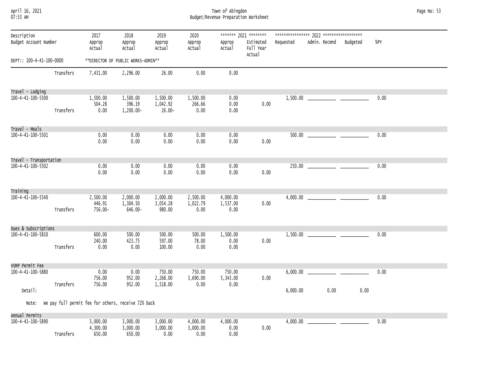| April 16, 2021  |  |
|-----------------|--|
| <b>N7.53 AM</b> |  |

# April 16, 2021 Town of Abingdon Page No: 53 07:53 AM Budget/Revenue Preparation Worksheet

| Description<br>Budget Account Number      |           | 2017<br>Approp<br>Actual                            | 2018<br>Approp<br>Actual           | 2019<br>Approp<br>Actual       | 2020<br>Approp<br>Actual     | Approp<br>Actual             | ******* 2021 ********<br>Estimated<br>Full Year<br>Actual | Requested | Admin. Recmnd | Budgeted | %PY  |
|-------------------------------------------|-----------|-----------------------------------------------------|------------------------------------|--------------------------------|------------------------------|------------------------------|-----------------------------------------------------------|-----------|---------------|----------|------|
| DEPT:: 100-4-41-100-0000                  |           |                                                     | **DIRECTOR OF PUBLIC WORKS-ADMIN** |                                |                              |                              |                                                           |           |               |          |      |
|                                           | Transfers | 7,431.00                                            | 2,296.00                           | 26.00                          | 0.00                         | 0.00                         |                                                           |           |               |          |      |
| Travel - Lodging                          |           |                                                     |                                    |                                |                              |                              |                                                           |           |               |          |      |
| 100-4-41-100-5500                         |           | 1,500.00                                            | 1,500.00                           | 1,500.00                       | 1,500.00                     | 0.00                         |                                                           |           |               |          | 0.00 |
|                                           | Transfers | 504.28<br>0.00                                      | 396.19<br>$1,200.00 -$             | 1,042.92<br>$26.00 -$          | 266.66<br>0.00               | 0.00<br>0.00                 | 0.00                                                      |           |               |          |      |
| Travel - Meals                            |           |                                                     |                                    |                                |                              |                              |                                                           |           |               |          |      |
| 100-4-41-100-5501                         |           | 0.00<br>0.00                                        | 0.00<br>0.00                       | 0.00<br>0.00                   | 0.00<br>0.00                 | 0.00<br>0.00                 | 0.00                                                      |           |               |          | 0.00 |
| Travel - Transportation                   |           |                                                     |                                    |                                |                              |                              |                                                           |           |               |          |      |
| 100-4-41-100-5502                         |           | 0.00<br>0.00                                        | 0.00<br>0.00                       | 0.00<br>0.00                   | 0.00<br>0.00                 | 0.00<br>0.00                 | 0.00                                                      |           |               |          | 0.00 |
| Training                                  |           |                                                     |                                    |                                |                              |                              |                                                           |           |               |          |      |
| $100 - 4 - 41 - 100 - 5540$               | Transfers | 2,500.00<br>446.91<br>756.00-                       | 2,000.00<br>1,304.50<br>646.00-    | 2,000.00<br>3,054.28<br>980.00 | 2,500.00<br>1,022.79<br>0.00 | 4,000.00<br>1,537.00<br>0.00 | 0.00                                                      |           |               |          | 0.00 |
|                                           |           |                                                     |                                    |                                |                              |                              |                                                           |           |               |          |      |
| Dues & Subscriptions<br>100-4-41-100-5810 |           | 600.00                                              | 500.00                             | 500.00                         | 500.00                       | 1,500.00                     |                                                           |           |               |          | 0.00 |
|                                           | Transfers | 240.00<br>0.00                                      | 423.75<br>0.00                     | 597.00<br>100.00               | 78.00<br>0.00                | 0.00<br>0.00                 | 0.00                                                      |           |               |          |      |
| VSMP Permit Fee                           |           |                                                     |                                    |                                |                              |                              |                                                           |           |               |          |      |
| 100-4-41-100-5880<br>Detail:              | Transfers | 0.00<br>756.00<br>756.00                            | 0.00<br>952.00<br>952.00           | 750.00<br>2,268.00<br>1,518.00 | 750.00<br>3,690.00<br>0.00   | 750.00<br>5,343.00<br>0.00   | 0.00                                                      | 6,000.00  | 0.00          | 0.00     | 0.00 |
| Note:                                     |           | We pay full permit fee for others, receive 72% back |                                    |                                |                              |                              |                                                           |           |               |          |      |
|                                           |           |                                                     |                                    |                                |                              |                              |                                                           |           |               |          |      |
| Annual Permits<br>100-4-41-100-5890       | Transfers | 3,000.00<br>4,300.00<br>650.00                      | 3,000.00<br>3,000.00<br>650.00     | 3,000.00<br>3,000.00<br>0.00   | 4,000.00<br>3,000.00<br>0.00 | 4,000.00<br>0.00<br>0.00     | 0.00                                                      |           |               |          | 0.00 |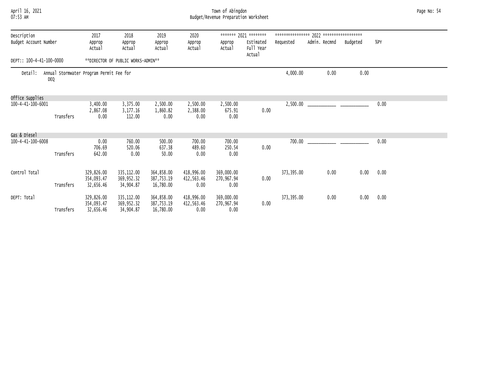| April 16, 2021 |  |
|----------------|--|
| 07.53 AM       |  |

# April 16, 2021 Town of Abingdon Page No: 54 07:53 AM Budget/Revenue Preparation Worksheet

| Description<br>Budget Account Number<br>DEPT:: 100-4-41-100-0000 |            | 2017<br>Approp<br>Actual                 | 2018<br>Approp<br>Actual              | 2019<br>Approp<br>Actual              | 2020<br>Approp<br>Actual         | Approp<br>Actual                 | ******* 2021 ********<br>Estimated<br>Full Year<br>Actual | Requested  | Admin. Recmnd | Budgeted | %PY  |  |
|------------------------------------------------------------------|------------|------------------------------------------|---------------------------------------|---------------------------------------|----------------------------------|----------------------------------|-----------------------------------------------------------|------------|---------------|----------|------|--|
|                                                                  |            |                                          | **DIRECTOR OF PUBLIC WORKS-ADMIN**    |                                       |                                  |                                  |                                                           |            |               |          |      |  |
| Detail:                                                          | <b>DEQ</b> | Annual Stormwater Program Permit Fee for |                                       |                                       |                                  |                                  |                                                           | 4,000.00   | 0.00          | 0.00     |      |  |
| Office Supplies                                                  |            |                                          |                                       |                                       |                                  |                                  |                                                           |            |               |          |      |  |
| 100-4-41-100-6001                                                | Transfers  | 3,400.00<br>2,867.08<br>0.00             | 3,375.00<br>3,177.16<br>112.00        | 2,500.00<br>1,860.82<br>0.00          | 2,500.00<br>2,388.00<br>0.00     | 2,500.00<br>675.91<br>0.00       | 0.00                                                      |            |               |          | 0.00 |  |
| Gas & Diesel                                                     |            |                                          |                                       |                                       |                                  |                                  |                                                           |            |               |          |      |  |
| 100-4-41-100-6008                                                | Transfers  | 0.00<br>706.69<br>642.00                 | 760.00<br>520.06<br>0.00              | 500.00<br>637.38<br>50.00             | 700.00<br>489.60<br>0.00         | 700.00<br>250.54<br>0.00         | 0.00                                                      |            |               |          | 0.00 |  |
| Control Total                                                    | Transfers  | 329,826.00<br>354,093.47<br>32,656.46    | 335,112.00<br>369,952.32<br>34,904.87 | 364,858.00<br>387,753.19<br>16,780.00 | 418,996.00<br>412,563.46<br>0.00 | 369,000.00<br>270,967.94<br>0.00 | 0.00                                                      | 373,395.00 | 0.00          | 0.00     | 0.00 |  |
| DEPT: Total                                                      | Transfers  | 329,826.00<br>354,093.47<br>32,656.46    | 335,112.00<br>369,952.32<br>34,904.87 | 364,858.00<br>387,753.19<br>16,780.00 | 418,996.00<br>412,563.46<br>0.00 | 369,000.00<br>270,967.94<br>0.00 | 0.00                                                      | 373,395.00 | 0.00          | 0.00     | 0.00 |  |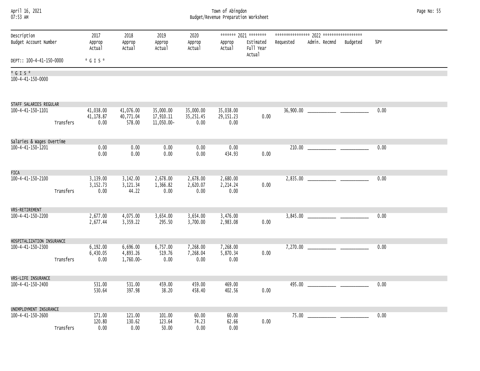| April 16, 2021<br>07:53 AM           |           | Town of Abingdon<br>Budget/Revenue Preparation Worksheet |                                   |                                      |                                |                                 |                                                           |                            |          |      |  |  |  |
|--------------------------------------|-----------|----------------------------------------------------------|-----------------------------------|--------------------------------------|--------------------------------|---------------------------------|-----------------------------------------------------------|----------------------------|----------|------|--|--|--|
| Description<br>Budget Account Number |           | 2017<br>Approp<br>Actual                                 | 2018<br>Approp<br>Actual          | 2019<br>Approp<br>Actual             | 2020<br>Approp<br>Actual       | Approp<br>Actual                | ******* 2021 ********<br>Estimated<br>Full Year<br>Actual | Admin. Recmnd<br>Requested | Budgeted | %PY  |  |  |  |
| DEPT:: 100-4-41-150-0000             |           | $*$ G I S $*$                                            |                                   |                                      |                                |                                 |                                                           |                            |          |      |  |  |  |
| * G I S *<br>100-4-41-150-0000       |           |                                                          |                                   |                                      |                                |                                 |                                                           |                            |          |      |  |  |  |
| STAFF SALARIES REGULAR               |           |                                                          |                                   |                                      |                                |                                 |                                                           |                            |          |      |  |  |  |
| 100-4-41-150-1101                    | Transfers | 41,038.00<br>41, 178.87<br>0.00                          | 41,076.00<br>40,771.04<br>578.00  | 35,000.00<br>17,910.11<br>11,050.00- | 35,000.00<br>35,251.45<br>0.00 | 35,038.00<br>29, 151.23<br>0.00 | 0.00                                                      |                            |          | 0.00 |  |  |  |
| Salaries & Wages Overtime            |           |                                                          |                                   |                                      |                                |                                 |                                                           | 210.00                     |          | 0.00 |  |  |  |
| 100-4-41-150-1201                    |           | 0.00<br>0.00                                             | 0.00<br>0.00                      | 0.00<br>0.00                         | 0.00<br>0.00                   | 0.00<br>434.93                  | 0.00                                                      |                            |          |      |  |  |  |
| <b>FICA</b>                          |           |                                                          |                                   |                                      |                                |                                 |                                                           |                            |          |      |  |  |  |
| 100-4-41-150-2100                    | Transfers | 3,139.00<br>3,152.73<br>0.00                             | 3,142.00<br>3,121.34<br>44.22     | 2,678.00<br>1,366.82<br>0.00         | 2,678.00<br>2,620.07<br>0.00   | 2,680.00<br>2,214.24<br>0.00    | 0.00                                                      |                            |          | 0.00 |  |  |  |
| VRS-RETIREMENT                       |           |                                                          |                                   |                                      |                                |                                 |                                                           |                            |          |      |  |  |  |
| 100-4-41-150-2200                    |           | 2,677.00<br>2,677.44                                     | 4,075.00<br>3,359.22              | 3,654.00<br>295.50                   | 3,654.00<br>3,700.00           | 3,476.00<br>2,983.08            | 0.00                                                      |                            |          | 0.00 |  |  |  |
| HOSPITALIZATION INSURANCE            |           |                                                          |                                   |                                      |                                |                                 |                                                           |                            |          |      |  |  |  |
| 100-4-41-150-2300                    | Transfers | 6,192.00<br>6,430.05<br>0.00                             | 6,696.00<br>4,893.26<br>1,760.00- | 6,757.00<br>519.76<br>0.00           | 7,268.00<br>7,268.04<br>0.00   | 7,268.00<br>5,870.34<br>0.00    | 0.00                                                      |                            |          | 0.00 |  |  |  |
| VRS-LIFE INSURANCE                   |           |                                                          |                                   |                                      |                                |                                 |                                                           |                            |          |      |  |  |  |
| 100-4-41-150-2400                    |           | 531.00<br>530.64                                         | 531.00<br>397.98                  | 459.00<br>38.20                      | 459.00<br>458.40               | 469.00<br>402.56                | 0.00                                                      |                            |          | 0.00 |  |  |  |
| UNEMPLOYMENT INSURANCE               |           |                                                          |                                   |                                      |                                |                                 |                                                           |                            |          |      |  |  |  |
| 100-4-41-150-2600                    | Transfers | 171.00<br>120.80<br>0.00                                 | 121.00<br>130.62<br>0.00          | 101.00<br>123.64<br>50.00            | 60.00<br>74.23<br>0.00         | 60.00<br>62.66<br>0.00          | 0.00                                                      |                            |          | 0.00 |  |  |  |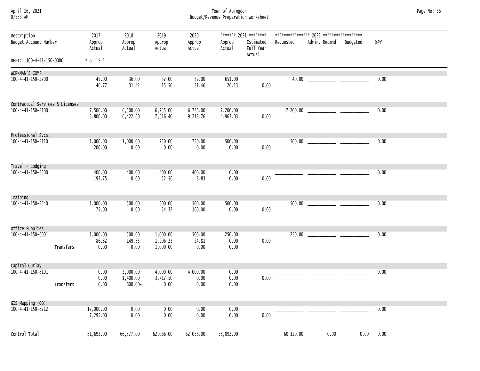| April 16, 2021 |  |
|----------------|--|
| 07.52 AM       |  |

April 16, 2021 Town of Abingdon Page No: 56 07:53 AM Budget/Revenue Preparation Worksheet

| Description<br>Budget Account Number |           | 2017<br>Approp<br>Actual  | 2018<br>Approp<br>Actual           | 2019<br>Approp<br>Actual         | 2020<br>Approp<br>Actual | Approp<br>Actual       | ******* 2021 ********<br>Estimated<br>Full Year<br>Actual | Requested | Admin. Recmnd | Budgeted | %PY  |  |
|--------------------------------------|-----------|---------------------------|------------------------------------|----------------------------------|--------------------------|------------------------|-----------------------------------------------------------|-----------|---------------|----------|------|--|
| DEPT:: 100-4-41-150-0000             |           | $*$ G I S $*$             |                                    |                                  |                          |                        |                                                           |           |               |          |      |  |
| WORKMAN'S COMP                       |           |                           |                                    |                                  |                          |                        |                                                           |           |               |          |      |  |
| 100-4-41-150-2700                    |           | 45.00<br>46.77            | 36.00<br>31.42                     | 32.00<br>15.50                   | 32.00<br>31.46           | 651.00<br>26.13        | 0.00                                                      |           |               |          | 0.00 |  |
| Contractual Services & Licenses      |           |                           |                                    |                                  |                          |                        |                                                           |           |               |          |      |  |
| 100-4-41-150-3100                    |           | 7,500.00<br>5,800.00      | 6,500.00<br>6,422.60               | 6,735.00<br>7,616.40             | 6,735.00<br>9,218.76     | 7,200.00<br>4,963.03   | 0.00                                                      |           |               |          | 0.00 |  |
| Professional Svcs.                   |           |                           |                                    |                                  |                          |                        |                                                           |           |               |          |      |  |
| 100-4-41-150-3110                    |           | 1,000.00<br>200.00        | 1,000.00<br>0.00                   | 750.00<br>0.00                   | 750.00<br>0.00           | 500.00<br>0.00         | 0.00                                                      | 500.00    |               |          | 0.00 |  |
| Travel - Lodging                     |           |                           |                                    |                                  |                          |                        |                                                           |           |               |          |      |  |
| 100-4-41-150-5500                    |           | 400.00<br>193.75          | 400.00<br>0.00                     | 400.00<br>52.56                  | 400.00<br>8.83           | 0.00<br>0.00           | 0.00                                                      |           |               |          | 0.00 |  |
| Training                             |           |                           |                                    |                                  |                          |                        |                                                           |           |               |          |      |  |
| $100 - 4 - 41 - 150 - 5540$          |           | 1,000.00<br>75.00         | 500.00<br>0.00                     | 500.00<br>34.32                  | 500.00<br>160.00         | 500.00<br>0.00         | 0.00                                                      | 500.00    |               |          | 0.00 |  |
| Office Supplies                      |           |                           |                                    |                                  |                          |                        |                                                           |           |               |          |      |  |
| 100-4-41-150-6001                    | Transfers | 1,000.00<br>86.82<br>0.00 | 500.00<br>149.85<br>0.00           | 1,000.00<br>1,906.23<br>1,000.00 | 500.00<br>24.81<br>0.00  | 250.00<br>0.00<br>0.00 | 0.00                                                      |           |               |          | 0.00 |  |
| Capital Outlay                       |           |                           |                                    |                                  |                          |                        |                                                           |           |               |          |      |  |
| 100-4-41-150-8101                    | Transfers | 0.00<br>0.00<br>0.00      | 2,000.00<br>1,400.00<br>$600.00 -$ | 4,000.00<br>3,717.50<br>0.00     | 4,000.00<br>0.00<br>0.00 | 0.00<br>0.00<br>0.00   | 0.00                                                      |           |               |          | 0.00 |  |
| GIS Mapping (CO)                     |           |                           |                                    |                                  |                          |                        |                                                           |           |               |          |      |  |
| 100-4-41-150-8212                    |           | 17,000.00<br>7,295.00     | 0.00<br>0.00                       | 0.00<br>0.00                     | 0.00<br>0.00             | 0.00<br>0.00           | 0.00                                                      |           |               |          | 0.00 |  |
| Control Total                        |           | 81,693.00                 | 66,577.00                          | 62,066.00                        | 62,036.00                | 58,092.00              |                                                           | 60,120.00 | 0.00          | 0.00     | 0.00 |  |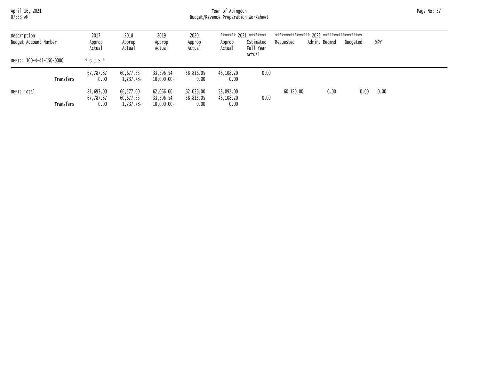April 16, 2021 Town of Abingdon Page No: 57 07:53 AM Budget/Revenue Preparation Worksheet

| Description<br>Budget Account Number<br>DEPT:: 100-4-41-150-0000 |           | 2017<br>Approp<br>Actual       | 2018<br>Approp<br>Actual            | 2019<br>Approp<br>Actual                | 2020<br>Approp<br>Actual       | Approp<br>Actual               | ******* 2021 ********<br>Estimated<br>Full Year<br>Actual | Requested | Admin. Recmnd | Budgeted | %PY  |
|------------------------------------------------------------------|-----------|--------------------------------|-------------------------------------|-----------------------------------------|--------------------------------|--------------------------------|-----------------------------------------------------------|-----------|---------------|----------|------|
|                                                                  |           | $*$ G I S $*$                  |                                     |                                         |                                |                                |                                                           |           |               |          |      |
|                                                                  | Transfers | 67,787.87<br>0.00              | 60,677.33<br>1,737.78-              | 33,596.54<br>$10,000.00 -$              | 58,816.05<br>0.00              | 46,108.20<br>0.00              | 0.00                                                      |           |               |          |      |
| DEPT: Total                                                      | Transfers | 81,693.00<br>67,787.87<br>0.00 | 66,577.00<br>60,677.33<br>1,737.78- | 62,066.00<br>33,596.54<br>$10,000.00 -$ | 62,036.00<br>58,816.05<br>0.00 | 58,092.00<br>46,108.20<br>0.00 | 0.00                                                      | 60,120.00 | 0.00          | 0.00     | 0.00 |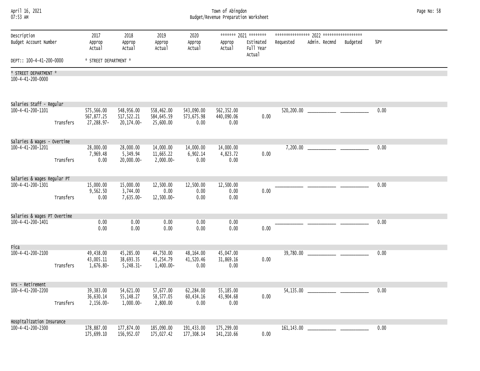| April 16, 2021<br>07:53 AM                     |           |                                                                                                                                                                                                                                         | Page No: 58                             |                                        |                                  |                                  |      |                   |  |      |  |
|------------------------------------------------|-----------|-----------------------------------------------------------------------------------------------------------------------------------------------------------------------------------------------------------------------------------------|-----------------------------------------|----------------------------------------|----------------------------------|----------------------------------|------|-------------------|--|------|--|
| Description<br>Budget Account Number           |           | ******* 2021 ********<br>2017<br>2018<br>2019<br>2020<br>Admin. Recmnd<br>Budgeted<br>Estimated<br>Approp<br>Approp<br>Approp<br>Requested<br>Approp<br>Approp<br>Full Year<br>Actual<br>Actual<br>Actual<br>Actual<br>Actual<br>Actual |                                         |                                        |                                  |                                  |      | %PY               |  |      |  |
| DEPT:: 100-4-41-200-0000                       |           | * STREET DEPARTMENT *                                                                                                                                                                                                                   |                                         |                                        |                                  |                                  |      |                   |  |      |  |
| * STREET DEPARTMENT *<br>100-4-41-200-0000     |           |                                                                                                                                                                                                                                         |                                         |                                        |                                  |                                  |      |                   |  |      |  |
| Salaries Staff - Regular                       |           |                                                                                                                                                                                                                                         |                                         |                                        |                                  |                                  |      |                   |  |      |  |
| 100-4-41-200-1101                              | Transfers | 575,566.00<br>567,877.25<br>27,288.97-                                                                                                                                                                                                  | 548,956.00<br>517, 522.21<br>20,174.00- | 558,462.00<br>584,645.59<br>25,600.00  | 543,090.00<br>573,675.98<br>0.00 | 562,352.00<br>440,090.06<br>0.00 | 0.00 | 520,200.00        |  | 0.00 |  |
| Salaries & Wages - Overtime                    |           |                                                                                                                                                                                                                                         |                                         |                                        |                                  |                                  |      |                   |  |      |  |
| 100-4-41-200-1201                              | Transfers | 28,000.00<br>7,969.48<br>0.00                                                                                                                                                                                                           | 28,000.00<br>5,349.94<br>20,000.00-     | 14,000.00<br>11,665.22<br>$2,000.00 -$ | 14,000.00<br>6,902.14<br>0.00    | 14,000.00<br>4,823.72<br>0.00    | 0.00 | $7,200.00$ $\Box$ |  | 0.00 |  |
|                                                |           |                                                                                                                                                                                                                                         |                                         |                                        |                                  |                                  |      |                   |  |      |  |
| Salaries & Wages Regular PT                    |           |                                                                                                                                                                                                                                         |                                         |                                        |                                  |                                  |      |                   |  |      |  |
| 100-4-41-200-1301                              | Transfers | 15,000.00<br>9,562.50<br>0.00                                                                                                                                                                                                           | 15,000.00<br>3,744.00<br>7,635.00-      | 12,500.00<br>0.00<br>12,500.00-        | 12,500.00<br>0.00<br>0.00        | 12,500.00<br>0.00<br>0.00        | 0.00 |                   |  | 0.00 |  |
| Salaries & Wages PT Overtime                   |           |                                                                                                                                                                                                                                         |                                         |                                        |                                  |                                  |      |                   |  |      |  |
| 100-4-41-200-1401                              |           | 0.00<br>0.00                                                                                                                                                                                                                            | 0.00<br>0.00                            | 0.00<br>0.00                           | 0.00<br>0.00                     | 0.00<br>0.00                     | 0.00 |                   |  | 0.00 |  |
| Fica                                           |           |                                                                                                                                                                                                                                         |                                         |                                        |                                  |                                  |      |                   |  |      |  |
| 100-4-41-200-2100                              | Transfers | 49,438.00<br>43,005.11<br>1,676.80-                                                                                                                                                                                                     | 45,285.00<br>38,693.35<br>5,248.31-     | 44,750.00<br>43,254.79<br>1,400.00-    | 48,164.00<br>41,520.46<br>0.00   | 45,047.00<br>31,869.16<br>0.00   | 0.00 | 39,780.00         |  | 0.00 |  |
| Vrs - Retirement                               |           |                                                                                                                                                                                                                                         |                                         |                                        |                                  |                                  |      |                   |  |      |  |
| 100-4-41-200-2200                              | Transfers | 39,383.00<br>36,630.14<br>$2,156.00 -$                                                                                                                                                                                                  | 54,621.00<br>55, 148.27<br>$1,000.00-$  | 57,677.00<br>58,577.05<br>2,800.00     | 62,284.00<br>60,434.16<br>0.00   | 55,185.00<br>43,904.68<br>0.00   | 0.00 | 54,135.00         |  | 0.00 |  |
|                                                |           |                                                                                                                                                                                                                                         |                                         |                                        |                                  |                                  |      |                   |  |      |  |
| Hospitalization Insurance<br>100-4-41-200-2300 |           | 178,887.00                                                                                                                                                                                                                              | 177,874.00                              | 185,090.00                             | 191,433.00                       | 175,299.00                       |      | 161, 143.00       |  | 0.00 |  |
|                                                |           | 175,699.10                                                                                                                                                                                                                              | 156,952.07                              | 175,027.42                             | 177,308.14                       | 141,210.66                       | 0.00 |                   |  |      |  |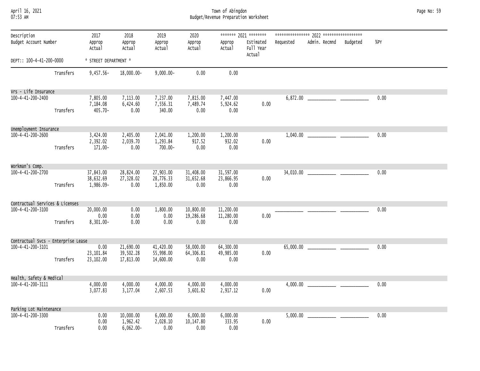| April 16, 2021<br>07:53 AM           |           | Town of Abingdon<br>Budget/Revenue Preparation Worksheet |                                       |                                     |                                |                                |                                                           |                                  |  |      |  |  |  |  |
|--------------------------------------|-----------|----------------------------------------------------------|---------------------------------------|-------------------------------------|--------------------------------|--------------------------------|-----------------------------------------------------------|----------------------------------|--|------|--|--|--|--|
| Description<br>Budget Account Number |           | 2017<br>Approp<br>Actual                                 | 2018<br>Approp<br>Actual              | 2019<br>Approp<br>Actual            | 2020<br>Approp<br>Actual       | Approp<br>Actual               | ******* 2021 ********<br>Estimated<br>Full Year<br>Actual | Requested Admin. Recmnd Budgeted |  | %PY  |  |  |  |  |
| DEPT:: 100-4-41-200-0000             |           | * STREET DEPARTMENT *                                    |                                       |                                     |                                |                                |                                                           |                                  |  |      |  |  |  |  |
|                                      | Transfers | $9,457.56 -$                                             | 18,000.00-                            | $9,000.00 -$                        | 0.00                           | 0.00                           |                                                           |                                  |  |      |  |  |  |  |
| Vrs - Life Insurance                 |           |                                                          |                                       |                                     |                                |                                |                                                           |                                  |  |      |  |  |  |  |
| 100-4-41-200-2400                    | Transfers | 7,805.00<br>7,184.08<br>$405.70 -$                       | 7,113.00<br>6,424.60<br>0.00          | 7,237.00<br>7,556.31<br>340.00      | 7,815.00<br>7,489.74<br>0.00   | 7,447.00<br>5,924.62<br>0.00   | 0.00                                                      |                                  |  | 0.00 |  |  |  |  |
| Unemployment Insurance               |           |                                                          |                                       |                                     |                                |                                |                                                           |                                  |  |      |  |  |  |  |
| 100-4-41-200-2600                    | Transfers | 3,424.00<br>2,392.02<br>171.00-                          | 2,405.00<br>2,039.70<br>0.00          | 2,041.00<br>1,293.84<br>700.00-     | 1,200.00<br>917.52<br>0.00     | 1,200.00<br>932.02<br>0.00     | 0.00                                                      |                                  |  | 0.00 |  |  |  |  |
| Workman's Comp.                      |           |                                                          |                                       |                                     |                                |                                |                                                           |                                  |  |      |  |  |  |  |
| 100-4-41-200-2700                    | Transfers | 37,843.00<br>38,632.69<br>1,986.09-                      | 28,824.00<br>27,328.02<br>0.00        | 27,903.00<br>28,776.33<br>1,850.00  | 31,408.00<br>31,652.68<br>0.00 | 31,597.00<br>23,866.95<br>0.00 | 0.00                                                      |                                  |  | 0.00 |  |  |  |  |
| Contractual Services & Licenses      |           |                                                          |                                       |                                     |                                |                                |                                                           |                                  |  |      |  |  |  |  |
| 100-4-41-200-3100                    | Transfers | 20,000.00<br>0.00<br>8,301.00-                           | 0.00<br>0.00<br>0.00                  | 1,800.00<br>0.00<br>0.00            | 10,800.00<br>19,286.68<br>0.00 | 11,200.00<br>11,280.00<br>0.00 | 0.00                                                      |                                  |  | 0.00 |  |  |  |  |
| Contractual Svcs - Enterprise Lease  |           |                                                          |                                       |                                     |                                |                                |                                                           |                                  |  |      |  |  |  |  |
| 100-4-41-200-3101                    | Transfers | 0.00<br>23, 101.84<br>23,102.00                          | 21,690.00<br>39,502.28<br>17,813.00   | 41,420.00<br>55,998.00<br>14,600.00 | 58,000.00<br>64,306.81<br>0.00 | 64,300.00<br>49,985.00<br>0.00 | 0.00                                                      |                                  |  | 0.00 |  |  |  |  |
| Health, Safety & Medical             |           |                                                          |                                       |                                     |                                |                                |                                                           |                                  |  |      |  |  |  |  |
| 100-4-41-200-3111                    |           | 4,000.00<br>3,077.83                                     | 4,000.00<br>3,177.04                  | 4,000.00<br>2,607.53                | 4,000.00<br>3,601.82           | 4,000.00<br>2,917.12           | 0.00                                                      |                                  |  | 0.00 |  |  |  |  |
| Parking Lot Maintenance              |           |                                                          |                                       |                                     |                                |                                |                                                           |                                  |  |      |  |  |  |  |
| 100-4-41-200-3300                    | Transfers | 0.00<br>0.00<br>0.00                                     | 10,000.00<br>1,962.42<br>$6,062.00 -$ | 6,000.00<br>2,028.10<br>0.00        | 6,000.00<br>10,147.80<br>0.00  | 6,000.00<br>333.95<br>0.00     | 0.00                                                      |                                  |  | 0.00 |  |  |  |  |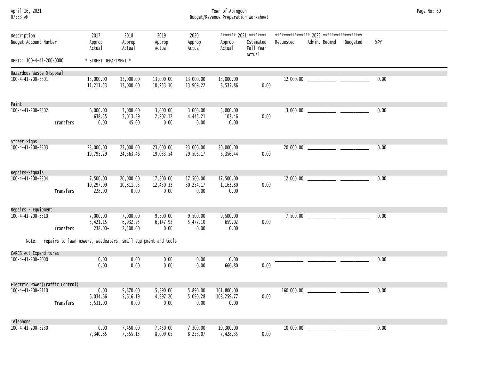| April 16, 2021<br>07:53 AM           |           | Town of Abingdon<br>Budget/Revenue Preparation Worksheet            |                                  |                                |                                |                                  |                                                           |            |                        |  |      |  |  |  |
|--------------------------------------|-----------|---------------------------------------------------------------------|----------------------------------|--------------------------------|--------------------------------|----------------------------------|-----------------------------------------------------------|------------|------------------------|--|------|--|--|--|
| Description<br>Budget Account Number |           | 2017<br>Approp<br>Actual                                            | 2018<br>Approp<br>Actual         | 2019<br>Approp<br>Actual       | 2020<br>Approp<br>Actual       | Approp<br>Actual                 | ******* 2021 ********<br>Estimated<br>Full Year<br>Actual | Requested  | Admin. Recmnd Budgeted |  | %PY  |  |  |  |
| DEPT:: 100-4-41-200-0000             |           | * STREET DEPARTMENT *                                               |                                  |                                |                                |                                  |                                                           |            |                        |  |      |  |  |  |
| Hazardous Waste Disposal             |           |                                                                     |                                  |                                |                                |                                  |                                                           |            |                        |  |      |  |  |  |
| 100-4-41-200-3301                    |           | 13,000.00<br>11,211.53                                              | 13,000.00<br>13,000.00           | 13,000.00<br>10,753.10         | 13,000.00<br>13,909.22         | 13,000.00<br>8,535.86            | 0.00                                                      |            |                        |  | 0.00 |  |  |  |
| Paint                                |           |                                                                     |                                  |                                |                                |                                  |                                                           |            |                        |  |      |  |  |  |
| 100-4-41-200-3302                    | Transfers | 6,000.00<br>638.55<br>0.00                                          | 3,000.00<br>3,013.39<br>45.00    | 3,000.00<br>2,902.12<br>0.00   | 3,000.00<br>4,445.21<br>0.00   | 3,000.00<br>103.46<br>0.00       | 0.00                                                      |            |                        |  | 0.00 |  |  |  |
| Street Signs                         |           |                                                                     |                                  |                                |                                |                                  |                                                           |            |                        |  |      |  |  |  |
| 100-4-41-200-3303                    |           | 23,000.00<br>19,795.29                                              | 23,000.00<br>24, 363.46          | 23,000.00<br>19,033.54         | 23,000.00<br>29,506.17         | 30,000.00<br>6,356.44            | 0.00                                                      |            |                        |  | 0.00 |  |  |  |
| Repairs-Signals                      |           |                                                                     |                                  |                                |                                |                                  |                                                           |            |                        |  |      |  |  |  |
| 100-4-41-200-3304                    | Transfers | 7,500.00<br>10,297.09<br>228.00                                     | 20,000.00<br>10,811.93<br>0.00   | 17,500.00<br>12,430.33<br>0.00 | 17,500.00<br>30,254.17<br>0.00 | 17,500.00<br>1,163.80<br>0.00    | 0.00                                                      |            |                        |  | 0.00 |  |  |  |
| Repairs - Equipment                  |           |                                                                     |                                  |                                |                                |                                  |                                                           |            |                        |  |      |  |  |  |
| 100-4-41-200-3310                    | Transfers | 7,000.00<br>5,421.15<br>238.00-                                     | 7,000.00<br>6,932.25<br>2,500.00 | 9,500.00<br>6,147.93<br>0.00   | 9,500.00<br>5,477.10<br>0.00   | 9,500.00<br>659.02<br>0.00       | 0.00                                                      |            |                        |  | 0.00 |  |  |  |
|                                      |           | Note: repairs to lawn mowers, weedeaters, small equipment and tools |                                  |                                |                                |                                  |                                                           |            |                        |  |      |  |  |  |
| CARES Act Expenditures               |           |                                                                     |                                  |                                |                                |                                  |                                                           |            |                        |  |      |  |  |  |
| 100-4-41-200-5000                    |           | 0.00<br>0.00                                                        | 0.00<br>0.00                     | 0.00<br>0.00                   | 0.00<br>0.00                   | 0.00<br>666.80                   | 0.00                                                      |            |                        |  | 0.00 |  |  |  |
| Electric Power(Traffic Control)      |           |                                                                     |                                  |                                |                                |                                  |                                                           |            |                        |  |      |  |  |  |
| 100-4-41-200-5110                    | Transfers | 0.00<br>6,034.66<br>5,531.00                                        | 9,870.00<br>5,616.19<br>0.00     | 5,890.00<br>4,997.20<br>0.00   | 5,890.00<br>5,090.28<br>0.00   | 161,800.00<br>108,259.77<br>0.00 | 0.00                                                      | 160,000.00 |                        |  | 0.00 |  |  |  |
|                                      |           |                                                                     |                                  |                                |                                |                                  |                                                           |            |                        |  |      |  |  |  |
| Telephone                            |           |                                                                     |                                  |                                |                                |                                  |                                                           |            |                        |  |      |  |  |  |
| 100-4-41-200-5230                    |           | 0.00<br>7,340.85                                                    | 7,450.00<br>7,355.15             | 7,450.00<br>8,009.05           | 7,300.00<br>8,253.07           | 10,300.00<br>7,428.35            | 0.00                                                      | 10,000.00  |                        |  | 0.00 |  |  |  |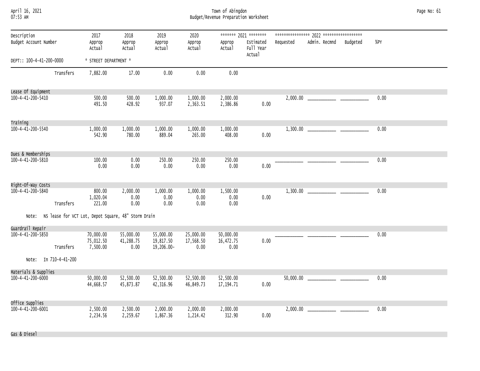| April 16, 2021<br>07:53 AM                |                 |                                    |                                                     |                                      |                                | Town of Abingdon<br>Budget/Revenue Preparation Worksheet |                                                           |                            |          |        | Page No: 61 |
|-------------------------------------------|-----------------|------------------------------------|-----------------------------------------------------|--------------------------------------|--------------------------------|----------------------------------------------------------|-----------------------------------------------------------|----------------------------|----------|--------|-------------|
| Description<br>Budget Account Number      |                 | 2017<br>Approp<br>Actual           | 2018<br>Approp<br>Actual                            | 2019<br>Approp<br>Actual             | 2020<br>Approp<br>Actual       | Approp<br>Actual                                         | ******* 2021 ********<br>Estimated<br>Full Year<br>Actual | Admin. Recmnd<br>Requested | Budgeted | $%$ PY |             |
| DEPT:: 100-4-41-200-0000                  |                 | * STREET DEPARTMENT *              |                                                     |                                      |                                |                                                          |                                                           |                            |          |        |             |
|                                           | Transfers       | 7,882.00                           | 17.00                                               | 0.00                                 | 0.00                           | 0.00                                                     |                                                           |                            |          |        |             |
| Lease Of Equipment<br>100-4-41-200-5410   |                 | 500.00<br>491.50                   | 500.00<br>428.92                                    | 1,000.00<br>937.07                   | 1,000.00<br>2,363.51           | 2,000.00<br>2,386.86                                     | 0.00                                                      | 2,000.00                   |          | 0.00   |             |
| Training<br>100-4-41-200-5540             |                 | 1,000.00<br>542.90                 | 1,000.00<br>780.00                                  | 1,000.00<br>889.04                   | 1,000.00<br>265.00             | 1,000.00<br>408.00                                       | 0.00                                                      | 1,300.00                   |          | 0.00   |             |
| Dues & Memberships<br>100-4-41-200-5810   |                 | 100.00<br>0.00                     | 0.00<br>0.00                                        | 250.00<br>0.00                       | 250.00<br>0.00                 | 250.00<br>0.00                                           | 0.00                                                      |                            |          | 0.00   |             |
| Right-Of-Way Costs<br>100-4-41-200-5840   | Transfers       | 800.00<br>1,020.04<br>221.00       | 2,000.00<br>0.00<br>0.00                            | 1,000.00<br>0.00<br>0.00             | 1,000.00<br>0.00<br>0.00       | 1,500.00<br>0.00<br>0.00                                 | 0.00                                                      | 1,300.00                   |          | 0.00   |             |
| Note:                                     |                 |                                    | NS lease for VCT Lot, Depot Square, 48" Storm Drain |                                      |                                |                                                          |                                                           |                            |          |        |             |
| Guardrail Repair<br>100-4-41-200-5850     | Transfers       | 70,000.00<br>75,012.50<br>7,500.00 | 55,000.00<br>41,288.75<br>0.00                      | 55,000.00<br>19,817.50<br>19,206.00- | 25,000.00<br>17,568.50<br>0.00 | 50,000.00<br>16,472.75<br>0.00                           | 0.00                                                      |                            |          | 0.00   |             |
| Note:                                     | In 710-4-41-200 |                                    |                                                     |                                      |                                |                                                          |                                                           |                            |          |        |             |
| Materials & Supplies<br>100-4-41-200-6000 |                 | 50,000.00<br>44,668.57             | 52,500.00<br>45,873.87                              | 52,500.00<br>42,316.96               | 52,500.00<br>46,849.73         | 52,500.00<br>17, 194. 71                                 | 0.00                                                      | 50,000.00                  |          | 0.00   |             |
| Office Supplies<br>100-4-41-200-6001      |                 | 2,500.00<br>2,234.56               | 2,500.00<br>2,259.67                                | 2,000.00<br>1,867.36                 | 2,000.00<br>1,214.42           | 2,000.00<br>312.90                                       | 0.00                                                      | 2,000.00                   |          | 0.00   |             |

Gas & Diesel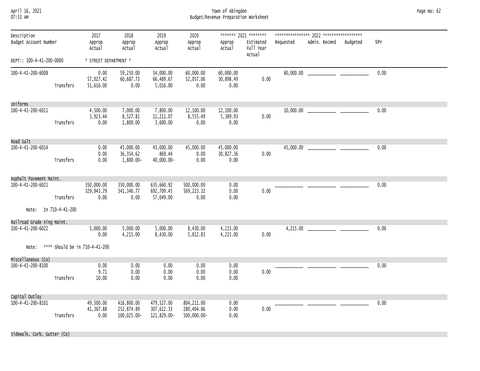| April 16, 2021  |  |
|-----------------|--|
| <b>N7.52 AM</b> |  |

April 16, 2021 Town of Abingdon Page No: 62 07:53 AM Budget/Revenue Preparation Worksheet

| Description                |                                | 2017                             | 2018                                    | 2019                                    | 2020                                     |                                | ******* 2021 ********            |           |               |          |      |
|----------------------------|--------------------------------|----------------------------------|-----------------------------------------|-----------------------------------------|------------------------------------------|--------------------------------|----------------------------------|-----------|---------------|----------|------|
| Budget Account Number      |                                | Approp<br>Actual                 | Approp<br>Actual                        | Approp<br>Actual                        | Approp<br>Actual                         | Approp<br>Actual               | Estimated<br>Full Year<br>Actual | Requested | Admin. Recmnd | Budgeted | %PY  |
| DEPT:: 100-4-41-200-0000   |                                | * STREET DEPARTMENT *            |                                         |                                         |                                          |                                |                                  |           |               |          |      |
| 100-4-41-200-6008          | Transfers                      | 0.00<br>57,027.42<br>51,616.00   | 59,250.00<br>60,687.73<br>0.00          | 54,000.00<br>66,489.67<br>5,016.00      | 60,000.00<br>52,057.06<br>0.00           | 60,000.00<br>30,898.49<br>0.00 | 0.00                             |           |               |          | 0.00 |
| Uniforms                   |                                |                                  |                                         |                                         |                                          |                                |                                  |           |               |          |      |
| 100-4-41-200-6011          | Transfers                      | 4,500.00<br>3,923.44<br>0.00     | 7,000.00<br>8,527.81<br>1,800.00        | 7,800.00<br>11,211.07<br>3,600.00       | 12,100.00<br>8,555.49<br>0.00            | 12,100.00<br>5,389.93<br>0.00  | 0.00                             |           |               |          | 0.00 |
| Road Salt                  |                                |                                  |                                         |                                         |                                          |                                |                                  |           |               |          |      |
| 100-4-41-200-6014          | Transfers                      | 0.00<br>0.00<br>0.00             | 45,000.00<br>36, 354.62<br>1,800.00-    | 45,000.00<br>869.44<br>40,000.00-       | 45,000.00<br>0.00<br>0.00                | 45,000.00<br>30,827.36<br>0.00 | 0.00                             |           |               |          | 0.00 |
| Asphalt Pavement Maint.    |                                |                                  |                                         |                                         |                                          |                                |                                  |           |               |          |      |
| 100-4-41-200-6021          | Transfers                      | 350,000.00<br>329,943.79<br>0.00 | 350,000.00<br>341, 346.77<br>0.00       | 635,660.92<br>692,709.45<br>57,049.00   | 500,000.00<br>569,223.32<br>0.00         | 0.00<br>0.00<br>0.00           | 0.00                             |           |               |          | 0.00 |
| Note: In 710-4-41-200      |                                |                                  |                                         |                                         |                                          |                                |                                  |           |               |          |      |
| Railroad Grade Xing Maint. |                                |                                  |                                         |                                         |                                          |                                |                                  |           |               |          |      |
| 100-4-41-200-6022          |                                | 5,000.00<br>0.00                 | 5,000.00<br>4,215.00                    | 5,000.00<br>8,430.00                    | 8,430.00<br>5,812.83                     | 4,215.00<br>4,215.00           | 0.00                             |           |               |          | 0.00 |
| Note:                      | **** Should be in 710-4-41-200 |                                  |                                         |                                         |                                          |                                |                                  |           |               |          |      |
| Miscellaneous (Co)         |                                |                                  |                                         |                                         |                                          |                                |                                  |           |               |          |      |
| 100-4-41-200-8100          | Transfers                      | 0.00<br>9.71<br>10.00            | 0.00<br>0.00<br>0.00                    | 0.00<br>0.00<br>0.00                    | 0.00<br>0.00<br>0.00                     | 0.00<br>0.00<br>0.00           | 0.00                             |           |               |          | 0.00 |
| Capital Outlay             |                                |                                  |                                         |                                         |                                          |                                |                                  |           |               |          |      |
| 100-4-41-200-8101          | Transfers                      | 49,500.00<br>41,367.88<br>0.00   | 416,800.00<br>252,874.89<br>100,025.00- | 479,527.00<br>307,612.33<br>121,829.00- | 804, 211.00<br>280,404.86<br>500,000.00- | 0.00<br>0.00<br>0.00           | 0.00                             |           |               |          | 0.00 |

Sidewalk, Curb, Gutter (Co)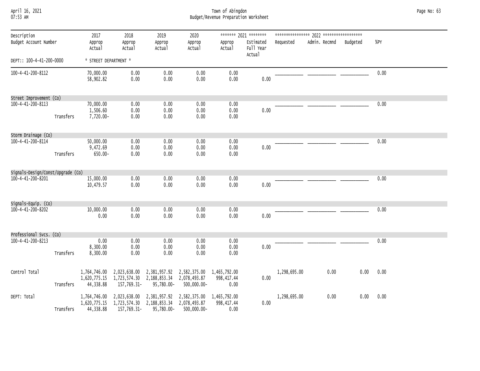April 16, 2021 Town of Abingdon Page No: 63 07:53 AM Budget/Revenue Preparation Worksheet

| Description                       |           | 2017                                      | 2018                                        | 2019                                       | 2020                                        |                                     | ******* 2021 ********            |              |               |          |      |  |
|-----------------------------------|-----------|-------------------------------------------|---------------------------------------------|--------------------------------------------|---------------------------------------------|-------------------------------------|----------------------------------|--------------|---------------|----------|------|--|
| Budget Account Number             |           | Approp<br>Actual                          | Approp<br>Actual                            | Approp<br>Actual                           | Approp<br>Actual                            | Approp<br>Actual                    | Estimated<br>Full Year<br>Actual | Requested    | Admin. Recmnd | Budgeted | %PY  |  |
| DEPT:: 100-4-41-200-0000          |           | * STREET DEPARTMENT *                     |                                             |                                            |                                             |                                     |                                  |              |               |          |      |  |
| 100-4-41-200-8112                 |           | 70,000.00<br>58,902.82                    | 0.00<br>0.00                                | 0.00<br>0.00                               | 0.00<br>0.00                                | 0.00<br>0.00                        | 0.00                             |              |               |          | 0.00 |  |
| Street Improvement (Co)           |           |                                           |                                             |                                            |                                             |                                     |                                  |              |               |          |      |  |
| 100-4-41-200-8113                 | Transfers | 70,000.00<br>1,506.60<br>7,720.00-        | 0.00<br>0.00<br>0.00                        | 0.00<br>0.00<br>0.00                       | 0.00<br>0.00<br>0.00                        | 0.00<br>0.00<br>0.00                | 0.00                             |              |               |          | 0.00 |  |
| Storm Drainage (Co)               |           |                                           |                                             |                                            |                                             |                                     |                                  |              |               |          |      |  |
| 100-4-41-200-8114                 |           | 50,000.00<br>9,472.69                     | 0.00<br>0.00                                | 0.00<br>0.00                               | 0.00<br>0.00                                | 0.00<br>0.00                        | 0.00                             |              |               |          | 0.00 |  |
|                                   | Transfers | $650.00 -$                                | 0.00                                        | 0.00                                       | 0.00                                        | 0.00                                |                                  |              |               |          |      |  |
| Signals-Design/Const/Upgrade (Co) |           |                                           |                                             |                                            |                                             |                                     |                                  |              |               |          |      |  |
| 100-4-41-200-8201                 |           | 15,000.00<br>10,479.57                    | 0.00<br>0.00                                | 0.00<br>0.00                               | 0.00<br>0.00                                | 0.00<br>0.00                        | 0.00                             |              |               |          | 0.00 |  |
| Signals-Equip. (Co)               |           |                                           |                                             |                                            |                                             |                                     |                                  |              |               |          |      |  |
| 100-4-41-200-8202                 |           | 10,000.00<br>0.00                         | 0.00<br>0.00                                | 0.00<br>0.00                               | 0.00<br>0.00                                | 0.00<br>0.00                        | 0.00                             |              |               |          | 0.00 |  |
| Professional Svcs. (Co)           |           |                                           |                                             |                                            |                                             |                                     |                                  |              |               |          |      |  |
| 100-4-41-200-8213                 | Transfers | 0.00<br>8,300.00<br>8,300.00              | 0.00<br>0.00<br>0.00                        | 0.00<br>0.00<br>0.00                       | 0.00<br>0.00<br>0.00                        | 0.00<br>0.00<br>0.00                | 0.00                             |              |               |          | 0.00 |  |
|                                   |           |                                           |                                             |                                            |                                             |                                     |                                  |              |               |          |      |  |
| Control Total                     |           | 1,764,746.00<br>1,620,775.15              | 2,023,638.00<br>1,723,574.30                | 2,381,957.92<br>2,188,853.34               | 2,582,375.00<br>2,078,493.87                | 1,465,792.00<br>998, 417.44         | 0.00                             | 1,298,695.00 | 0.00          | 0.00     | 0.00 |  |
|                                   | Transfers | 44,338.88                                 | 157,769.31-                                 | 95,780.00-                                 | 500,000.00-                                 | 0.00                                |                                  |              |               |          |      |  |
| DEPT: Total                       | Transfers | 1,764,746.00<br>1,620,775.15<br>44,338.88 | 2,023,638.00<br>1,723,574.30<br>157,769.31- | 2,381,957.92<br>2,188,853.34<br>95,780.00- | 2,582,375.00<br>2,078,493.87<br>500,000.00- | 1,465,792.00<br>998, 417.44<br>0.00 | 0.00                             | 1,298,695.00 | 0.00          | 0.00     | 0.00 |  |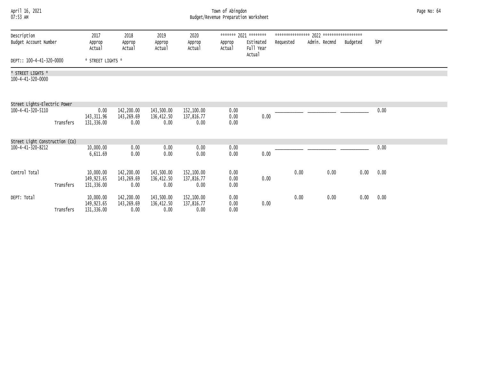| April 16, 2021<br>07:53 AM             |                                        |                                  |                                  |                                  | Town of Abingdon<br>Budget/Revenue Preparation Worksheet |                                                           |           |               |          |      | Page No: 64 |
|----------------------------------------|----------------------------------------|----------------------------------|----------------------------------|----------------------------------|----------------------------------------------------------|-----------------------------------------------------------|-----------|---------------|----------|------|-------------|
| Description<br>Budget Account Number   | 2017<br>Approp<br>Actual               | 2018<br>Approp<br>Actual         | 2019<br>Approp<br>Actual         | 2020<br>Approp<br>Actual         | Approp<br>Actual                                         | ******* 2021 ********<br>Estimated<br>Full Year<br>Actual | Requested | Admin. Recmnd | Budgeted | %PY  |             |
| DEPT:: 100-4-41-320-0000               | * STREET LIGHTS *                      |                                  |                                  |                                  |                                                          |                                                           |           |               |          |      |             |
| * STREET LIGHTS *<br>100-4-41-320-0000 |                                        |                                  |                                  |                                  |                                                          |                                                           |           |               |          |      |             |
| Street Lights-Electric Power           |                                        |                                  |                                  |                                  |                                                          |                                                           |           |               |          |      |             |
| 100-4-41-320-5110<br>Transfers         | 0.00<br>143, 311.96<br>131,336.00      | 142,200.00<br>143,269.69<br>0.00 | 143,500.00<br>136,412.50<br>0.00 | 152,100.00<br>137,816.77<br>0.00 | 0.00<br>0.00<br>0.00                                     | 0.00                                                      |           |               |          | 0.00 |             |
| Street Light Construction (Co)         |                                        |                                  |                                  |                                  |                                                          |                                                           |           |               |          |      |             |
| 100-4-41-320-8212                      | 10,000.00<br>6,611.69                  | 0.00<br>0.00                     | 0.00<br>0.00                     | 0.00<br>0.00                     | 0.00<br>0.00                                             | 0.00                                                      |           |               |          | 0.00 |             |
| Control Total<br>Transfers             | 10,000.00<br>149,923.65<br>131,336.00  | 142,200.00<br>143,269.69<br>0.00 | 143,500.00<br>136,412.50<br>0.00 | 152,100.00<br>137,816.77<br>0.00 | 0.00<br>0.00<br>0.00                                     | 0.00                                                      | 0.00      | 0.00          | 0.00     | 0.00 |             |
| DEPT: Total<br>Transfers               | 10,000.00<br>149,923.65<br>131, 336.00 | 142,200.00<br>143,269.69<br>0.00 | 143,500.00<br>136,412.50<br>0.00 | 152,100.00<br>137,816.77<br>0.00 | 0.00<br>0.00<br>0.00                                     | 0.00                                                      | 0.00      | 0.00          | 0.00     | 0.00 |             |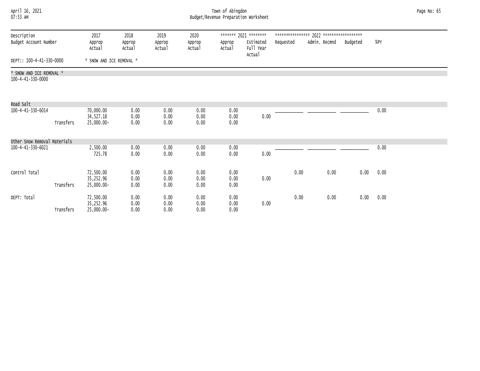| April 16, 2021<br>07:53 AM                    |           |                                      |                          |                          |                          | Town of Abingdon<br>Budget/Revenue Preparation Worksheet |                                                           |           |               |          |      | Page No: 65 |
|-----------------------------------------------|-----------|--------------------------------------|--------------------------|--------------------------|--------------------------|----------------------------------------------------------|-----------------------------------------------------------|-----------|---------------|----------|------|-------------|
| Description<br>Budget Account Number          |           | 2017<br>Approp<br>Actual             | 2018<br>Approp<br>Actual | 2019<br>Approp<br>Actual | 2020<br>Approp<br>Actual | Approp<br>Actual                                         | ******* 2021 ********<br>Estimated<br>Full Year<br>Actual | Requested | Admin. Recmnd | Budgeted | %PY  |             |
| DEPT:: 100-4-41-330-0000                      |           | * SNOW AND ICE REMOVAL *             |                          |                          |                          |                                                          |                                                           |           |               |          |      |             |
| * SNOW AND ICE REMOVAL *<br>100-4-41-330-0000 |           |                                      |                          |                          |                          |                                                          |                                                           |           |               |          |      |             |
| Road Salt                                     |           |                                      |                          |                          |                          |                                                          |                                                           |           |               |          |      |             |
| 100-4-41-330-6014                             | Transfers | 70,000.00<br>34,527.18<br>25,000.00- | 0.00<br>0.00<br>0.00     | 0.00<br>0.00<br>0.00     | 0.00<br>0.00<br>0.00     | 0.00<br>0.00<br>0.00                                     | 0.00                                                      |           |               |          | 0.00 |             |
| Other Snow Removal Materials                  |           |                                      |                          |                          |                          |                                                          |                                                           |           |               |          |      |             |
| 100-4-41-330-6021                             |           | 2,500.00<br>725.78                   | 0.00<br>0.00             | 0.00<br>0.00             | 0.00<br>0.00             | 0.00<br>0.00                                             | 0.00                                                      |           |               |          | 0.00 |             |
| Control Total                                 | Transfers | 72,500.00<br>35,252.96<br>25,000.00- | 0.00<br>0.00<br>0.00     | 0.00<br>0.00<br>0.00     | 0.00<br>0.00<br>0.00     | 0.00<br>0.00<br>0.00                                     | 0.00                                                      | 0.00      | 0.00          | 0.00     | 0.00 |             |
| DEPT: Total                                   | Transfers | 72,500.00<br>35,252.96<br>25,000.00- | 0.00<br>0.00<br>0.00     | 0.00<br>0.00<br>0.00     | 0.00<br>0.00<br>0.00     | 0.00<br>0.00<br>0.00                                     | 0.00                                                      | 0.00      | 0.00          | 0.00     | 0.00 |             |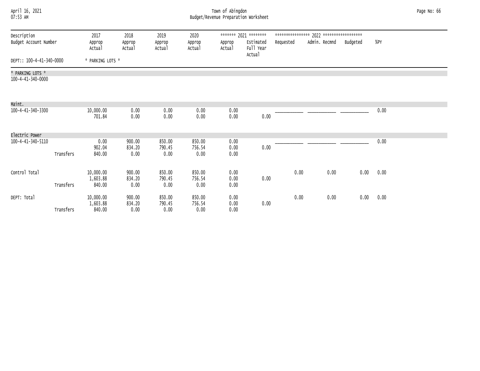| April 16, 2021<br>07:53 AM            |           |                                 |                          |                          |                          | Town of Abingdon<br>Budget/Revenue Preparation Worksheet |                                                           |           |               |          |      | Page No: 66 |
|---------------------------------------|-----------|---------------------------------|--------------------------|--------------------------|--------------------------|----------------------------------------------------------|-----------------------------------------------------------|-----------|---------------|----------|------|-------------|
| Description<br>Budget Account Number  |           | 2017<br>Approp<br>Actual        | 2018<br>Approp<br>Actual | 2019<br>Approp<br>Actual | 2020<br>Approp<br>Actual | Approp<br>Actual                                         | ******* 2021 ********<br>Estimated<br>Full Year<br>Actual | Requested | Admin. Recmnd | Budgeted | %PY  |             |
| DEPT:: 100-4-41-340-0000              |           | * PARKING LOTS *                |                          |                          |                          |                                                          |                                                           |           |               |          |      |             |
| * PARKING LOTS *<br>100-4-41-340-0000 |           |                                 |                          |                          |                          |                                                          |                                                           |           |               |          |      |             |
| Maint.<br>100-4-41-340-3300           |           | 10,000.00<br>701.84             | 0.00<br>0.00             | 0.00<br>0.00             | 0.00<br>0.00             | 0.00<br>0.00                                             | 0.00                                                      |           |               |          | 0.00 |             |
| Electric Power                        |           |                                 |                          |                          |                          |                                                          |                                                           |           |               |          |      |             |
| 100-4-41-340-5110                     | Transfers | 0.00<br>902.04<br>840.00        | 900.00<br>834.20<br>0.00 | 850.00<br>790.45<br>0.00 | 850.00<br>756.54<br>0.00 | 0.00<br>0.00<br>0.00                                     | 0.00                                                      |           |               |          | 0.00 |             |
| Control Total                         | Transfers | 10,000.00<br>1,603.88<br>840.00 | 900.00<br>834.20<br>0.00 | 850.00<br>790.45<br>0.00 | 850.00<br>756.54<br>0.00 | 0.00<br>0.00<br>0.00                                     | 0.00                                                      | 0.00      | 0.00          | 0.00     | 0.00 |             |
| DEPT: Total                           | Transfers | 10,000.00<br>1,603.88<br>840.00 | 900.00<br>834.20<br>0.00 | 850.00<br>790.45<br>0.00 | 850.00<br>756.54<br>0.00 | 0.00<br>0.00<br>0.00                                     | 0.00                                                      | 0.00      | 0.00          | 0.00     | 0.00 |             |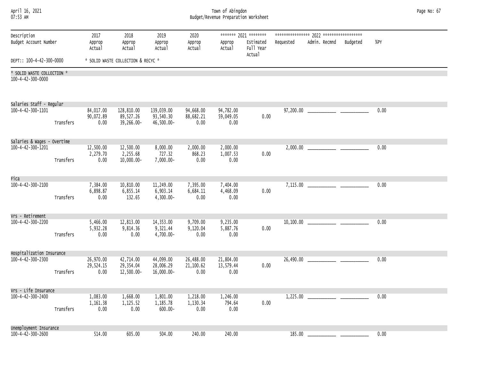| April 16, 2021<br>07:53 AM                            |           | Town of Abingdon<br>Budget/Revenue Preparation Worksheet |                                       |                                         |                                |                                |                                                           |           |               |          |      |  |
|-------------------------------------------------------|-----------|----------------------------------------------------------|---------------------------------------|-----------------------------------------|--------------------------------|--------------------------------|-----------------------------------------------------------|-----------|---------------|----------|------|--|
| Description<br>Budget Account Number                  |           | 2017<br>Approp<br>Actual                                 | 2018<br>Approp<br>Actual              | 2019<br>Approp<br>Actual                | 2020<br>Approp<br>Actual       | Approp<br>Actual               | ******* 2021 ********<br>Estimated<br>Full Year<br>Actual | Requested | Admin. Recmnd | Budgeted | %PY  |  |
| DEPT:: 100-4-42-300-0000                              |           |                                                          | * SOLID WASTE COLLECTION & RECYC *    |                                         |                                |                                |                                                           |           |               |          |      |  |
| * SOLID WASTE COLLECTION *<br>100-4-42-300-0000       |           |                                                          |                                       |                                         |                                |                                |                                                           |           |               |          |      |  |
| Salaries Staff - Regular<br>100-4-42-300-1101         | Transfers | 84,017.00<br>90,072.89<br>0.00                           | 128,810.00<br>89,527.26<br>39,266.00- | 139,039.00<br>93,540.30<br>46,500.00-   | 94,668.00<br>88,682.21<br>0.00 | 94,782.00<br>59,049.05<br>0.00 | 0.00                                                      |           |               |          | 0.00 |  |
| Salaries & Wages - Overtime<br>100-4-42-300-1201      |           | 12,500.00<br>2,279.70                                    | 12,500.00<br>2,255.68                 | 8,000.00<br>727.32                      | 2,000.00<br>868.23             | 2,000.00<br>1,007.53           | 0.00                                                      |           |               |          | 0.00 |  |
| Fica                                                  | Transfers | 0.00                                                     | $10,000.00 -$                         | 7,000.00-                               | 0.00                           | 0.00                           |                                                           |           |               |          |      |  |
| $100 - 4 - 42 - 300 - 2100$                           | Transfers | 7,384.00<br>6,898.87<br>0.00                             | 10,810.00<br>6,855.14<br>132.65       | 11,249.00<br>6,903.14<br>$4,300.00 -$   | 7,395.00<br>6,684.11<br>0.00   | 7,404.00<br>4,468.09<br>0.00   | 0.00                                                      |           |               |          | 0.00 |  |
| Vrs - Retirement<br>100-4-42-300-2200                 | Transfers | 5,466.00<br>5,932.28<br>0.00                             | 12,813.00<br>9,814.36<br>0.00         | 14,353.00<br>9,321.44<br>$4,700.00 -$   | 9,709.00<br>9,120.04<br>0.00   | 9,235.00<br>5,887.76<br>0.00   | 0.00                                                      |           |               |          | 0.00 |  |
| Hospitalization Insurance<br>100-4-42-300-2300        | Transfers | 26,970.00<br>29,524.15<br>0.00                           | 42,714.00<br>29,354.04<br>12,500.00-  | 44,099.00<br>28,006.29<br>$16,000.00 -$ | 26,488.00<br>21,100.62<br>0.00 | 21,804.00<br>13,579.44<br>0.00 | 0.00                                                      |           |               |          | 0.00 |  |
| Vrs - Life Insurance                                  |           |                                                          |                                       |                                         |                                |                                |                                                           |           |               |          |      |  |
| 100-4-42-300-2400                                     | Transfers | 1,083.00<br>1,161.38<br>0.00                             | 1,668.00<br>1,125.52<br>0.00          | 1,801.00<br>1,185.78<br>$600.00 -$      | 1,218.00<br>1,130.34<br>0.00   | 1,246.00<br>794.64<br>0.00     | 0.00                                                      | 1,225.00  |               |          | 0.00 |  |
| Unemployment Insurance<br>$100 - 4 - 42 - 300 - 2600$ |           | 514.00                                                   | 605.00                                | 504.00                                  | 240.00                         | 240.00                         |                                                           | 185.00    |               |          | 0.00 |  |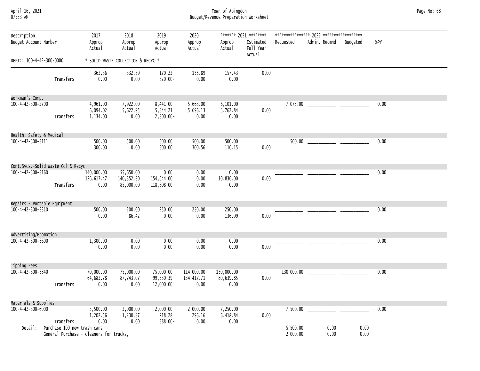| April 16, 2021  |  |
|-----------------|--|
| <b>N7.52 AM</b> |  |

## April 16, 2021 Town of Abingdon Page No: 68 07:53 AM Budget/Revenue Preparation Worksheet

| Description<br>Budget Account Number          |                                          | 2017<br>Approp<br>Actual                | 2018<br>Approp<br>Actual              | 2019<br>Approp<br>Actual            | 2020<br>Approp<br>Actual          | Approp<br>Actual                | ******* 2021 ********<br>Estimated<br>Full Year<br>Actual | Requested            | Admin. Recmnd Budgeted |      | %PY  |  |
|-----------------------------------------------|------------------------------------------|-----------------------------------------|---------------------------------------|-------------------------------------|-----------------------------------|---------------------------------|-----------------------------------------------------------|----------------------|------------------------|------|------|--|
| DEPT:: 100-4-42-300-0000                      |                                          |                                         | * SOLID WASTE COLLECTION & RECYC *    |                                     |                                   |                                 |                                                           |                      |                        |      |      |  |
|                                               | Transfers                                | 362.36<br>0.00                          | 332.39<br>0.00                        | 170.22<br>320.00-                   | 135.89<br>0.00                    | 157.43<br>0.00                  | 0.00                                                      |                      |                        |      |      |  |
| Workman's Comp.                               |                                          |                                         |                                       |                                     |                                   |                                 |                                                           |                      |                        |      |      |  |
| $100 - 4 - 42 - 300 - 2700$                   | Transfers                                | 4,961.00<br>6,094.02<br>1,134.00        | 7,922.00<br>5,622.95<br>0.00          | 8,441.00<br>5,344.21<br>2,800.00-   | 5,663.00<br>5,696.13<br>0.00      | 6,101.00<br>3,762.84<br>0.00    | 0.00                                                      |                      |                        |      | 0.00 |  |
| Health, Safety & Medical<br>100-4-42-300-3111 |                                          | 500.00<br>300.00                        | 500.00<br>0.00                        | 500.00<br>500.00                    | 500.00<br>300.56                  | 500.00<br>116.15                | 0.00                                                      |                      |                        |      | 0.00 |  |
| Cont. Svcs.-Solid Waste Col & Recyc           |                                          |                                         |                                       |                                     |                                   |                                 |                                                           |                      |                        |      |      |  |
| 100-4-42-300-3160                             | Transfers                                | 140,000.00<br>126,617.47<br>0.00        | 55,650.00<br>140, 352.80<br>85,000.00 | 0.00<br>154,644.00<br>118,608.00    | 0.00<br>0.00<br>0.00              | 0.00<br>10,836.00<br>0.00       | 0.00                                                      |                      |                        |      | 0.00 |  |
| Repairs - Portable Equipment                  |                                          |                                         |                                       |                                     |                                   |                                 |                                                           |                      |                        |      |      |  |
| 100-4-42-300-3310                             |                                          | 500.00<br>0.00                          | 200.00<br>86.42                       | 250.00<br>0.00                      | 250.00<br>0.00                    | 250.00<br>136.99                | 0.00                                                      |                      |                        |      | 0.00 |  |
| Advertising/Promotion                         |                                          |                                         |                                       |                                     |                                   |                                 |                                                           |                      |                        |      |      |  |
| 100-4-42-300-3600                             |                                          | 1,300.00<br>0.00                        | 0.00<br>0.00                          | 0.00<br>0.00                        | 0.00<br>0.00                      | 0.00<br>0.00                    | 0.00                                                      |                      |                        |      | 0.00 |  |
| Tipping Fees                                  |                                          |                                         |                                       |                                     |                                   |                                 |                                                           |                      |                        |      |      |  |
| 100-4-42-300-3840                             | Transfers                                | 70,000.00<br>64,682.78<br>0.00          | 75,000.00<br>87,743.07<br>0.00        | 75,000.00<br>99,330.39<br>12,000.00 | 114,000.00<br>134, 417.71<br>0.00 | 130,000.00<br>80,639.85<br>0.00 | 0.00                                                      |                      |                        |      | 0.00 |  |
| Materials & Supplies                          |                                          |                                         |                                       |                                     |                                   |                                 |                                                           |                      |                        |      |      |  |
| 100-4-42-300-6000<br>Detail:                  | Transfers<br>Purchase 100 new trash cans | 3,500.00<br>1,202.56<br>0.00            | 2,000.00<br>1,230.87<br>0.00          | 2,000.00<br>218.28<br>388.00-       | 2,000.00<br>296.16<br>0.00        | 7,250.00<br>6,418.84<br>0.00    | 0.00                                                      | 7,500.00<br>5,500.00 | 0.00                   | 0.00 | 0.00 |  |
|                                               |                                          | General Purchase - cleaners for trucks, |                                       |                                     |                                   |                                 |                                                           | 2,000.00             | 0.00                   | 0.00 |      |  |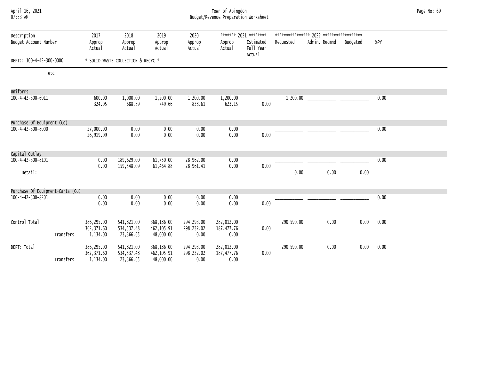| April 16, 2021<br>07:53 AM           | Town of Abingdon<br>Budget/Revenue Preparation Worksheet |                                       |                                        |                                        |                                  |                                   |                                                 | Page No: 69 |               |          |      |  |
|--------------------------------------|----------------------------------------------------------|---------------------------------------|----------------------------------------|----------------------------------------|----------------------------------|-----------------------------------|-------------------------------------------------|-------------|---------------|----------|------|--|
| Description<br>Budget Account Number |                                                          | 2017<br>Approp<br>Actual              | 2018<br>Approp<br>Actual               | 2019<br>Approp<br>Actual               | 2020<br>Approp<br>Actual         | Approp<br>Actual                  | ******* 2021 ********<br>Estimated<br>Full Year | Requested   | Admin. Recmnd | Budgeted | %PY  |  |
| DEPT:: 100-4-42-300-0000             |                                                          |                                       | * SOLID WASTE COLLECTION & RECYC *     |                                        |                                  |                                   | Actual                                          |             |               |          |      |  |
| etc                                  |                                                          |                                       |                                        |                                        |                                  |                                   |                                                 |             |               |          |      |  |
| Uniforms                             |                                                          |                                       |                                        |                                        |                                  |                                   |                                                 |             |               |          |      |  |
| 100-4-42-300-6011                    |                                                          | 600.00<br>324.05                      | 1,000.00<br>688.89                     | 1,200.00<br>749.66                     | 1,200.00<br>838.61               | 1,200.00<br>623.15                | 0.00                                            | 1,200.00    |               |          | 0.00 |  |
| Purchase Of Equipment (Co)           |                                                          |                                       |                                        |                                        |                                  |                                   |                                                 |             |               |          |      |  |
| 100-4-42-300-8000                    |                                                          | 27,000.00<br>26,919.09                | 0.00<br>0.00                           | 0.00<br>0.00                           | 0.00<br>0.00                     | 0.00<br>0.00                      | 0.00                                            |             |               |          | 0.00 |  |
| Capital Outlay                       |                                                          |                                       |                                        |                                        |                                  |                                   |                                                 |             |               |          |      |  |
| 100-4-42-300-8101<br>Detail:         |                                                          | 0.00<br>0.00                          | 189,629.00<br>159,548.09               | 61,750.00<br>61,464.88                 | 28,962.00<br>28,961.41           | 0.00<br>0.00                      | 0.00                                            | 0.00        | 0.00          | 0.00     | 0.00 |  |
|                                      |                                                          |                                       |                                        |                                        |                                  |                                   |                                                 |             |               |          |      |  |
| Purchase Of Equipment-Carts (Co)     |                                                          | 0.00                                  |                                        | 0.00                                   | 0.00                             |                                   |                                                 |             |               |          | 0.00 |  |
| 100-4-42-300-8201                    |                                                          | 0.00                                  | 0.00<br>0.00                           | 0.00                                   | 0.00                             | 0.00<br>0.00                      | 0.00                                            |             |               |          |      |  |
| Control Total                        | Transfers                                                | 386,295.00<br>362, 371.60<br>1,134.00 | 541,821.00<br>534, 537.48<br>23,366.65 | 368,186.00<br>462, 105.91<br>48,000.00 | 294,293.00<br>298,232.02<br>0.00 | 282,012.00<br>187, 477.76<br>0.00 | 0.00                                            | 290,590.00  | 0.00          | 0.00     | 0.00 |  |
| DEPT: Total                          | Transfers                                                | 386,295.00<br>362, 371.60<br>1,134.00 | 541,821.00<br>534,537.48<br>23,366.65  | 368,186.00<br>462, 105.91<br>48,000.00 | 294,293.00<br>298,232.02<br>0.00 | 282,012.00<br>187,477.76<br>0.00  | 0.00                                            | 290,590.00  | 0.00          | 0.00     | 0.00 |  |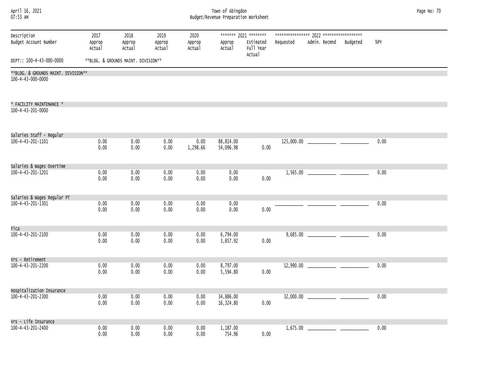| April 16, 2021 |  |
|----------------|--|
| $07:53$ AM     |  |

### April 16, 2021 Town of Abingdon Page No: 70 07:53 AM Budget/Revenue Preparation Worksheet

| Page No: 70 |  |  |
|-------------|--|--|
|-------------|--|--|

| Description<br>Budget Account Number                     | 2017<br>Approp | 2018<br>Approp                      | 2019<br>Approp | 2020<br>Approp   | Approp                 | ******* 2021 ********<br>Estimated | Requested | Admin. Recmnd<br>Budgeted | %PY  |  |
|----------------------------------------------------------|----------------|-------------------------------------|----------------|------------------|------------------------|------------------------------------|-----------|---------------------------|------|--|
|                                                          | Actual         | Actual                              | Actual         | Actual           | Actual                 | Full Year<br>Actual                |           |                           |      |  |
| DEPT:: 100-4-43-000-0000                                 |                | **BLDG. & GROUNDS MAINT. DIVISION** |                |                  |                        |                                    |           |                           |      |  |
| **BLDG. & GROUNDS MAINT. DIVISION**<br>100-4-43-000-0000 |                |                                     |                |                  |                        |                                    |           |                           |      |  |
| * FACILITY MAINTENANCE *<br>100-4-43-201-0000            |                |                                     |                |                  |                        |                                    |           |                           |      |  |
| Salaries Staff - Regular                                 |                |                                     |                |                  |                        |                                    |           |                           |      |  |
| 100-4-43-201-1101                                        | 0.00<br>0.00   | 0.00<br>0.00                        | 0.00<br>0.00   | 0.00<br>1,298.66 | 88,814.00<br>54,096.98 | 0.00                               |           |                           | 0.00 |  |
| Salaries & Wages Overtime                                |                |                                     |                |                  |                        |                                    |           |                           |      |  |
| 100-4-43-201-1201                                        | 0.00<br>0.00   | 0.00<br>0.00                        | 0.00<br>0.00   | 0.00<br>0.00     | 0.00<br>0.00           | 0.00                               |           |                           | 0.00 |  |
| Salaries & Wages Regular PT                              |                |                                     |                |                  |                        |                                    |           |                           |      |  |
| 100-4-43-201-1301                                        | 0.00<br>0.00   | 0.00<br>0.00                        | 0.00<br>0.00   | 0.00<br>0.00     | 0.00<br>0.00           | 0.00                               |           |                           | 0.00 |  |
| Fica                                                     |                |                                     |                |                  |                        |                                    |           |                           |      |  |
| 100-4-43-201-2100                                        | 0.00<br>0.00   | 0.00<br>0.00                        | 0.00<br>0.00   | 0.00<br>0.00     | 6,794.00<br>3,857.92   | 0.00                               |           |                           | 0.00 |  |
| Vrs - Retirement                                         |                |                                     |                |                  |                        |                                    |           |                           |      |  |
| 100-4-43-201-2200                                        | 0.00<br>0.00   | 0.00<br>0.00                        | 0.00<br>0.00   | 0.00<br>0.00     | 8,797.00<br>5,594.80   | 0.00                               |           |                           | 0.00 |  |
| Hospitalization Insurance                                |                |                                     |                |                  |                        |                                    |           |                           |      |  |
| 100-4-43-201-2300                                        | 0.00<br>0.00   | 0.00<br>0.00                        | 0.00<br>0.00   | 0.00<br>0.00     | 34,886.00<br>16,324.80 | 0.00                               |           |                           | 0.00 |  |
| Vrs - Life Insurance                                     |                |                                     |                |                  |                        |                                    |           |                           |      |  |
| 100-4-43-201-2400                                        | 0.00<br>0.00   | 0.00<br>0.00                        | 0.00<br>0.00   | 0.00<br>0.00     | 1,187.00<br>754.96     | 0.00                               |           |                           | 0.00 |  |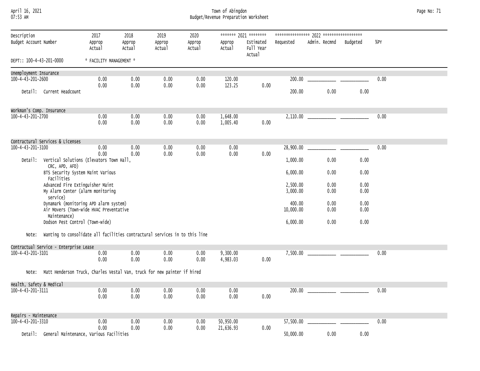### April 16, 2021 Town of Abingdon Page No: 71 07:53 AM Budget/Revenue Preparation Worksheet

| Description<br>Budget Account Number |                                                                                   | 2017<br>Approp                    | 2018<br>Approp | 2019<br>Approp | 2020<br>Approp | Approp                 | ******* 2021 ********<br>Estimated | Requested              | Admin. Recmnd                                 | Budgeted     | %PY  |
|--------------------------------------|-----------------------------------------------------------------------------------|-----------------------------------|----------------|----------------|----------------|------------------------|------------------------------------|------------------------|-----------------------------------------------|--------------|------|
| DEPT:: 100-4-43-201-0000             |                                                                                   | Actual<br>* FACILITY MANAGEMENT * | Actual         | Actual         | Actual         | Actual                 | Full Year<br>Actual                |                        |                                               |              |      |
|                                      |                                                                                   |                                   |                |                |                |                        |                                    |                        |                                               |              |      |
| Unemployment Insurance               |                                                                                   |                                   |                |                |                |                        |                                    |                        |                                               |              |      |
| 100-4-43-201-2600                    |                                                                                   | 0.00<br>0.00                      | 0.00<br>0.00   | 0.00<br>0.00   | 0.00<br>0.00   | 120.00<br>123.25       | 0.00                               | 200.00                 |                                               |              | 0.00 |
|                                      | Detail: Current Headcount                                                         |                                   |                |                |                |                        |                                    | 200,00                 | 0.00                                          | 0.00         |      |
| Workman's Comp. Insurance            |                                                                                   |                                   |                |                |                |                        |                                    |                        |                                               |              |      |
| 100-4-43-201-2700                    |                                                                                   | 0.00<br>0.00                      | 0.00<br>0.00   | 0.00<br>0.00   | 0.00<br>0.00   | 1,648.00<br>1,005.40   | 0.00                               | 2,110.00               |                                               |              | 0.00 |
|                                      | Contractural Services & Licenses                                                  |                                   |                |                |                |                        |                                    |                        |                                               |              |      |
| 100-4-43-201-3100                    |                                                                                   | 0.00<br>0.00                      | 0.00<br>0.00   | 0.00<br>0.00   | 0.00<br>0.00   | 0.00<br>0.00           | 0.00                               | 28,900.00              |                                               |              | 0.00 |
| Detail:                              | Vertical Solutions (Elevators Town Hall,<br>CRC, APD, AFD)                        |                                   |                |                |                |                        |                                    | 1,000.00               | 0.00                                          | 0.00         |      |
|                                      | BTS Security System Maint Various<br>Facilities                                   |                                   |                |                |                |                        |                                    | 6,000.00               | 0.00                                          | 0.00         |      |
|                                      | Advanced Fire Extinguisher Maint<br>My Alarm Center (alarm monitoring<br>service) |                                   |                |                |                |                        |                                    | 2,500.00<br>3,000.00   | 0.00<br>0.00                                  | 0.00<br>0.00 |      |
|                                      | Dynamark (monitoring APD alarm system)<br>Air Movers (Town-wide HVAC Preventative |                                   |                |                |                |                        |                                    | 400.00<br>10,000.00    | 0.00<br>0.00                                  | 0.00<br>0.00 |      |
|                                      | Maintenance)<br>Dodson Pest Control (Town-wide)                                   |                                   |                |                |                |                        |                                    | 6,000.00               | 0.00                                          | 0.00         |      |
| Note:                                | Wanting to consolidate all facilities contractural services in to this line       |                                   |                |                |                |                        |                                    |                        |                                               |              |      |
|                                      | Contractual Service - Enterprise Lease                                            |                                   |                |                |                |                        |                                    |                        |                                               |              |      |
| 100-4-43-201-3101                    |                                                                                   | 0.00<br>0.00                      | 0.00<br>0.00   | 0.00<br>0.00   | 0.00<br>0.00   | 9,300.00<br>4,983.03   | 0.00                               | 7,500.00               |                                               |              | 0.00 |
| Note:                                | Matt Henderson Truck, Charles Vestal Van, truck for new painter if hired          |                                   |                |                |                |                        |                                    |                        |                                               |              |      |
| Health, Safety & Medical             |                                                                                   |                                   |                |                |                |                        |                                    |                        |                                               |              |      |
| 100-4-43-201-3111                    |                                                                                   | 0.00<br>0.00                      | 0.00<br>0.00   | 0.00<br>0.00   | 0.00<br>0.00   | 0.00<br>0.00           | 0.00                               | 200.00                 | <u> 1999 - Johann John Stone, mars et al.</u> |              | 0.00 |
| Repairs - Maintenance                |                                                                                   |                                   |                |                |                |                        |                                    |                        |                                               |              |      |
| 100-4-43-201-3310                    | Detail: General Maintenance, Various Facilities                                   | 0.00<br>0.00                      | 0.00<br>0.00   | 0.00<br>0.00   | 0.00<br>0.00   | 50,950.00<br>21,636.93 | 0.00                               | 57,500.00<br>50,000.00 | 0.00                                          | 0.00         | 0.00 |
|                                      |                                                                                   |                                   |                |                |                |                        |                                    |                        |                                               |              |      |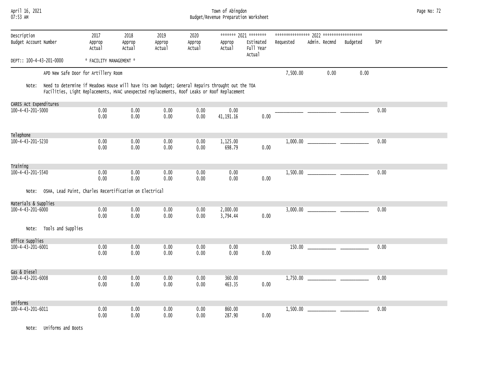| April 16, 2021<br>07:53 AM                                       |                                                                                                                                                                                                   |                                                     |                          |                          |                          | Town of Abingdon<br>Budget/Revenue Preparation Worksheet |                                                           |           |               |          |      | Page No: 72 |
|------------------------------------------------------------------|---------------------------------------------------------------------------------------------------------------------------------------------------------------------------------------------------|-----------------------------------------------------|--------------------------|--------------------------|--------------------------|----------------------------------------------------------|-----------------------------------------------------------|-----------|---------------|----------|------|-------------|
| Description<br>Budget Account Number<br>DEPT:: 100-4-43-201-0000 |                                                                                                                                                                                                   | 2017<br>Approp<br>Actual<br>* FACILITY MANAGEMENT * | 2018<br>Approp<br>Actual | 2019<br>Approp<br>Actual | 2020<br>Approp<br>Actual | Approp<br>Actual                                         | ******* 2021 ********<br>Estimated<br>Full Year<br>Actual | Requested | Admin. Recmnd | Budgeted | %PY  |             |
|                                                                  | APD New Safe Door for Artillery Room                                                                                                                                                              |                                                     |                          |                          |                          |                                                          |                                                           | 7,500.00  | 0.00          | 0.00     |      |             |
| Note:                                                            | Need to determine if Meadows House will have its own budget; General Repairs throught out the TOA<br>Facilities, Light Replacements, HVAC unexpected replacements, Roof Leaks or Roof Replacement |                                                     |                          |                          |                          |                                                          |                                                           |           |               |          |      |             |
| CARES Act Expenditures<br>100-4-43-201-5000                      |                                                                                                                                                                                                   | 0.00<br>0.00                                        | 0.00<br>0.00             | 0.00<br>0.00             | 0.00<br>0.00             | 0.00<br>41, 191. 16                                      | 0.00                                                      |           |               |          | 0.00 |             |
| Telephone<br>$100 - 4 - 43 - 201 - 5230$                         |                                                                                                                                                                                                   | 0.00<br>0.00                                        | 0.00<br>0.00             | 0.00<br>0.00             | 0.00<br>0.00             | 1,125.00<br>698.79                                       | 0.00                                                      |           |               |          | 0.00 |             |
| Training<br>$100 - 4 - 43 - 201 - 5540$                          |                                                                                                                                                                                                   | 0.00<br>0.00                                        | 0.00<br>0.00             | 0.00<br>0.00             | 0.00<br>0.00             | 0.00<br>0.00                                             | 0.00                                                      |           |               |          | 0.00 |             |
| Note:                                                            | OSHA, Lead Paint, Charles Recertification on Electrical                                                                                                                                           |                                                     |                          |                          |                          |                                                          |                                                           |           |               |          |      |             |
| Materials & Supplies<br>100-4-43-201-6000                        |                                                                                                                                                                                                   | 0.00<br>0.00                                        | 0.00<br>0.00             | 0.00<br>0.00             | 0.00<br>0.00             | 2,000.00<br>3,794.44                                     | 0.00                                                      |           |               |          | 0.00 |             |
|                                                                  | Note: Tools and Supplies                                                                                                                                                                          |                                                     |                          |                          |                          |                                                          |                                                           |           |               |          |      |             |
| Office Supplies<br>100-4-43-201-6001                             |                                                                                                                                                                                                   | 0.00<br>0.00                                        | 0.00<br>0.00             | 0.00<br>0.00             | 0.00<br>0.00             | 0.00<br>0.00                                             | 0.00                                                      |           |               |          | 0.00 |             |
| Gas & Diesel<br>100-4-43-201-6008                                |                                                                                                                                                                                                   | 0.00<br>0.00                                        | 0.00<br>0.00             | 0.00<br>0.00             | 0.00<br>0.00             | 360.00<br>463.35                                         | 0.00                                                      |           |               |          | 0.00 |             |
| Uniforms<br>100-4-43-201-6011                                    |                                                                                                                                                                                                   | 0.00<br>0.00                                        | 0.00<br>0.00             | 0.00<br>0.00             | 0.00<br>0.00             | 860.00<br>287.90                                         | 0.00                                                      |           |               |          | 0.00 |             |

Note: Uniforms and Boots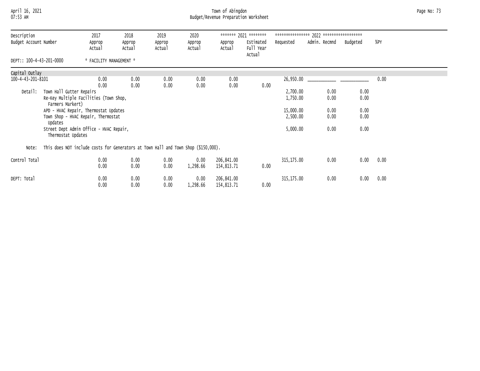# April 16, 2021 Town of Abingdon Page No: 73 07:53 AM Budget/Revenue Preparation Worksheet

| Description<br>Budget Account Number |                                                                                                                                                                                                                                                    | 2017<br>Approp<br>Actual | 2018<br>Approp<br>Actual | 2019<br>Approp<br>Actual | 2020<br>Approp<br>Actual | Approp<br>Actual         | ******* 2021 ********<br>Estimated<br>Full Year<br>Actual | Requested                                                 | Admin. Recmnd                        | Budgeted                             | %PY  |
|--------------------------------------|----------------------------------------------------------------------------------------------------------------------------------------------------------------------------------------------------------------------------------------------------|--------------------------|--------------------------|--------------------------|--------------------------|--------------------------|-----------------------------------------------------------|-----------------------------------------------------------|--------------------------------------|--------------------------------------|------|
| DEPT:: 100-4-43-201-0000             |                                                                                                                                                                                                                                                    | * FACILITY MANAGEMENT *  |                          |                          |                          |                          |                                                           |                                                           |                                      |                                      |      |
| Capital Outlay                       |                                                                                                                                                                                                                                                    |                          |                          |                          |                          |                          |                                                           |                                                           |                                      |                                      |      |
| 100-4-43-201-8101                    |                                                                                                                                                                                                                                                    | 0.00<br>0.00             | 0.00<br>0.00             | 0.00<br>0.00             | 0.00<br>0.00             | 0.00<br>0.00             | 0.00                                                      | 26,950.00                                                 |                                      |                                      | 0.00 |
| Detail:                              | Town Hall Gutter Repairs<br>Re-Key Multiple Facilities (Town Shop,<br>Farmers Markert)<br>APD - HVAC Repair, Thermostat Updates<br>Town Shop - HVAC Repair, Thermostat<br>Updates<br>Street Dept Admin Office - HVAC Repair,<br>Thermostat Updates |                          |                          |                          |                          |                          |                                                           | 2,700.00<br>1,750.00<br>15,000.00<br>2,500.00<br>5,000.00 | 0.00<br>0.00<br>0.00<br>0.00<br>0.00 | 0.00<br>0.00<br>0.00<br>0.00<br>0.00 |      |
| Note:                                | This does NOT include costs for Generators at Town Hall and Town Shop (\$150,000).                                                                                                                                                                 |                          |                          |                          |                          |                          |                                                           |                                                           |                                      |                                      |      |
| Control Total                        |                                                                                                                                                                                                                                                    | 0.00<br>0.00             | 0.00<br>0.00             | 0.00<br>0.00             | 0.00<br>1,298.66         | 206,841.00<br>154,813.71 | 0.00                                                      | 315, 175.00                                               | 0.00                                 | 0.00                                 | 0.00 |
| DEPT: Total                          |                                                                                                                                                                                                                                                    | 0.00<br>0.00             | 0.00<br>0.00             | 0.00<br>0.00             | 0.00<br>1,298.66         | 206,841.00<br>154,813.71 | 0.00                                                      | 315,175.00                                                | 0.00                                 | 0.00                                 | 0.00 |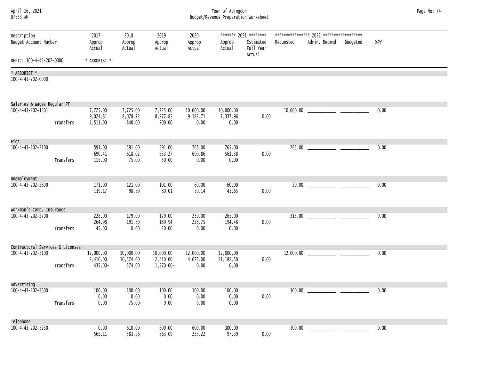| April 16, 2021<br>07:53 AM                       |           |                                  | Town of Abingdon<br>Budget/Revenue Preparation Worksheet |                                    |                               |                                 |                                                           |           |                        |  |      |  |
|--------------------------------------------------|-----------|----------------------------------|----------------------------------------------------------|------------------------------------|-------------------------------|---------------------------------|-----------------------------------------------------------|-----------|------------------------|--|------|--|
| Description<br>Budget Account Number             |           | 2017<br>Approp<br>Actual         | 2018<br>Approp<br>Actual                                 | 2019<br>Approp<br>Actual           | 2020<br>Approp<br>Actual      | Approp<br>Actual                | ******* 2021 ********<br>Estimated<br>Full Year<br>Actual | Requested | Admin. Recmnd Budgeted |  | %PY  |  |
| DEPT:: 100-4-43-202-0000                         |           | * ARBORIST *                     |                                                          |                                    |                               |                                 |                                                           |           |                        |  |      |  |
| * ARBORIST *<br>100-4-43-202-0000                |           |                                  |                                                          |                                    |                               |                                 |                                                           |           |                        |  |      |  |
| Salaries & Wages Regular PT<br>100-4-43-202-1301 |           | 7,725.00                         | 7,725.00                                                 | 7,725.00                           | 10,000.00                     | 10,000.00                       |                                                           |           |                        |  | 0.00 |  |
|                                                  | Transfers | 9,024.81<br>1,511.00             | 8,078.72<br>840.00                                       | 8,277.85<br>700.00                 | 9,182.71<br>0.00              | 7,337.96<br>0.00                | 0.00                                                      |           |                        |  |      |  |
| Fica                                             |           |                                  |                                                          |                                    |                               |                                 |                                                           |           |                        |  |      |  |
| 100-4-43-202-2100                                | Transfers | 591.00<br>690.41<br>115.00       | 591.00<br>618.02<br>75.00                                | 591.00<br>633.27<br>50.00          | 765.00<br>690.86<br>0.00      | 765.00<br>561.38<br>0.00        | 0.00                                                      |           |                        |  | 0.00 |  |
| Unemployment                                     |           |                                  |                                                          |                                    |                               |                                 |                                                           |           |                        |  |      |  |
| 100-4-43-202-2600                                |           | 171.00<br>139.17                 | 121.00<br>98.59                                          | 101.00<br>80.01                    | 60.00<br>50.14                | 60.00<br>43.65                  | 0.00                                                      |           |                        |  | 0.00 |  |
| Workman's Comp. Insurance                        |           |                                  |                                                          |                                    |                               |                                 |                                                           |           |                        |  |      |  |
| 100-4-43-202-2700                                | Transfers | 228.00<br>264.98<br>45.00        | 179.00<br>191.80<br>0.00                                 | 179.00<br>189.94<br>20.00          | 239.00<br>228.75<br>0.00      | 265.00<br>194.48<br>0.00        | 0.00                                                      |           |                        |  | 0.00 |  |
| Contractural Services & Licenses                 |           |                                  |                                                          |                                    |                               |                                 |                                                           |           |                        |  |      |  |
| 100-4-43-202-3100                                | Transfers | 12,000.00<br>2,410.00<br>435.00- | 10,000.00<br>10,574.00<br>574.00                         | 10,000.00<br>2,410.00<br>1,370.00- | 12,000.00<br>4,675.00<br>0.00 | 12,000.00<br>21, 182.50<br>0.00 | 0.00                                                      |           |                        |  | 0.00 |  |
| Advertising                                      |           |                                  |                                                          |                                    |                               |                                 |                                                           |           |                        |  |      |  |
| 100-4-43-202-3600                                | Transfers | 100.00<br>0.00<br>0.00           | 100.00<br>0.00<br>$75.00 -$                              | 100.00<br>0.00<br>0.00             | 100.00<br>0.00<br>0.00        | 100.00<br>0.00<br>0.00          | 0.00                                                      | 100.00    |                        |  | 0.00 |  |
| Telephone                                        |           |                                  |                                                          |                                    |                               |                                 |                                                           |           |                        |  |      |  |
| 100-4-43-202-5230                                |           | 0.00<br>562.11                   | 610.00<br>583.96                                         | 600.00<br>863.09                   | 600.00<br>233.22              | 300.00<br>97.39                 | 0.00                                                      | 300.00    |                        |  | 0.00 |  |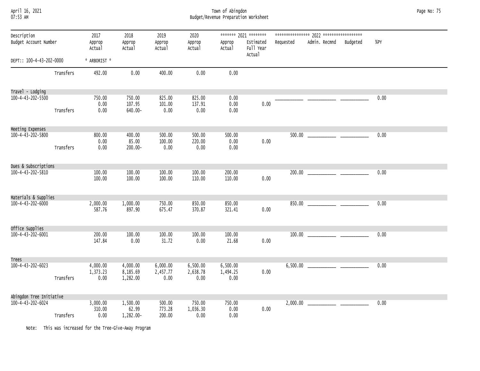| April 16, 2021 |  |
|----------------|--|
| 07.52 AM       |  |

# April 16, 2021 Town of Abingdon Page No: 75 07:53 AM Budget/Revenue Preparation Worksheet

| Description              |           | 2017                         | 2018                             | 2019                         | 2020                         |                              | ******* 2021 ********            |           |                                            |          |      |  |
|--------------------------|-----------|------------------------------|----------------------------------|------------------------------|------------------------------|------------------------------|----------------------------------|-----------|--------------------------------------------|----------|------|--|
| Budget Account Number    |           | Approp<br>Actual             | Approp<br>Actual                 | Approp<br>Actual             | Approp<br>Actual             | Approp<br>Actual             | Estimated<br>Full Year<br>Actual | Requested | Admin. Recmnd                              | Budgeted | %PY  |  |
| DEPT:: 100-4-43-202-0000 |           | * ARBORIST *                 |                                  |                              |                              |                              |                                  |           |                                            |          |      |  |
|                          | Transfers | 492.00                       | 0.00                             | 400.00                       | 0.00                         | 0.00                         |                                  |           |                                            |          |      |  |
| Travel - Lodging         |           |                              |                                  |                              |                              |                              |                                  |           |                                            |          |      |  |
| 100-4-43-202-5500        |           | 750.00<br>0.00               | 750.00<br>107.95                 | 825.00<br>101.00             | 825.00<br>137.91             | 0.00<br>0.00                 | 0.00                             |           |                                            |          | 0.00 |  |
|                          | Transfers | 0.00                         | 640.00-                          | 0.00                         | 0.00                         | 0.00                         |                                  |           |                                            |          |      |  |
| Meeting Expenses         |           |                              |                                  |                              |                              |                              |                                  |           |                                            |          |      |  |
| 100-4-43-202-5800        | Transfers | 800.00<br>0.00<br>0.00       | 400.00<br>85.00<br>$200.00 -$    | 500.00<br>100.00<br>0.00     | 500.00<br>220.00<br>0.00     | 500.00<br>0.00<br>0.00       | 0.00                             |           |                                            |          | 0.00 |  |
| Dues & Subscriptions     |           |                              |                                  |                              |                              |                              |                                  |           |                                            |          |      |  |
| 100-4-43-202-5810        |           | 100.00<br>100.00             | 100.00<br>100.00                 | 100.00<br>100.00             | 100.00<br>110.00             | 200.00<br>110.00             | 0.00                             |           |                                            |          | 0.00 |  |
| Materials & Supplies     |           |                              |                                  |                              |                              |                              |                                  |           |                                            |          |      |  |
| 100-4-43-202-6000        |           | 2,000.00<br>587.76           | 1,000.00<br>897.90               | 750.00<br>675.47             | 850.00<br>370.87             | 850.00<br>321.41             | 0.00                             | 850.00    | <u> 1999 - Johann Barn, mars ann an t-</u> |          | 0.00 |  |
| Office Supplies          |           |                              |                                  |                              |                              |                              |                                  |           |                                            |          |      |  |
| 100-4-43-202-6001        |           | 200.00<br>147.84             | 100.00<br>0.00                   | 100.00<br>31.72              | 100.00<br>0.00               | 100.00<br>21.68              | 0.00                             | 100.00    |                                            |          | 0.00 |  |
| Trees                    |           |                              |                                  |                              |                              |                              |                                  |           |                                            |          |      |  |
| 100-4-43-202-6023        | Transfers | 4,000.00<br>1,373.23<br>0.00 | 4,000.00<br>8,185.69<br>1,282.00 | 6,000.00<br>2,457.77<br>0.00 | 6,500.00<br>2,638.78<br>0.00 | 6,500.00<br>1,494.25<br>0.00 | 0.00                             |           |                                            |          | 0.00 |  |
|                          |           |                              |                                  |                              |                              |                              |                                  |           |                                            |          |      |  |
| Abingdon Tree Initiative |           |                              |                                  |                              |                              |                              |                                  |           |                                            |          |      |  |
| 100-4-43-202-6024        | Transfers | 3,000.00<br>310.00<br>0.00   | 1,500.00<br>62.99<br>1,282.00-   | 500.00<br>773.28<br>200.00   | 750.00<br>1,036.30<br>0.00   | 750.00<br>0.00<br>0.00       | 0.00                             | 2,000.00  |                                            |          | 0.00 |  |

Note: This was increased for the Tree-Give-Away Program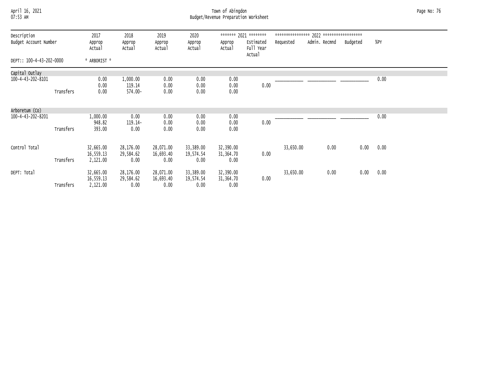## April 16, 2021 Town of Abingdon Page No: 76 07:53 AM Budget/Revenue Preparation Worksheet

| Description<br>Budget Account Number |           | 2017<br>Approp<br>Actual           | 2018<br>Approp<br>Actual       | 2019<br>Approp<br>Actual       | 2020<br>Approp<br>Actual       | Approp<br>Actual               | ******* 2021 ********<br>Estimated<br>Full Year<br>Actual | Requested | Admin. Recmnd | Budgeted | %PY  |
|--------------------------------------|-----------|------------------------------------|--------------------------------|--------------------------------|--------------------------------|--------------------------------|-----------------------------------------------------------|-----------|---------------|----------|------|
| DEPT:: 100-4-43-202-0000             |           | * ARBORIST *                       |                                |                                |                                |                                |                                                           |           |               |          |      |
| Capital Outlay                       |           |                                    |                                |                                |                                |                                |                                                           |           |               |          |      |
| 100-4-43-202-8101                    | Transfers | 0.00<br>0.00<br>0.00               | 1,000.00<br>119.14<br>574.00-  | 0.00<br>0.00<br>0.00           | 0.00<br>0.00<br>0.00           | 0.00<br>0.00<br>0.00           | 0.00                                                      |           |               |          | 0.00 |
| Arboretum (Co)                       |           |                                    |                                |                                |                                |                                |                                                           |           |               |          |      |
| 100-4-43-202-8201                    | Transfers | 1,000.00<br>948.82<br>393.00       | 0.00<br>119.14-<br>0.00        | 0.00<br>0.00<br>0.00           | 0.00<br>0.00<br>0.00           | 0.00<br>0.00<br>0.00           | 0.00                                                      |           |               |          | 0.00 |
| Control Total                        | Transfers | 32,665.00<br>16,559.13<br>2,121.00 | 28,176.00<br>29,584.62<br>0.00 | 28,071.00<br>16,693.40<br>0.00 | 33,389.00<br>19,574.54<br>0.00 | 32,390.00<br>31,364.70<br>0.00 | 0.00                                                      | 33,650.00 | 0.00          | 0.00     | 0.00 |
| DEPT: Total                          | Transfers | 32,665.00<br>16,559.13<br>2,121.00 | 28,176.00<br>29,584.62<br>0.00 | 28,071.00<br>16,693.40<br>0.00 | 33,389.00<br>19,574.54<br>0.00 | 32,390.00<br>31,364.70<br>0.00 | 0.00                                                      | 33,650.00 | 0.00          | 0.00     | 0.00 |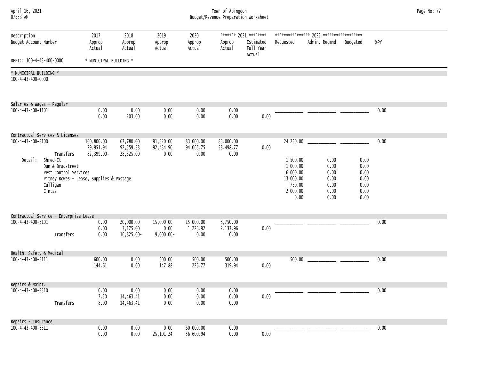| April 16, 2021<br>07:53 AM                      |                                                                                                                                                                         |                                       |                                     |                                   |                                | Town of Abingdon               | Budget/Revenue Preparation Worksheet                      |                                                                                          |                                                      |                                                      |        | Page No: 77 |
|-------------------------------------------------|-------------------------------------------------------------------------------------------------------------------------------------------------------------------------|---------------------------------------|-------------------------------------|-----------------------------------|--------------------------------|--------------------------------|-----------------------------------------------------------|------------------------------------------------------------------------------------------|------------------------------------------------------|------------------------------------------------------|--------|-------------|
| Description<br>Budget Account Number            |                                                                                                                                                                         | 2017<br>Approp<br>Actual              | 2018<br>Approp<br>Actual            | 2019<br>Approp<br>Actual          | 2020<br>Approp<br>Actual       | Approp<br>Actual               | ******* 2021 ********<br>Estimated<br>Full Year<br>Actual | Requested                                                                                | Admin. Recmnd                                        | Budgeted                                             | $%$ PY |             |
| DEPT:: 100-4-43-400-0000                        |                                                                                                                                                                         | * MUNICIPAL BUILDING *                |                                     |                                   |                                |                                |                                                           |                                                                                          |                                                      |                                                      |        |             |
| * MUNICIPAL BUILDING *<br>100-4-43-400-0000     |                                                                                                                                                                         |                                       |                                     |                                   |                                |                                |                                                           |                                                                                          |                                                      |                                                      |        |             |
| Salaries & Wages - Regular<br>100-4-43-400-1101 |                                                                                                                                                                         | 0.00<br>0.00                          | 0.00<br>203.00                      | 0.00<br>0.00                      | 0.00<br>0.00                   | 0.00<br>0.00                   | 0.00                                                      |                                                                                          |                                                      |                                                      | 0.00   |             |
| 100-4-43-400-3100<br>Detail:                    | Contractual Services & Licenses<br>Transfers<br>Shred-It<br>Dun & Bradstreet<br>Pest Control Services<br>Pitney Bowes - Lease, Supplies & Postage<br>Culligan<br>Cintas | 160,800.00<br>79,951.94<br>82,399.00- | 67,780.00<br>92,559.88<br>28,525.00 | 91,320.00<br>92,434.90<br>0.00    | 83,000.00<br>94,065.75<br>0.00 | 83,000.00<br>58,498.77<br>0.00 | 0.00                                                      | 24,250.00<br>1,500.00<br>1,000.00<br>6,000.00<br>13,000.00<br>750.00<br>2,000.00<br>0.00 | 0.00<br>0.00<br>0.00<br>0.00<br>0.00<br>0.00<br>0.00 | 0.00<br>0.00<br>0.00<br>0.00<br>0.00<br>0.00<br>0.00 | 0.00   |             |
|                                                 | Contractual Service - Enterprise Lease                                                                                                                                  |                                       |                                     |                                   |                                |                                |                                                           |                                                                                          |                                                      |                                                      |        |             |
| 100-4-43-400-3101                               | Transfers                                                                                                                                                               | 0.00<br>0.00<br>0.00                  | 20,000.00<br>3,175.00<br>16,825.00- | 15,000.00<br>0.00<br>$9,000.00 -$ | 15,000.00<br>1,223.92<br>0.00  | 8,750.00<br>2,133.96<br>0.00   | 0.00                                                      |                                                                                          |                                                      |                                                      | 0.00   |             |
| Health, Safety & Medical                        |                                                                                                                                                                         |                                       |                                     |                                   |                                |                                |                                                           |                                                                                          |                                                      |                                                      |        |             |
| 100-4-43-400-3111                               |                                                                                                                                                                         | 600.00<br>144.61                      | 0.00<br>0.00                        | 500.00<br>147.88                  | 500.00<br>226.77               | 500.00<br>319.94               | 0.00                                                      | 500.00                                                                                   |                                                      |                                                      | 0.00   |             |
| Repairs & Maint.                                |                                                                                                                                                                         |                                       |                                     |                                   |                                |                                |                                                           |                                                                                          |                                                      |                                                      |        |             |
| 100-4-43-400-3310                               | Transfers                                                                                                                                                               | 0.00<br>7.50<br>8.00                  | 0.00<br>14,463.41<br>14,463.41      | 0.00<br>0.00<br>0.00              | 0.00<br>0.00<br>0.00           | 0.00<br>0.00<br>0.00           | 0.00                                                      |                                                                                          |                                                      |                                                      | 0.00   |             |
| Repairs - Insurance                             |                                                                                                                                                                         |                                       |                                     |                                   |                                |                                |                                                           |                                                                                          |                                                      |                                                      |        |             |
| 100-4-43-400-3311                               |                                                                                                                                                                         | 0.00<br>0.00                          | 0.00<br>0.00                        | 0.00<br>25,101.24                 | 60,000.00<br>56,600.94         | 0.00<br>0.00                   | 0.00                                                      |                                                                                          |                                                      |                                                      | 0.00   |             |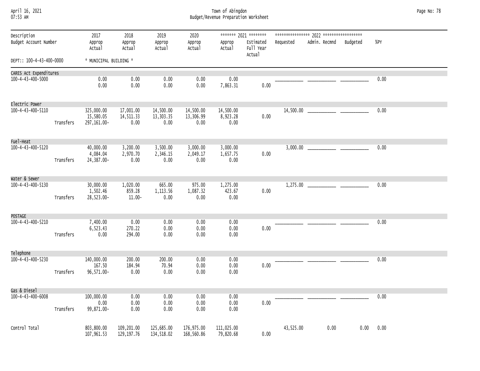| April 16, 2021 |  |
|----------------|--|
| 07.52 AM       |  |

## April 16, 2021 Town of Abingdon Page No: 78 07:53 AM Budget/Revenue Preparation Worksheet

| Description<br>Budget Account Number |           | 2017<br>Approp<br>Actual                | 2018<br>Approp<br>Actual        | 2019<br>Approp<br>Actual       | 2020<br>Approp<br>Actual       | Approp<br>Actual              | ******* 2021 ********<br>Estimated<br>Full Year<br>Actual | Requested | Admin. Recmnd | Budgeted | %PY  |  |
|--------------------------------------|-----------|-----------------------------------------|---------------------------------|--------------------------------|--------------------------------|-------------------------------|-----------------------------------------------------------|-----------|---------------|----------|------|--|
| DEPT:: 100-4-43-400-0000             |           | * MUNICIPAL BUILDING *                  |                                 |                                |                                |                               |                                                           |           |               |          |      |  |
| CARES Act Expenditures               |           |                                         |                                 |                                |                                |                               |                                                           |           |               |          |      |  |
| 100-4-43-400-5000                    |           | 0.00<br>0.00                            | 0.00<br>0.00                    | 0.00<br>0.00                   | 0.00<br>0.00                   | 0.00<br>7,863.31              | 0.00                                                      |           |               |          | 0.00 |  |
| Electric Power                       |           |                                         |                                 |                                |                                |                               |                                                           |           |               |          |      |  |
| 100-4-43-400-5110                    | Transfers | 325,000.00<br>15,580.05<br>297, 161.00- | 17,001.00<br>14,511.33<br>0.00  | 14,500.00<br>13,303.35<br>0.00 | 14,500.00<br>13,306.99<br>0.00 | 14,500.00<br>8,923.28<br>0.00 | 0.00                                                      |           |               |          | 0.00 |  |
| Fuel-Heat                            |           |                                         |                                 |                                |                                |                               |                                                           |           |               |          |      |  |
| 100-4-43-400-5120                    | Transfers | 40,000.00<br>4,084.04<br>24,387.00-     | 3,200.00<br>2,970.70<br>0.00    | 3,500.00<br>2,346.15<br>0.00   | 3,000.00<br>2,049.17<br>0.00   | 3,000.00<br>1,657.75<br>0.00  | 0.00                                                      |           |               |          | 0.00 |  |
| Water & Sewer                        |           |                                         |                                 |                                |                                |                               |                                                           |           |               |          |      |  |
| 100-4-43-400-5130                    | Transfers | 30,000.00<br>1,502.46<br>28,523.00-     | 1,020.00<br>859.28<br>$11.00 -$ | 665.00<br>1,113.56<br>0.00     | 975.00<br>1,087.32<br>0.00     | 1,275.00<br>423.67<br>0.00    | 0.00                                                      |           |               |          | 0.00 |  |
| <b>POSTAGE</b>                       |           |                                         |                                 |                                |                                |                               |                                                           |           |               |          |      |  |
| 100-4-43-400-5210                    | Transfers | 7,400.00<br>6,523.43<br>0.00            | 0.00<br>270.22<br>294.00        | 0.00<br>0.00<br>0.00           | 0.00<br>0.00<br>0.00           | 0.00<br>0.00<br>0.00          | 0.00                                                      |           |               |          | 0.00 |  |
| Telephone                            |           |                                         |                                 |                                |                                |                               |                                                           |           |               |          |      |  |
| 100-4-43-400-5230                    | Transfers | 140,000.00<br>167.50<br>96,571.00-      | 200.00<br>184.94<br>0.00        | 200.00<br>70.94<br>0.00        | 0.00<br>0.00<br>0.00           | 0.00<br>0.00<br>0.00          | 0.00                                                      |           |               |          | 0.00 |  |
| Gas & Diesel                         |           |                                         |                                 |                                |                                |                               |                                                           |           |               |          |      |  |
| 100-4-43-400-6008                    | Transfers | 100,000.00<br>0.00<br>99,871.00-        | 0.00<br>0.00<br>0.00            | 0.00<br>0.00<br>0.00           | 0.00<br>0.00<br>0.00           | 0.00<br>0.00<br>0.00          | 0.00                                                      |           |               |          | 0.00 |  |
| Control Total                        |           | 803,800.00<br>107,961.53                | 109,201.00<br>129, 197. 76      | 125,685.00<br>134,518.02       | 176,975.00<br>168,560.86       | 111,025.00<br>79,820.68       | 0.00                                                      | 43,525.00 | 0.00          | 0.00     | 0.00 |  |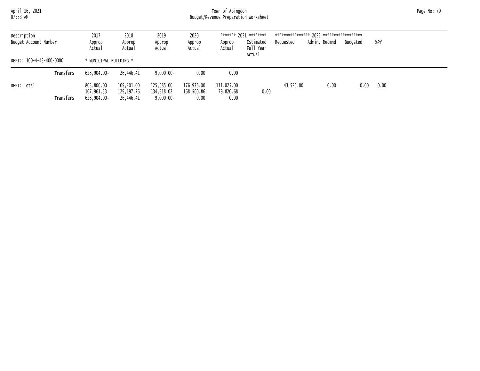April 16, 2021 Town of Abingdon Page No: 79 07:53 AM Budget/Revenue Preparation Worksheet

| Description<br>Budget Account Number<br>DEPT:: 100-4-43-400-0000 |           | 2017<br>Approp<br>Actual                | 2018<br>Approp<br>Actual              | 2019<br>Approp<br>Actual                 | 2020<br>Approp<br>Actual         | Approp<br>Actual                | ******* 2021 ********<br>Estimated<br>Full Year<br>Actual | Requested | Admin. Recmnd | Budaeted | %PY  |
|------------------------------------------------------------------|-----------|-----------------------------------------|---------------------------------------|------------------------------------------|----------------------------------|---------------------------------|-----------------------------------------------------------|-----------|---------------|----------|------|
|                                                                  |           | * MUNICIPAL BUILDING *                  |                                       |                                          |                                  |                                 |                                                           |           |               |          |      |
|                                                                  | Transfers | 628,904.00-                             | 26,446,41                             | $9.000.00 -$                             | 0.00                             | 0.00                            |                                                           |           |               |          |      |
| DEPT: Total<br>Transfers                                         |           | 803,800.00<br>107,961.53<br>628,904.00- | 109,201.00<br>129,197.76<br>26,446.41 | 125,685.00<br>134,518.02<br>$9,000.00 -$ | 176,975.00<br>168,560.86<br>0.00 | 111,025.00<br>79,820.68<br>0.00 | 0.00                                                      | 43.525.00 | 0.00          | 0.00     | 0.00 |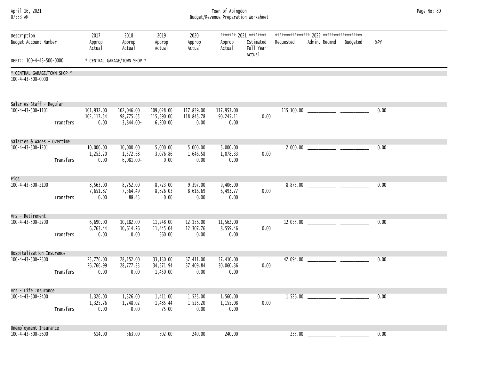| April 16, 2021<br>07:53 AM                        |                                   | Town of Abingdon<br>Budget/Revenue Preparation Worksheet |                                      |                                             |                                |                                                           |           |               |          |      |  |  |  |
|---------------------------------------------------|-----------------------------------|----------------------------------------------------------|--------------------------------------|---------------------------------------------|--------------------------------|-----------------------------------------------------------|-----------|---------------|----------|------|--|--|--|
| Description<br>Budget Account Number              | 2017<br>Approp<br>Actual          | 2018<br>Approp<br>Actual                                 | 2019<br>Approp<br>Actual             | 2020<br>Approp<br>Actual                    | Approp<br>Actual               | ******* 2021 ********<br>Estimated<br>Full Year<br>Actual | Requested | Admin. Recmnd | Budgeted | %PY  |  |  |  |
| DEPT:: 100-4-43-500-0000                          |                                   | * CENTRAL GARAGE/TOWN SHOP *                             |                                      |                                             |                                |                                                           |           |               |          |      |  |  |  |
| * CENTRAL GARAGE/TOWN SHOP *<br>100-4-43-500-0000 |                                   |                                                          |                                      |                                             |                                |                                                           |           |               |          |      |  |  |  |
| Salaries Staff - Regular                          |                                   |                                                          |                                      |                                             |                                |                                                           |           |               |          |      |  |  |  |
| 100-4-43-500-1101<br>Transfers                    | 101,932.00<br>102, 117.54<br>0.00 | 102,046.00<br>98,775.65<br>3,844.00-                     | 109,028.00<br>115,590.00<br>6,200.00 | 117,839.00 117,953.00<br>118,845.78<br>0.00 | 90,245.11<br>0.00              | 0.00                                                      |           |               |          | 0.00 |  |  |  |
| Salaries & Wages - Overtime                       |                                   |                                                          |                                      |                                             |                                |                                                           |           |               |          |      |  |  |  |
| 100-4-43-500-1201<br>Transfers                    | 10,000.00<br>1,252.20<br>0.00     | 10,000.00<br>1,572.68<br>$6,081.00 -$                    | 5,000.00<br>3,076.86<br>0.00         | 5,000.00<br>1,646.58<br>0.00                | 5,000.00<br>1,078.33<br>0.00   | 0.00                                                      |           |               |          | 0.00 |  |  |  |
| Fica                                              |                                   |                                                          |                                      |                                             |                                |                                                           |           |               |          |      |  |  |  |
| 100-4-43-500-2100<br>Transfers                    | 8,563.00<br>7,651.87<br>0.00      | 8,752.00<br>7,364.49<br>88.43                            | 8,723.00<br>8,626.03<br>0.00         | 9,397.00<br>8,616.69<br>0.00                | 9,406.00<br>6,493.77<br>0.00   | 0.00                                                      |           |               |          | 0.00 |  |  |  |
| Vrs - Retirement                                  |                                   |                                                          |                                      |                                             |                                |                                                           |           |               |          |      |  |  |  |
| 100-4-43-500-2200<br>Transfers                    | 6,690.00<br>6,763.44<br>0.00      | 10,182.00<br>10,614.76<br>0.00                           | 11,248.00<br>11,445.04<br>560.00     | 12,156.00<br>12,307.76<br>0.00              | 11,562.00<br>8,559.46<br>0.00  | 0.00                                                      |           |               |          | 0.00 |  |  |  |
| Hospitalization Insurance                         |                                   |                                                          |                                      |                                             |                                |                                                           |           |               |          |      |  |  |  |
| 100-4-43-500-2300<br>Transfers                    | 25,776.00<br>26,766.99<br>0.00    | 28,152.00<br>28,777.83<br>0.00                           | 33,130.00<br>34,571.94<br>1,450.00   | 37,411.00<br>37,409.84<br>0.00              | 37,410.00<br>30,060.36<br>0.00 | 0.00                                                      |           |               |          | 0.00 |  |  |  |
| Vrs - Life Insurance                              |                                   |                                                          |                                      |                                             |                                |                                                           |           |               |          |      |  |  |  |
| 100-4-43-500-2400<br>Transfers                    | 1,326.00<br>1,325.76<br>0.00      | 1,326.00<br>1,248.02<br>0.00                             | 1,411.00<br>1,485.44<br>75.00        | 1,525.00<br>1,525.20<br>0.00                | 1,560.00<br>1,155.08<br>0.00   | 0.00                                                      | 1,526.00  |               |          | 0.00 |  |  |  |
| Unemployment Insurance<br>100-4-43-500-2600       | 514.00                            | 363.00                                                   | 302.00                               | 240.00                                      | 240.00                         |                                                           | 235.00    |               |          | 0.00 |  |  |  |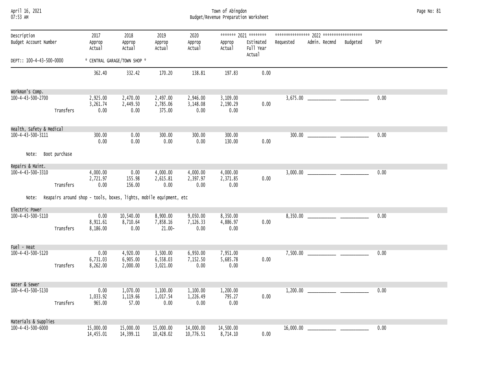| April 16, 2021  |  |
|-----------------|--|
| <b>N7.53 AM</b> |  |

## April 16, 2021 Town of Abingdon Page No: 81 07:53 AM Budget/Revenue Preparation Worksheet

| Description<br>Budget Account Number  |           | 2017<br>Approp<br>Actual     | 2018<br>Approp<br>Actual                                           | 2019<br>Approp<br>Actual          | 2020<br>Approp<br>Actual     | Approp<br>Actual             | ******* 2021 ********<br>Estimated<br>Full Year<br>Actual | Requested | Admin. Recmnd | Budgeted | %PY  |  |
|---------------------------------------|-----------|------------------------------|--------------------------------------------------------------------|-----------------------------------|------------------------------|------------------------------|-----------------------------------------------------------|-----------|---------------|----------|------|--|
| DEPT:: 100-4-43-500-0000              |           |                              | * CENTRAL GARAGE/TOWN SHOP *                                       |                                   |                              |                              |                                                           |           |               |          |      |  |
|                                       |           | 362.40                       | 332.42                                                             | 170.20                            | 138.81                       | 197.83                       | 0.00                                                      |           |               |          |      |  |
| Workman's Comp.                       |           |                              |                                                                    |                                   |                              |                              |                                                           |           |               |          |      |  |
| 100-4-43-500-2700                     | Transfers | 2,925.00<br>3,261.74<br>0.00 | 2,470.00<br>2,449.50<br>0.00                                       | 2,497.00<br>2,785.06<br>375.00    | 2,946.00<br>3,148.08<br>0.00 | 3,109.00<br>2,190.29<br>0.00 | 0.00                                                      |           |               |          | 0.00 |  |
| Health, Safety & Medical              |           |                              |                                                                    |                                   |                              |                              |                                                           |           |               |          |      |  |
| 100-4-43-500-3111                     |           | 300.00<br>0.00               | 0.00<br>0.00                                                       | 300.00<br>0.00                    | 300.00<br>0.00               | 300.00<br>130.00             | 0.00                                                      |           |               |          | 0.00 |  |
| Note: Boot purchase                   |           |                              |                                                                    |                                   |                              |                              |                                                           |           |               |          |      |  |
| Repairs & Maint.<br>100-4-43-500-3310 | Transfers | 4,000.00<br>2,721.97<br>0.00 | 0.00<br>155.98<br>156.00                                           | 4,000.00<br>2,615.81<br>0.00      | 4,000.00<br>2,397.97<br>0.00 | 4,000.00<br>2,371.85<br>0.00 | 0.00                                                      |           |               |          | 0.00 |  |
| Note:                                 |           |                              | Reapairs around shop - tools, boxes, lights, mobile equipment, etc |                                   |                              |                              |                                                           |           |               |          |      |  |
| Electric Power                        |           |                              |                                                                    |                                   |                              |                              |                                                           |           |               |          |      |  |
| 100-4-43-500-5110                     | Transfers | 0.00<br>8,911.61<br>8,186.00 | 10,540.00<br>8,710.64<br>0.00                                      | 8,900.00<br>7,858.16<br>$21.00 -$ | 9,050.00<br>7,126.33<br>0.00 | 8,350.00<br>4,886.97<br>0.00 | 0.00                                                      |           |               |          | 0.00 |  |
| Fuel - Heat                           |           |                              |                                                                    |                                   |                              |                              |                                                           |           |               |          |      |  |
| 100-4-43-500-5120                     | Transfers | 0.00<br>6,731.03<br>8,262.00 | 4,920.00<br>6,905.00<br>2,000.00                                   | 3,500.00<br>6,558.03<br>3,021.00  | 6,950.00<br>7,152.50<br>0.00 | 7,951.00<br>5,685.78<br>0.00 | 0.00                                                      |           |               |          | 0.00 |  |
| Water & Sewer<br>100-4-43-500-5130    | Transfers | 0.00<br>1,033.92<br>965.00   | 1,070.00<br>1,119.66<br>57.00                                      | 1,100.00<br>1,017.54<br>0.00      | 1,100.00<br>1,226.49<br>0.00 | 1,200.00<br>795.27<br>0.00   | 0.00                                                      |           |               |          | 0.00 |  |
| Materials & Supplies                  |           |                              |                                                                    |                                   |                              |                              |                                                           |           |               |          |      |  |
| $100 - 4 - 43 - 500 - 6000$           |           | 15,000.00<br>14,455.01       | 15,000.00<br>14,399.11                                             | 15,000.00<br>10,428.02            | 14,000.00<br>10,776.51       | 14,500.00<br>8,714.10        | 0.00                                                      | 16,000.00 |               |          | 0.00 |  |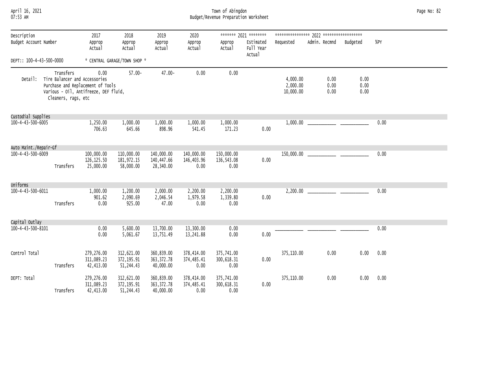April 16, 2021 Town of Abingdon Page No: 82 07:53 AM Budget/Revenue Preparation Worksheet

|                                      |                                  |                                                                                                                     |                                        |                                        |                                  |                                  | ******* 2021 ********            |                                   |                      |                      |      |
|--------------------------------------|----------------------------------|---------------------------------------------------------------------------------------------------------------------|----------------------------------------|----------------------------------------|----------------------------------|----------------------------------|----------------------------------|-----------------------------------|----------------------|----------------------|------|
| Description<br>Budget Account Number |                                  | 2017<br>Approp<br>Actual                                                                                            | 2018<br>Approp<br>Actual               | 2019<br>Approp<br>Actual               | 2020<br>Approp<br>Actual         | Approp<br>Actual                 | Estimated<br>Full Year<br>Actual | Requested                         | Admin. Recmnd        | Budgeted             | %PY  |
| DEPT:: 100-4-43-500-0000             |                                  |                                                                                                                     | * CENTRAL GARAGE/TOWN SHOP *           |                                        |                                  |                                  |                                  |                                   |                      |                      |      |
| Detail:                              | Transfers<br>Cleaners, rags, etc | 0.00<br>Tire Balancer and Accessories<br>Purchase and Replacement of Tools<br>Various - Oil, Antifreeze, DEF fluid, | $57.00 -$                              | $47.00 -$                              | 0.00                             | 0.00                             |                                  | 4,000.00<br>2,000.00<br>10,000.00 | 0.00<br>0.00<br>0.00 | 0.00<br>0.00<br>0.00 |      |
| Custodial Supplies                   |                                  |                                                                                                                     |                                        |                                        |                                  |                                  |                                  |                                   |                      |                      |      |
| 100-4-43-500-6005                    |                                  | 1,250.00<br>706.63                                                                                                  | 1,000.00<br>645.66                     | 1,000.00<br>898.96                     | 1,000.00<br>541.45               | 1,000.00<br>171.23               | 0.00                             |                                   |                      |                      | 0.00 |
| Auto Maint./Repair-Gf                |                                  |                                                                                                                     |                                        |                                        |                                  |                                  |                                  |                                   |                      |                      |      |
| 100-4-43-500-6009                    | Transfers                        | 100,000.00<br>126, 125.50<br>25,000.00                                                                              | 110,000.00<br>181,972.15<br>58,000.00  | 140,000.00<br>140,447.66<br>28,340.00  | 140,000.00<br>146,403.96<br>0.00 | 150,000.00<br>136,543.08<br>0.00 | 0.00                             |                                   |                      |                      | 0.00 |
| Uniforms                             |                                  |                                                                                                                     |                                        |                                        |                                  |                                  |                                  |                                   |                      |                      |      |
| 100-4-43-500-6011                    | Transfers                        | 1,000.00<br>901.62<br>0.00                                                                                          | 1,200.00<br>2,090.69<br>925.00         | 2,000.00<br>2,046.54<br>47.00          | 2,200.00<br>1,979.58<br>0.00     | 2,200.00<br>1,339.80<br>0.00     | 0.00                             |                                   |                      |                      | 0.00 |
| Capital Outlay                       |                                  |                                                                                                                     |                                        |                                        |                                  |                                  |                                  |                                   |                      |                      |      |
| 100-4-43-500-8101                    |                                  | 0.00<br>0.00                                                                                                        | 5,600.00<br>5,061.67                   | 13,700.00<br>13,751.49                 | 13,300.00<br>13,241.88           | 0.00<br>0.00                     | 0.00                             |                                   |                      |                      | 0.00 |
| Control Total                        | Transfers                        | 279,276.00<br>311,089.23<br>42,413.00                                                                               | 312,621.00<br>372, 195.91<br>51,244.43 | 360,839.00<br>363, 372.78<br>40,000.00 | 378,414.00<br>374,485.41<br>0.00 | 375,741.00<br>300,618.31<br>0.00 | 0.00                             | 375,110.00                        | 0.00                 | 0.00                 | 0.00 |
| DEPT: Total                          | Transfers                        | 279,276.00<br>311,089.23<br>42,413.00                                                                               | 312,621.00<br>372, 195.91<br>51,244.43 | 360,839.00<br>363, 372.78<br>40,000.00 | 378,414.00<br>374,485.41<br>0.00 | 375,741.00<br>300,618.31<br>0.00 | 0.00                             | 375,110.00                        | 0.00                 | 0.00                 | 0.00 |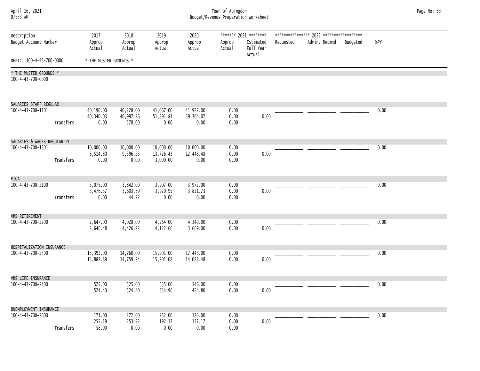| April 16, 2021<br>07:53 AM                  |           | Town of Abingdon<br>Budget/Revenue Preparation Worksheet |                                  |                                    |                                |                      |                                                           |           |               |          |      |  |  |
|---------------------------------------------|-----------|----------------------------------------------------------|----------------------------------|------------------------------------|--------------------------------|----------------------|-----------------------------------------------------------|-----------|---------------|----------|------|--|--|
| Description<br>Budget Account Number        |           | 2017<br>Approp<br>Actual                                 | 2018<br>Approp<br>Actual         | 2019<br>Approp<br>Actual           | 2020<br>Approp<br>Actual       | Approp<br>Actual     | ******* 2021 ********<br>Estimated<br>Full Year<br>Actual | Requested | Admin. Recmnd | Budgeted | %PY  |  |  |
| DEPT:: 100-4-43-700-0000                    |           | * THE MUSTER GROUNDS *                                   |                                  |                                    |                                |                      |                                                           |           |               |          |      |  |  |
| * THE MUSTER GROUNDS *<br>100-4-43-700-0000 |           |                                                          |                                  |                                    |                                |                      |                                                           |           |               |          |      |  |  |
| SALARIES STAFF REGULAR                      |           |                                                          |                                  |                                    |                                |                      |                                                           |           |               |          |      |  |  |
| 100-4-43-700-1101                           | Transfers | 40,190.00<br>40,340.03<br>0.00                           | 40,228.00<br>40,997.96<br>578.00 | 41,067.00<br>51,891.84<br>0.00     | 41,922.00<br>39,364.07<br>0.00 | 0.00<br>0.00<br>0.00 | 0.00                                                      |           |               |          | 0.00 |  |  |
| SALARIES & WAGES REGULAR PT                 |           |                                                          |                                  |                                    |                                |                      |                                                           |           |               |          |      |  |  |
| 100-4-43-700-1301                           | Transfers | 10,000.00<br>8,514.80<br>0.00                            | 10,000.00<br>9,396.23<br>0.00    | 10,000.00<br>13,726.43<br>3,000.00 | 10,000.00<br>12,448.48<br>0.00 | 0.00<br>0.00<br>0.00 | 0.00                                                      |           |               |          | 0.00 |  |  |
| <b>FICA</b>                                 |           |                                                          |                                  |                                    |                                |                      |                                                           |           |               |          |      |  |  |
| 100-4-43-700-2100                           | Transfers | 3,075.00<br>3,476.37<br>0.00                             | 3,842.00<br>3,603.89<br>44.22    | 3,907.00<br>3,920.95<br>0.00       | 3,972.00<br>3,821.73<br>0.00   | 0.00<br>0.00<br>0.00 | 0.00                                                      |           |               |          | 0.00 |  |  |
| VRS RETIREMENT                              |           |                                                          |                                  |                                    |                                |                      |                                                           |           |               |          |      |  |  |
| 100-4-43-700-2200                           |           | 2,647.00<br>2,646.48                                     | 4,028.00<br>4,426.92             | 4,264.00<br>4,122.66               | 4,349.00<br>3,669.00           | 0.00<br>0.00         | 0.00                                                      |           |               |          | 0.00 |  |  |
| HOSPITALIZATION INSURANCE                   |           |                                                          |                                  |                                    |                                |                      |                                                           |           |               |          |      |  |  |
| 100-4-43-700-2300                           |           | 13,392.00<br>13,882.89                                   | 14,760.00<br>14,759.94           | 15,901.00<br>15,901.08             | 17,443.00<br>14,088.48         | 0.00<br>0.00         | 0.00                                                      |           |               |          | 0.00 |  |  |
| VRS LIFE INSURANCE                          |           |                                                          |                                  |                                    |                                |                      |                                                           |           |               |          |      |  |  |
| 100-4-43-700-2400                           |           | 525.00<br>524.40                                         | 525.00<br>524.40                 | 535.00<br>534.96                   | 546.00<br>454.80               | 0.00<br>0.00         | 0.00                                                      |           |               |          | 0.00 |  |  |
| UNEMPLOYMENT INSURANCE                      |           |                                                          |                                  |                                    |                                |                      |                                                           |           |               |          |      |  |  |
| 100-4-43-700-2600                           | Transfers | 171.00<br>255.19<br>58.00                                | 272.00<br>253.92<br>0.00         | 252.00<br>192.12<br>0.00           | 120.00<br>137.17<br>0.00       | 0.00<br>0.00<br>0.00 | 0.00                                                      |           |               |          | 0.00 |  |  |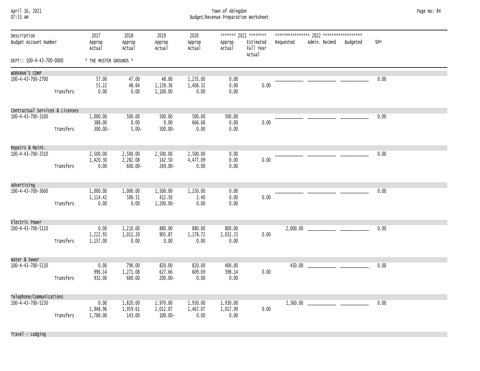| April 16, 2021 |  |
|----------------|--|
| 07.53 AM       |  |

# April 16, 2021 Town of Abingdon Page No: 84 07:53 AM Budget/Revenue Preparation Worksheet

| Description                        |           | 2017                         | 2018                               | 2019                               | 2020                         |                      | ******* 2021 ********            |                   |               |          |      |
|------------------------------------|-----------|------------------------------|------------------------------------|------------------------------------|------------------------------|----------------------|----------------------------------|-------------------|---------------|----------|------|
| Budget Account Number              |           | Approp<br>Actual             | Approp<br>Actual                   | Approp<br>Actual                   | Approp<br>Actual             | Approp<br>Actual     | Estimated<br>Full Year<br>Actual | Requested         | Admin. Recmnd | Budgeted | %PY  |
| DEPT:: 100-4-43-700-0000           |           | * THE MUSTER GROUNDS *       |                                    |                                    |                              |                      |                                  |                   |               |          |      |
| WORKMAN'S COMP                     |           |                              |                                    |                                    |                              |                      |                                  |                   |               |          |      |
| $100 - 4 - 43 - 700 - 2700$        | Transfers | 57.00<br>55.22<br>0.00       | 47.00<br>48.64<br>0.00             | 48.00<br>1,139.36<br>1,100.00      | 1,235.00<br>1,406.32<br>0.00 | 0.00<br>0.00<br>0.00 | 0.00                             |                   |               |          | 0.00 |
| Contractual Services & Licenses    |           |                              |                                    |                                    |                              |                      |                                  |                   |               |          |      |
| 100-4-43-700-3100                  |           | 1,000.00<br>388.00           | 500.00<br>0.00                     | 500.00<br>0.00                     | 500.00<br>666.68             | 500.00<br>0.00       | 0.00                             |                   |               |          | 0.00 |
|                                    | Transfers | $300.00 -$                   | $5.00 -$                           | $500.00 -$                         | 0.00                         | 0.00                 |                                  |                   |               |          |      |
| Repairs & Maint.                   |           |                              |                                    |                                    |                              |                      |                                  |                   |               |          |      |
| 100-4-43-700-3310                  | Transfers | 2,500.00<br>1,420.30<br>0.00 | 2,500.00<br>2,282.08<br>$600.00 -$ | 2,500.00<br>142.50<br>269.00-      | 2,500.00<br>4,477.09<br>0.00 | 0.00<br>0.00<br>0.00 | 0.00                             |                   |               |          | 0.00 |
|                                    |           |                              |                                    |                                    |                              |                      |                                  |                   |               |          |      |
| Advertising                        |           |                              |                                    |                                    |                              |                      |                                  |                   |               |          |      |
| 100-4-43-700-3600                  | Transfers | 1,000.00<br>1,114.42<br>0.00 | 1,000.00<br>500.51<br>0.00         | 1,500.00<br>422.50<br>$1,200.00 -$ | 1,250.00<br>2.40<br>0.00     | 0.00<br>0.00<br>0.00 | 0.00                             |                   |               |          | 0.00 |
|                                    |           |                              |                                    |                                    |                              |                      |                                  |                   |               |          |      |
| Electric Power                     |           |                              |                                    |                                    |                              |                      |                                  |                   |               |          |      |
| 100-4-43-700-5110                  |           | 0.00<br>1,222.93             | 1,210.00<br>1,011.20               | 880.00<br>905.87                   | 880.00<br>1,178.72           | 800.00<br>2,032.33   | 0.00                             |                   |               |          | 0.00 |
|                                    | Transfers | 1,157.00                     | 0.00                               | 0.00                               | 0.00                         | 0.00                 |                                  |                   |               |          |      |
| Water & Sewer<br>100-4-43-700-5130 |           | 0.00                         | 790.00                             | 820.00                             | 820.00                       | 400.00               |                                  | 450.00            |               |          | 0.00 |
|                                    | Transfers | 996.14<br>932.00             | 1,271.08<br>600.00                 | 627.66<br>$200.00 -$               | 609.69<br>0.00               | 398.14<br>0.00       | 0.00                             |                   |               |          |      |
|                                    |           |                              |                                    |                                    |                              |                      |                                  |                   |               |          |      |
| Telephone/Communications           |           |                              |                                    |                                    |                              |                      |                                  |                   |               |          |      |
| 100-4-43-700-5230                  |           | 0.00<br>1,948.96             | 1,820.00<br>1,959.61               | 1,970.00<br>2,012.07               | 1,930.00<br>1,467.07         | 1,930.00<br>1,017.99 | 0.00                             | $1,360.00$ $\Box$ |               |          | 0.00 |
|                                    | Transfers | 1,788.00                     | 143.00                             | $100.00 -$                         | 0.00                         | 0.00                 |                                  |                   |               |          |      |

Travel - Lodging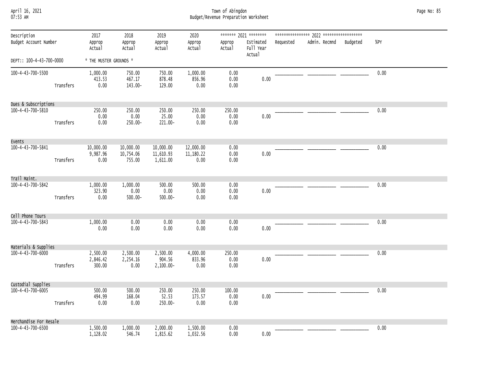| April 16, 2021 |  |
|----------------|--|
| 07.53 AM       |  |

April 16, 2021 Town of Abingdon Page No: 85 07:53 AM Budget/Revenue Preparation Worksheet

| Description<br>Budget Account Number<br>DEPT:: 100-4-43-700-0000 |           | 2017<br>Approp<br>Actual       | 2018<br>Approp<br>Actual         | 2019<br>Approp<br>Actual           | 2020<br>Approp<br>Actual       | Approp<br>Actual       | ******* 2021 ********<br>Estimated<br>Full Year<br>Actual | Requested | Admin. Recmnd | Budgeted | %PY  |
|------------------------------------------------------------------|-----------|--------------------------------|----------------------------------|------------------------------------|--------------------------------|------------------------|-----------------------------------------------------------|-----------|---------------|----------|------|
|                                                                  |           | * THE MUSTER GROUNDS *         |                                  |                                    |                                |                        |                                                           |           |               |          |      |
| 100-4-43-700-5500                                                | Transfers | 1,000.00<br>413.53<br>0.00     | 750.00<br>467.17<br>143.00-      | 750.00<br>878.48<br>129.00         | 1,000.00<br>856.96<br>0.00     | 0.00<br>0.00<br>0.00   | 0.00                                                      |           |               |          | 0.00 |
| Dues & Subscriptions                                             |           |                                |                                  |                                    |                                |                        |                                                           |           |               |          |      |
| 100-4-43-700-5810                                                | Transfers | 250.00<br>0.00<br>0.00         | 250.00<br>0.00<br>250.00-        | 250.00<br>25.00<br>221.00-         | 250.00<br>0.00<br>0.00         | 250.00<br>0.00<br>0.00 | 0.00                                                      |           |               |          | 0.00 |
| Events<br>100-4-43-700-5841                                      | Transfers | 10,000.00<br>9,987.96<br>0.00  | 10,000.00<br>10,754.06<br>755.00 | 10,000.00<br>11,610.93<br>1,611.00 | 12,000.00<br>11,180.22<br>0.00 | 0.00<br>0.00<br>0.00   | 0.00                                                      |           |               |          | 0.00 |
| Trail Maint.                                                     |           |                                |                                  |                                    |                                |                        |                                                           |           |               |          |      |
| 100-4-43-700-5842                                                | Transfers | 1,000.00<br>323.90<br>0.00     | 1,000.00<br>0.00<br>$500.00 -$   | 500.00<br>0.00<br>$500.00 -$       | 500.00<br>0.00<br>0.00         | 0.00<br>0.00<br>0.00   | 0.00                                                      |           |               |          | 0.00 |
| Cell Phone Tours                                                 |           |                                |                                  |                                    |                                |                        |                                                           |           |               |          |      |
| 100-4-43-700-5843                                                |           | 1,000.00<br>0.00               | 0.00<br>0.00                     | 0.00<br>0.00                       | 0.00<br>0.00                   | 0.00<br>0.00           | 0.00                                                      |           |               |          | 0.00 |
| Materials & Supplies                                             |           |                                |                                  |                                    |                                |                        |                                                           |           |               |          |      |
| 100-4-43-700-6000                                                | Transfers | 2,500.00<br>2,846.42<br>300.00 | 2,500.00<br>2,254.16<br>0.00     | 2,500.00<br>904.56<br>2,100.00-    | 4,000.00<br>833.96<br>0.00     | 250.00<br>0.00<br>0.00 | 0.00                                                      |           |               |          | 0.00 |
| Custodial Supplies                                               |           |                                |                                  |                                    |                                |                        |                                                           |           |               |          |      |
| $100 - 4 - 43 - 700 - 6005$                                      | Transfers | 500.00<br>494.99<br>0.00       | 500.00<br>168.04<br>0.00         | 250.00<br>52.53<br>250.00-         | 250.00<br>173.57<br>0.00       | 100.00<br>0.00<br>0.00 | 0.00                                                      |           |               |          | 0.00 |
| Merchandise For Resale                                           |           |                                |                                  |                                    |                                |                        |                                                           |           |               |          |      |
| 100-4-43-700-6500                                                |           | 1,500.00<br>1,128.02           | 1,000.00<br>546.74               | 2,000.00<br>1,815.62               | 1,500.00<br>1,032.56           | 0.00<br>0.00           | 0.00                                                      |           |               |          | 0.00 |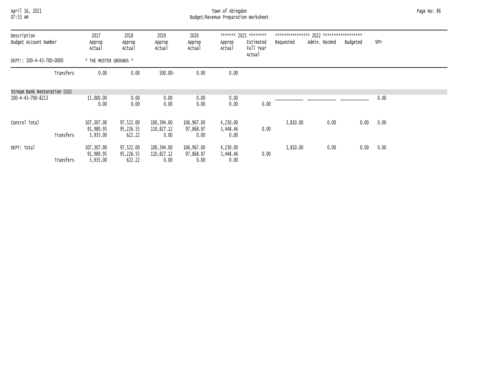# April 16, 2021 Town of Abingdon Page No: 86 07:53 AM Budget/Revenue Preparation Worksheet

| Description<br>Budget Account Number |           | 2017<br>Approp<br>Actual            | 2018<br>Approp<br>Actual         | 2019<br>Approp<br>Actual         | 2020<br>Approp<br>Actual        | Approp<br>Actual             | ******* 2021 ********<br>Estimated<br>Full Year<br>Actual | Requested | Admin. Recmnd | Budgeted | %PY  |  |
|--------------------------------------|-----------|-------------------------------------|----------------------------------|----------------------------------|---------------------------------|------------------------------|-----------------------------------------------------------|-----------|---------------|----------|------|--|
| DEPT:: 100-4-43-700-0000             |           | * THE MUSTER GROUNDS *              |                                  |                                  |                                 |                              |                                                           |           |               |          |      |  |
|                                      | Transfers | 0.00                                | 0.00                             | $500.00 -$                       | 0.00                            | 0.00                         |                                                           |           |               |          |      |  |
| Stream Bank Restoration (CO)         |           |                                     |                                  |                                  |                                 |                              |                                                           |           |               |          |      |  |
| 100-4-43-700-8213                    |           | 15,000.00<br>0.00                   | 0.00<br>0.00                     | 0.00<br>0.00                     | 0.00<br>0.00                    | 0.00<br>0.00                 | 0.00                                                      |           |               |          | 0.00 |  |
| Control Total                        | Transfers | 107,307.00<br>91,980.95<br>3,935.00 | 97,522.00<br>95,226.55<br>622.22 | 100,394.00<br>110,827.12<br>0.00 | 106,967.00<br>97,868.97<br>0.00 | 4,230.00<br>3,448.46<br>0.00 | 0.00                                                      | 3,810.00  | 0.00          | 0.00     | 0.00 |  |
| DEPT: Total                          | Transfers | 107,307.00<br>91,980.95<br>3,935.00 | 97,522.00<br>95,226.55<br>622.22 | 100,394.00<br>110,827.12<br>0.00 | 106,967.00<br>97,868.97<br>0.00 | 4,230.00<br>3,448.46<br>0.00 | 0.00                                                      | 3,810.00  | 0.00          | 0.00     | 0.00 |  |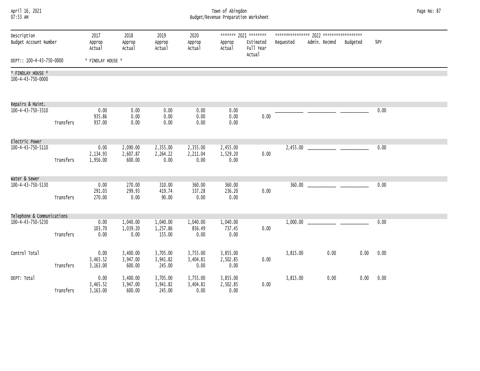| April 16, 2021<br>07:53 AM             |           | Town of Abingdon<br>Budget/Revenue Preparation Worksheet |                                |                                |                              |                              |                                                           |           |                        |      |      |  |
|----------------------------------------|-----------|----------------------------------------------------------|--------------------------------|--------------------------------|------------------------------|------------------------------|-----------------------------------------------------------|-----------|------------------------|------|------|--|
| Description<br>Budget Account Number   |           | 2017<br>Approp<br>Actual                                 | 2018<br>Approp<br>Actual       | 2019<br>Approp<br>Actual       | 2020<br>Approp<br>Actual     | Approp<br>Actual             | ******* 2021 ********<br>Estimated<br>Full Year<br>Actual | Requested | Admin. Recmnd Budgeted |      | %PY  |  |
| DEPT:: 100-4-43-750-0000               |           | * FINDLAY HOUSE *                                        |                                |                                |                              |                              |                                                           |           |                        |      |      |  |
| * FINDLAY HOUSE *<br>100-4-43-750-0000 |           |                                                          |                                |                                |                              |                              |                                                           |           |                        |      |      |  |
| Repairs & Maint.                       |           |                                                          |                                |                                |                              |                              |                                                           |           |                        |      |      |  |
| 100-4-43-750-3310                      | Transfers | 0.00<br>935.86<br>937.00                                 | 0.00<br>0.00<br>0.00           | 0.00<br>0.00<br>0.00           | 0.00<br>0.00<br>0.00         | 0.00<br>0.00<br>0.00         | 0.00                                                      |           |                        |      | 0.00 |  |
| Electric Power                         |           |                                                          |                                |                                |                              |                              |                                                           |           |                        |      |      |  |
| 100-4-43-750-5110                      | Transfers | 0.00<br>2,134.93<br>1,956.00                             | 2,090.00<br>2,607.87<br>600.00 | 2,355.00<br>2,264.22<br>0.00   | 2,355.00<br>2,211.04<br>0.00 | 2,455.00<br>1,529.20<br>0.00 | 0.00                                                      |           |                        |      | 0.00 |  |
| Water & Sewer                          |           |                                                          |                                |                                |                              |                              |                                                           |           |                        |      |      |  |
| 100-4-43-750-5130                      | Transfers | 0.00<br>291.03<br>270.00                                 | 270.00<br>299.93<br>0.00       | 310.00<br>419.74<br>90.00      | 360.00<br>337.28<br>0.00     | 360.00<br>236.20<br>0.00     | 0.00                                                      |           |                        |      | 0.00 |  |
| Telephone & Communications             |           |                                                          |                                |                                |                              |                              |                                                           |           |                        |      |      |  |
| 100-4-43-750-5230                      | Transfers | 0.00<br>103.70<br>0.00                                   | 1,040.00<br>1,039.20<br>0.00   | 1,040.00<br>1,257.86<br>155.00 | 1,040.00<br>856.49<br>0.00   | 1,040.00<br>737.45<br>0.00   | 0.00                                                      |           |                        |      | 0.00 |  |
| Control Total                          | Transfers | 0.00<br>3,465.52<br>3,163.00                             | 3,400.00<br>3,947.00<br>600.00 | 3,705.00<br>3,941.82<br>245.00 | 3,755.00<br>3,404.81<br>0.00 | 3,855.00<br>2,502.85<br>0.00 | 0.00                                                      | 3,815.00  | 0.00                   | 0.00 | 0.00 |  |
| DEPT: Total                            | Transfers | 0.00<br>3,465.52<br>3,163.00                             | 3,400.00<br>3,947.00<br>600.00 | 3,705.00<br>3,941.82<br>245.00 | 3,755.00<br>3,404.81<br>0.00 | 3,855.00<br>2,502.85<br>0.00 | 0.00                                                      | 3,815.00  | 0.00                   | 0.00 | 0.00 |  |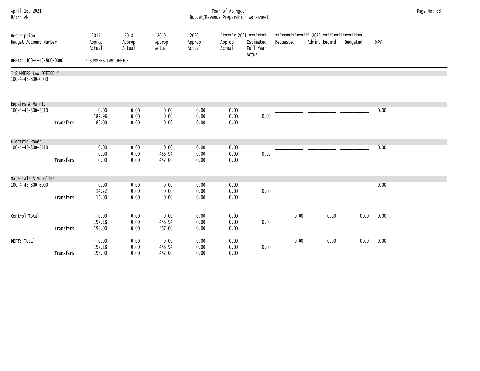| April 16, 2021<br>07:53 AM                  |           | Town of Abingdon<br>Budget/Revenue Preparation Worksheet |                  |                  |                  |                  |                                  |           |               |          |      |  |  |
|---------------------------------------------|-----------|----------------------------------------------------------|------------------|------------------|------------------|------------------|----------------------------------|-----------|---------------|----------|------|--|--|
| Description                                 |           | 2017                                                     | 2018             | 2019             | 2020             |                  | ******* 2021 ********            |           |               |          |      |  |  |
| Budget Account Number                       |           | Approp<br>Actual                                         | Approp<br>Actual | Approp<br>Actual | Approp<br>Actual | Approp<br>Actual | Estimated<br>Full Year<br>Actual | Requested | Admin. Recmnd | Budgeted | %PY  |  |  |
| DEPT:: 100-4-43-800-0000                    |           | * SUMMERS LAW OFFICE *                                   |                  |                  |                  |                  |                                  |           |               |          |      |  |  |
| * SUMMERS LAW OFFICE *<br>100-4-43-800-0000 |           |                                                          |                  |                  |                  |                  |                                  |           |               |          |      |  |  |
|                                             |           |                                                          |                  |                  |                  |                  |                                  |           |               |          |      |  |  |
| Repairs & Maint.                            |           |                                                          |                  |                  |                  |                  |                                  |           |               |          |      |  |  |
| 100-4-43-800-3310                           |           | 0.00                                                     | 0.00             | 0.00             | 0.00             | 0.00             |                                  |           |               |          | 0.00 |  |  |
|                                             | Transfers | 182.96<br>183.00                                         | 0.00<br>0.00     | 0.00<br>0.00     | 0.00<br>0.00     | 0.00<br>0.00     | 0.00                             |           |               |          |      |  |  |
|                                             |           |                                                          |                  |                  |                  |                  |                                  |           |               |          |      |  |  |
| Electric Power                              |           |                                                          |                  |                  |                  |                  |                                  |           |               |          |      |  |  |
| 100-4-43-800-5110                           |           | 0.00                                                     | 0.00             | 0.00             | 0.00             | 0.00             |                                  |           |               |          | 0.00 |  |  |
|                                             | Transfers | 0.00<br>0.00                                             | 0.00<br>0.00     | 456.94<br>457.00 | 0.00<br>0.00     | 0.00<br>0.00     | 0.00                             |           |               |          |      |  |  |
|                                             |           |                                                          |                  |                  |                  |                  |                                  |           |               |          |      |  |  |
| Materials & Supplies                        |           |                                                          |                  |                  |                  |                  |                                  |           |               |          |      |  |  |
| 100-4-43-800-6000                           |           | 0.00                                                     | 0.00             | 0.00             | 0.00             | 0.00             |                                  |           |               |          | 0.00 |  |  |
|                                             | Transfers | 14.22<br>15.00                                           | 0.00<br>0.00     | 0.00<br>0.00     | 0.00<br>0.00     | 0.00<br>0.00     | 0.00                             |           |               |          |      |  |  |
|                                             |           |                                                          |                  |                  |                  |                  |                                  |           |               |          |      |  |  |
| Control Total                               |           | 0.00                                                     | 0.00             | 0.00             | 0.00             | 0.00             |                                  | 0.00      | 0.00          | 0.00     | 0.00 |  |  |
|                                             |           | 197.18                                                   | 0.00             | 456.94           | 0.00             | 0.00             | 0.00                             |           |               |          |      |  |  |
|                                             | Transfers | 198.00                                                   | 0.00             | 457.00           | 0.00             | 0.00             |                                  |           |               |          |      |  |  |
| DEPT: Total                                 |           | 0.00                                                     | 0.00             | 0.00             | 0.00             | 0.00             |                                  | 0.00      | 0.00          | 0.00     | 0.00 |  |  |
|                                             |           | 197.18                                                   | 0.00             | 456.94           | 0.00             | 0.00             | 0.00                             |           |               |          |      |  |  |
|                                             | Transfers | 198.00                                                   | 0.00             | 457.00           | 0.00             | 0.00             |                                  |           |               |          |      |  |  |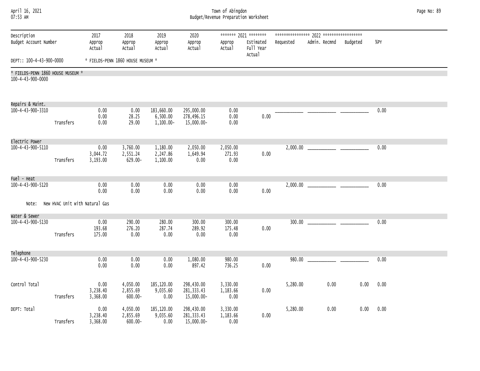| April 16, 2021 |  |  |
|----------------|--|--|
| 07:53 AM       |  |  |

# April 16, 2021 Town of Abingdon Page No: 89 07:53 AM Budget/Revenue Preparation Worksheet

| Description<br>Budget Account Number |           | 2017<br>Approp<br>Actual       | 2018<br>Approp<br>Actual           | 2019<br>Approp<br>Actual               | 2020<br>Approp<br>Actual                | Approp<br>Actual             | ******* 2021 ********<br>Estimated<br>Full Year<br>Actual | Requested | Admin. Recmnd | Budgeted | %PY  |  |
|--------------------------------------|-----------|--------------------------------|------------------------------------|----------------------------------------|-----------------------------------------|------------------------------|-----------------------------------------------------------|-----------|---------------|----------|------|--|
| DEPT:: 100-4-43-900-0000             |           |                                | * FIELDS-PENN 1860 HOUSE MUSEUM *  |                                        |                                         |                              |                                                           |           |               |          |      |  |
| * FIELDS-PENN 1860 HOUSE MUSEUM *    |           |                                |                                    |                                        |                                         |                              |                                                           |           |               |          |      |  |
| 100-4-43-900-0000                    |           |                                |                                    |                                        |                                         |                              |                                                           |           |               |          |      |  |
| Repairs & Maint.                     |           |                                |                                    |                                        |                                         |                              |                                                           |           |               |          |      |  |
| 100-4-43-900-3310                    | Transfers | 0.00<br>0.00<br>0.00           | 0.00<br>28.25<br>29.00             | 183,660.00<br>6,500.00<br>$1,100.00 -$ | 295,000.00<br>278,496.15<br>15,000.00-  | 0.00<br>0.00<br>0.00         | 0.00                                                      |           |               |          | 0.00 |  |
| Electric Power                       |           |                                |                                    |                                        |                                         |                              |                                                           |           |               |          |      |  |
| 100-4-43-900-5110                    | Transfers | 0.00<br>3,044.72<br>3,193.00   | 3,760.00<br>2,551.24<br>629.00-    | 1,180.00<br>2,247.86<br>1,100.00       | 2,050.00<br>1,649.94<br>0.00            | 2,050.00<br>271.93<br>0.00   | 0.00                                                      |           |               |          | 0.00 |  |
| Fuel - Heat                          |           |                                |                                    |                                        |                                         |                              |                                                           |           |               |          |      |  |
| 100-4-43-900-5120                    |           | 0.00<br>0.00                   | 0.00<br>0.00                       | 0.00<br>0.00                           | 0.00<br>0.00                            | 0.00<br>0.00                 | 0.00                                                      |           |               |          | 0.00 |  |
| Note:                                |           | New HVAC Unit with Natural Gas |                                    |                                        |                                         |                              |                                                           |           |               |          |      |  |
| Water & Sewer                        |           |                                |                                    |                                        |                                         |                              |                                                           |           |               |          |      |  |
| 100-4-43-900-5130                    | Transfers | 0.00<br>193.68<br>175.00       | 290.00<br>276.20<br>0.00           | 280.00<br>287.74<br>0.00               | 300.00<br>289.92<br>0.00                | 300.00<br>175.48<br>0.00     | 0.00                                                      |           |               |          | 0.00 |  |
| Telephone                            |           |                                |                                    |                                        |                                         |                              |                                                           |           |               |          |      |  |
| 100-4-43-900-5230                    |           | 0.00<br>0.00                   | 0.00<br>0.00                       | 0.00<br>0.00                           | 1,080.00<br>897.42                      | 980.00<br>736.25             | 0.00                                                      | 980.00    |               |          | 0.00 |  |
| Control Total                        | Transfers | 0.00<br>3,238.40<br>3,368.00   | 4,050.00<br>2,855.69<br>$600.00 -$ | 185,120.00<br>9,035.60<br>0.00         | 298,430.00<br>281, 333.43<br>15,000.00- | 3,330.00<br>1,183.66<br>0.00 | 0.00                                                      | 5,280.00  | 0.00          | 0.00     | 0.00 |  |
| DEPT: Total                          | Transfers | 0.00<br>3,238.40<br>3,368.00   | 4,050.00<br>2,855.69<br>$600.00 -$ | 185,120.00<br>9,035.60<br>0.00         | 298,430.00<br>281, 333.43<br>15,000.00- | 3,330.00<br>1,183.66<br>0.00 | 0.00                                                      | 5,280.00  | 0.00          | 0.00     | 0.00 |  |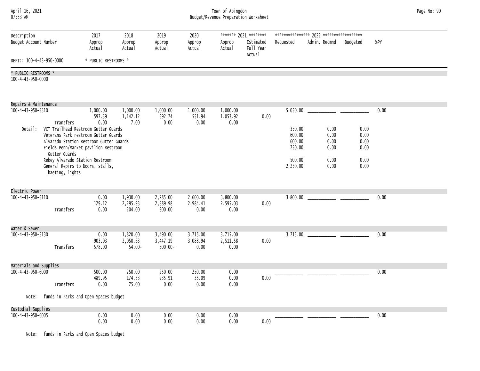| April 16, 2021<br>07:53 AM                            |                                                                                                                                                                                                                                                                                         | Town of Abingdon<br>Budget/Revenue Preparation Worksheet |                                   |                                    |                              |                              |                                                           |                                                                        |                                              |                                              |      |  |  |  |
|-------------------------------------------------------|-----------------------------------------------------------------------------------------------------------------------------------------------------------------------------------------------------------------------------------------------------------------------------------------|----------------------------------------------------------|-----------------------------------|------------------------------------|------------------------------|------------------------------|-----------------------------------------------------------|------------------------------------------------------------------------|----------------------------------------------|----------------------------------------------|------|--|--|--|
| Description<br>Budget Account Number                  |                                                                                                                                                                                                                                                                                         | 2017<br>Approp<br>Actual                                 | 2018<br>Approp<br>Actual          | 2019<br>Approp<br>Actual           | 2020<br>Approp<br>Actual     | Approp<br>Actual             | ******* 2021 ********<br>Estimated<br>Full Year<br>Actual | Requested                                                              | Admin. Recmnd                                | Budgeted                                     | %PY  |  |  |  |
| DEPT:: 100-4-43-950-0000                              |                                                                                                                                                                                                                                                                                         | * PUBLIC RESTROOMS *                                     |                                   |                                    |                              |                              |                                                           |                                                                        |                                              |                                              |      |  |  |  |
| * PUBLIC RESTROOMS *<br>100-4-43-950-0000             |                                                                                                                                                                                                                                                                                         |                                                          |                                   |                                    |                              |                              |                                                           |                                                                        |                                              |                                              |      |  |  |  |
| Repairs & Maintenance<br>100-4-43-950-3310<br>Detail: | Transfers<br>VCT Trailhead Restroom Gutter Guards<br>Veterans Park restroom Gutter Guards<br>Alvarado Station Restroom Gutter Guards<br>Fields Penn/Market pavilion Restroom<br>Gutter Guards<br>Rekey Alvarado Station Restroom<br>General Repirs to Doors, stalls,<br>haeting, lights | 1,000.00<br>597.39<br>0.00                               | 1,000.00<br>1,142.12<br>7.00      | 1,000.00<br>592.74<br>0.00         | 1,000.00<br>551.94<br>0.00   | 1,000.00<br>1,053.92<br>0.00 | 0.00                                                      | 5,050.00<br>350.00<br>600.00<br>600.00<br>750.00<br>500.00<br>2,250.00 | 0.00<br>0.00<br>0.00<br>0.00<br>0.00<br>0.00 | 0.00<br>0.00<br>0.00<br>0.00<br>0.00<br>0.00 | 0.00 |  |  |  |
| Electric Power<br>100-4-43-950-5110                   | Transfers                                                                                                                                                                                                                                                                               | 0.00<br>129.12<br>0.00                                   | 1,930.00<br>2,295.93<br>204.00    | 2,285.00<br>2,889.98<br>300.00     | 2,600.00<br>2,984.41<br>0.00 | 3,800.00<br>2,595.03<br>0.00 | 0.00                                                      | 3,800.00                                                               |                                              |                                              | 0.00 |  |  |  |
| Water & Sewer<br>100-4-43-950-5130                    | Transfers                                                                                                                                                                                                                                                                               | 0.00<br>903.03<br>578.00                                 | 1,820.00<br>2,050.63<br>$54.00 -$ | 3,490.00<br>3,447.19<br>$300.00 -$ | 3,715.00<br>3,088.94<br>0.00 | 3,715.00<br>2,511.58<br>0.00 | 0.00                                                      |                                                                        |                                              |                                              | 0.00 |  |  |  |
| Materials and Supplies<br>100-4-43-950-6000           | Transfers                                                                                                                                                                                                                                                                               | 500.00<br>489.95<br>0.00                                 | 250.00<br>174.33<br>75.00         | 250.00<br>235.91<br>0.00           | 250.00<br>35.09<br>0.00      | 0.00<br>0.00<br>0.00         | 0.00                                                      |                                                                        |                                              |                                              | 0.00 |  |  |  |
| Note:                                                 | funds in Parks and Open Spaces budget                                                                                                                                                                                                                                                   |                                                          |                                   |                                    |                              |                              |                                                           |                                                                        |                                              |                                              |      |  |  |  |
| Custodial Supplies<br>100-4-43-950-6005               |                                                                                                                                                                                                                                                                                         | 0.00<br>0.00                                             | 0.00<br>0.00                      | 0.00<br>0.00                       | 0.00<br>0.00                 | 0.00<br>0.00                 | 0.00                                                      |                                                                        |                                              |                                              | 0.00 |  |  |  |

Note: funds in Parks and Open Spaces budget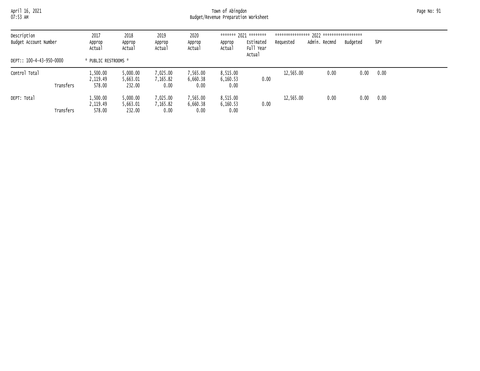April 16, 2021 Town of Abingdon Page No: 91 07:53 AM Budget/Revenue Preparation Worksheet

| Description<br>Budget Account Number | 2017<br>Approp<br>Actual       | 2018<br>Approp<br>Actual       | 2019<br>Approp<br>Actual     | 2020<br>Approp<br>Actual     | Approp<br>Actual             | ******* 2021 ********<br>Estimated<br>Full Year<br>Actual | ****************<br>Requested | 7022 ******************<br>Admin. Recmnd | Budgeted | %PY  |
|--------------------------------------|--------------------------------|--------------------------------|------------------------------|------------------------------|------------------------------|-----------------------------------------------------------|-------------------------------|------------------------------------------|----------|------|
| DEPT:: 100-4-43-950-0000             | * PUBLIC RESTROOMS *           |                                |                              |                              |                              |                                                           |                               |                                          |          |      |
| Control Total<br>Transfers           | 1,500.00<br>2,119.49<br>578.00 | 5,000.00<br>5,663.01<br>232.00 | 7,025.00<br>7,165.82<br>0.00 | 7,565.00<br>6,660.38<br>0.00 | 8,515.00<br>6,160.53<br>0.00 | 0.00                                                      | 12,565.00                     | 0.00                                     | 0.00     | 0.00 |
| DEPT: Total                          | 1,500.00<br>2,119.49           | 5,000.00<br>5,663.01           | 7.025.00<br>7,165.82         | 7,565.00<br>6,660.38         | 8,515.00<br>6,160.53         | 0.00                                                      | 12,565.00                     | 0.00                                     | 0.00     | 0.00 |
| Transfers                            | 578,00                         | 232.00                         | 0.00                         | 0.00                         | 0.00                         |                                                           |                               |                                          |          |      |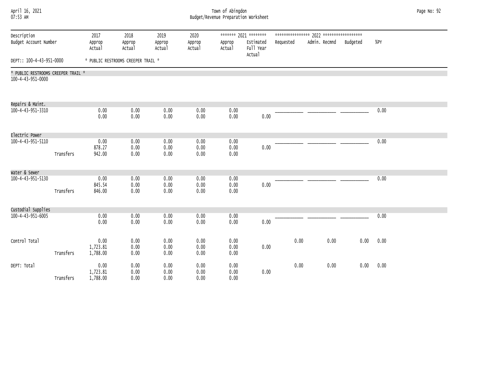| April 16, 2021 |  |
|----------------|--|
| $07.53$ AM     |  |

### April 16, 2021 Town of Abingdon Page No: 92 07:53 AM Budget/Revenue Preparation Worksheet

| Description                                             |           | 2017                     | 2018                               | 2019                 | 2020                 |                      | ******* 2021 ********            |           |               |          |      |  |
|---------------------------------------------------------|-----------|--------------------------|------------------------------------|----------------------|----------------------|----------------------|----------------------------------|-----------|---------------|----------|------|--|
| Budget Account Number                                   |           | Approp<br>Actual         | Approp<br>Actual                   | Approp<br>Actual     | Approp<br>Actual     | Approp<br>Actual     | Estimated<br>Full Year<br>Actual | Requested | Admin. Recmnd | Budgeted | %PY  |  |
| DEPT:: 100-4-43-951-0000                                |           |                          | * PUBLIC RESTROOMS CREEPER TRAIL * |                      |                      |                      |                                  |           |               |          |      |  |
| * PUBLIC RESTROOMS CREEPER TRAIL *<br>100-4-43-951-0000 |           |                          |                                    |                      |                      |                      |                                  |           |               |          |      |  |
|                                                         |           |                          |                                    |                      |                      |                      |                                  |           |               |          |      |  |
| Repairs & Maint.                                        |           |                          |                                    |                      |                      |                      |                                  |           |               |          |      |  |
| 100-4-43-951-3310                                       |           | 0.00<br>0.00             | 0.00<br>0.00                       | 0.00<br>0.00         | 0.00<br>0.00         | 0.00<br>0.00         | 0.00                             |           |               |          | 0.00 |  |
| Electric Power                                          |           |                          |                                    |                      |                      |                      |                                  |           |               |          |      |  |
| 100-4-43-951-5110                                       |           | 0.00<br>878.27           | 0.00<br>0.00                       | 0.00<br>0.00         | 0.00<br>0.00         | 0.00<br>0.00         | 0.00                             |           |               |          | 0.00 |  |
|                                                         | Transfers | 942.00                   | 0.00                               | 0.00                 | 0.00                 | 0.00                 |                                  |           |               |          |      |  |
| Water & Sewer                                           |           |                          |                                    |                      |                      |                      |                                  |           |               |          |      |  |
| 100-4-43-951-5130                                       | Transfers | 0.00<br>845.54<br>846.00 | 0.00<br>0.00<br>0.00               | 0.00<br>0.00<br>0.00 | 0.00<br>0.00<br>0.00 | 0.00<br>0.00<br>0.00 | 0.00                             |           |               |          | 0.00 |  |
|                                                         |           |                          |                                    |                      |                      |                      |                                  |           |               |          |      |  |
| Custodial Supplies                                      |           |                          |                                    |                      |                      |                      |                                  |           |               |          |      |  |
| 100-4-43-951-6005                                       |           | 0.00                     | 0.00                               | 0.00                 | 0.00                 | 0.00                 |                                  |           |               |          | 0.00 |  |
|                                                         |           | 0.00                     | 0.00                               | 0.00                 | 0.00                 | 0.00                 | 0.00                             |           |               |          |      |  |
| Control Total                                           |           | 0.00                     | 0.00                               | 0.00                 | 0.00                 | 0.00                 |                                  | 0.00      | 0.00          | 0.00     | 0.00 |  |
|                                                         |           | 1,723.81                 | 0.00                               | 0.00                 | 0.00                 | 0.00                 | 0.00                             |           |               |          |      |  |
|                                                         | Transfers | 1,788.00                 | 0.00                               | 0.00                 | 0.00                 | 0.00                 |                                  |           |               |          |      |  |
| DEPT: Total                                             |           | 0.00                     | 0.00                               | 0.00                 | 0.00                 | 0.00                 |                                  | 0.00      | 0.00          | 0.00     | 0.00 |  |
|                                                         |           | 1,723.81                 | 0.00                               | 0.00                 | 0.00                 | 0.00                 | 0.00                             |           |               |          |      |  |
|                                                         | Transfers | 1,788.00                 | 0.00                               | 0.00                 | 0.00                 | 0.00                 |                                  |           |               |          |      |  |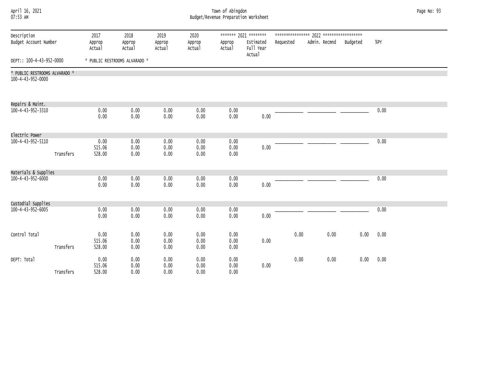| April 16, 2021<br>07:53 AM                         |           | Town of Abingdon<br>Budget/Revenue Preparation Worksheet |                               |                          |                          |                      |                                                           |           |               |          |        |  |  |  |
|----------------------------------------------------|-----------|----------------------------------------------------------|-------------------------------|--------------------------|--------------------------|----------------------|-----------------------------------------------------------|-----------|---------------|----------|--------|--|--|--|
| Description<br>Budget Account Number               |           | 2017<br>Approp<br>Actual                                 | 2018<br>Approp<br>Actual      | 2019<br>Approp<br>Actual | 2020<br>Approp<br>Actual | Approp<br>Actual     | ******* 2021 ********<br>Estimated<br>Full Year<br>Actual | Requested | Admin. Recmnd | Budgeted | $%$ PY |  |  |  |
| DEPT:: 100-4-43-952-0000                           |           |                                                          | * PUBLIC RESTROOMS ALVARADO * |                          |                          |                      |                                                           |           |               |          |        |  |  |  |
| * PUBLIC RESTROOMS ALVARADO *<br>100-4-43-952-0000 |           |                                                          |                               |                          |                          |                      |                                                           |           |               |          |        |  |  |  |
| Repairs & Maint.<br>100-4-43-952-3310              |           | 0.00                                                     | 0.00                          | 0.00                     | 0.00                     | 0.00                 |                                                           |           |               |          | 0.00   |  |  |  |
|                                                    |           | 0.00                                                     | 0.00                          | 0.00                     | 0.00                     | 0.00                 | 0.00                                                      |           |               |          |        |  |  |  |
| Electric Power<br>100-4-43-952-5110                |           | 0.00                                                     | 0.00                          | 0.00                     | 0.00                     | 0.00                 |                                                           |           |               |          | 0.00   |  |  |  |
|                                                    | Transfers | 515.06<br>528.00                                         | 0.00<br>0.00                  | 0.00<br>0.00             | 0.00<br>0.00             | 0.00<br>0.00         | 0.00                                                      |           |               |          |        |  |  |  |
| Materials & Supplies                               |           |                                                          |                               |                          |                          |                      |                                                           |           |               |          |        |  |  |  |
| 100-4-43-952-6000                                  |           | 0.00<br>0.00                                             | 0.00<br>0.00                  | 0.00<br>0.00             | 0.00<br>0.00             | 0.00<br>0.00         | 0.00                                                      |           |               |          | 0.00   |  |  |  |
| Custodial Supplies                                 |           |                                                          |                               |                          |                          |                      |                                                           |           |               |          |        |  |  |  |
| $100 - 4 - 43 - 952 - 6005$                        |           | 0.00<br>0.00                                             | 0.00<br>0.00                  | 0.00<br>0.00             | 0.00<br>0.00             | 0.00<br>0.00         | 0.00                                                      |           |               |          | 0.00   |  |  |  |
| Control Total                                      |           | 0.00<br>515.06                                           | 0.00<br>0.00                  | 0.00<br>0.00             | 0.00<br>0.00             | 0.00<br>0.00         | 0.00                                                      | 0.00      | 0.00          | 0.00     | 0.00   |  |  |  |
|                                                    | Transfers | 528.00                                                   | 0.00                          | 0.00                     | 0.00                     | 0.00                 |                                                           |           |               |          |        |  |  |  |
| DEPT: Total                                        | Transfers | 0.00<br>515.06<br>528.00                                 | 0.00<br>0.00<br>0.00          | 0.00<br>0.00<br>0.00     | 0.00<br>0.00<br>0.00     | 0.00<br>0.00<br>0.00 | 0.00                                                      | 0.00      | 0.00          | 0.00     | 0.00   |  |  |  |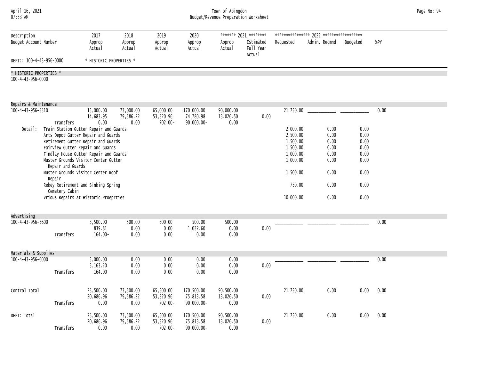| April 16, 2021 |  |
|----------------|--|
| 07.53 AM       |  |

#### April 16, 2021 Town of Abingdon Page No: 94 Budget/Revenue Preparation Worksheet

|                                                       |                                                            |                                                                                                                                                                                                                                                                                                                                                                                                     |                                |                                   |                                          | <b>Duaget/Revenue Treparación Morkoncec</b> |                                                           |                                                                                                                      |                                                                      |                                                                      |      |
|-------------------------------------------------------|------------------------------------------------------------|-----------------------------------------------------------------------------------------------------------------------------------------------------------------------------------------------------------------------------------------------------------------------------------------------------------------------------------------------------------------------------------------------------|--------------------------------|-----------------------------------|------------------------------------------|---------------------------------------------|-----------------------------------------------------------|----------------------------------------------------------------------------------------------------------------------|----------------------------------------------------------------------|----------------------------------------------------------------------|------|
| Description<br>Budget Account Number                  |                                                            | 2017<br>Approp<br>Actual                                                                                                                                                                                                                                                                                                                                                                            | 2018<br>Approp<br>Actual       | 2019<br>Approp<br>Actual          | 2020<br>Approp<br>Actual                 | Approp<br>Actual                            | ******* 2021 ********<br>Estimated<br>Full Year<br>Actual | Requested                                                                                                            | Admin. Recmnd                                                        | Budgeted                                                             | %PY  |
| DEPT:: 100-4-43-956-0000                              |                                                            | * HISTORIC PROPERTIES *                                                                                                                                                                                                                                                                                                                                                                             |                                |                                   |                                          |                                             |                                                           |                                                                                                                      |                                                                      |                                                                      |      |
| * HISTORIC PROPERTIES *<br>100-4-43-956-0000          |                                                            |                                                                                                                                                                                                                                                                                                                                                                                                     |                                |                                   |                                          |                                             |                                                           |                                                                                                                      |                                                                      |                                                                      |      |
| Repairs & Maintenance<br>100-4-43-956-3310<br>Detail: | Transfers<br>Repair and Guards<br>Repair<br>Cemetery Cabin | 15,000.00<br>14,683.95<br>0.00<br>Train Station Gutter Repair and Guards<br>Arts Depot Gutter Repair and Guards<br>Retirement Gutter Repair and Guards<br>Fairview Gutter Repair and Guards<br>Findlay House Gutter Repair and Guards<br>Muster Grounds Visitor Center Gutter<br>Muster Grounds Visitor Center Roof<br>Rekey Retirement and Sinking Spring<br>Vrious Repairs at Historic Proeprties | 73,000.00<br>79,586.22<br>0.00 | 65,000.00<br>53,320.96<br>702.00- | 170,000.00<br>74,780.98<br>$90,000.00 -$ | 90,000.00<br>13,026.50<br>0.00              | 0.00                                                      | 21,750.00<br>2,000.00<br>2,500.00<br>1,500.00<br>1,500.00<br>1,000.00<br>1,000.00<br>1,500.00<br>750.00<br>10,000.00 | 0.00<br>0.00<br>0.00<br>0.00<br>0.00<br>0.00<br>0.00<br>0.00<br>0.00 | 0.00<br>0.00<br>0.00<br>0.00<br>0.00<br>0.00<br>0.00<br>0.00<br>0.00 | 0.00 |
| Advertising<br>100-4-43-956-3600                      | Transfers                                                  | 3,500.00<br>839.81<br>$164.00 -$                                                                                                                                                                                                                                                                                                                                                                    | 500.00<br>0.00<br>0.00         | 500.00<br>0.00<br>0.00            | 500.00<br>1,032.60<br>0.00               | 500.00<br>0.00<br>0.00                      | 0.00                                                      |                                                                                                                      |                                                                      |                                                                      | 0.00 |
| Materials & Supplies<br>100-4-43-956-6000             | Transfers                                                  | 5,000.00<br>5,163.20<br>164.00                                                                                                                                                                                                                                                                                                                                                                      | 0.00<br>0.00<br>0.00           | 0.00<br>0.00<br>0.00              | 0.00<br>0.00<br>0.00                     | 0.00<br>0.00<br>0.00                        | 0.00                                                      |                                                                                                                      |                                                                      |                                                                      | 0.00 |
| Control Total                                         | Transfers                                                  | 23,500.00<br>20,686.96<br>0.00                                                                                                                                                                                                                                                                                                                                                                      | 73,500.00<br>79,586.22<br>0.00 | 65,500.00<br>53,320.96<br>702.00- | 170,500.00<br>75,813.58<br>$90,000.00 -$ | 90,500.00<br>13,026.50<br>0.00              | 0.00                                                      | 21,750.00                                                                                                            | 0.00                                                                 | 0.00                                                                 | 0.00 |
| DEPT: Total                                           | Transfers                                                  | 23,500.00<br>20,686.96<br>0.00                                                                                                                                                                                                                                                                                                                                                                      | 73,500.00<br>79,586.22<br>0.00 | 65,500.00<br>53,320.96<br>702.00- | 170,500.00<br>75,813.58<br>$90,000.00 -$ | 90,500.00<br>13,026.50<br>0.00              | 0.00                                                      | 21,750.00                                                                                                            | 0.00                                                                 | 0.00                                                                 | 0.00 |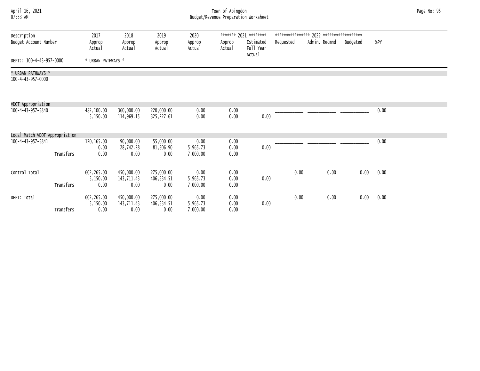| April 16, 2021<br>07:53 AM                                       | Town of Abingdon<br>Budget/Revenue Preparation Worksheet |                                  |                                  |                              |                      |                                                           |           |               |          |      |  |  |
|------------------------------------------------------------------|----------------------------------------------------------|----------------------------------|----------------------------------|------------------------------|----------------------|-----------------------------------------------------------|-----------|---------------|----------|------|--|--|
| Description<br>Budget Account Number                             | 2017<br>Approp<br>Actual                                 | 2018<br>Approp<br>Actual         | 2019<br>Approp<br>Actual         | 2020<br>Approp<br>Actual     | Approp<br>Actual     | ******* 2021 ********<br>Estimated<br>Full Year<br>Actual | Requested | Admin. Recmnd | Budgeted | %PY  |  |  |
| DEPT:: 100-4-43-957-0000                                         | * URBAN PATHWAYS *                                       |                                  |                                  |                              |                      |                                                           |           |               |          |      |  |  |
| * URBAN PATHWAYS *<br>100-4-43-957-0000                          |                                                          |                                  |                                  |                              |                      |                                                           |           |               |          |      |  |  |
| VDOT Appropriation<br>100-4-43-957-5840                          | 482,100.00<br>5,150,00                                   | 360,000.00<br>114,969.15         | 220,000.00<br>325,227.61         | 0.00<br>0.00                 | 0.00<br>0.00         | 0.00                                                      |           |               |          | 0.00 |  |  |
| Local Match VDOT Appropriation<br>100-4-43-957-5841<br>Transfers | 120,165.00<br>0.00<br>0.00                               | 90,000.00<br>28,742.28<br>0.00   | 55,000.00<br>81,306.90<br>0.00   | 0.00<br>5,965.73<br>7,000.00 | 0.00<br>0.00<br>0.00 | 0.00                                                      |           |               |          | 0.00 |  |  |
| Control Total<br>Transfers                                       | 602,265.00<br>5,150.00<br>0.00                           | 450,000.00<br>143,711.43<br>0.00 | 275,000.00<br>406,534.51<br>0.00 | 0.00<br>5,965.73<br>7,000.00 | 0.00<br>0.00<br>0.00 | 0.00                                                      | 0.00      | 0.00          | 0.00     | 0.00 |  |  |
| DEPT: Total<br>Transfers                                         | 602,265.00<br>5,150.00<br>0.00                           | 450,000.00<br>143,711.43<br>0.00 | 275,000.00<br>406,534.51<br>0.00 | 0.00<br>5,965.73<br>7,000.00 | 0.00<br>0.00<br>0.00 | 0.00                                                      | 0.00      | 0.00          | 0.00     | 0.00 |  |  |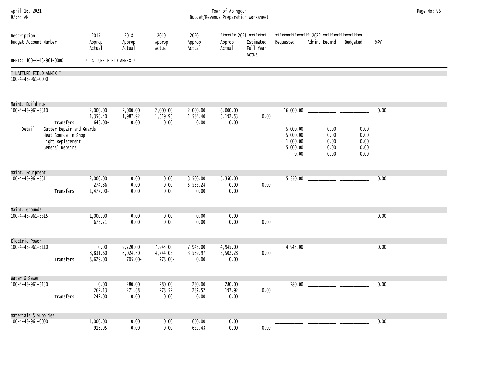| April 16, 2021<br>07:53 AM                       |                                                              | Town of Abingdon<br>Budget/Revenue Preparation Worksheet |                                    |                                 |                              |                              |                                                           |                                               |                      |                      |      |  |  |
|--------------------------------------------------|--------------------------------------------------------------|----------------------------------------------------------|------------------------------------|---------------------------------|------------------------------|------------------------------|-----------------------------------------------------------|-----------------------------------------------|----------------------|----------------------|------|--|--|
| Description<br>Budget Account Number             |                                                              | 2017<br>Approp<br>Actual                                 | 2018<br>Approp<br>Actual           | 2019<br>Approp<br>Actual        | 2020<br>Approp<br>Actual     | Approp<br>Actual             | ******* 2021 ********<br>Estimated<br>Full Year<br>Actual | Admin. Recmnd<br>%PY<br>Budgeted<br>Requested |                      |                      |      |  |  |
| DEPT:: 100-4-43-961-0000                         |                                                              | * LATTURE FIELD ANNEX *                                  |                                    |                                 |                              |                              |                                                           |                                               |                      |                      |      |  |  |
| * LATTURE FIELD ANNEX *<br>100-4-43-961-0000     |                                                              |                                                          |                                    |                                 |                              |                              |                                                           |                                               |                      |                      |      |  |  |
| Maint. Buildings<br>100-4-43-961-3310<br>Detail: | Transfers<br>Gutter Repair and Guards<br>Heat Source in Shop | 2,000.00<br>1,356.40<br>643.00-                          | 2,000.00<br>1,987.92<br>0.00       | 2,000.00<br>1,519.95<br>0.00    | 2,000.00<br>1,584.40<br>0.00 | 6,000.00<br>5,192.53<br>0.00 | 0.00                                                      | 16,000.00<br>5,000.00<br>5,000.00             | 0.00<br>0.00         | 0.00<br>0.00         | 0.00 |  |  |
|                                                  | Light Replacement<br>General Repairs                         |                                                          |                                    |                                 |                              |                              |                                                           | 1,000.00<br>5,000.00<br>0.00                  | 0.00<br>0.00<br>0.00 | 0.00<br>0.00<br>0.00 |      |  |  |
| Maint. Equipment<br>100-4-43-961-3311            | Transfers                                                    | 2,000.00<br>274.86<br>1,477.00-                          | 0.00<br>0.00<br>0.00               | 0.00<br>0.00<br>0.00            | 3,500.00<br>5,563.24<br>0.00 | 5,350.00<br>0.00<br>0.00     | 0.00                                                      | 5,350.00                                      |                      |                      | 0.00 |  |  |
| Maint. Grounds<br>100-4-43-961-3315              |                                                              | 1,000.00<br>675.21                                       | 0.00<br>0.00                       | 0.00<br>0.00                    | 0.00<br>0.00                 | 0.00<br>0.00                 | 0.00                                                      |                                               |                      |                      | 0.00 |  |  |
| Electric Power<br>100-4-43-961-5110              | Transfers                                                    | 0.00<br>8,831.60<br>8,629.00                             | 9,220.00<br>6,024.80<br>$705.00 -$ | 7,945.00<br>4,744.03<br>778.00- | 7,945.00<br>3,569.97<br>0.00 | 4,945.00<br>3,502.28<br>0.00 | 0.00                                                      |                                               |                      |                      | 0.00 |  |  |
| Water & Sewer<br>100-4-43-961-5130               | Transfers                                                    | 0.00<br>262.13<br>242.00                                 | 280.00<br>271.68<br>0.00           | 280.00<br>278.52<br>0.00        | 280.00<br>287.52<br>0.00     | 280.00<br>197.92<br>0.00     | 0.00                                                      | 280.00                                        |                      |                      | 0.00 |  |  |
| Materials & Supplies<br>100-4-43-961-6000        |                                                              | 1,000.00<br>916.95                                       | 0.00<br>0.00                       | 0.00<br>0.00                    | 650.00<br>632.43             | 0.00<br>0.00                 | 0.00                                                      |                                               |                      |                      | 0.00 |  |  |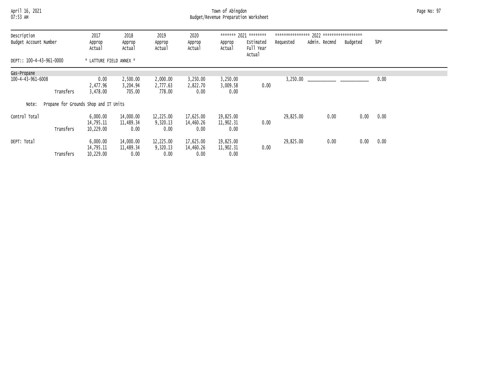## April 16, 2021 Town of Abingdon Page No: 97 07:53 AM Budget/Revenue Preparation Worksheet

| Description<br>Budget Account Number<br>DEPT:: 100-4-43-961-0000 |                                       | 2017<br>Approp<br>Actual           | 2018<br>Approp<br>Actual       | 2019<br>Approp<br>Actual       | 2020<br>Approp<br>Actual       | Approp<br>Actual               | ******* 2021 ********<br>Estimated<br>Full Year<br>Actual | Requested | Admin. Recmnd | Budgeted | %PY  |
|------------------------------------------------------------------|---------------------------------------|------------------------------------|--------------------------------|--------------------------------|--------------------------------|--------------------------------|-----------------------------------------------------------|-----------|---------------|----------|------|
|                                                                  |                                       | * LATTURE FIELD ANNEX *            |                                |                                |                                |                                |                                                           |           |               |          |      |
| Gas-Propane                                                      |                                       |                                    |                                |                                |                                |                                |                                                           |           |               |          |      |
| 100-4-43-961-6008                                                | Transfers                             | 0.00<br>2,477.96<br>3,478.00       | 2,500.00<br>3,204.94<br>705.00 | 2,000.00<br>2,777.63<br>778.00 | 3,250.00<br>2,822.70<br>0.00   | 3,250.00<br>3,009.58<br>0.00   | 0.00                                                      | 3,250.00  |               |          | 0.00 |
| Note:                                                            | Propane for Grounds Shop and IT Units |                                    |                                |                                |                                |                                |                                                           |           |               |          |      |
| Control Total                                                    | Transfers                             | 6,000.00<br>14,795.11<br>10,229.00 | 14,000.00<br>11,489.34<br>0.00 | 12,225.00<br>9,320.13<br>0.00  | 17,625.00<br>14,460.26<br>0.00 | 19,825.00<br>11,902.31<br>0.00 | 0.00                                                      | 29,825.00 | 0.00          | 0.00     | 0.00 |
| DEPT: Total                                                      | Transfers                             | 6,000.00<br>14,795.11<br>10,229.00 | 14,000.00<br>11,489.34<br>0.00 | 12,225.00<br>9,320.13<br>0.00  | 17,625.00<br>14,460.26<br>0.00 | 19,825.00<br>11,902.31<br>0.00 | 0.00                                                      | 29,825.00 | 0.00          | 0.00     | 0.00 |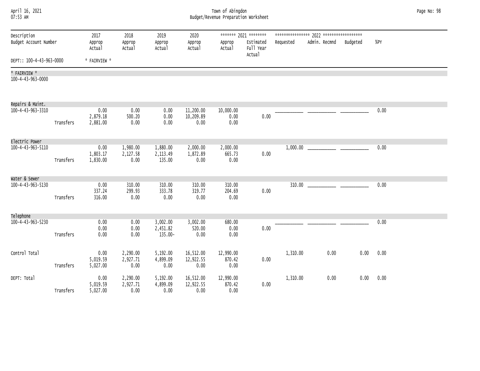| April 16, 2021<br>07:53 AM           |           | Town of Abingdon<br>Budget/Revenue Preparation Worksheet |                              |                                 |                                |                             |                                                           |           |               |          |      |  |
|--------------------------------------|-----------|----------------------------------------------------------|------------------------------|---------------------------------|--------------------------------|-----------------------------|-----------------------------------------------------------|-----------|---------------|----------|------|--|
| Description<br>Budget Account Number |           | 2017<br>Approp<br>Actual                                 | 2018<br>Approp<br>Actual     | 2019<br>Approp<br>Actual        | 2020<br>Approp<br>Actual       | Approp<br>Actual            | ******* 2021 ********<br>Estimated<br>Full Year<br>Actual | Requested | Admin. Recmnd | Budgeted | %PY  |  |
| DEPT:: 100-4-43-963-0000             |           | * FAIRVIEW *                                             |                              |                                 |                                |                             |                                                           |           |               |          |      |  |
| * FAIRVIEW *<br>100-4-43-963-0000    |           |                                                          |                              |                                 |                                |                             |                                                           |           |               |          |      |  |
| Repairs & Maint.                     |           |                                                          |                              |                                 |                                |                             |                                                           |           |               |          |      |  |
| 100-4-43-963-3310                    | Transfers | 0.00<br>2,879.18<br>2,881.00                             | 0.00<br>500.20<br>0.00       | 0.00<br>0.00<br>0.00            | 11,200.00<br>10,209.89<br>0.00 | 10,000.00<br>0.00<br>0.00   | 0.00                                                      |           |               |          | 0.00 |  |
| Electric Power<br>100-4-43-963-5110  |           | 0.00                                                     | 1,980.00                     | 1,880.00                        | 2,000.00                       | 2,000.00                    |                                                           | 1,000.00  |               |          | 0.00 |  |
|                                      | Transfers | 1,803.17<br>1,830.00                                     | 2,127.58<br>0.00             | 2,113.49<br>135.00              | 1,872.89<br>0.00               | 665.73<br>0.00              | 0.00                                                      |           |               |          |      |  |
| Water & Sewer                        |           |                                                          |                              |                                 |                                |                             |                                                           |           |               |          |      |  |
| 100-4-43-963-5130                    | Transfers | 0.00<br>337.24<br>316.00                                 | 310.00<br>299.93<br>0.00     | 310.00<br>333.78<br>0.00        | 310.00<br>319.77<br>0.00       | 310.00<br>204.69<br>0.00    | 0.00                                                      | 310.00    |               |          | 0.00 |  |
| Telephone                            |           |                                                          |                              |                                 |                                |                             |                                                           |           |               |          |      |  |
| 100-4-43-963-5230                    | Transfers | 0.00<br>0.00<br>0.00                                     | 0.00<br>0.00<br>0.00         | 3,002.00<br>2,451.82<br>135.00- | 3,002.00<br>520.00<br>0.00     | 680.00<br>0.00<br>0.00      | 0.00                                                      |           |               |          | 0.00 |  |
| Control Total                        | Transfers | 0.00<br>5,019.59<br>5,027.00                             | 2,290.00<br>2,927.71<br>0.00 | 5,192.00<br>4,899.09<br>0.00    | 16,512.00<br>12,922.55<br>0.00 | 12,990.00<br>870.42<br>0.00 | 0.00                                                      | 1,310.00  | 0.00          | 0.00     | 0.00 |  |
| DEPT: Total                          | Transfers | 0.00<br>5,019.59<br>5,027.00                             | 2,290.00<br>2,927.71<br>0.00 | 5,192.00<br>4,899.09<br>0.00    | 16,512.00<br>12,922.55<br>0.00 | 12,990.00<br>870.42<br>0.00 | 0.00                                                      | 1,310.00  | 0.00          | 0.00     | 0.00 |  |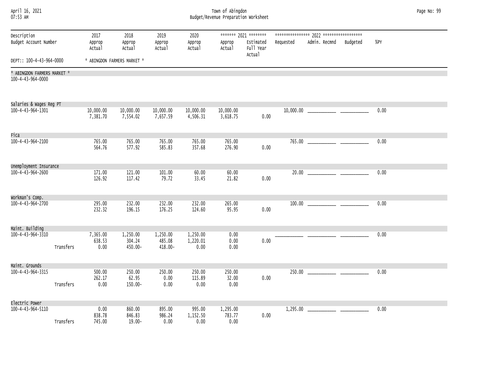| April 16, 2021<br>$07:53$ AM                     |           |                            | Town of Abingdon<br>Budget/Revenue Preparation Worksheet |                               |                              |                         |                                                 |           |               |          |      |  |  |  |
|--------------------------------------------------|-----------|----------------------------|----------------------------------------------------------|-------------------------------|------------------------------|-------------------------|-------------------------------------------------|-----------|---------------|----------|------|--|--|--|
| Description<br>Budget Account Number             |           | 2017<br>Approp<br>Actual   | 2018<br>Approp<br>Actual                                 | 2019<br>Approp<br>Actual      | 2020<br>Approp<br>Actual     | Approp<br>Actual        | ******* 2021 ********<br>Estimated<br>Full Year | Requested | Admin. Recmnd | Budgeted | %PY  |  |  |  |
| DEPT:: 100-4-43-964-0000                         |           |                            | * ABINGDON FARMERS MARKET *                              |                               |                              |                         | Actual                                          |           |               |          |      |  |  |  |
| * ABINGDON FARMERS MARKET *<br>100-4-43-964-0000 |           |                            |                                                          |                               |                              |                         |                                                 |           |               |          |      |  |  |  |
| Salaries & Wages Reg PT<br>100-4-43-964-1301     |           | 10,000.00<br>7,381.70      | 10,000.00<br>7,554.02                                    | 10,000.00<br>7,657.59         | 10,000.00<br>4,506.31        | 10,000.00<br>3,618.75   | 0.00                                            | 10,000.00 |               |          | 0.00 |  |  |  |
| Fica<br>100-4-43-964-2100                        |           | 765.00<br>564.76           | 765.00<br>577.92                                         | 765.00<br>585.83              | 765.00<br>357.68             | 765.00<br>276.90        | 0.00                                            | 765.00    |               |          | 0.00 |  |  |  |
| Unemployment Insurance<br>100-4-43-964-2600      |           | 171.00<br>126.92           | 121.00<br>117.42                                         | 101.00<br>79.72               | 60.00<br>33.45               | 60.00<br>21.82          | 0.00                                            | 20.00     |               |          | 0.00 |  |  |  |
| Workman's Comp.<br>100-4-43-964-2700             |           | 295.00<br>232.32           | 232.00<br>196.15                                         | 232.00<br>176.25              | 232.00<br>124.60             | 265.00<br>95.95         | 0.00                                            | 100.00    |               |          | 0.00 |  |  |  |
| Maint. Building<br>$100 - 4 - 43 - 964 - 3310$   | Transfers | 7,365.00<br>638.53<br>0.00 | 1,250.00<br>304.24<br>450.00-                            | 1,250.00<br>485.08<br>418.00- | 1,250.00<br>1,220.01<br>0.00 | 0.00<br>0.00<br>0.00    | 0.00                                            |           |               |          | 0.00 |  |  |  |
| Maint. Grounds<br>100-4-43-964-3315              | Transfers | 500.00<br>262.17<br>0.00   | 250.00<br>62.95<br>150.00-                               | 250.00<br>0.00<br>0.00        | 250.00<br>115.89<br>0.00     | 250.00<br>32.00<br>0.00 | 0.00                                            | 250.00    |               |          | 0.00 |  |  |  |
| Electric Power<br>100-4-43-964-5110              |           | 0.00<br>838.78             | 860.00<br>846.83                                         | 895.00<br>986.24              | 995.00<br>1,152.50           | 1,295.00<br>783.77      | 0.00                                            |           |               |          | 0.00 |  |  |  |
|                                                  | Transfers | 745.00                     | $19.00 -$                                                | 0.00                          | 0.00                         | 0.00                    |                                                 |           |               |          |      |  |  |  |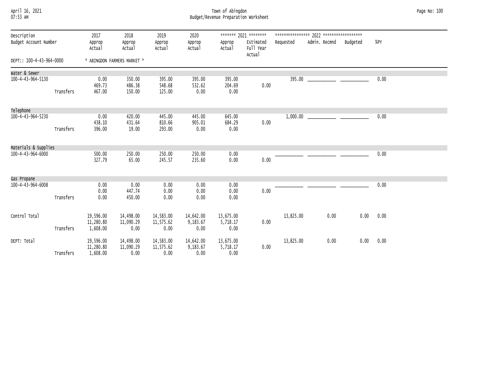| April 16, 2021 |  |
|----------------|--|
| 07.53 AM       |  |

## April 16, 2021 Town of Abingdon Page No: 100 07:53 AM Budget/Revenue Preparation Worksheet

| Description                      |           | 2017             | 2018                        | 2019             | 2020             |                  | ******* 2021 ********            |           |               |          |      |
|----------------------------------|-----------|------------------|-----------------------------|------------------|------------------|------------------|----------------------------------|-----------|---------------|----------|------|
| Budget Account Number            |           | Approp<br>Actual | Approp<br>Actual            | Approp<br>Actual | Approp<br>Actual | Approp<br>Actual | Estimated<br>Full Year<br>Actual | Requested | Admin. Recmnd | Budgeted | %PY  |
| DEPT:: 100-4-43-964-0000         |           |                  | * ABINGDON FARMERS MARKET * |                  |                  |                  |                                  |           |               |          |      |
| Water & Sewer                    |           |                  |                             |                  |                  |                  |                                  |           |               |          |      |
| 100-4-43-964-5130                |           | 0.00             | 350.00                      | 395.00           | 395.00           | 395.00           |                                  |           |               |          | 0.00 |
|                                  |           | 469.73           | 486.38                      | 548.68           | 532.62           | 204.69           | 0.00                             |           |               |          |      |
|                                  | Transfers | 467.00           | 150.00                      | 125.00           | 0.00             | 0.00             |                                  |           |               |          |      |
| Telephone                        |           |                  |                             |                  |                  |                  |                                  |           |               |          |      |
| 100-4-43-964-5230                |           | 0.00             | 420.00                      | 445.00           | 445.00           | 645.00           |                                  |           |               |          | 0.00 |
|                                  |           | 438.10           | 431.64                      | 810.66           | 905.01           | 684.29           | 0.00                             |           |               |          |      |
|                                  | Transfers | 396.00           | 19.00                       | 293.00           | 0.00             | 0.00             |                                  |           |               |          |      |
| Materials & Supplies             |           |                  |                             |                  |                  |                  |                                  |           |               |          |      |
| 100-4-43-964-6000                |           | 500.00           | 250.00                      | 250.00           | 250.00           | 0.00             |                                  |           |               |          | 0.00 |
|                                  |           | 327.79           | 65.00                       | 245.57           | 235.60           | 0.00             | 0.00                             |           |               |          |      |
|                                  |           |                  |                             |                  |                  |                  |                                  |           |               |          |      |
| Gas Propane<br>100-4-43-964-6008 |           | 0.00             | 0.00                        | 0.00             | 0.00             | 0.00             |                                  |           |               |          | 0.00 |
|                                  |           | 0.00             | 447.74                      | 0.00             | 0.00             | 0.00             | 0.00                             |           |               |          |      |
|                                  | Transfers | 0.00             | 450.00                      | 0.00             | 0.00             | 0.00             |                                  |           |               |          |      |
|                                  |           |                  |                             |                  |                  |                  |                                  |           |               |          |      |
| Control Total                    |           | 19,596.00        | 14,498.00                   | 14,583.00        | 14,642.00        | 13,675.00        |                                  | 13,825.00 | 0.00          | 0.00     | 0.00 |
|                                  |           | 11,280.80        | 11,090.29                   | 11,575.62        | 9,183.67         | 5,718.17         | 0.00                             |           |               |          |      |
|                                  | Transfers | 1,608.00         | 0.00                        | 0.00             | 0.00             | 0.00             |                                  |           |               |          |      |
| DEPT: Total                      |           | 19,596.00        | 14,498.00                   | 14,583.00        | 14,642.00        | 13,675.00        |                                  | 13,825.00 | 0.00          | 0.00     | 0.00 |
|                                  |           | 11,280.80        | 11,090.29                   | 11,575.62        | 9,183.67         | 5,718.17         | 0.00                             |           |               |          |      |
|                                  | Transfers | 1,608.00         | 0.00                        | 0.00             | 0.00             | 0.00             |                                  |           |               |          |      |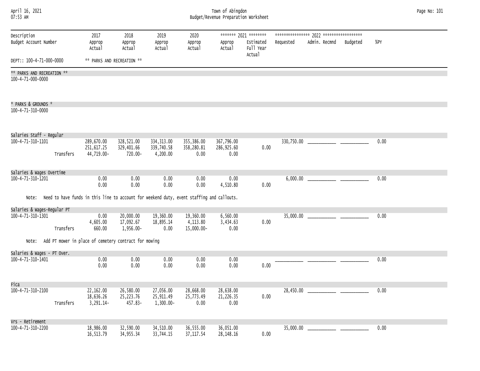| April 16, 2021<br>07:53 AM                       |           |                                                       |                                     |                                        |                                                                                           | Town of Abingdon<br>Budget/Revenue Preparation Worksheet |                                                           |           |               |          |      | Page No: 101 |
|--------------------------------------------------|-----------|-------------------------------------------------------|-------------------------------------|----------------------------------------|-------------------------------------------------------------------------------------------|----------------------------------------------------------|-----------------------------------------------------------|-----------|---------------|----------|------|--------------|
| Description<br>Budget Account Number             |           | 2017<br>Approp<br>Actual                              | 2018<br>Approp<br>Actual            | 2019<br>Approp<br>Actual               | 2020<br>Approp<br>Actual                                                                  | Approp<br>Actual                                         | ******* 2021 ********<br>Estimated<br>Full Year<br>Actual | Requested | Admin. Recmnd | Budgeted | %PY  |              |
| DEPT:: 100-4-71-000-0000                         |           |                                                       | ** PARKS AND RECREATION **          |                                        |                                                                                           |                                                          |                                                           |           |               |          |      |              |
| ** PARKS AND RECREATION **<br>100-4-71-000-0000  |           |                                                       |                                     |                                        |                                                                                           |                                                          |                                                           |           |               |          |      |              |
| * PARKS & GROUNDS *<br>100-4-71-310-0000         |           |                                                       |                                     |                                        |                                                                                           |                                                          |                                                           |           |               |          |      |              |
|                                                  |           |                                                       |                                     |                                        |                                                                                           |                                                          |                                                           |           |               |          |      |              |
| Salaries Staff - Regular<br>100-4-71-310-1101    | Transfers | 289,670.00<br>251,617.25<br>44,719.00-                | 328,521.00<br>329,401.66<br>720.00- | 334, 313.00<br>339,740.58<br>4,200.00  | 355,386.00<br>358,280.81<br>0.00                                                          | 367,796.00<br>286,925.60<br>0.00                         | 0.00                                                      |           |               |          | 0.00 |              |
| Salaries & Wages Overtime                        |           |                                                       |                                     |                                        |                                                                                           |                                                          |                                                           |           |               |          |      |              |
| 100-4-71-310-1201                                |           | 0.00<br>0.00                                          | 0.00<br>0.00                        | 0.00<br>0.00                           | 0.00<br>0.00                                                                              | 0.00<br>4,510.80                                         | 0.00                                                      |           |               |          | 0.00 |              |
| Note:                                            |           |                                                       |                                     |                                        | Need to have funds in this line to account for weekend duty, event staffing and callouts. |                                                          |                                                           |           |               |          |      |              |
| Salaries & Wages-Regular PT<br>100-4-71-310-1301 | Transfers | 0.00<br>4,605.00<br>660.00                            | 20,000.00<br>17,092.67<br>1,956.00- | 19,360.00<br>18,895.14<br>0.00         | 19,360.00<br>4,113.80<br>15,000.00-                                                       | 6,560.00<br>3,434.63<br>0.00                             | 0.00                                                      |           |               |          | 0.00 |              |
| Note:                                            |           | Add PT mower in place of cemetery contract for mowing |                                     |                                        |                                                                                           |                                                          |                                                           |           |               |          |      |              |
| Salaries & Wages - PT Over.                      |           |                                                       |                                     |                                        |                                                                                           |                                                          |                                                           |           |               |          |      |              |
| 100-4-71-310-1401                                |           | 0.00<br>0.00                                          | 0.00<br>0.00                        | 0.00<br>0.00                           | 0.00<br>0.00                                                                              | 0.00<br>0.00                                             | 0.00                                                      |           |               |          | 0.00 |              |
| Fica                                             |           |                                                       |                                     |                                        |                                                                                           |                                                          |                                                           |           |               |          |      |              |
| 100-4-71-310-2100                                | Transfers | 22,162.00<br>18,636.26<br>3,291.14-                   | 26,580.00<br>25,223.76<br>457.83-   | 27,056.00<br>25,911.49<br>$1,300.00 -$ | 28,668.00<br>25,773.49<br>0.00                                                            | 28,638.00<br>21,226.35<br>0.00                           | 0.00                                                      | 28,450.00 |               |          | 0.00 |              |
| Vrs - Retirement                                 |           |                                                       |                                     |                                        |                                                                                           |                                                          |                                                           |           |               |          |      |              |
| 100-4-71-310-2200                                |           | 18,986.00<br>16,513.79                                | 32,590.00<br>34, 955.34             | 34,510.00<br>33,744.15                 | 36,555.00<br>37, 117.54                                                                   | 36,051.00<br>28, 148. 16                                 | 0.00                                                      | 35,000.00 |               |          | 0.00 |              |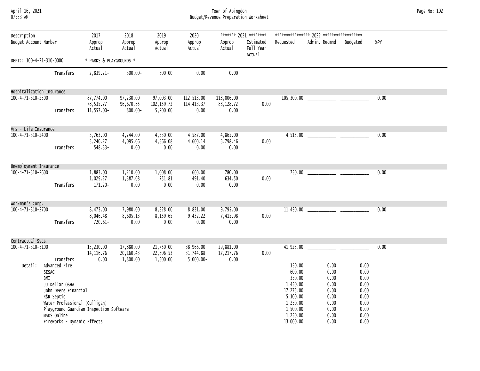| April 16, 2021<br>07:53 AM             |                                                                                                                                                                                                                 | Town of Abingdon<br>Budget/Revenue Preparation Worksheet |                                      |                                     |                                        |                                  |                                                           |                                                                                                                  |                                                                              |                                                                              |      |  |  |
|----------------------------------------|-----------------------------------------------------------------------------------------------------------------------------------------------------------------------------------------------------------------|----------------------------------------------------------|--------------------------------------|-------------------------------------|----------------------------------------|----------------------------------|-----------------------------------------------------------|------------------------------------------------------------------------------------------------------------------|------------------------------------------------------------------------------|------------------------------------------------------------------------------|------|--|--|
| Description<br>Budget Account Number   |                                                                                                                                                                                                                 | 2017<br>Approp<br>Actual                                 | 2018<br>Approp<br>Actual             | 2019<br>Approp<br>Actual            | 2020<br>Approp<br>Actual               | Approp<br>Actual                 | ******* 2021 ********<br>Estimated<br>Full Year<br>Actual | Requested                                                                                                        | Admin. Recmnd                                                                | Budgeted                                                                     | %PY  |  |  |
| DEPT:: 100-4-71-310-0000               |                                                                                                                                                                                                                 | * PARKS & PLAYGROUNDS *                                  |                                      |                                     |                                        |                                  |                                                           |                                                                                                                  |                                                                              |                                                                              |      |  |  |
|                                        | Transfers                                                                                                                                                                                                       | 2,839.21-                                                | $300.00 -$                           | 300.00                              | 0.00                                   | 0.00                             |                                                           |                                                                                                                  |                                                                              |                                                                              |      |  |  |
| Hospitalization Insurance              |                                                                                                                                                                                                                 |                                                          |                                      |                                     |                                        |                                  |                                                           |                                                                                                                  |                                                                              |                                                                              |      |  |  |
| 100-4-71-310-2300                      | Transfers                                                                                                                                                                                                       | 87,774.00<br>78,535.77<br>11,557.00-                     | 97,230.00<br>96,670.65<br>$800.00 -$ | 97,003.00<br>102,159.72<br>5,200.00 | 112,513.00<br>114, 413.37<br>0.00      | 118,006.00<br>88, 128.72<br>0.00 | 0.00                                                      |                                                                                                                  |                                                                              |                                                                              | 0.00 |  |  |
| Vrs - Life Insurance                   |                                                                                                                                                                                                                 |                                                          |                                      |                                     |                                        |                                  |                                                           |                                                                                                                  |                                                                              |                                                                              |      |  |  |
| 100-4-71-310-2400                      | Transfers                                                                                                                                                                                                       | 3,763.00<br>3,240.27<br>548.33-                          | 4,244.00<br>4,095.06<br>0.00         | 4,330.00<br>4,366.08<br>0.00        | 4,587.00<br>4,600.14<br>0.00           | 4,865.00<br>3,798.46<br>0.00     | 0.00                                                      |                                                                                                                  |                                                                              |                                                                              | 0.00 |  |  |
|                                        |                                                                                                                                                                                                                 |                                                          |                                      |                                     |                                        |                                  |                                                           |                                                                                                                  |                                                                              |                                                                              |      |  |  |
| Unemployment Insurance                 |                                                                                                                                                                                                                 |                                                          |                                      |                                     |                                        |                                  |                                                           |                                                                                                                  |                                                                              |                                                                              |      |  |  |
| 100-4-71-310-2600                      | Transfers                                                                                                                                                                                                       | 1,883.00<br>1,029.27<br>$171.20 -$                       | 1,210.00<br>1,387.08<br>0.00         | 1,008.00<br>751.81<br>0.00          | 660.00<br>491.40<br>0.00               | 780.00<br>634.50<br>0.00         | 0.00                                                      |                                                                                                                  |                                                                              |                                                                              | 0.00 |  |  |
| Workman's Comp.                        |                                                                                                                                                                                                                 |                                                          |                                      |                                     |                                        |                                  |                                                           |                                                                                                                  |                                                                              |                                                                              |      |  |  |
| 100-4-71-310-2700                      | Transfers                                                                                                                                                                                                       | 8,473.00<br>8,046.48<br>720.61-                          | 7,980.00<br>8,605.13<br>0.00         | 8,328.00<br>8,159.65<br>0.00        | 8,831.00<br>9,432.22<br>0.00           | 9,795.00<br>7,415.98<br>0.00     | 0.00                                                      |                                                                                                                  |                                                                              |                                                                              | 0.00 |  |  |
|                                        |                                                                                                                                                                                                                 |                                                          |                                      |                                     |                                        |                                  |                                                           |                                                                                                                  |                                                                              |                                                                              |      |  |  |
| Contractual Svcs.<br>100-4-71-310-3100 | Transfers                                                                                                                                                                                                       | 15,230.00<br>14, 116.76<br>0.00                          | 17,880.00<br>20,160.43<br>1,800.00   | 21,750.00<br>22,806.53<br>1,500.00  | 38,966.00<br>31,744.88<br>$5,000.00 -$ | 29,881.00<br>17, 217.76<br>0.00  | 0.00                                                      |                                                                                                                  |                                                                              |                                                                              | 0.00 |  |  |
| Detail:                                | Advanced Fire<br>SESAC<br>BMI<br>JJ Kellar OSHA<br>John Deere Financial<br>R&R Septic<br>Water Professional (Culligan)<br>Playground Guardian Inspection Software<br>MSDS Online<br>Fireworks - Dynamic Effects |                                                          |                                      |                                     |                                        |                                  |                                                           | 150.00<br>600.00<br>350.00<br>1,450.00<br>17,275.00<br>5,100.00<br>1,250.00<br>1,500.00<br>1,250.00<br>13,000.00 | 0.00<br>0.00<br>0.00<br>0.00<br>0.00<br>0.00<br>0.00<br>0.00<br>0.00<br>0.00 | 0.00<br>0.00<br>0.00<br>0.00<br>0.00<br>0.00<br>0.00<br>0.00<br>0.00<br>0.00 |      |  |  |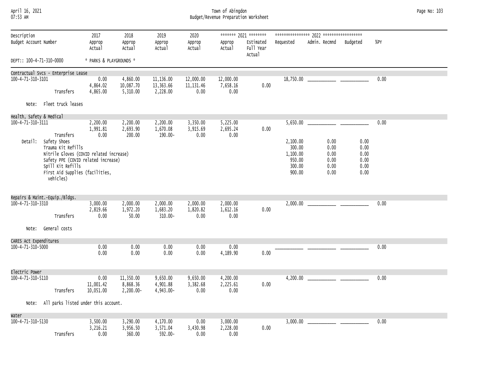| April 16, 2021<br>07:53 AM           |                                                                                                                                                                           |                              |                                   |                                    |                                 | Town of Abingdon<br>Budget/Revenue Preparation Worksheet |                                                           |                                                  |                                      |                                      |      | Page No: 103 |
|--------------------------------------|---------------------------------------------------------------------------------------------------------------------------------------------------------------------------|------------------------------|-----------------------------------|------------------------------------|---------------------------------|----------------------------------------------------------|-----------------------------------------------------------|--------------------------------------------------|--------------------------------------|--------------------------------------|------|--------------|
| Description<br>Budget Account Number |                                                                                                                                                                           | 2017<br>Approp<br>Actual     | 2018<br>Approp<br>Actual          | 2019<br>Approp<br>Actual           | 2020<br>Approp<br>Actual        | Approp<br>Actual                                         | ******* 2021 ********<br>Estimated<br>Full Year<br>Actual | Requested                                        | Admin. Recmnd                        | Budgeted                             | %PY  |              |
| DEPT:: 100-4-71-310-0000             |                                                                                                                                                                           | * PARKS & PLAYGROUNDS *      |                                   |                                    |                                 |                                                          |                                                           |                                                  |                                      |                                      |      |              |
|                                      | Contractual Svcs - Enterprise Lease                                                                                                                                       |                              |                                   |                                    |                                 |                                                          |                                                           |                                                  |                                      |                                      |      |              |
| 100-4-71-310-3101                    | Transfers                                                                                                                                                                 | 0.00<br>4,864.02<br>4,865.00 | 4,860.00<br>10,087.70<br>5,310.00 | 11,136.00<br>13,363.66<br>2,228.00 | 12,000.00<br>11, 131.46<br>0.00 | 12,000.00<br>7,658.16<br>0.00                            | 0.00                                                      |                                                  |                                      |                                      | 0.00 |              |
| Note:                                | Fleet truck leases                                                                                                                                                        |                              |                                   |                                    |                                 |                                                          |                                                           |                                                  |                                      |                                      |      |              |
| Health, Safety & Medical             |                                                                                                                                                                           |                              |                                   |                                    |                                 |                                                          |                                                           |                                                  |                                      |                                      |      |              |
| 100-4-71-310-3111<br>Detail:         | Transfers<br>Safety Shoes                                                                                                                                                 | 2,200.00<br>1,991.81<br>0.00 | 2,200.00<br>2,693.90<br>200,00    | 2,200.00<br>1,670.08<br>190.00-    | 3,350.00<br>3,915.69<br>0.00    | 5,225.00<br>2,695.24<br>0.00                             | 0.00                                                      | 5,650.00<br>2,100.00                             | 0.00                                 | 0.00                                 | 0.00 |              |
|                                      | Trauma Kit Refills<br>Nitrile Gloves (COVID related increase)<br>Safety PPE (COVID related increase)<br>Spill Kit Refills<br>First Aid Supplies (facilities,<br>vehicles) |                              |                                   |                                    |                                 |                                                          |                                                           | 300.00<br>1,100.00<br>950.00<br>300.00<br>900.00 | 0.00<br>0.00<br>0.00<br>0.00<br>0.00 | 0.00<br>0.00<br>0.00<br>0.00<br>0.00 |      |              |
|                                      | Repairs & Maint.-Equip./Bldgs.                                                                                                                                            |                              |                                   |                                    |                                 |                                                          |                                                           |                                                  |                                      |                                      |      |              |
| 100-4-71-310-3310                    | Transfers                                                                                                                                                                 | 3,000.00<br>2,819.66<br>0.00 | 2,000.00<br>1,972.20<br>50.00     | 2,000.00<br>1,683.20<br>$310.00 -$ | 2,000.00<br>1,820.82<br>0.00    | 2,000.00<br>1,612.16<br>0.00                             | 0.00                                                      |                                                  |                                      |                                      | 0.00 |              |
| Note:                                | General costs                                                                                                                                                             |                              |                                   |                                    |                                 |                                                          |                                                           |                                                  |                                      |                                      |      |              |
| CARES Act Expenditures               |                                                                                                                                                                           |                              |                                   |                                    |                                 |                                                          |                                                           |                                                  |                                      |                                      |      |              |
| 100-4-71-310-5000                    |                                                                                                                                                                           | 0.00<br>0.00                 | 0.00<br>0.00                      | 0.00<br>0.00                       | 0.00<br>0.00                    | 0.00<br>4,189.90                                         | 0.00                                                      |                                                  |                                      |                                      | 0.00 |              |
| Electric Power<br>100-4-71-310-5110  |                                                                                                                                                                           | 0.00<br>11,001.42            | 11,350.00<br>8,868.36             | 9,650.00<br>4,901.88               | 9,650.00<br>3,382.68            | 4,200.00<br>2,225.61                                     | 0.00                                                      |                                                  |                                      |                                      | 0.00 |              |
| Note:                                | Transfers<br>All parks listed under this account.                                                                                                                         | 10,051.00                    | $2,200.00 -$                      | 4,943.00-                          | 0.00                            | 0.00                                                     |                                                           |                                                  |                                      |                                      |      |              |
|                                      |                                                                                                                                                                           |                              |                                   |                                    |                                 |                                                          |                                                           |                                                  |                                      |                                      |      |              |
| Water<br>100-4-71-310-5130           |                                                                                                                                                                           | 3,500.00                     | 3,290.00                          | 4,170.00                           | 0.00                            | 3,000.00                                                 |                                                           | 3,000.00                                         |                                      |                                      | 0.00 |              |

 3,216.21 3,956.50 3,571.04 3,430.98 2,228.00 0.00 3,500.00 3,290.00 4,170.00 0.00 3,000.00<br>3,216.21 3,956.50 3,571.04 3,430.98 2,228.00<br>0.00 592.00- 0.00 0.00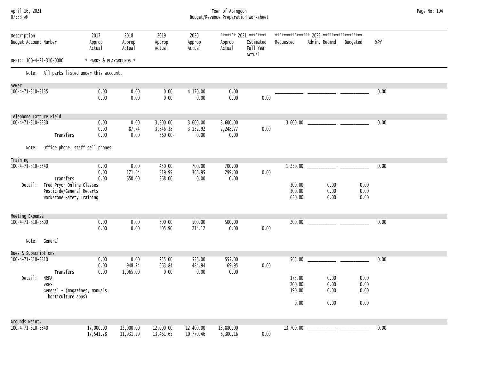### April 16, 2021 Town of Abingdon Page No: 104 07:53 AM Budget/Revenue Preparation Worksheet

| Description              |                                                                                     | 2017                    | 2018                   | 2019                   | 2020                   |                       | ******* 2021 ********            |                            |                      |                      |      |
|--------------------------|-------------------------------------------------------------------------------------|-------------------------|------------------------|------------------------|------------------------|-----------------------|----------------------------------|----------------------------|----------------------|----------------------|------|
| Budget Account Number    |                                                                                     | Approp<br>Actual        | Approp<br>Actual       | Approp<br>Actual       | Approp<br>Actual       | Approp<br>Actual      | Estimated<br>Full Year<br>Actual | Requested                  | Admin. Recmnd        | Budgeted             | %PY  |
| DEPT:: 100-4-71-310-0000 |                                                                                     | * PARKS & PLAYGROUNDS * |                        |                        |                        |                       |                                  |                            |                      |                      |      |
|                          | Note: All parks listed under this account.                                          |                         |                        |                        |                        |                       |                                  |                            |                      |                      |      |
| Sewer                    |                                                                                     |                         |                        |                        |                        |                       |                                  |                            |                      |                      |      |
| 100-4-71-310-5135        |                                                                                     | 0.00<br>0.00            | 0.00<br>0.00           | 0.00<br>0.00           | 4,170.00<br>0.00       | 0.00<br>0.00          | 0.00                             |                            |                      |                      | 0.00 |
| Telephone Latture Field  |                                                                                     |                         |                        |                        |                        |                       |                                  |                            |                      |                      |      |
| 100-4-71-310-5230        |                                                                                     | 0.00                    | 0.00                   | 3,900.00               | 3,600.00               | 3,600.00              |                                  | 3,600.00                   |                      |                      | 0.00 |
|                          | Transfers                                                                           | 0.00<br>0.00            | 87.74<br>0.00          | 3,646.38<br>$560.00 -$ | 3,132.92<br>0.00       | 2,248.77<br>0.00      | 0.00                             |                            |                      |                      |      |
| Note:                    | Office phone, staff cell phones                                                     |                         |                        |                        |                        |                       |                                  |                            |                      |                      |      |
| Training                 |                                                                                     |                         |                        |                        |                        |                       |                                  |                            |                      |                      |      |
| 100-4-71-310-5540        |                                                                                     | 0.00                    | 0.00                   | 450.00                 | 700.00                 | 700.00                |                                  | 1,250.00                   |                      |                      | 0.00 |
|                          | Transfers                                                                           | 0.00<br>0.00            | 171.64<br>650.00       | 819.99<br>368.00       | 365.95<br>0.00         | 299.00<br>0.00        | 0.00                             |                            |                      |                      |      |
| Detail:                  | Fred Pryor Online Classes<br>Pesticide/General Recerts<br>Workszone Safety Training |                         |                        |                        |                        |                       |                                  | 300.00<br>300.00<br>650.00 | 0.00<br>0.00<br>0.00 | 0.00<br>0.00<br>0.00 |      |
| Meeting Expense          |                                                                                     |                         |                        |                        |                        |                       |                                  |                            |                      |                      |      |
| 100-4-71-310-5800        |                                                                                     | 0.00<br>0.00            | 0.00<br>0.00           | 500.00<br>405.90       | 500.00<br>214.12       | 500.00<br>0.00        | 0.00                             | 200.00                     |                      |                      | 0.00 |
| Note:                    | General                                                                             |                         |                        |                        |                        |                       |                                  |                            |                      |                      |      |
| Dues & Subscriptions     |                                                                                     |                         |                        |                        |                        |                       |                                  |                            |                      |                      |      |
| 100-4-71-310-5810        |                                                                                     | 0.00                    | 0.00                   | 755.00                 | 555.00                 | 555.00                |                                  | 565.00                     |                      |                      | 0.00 |
|                          |                                                                                     | 0.00<br>0.00            | 948.74<br>1,065.00     | 663.84<br>0.00         | 484.94<br>0.00         | 69.95<br>0.00         | 0.00                             |                            |                      |                      |      |
| Detail:                  | Transfers<br><b>NRPA</b><br><b>VRPS</b><br>General - (magazines, manuals,           |                         |                        |                        |                        |                       |                                  | 175.00<br>200.00<br>190.00 | 0.00<br>0.00<br>0.00 | 0.00<br>0.00<br>0.00 |      |
|                          | horticulture apps)                                                                  |                         |                        |                        |                        |                       |                                  | 0.00                       | 0.00                 | 0.00                 |      |
| Grounds Maint.           |                                                                                     |                         |                        |                        |                        |                       |                                  |                            |                      |                      |      |
| 100-4-71-310-5840        |                                                                                     | 17,000.00<br>17,541.28  | 12,000.00<br>11,931.29 | 12,000.00<br>13,461.65 | 12,400.00<br>10,770.46 | 13,880.00<br>6,300.16 | 0.00                             | 13,700.00                  |                      |                      | 0.00 |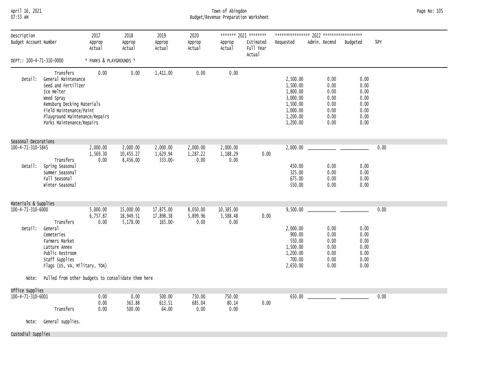# April 16, 2021 Town of Abingdon Page No: 105 07:53 AM Budget/Revenue Preparation Worksheet

| Description<br>Budget Account Number |                                                                                                                                                                                                             | 2017<br>Approp<br>Actual     | 2018<br>Approp<br>Actual           | 2019<br>Approp<br>Actual             | 2020<br>Approp<br>Actual     | Approp<br>Actual              | ******* 2021 ********<br>Estimated<br>Full Year<br>Actual | Requested                                                                                    | Admin. Recmnd                                                | Budgeted                                                     | $%$ PY |
|--------------------------------------|-------------------------------------------------------------------------------------------------------------------------------------------------------------------------------------------------------------|------------------------------|------------------------------------|--------------------------------------|------------------------------|-------------------------------|-----------------------------------------------------------|----------------------------------------------------------------------------------------------|--------------------------------------------------------------|--------------------------------------------------------------|--------|
| DEPT:: 100-4-71-310-0000             |                                                                                                                                                                                                             | * PARKS & PLAYGROUNDS *      |                                    |                                      |                              |                               |                                                           |                                                                                              |                                                              |                                                              |        |
| Detail:                              | Transfers<br>General Maintenance<br>Seed and Fertilizer<br>Ice Melter<br>Weed Spray<br>Remsburg Decking Materials<br>Field Maintenance/Paint<br>Playground Maintenance/Repairs<br>Parks Maintenance/Repairs | 0.00                         | 0.00                               | 1,411.00                             | 0.00                         | 0.00                          |                                                           | 2,500.00<br>1,500.00<br>1,800.00<br>3,000.00<br>1,500.00<br>1,000.00<br>1,200.00<br>1,200.00 | 0.00<br>0.00<br>0.00<br>0.00<br>0.00<br>0.00<br>0.00<br>0.00 | 0.00<br>0.00<br>0.00<br>0.00<br>0.00<br>0.00<br>0.00<br>0.00 |        |
| Seasonal Decorations                 |                                                                                                                                                                                                             |                              |                                    |                                      |                              |                               |                                                           |                                                                                              |                                                              |                                                              |        |
| 100-4-71-310-5845<br>Detail:         | Transfers<br>Spring Seasonal<br>Summer Seasonal<br>Fall Seasonal<br>Winter Seasonal                                                                                                                         | 2,000.00<br>1,569.30<br>0.00 | 2,000.00<br>10,455.27<br>8,456.00  | 2,000.00<br>1,629.94<br>333.00-      | 2,000.00<br>1,287.22<br>0.00 | 2,000.00<br>1,188.29<br>0.00  | 0.00                                                      | 2,000.00<br>450.00<br>325.00<br>675.00<br>550.00                                             | 0.00<br>0.00<br>0.00<br>0.00                                 | 0.00<br>0.00<br>0.00<br>0.00                                 | 0.00   |
| Materials & Supplies                 |                                                                                                                                                                                                             |                              |                                    |                                      |                              |                               |                                                           |                                                                                              |                                                              |                                                              |        |
| 100-4-71-310-6000                    | Transfers                                                                                                                                                                                                   | 5,000.00<br>6,757.87<br>0.00 | 15,000.00<br>18,949.51<br>5,178.00 | 17,875.00<br>17,898.38<br>$165.00 -$ | 8,050.00<br>5,899.96<br>0.00 | 10,385.00<br>3,588.48<br>0.00 | 0.00                                                      | 9,500.00                                                                                     |                                                              |                                                              | 0.00   |
| Detail:                              | General<br>Cemeteries<br>Farmers Market<br>Latture Annex<br>Public Restroom<br>Staff Supplies<br>Flags (US, VA, Military, TOA)                                                                              |                              |                                    |                                      |                              |                               |                                                           | 2,000.00<br>900.00<br>550.00<br>1,500.00<br>1,200.00<br>700.00<br>2,650.00                   | 0.00<br>0.00<br>0.00<br>0.00<br>0.00<br>0.00<br>0.00         | 0.00<br>0.00<br>0.00<br>0.00<br>0.00<br>0.00<br>0.00         |        |
| Note:                                | Pulled from other budgets to consolidate them here                                                                                                                                                          |                              |                                    |                                      |                              |                               |                                                           |                                                                                              |                                                              |                                                              |        |
| Office Supplies                      |                                                                                                                                                                                                             |                              |                                    |                                      |                              |                               |                                                           |                                                                                              |                                                              |                                                              |        |
| 100-4-71-310-6001<br>Note:           | Transfers<br>General supplies.                                                                                                                                                                              | 0.00<br>0.00<br>0.00         | 0.00<br>363.88<br>500.00           | 500.00<br>613.51<br>64.00            | 750.00<br>685.04<br>0.00     | 750.00<br>80.14<br>0.00       | 0.00                                                      | 650.00                                                                                       |                                                              |                                                              | 0.00   |

Custodial Supplies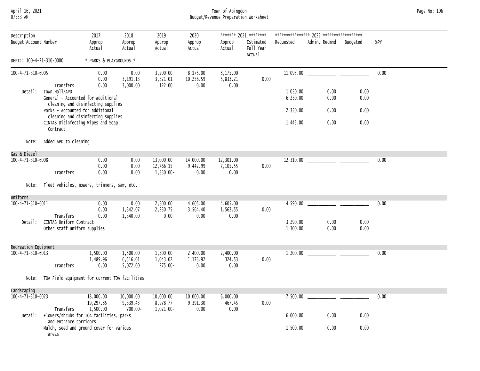April 16, 2021 Town of Abingdon Page No: 106 07:53 AM Budget/Revenue Preparation Worksheet

| Description<br>Budget Account Number |                                                                                                              | 2017<br>Approp<br>Actual     | 2018<br>Approp<br>Actual         | 2019<br>Approp<br>Actual        | 2020<br>Approp<br>Actual     | Approp<br>Actual           | ******* 2021 ********<br>Estimated<br>Full Year<br>Actual | Requested            | Admin. Recmnd Budgeted |              | %PY  |
|--------------------------------------|--------------------------------------------------------------------------------------------------------------|------------------------------|----------------------------------|---------------------------------|------------------------------|----------------------------|-----------------------------------------------------------|----------------------|------------------------|--------------|------|
| DEPT:: 100-4-71-310-0000             |                                                                                                              | * PARKS & PLAYGROUNDS *      |                                  |                                 |                              |                            |                                                           |                      |                        |              |      |
| 100-4-71-310-6005                    | Transfers                                                                                                    | 0.00<br>0.00                 | 0.00<br>3,191.13                 | 3,200.00<br>3,321.01            | 8,175.00<br>10,256.59        | 8,175.00<br>5,833.21       | 0.00                                                      |                      |                        |              | 0.00 |
| Detail:                              | Town Hall/APD<br>General - Accounted for additional<br>cleaning and disinfecting supplies                    | 0.00                         | 3,000.00                         | 122.00                          | 0.00                         | 0.00                       |                                                           | 1,050.00<br>6,250.00 | 0.00<br>0.00           | 0.00<br>0.00 |      |
|                                      | Parks - Accounted for additional<br>cleaning and disinfecting supplies<br>CINTAS Disinfecting Wipes and Soap |                              |                                  |                                 |                              |                            |                                                           | 2,350.00<br>1,445.00 | 0.00<br>0.00           | 0.00<br>0.00 |      |
|                                      | Contract                                                                                                     |                              |                                  |                                 |                              |                            |                                                           |                      |                        |              |      |
| Note:                                | Added APD to cleaning                                                                                        |                              |                                  |                                 |                              |                            |                                                           |                      |                        |              |      |
| Gas & Diesel                         |                                                                                                              |                              |                                  |                                 |                              |                            |                                                           |                      |                        |              |      |
| 100-4-71-310-6008                    |                                                                                                              | 0.00<br>0.00                 | 0.00<br>0.00                     | 13,000.00<br>12,766.15          | 14,000.00<br>9,442.99        | 12,301.00<br>7,105.55      | 0.00                                                      |                      |                        |              | 0.00 |
|                                      | Transfers                                                                                                    | 0.00                         | 0.00                             | 1,830.00-                       | 0.00                         | 0.00                       |                                                           |                      |                        |              |      |
| Note:                                | Fleet vehicles, mowers, trimmers, saw, etc.                                                                  |                              |                                  |                                 |                              |                            |                                                           |                      |                        |              |      |
| Uniforms                             |                                                                                                              |                              |                                  |                                 |                              |                            |                                                           |                      |                        |              |      |
| 100-4-71-310-6011                    |                                                                                                              | 0.00<br>0.00                 | 0.00<br>1,342.07                 | 2,300.00<br>2,230.75            | 4,605.00<br>3,564.40         | 4,605.00<br>1,563.55       | 0.00                                                      |                      |                        |              | 0.00 |
| Detail:                              | Transfers<br>CINTAS Uniform Contract<br>Other staff uniform supplies                                         | 0.00                         | 1,340.00                         | 0.00                            | 0.00                         | 0.00                       |                                                           | 3,290.00<br>1,300.00 | 0.00<br>0.00           | 0.00<br>0.00 |      |
| Recreation Equipment                 |                                                                                                              |                              |                                  |                                 |                              |                            |                                                           |                      |                        |              |      |
| 100-4-71-310-6013                    | Transfers                                                                                                    | 1,500.00<br>1,489.96<br>0.00 | 1,500.00<br>6,516.01<br>5,072.00 | 1,500.00<br>1,043.02<br>275.00- | 2,400.00<br>1,173.92<br>0.00 | 2,400.00<br>324.53<br>0.00 | 0.00                                                      |                      |                        |              | 0.00 |
| Note:                                | TOA Field equipment for current TOA facilities                                                               |                              |                                  |                                 |                              |                            |                                                           |                      |                        |              |      |
| Landscaping                          |                                                                                                              |                              |                                  |                                 |                              |                            |                                                           |                      |                        |              |      |
| 100-4-71-310-6023                    |                                                                                                              | 18,000.00<br>19,297.85       | 10,000.00<br>9,339.43            | 10,000.00<br>8,978.77           | 10,000.00<br>9,391.30        | 6,000.00<br>467.45         | 0.00                                                      | 7,500.00             |                        |              | 0.00 |
| Detail:                              | Transfers<br>Flowers/shrubs for TOA facilities, parks<br>and entrance corridors                              | 1,500.00                     | $700.00 -$                       | 1,021.00-                       | 0.00                         | 0.00                       |                                                           | 6,000.00             | 0.00                   | 0.00         |      |
|                                      | Mulch, seed and ground cover for various<br>areas                                                            |                              |                                  |                                 |                              |                            |                                                           | 1,500.00             | 0.00                   | 0.00         |      |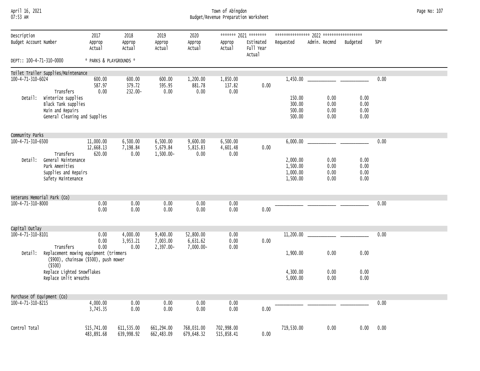# April 16, 2021 Town of Abingdon Page No: 107 07:53 AM Budget/Revenue Preparation Worksheet

| Description<br>Budget Account Number |                                                                                                | 2017<br>Approp<br>Actual         | 2018<br>Approp<br>Actual     | 2019<br>Approp<br>Actual          | 2020<br>Approp<br>Actual              | Approp<br>Actual             | ******* 2021 ********<br>Estimated<br>Full Year<br>Actual | Requested                                    | Admin. Recmnd                | Budgeted                     | %PY  |
|--------------------------------------|------------------------------------------------------------------------------------------------|----------------------------------|------------------------------|-----------------------------------|---------------------------------------|------------------------------|-----------------------------------------------------------|----------------------------------------------|------------------------------|------------------------------|------|
| DEPT:: 100-4-71-310-0000             |                                                                                                | * PARKS & PLAYGROUNDS *          |                              |                                   |                                       |                              |                                                           |                                              |                              |                              |      |
|                                      | Toilet Trailer Supplies/Maintenance                                                            |                                  |                              |                                   |                                       |                              |                                                           |                                              |                              |                              |      |
| 100-4-71-310-6024                    | Transfers                                                                                      | 600.00<br>587.97<br>0.00         | 600.00<br>379.72<br>232.00-  | 600.00<br>595.95<br>0.00          | 1,200.00<br>881.78<br>0.00            | 1,850.00<br>137.82<br>0.00   | 0.00                                                      | 1,450.00                                     |                              |                              | 0.00 |
| Detail:                              | Winterize supplies<br>Black Tank supplies<br>Main and Repairs<br>General Cleaning and Supplies |                                  |                              |                                   |                                       |                              |                                                           | 150.00<br>300.00<br>500.00<br>500.00         | 0.00<br>0.00<br>0.00<br>0.00 | 0.00<br>0.00<br>0.00<br>0.00 |      |
| Community Parks                      |                                                                                                |                                  |                              |                                   |                                       |                              |                                                           |                                              |                              |                              |      |
| 100-4-71-310-6500                    | Transfers                                                                                      | 11,000.00<br>12,668.13<br>620.00 | 6,500.00<br>7,198.84<br>0.00 | 6,500.00<br>5,679.84<br>1,500.00- | 9,600.00<br>5,815.83<br>0.00          | 6,500.00<br>4,601.48<br>0.00 | 0.00                                                      | 6,000.00                                     |                              |                              | 0.00 |
| Detail:                              | General Maintenance<br>Park Amenities<br>Supplies and Repairs<br>Safety Maintenance            |                                  |                              |                                   |                                       |                              |                                                           | 2,000.00<br>1,500.00<br>1,000.00<br>1,500.00 | 0.00<br>0.00<br>0.00<br>0.00 | 0.00<br>0.00<br>0.00<br>0.00 |      |
|                                      | Veterans Memorial Park (Co)                                                                    |                                  |                              |                                   |                                       |                              |                                                           |                                              |                              |                              |      |
| 100-4-71-310-8000                    |                                                                                                | 0.00<br>0.00                     | 0.00<br>0.00                 | 0.00<br>0.00                      | 0.00<br>0.00                          | 0.00<br>0.00                 | 0.00                                                      |                                              |                              |                              | 0.00 |
| Capital Outlay                       |                                                                                                |                                  |                              |                                   |                                       |                              |                                                           |                                              |                              |                              |      |
| 100-4-71-310-8101                    | Transfers                                                                                      | 0.00<br>0.00<br>0.00             | 4,000.00<br>3,953.21<br>0.00 | 9,400.00<br>7,003.00<br>2,397.00- | 52,800.00<br>6,631.62<br>$7,000.00 -$ | 0.00<br>0.00<br>0.00         | 0.00                                                      | 11,200.00                                    |                              |                              | 0.00 |
| Detail:                              | Replacement mowing equipment (trimmers<br>(\$900), chainsaw (\$500), push mower<br>(\$500)     |                                  |                              |                                   |                                       |                              |                                                           | 1,900.00                                     | 0.00                         | 0.00                         |      |
|                                      | Replace Lighted Snowflakes<br>Replace Unlit Wreaths                                            |                                  |                              |                                   |                                       |                              |                                                           | 4,300.00<br>5,000.00                         | 0.00<br>0.00                 | 0.00<br>0.00                 |      |
| Purchase Of Equipment (Co)           |                                                                                                |                                  |                              |                                   |                                       |                              |                                                           |                                              |                              |                              |      |
| 100-4-71-310-8215                    |                                                                                                | 4,000.00<br>3,745.35             | 0.00<br>0.00                 | 0.00<br>0.00                      | 0.00<br>0.00                          | 0.00<br>0.00                 | 0.00                                                      |                                              |                              |                              | 0.00 |
| Control Total                        |                                                                                                | 515,741.00<br>483,891.68         | 611,535.00<br>639,998.92     | 661,294.00<br>662,483.09          | 768,031.00<br>679,648.32              | 702,998.00<br>515,858.41     | 0.00                                                      | 719,530.00                                   | 0.00                         | 0.00                         | 0.00 |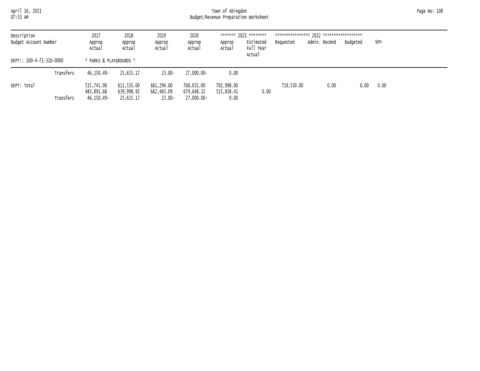April 16, 2021 Town of Abingdon Page No: 108 07:53 AM Budget/Revenue Preparation Worksheet

| Description<br>Budget Account Number |           | 2017<br>Approp<br>Actual               | 2018<br>Approp<br>Actual              | 2019<br>Approp<br>Actual              | 2020<br>Approp<br>Actual               | Approp<br>Actual                 | ******* 2021 ********<br>Estimated<br>Full Year<br>Actual | Requested  | Admin. Recmnd | Budgeted | %PY  |
|--------------------------------------|-----------|----------------------------------------|---------------------------------------|---------------------------------------|----------------------------------------|----------------------------------|-----------------------------------------------------------|------------|---------------|----------|------|
| DEPT:: 100-4-71-310-0000             |           | * PARKS & PLAYGROUNDS *                |                                       |                                       |                                        |                                  |                                                           |            |               |          |      |
|                                      | Transfers | 46.150.49-                             | 25.615.17                             | $23.00 -$                             | 27,000,00-                             | 0.00                             |                                                           |            |               |          |      |
| DEPT: Total                          | Transfers | 515,741.00<br>483,891.68<br>46,150.49- | 611,535.00<br>639,998.92<br>25,615.17 | 661,294.00<br>662,483.09<br>$23.00 -$ | 768,031.00<br>679,648.32<br>27,000.00- | 702,998.00<br>515,858.41<br>0.00 | 0.00                                                      | 719,530,00 | 0.00          | 0.00     | 0.00 |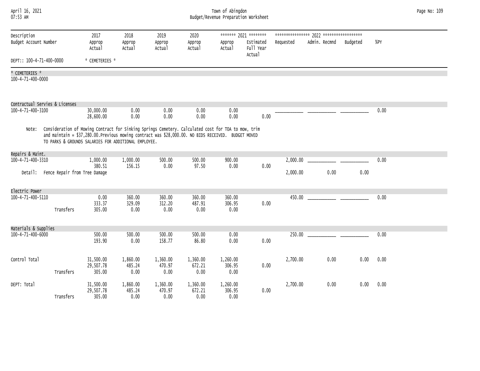| Town of Abingdon<br>April 16, 2021<br>07:53 AM<br>Budget/Revenue Preparation Worksheet |                                                                                                                                                                                                                                                                                  |                            |                            |                            |                            |                                                           |           |               |          |      | Page No: 109 |
|----------------------------------------------------------------------------------------|----------------------------------------------------------------------------------------------------------------------------------------------------------------------------------------------------------------------------------------------------------------------------------|----------------------------|----------------------------|----------------------------|----------------------------|-----------------------------------------------------------|-----------|---------------|----------|------|--------------|
| Description<br>Budget Account Number                                                   | 2017<br>Approp<br>Actual                                                                                                                                                                                                                                                         | 2018<br>Approp<br>Actual   | 2019<br>Approp<br>Actual   | 2020<br>Approp<br>Actual   | Approp<br>Actual           | ******* 2021 ********<br>Estimated<br>Full Year<br>Actual | Requested | Admin. Recmnd | Budgeted | %PY  |              |
| DEPT:: 100-4-71-400-0000                                                               | * CEMETERIES *                                                                                                                                                                                                                                                                   |                            |                            |                            |                            |                                                           |           |               |          |      |              |
| * CEMETERIES *<br>100-4-71-400-0000                                                    |                                                                                                                                                                                                                                                                                  |                            |                            |                            |                            |                                                           |           |               |          |      |              |
| Contractual Servies & Licenses<br>100-4-71-400-3100                                    | 30,000.00                                                                                                                                                                                                                                                                        | 0.00                       | 0.00                       | 0.00                       | 0.00                       |                                                           |           |               |          | 0.00 |              |
| Note:                                                                                  | 28,600.00<br>Consideration of Mowing Contract for Sinking Springs Cemetery. Calculated cost for TOA to mow, trim<br>and maintain = \$37,280.00. Previous mowing contract was \$28,000.00. NO BIDS RECEIVED. BUDGET MOVED<br>TO PARKS & GROUNDS SALARIES FOR ADDITIONAL EMPLOYEE. | 0.00                       | 0.00                       | 0.00                       | 0.00                       | 0.00                                                      |           |               |          |      |              |
| Repairs & Maint.                                                                       |                                                                                                                                                                                                                                                                                  |                            |                            |                            |                            |                                                           |           |               |          |      |              |
| 100-4-71-400-3310                                                                      | 1,000.00<br>380.51                                                                                                                                                                                                                                                               | 1,000.00<br>156.15         | 500.00<br>0.00             | 500.00<br>97.50            | 900.00<br>0.00             | 0.00                                                      | 2,000.00  |               |          | 0.00 |              |
|                                                                                        | Detail: Fence Repair from Tree Damage                                                                                                                                                                                                                                            |                            |                            |                            |                            |                                                           | 2,000.00  | 0.00          | 0.00     |      |              |
| Electric Power                                                                         |                                                                                                                                                                                                                                                                                  |                            |                            |                            |                            |                                                           |           |               |          |      |              |
| 100-4-71-400-5110                                                                      | 0.00<br>333.37<br>Transfers<br>305.00                                                                                                                                                                                                                                            | 360.00<br>329.09<br>0.00   | 360.00<br>312.20<br>0.00   | 360.00<br>487.91<br>0.00   | 360.00<br>306.95<br>0.00   | 0.00                                                      |           | 450.00        |          | 0.00 |              |
| Materials & Supplies                                                                   |                                                                                                                                                                                                                                                                                  |                            |                            |                            |                            |                                                           |           |               |          |      |              |
| 100-4-71-400-6000                                                                      | 500.00<br>193.90                                                                                                                                                                                                                                                                 | 500.00<br>0.00             | 500.00<br>158.77           | 500.00<br>86.80            | 0.00<br>0.00               | 0.00                                                      | 250.00    |               |          | 0.00 |              |
| Control Total                                                                          | 31,500.00<br>29,507.78<br>Transfers<br>305.00                                                                                                                                                                                                                                    | 1,860.00<br>485.24<br>0.00 | 1,360.00<br>470.97<br>0.00 | 1,360.00<br>672.21<br>0.00 | 1,260.00<br>306.95<br>0.00 | 0.00                                                      | 2,700.00  | 0.00          | 0.00     | 0.00 |              |
| DEPT: Total                                                                            | 31,500.00<br>29,507.78                                                                                                                                                                                                                                                           | 1,860.00<br>485.24         | 1,360.00<br>470.97         | 1,360.00<br>672.21         | 1,260.00<br>306.95         | 0.00                                                      | 2,700.00  | 0.00          | 0.00     | 0.00 |              |
|                                                                                        | Transfers<br>305.00                                                                                                                                                                                                                                                              | 0.00                       | 0.00                       | 0.00                       | 0.00                       |                                                           |           |               |          |      |              |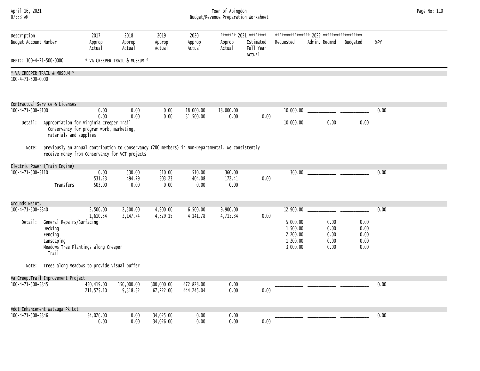| April 16, 2021<br>07:53 AM           |                                                                                                                                                        |                                          | Town of Abingdon<br>Budget/Revenue Preparation Worksheet |                          |                          |                          |                                                           |                                  |                        |                      |      |  |  |  |
|--------------------------------------|--------------------------------------------------------------------------------------------------------------------------------------------------------|------------------------------------------|----------------------------------------------------------|--------------------------|--------------------------|--------------------------|-----------------------------------------------------------|----------------------------------|------------------------|----------------------|------|--|--|--|
| Description<br>Budget Account Number |                                                                                                                                                        | 2017<br>Approp<br>Actual                 | 2018<br>Approp<br>Actual                                 | 2019<br>Approp<br>Actual | 2020<br>Approp<br>Actual | Approp<br>Actual         | ******* 2021 ********<br>Estimated<br>Full Year<br>Actual | Requested                        | Admin. Recmnd Budgeted |                      | %PY  |  |  |  |
| DEPT:: 100-4-71-500-0000             |                                                                                                                                                        |                                          | * VA CREEPER TRAIL & MUSEUM *                            |                          |                          |                          |                                                           |                                  |                        |                      |      |  |  |  |
|                                      | * VA CREEPER TRAIL & MUSEUM *                                                                                                                          |                                          |                                                          |                          |                          |                          |                                                           |                                  |                        |                      |      |  |  |  |
| 100-4-71-500-0000                    |                                                                                                                                                        |                                          |                                                          |                          |                          |                          |                                                           |                                  |                        |                      |      |  |  |  |
| 100-4-71-500-3100                    | Contractual Service & Licenses                                                                                                                         | 0.00                                     | 0.00                                                     | 0.00                     | 18,000.00                | 18,000.00                |                                                           | 10,000.00                        |                        |                      | 0.00 |  |  |  |
|                                      |                                                                                                                                                        | 0.00                                     | 0.00                                                     | 0.00                     | 31,500.00                | 0.00                     | 0.00                                                      |                                  |                        |                      |      |  |  |  |
| Detail:                              | Appropriation for Virginia Creeper Trail<br>materials and supplies                                                                                     | Conservancy for program work, marketing, |                                                          |                          |                          |                          |                                                           | 10,000.00                        | 0.00                   | 0.00                 |      |  |  |  |
| Note:                                | previously an annual contribution to Conservancy (200 members) in Non-Departmental. We consistently<br>receive money from Conservancy for VCT projects |                                          |                                                          |                          |                          |                          |                                                           |                                  |                        |                      |      |  |  |  |
|                                      | Electric Power (Train Engine)                                                                                                                          |                                          |                                                          |                          |                          |                          |                                                           |                                  |                        |                      |      |  |  |  |
| 100-4-71-500-5110                    | Transfers                                                                                                                                              | 0.00<br>531.23<br>503.00                 | 530.00<br>494.79<br>0.00                                 | 510.00<br>503.23<br>0.00 | 510.00<br>404.08<br>0.00 | 360.00<br>172.41<br>0.00 | 0.00                                                      | 360.00                           |                        |                      | 0.00 |  |  |  |
| Grounds Maint.                       |                                                                                                                                                        |                                          |                                                          |                          |                          |                          |                                                           |                                  |                        |                      |      |  |  |  |
| 100-4-71-500-5840                    |                                                                                                                                                        | 2,500.00<br>1,610.54                     | 2,500.00<br>2,147.74                                     | 4,900.00<br>4,829.15     | 6,500.00<br>4,141.78     | 9,900.00<br>4,715.34     | 0.00                                                      | 12,900.00                        |                        |                      | 0.00 |  |  |  |
| Detail:                              | General Repairs/Surfacing<br>Decking<br>Fencing                                                                                                        |                                          |                                                          |                          |                          |                          |                                                           | 5,000.00<br>1,500.00<br>2,200.00 | 0.00<br>0.00<br>0.00   | 0.00<br>0.00<br>0.00 |      |  |  |  |
|                                      | Lanscaping<br>Meadows Tree Plantings along Creeper<br>Trail                                                                                            |                                          |                                                          |                          |                          |                          |                                                           | 1,200.00<br>3,000.00             | 0.00<br>0.00           | 0.00<br>0.00         |      |  |  |  |
| Note:                                | Trees along Meadows to provide visual buffer                                                                                                           |                                          |                                                          |                          |                          |                          |                                                           |                                  |                        |                      |      |  |  |  |
|                                      | Va Creep.Trail Improvement Project                                                                                                                     |                                          |                                                          |                          |                          |                          |                                                           |                                  |                        |                      |      |  |  |  |
| 100-4-71-500-5845                    |                                                                                                                                                        | 450,419.00<br>211,575.10                 | 150,000.00<br>9,318.52                                   | 300,000.00<br>67,222.00  | 472,828.00<br>444,245.04 | 0.00<br>0.00             | 0.00                                                      |                                  |                        |                      | 0.00 |  |  |  |
|                                      | Vdot Enhancement Watauga Pk.Lot                                                                                                                        |                                          |                                                          |                          |                          |                          |                                                           |                                  |                        |                      |      |  |  |  |
| 100-4-71-500-5846                    |                                                                                                                                                        | 34,026.00<br>0.00                        | 0.00<br>0.00                                             | 34,025.00<br>34,026.00   | 0.00<br>0.00             | 0.00<br>0.00             | 0.00                                                      |                                  |                        |                      | 0.00 |  |  |  |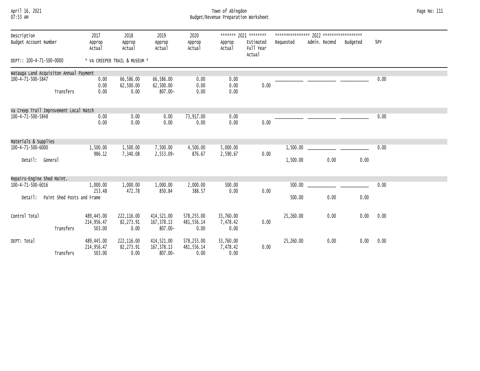| April 16, 2021  |  |
|-----------------|--|
| <b>N7.52 AM</b> |  |

### April 16, 2021 Town of Abingdon Page No: 111 07:53 AM Budget/Revenue Preparation Worksheet

| Description                            | 2017                 | 2018                          | 2019                  | 2020               |                  | ******* 2021 ********            |           |               |          |      |
|----------------------------------------|----------------------|-------------------------------|-----------------------|--------------------|------------------|----------------------------------|-----------|---------------|----------|------|
| Budget Account Number                  | Approp<br>Actual     | Approp<br>Actual              | Approp<br>Actual      | Approp<br>Actual   | Approp<br>Actual | Estimated<br>Full Year<br>Actual | Requested | Admin. Recmnd | Budgeted | %PY  |
| DEPT:: 100-4-71-500-0000               |                      | * VA CREEPER TRAIL & MUSEUM * |                       |                    |                  |                                  |           |               |          |      |
| Watauga Land Acquisiton Annual Payment |                      |                               |                       |                    |                  |                                  |           |               |          |      |
| 100-4-71-500-5847                      | 0.00                 | 66,586.00                     | 66,586.00             | 0.00               | 0.00             | 0.00                             |           |               |          | 0.00 |
| Transfers                              | 0.00<br>0.00         | 62,500.00<br>0.00             | 62,500.00<br>807.00-  | 0.00<br>0.00       | 0.00<br>0.00     |                                  |           |               |          |      |
| Va Creep Trail Improvement Local Match |                      |                               |                       |                    |                  |                                  |           |               |          |      |
| 100-4-71-500-5848                      | 0.00                 | 0.00                          | 0.00                  | 73,917.00          | 0.00             |                                  |           |               |          | 0.00 |
|                                        | 0.00                 | 0.00                          | 0.00                  | 0.00               | 0.00             | 0.00                             |           |               |          |      |
| Materials & Supplies                   |                      |                               |                       |                    |                  |                                  |           |               |          |      |
| 100-4-71-500-6000                      | 1,500.00             | 1,500.00                      | 7,500.00              | 4,500.00           | 5,000.00         |                                  | 1,500.00  |               |          | 0.00 |
| Detail: General                        | 986.12               | 7,340.08                      | 2,553.09-             | 876.67             | 2,590.67         | 0.00                             | 1,500.00  | 0.00          | 0.00     |      |
|                                        |                      |                               |                       |                    |                  |                                  |           |               |          |      |
| Repairs-Engine Shed Maint.             |                      |                               |                       |                    |                  |                                  |           |               |          |      |
| 100-4-71-500-6016                      | 1,000.00<br>253.48   | 1,000.00<br>472.78            | 1,000.00<br>850.84    | 2,000.00<br>388.57 | 500.00<br>0.00   | 0.00                             | 500.00    |               |          | 0.00 |
| Detail: Paint Shed Posts and Frame     |                      |                               |                       |                    |                  |                                  | 500.00    | 0.00          | 0.00     |      |
| Control Total                          | 489,445.00           | 222,116.00                    | 414,521.00            | 578,255.00         | 33,760.00        |                                  | 25,260.00 | 0.00          | 0.00     | 0.00 |
|                                        | 214,956.47           | 82,273.91                     | 167, 378.13           | 481,556.14         | 7,478.42         | 0.00                             |           |               |          |      |
| Transfers                              | 503.00               | 0.00                          | 807.00-               | 0.00               | 0.00             |                                  |           |               |          |      |
| DEPT: Total                            | 489,445.00           | 222,116.00                    | 414,521.00            | 578,255.00         | 33,760.00        |                                  | 25,260.00 | 0.00          | 0.00     | 0.00 |
| Transfers                              | 214,956.47<br>503.00 | 82,273.91<br>0.00             | 167,378.13<br>807.00- | 481,556.14<br>0.00 | 7,478.42<br>0.00 | 0.00                             |           |               |          |      |
|                                        |                      |                               |                       |                    |                  |                                  |           |               |          |      |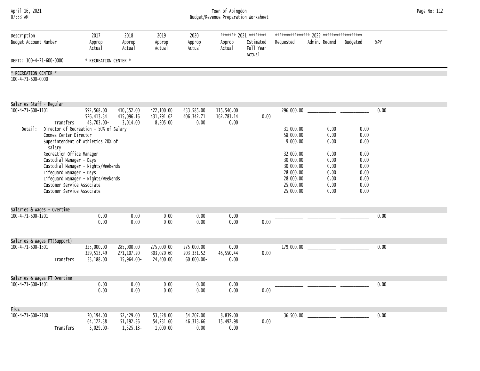### April 16, 2021 Town of Abingdon Page No: 112 07:53 AM Budget/Revenue Preparation Worksheet

| Description<br>Budget Account Number              |                                                                                                                                                                                                | 2017<br>Approp                                                                                                                                                                                       | 2018<br>Approp                          | 2019<br>Approp                        | 2020<br>Approp                             | Approp                           | ******* 2021 ********<br>Estimated | Requested                                                                                                                     | Admin. Recmnd                                                                | Budgeted                                                                     | %PY  |
|---------------------------------------------------|------------------------------------------------------------------------------------------------------------------------------------------------------------------------------------------------|------------------------------------------------------------------------------------------------------------------------------------------------------------------------------------------------------|-----------------------------------------|---------------------------------------|--------------------------------------------|----------------------------------|------------------------------------|-------------------------------------------------------------------------------------------------------------------------------|------------------------------------------------------------------------------|------------------------------------------------------------------------------|------|
|                                                   |                                                                                                                                                                                                | Actual                                                                                                                                                                                               | Actual                                  | Actual                                | Actual                                     | Actual                           | Full Year<br>Actual                |                                                                                                                               |                                                                              |                                                                              |      |
| DEPT:: 100-4-71-600-0000                          |                                                                                                                                                                                                | * RECREATION CENTER *                                                                                                                                                                                |                                         |                                       |                                            |                                  |                                    |                                                                                                                               |                                                                              |                                                                              |      |
| * RECREATION CENTER *<br>100-4-71-600-0000        |                                                                                                                                                                                                |                                                                                                                                                                                                      |                                         |                                       |                                            |                                  |                                    |                                                                                                                               |                                                                              |                                                                              |      |
| Salaries Staff - Regular                          |                                                                                                                                                                                                |                                                                                                                                                                                                      |                                         |                                       |                                            |                                  |                                    |                                                                                                                               |                                                                              |                                                                              |      |
| 100-4-71-600-1101<br>Detail:                      | Transfers<br>Coomes Center Director<br>salary<br>Recreation Office Manager<br>Custodial Manager - Days<br>Lifeguard Manager - Days<br>Customer Service Associate<br>Customer Service Associate | 592,568.00<br>526,413.34<br>43,703.00-<br>Director of Recreation - 50% of Salary<br>Superintendent of Athletics 20% of<br>Custodial Manager - Nights/Weekends<br>Lifeguard Manager - Nights/Weekends | 410,352.00<br>415,096.16<br>3,014.00    | 422,100.00<br>431,791.62<br>8,205.00  | 433,585.00<br>406, 342.71<br>0.00          | 115,546.00<br>162,781.14<br>0.00 | 0.00                               | 31,000.00<br>58,000.00<br>9,000.00<br>32,000.00<br>30,000.00<br>30,000.00<br>28,000.00<br>28,000.00<br>25,000.00<br>25,000.00 | 0.00<br>0.00<br>0.00<br>0.00<br>0.00<br>0.00<br>0.00<br>0.00<br>0.00<br>0.00 | 0.00<br>0.00<br>0.00<br>0.00<br>0.00<br>0.00<br>0.00<br>0.00<br>0.00<br>0.00 | 0.00 |
| Salaries & Wages - Overtime<br>100-4-71-600-1201  |                                                                                                                                                                                                | 0.00<br>0.00                                                                                                                                                                                         | 0.00<br>0.00                            | 0.00<br>0.00                          | 0.00<br>0.00                               | 0.00<br>0.00                     | 0.00                               |                                                                                                                               |                                                                              |                                                                              | 0.00 |
| Salaries & Wages PT(Support)<br>100-4-71-600-1301 | Transfers                                                                                                                                                                                      | 325,000.00<br>329, 513.49<br>33,188.00                                                                                                                                                               | 285,000.00<br>271, 107.20<br>15,964.00- | 275,000.00<br>303,020.60<br>24,400.00 | 275,000.00<br>203, 331.52<br>$60,000.00 -$ | 0.00<br>46,550.44<br>0.00        | 0.00                               |                                                                                                                               |                                                                              |                                                                              | 0.00 |
| Salaries & Wages PT Overtime<br>100-4-71-600-1401 |                                                                                                                                                                                                | 0.00<br>0.00                                                                                                                                                                                         | 0.00<br>0.00                            | 0.00<br>0.00                          | 0.00<br>0.00                               | 0.00<br>0.00                     | 0.00                               |                                                                                                                               |                                                                              |                                                                              | 0.00 |
| Fica<br>100-4-71-600-2100                         | Transfers                                                                                                                                                                                      | 70,194.00<br>64, 122.38<br>$3,029.00 -$                                                                                                                                                              | 52,429.00<br>51, 192.36<br>1,325.18-    | 53,328.00<br>54,731.60<br>1,000.00    | 54,207.00<br>46, 313.66<br>0.00            | 8,839.00<br>15,492.98<br>0.00    | 0.00                               | 36,500.00                                                                                                                     |                                                                              |                                                                              | 0.00 |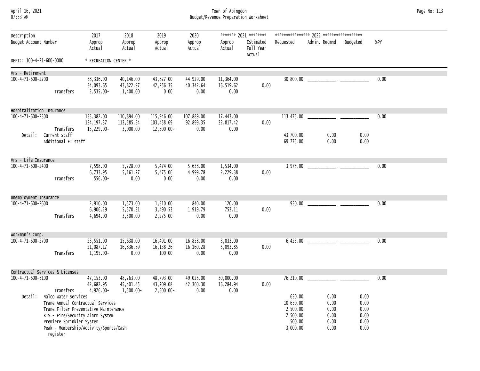| April 16, 2021 |  |
|----------------|--|
| 07.52 AM       |  |

### April 16, 2021 Town of Abingdon Page No: 113 07:53 AM Budget/Revenue Preparation Worksheet

| Description<br>Budget Account Number |                                                               | 2017<br>Approp<br>Actual                                                                                                                                 | 2018<br>Approp<br>Actual             | 2019<br>Approp<br>Actual                  | 2020<br>Approp<br>Actual        | Approp<br>Actual               | ******* 2021 ********<br>Estimated<br>Full Year<br>Actual | Requested                                                         | Admin. Recmnd                                | Budgeted                                     | %PY  |  |
|--------------------------------------|---------------------------------------------------------------|----------------------------------------------------------------------------------------------------------------------------------------------------------|--------------------------------------|-------------------------------------------|---------------------------------|--------------------------------|-----------------------------------------------------------|-------------------------------------------------------------------|----------------------------------------------|----------------------------------------------|------|--|
| DEPT:: 100-4-71-600-0000             |                                                               | * RECREATION CENTER *                                                                                                                                    |                                      |                                           |                                 |                                |                                                           |                                                                   |                                              |                                              |      |  |
| Vrs - Retirement                     |                                                               |                                                                                                                                                          |                                      |                                           |                                 |                                |                                                           |                                                                   |                                              |                                              |      |  |
| 100-4-71-600-2200                    | Transfers                                                     | 38,336.00<br>34,093.65<br>2,535.00-                                                                                                                      | 40,146.00<br>43,822.97<br>1,400.00   | 43,627.00<br>42,256.35<br>0.00            | 44,929.00<br>40,342.64<br>0.00  | 11,364.00<br>16,519.62<br>0.00 | 0.00                                                      |                                                                   |                                              |                                              | 0.00 |  |
| Hospitalization Insurance            |                                                               |                                                                                                                                                          |                                      |                                           |                                 |                                |                                                           |                                                                   |                                              |                                              |      |  |
| 100-4-71-600-2300                    | Transfers                                                     | 133,382.00<br>134, 197.37<br>13,229.00-                                                                                                                  | 110,894.00<br>113,585.54<br>3,000.00 | 115,946.00<br>103,458.69<br>$12,500.00 -$ | 107,889.00<br>92,899.35<br>0.00 | 17,443.00<br>32,817.42<br>0.00 | 0.00                                                      |                                                                   |                                              |                                              | 0.00 |  |
| Detail: Current staff                | Additional FT staff                                           |                                                                                                                                                          |                                      |                                           |                                 |                                |                                                           | 43,700.00<br>69,775.00                                            | 0.00<br>0.00                                 | 0.00<br>0.00                                 |      |  |
| Vrs - Life Insurance                 |                                                               |                                                                                                                                                          |                                      |                                           |                                 |                                |                                                           |                                                                   |                                              |                                              |      |  |
| 100-4-71-600-2400                    | Transfers                                                     | 7,598.00<br>6,733.95<br>556.00-                                                                                                                          | 5,228.00<br>5,161.77<br>0.00         | 5,474.00<br>5,475.06<br>0.00              | 5,638.00<br>4,999.78<br>0.00    | 1,534.00<br>2,229.38<br>0.00   | 0.00                                                      |                                                                   |                                              |                                              | 0.00 |  |
| Unemployment Insurance               |                                                               |                                                                                                                                                          |                                      |                                           |                                 |                                |                                                           |                                                                   |                                              |                                              |      |  |
| 100-4-71-600-2600                    | Transfers                                                     | 2,910.00<br>6,906.29<br>4,694.00                                                                                                                         | 1,573.00<br>5,570.31<br>3,500.00     | 1,310.00<br>3,490.53<br>2,275.00          | 840.00<br>1,919.79<br>0.00      | 120.00<br>753.11<br>0.00       | 0.00                                                      |                                                                   |                                              |                                              | 0.00 |  |
| Workman's Comp.                      |                                                               |                                                                                                                                                          |                                      |                                           |                                 |                                |                                                           |                                                                   |                                              |                                              |      |  |
| 100-4-71-600-2700                    | Transfers                                                     | 23,551.00<br>21,087.17<br>$1,195.00-$                                                                                                                    | 15,638.00<br>16,836.69<br>0.00       | 16,491.00<br>16,138.26<br>100.00          | 16,858.00<br>16, 160.28<br>0.00 | 3,033.00<br>5,093.85<br>0.00   | 0.00                                                      |                                                                   |                                              |                                              | 0.00 |  |
| Contractual Services & Licenses      |                                                               |                                                                                                                                                          |                                      |                                           |                                 |                                |                                                           |                                                                   |                                              |                                              |      |  |
| 100-4-71-600-3100                    | Transfers                                                     | 47,153.00<br>42,682.95<br>4,926.00-                                                                                                                      | 48,263.00<br>45,401.45<br>1,500.00-  | 48,793.00<br>43,709.08<br>2,500.00-       | 49,025.00<br>42,360.30<br>0.00  | 30,000.00<br>16,284.94<br>0.00 | 0.00                                                      |                                                                   |                                              |                                              | 0.00 |  |
| Detail:                              | Nalco Water Services<br>Premiere Sprinkler System<br>register | Trane Annual Contractual Services<br>Trane Filter Preventative Maintenance<br>BTS - Fire/Security Alarm System<br>Peak - Membership/Activity/Sports/Cash |                                      |                                           |                                 |                                |                                                           | 650.00<br>10,650.00<br>2,500.00<br>2,500.00<br>500.00<br>3,000.00 | 0.00<br>0.00<br>0.00<br>0.00<br>0.00<br>0.00 | 0.00<br>0.00<br>0.00<br>0.00<br>0.00<br>0.00 |      |  |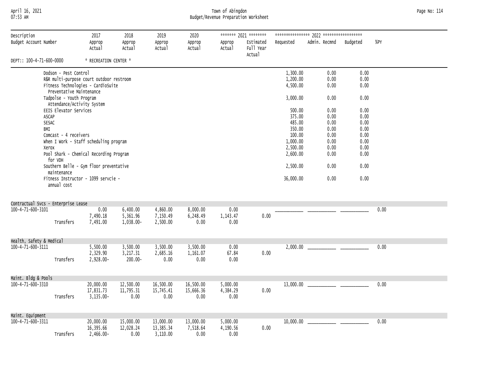## April 16, 2021 Town of Abingdon Page No: 114 07:53 AM Budget/Revenue Preparation Worksheet

| Description                         |                                                      | 2017                                     | 2018             | 2019             | 2020             |                  | ******* 2021 ********            |                    |               |              |      |
|-------------------------------------|------------------------------------------------------|------------------------------------------|------------------|------------------|------------------|------------------|----------------------------------|--------------------|---------------|--------------|------|
| Budget Account Number               |                                                      | Approp<br>Actual                         | Approp<br>Actual | Approp<br>Actual | Approp<br>Actual | Approp<br>Actual | Estimated<br>Full Year<br>Actual | Requested          | Admin. Recmnd | Budgeted     | %PY  |
| DEPT:: 100-4-71-600-0000            |                                                      | * RECREATION CENTER *                    |                  |                  |                  |                  |                                  |                    |               |              |      |
|                                     | Dodson - Pest Control                                |                                          |                  |                  |                  |                  |                                  | 1,300.00           | 0.00          | 0.00         |      |
|                                     |                                                      | R&R multi-purpose court outdoor restroom |                  |                  |                  |                  |                                  | 1,200.00           | 0.00          | 0.00         |      |
|                                     |                                                      | Fitness Technologies - CardioSuite       |                  |                  |                  |                  |                                  | 4,500.00           | 0.00          | 0.00         |      |
|                                     | Preventative Maintenance<br>Tadpolse - Youth Program |                                          |                  |                  |                  |                  |                                  | 3,000.00           | 0.00          | 0.00         |      |
|                                     | Attendance/Activity System                           |                                          |                  |                  |                  |                  |                                  |                    |               |              |      |
|                                     | EEIS Elevator Services                               |                                          |                  |                  |                  |                  |                                  | 500.00             | 0.00          | 0.00         |      |
| ASCAP                               |                                                      |                                          |                  |                  |                  |                  |                                  | 375.00             | 0.00          | 0.00         |      |
| SESAC                               |                                                      |                                          |                  |                  |                  |                  |                                  | 485.00             | 0.00          | 0.00         |      |
| BMI                                 |                                                      |                                          |                  |                  |                  |                  |                                  | 350.00             | 0.00          | 0.00         |      |
|                                     | Comcast - 4 receivers                                | When I Work - Staff scheduling program   |                  |                  |                  |                  |                                  | 100.00<br>1,000.00 | 0.00          | 0.00         |      |
| Xerox                               |                                                      |                                          |                  |                  |                  |                  |                                  | 2,500.00           | 0.00<br>0.00  | 0.00<br>0.00 |      |
|                                     |                                                      | Pool Shark - Chemical Recording Program  |                  |                  |                  |                  |                                  | 2,600.00           | 0.00          | 0.00         |      |
|                                     | for VDH                                              |                                          |                  |                  |                  |                  |                                  |                    |               |              |      |
|                                     |                                                      | Southern Belle - Gym floor preventative  |                  |                  |                  |                  |                                  | 2,500.00           | 0.00          | 0.00         |      |
|                                     | maintenance                                          |                                          |                  |                  |                  |                  |                                  |                    | 0.00          | 0.00         |      |
|                                     | annual cost                                          | Fitness Instructor - 1099 servcie -      |                  |                  |                  |                  |                                  | 36,000.00          |               |              |      |
|                                     |                                                      |                                          |                  |                  |                  |                  |                                  |                    |               |              |      |
| Contractual Svcs - Enterprise Lease |                                                      |                                          |                  |                  |                  |                  |                                  |                    |               |              |      |
| 100-4-71-600-3101                   |                                                      | 0.00                                     | 6,400.00         | 4,860.00         | 8,000.00         | 0.00             |                                  |                    |               |              | 0.00 |
|                                     |                                                      | 7,490.18                                 | 5,361.96         | 7,150.49         | 6,248.49         | 1,143.47         | 0.00                             |                    |               |              |      |
|                                     | Transfers                                            | 7,491.00                                 | 1,038.00-        | 2,500.00         | 0.00             | 0.00             |                                  |                    |               |              |      |
|                                     |                                                      |                                          |                  |                  |                  |                  |                                  |                    |               |              |      |
| Health, Safety & Medical            |                                                      |                                          |                  |                  |                  |                  |                                  |                    |               |              |      |
| 100-4-71-600-3111                   |                                                      | 5,500.00                                 | 3,500.00         | 3,500.00         | 3,500.00         | 0.00             |                                  |                    |               |              | 0.00 |
|                                     |                                                      | 2,329.90                                 | 3,217.31         | 2,685.16         | 1,161.07         | 67.84            | 0.00                             |                    |               |              |      |
|                                     | Transfers                                            | 2,928.00-                                | $200.00 -$       | 0.00             | 0.00             | 0.00             |                                  |                    |               |              |      |
|                                     |                                                      |                                          |                  |                  |                  |                  |                                  |                    |               |              |      |
| Maint. Bldg & Pools                 |                                                      |                                          |                  |                  |                  |                  |                                  |                    |               |              |      |
| 100-4-71-600-3310                   |                                                      | 20,000.00                                | 12,500.00        | 16,500.00        | 16,500.00        | 5,000.00         |                                  |                    |               |              | 0.00 |
|                                     |                                                      | 17,831.73                                | 11,795.31        | 15,745.41        | 15,666.36        | 4,384.29         | 0.00                             |                    |               |              |      |
|                                     | Transfers                                            | $3,135.00 -$                             | 0.00             | 0.00             | 0.00             | 0.00             |                                  |                    |               |              |      |
|                                     |                                                      |                                          |                  |                  |                  |                  |                                  |                    |               |              |      |
| Maint. Equipment                    |                                                      |                                          |                  |                  |                  |                  |                                  |                    |               |              |      |
| 100-4-71-600-3311                   |                                                      | 20,000.00                                | 15,000.00        | 13,000.00        | 13,000.00        | 5,000.00         |                                  | 10,000.00          |               |              | 0.00 |
|                                     |                                                      | 16,395.66                                | 12,028.24        | 13,385.34        | 7,518.64         | 4,190.56         | 0.00                             |                    |               |              |      |
|                                     | Transfers                                            | $2,466.00 -$                             | 0.00             | 3,110.00         | 0.00             | 0.00             |                                  |                    |               |              |      |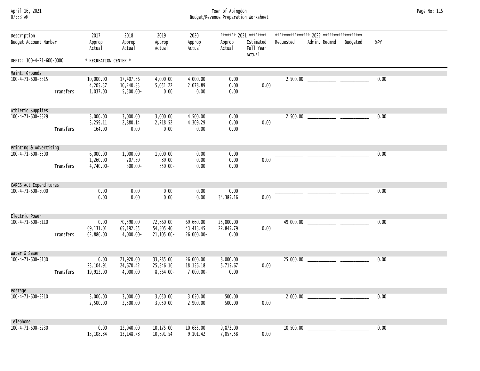| April 16, 2021  |  |
|-----------------|--|
| <b>N7.53 AM</b> |  |

### April 16, 2021 Town of Abingdon Page No: 115 07:53 AM Budget/Revenue Preparation Worksheet

| Description<br>Budget Account Number   |           | 2017<br>Approp<br>Actual          | 2018<br>Approp<br>Actual                | 2019<br>Approp<br>Actual             | 2020<br>Approp<br>Actual                 | Approp<br>Actual               | ******* 2021 ********<br>Estimated<br>Full Year<br>Actual | Requested         | Admin. Recmnd | Budgeted | $%$ PY |
|----------------------------------------|-----------|-----------------------------------|-----------------------------------------|--------------------------------------|------------------------------------------|--------------------------------|-----------------------------------------------------------|-------------------|---------------|----------|--------|
| DEPT:: 100-4-71-600-0000               |           | * RECREATION CENTER *             |                                         |                                      |                                          |                                |                                                           |                   |               |          |        |
| Maint. Grounds                         |           |                                   |                                         |                                      |                                          |                                |                                                           |                   |               |          |        |
| 100-4-71-600-3315                      | Transfers | 10,000.00<br>4,205.37<br>1,037.00 | 17,407.86<br>10,240.83<br>$5,500.00 -$  | 4,000.00<br>5,051.22<br>0.00         | 4,000.00<br>2,078.89<br>0.00             | 0.00<br>0.00<br>0.00           | 0.00                                                      | $2,500.00$ $\Box$ |               |          | 0.00   |
| Athletic Supplies<br>100-4-71-600-3329 | Transfers | 3,000.00<br>3,259.11<br>164.00    | 3,000.00<br>2,880.14<br>0.00            | 3,000.00<br>2,718.52<br>0.00         | 4,500.00<br>4,309.29<br>0.00             | 0.00<br>0.00<br>0.00           | 0.00                                                      |                   |               |          | 0.00   |
| Printing & Advertising                 |           |                                   |                                         |                                      |                                          |                                |                                                           |                   |               |          |        |
| 100-4-71-600-3500                      | Transfers | 6,000.00<br>1,260.00<br>4,740.00- | 1,000.00<br>207.50<br>$300.00 -$        | 1,000.00<br>89.00<br>850.00-         | 0.00<br>0.00<br>0.00                     | 0.00<br>0.00<br>0.00           | 0.00                                                      |                   |               |          | 0.00   |
| CARES Act Expenditures                 |           |                                   |                                         |                                      |                                          |                                |                                                           |                   |               |          |        |
| 100-4-71-600-5000                      |           | 0.00<br>0.00                      | 0.00<br>0.00                            | 0.00<br>0.00                         | 0.00<br>0.00                             | 0.00<br>34, 385. 16            | 0.00                                                      |                   |               |          | 0.00   |
| Electric Power                         |           |                                   |                                         |                                      |                                          |                                |                                                           |                   |               |          |        |
| 100-4-71-600-5110                      | Transfers | 0.00<br>69,131.01<br>62,886.00    | 70,590.00<br>65, 192.55<br>$4,000.00 -$ | 72,660.00<br>54,305.40<br>21,105.00- | 69,660.00<br>43, 413.45<br>26,000.00-    | 25,000.00<br>22,845.79<br>0.00 | 0.00                                                      |                   |               |          | 0.00   |
| Water & Sewer                          |           |                                   |                                         |                                      |                                          |                                |                                                           |                   |               |          |        |
| 100-4-71-600-5130                      | Transfers | 0.00<br>23, 104. 91<br>19,912.00  | 21,920.00<br>24,670.42<br>4,000.00      | 33,285.00<br>25,346.16<br>8,564.00-  | 26,000.00<br>18, 156. 18<br>$7,000.00 -$ | 8,000.00<br>5,715.67<br>0.00   | 0.00                                                      |                   |               |          | 0.00   |
| Postage                                |           |                                   |                                         |                                      |                                          |                                |                                                           |                   |               |          |        |
| 100-4-71-600-5210                      |           | 3,000.00<br>2,500.00              | 3,000.00<br>2,500.00                    | 3,050.00<br>3,050.00                 | 3,050.00<br>2,900.00                     | 500.00<br>500.00               | 0.00                                                      |                   |               |          | 0.00   |
| Telephone                              |           |                                   |                                         |                                      |                                          |                                |                                                           |                   |               |          |        |
| 100-4-71-600-5230                      |           | 0.00<br>13,108.84                 | 12,940.00<br>13, 148.78                 | 10,175.00<br>10,691.54               | 10,685.00<br>9,101.42                    | 9,873.00<br>7,057.58           | 0.00                                                      | 10,500.00         |               |          | 0.00   |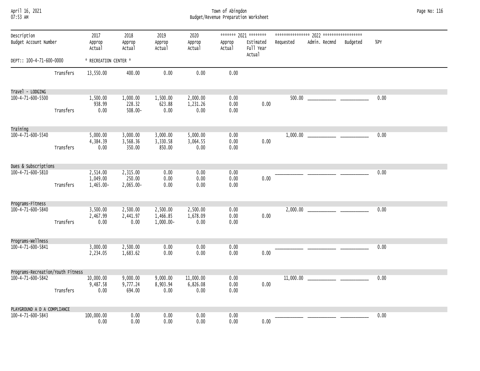| April 16, 2021<br>07:53 AM           |           | Town of Abingdon<br>Budget/Revenue Preparation Worksheet |                                  |                                     |                               |                      |                                                           |           |                        |      |  |  |  |
|--------------------------------------|-----------|----------------------------------------------------------|----------------------------------|-------------------------------------|-------------------------------|----------------------|-----------------------------------------------------------|-----------|------------------------|------|--|--|--|
| Description<br>Budget Account Number |           | 2017<br>Approp<br>Actual                                 | 2018<br>Approp<br>Actual         | 2019<br>Approp<br>Actual            | 2020<br>Approp<br>Actual      | Approp<br>Actual     | ******* 2021 ********<br>Estimated<br>Full Year<br>Actual | Requested | Admin. Recmnd Budgeted | %PY  |  |  |  |
| DEPT:: 100-4-71-600-0000             |           | * RECREATION CENTER *                                    |                                  |                                     |                               |                      |                                                           |           |                        |      |  |  |  |
|                                      | Transfers | 13,550.00                                                | 400.00                           | 0.00                                | 0.00                          | 0.00                 |                                                           |           |                        |      |  |  |  |
| Travel - LODGING                     |           |                                                          |                                  |                                     |                               |                      |                                                           |           |                        |      |  |  |  |
| 100-4-71-600-5500                    | Transfers | 1,500.00<br>938.99<br>0.00                               | 1,000.00<br>228.32<br>$508.00 -$ | 1,500.00<br>623.88<br>0.00          | 2,000.00<br>1,231.26<br>0.00  | 0.00<br>0.00<br>0.00 | 0.00                                                      |           |                        | 0.00 |  |  |  |
| Training                             |           |                                                          |                                  |                                     |                               |                      |                                                           |           |                        |      |  |  |  |
| 100-4-71-600-5540                    | Transfers | 5,000.00<br>4,384.39<br>0.00                             | 3,000.00<br>3,568.36<br>350.00   | 3,000.00<br>3,330.58<br>850.00      | 5,000.00<br>3,064.55<br>0.00  | 0.00<br>0.00<br>0.00 | 0.00                                                      |           |                        | 0.00 |  |  |  |
| Dues & Subscriptions                 |           |                                                          |                                  |                                     |                               |                      |                                                           |           |                        |      |  |  |  |
| 100-4-71-600-5810                    | Transfers | 2,514.00<br>1,049.00<br>1,465.00-                        | 2,315.00<br>250.00<br>2,065.00-  | 0.00<br>0.00<br>0.00                | 0.00<br>0.00<br>0.00          | 0.00<br>0.00<br>0.00 | 0.00                                                      |           |                        | 0.00 |  |  |  |
| Programs-Fitness                     |           |                                                          |                                  |                                     |                               |                      |                                                           |           |                        |      |  |  |  |
| 100-4-71-600-5840                    | Transfers | 3,500.00<br>2,467.99<br>0.00                             | 2,500.00<br>2,441.97<br>0.00     | 2,500.00<br>1,466.85<br>$1,000.00-$ | 2,500.00<br>1,678.09<br>0.00  | 0.00<br>0.00<br>0.00 | 0.00                                                      |           |                        | 0.00 |  |  |  |
| Programs-Wellness                    |           |                                                          |                                  |                                     |                               |                      |                                                           |           |                        |      |  |  |  |
| 100-4-71-600-5841                    |           | 3,000.00<br>2,234.05                                     | 2,500.00<br>1,683.62             | 0.00<br>0.00                        | 0.00<br>0.00                  | 0.00<br>0.00         | 0.00                                                      |           |                        | 0.00 |  |  |  |
| Programs-Recreation/Youth Fitness    |           |                                                          |                                  |                                     |                               |                      |                                                           |           |                        |      |  |  |  |
| 100-4-71-600-5842                    | Transfers | 10,000.00<br>9,487.58<br>0.00                            | 9,000.00<br>9,777.24<br>694.00   | 9,000.00<br>8,903.94<br>0.00        | 11,000.00<br>6,826.08<br>0.00 | 0.00<br>0.00<br>0.00 | 0.00                                                      |           |                        | 0.00 |  |  |  |
| PLAYGROUND A D A COMPLIANCE          |           |                                                          |                                  |                                     |                               |                      |                                                           |           |                        |      |  |  |  |
| 100-4-71-600-5843                    |           | 100,000.00<br>0.00                                       | 0.00<br>0.00                     | 0.00<br>0.00                        | 0.00<br>0.00                  | 0.00<br>0.00         | 0.00                                                      |           |                        | 0.00 |  |  |  |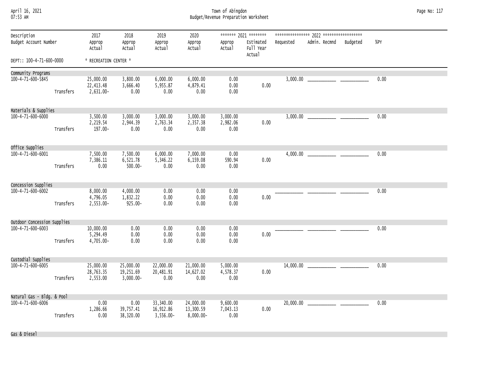| April 16, 2021  |  |
|-----------------|--|
| <b>N7.52 AM</b> |  |

April 16, 2021 Town of Abingdon Page No: 117 07:53 AM Budget/Revenue Preparation Worksheet

| Description<br>Budget Account Number |           | 2017<br>Approp<br>Actual               | 2018<br>Approp<br>Actual               | 2019<br>Approp<br>Actual            | 2020<br>Approp<br>Actual               | Approp<br>Actual             | ******* 2021 ********<br>Estimated<br>Full Year | Requested | Admin. Recmnd | Budgeted | $%$ PY |
|--------------------------------------|-----------|----------------------------------------|----------------------------------------|-------------------------------------|----------------------------------------|------------------------------|-------------------------------------------------|-----------|---------------|----------|--------|
| DEPT:: 100-4-71-600-0000             |           | * RECREATION CENTER *                  |                                        |                                     |                                        |                              | Actual                                          |           |               |          |        |
| Community Programs                   |           |                                        |                                        |                                     |                                        |                              |                                                 |           |               |          |        |
| 100-4-71-600-5845                    | Transfers | 25,000.00<br>22,413.48<br>$2,631.00 -$ | 3,800.00<br>3,666.40<br>0.00           | 6,000.00<br>5,955.87<br>0.00        | 6,000.00<br>4,879.41<br>0.00           | 0.00<br>0.00<br>0.00         | 0.00                                            |           |               |          | 0.00   |
| Materials & Supplies                 |           |                                        |                                        |                                     |                                        |                              |                                                 |           |               |          |        |
| 100-4-71-600-6000                    | Transfers | 3,500.00<br>2,219.54<br>$197.00 -$     | 3,000.00<br>2,944.39<br>0.00           | 3,000.00<br>2,763.34<br>0.00        | 3,000.00<br>2,357.38<br>0.00           | 3,000.00<br>2,982.06<br>0.00 | 0.00                                            |           |               |          | 0.00   |
| Office Supplies                      |           |                                        |                                        |                                     |                                        |                              |                                                 |           |               |          |        |
| 100-4-71-600-6001                    | Transfers | 7,500.00<br>7,386.11<br>0.00           | 7,500.00<br>6,521.78<br>$500.00 -$     | 6,000.00<br>5,346.22<br>0.00        | 7,000.00<br>6,159.08<br>0.00           | 0.00<br>590.94<br>0.00       | 0.00                                            |           |               |          | 0.00   |
| Concession Supplies                  |           |                                        |                                        |                                     |                                        |                              |                                                 |           |               |          |        |
| 100-4-71-600-6002                    | Transfers | 8,000.00<br>4,796.05<br>2,553.00-      | 4,000.00<br>1,832.22<br>$925.00 -$     | 0.00<br>0.00<br>0.00                | 0.00<br>0.00<br>0.00                   | 0.00<br>0.00<br>0.00         | 0.00                                            |           |               |          | 0.00   |
| Outdoor Concession Supplies          |           |                                        |                                        |                                     |                                        |                              |                                                 |           |               |          |        |
| 100-4-71-600-6003                    | Transfers | 10,000.00<br>5,294.49<br>4,705.00-     | 0.00<br>0.00<br>0.00                   | 0.00<br>0.00<br>0.00                | 0.00<br>0.00<br>0.00                   | 0.00<br>0.00<br>0.00         | 0.00                                            |           |               |          | 0.00   |
| Custodial Supplies                   |           |                                        |                                        |                                     |                                        |                              |                                                 |           |               |          |        |
| 100-4-71-600-6005                    | Transfers | 25,000.00<br>28,763.35<br>2,553.00     | 25,000.00<br>19,251.69<br>$3,000.00 -$ | 22,000.00<br>20,481.91<br>0.00      | 21,000.00<br>14,627.02<br>0.00         | 5,000.00<br>4,578.37<br>0.00 | 0.00                                            |           | 14,000.00     |          | 0.00   |
| Natural Gas - Bldg. & Pool           |           |                                        |                                        |                                     |                                        |                              |                                                 |           |               |          |        |
| 100-4-71-600-6006                    | Transfers | 0.00<br>1,286.66<br>0.00               | 0.00<br>39,757.41<br>38,320.00         | 33,340.00<br>16,912.86<br>3,556.00- | 24,000.00<br>13,300.59<br>$8,000.00 -$ | 9,600.00<br>7,043.13<br>0.00 | 0.00                                            |           |               |          | 0.00   |

Gas & Diesel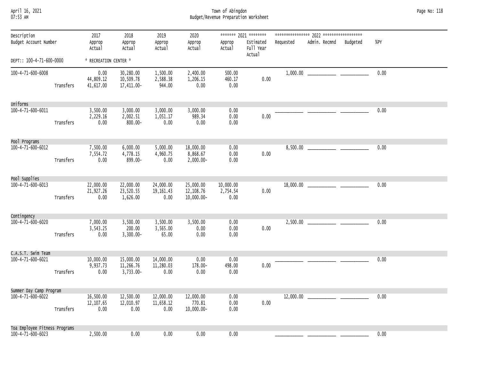| April 16, 2021 |  |
|----------------|--|
| 07.53 AM       |  |

April 16, 2021 Town of Abingdon Page No: 118 07:53 AM Budget/Revenue Preparation Worksheet

| Description<br>Budget Account Number               |           | 2017<br>Approp<br>Actual        | 2018<br>Approp<br>Actual             | 2019<br>Approp<br>Actual        | 2020<br>Approp<br>Actual                 | Approp<br>Actual              | ******* 2021 ********<br>Estimated<br>Full Year<br>Actual | Requested | Admin. Recmnd | Budgeted | %PY  |
|----------------------------------------------------|-----------|---------------------------------|--------------------------------------|---------------------------------|------------------------------------------|-------------------------------|-----------------------------------------------------------|-----------|---------------|----------|------|
| DEPT:: 100-4-71-600-0000                           |           | * RECREATION CENTER *           |                                      |                                 |                                          |                               |                                                           |           |               |          |      |
| 100-4-71-600-6008                                  | Transfers | 0.00<br>44,809.12<br>41,617.00  | 30,280.00<br>10,509.78<br>17,411.00- | 1,500.00<br>2,588.38<br>944.00  | 2,400.00<br>1,206.15<br>0.00             | 500.00<br>460.17<br>0.00      | 0.00                                                      |           |               |          | 0.00 |
|                                                    |           |                                 |                                      |                                 |                                          |                               |                                                           |           |               |          |      |
| Uniforms<br>100-4-71-600-6011                      | Transfers | 3,500.00<br>2,229.16<br>0.00    | 3,000.00<br>2,002.51<br>$800.00 -$   | 3,000.00<br>1,051.17<br>0.00    | 3,000.00<br>989.34<br>0.00               | 0.00<br>0.00<br>0.00          | 0.00                                                      |           |               |          | 0.00 |
| Pool Programs<br>100-4-71-600-6012                 | Transfers | 7,500.00<br>7,554.72<br>0.00    | 6,000.00<br>4,778.15<br>899.00-      | 5,000.00<br>4,960.75<br>0.00    | 18,000.00<br>8,868.67<br>$2,000.00 -$    | 0.00<br>0.00<br>0.00          | 0.00                                                      |           |               |          | 0.00 |
| Pool Supplies                                      |           |                                 |                                      |                                 |                                          |                               |                                                           |           |               |          |      |
| 100-4-71-600-6013                                  | Transfers | 22,000.00<br>21,927.26<br>0.00  | 22,000.00<br>23,520.55<br>1,626.00   | 24,000.00<br>19, 161.43<br>0.00 | 25,000.00<br>12, 108.76<br>$10,000.00 -$ | 10,000.00<br>2,754.54<br>0.00 | 0.00                                                      |           |               |          | 0.00 |
| Contingency                                        |           |                                 |                                      |                                 |                                          |                               |                                                           |           |               |          |      |
| $100 - 4 - 71 - 600 - 6020$                        | Transfers | 7,000.00<br>3,543.25<br>0.00    | 3,500.00<br>200.00<br>$3,300.00 -$   | 3,500.00<br>3,565.00<br>65.00   | 3,500.00<br>0.00<br>0.00                 | 0.00<br>0.00<br>0.00          | 0.00                                                      |           |               |          | 0.00 |
| C.A.S.T. Swim Team<br>100-4-71-600-6021            | Transfers | 10,000.00<br>9,937.73<br>0.00   | 15,000.00<br>11,266.76<br>3,733.00-  | 14,000.00<br>11,280.03<br>0.00  | 0.00<br>178.00-<br>0.00                  | 0.00<br>498.00<br>0.00        | 0.00                                                      |           |               |          | 0.00 |
|                                                    |           |                                 |                                      |                                 |                                          |                               |                                                           |           |               |          |      |
| Summer Day Camp Program<br>100-4-71-600-6022       | Transfers | 16,500.00<br>12, 107.65<br>0.00 | 12,500.00<br>12,010.97<br>0.00       | 12,000.00<br>11,658.12<br>0.00  | 12,000.00<br>770.81<br>10,000.00-        | 0.00<br>0.00<br>0.00          | 0.00                                                      |           |               |          | 0.00 |
| Toa Employee Fitness Programs<br>100-4-71-600-6023 |           | 2,500.00                        | 0.00                                 | 0.00                            | 0.00                                     | 0.00                          |                                                           |           |               |          | 0.00 |
|                                                    |           |                                 |                                      |                                 |                                          |                               |                                                           |           |               |          |      |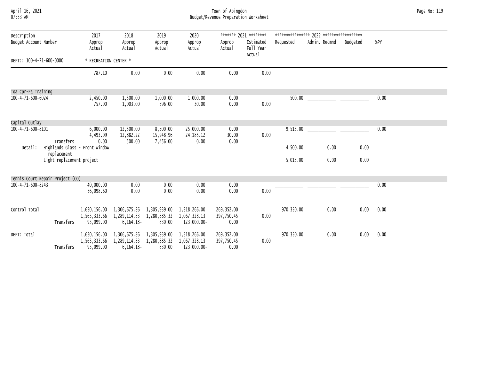| April 16, 2021<br>07:53 AM           |           |                                |                                                                         |                                     |                                  | Town of Abingdon<br>Budget/Revenue Preparation Worksheet |                                                           |            |               |          |      | Page No: 119 |
|--------------------------------------|-----------|--------------------------------|-------------------------------------------------------------------------|-------------------------------------|----------------------------------|----------------------------------------------------------|-----------------------------------------------------------|------------|---------------|----------|------|--------------|
| Description<br>Budget Account Number |           | 2017<br>Approp<br>Actual       | 2018<br>Approp<br>Actual                                                | 2019<br>Approp<br>Actual            | 2020<br>Approp<br>Actual         | Approp<br>Actual                                         | ******* 2021 ********<br>Estimated<br>Full Year<br>Actual | Requested  | Admin. Recmnd | Budgeted | %PY  |              |
| DEPT:: 100-4-71-600-0000             |           | * RECREATION CENTER *          |                                                                         |                                     |                                  |                                                          |                                                           |            |               |          |      |              |
|                                      |           | 787.10                         | 0.00                                                                    | 0.00                                | 0.00                             | 0.00                                                     | 0.00                                                      |            |               |          |      |              |
| Toa Cpr-Fa Training                  |           |                                |                                                                         |                                     |                                  |                                                          |                                                           |            |               |          |      |              |
| 100-4-71-600-6024                    |           | 2,450.00<br>757.00             | 1,500.00<br>1,003.00                                                    | 1,000.00<br>596.00                  | 1,000.00<br>30.00                | 0.00<br>0.00                                             | 0.00                                                      | 500.00     |               |          | 0.00 |              |
| Capital Outlay                       |           |                                |                                                                         |                                     |                                  |                                                          |                                                           |            |               |          |      |              |
| 100-4-71-600-8101                    | Transfers | 6,000.00<br>4,493.09<br>0.00   | 12,500.00<br>12,882.22<br>500.00                                        | 8,500.00<br>15,948.96<br>7,456.00   | 25,000.00<br>24, 185. 12<br>0.00 | 0.00<br>30.00<br>0.00                                    | 0.00                                                      | 9,515.00   |               |          | 0.00 |              |
| Detail:                              |           | Highlands Glass - Front window |                                                                         |                                     |                                  |                                                          |                                                           | 4,500.00   | 0.00          | 0.00     |      |              |
| replacement                          |           | Light replacement project      |                                                                         |                                     |                                  |                                                          |                                                           | 5,015.00   | 0.00          | 0.00     |      |              |
| Tennis Court Repair Project (CO)     |           |                                |                                                                         |                                     |                                  |                                                          |                                                           |            |               |          |      |              |
| 100-4-71-600-8243                    |           | 40,000.00<br>36,098.60         | 0.00<br>0.00                                                            | 0.00<br>0.00                        | 0.00<br>0.00                     | 0.00<br>0.00                                             | 0.00                                                      |            |               |          | 0.00 |              |
| Control Total                        |           |                                | 1,630,156.00 1,306,675.86 1,305,939.00 1,318,266.00                     |                                     |                                  | 269,352.00                                               |                                                           | 970,350.00 | 0.00          | 0.00     | 0.00 |              |
|                                      | Transfers | 93,099.00                      | 1,563,333.66 1,289,114.83<br>$6, 164.18 -$                              | 1,280,885.32 1,067,328.13<br>830.00 | 123,000.00-                      | 397,750.45<br>0.00                                       | 0.00                                                      |            |               |          |      |              |
| DEPT: Total                          | Transfers | 1,563,333.66<br>93,099.00      | 1,630,156.00 1,306,675.86 1,305,939.00<br>1,289,114.83<br>$6, 164.18 -$ | 1,280,885.32 1,067,328.13<br>830.00 | 1,318,266.00<br>123,000.00-      | 269,352.00<br>397,750.45<br>0.00                         | 0.00                                                      | 970,350.00 | 0.00          | 0.00     | 0.00 |              |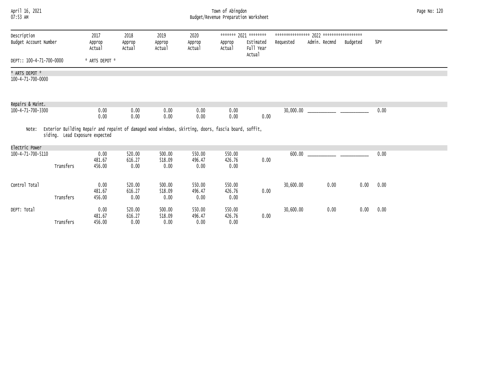| April 16, 2021<br>07:53 AM          | Town of Abingdon<br>Budget/Revenue Preparation Worksheet |                                                                                                      |                          |                          |                          |                          |                                  |           |               |          |      | Page No: 120 |
|-------------------------------------|----------------------------------------------------------|------------------------------------------------------------------------------------------------------|--------------------------|--------------------------|--------------------------|--------------------------|----------------------------------|-----------|---------------|----------|------|--------------|
| Description                         |                                                          | 2017                                                                                                 | 2018                     | 2019                     | 2020                     |                          | ******* 2021 ********            |           |               |          |      |              |
| Budget Account Number               |                                                          | Approp<br>Actual                                                                                     | Approp<br>Actual         | Approp<br>Actual         | Approp<br>Actual         | Approp<br>Actual         | Estimated<br>Full Year<br>Actual | Requested | Admin. Recmnd | Budgeted | %PY  |              |
| DEPT:: 100-4-71-700-0000            |                                                          | * ARTS DEPOT *                                                                                       |                          |                          |                          |                          |                                  |           |               |          |      |              |
| * ARTS DEPOT *<br>100-4-71-700-0000 |                                                          |                                                                                                      |                          |                          |                          |                          |                                  |           |               |          |      |              |
| Repairs & Maint.                    |                                                          |                                                                                                      |                          |                          |                          |                          |                                  |           |               |          |      |              |
| 100-4-71-700-3300                   |                                                          | 0.00<br>0.00                                                                                         | 0.00<br>0.00             | 0.00<br>0.00             | 0.00<br>0.00             | 0.00<br>0.00             | 0.00                             |           |               |          | 0.00 |              |
| Note:                               | siding. Lead Exposure expected                           | Exterior Building Repair and repaint of damaged wood windows, skirting, doors, fascia board, soffit, |                          |                          |                          |                          |                                  |           |               |          |      |              |
| Electric Power                      |                                                          |                                                                                                      |                          |                          |                          |                          |                                  |           |               |          |      |              |
| 100-4-71-700-5110                   | Transfers                                                | 0.00<br>481.67<br>456.00                                                                             | 520.00<br>616.27<br>0.00 | 500.00<br>518.09<br>0.00 | 550.00<br>496.47<br>0.00 | 550.00<br>426.76<br>0.00 | 0.00                             |           |               |          | 0.00 |              |
|                                     |                                                          |                                                                                                      |                          |                          |                          |                          |                                  |           |               |          |      |              |
| Control Total                       | Transfers                                                | 0.00<br>481.67<br>456.00                                                                             | 520.00<br>616.27<br>0.00 | 500.00<br>518.09<br>0.00 | 550.00<br>496.47<br>0.00 | 550.00<br>426.76<br>0.00 | 0.00                             | 30,600.00 | 0.00          | 0.00     | 0.00 |              |
| DEPT: Total                         | Transfers                                                | 0.00<br>481.67<br>456.00                                                                             | 520.00<br>616.27<br>0.00 | 500.00<br>518.09<br>0.00 | 550.00<br>496.47<br>0.00 | 550.00<br>426.76<br>0.00 | 0.00                             | 30,600.00 | 0.00          | 0.00     | 0.00 |              |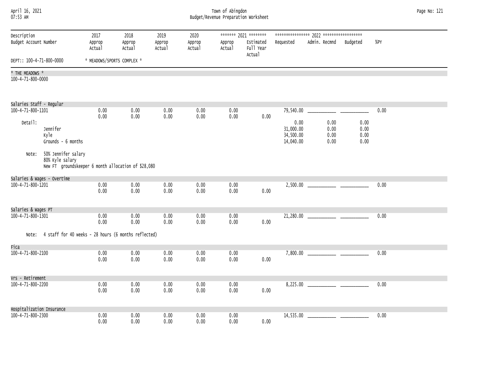| April 16, 2021<br>07:53 AM                    |                                                                                               |                            |                          |                          |                          | Town of Abingdon<br>Budget/Revenue Preparation Worksheet |                                                           |                                             |                              |                              |      | Page No: 121 |
|-----------------------------------------------|-----------------------------------------------------------------------------------------------|----------------------------|--------------------------|--------------------------|--------------------------|----------------------------------------------------------|-----------------------------------------------------------|---------------------------------------------|------------------------------|------------------------------|------|--------------|
| Description<br>Budget Account Number          |                                                                                               | 2017<br>Approp<br>Actual   | 2018<br>Approp<br>Actual | 2019<br>Approp<br>Actual | 2020<br>Approp<br>Actual | Approp<br>Actual                                         | ******* 2021 ********<br>Estimated<br>Full Year<br>Actual | Requested                                   | Admin. Recmnd Budgeted       |                              | %PY  |              |
| DEPT:: 100-4-71-800-0000                      |                                                                                               | * MEADOWS/SPORTS COMPLEX * |                          |                          |                          |                                                          |                                                           |                                             |                              |                              |      |              |
| * THE MEADOWS *                               |                                                                                               |                            |                          |                          |                          |                                                          |                                                           |                                             |                              |                              |      |              |
| 100-4-71-800-0000                             |                                                                                               |                            |                          |                          |                          |                                                          |                                                           |                                             |                              |                              |      |              |
| Salaries Staff - Regular<br>100-4-71-800-1101 |                                                                                               | 0.00                       | 0.00                     | 0.00                     | 0.00                     | 0.00                                                     |                                                           |                                             |                              |                              | 0.00 |              |
|                                               |                                                                                               | 0.00                       | 0.00                     | 0.00                     | 0.00                     | 0.00                                                     | 0.00                                                      |                                             |                              |                              |      |              |
| Detail:                                       | Jennifer<br>Kyle<br>Grounds - 6 months                                                        |                            |                          |                          |                          |                                                          |                                                           | 0.00<br>31,000.00<br>34,500.00<br>14,040.00 | 0.00<br>0.00<br>0.00<br>0.00 | 0.00<br>0.00<br>0.00<br>0.00 |      |              |
| Note:                                         | 50% Jennifer salary<br>80% Kyle salary<br>New FT groundskeeper 6 month allocation of \$28,080 |                            |                          |                          |                          |                                                          |                                                           |                                             |                              |                              |      |              |
|                                               | Salaries & Wages - Overtime                                                                   |                            |                          |                          |                          |                                                          |                                                           |                                             |                              |                              |      |              |
| 100-4-71-800-1201                             |                                                                                               | 0.00<br>0.00               | 0.00<br>0.00             | 0.00<br>0.00             | 0.00<br>0.00             | 0.00<br>0.00                                             | 0.00                                                      |                                             |                              |                              | 0.00 |              |
| Salaries & Wages PT                           |                                                                                               |                            |                          |                          |                          |                                                          |                                                           |                                             |                              |                              |      |              |
| 100-4-71-800-1301                             |                                                                                               | 0.00<br>0.00               | 0.00<br>0.00             | 0.00<br>0.00             | 0.00<br>0.00             | 0.00<br>0.00                                             | 0.00                                                      |                                             |                              |                              | 0.00 |              |
|                                               | Note: 4 staff for 40 weeks - 28 hours (6 months reflected)                                    |                            |                          |                          |                          |                                                          |                                                           |                                             |                              |                              |      |              |
| Fica<br>100-4-71-800-2100                     |                                                                                               | 0.00                       | 0.00                     | 0.00                     | 0.00                     | 0.00                                                     |                                                           |                                             |                              |                              | 0.00 |              |
|                                               |                                                                                               | 0.00                       | 0.00                     | 0.00                     | 0.00                     | 0.00                                                     | 0.00                                                      |                                             |                              |                              |      |              |
| Vrs - Retirement                              |                                                                                               |                            |                          |                          |                          |                                                          |                                                           |                                             |                              |                              |      |              |
| 100-4-71-800-2200                             |                                                                                               | 0.00<br>0.00               | 0.00<br>0.00             | 0.00<br>0.00             | 0.00<br>0.00             | 0.00<br>0.00                                             | 0.00                                                      |                                             |                              |                              | 0.00 |              |
| Hospitalization Insurance                     |                                                                                               |                            |                          |                          |                          |                                                          |                                                           |                                             |                              |                              |      |              |
| 100-4-71-800-2300                             |                                                                                               | 0.00<br>0.00               | 0.00<br>0.00             | 0.00<br>0.00             | 0.00<br>0.00             | 0.00<br>0.00                                             | 0.00                                                      |                                             |                              |                              | 0.00 |              |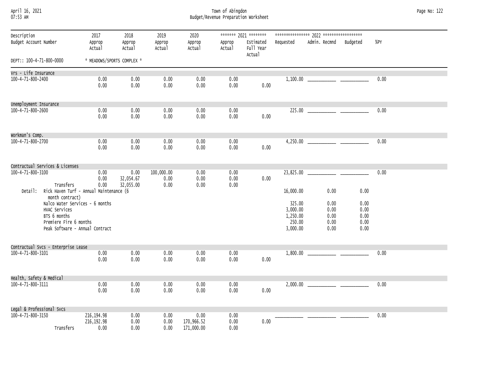April 16, 2021 Town of Abingdon Page No: 122 07:53 AM Budget/Revenue Preparation Worksheet

| Description<br>Budget Account Number |                                                                                                                                                  | 2017<br>Approp<br>Actual           | 2018<br>Approp<br>Actual       | 2019<br>Approp<br>Actual   | 2020<br>Approp<br>Actual         | Approp<br>Actual     | ******* 2021 ********<br>Estimated<br>Full Year<br>Actual | Requested                                            | Admin. Recmnd                        | Budgeted                             | $%$ PY |
|--------------------------------------|--------------------------------------------------------------------------------------------------------------------------------------------------|------------------------------------|--------------------------------|----------------------------|----------------------------------|----------------------|-----------------------------------------------------------|------------------------------------------------------|--------------------------------------|--------------------------------------|--------|
| DEPT:: 100-4-71-800-0000             |                                                                                                                                                  | * MEADOWS/SPORTS COMPLEX *         |                                |                            |                                  |                      |                                                           |                                                      |                                      |                                      |        |
| Vrs - Life Insurance                 |                                                                                                                                                  |                                    |                                |                            |                                  |                      |                                                           |                                                      |                                      |                                      |        |
| 100-4-71-800-2400                    |                                                                                                                                                  | 0.00<br>0.00                       | 0.00<br>0.00                   | 0.00<br>0.00               | 0.00<br>0.00                     | 0.00<br>0.00         | 0.00                                                      |                                                      |                                      |                                      | 0.00   |
| Unemployment Insurance               |                                                                                                                                                  |                                    |                                |                            |                                  |                      |                                                           |                                                      |                                      |                                      |        |
| 100-4-71-800-2600                    |                                                                                                                                                  | 0.00<br>0.00                       | 0.00<br>0.00                   | 0.00<br>0.00               | 0.00<br>0.00                     | 0.00<br>0.00         | 0.00                                                      |                                                      |                                      |                                      | 0.00   |
| Workman's Comp.                      |                                                                                                                                                  |                                    |                                |                            |                                  |                      |                                                           |                                                      |                                      |                                      |        |
| 100-4-71-800-2700                    |                                                                                                                                                  | 0.00<br>0.00                       | 0.00<br>0.00                   | 0.00<br>0.00               | 0.00<br>0.00                     | 0.00<br>0.00         | 0.00                                                      |                                                      |                                      |                                      | 0.00   |
|                                      | Contractual Services & Licenses                                                                                                                  |                                    |                                |                            |                                  |                      |                                                           |                                                      |                                      |                                      |        |
| 100-4-71-800-3100                    | Transfers<br>Detail: Rick Haven Turf - Annual Maintenance (6                                                                                     | 0.00<br>0.00<br>0.00               | 0.00<br>32,054.67<br>32,055.00 | 100,000.00<br>0.00<br>0.00 | 0.00<br>0.00<br>0.00             | 0.00<br>0.00<br>0.00 | 0.00                                                      | 16,000.00                                            | 0.00                                 | 0.00                                 | 0.00   |
|                                      | month contract)<br>Nalco Water Services - 6 months<br>HVAC Services<br>BTS 6 months<br>Premiere Fire 6 months<br>Peak Software - Annual Contract |                                    |                                |                            |                                  |                      |                                                           | 325.00<br>3,000.00<br>1,250.00<br>250.00<br>3,000.00 | 0.00<br>0.00<br>0.00<br>0.00<br>0.00 | 0.00<br>0.00<br>0.00<br>0.00<br>0.00 |        |
|                                      | Contractual Svcs - Enterprise Lease                                                                                                              |                                    |                                |                            |                                  |                      |                                                           |                                                      |                                      |                                      |        |
| 100-4-71-800-3101                    |                                                                                                                                                  | 0.00<br>0.00                       | 0.00<br>0.00                   | 0.00<br>0.00               | 0.00<br>0.00                     | 0.00<br>0.00         | 0.00                                                      |                                                      |                                      |                                      | 0.00   |
| Health, Safety & Medical             |                                                                                                                                                  |                                    |                                |                            |                                  |                      |                                                           |                                                      |                                      |                                      |        |
| 100-4-71-800-3111                    |                                                                                                                                                  | 0.00<br>0.00                       | 0.00<br>0.00                   | 0.00<br>0.00               | 0.00<br>0.00                     | 0.00<br>0.00         | 0.00                                                      |                                                      |                                      |                                      | 0.00   |
| Legal & Professional Svcs            |                                                                                                                                                  |                                    |                                |                            |                                  |                      |                                                           |                                                      |                                      |                                      |        |
| 100-4-71-800-3150                    | Transfers                                                                                                                                        | 216, 194.98<br>216, 192.98<br>0.00 | 0.00<br>0.00<br>0.00           | 0.00<br>0.00<br>0.00       | 0.00<br>170,966.52<br>171,000.00 | 0.00<br>0.00<br>0.00 | 0.00                                                      |                                                      |                                      |                                      | 0.00   |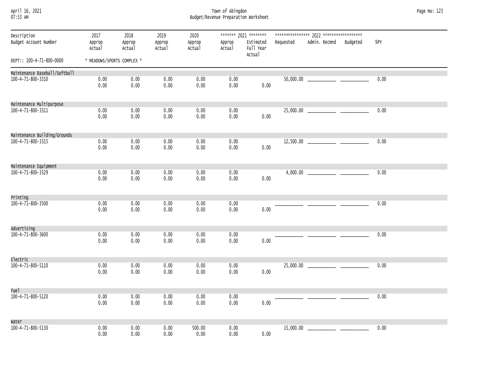| April 16, 2021  |  |
|-----------------|--|
| <b>N7.52 AM</b> |  |

April 16, 2021 Town of Abingdon Page No: 123 07:53 AM Budget/Revenue Preparation Worksheet

| Description<br>Budget Account Number | 2017<br>Approp<br>Actual   | 2018<br>Approp<br>Actual | 2019<br>Approp<br>Actual | 2020<br>Approp<br>Actual | Approp<br>Actual | ******* 2021 ********<br>Estimated<br>Full Year<br>Actual | Requested | Admin. Recmnd                              | Budgeted | $%$ PY |
|--------------------------------------|----------------------------|--------------------------|--------------------------|--------------------------|------------------|-----------------------------------------------------------|-----------|--------------------------------------------|----------|--------|
| DEPT:: 100-4-71-800-0000             | * MEADOWS/SPORTS COMPLEX * |                          |                          |                          |                  |                                                           |           |                                            |          |        |
| Maintenance Baseball/Softball        |                            |                          |                          |                          |                  |                                                           |           |                                            |          |        |
| 100-4-71-800-3310                    | 0.00<br>0.00               | 0.00<br>0.00             | 0.00<br>0.00             | 0.00<br>0.00             | 0.00<br>0.00     | 0.00                                                      |           |                                            |          | 0.00   |
| Maintenance Multipurpose             |                            |                          |                          |                          |                  |                                                           |           |                                            |          |        |
| 100-4-71-800-3311                    | 0.00<br>0.00               | 0.00<br>0.00             | 0.00<br>0.00             | 0.00<br>0.00             | 0.00<br>0.00     | 0.00                                                      |           |                                            |          | 0.00   |
|                                      |                            |                          |                          |                          |                  |                                                           |           |                                            |          |        |
| Maintenance Building/Grounds         |                            |                          |                          |                          |                  |                                                           |           |                                            |          |        |
| 100-4-71-800-3315                    | 0.00<br>0.00               | 0.00<br>0.00             | 0.00<br>0.00             | 0.00<br>0.00             | 0.00<br>0.00     | 0.00                                                      |           |                                            |          | 0.00   |
| Maintenance Equipment                |                            |                          |                          |                          |                  |                                                           |           |                                            |          |        |
| 100-4-71-800-3329                    | 0.00<br>0.00               | 0.00<br>0.00             | 0.00<br>0.00             | 0.00<br>0.00             | 0.00<br>0.00     | 0.00                                                      |           |                                            |          | 0.00   |
| Printing                             |                            |                          |                          |                          |                  |                                                           |           |                                            |          |        |
| 100-4-71-800-3500                    | 0.00<br>0.00               | 0.00<br>0.00             | 0.00<br>0.00             | 0.00<br>0.00             | 0.00<br>0.00     | 0.00                                                      |           |                                            |          | 0.00   |
| Advertising                          |                            |                          |                          |                          |                  |                                                           |           |                                            |          |        |
| 100-4-71-800-3600                    | 0.00<br>0.00               | 0.00<br>$0.00\,$         | 0.00<br>0.00             | 0.00<br>0.00             | 0.00<br>0.00     | 0.00                                                      |           |                                            |          | 0.00   |
| Electric                             |                            |                          |                          |                          |                  |                                                           |           |                                            |          |        |
| 100-4-71-800-5110                    | 0.00<br>0.00               | 0.00<br>0.00             | 0.00<br>0.00             | 0.00<br>0.00             | 0.00<br>0.00     | 0.00                                                      |           |                                            |          | 0.00   |
| Fue <sub>1</sub>                     |                            |                          |                          |                          |                  |                                                           |           |                                            |          |        |
| 100-4-71-800-5120                    | 0.00<br>0.00               | 0.00<br>0.00             | 0.00<br>0.00             | 0.00<br>0.00             | 0.00<br>0.00     | 0.00                                                      |           |                                            |          | 0.00   |
| Water                                |                            |                          |                          |                          |                  |                                                           |           |                                            |          |        |
| 100-4-71-800-5130                    | 0.00<br>0.00               | 0.00<br>0.00             | 0.00<br>0.00             | 500.00<br>0.00           | 0.00<br>0.00     | 0.00                                                      | 15,000.00 | <u> 1999 - Johann Barn, mars ann an t-</u> |          | 0.00   |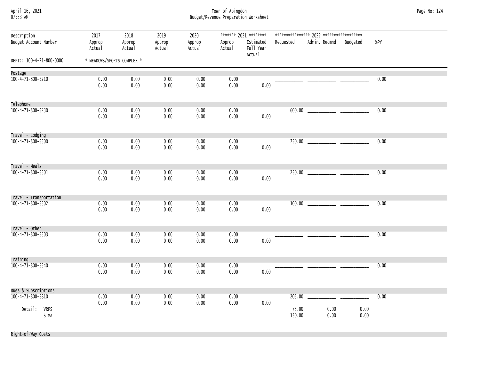| April 16, 2021 |  |
|----------------|--|
| 07.52 AM       |  |

April 16, 2021 Town of Abingdon Page No: 124 07:53 AM Budget/Revenue Preparation Worksheet

| Description<br>Budget Account Number                       | 2017<br>Approp<br>Actual   | 2018             | 2019             | 2020             | ******* 2021 ******** |                                  |                           |               |              |        |  |
|------------------------------------------------------------|----------------------------|------------------|------------------|------------------|-----------------------|----------------------------------|---------------------------|---------------|--------------|--------|--|
|                                                            |                            | Approp<br>Actual | Approp<br>Actual | Approp<br>Actual | Approp<br>Actual      | Estimated<br>Full Year<br>Actual | Requested                 | Admin. Recmnd | Budgeted     | $%$ PY |  |
| DEPT:: 100-4-71-800-0000                                   | * MEADOWS/SPORTS COMPLEX * |                  |                  |                  |                       |                                  |                           |               |              |        |  |
| Postage                                                    |                            |                  |                  |                  |                       |                                  |                           |               |              |        |  |
| 100-4-71-800-5210                                          | 0.00<br>0.00               | 0.00<br>0.00     | 0.00<br>0.00     | 0.00<br>0.00     | 0.00<br>0.00          | 0.00                             |                           |               |              | 0.00   |  |
| Telephone                                                  |                            |                  |                  |                  |                       |                                  |                           |               |              |        |  |
| 100-4-71-800-5230                                          | 0.00<br>0.00               | 0.00<br>0.00     | 0.00<br>0.00     | 0.00<br>0.00     | 0.00<br>0.00          | 0.00                             |                           |               |              | 0.00   |  |
| Travel - Lodging                                           |                            |                  |                  |                  |                       |                                  |                           |               |              |        |  |
| 100-4-71-800-5500                                          | 0.00<br>0.00               | 0.00<br>0.00     | 0.00<br>0.00     | 0.00<br>0.00     | 0.00<br>0.00          | 0.00                             |                           |               |              | 0.00   |  |
| Travel - Meals                                             |                            |                  |                  |                  |                       |                                  |                           |               |              |        |  |
| 100-4-71-800-5501                                          | 0.00<br>0.00               | 0.00<br>0.00     | 0.00<br>0.00     | 0.00<br>0.00     | 0.00<br>0.00          | 0.00                             |                           |               |              | 0.00   |  |
| Travel - Transportation                                    |                            |                  |                  |                  |                       |                                  |                           |               |              |        |  |
| 100-4-71-800-5502                                          | 0.00<br>0.00               | 0.00<br>0.00     | 0.00<br>0.00     | 0.00<br>0.00     | 0.00<br>0.00          | 0.00                             |                           |               |              | 0.00   |  |
| Travel - Other                                             |                            |                  |                  |                  |                       |                                  |                           |               |              |        |  |
| 100-4-71-800-5503                                          | 0.00<br>0.00               | 0.00<br>0.00     | 0.00<br>0.00     | 0.00<br>0.00     | 0.00<br>0.00          | 0.00                             |                           |               |              | 0.00   |  |
| Training                                                   |                            |                  |                  |                  |                       |                                  |                           |               |              |        |  |
| 100-4-71-800-5540                                          | 0.00<br>0.00               | 0.00<br>0.00     | 0.00<br>0.00     | 0.00<br>0.00     | 0.00<br>0.00          | 0.00                             |                           |               |              | 0.00   |  |
| Dues & Subscriptions                                       |                            |                  |                  |                  |                       |                                  |                           |               |              |        |  |
| 100-4-71-800-5810<br>Detail:<br><b>VRPS</b><br><b>STMA</b> | 0.00<br>0.00               | 0.00<br>0.00     | 0.00<br>0.00     | 0.00<br>0.00     | 0.00<br>0.00          | 0.00                             | 205.00<br>75.00<br>130.00 | 0.00<br>0.00  | 0.00<br>0.00 | 0.00   |  |

Right-of-Way Costs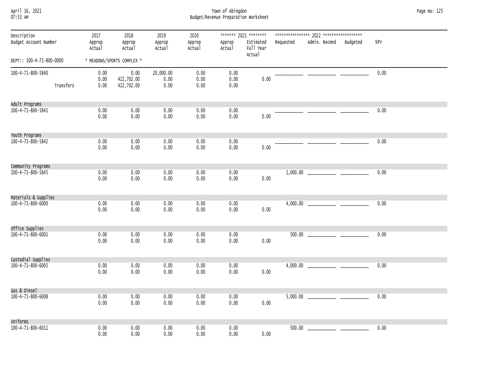| April 16, 2021 |  |
|----------------|--|
| $07.53$ AM     |  |

April 16, 2021 Town of Abingdon Page No: 125 07:53 AM Budget/Revenue Preparation Worksheet

| Description<br>Budget Account Number | 2017<br>Approp<br>Actual | 2018<br>Approp<br>Actual         | 2019<br>Approp<br>Actual  | 2020<br>Approp<br>Actual | Approp<br>Actual     | ******* 2021 ********<br>Estimated<br>Full Year<br>Actual | Requested | Admin. Recmnd                                                                                                                                                                                                                                                                                                                | Budgeted | %PY  |
|--------------------------------------|--------------------------|----------------------------------|---------------------------|--------------------------|----------------------|-----------------------------------------------------------|-----------|------------------------------------------------------------------------------------------------------------------------------------------------------------------------------------------------------------------------------------------------------------------------------------------------------------------------------|----------|------|
| DEPT:: 100-4-71-800-0000             |                          | * MEADOWS/SPORTS COMPLEX *       |                           |                          |                      |                                                           |           |                                                                                                                                                                                                                                                                                                                              |          |      |
| 100-4-71-800-5840<br>Transfers       | 0.00<br>0.00<br>0.00     | 0.00<br>422,702.00<br>422,702.00 | 20,000.00<br>0.00<br>0.00 | 0.00<br>0.00<br>0.00     | 0.00<br>0.00<br>0.00 | 0.00                                                      |           |                                                                                                                                                                                                                                                                                                                              |          | 0.00 |
|                                      |                          |                                  |                           |                          |                      |                                                           |           |                                                                                                                                                                                                                                                                                                                              |          |      |
| Adult Programs                       |                          |                                  |                           |                          |                      |                                                           |           |                                                                                                                                                                                                                                                                                                                              |          |      |
| 100-4-71-800-5841                    | 0.00<br>0.00             | 0.00<br>0.00                     | 0.00<br>0.00              | 0.00<br>0.00             | 0.00<br>0.00         | 0.00                                                      |           |                                                                                                                                                                                                                                                                                                                              |          | 0.00 |
| Youth Programs<br>100-4-71-800-5842  | 0.00<br>0.00             | 0.00<br>0.00                     | 0.00<br>0.00              | 0.00<br>0.00             | 0.00<br>0.00         | 0.00                                                      |           |                                                                                                                                                                                                                                                                                                                              |          | 0.00 |
| Community Programs                   |                          |                                  |                           |                          |                      |                                                           |           |                                                                                                                                                                                                                                                                                                                              |          |      |
| 100-4-71-800-5845                    | 0.00<br>0.00             | 0.00<br>0.00                     | 0.00<br>0.00              | 0.00<br>0.00             | 0.00<br>0.00         | 0.00                                                      |           |                                                                                                                                                                                                                                                                                                                              |          | 0.00 |
| Materials & Supplies                 |                          |                                  |                           |                          |                      |                                                           |           |                                                                                                                                                                                                                                                                                                                              |          |      |
| 100-4-71-800-6000                    | 0.00<br>0.00             | 0.00<br>0.00                     | 0.00<br>0.00              | 0.00<br>0.00             | 0.00<br>0.00         | 0.00                                                      |           |                                                                                                                                                                                                                                                                                                                              |          | 0.00 |
| Office Supplies                      |                          |                                  |                           |                          |                      |                                                           |           |                                                                                                                                                                                                                                                                                                                              |          |      |
| 100-4-71-800-6001                    | 0.00<br>0.00             | 0.00<br>0.00                     | 0.00<br>0.00              | 0.00<br>0.00             | 0.00<br>0.00         | 0.00                                                      |           |                                                                                                                                                                                                                                                                                                                              |          | 0.00 |
| Custodial Supplies                   |                          |                                  |                           |                          |                      |                                                           |           |                                                                                                                                                                                                                                                                                                                              |          |      |
| 100-4-71-800-6005                    | 0.00<br>0.00             | 0.00<br>0.00                     | 0.00<br>0.00              | 0.00<br>0.00             | 0.00<br>0.00         | 0.00                                                      |           |                                                                                                                                                                                                                                                                                                                              |          | 0.00 |
| Gas & Diesel                         |                          |                                  |                           |                          |                      |                                                           |           |                                                                                                                                                                                                                                                                                                                              |          |      |
| 100-4-71-800-6008                    | 0.00<br>0.00             | 0.00<br>0.00                     | 0.00<br>0.00              | 0.00<br>0.00             | 0.00<br>0.00         | 0.00                                                      |           |                                                                                                                                                                                                                                                                                                                              |          | 0.00 |
| Uniforms                             |                          |                                  |                           |                          |                      |                                                           |           |                                                                                                                                                                                                                                                                                                                              |          |      |
| 100-4-71-800-6011                    | 0.00<br>0.00             | 0.00<br>0.00                     | 0.00<br>0.00              | 0.00<br>0.00             | 0.00<br>0.00         | 0.00                                                      |           | $500.00$ and $\overline{a}$ and $\overline{a}$ and $\overline{a}$ and $\overline{a}$ and $\overline{a}$ and $\overline{a}$ and $\overline{a}$ and $\overline{a}$ and $\overline{a}$ and $\overline{a}$ and $\overline{a}$ and $\overline{a}$ and $\overline{a}$ and $\overline{a}$ and $\overline{a}$ and $\overline{a}$ and |          | 0.00 |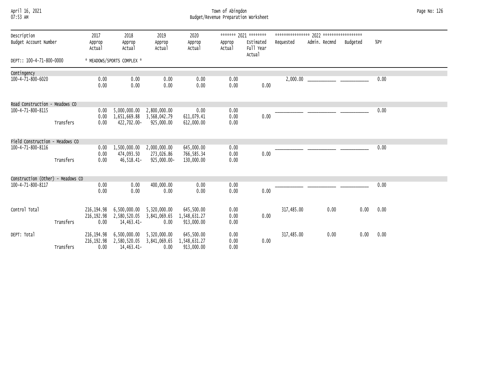April 16, 2021 Town of Abingdon Page No: 126 07:53 AM Budget/Revenue Preparation Worksheet

| Description                       |           | 2017                      | 2018                                      | 2019                                      | 2020                                   |                      | ******* 2021 ********  |            |               |          |      |  |
|-----------------------------------|-----------|---------------------------|-------------------------------------------|-------------------------------------------|----------------------------------------|----------------------|------------------------|------------|---------------|----------|------|--|
| Budget Account Number             |           | Approp<br>Actual          | Approp<br>Actual                          | Approp<br>Actual                          | Approp<br>Actual                       | Approp<br>Actual     | Estimated<br>Full Year | Requested  | Admin. Recmnd | Budgeted | %PY  |  |
| DEPT:: 100-4-71-800-0000          |           |                           | * MEADOWS/SPORTS COMPLEX *                |                                           |                                        |                      | Actual                 |            |               |          |      |  |
| Contingency                       |           |                           |                                           |                                           |                                        |                      |                        |            |               |          |      |  |
| 100-4-71-800-6020                 |           | 0.00<br>0.00              | 0.00<br>0.00                              | 0.00<br>0.00                              | 0.00<br>0.00                           | 0.00<br>0.00         | 0.00                   | 2,000.00   |               |          | 0.00 |  |
| Road Construction - Meadows CO    |           |                           |                                           |                                           |                                        |                      |                        |            |               |          |      |  |
| 100-4-71-800-8115                 |           | 0.00<br>0.00              | 5,000,000.00<br>1,651,669.88              | 2,800,000.00<br>3,568,042.79              | 0.00<br>611,079.41                     | 0.00<br>0.00         | 0.00                   |            |               |          | 0.00 |  |
|                                   | Transfers | 0.00                      | 422,702.00-                               | 925,000.00                                | 612,000.00                             | 0.00                 |                        |            |               |          |      |  |
| Field Construction - Meadows CO   |           |                           |                                           |                                           |                                        |                      |                        |            |               |          |      |  |
| 100-4-71-800-8116                 | Transfers | 0.00<br>0.00<br>0.00      | 1,500,000.00<br>474,093.50<br>46,518.41-  | 2,000,000.00<br>273,026.86<br>925,000.00- | 645,000.00<br>766,585.34<br>130,000.00 | 0.00<br>0.00<br>0.00 | 0.00                   |            |               |          | 0.00 |  |
|                                   |           |                           |                                           |                                           |                                        |                      |                        |            |               |          |      |  |
| Construction (Other) - Meadows CO |           |                           |                                           |                                           |                                        |                      |                        |            |               |          |      |  |
| 100-4-71-800-8117                 |           | 0.00<br>0.00              | 0.00<br>0.00                              | 400,000.00<br>0.00                        | 0.00<br>0.00                           | 0.00<br>0.00         | 0.00                   |            |               |          | 0.00 |  |
| Control Total                     |           | 216,194.98<br>216,192.98  | 6,500,000.00<br>2,580,520.05              | 5,320,000.00<br>3,841,069.65              | 645,500.00<br>1,548,631.27             | 0.00<br>0.00         | 0.00                   | 317,485.00 | 0.00          | 0.00     | 0.00 |  |
|                                   | Transfers | 0.00                      | 14,463.41-                                | 0.00                                      | 913,000.00                             | 0.00                 |                        |            |               |          |      |  |
| DEPT: Total                       |           | 216,194.98<br>216, 192.98 | 6,500,000.00<br>2,580,520.05 3,841,069.65 | 5,320,000.00                              | 645,500.00<br>1,548,631.27             | 0.00<br>0.00         | 0.00                   | 317,485.00 | 0.00          | 0.00     | 0.00 |  |
|                                   | Transfers | 0.00                      | 14,463.41-                                | 0.00                                      | 913,000.00                             | 0.00                 |                        |            |               |          |      |  |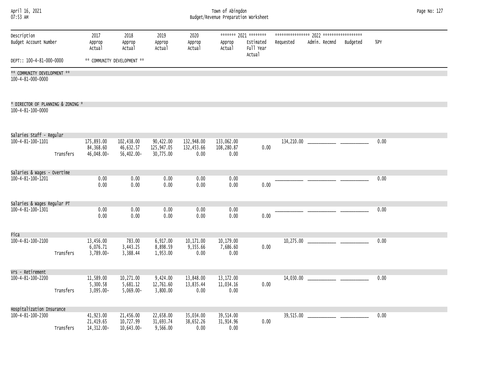| April 16, 2021<br>07:53 AM                             |           |                                       |                                       |                                      |                                  | Town of Abingdon                 | Budget/Revenue Preparation Worksheet                      |             |               |          |        | Page No: 127 |
|--------------------------------------------------------|-----------|---------------------------------------|---------------------------------------|--------------------------------------|----------------------------------|----------------------------------|-----------------------------------------------------------|-------------|---------------|----------|--------|--------------|
| Description<br>Budget Account Number                   |           | 2017<br>Approp<br>Actual              | 2018<br>Approp<br>Actual              | 2019<br>Approp<br>Actual             | 2020<br>Approp<br>Actual         | Approp<br>Actual                 | ******* 2021 ********<br>Estimated<br>Full Year<br>Actual | Requested   | Admin. Recmnd | Budgeted | $%$ PY |              |
| DEPT:: 100-4-81-000-0000                               |           |                                       | ** COMMUNITY DEVELOPMENT **           |                                      |                                  |                                  |                                                           |             |               |          |        |              |
| ** COMMUNITY DEVELOPMENT **<br>100-4-81-000-0000       |           |                                       |                                       |                                      |                                  |                                  |                                                           |             |               |          |        |              |
|                                                        |           |                                       |                                       |                                      |                                  |                                  |                                                           |             |               |          |        |              |
| * DIRECTOR OF PLANNING & ZONING *<br>100-4-81-100-0000 |           |                                       |                                       |                                      |                                  |                                  |                                                           |             |               |          |        |              |
| Salaries Staff - Regular                               |           |                                       |                                       |                                      |                                  |                                  |                                                           |             |               |          |        |              |
| 100-4-81-100-1101                                      | Transfers | 175,893.00<br>84,368.60<br>46,048.00- | 102,438.00<br>46,632.57<br>56,402.00- | 90,422.00<br>125,947.05<br>30,775.00 | 132,948.00<br>132,453.66<br>0.00 | 133,062.00<br>108,280.87<br>0.00 | 0.00                                                      | 134, 210.00 |               |          | 0.00   |              |
| Salaries & Wages - Overtime                            |           |                                       |                                       |                                      |                                  |                                  |                                                           |             |               |          |        |              |
| 100-4-81-100-1201                                      |           | 0.00<br>0.00                          | 0.00<br>0.00                          | 0.00<br>0.00                         | 0.00<br>0.00                     | 0.00<br>0.00                     | 0.00                                                      |             |               |          | 0.00   |              |
| Salaries & Wages Regular PT                            |           |                                       |                                       |                                      |                                  |                                  |                                                           |             |               |          |        |              |
| 100-4-81-100-1301                                      |           | 0.00<br>0.00                          | 0.00<br>0.00                          | 0.00<br>0.00                         | 0.00<br>0.00                     | 0.00<br>0.00                     | 0.00                                                      |             |               |          | 0.00   |              |
| Fica                                                   |           |                                       |                                       |                                      |                                  |                                  |                                                           |             |               |          |        |              |
| 100-4-81-100-2100                                      | Transfers | 13,456.00<br>6,076.71<br>3,789.00-    | 783.00<br>3,443.25<br>3,388.44        | 6,917.00<br>8,898.59<br>1,953.00     | 10,171.00<br>9,355.66<br>0.00    | 10,179.00<br>7,686.60<br>0.00    | 0.00                                                      |             |               |          | 0.00   |              |
| Vrs - Retirement                                       |           |                                       |                                       |                                      |                                  |                                  |                                                           |             |               |          |        |              |
| 100-4-81-100-2200                                      | Transfers | 11,589.00<br>5,300.58<br>$3,095.00 -$ | 10,271.00<br>5,681.12<br>$5,069.00 -$ | 9,424.00<br>12,761.60<br>3,800.00    | 13,848.00<br>13,835.44<br>0.00   | 13,172.00<br>11,034.16<br>0.00   | 0.00                                                      | 14,030.00   |               |          | 0.00   |              |
| Hospitalization Insurance                              |           |                                       |                                       |                                      |                                  |                                  |                                                           |             |               |          |        |              |
| 100-4-81-100-2300                                      | Transfers | 41,923.00<br>21,419.65<br>14, 312.00- | 21,456.00<br>10,727.99<br>10,643.00-  | 22,658.00<br>31,693.74<br>9,566.00   | 35,034.00<br>38,652.26<br>0.00   | 39,514.00<br>31,914.96<br>0.00   | 0.00                                                      |             |               |          | 0.00   |              |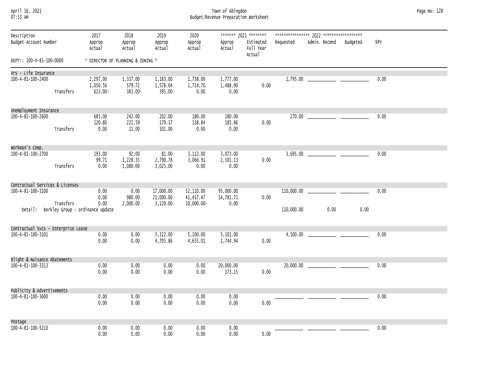#### April 16, 2021 Town of Abingdon Page No: 128 07:53 AM Budget/Revenue Preparation Worksheet

| Description<br>Budget Account Number |           | 2017<br>Approp<br>Actual                                         | 2018<br>Approp<br>Actual          | 2019<br>Approp<br>Actual           | 2020<br>Approp<br>Actual                | Approp<br>Actual               | ******* 2021 ********<br>Estimated<br>Full Year<br>Actual | Requested  | Admin. Recmnd | Budgeted | %PY  |
|--------------------------------------|-----------|------------------------------------------------------------------|-----------------------------------|------------------------------------|-----------------------------------------|--------------------------------|-----------------------------------------------------------|------------|---------------|----------|------|
| DEPT:: 100-4-81-100-0000             |           |                                                                  | * DIRECTOR OF PLANNING & ZONING * |                                    |                                         |                                |                                                           |            |               |          |      |
| Vrs - Life Insurance                 |           |                                                                  |                                   |                                    |                                         |                                |                                                           |            |               |          |      |
| 100-4-81-100-2400                    | Transfers | 2,297.00<br>1,050.56<br>$613.00 -$                               | 1,337.00<br>579.72<br>383.00-     | 1,183.00<br>1,578.04<br>395.00     | 1,738.00<br>1,714.70<br>0.00            | 1,777.00<br>1,488.90<br>0.00   | 0.00                                                      |            |               |          | 0.00 |
| Unemployment Insurance               |           |                                                                  |                                   |                                    |                                         |                                |                                                           |            |               |          |      |
| 100-4-81-100-2600                    | Transfers | 685.00<br>120.80<br>0.00                                         | 242.00<br>221.59<br>11.00         | 202.00<br>170.17<br>101.00         | 180.00<br>138.84<br>0.00                | 180.00<br>185.86<br>0.00       | 0.00                                                      |            |               |          | 0.00 |
| Workman's Comp.                      |           |                                                                  |                                   |                                    |                                         |                                |                                                           |            |               |          |      |
| 100-4-81-100-2700                    | Transfers | 193.00<br>99.71<br>0.00                                          | 92.00<br>1,228.35<br>1,080.00     | 81.00<br>2,790.78<br>3,025.00      | 3,113.00<br>3,066.91<br>0.00            | 3,073.00<br>2,501.13<br>0.00   | 0.00                                                      |            |               |          | 0.00 |
| Contractual Services & Licenses      |           |                                                                  |                                   |                                    |                                         |                                |                                                           |            |               |          |      |
| 100-4-81-100-3100                    | Transfers | 0.00<br>0.00<br>0.00<br>Detail: Berkley Group - ordinance update | 0.00<br>980.00<br>2,000.00        | 17,000.00<br>21,000.00<br>3,120.00 | 52,110.00<br>41,457.47<br>$10,000.00 -$ | 95,000.00<br>14,781.71<br>0.00 | 0.00                                                      | 110,000.00 | 0.00          | 0.00     | 0.00 |
|                                      |           |                                                                  |                                   |                                    |                                         |                                |                                                           |            |               |          |      |
| Contractual Svcs - Enterprise Lease  |           |                                                                  |                                   |                                    |                                         |                                |                                                           |            |               |          |      |
| 100-4-81-100-3101                    |           | 0.00<br>0.00                                                     | 0.00<br>0.00                      | 5,322.00<br>4,705.86               | 5,100.00<br>4,655.01                    | 5,101.00<br>2,744.94           | 0.00                                                      |            |               |          | 0.00 |
| Blight & Nuisance Abatements         |           |                                                                  |                                   |                                    |                                         |                                |                                                           |            |               |          |      |
| 100-4-81-100-3313                    |           | 0.00<br>0.00                                                     | 0.00<br>0.00                      | 0.00<br>0.00                       | 0.00<br>0.00                            | 20,000.00<br>173.15            | 0.00                                                      |            |               |          | 0.00 |
| Publicity & Advertisements           |           |                                                                  |                                   |                                    |                                         |                                |                                                           |            |               |          |      |
| 100-4-81-100-3600                    |           | 0.00<br>0.00                                                     | 0.00<br>0.00                      | 0.00<br>0.00                       | 0.00<br>0.00                            | 0.00<br>0.00                   | 0.00                                                      |            |               |          | 0.00 |
| Postage                              |           |                                                                  |                                   |                                    |                                         |                                |                                                           |            |               |          |      |
| 100-4-81-100-5210                    |           | 0.00<br>0.00                                                     | 0.00<br>0.00                      | 0.00<br>0.00                       | 0.00<br>0.00                            | 0.00<br>0.00                   | 0.00                                                      |            |               |          | 0.00 |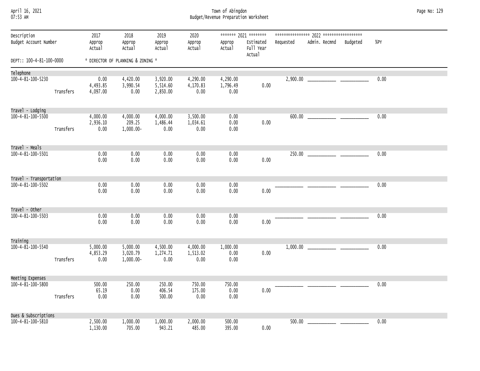| April 16, 2021 |  |
|----------------|--|
| $07.53$ AM     |  |

## April 16, 2021 Town of Abingdon Page No: 129 07:53 AM Budget/Revenue Preparation Worksheet

| Description<br>Budget Account Number |           | 2017<br>Approp<br>Actual     | 2018<br>Approp<br>Actual            | 2019<br>Approp<br>Actual         | 2020<br>Approp<br>Actual     | Approp<br>Actual             | ******* 2021 ********<br>Estimated<br>Full Year<br>Actual | Requested | Admin. Recmnd                           | Budgeted | %PY  |
|--------------------------------------|-----------|------------------------------|-------------------------------------|----------------------------------|------------------------------|------------------------------|-----------------------------------------------------------|-----------|-----------------------------------------|----------|------|
| DEPT:: 100-4-81-100-0000             |           |                              | * DIRECTOR OF PLANNING & ZONING *   |                                  |                              |                              |                                                           |           |                                         |          |      |
| Telephone                            |           |                              |                                     |                                  |                              |                              |                                                           |           |                                         |          |      |
| 100-4-81-100-5230                    | Transfers | 0.00<br>4,493.85<br>4,097.00 | 4,420.00<br>3,990.54<br>0.00        | 3,920.00<br>5,514.60<br>2,850.00 | 4,290.00<br>4,170.83<br>0.00 | 4,290.00<br>1,796.49<br>0.00 | 0.00                                                      | 2,900.00  |                                         |          | 0.00 |
| Travel - Lodging                     |           |                              |                                     |                                  |                              |                              |                                                           |           |                                         |          |      |
| 100-4-81-100-5500                    | Transfers | 4,000.00<br>2,936.10<br>0.00 | 4,000.00<br>209.25<br>$1,000.00-$   | 4,000.00<br>1,486.44<br>0.00     | 3,500.00<br>1,034.61<br>0.00 | 0.00<br>0.00<br>0.00         | 0.00                                                      | 600.00    |                                         |          | 0.00 |
| Travel - Meals                       |           |                              |                                     |                                  |                              |                              |                                                           |           |                                         |          |      |
| 100-4-81-100-5501                    |           | 0.00<br>0.00                 | 0.00<br>0.00                        | 0.00<br>0.00                     | 0.00<br>0.00                 | 0.00<br>0.00                 | 0.00                                                      | 250.00    | <u> 1990 - Johann Barbara, martin a</u> |          | 0.00 |
| Travel - Transportation              |           |                              |                                     |                                  |                              |                              |                                                           |           |                                         |          |      |
| 100-4-81-100-5502                    |           | 0.00<br>0.00                 | 0.00<br>0.00                        | 0.00<br>0.00                     | 0.00<br>0.00                 | 0.00<br>0.00                 | 0.00                                                      |           |                                         |          | 0.00 |
| Travel - Other                       |           |                              |                                     |                                  |                              |                              |                                                           |           |                                         |          |      |
| 100-4-81-100-5503                    |           | 0.00<br>0.00                 | 0.00<br>0.00                        | 0.00<br>0.00                     | 0.00<br>0.00                 | 0.00<br>0.00                 | 0.00                                                      |           |                                         |          | 0.00 |
| Training                             |           |                              |                                     |                                  |                              |                              |                                                           |           |                                         |          |      |
| 100-4-81-100-5540                    | Transfers | 5,000.00<br>4,853.29<br>0.00 | 5,000.00<br>3,020.79<br>$1,000.00-$ | 4,500.00<br>1,274.71<br>0.00     | 4,000.00<br>1,513.02<br>0.00 | 1,000.00<br>0.00<br>0.00     | 0.00                                                      |           |                                         |          | 0.00 |
| Meeting Expenses                     |           |                              |                                     |                                  |                              |                              |                                                           |           |                                         |          |      |
| $100 - 4 - 81 - 100 - 5800$          | Transfers | 500.00<br>65.19<br>0.00      | 250.00<br>0.00<br>0.00              | 250.00<br>406.54<br>500.00       | 750.00<br>175.00<br>0.00     | 750.00<br>0.00<br>0.00       | 0.00                                                      |           |                                         |          | 0.00 |
| Dues & Subscriptions                 |           |                              |                                     |                                  |                              |                              |                                                           |           |                                         |          |      |
| 100-4-81-100-5810                    |           | 2,500.00<br>1,130.00         | 1,000.00<br>705.00                  | 1,000.00<br>943.21               | 2,000.00<br>485.00           | 500.00<br>395.00             | 0.00                                                      | 500.00    |                                         |          | 0.00 |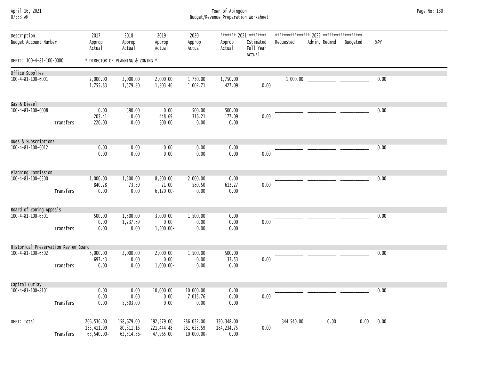| April 16, 2021 |  |
|----------------|--|
| 07.53 AM       |  |

#### April 16, 2021 Town of Abingdon Page No: 130 07:53 AM Budget/Revenue Preparation Worksheet

| Description<br>Budget Account Number         |           | 2017<br>Approp<br>Actual               | 2018<br>Approp<br>Actual                | 2019<br>Approp<br>Actual              | 2020<br>Approp<br>Actual               | Approp<br>Actual                    | ******* 2021 ********<br>Estimated<br>Full Year<br>Actual | Requested  | Admin. Recmnd | Budgeted | %PY  |  |
|----------------------------------------------|-----------|----------------------------------------|-----------------------------------------|---------------------------------------|----------------------------------------|-------------------------------------|-----------------------------------------------------------|------------|---------------|----------|------|--|
| DEPT:: 100-4-81-100-0000                     |           |                                        | * DIRECTOR OF PLANNING & ZONING *       |                                       |                                        |                                     |                                                           |            |               |          |      |  |
| Office Supplies                              |           |                                        |                                         |                                       |                                        |                                     |                                                           |            |               |          |      |  |
| 100-4-81-100-6001                            |           | 2,000.00<br>1,755.83                   | 2,000.00<br>1,579.80                    | 2,000.00<br>1,803.46                  | 1,750.00<br>1,002.71                   | 1,750.00<br>427.09                  | 0.00                                                      | 1,000.00   |               |          | 0.00 |  |
| Gas & Diesel                                 |           |                                        |                                         |                                       |                                        |                                     |                                                           |            |               |          |      |  |
| 100-4-81-100-6008                            | Transfers | 0.00<br>203.41<br>220.00               | 390.00<br>0.00<br>0.00                  | 0.00<br>448.69<br>500.00              | 500.00<br>316.21<br>0.00               | 500.00<br>177.09<br>0.00            | 0.00                                                      |            |               |          | 0.00 |  |
| Dues & Subscriptions                         |           |                                        |                                         |                                       |                                        |                                     |                                                           |            |               |          |      |  |
| 100-4-81-100-6012                            |           | 0.00<br>0.00                           | 0.00<br>0.00                            | 0.00<br>0.00                          | 0.00<br>0.00                           | 0.00<br>0.00                        | 0.00                                                      |            |               |          | 0.00 |  |
| Planning Commission                          |           |                                        |                                         |                                       |                                        |                                     |                                                           |            |               |          |      |  |
| 100-4-81-100-6500                            | Transfers | 1,000.00<br>840.28<br>0.00             | 1,500.00<br>73.50<br>0.00               | 8,500.00<br>21.00<br>$6,120.00 -$     | 2,000.00<br>580.50<br>0.00             | 0.00<br>613.27<br>0.00              | 0.00                                                      |            |               |          | 0.00 |  |
|                                              |           |                                        |                                         |                                       |                                        |                                     |                                                           |            |               |          |      |  |
| Board of Zoning Appeals<br>100-4-81-100-6501 |           | 500.00                                 | 1,500.00                                | 3,000.00                              | 1,500.00                               | 0.00                                |                                                           |            |               |          | 0.00 |  |
|                                              | Transfers | 0.00<br>0.00                           | 1,237.69<br>0.00                        | 0.00<br>$1,500.00 -$                  | 0.00<br>0.00                           | 0.00<br>0.00                        | 0.00                                                      |            |               |          |      |  |
| Historical Preservation Review Board         |           |                                        |                                         |                                       |                                        |                                     |                                                           |            |               |          |      |  |
| 100-4-81-100-6502                            |           | 5,000.00<br>697.43                     | 2,000.00<br>0.00                        | 2,000.00<br>0.00                      | 1,500.00<br>0.00                       | 500.00<br>33.53                     | 0.00                                                      |            |               |          | 0.00 |  |
|                                              | Transfers | 0.00                                   | 0.00                                    | $1,000.00-$                           | 0.00                                   | 0.00                                |                                                           |            |               |          |      |  |
| Capital Outlay                               |           |                                        |                                         |                                       |                                        |                                     |                                                           |            |               |          |      |  |
| 100-4-81-100-8101                            | Transfers | 0.00<br>0.00<br>0.00                   | 0.00<br>0.00<br>5,503.00                | 10,000.00<br>0.00<br>0.00             | 10,000.00<br>7,015.76<br>0.00          | 0.00<br>0.00<br>0.00                | 0.00                                                      |            |               |          | 0.00 |  |
|                                              |           |                                        |                                         |                                       |                                        |                                     |                                                           |            |               |          |      |  |
| DEPT: Total                                  | Transfers | 266,536.00<br>135,411.99<br>63,540.00- | 158,679.00<br>80, 311.16<br>62, 514.56- | 192,379.00<br>221,444.48<br>47,965.00 | 286,032.00<br>261,623.59<br>10,000.00- | 330, 348.00<br>184, 234. 75<br>0.00 | 0.00                                                      | 344,540.00 | 0.00          | 0.00     | 0.00 |  |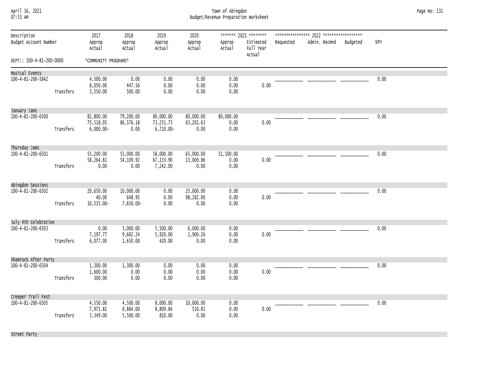| April 16, 2021 |  |
|----------------|--|
| 07.53 AM       |  |

# April 16, 2021 Town of Abingdon Page No: 131 07:53 AM Budget/Revenue Preparation Worksheet

| Description              |           | 2017                                   | 2018                             | 2019                                   | 2020                           |                           | ******* 2021 ********            |           |               |          |      |
|--------------------------|-----------|----------------------------------------|----------------------------------|----------------------------------------|--------------------------------|---------------------------|----------------------------------|-----------|---------------|----------|------|
| Budget Account Number    |           | Approp<br>Actual                       | Approp<br>Actual                 | Approp<br>Actual                       | Approp<br>Actual               | Approp<br>Actual          | Estimated<br>Full Year<br>Actual | Requested | Admin. Recmnd | Budgeted | %PY  |
| DEPT:: 100-4-81-200-0000 |           | *COMMUNITY PROGRAMS*                   |                                  |                                        |                                |                           |                                  |           |               |          |      |
| Musical Events           |           |                                        |                                  |                                        |                                |                           |                                  |           |               |          |      |
| 100-4-81-200-5842        | Transfers | 4,500.00<br>8,050.00<br>3,550.00       | 0.00<br>447.56<br>500.00         | 0.00<br>0.00<br>0.00                   | 0.00<br>0.00<br>0.00           | 0.00<br>0.00<br>0.00      | 0.00                             |           |               |          | 0.00 |
| January Jams             |           |                                        |                                  |                                        |                                |                           |                                  |           |               |          |      |
| 100-4-81-200-6500        | Transfers | 82,800.00<br>75,518.05<br>$6,000.00 -$ | 79,200.00<br>86,576.18<br>0.00   | 80,000.00<br>73,251.73<br>$6,710.00 -$ | 80,000.00<br>63,201.63<br>0.00 | 80,000.00<br>0.00<br>0.00 | 0.00                             |           |               |          | 0.00 |
| Thursday Jams            |           |                                        |                                  |                                        |                                |                           |                                  |           |               |          |      |
| 100-4-81-200-6501        | Transfers | 55,200.00<br>58,264.81<br>0.00         | 55,000.00<br>54,109.92<br>0.00   | 58,000.00<br>67,133.90<br>7,242.00     | 65,000.00<br>13,069.86<br>0.00 | 51,500.00<br>0.00<br>0.00 | 0.00                             |           |               |          | 0.00 |
| Abingdon Sessions        |           |                                        |                                  |                                        |                                |                           |                                  |           |               |          |      |
| 100-4-81-200-6502        | Transfers | 20,650.00<br>40.00<br>$10,535.00 -$    | 10,000.00<br>648.95<br>7,650.00- | 0.00<br>0.00<br>0.00                   | 25,000.00<br>98,282.00<br>0.00 | 0.00<br>0.00<br>0.00      | 0.00                             |           |               |          | 0.00 |
| July 4th Celebration     |           |                                        |                                  |                                        |                                |                           |                                  |           |               |          |      |
| 100-4-81-200-6503        | Transfers | 0.00<br>7,197.77<br>6,077.00           | 3,000.00<br>9,682.24<br>1,650.00 | 5,500.00<br>5,920.00<br>420.00         | 6,000.00<br>1,900.26<br>0.00   | 0.00<br>0.00<br>0.00      | 0.00                             |           |               |          | 0.00 |
| Shamrock After Party     |           |                                        |                                  |                                        |                                |                           |                                  |           |               |          |      |
| 100-4-81-200-6504        | Transfers | 1,300.00<br>1,600.00<br>300.00         | 1,300.00<br>0.00<br>0.00         | 0.00<br>0.00<br>0.00                   | 0.00<br>0.00<br>0.00           | 0.00<br>0.00<br>0.00      | 0.00                             |           |               |          | 0.00 |
| Creeper Trail Fest       |           |                                        |                                  |                                        |                                |                           |                                  |           |               |          |      |
| 100-4-81-200-6505        | Transfers | 4,550.00<br>7,971.82<br>3,349.00       | 4,500.00<br>8,884.00<br>5,500.00 | 8,000.00<br>8,809.84<br>810.00         | 10,000.00<br>510.83<br>0.00    | 0.00<br>0.00<br>0.00      | 0.00                             |           |               |          | 0.00 |

Street Party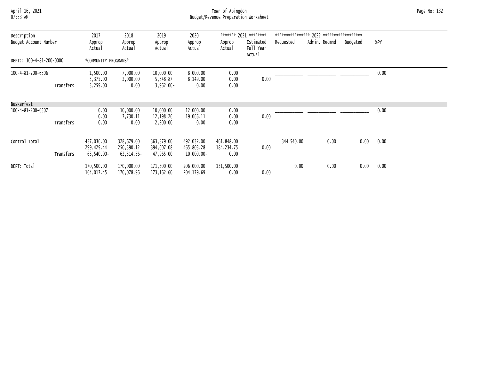April 16, 2021 Town of Abingdon Page No: 132 07:53 AM Budget/Revenue Preparation Worksheet

| Description              |           | 2017                                   | 2018                                   | 2019                                  | 2020                                      |                                  | ******* 2021 ********            |            |               |          |      |
|--------------------------|-----------|----------------------------------------|----------------------------------------|---------------------------------------|-------------------------------------------|----------------------------------|----------------------------------|------------|---------------|----------|------|
| Budget Account Number    |           | Approp<br>Actual                       | Approp<br>Actual                       | Approp<br>Actual                      | Approp<br>Actual                          | Approp<br>Actual                 | Estimated<br>Full Year<br>Actual | Requested  | Admin. Recmnd | Budgeted | %PY  |
| DEPT:: 100-4-81-200-0000 |           | *COMMUNITY PROGRAMS*                   |                                        |                                       |                                           |                                  |                                  |            |               |          |      |
| 100-4-81-200-6506        | Transfers | 1,500.00<br>5,375.00<br>3,259.00       | 7,000.00<br>2,000.00<br>0.00           | 10,000.00<br>5,848.87<br>$3,962.00 -$ | 8,000.00<br>8,149.00<br>0.00              | 0.00<br>0.00<br>0.00             | 0.00                             |            |               |          | 0.00 |
| Buskerfest               |           |                                        |                                        |                                       |                                           |                                  |                                  |            |               |          |      |
| 100-4-81-200-6507        | Transfers | 0.00<br>0.00<br>0.00                   | 10,000.00<br>7,730.11<br>0.00          | 10,000.00<br>12,198.26<br>2,200.00    | 12,000.00<br>19,066.11<br>0.00            | 0.00<br>0.00<br>0.00             | 0.00                             |            |               |          | 0.00 |
| Control Total            | Transfers | 437,036.00<br>299,429.44<br>63,540.00- | 328,679.00<br>250,390.12<br>62,514.56- | 363,879.00<br>394,607.08<br>47,965.00 | 492,032.00<br>465,803.28<br>$10,000.00 -$ | 461,848.00<br>184,234.75<br>0.00 | 0.00                             | 344,540.00 | 0.00          | 0.00     | 0.00 |
| DEPT: Total              |           | 170,500.00<br>164,017.45               | 170,000.00<br>170,078.96               | 171,500.00<br>173, 162.60             | 206,000.00<br>204,179.69                  | 131,500.00<br>0.00               | 0.00                             | 0.00       | 0.00          | 0.00     | 0.00 |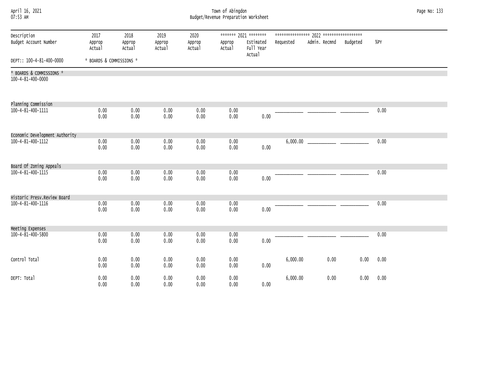| April 16, 2021<br>07:53 AM                    | Town of Abingdon<br>Budget/Revenue Preparation Worksheet |                          |                          |                          |                  |                                                 |           |                        |      |      |  |  |
|-----------------------------------------------|----------------------------------------------------------|--------------------------|--------------------------|--------------------------|------------------|-------------------------------------------------|-----------|------------------------|------|------|--|--|
| Description<br>Budget Account Number          | 2017<br>Approp<br>Actual                                 | 2018<br>Approp<br>Actual | 2019<br>Approp<br>Actual | 2020<br>Approp<br>Actual | Approp<br>Actual | ******* 2021 ********<br>Estimated<br>Full Year | Requested | Admin. Recmnd Budgeted |      | %PY  |  |  |
| DEPT:: 100-4-81-400-0000                      | * BOARDS & COMMISSIONS *                                 |                          |                          |                          |                  | Actual                                          |           |                        |      |      |  |  |
| * BOARDS & COMMISSIONS *<br>100-4-81-400-0000 |                                                          |                          |                          |                          |                  |                                                 |           |                        |      |      |  |  |
| Planning Commission                           |                                                          |                          |                          |                          |                  |                                                 |           |                        |      |      |  |  |
| 100-4-81-400-1111                             | 0.00<br>0.00                                             | 0.00<br>0.00             | 0.00<br>0.00             | 0.00<br>0.00             | 0.00<br>0.00     | 0.00                                            |           |                        |      | 0.00 |  |  |
| Economic Development Authority                |                                                          |                          |                          |                          |                  |                                                 |           |                        |      |      |  |  |
| 100-4-81-400-1112                             | 0.00<br>0.00                                             | 0.00<br>0.00             | 0.00<br>0.00             | 0.00<br>0.00             | 0.00<br>0.00     | 0.00                                            | 6,000.00  |                        |      | 0.00 |  |  |
| Board Of Zoning Appeals                       |                                                          |                          |                          |                          |                  |                                                 |           |                        |      |      |  |  |
| 100-4-81-400-1115                             | 0.00<br>0.00                                             | 0.00<br>0.00             | 0.00<br>0.00             | 0.00<br>0.00             | 0.00<br>0.00     | 0.00                                            |           |                        |      | 0.00 |  |  |
| Historic Presv.Review Board                   |                                                          |                          |                          |                          |                  |                                                 |           |                        |      |      |  |  |
| 100-4-81-400-1116                             | 0.00<br>0.00                                             | 0.00<br>0.00             | 0.00<br>0.00             | 0.00<br>0.00             | 0.00<br>0.00     | 0.00                                            |           |                        |      | 0.00 |  |  |
| Meeting Expenses                              |                                                          |                          |                          |                          |                  |                                                 |           |                        |      |      |  |  |
| 100-4-81-400-5800                             | 0.00<br>0.00                                             | 0.00<br>0.00             | 0.00<br>0.00             | 0.00<br>0.00             | 0.00<br>0.00     | 0.00                                            |           |                        |      | 0.00 |  |  |
| Control Total                                 | 0.00<br>0.00                                             | 0.00<br>0.00             | 0.00<br>0.00             | 0.00<br>0.00             | 0.00<br>0.00     | 0.00                                            | 6,000.00  | 0.00                   | 0.00 | 0.00 |  |  |
| DEPT: Total                                   | 0.00<br>0.00                                             | 0.00<br>0.00             | 0.00<br>0.00             | 0.00<br>0.00             | 0.00<br>0.00     | 0.00                                            | 6,000.00  | 0.00                   | 0.00 | 0.00 |  |  |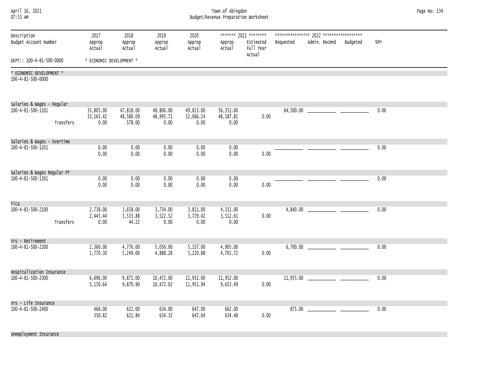| April 16, 2021<br>07:53 AM                      |                          | Town of Abingdon<br>Budget/Revenue Preparation Worksheet |                          |                          |                       |                                                           |           |               |          |      |  |  |
|-------------------------------------------------|--------------------------|----------------------------------------------------------|--------------------------|--------------------------|-----------------------|-----------------------------------------------------------|-----------|---------------|----------|------|--|--|
| Description<br>Budget Account Number            | 2017<br>Approp<br>Actual | 2018<br>Approp<br>Actual                                 | 2019<br>Approp<br>Actual | 2020<br>Approp<br>Actual | Approp<br>Actual      | ******* 2021 ********<br>Estimated<br>Full Year<br>Actual | Requested | Admin. Recmnd | Budgeted | %PY  |  |  |
| DEPT:: 100-4-81-500-0000                        | * ECONOMIC DEVELOPMENT * |                                                          |                          |                          |                       |                                                           |           |               |          |      |  |  |
| * ECONOMIC DEVELOPMENT *<br>100-4-81-500-0000   |                          |                                                          |                          |                          |                       |                                                           |           |               |          |      |  |  |
| Salaries & Wages - Regular<br>100-4-81-500-1101 | 35,805.00                | 47,818.00                                                | 48,806.00                | 49,813.00                | 56,351.00             |                                                           | 64,500.00 |               |          | 0.00 |  |  |
| Transfers                                       | 33, 165.42<br>0.00       | 48,580.09<br>578.00                                      | 48,995.71<br>0.00        | 52,066.24<br>0.00        | 48, 187.81<br>0.00    | 0.00                                                      |           |               |          |      |  |  |
| Salaries & Wages - Overtime                     |                          |                                                          |                          |                          |                       |                                                           |           |               |          |      |  |  |
| 100-4-81-500-1201                               | 0.00<br>0.00             | 0.00<br>0.00                                             | 0.00<br>0.00             | 0.00<br>0.00             | 0.00<br>0.00          | 0.00                                                      |           |               |          | 0.00 |  |  |
| Salaries & Wages Regular PT                     |                          |                                                          |                          |                          |                       |                                                           |           |               |          |      |  |  |
| 100-4-81-500-1301                               | 0.00<br>0.00             | 0.00<br>0.00                                             | 0.00<br>0.00             | 0.00<br>0.00             | 0.00<br>0.00          | 0.00                                                      |           |               |          | 0.00 |  |  |
| Fica<br>100-4-81-500-2100                       | 2,738.00                 | 3,658.00                                                 | 3,734.00                 | 3,811.00                 | 4,311.00              |                                                           | 4,840.00  |               |          | 0.00 |  |  |
| Transfers                                       | 2,445.44<br>0.00         | 3,533.88<br>44.22                                        | 3,522.52<br>0.00         | 3,729.42<br>0.00         | 3,512.61<br>0.00      | 0.00                                                      |           |               |          |      |  |  |
| Vrs - Retirement                                |                          |                                                          |                          |                          |                       |                                                           |           |               |          |      |  |  |
| 100-4-81-500-2200                               | 2,360.00<br>1,770.30     | 4,776.00<br>5,249.00                                     | 5,056.00<br>4,888.28     | 5,157.00<br>5,220.88     | 4,905.00<br>4,701.72  | 0.00                                                      | 6,700.00  |               |          | 0.00 |  |  |
| Hospitalization Insurance                       |                          |                                                          |                          |                          |                       |                                                           |           |               |          |      |  |  |
| 100-4-81-500-2300                               | 6,696.00<br>5,150.64     | 9,871.00<br>9,870.90                                     | 10,472.00<br>10,472.02   | 11,952.00<br>11,951.94   | 11,952.00<br>9,653.49 | 0.00                                                      |           |               |          | 0.00 |  |  |
| Vrs - Life Insurance                            |                          |                                                          |                          |                          |                       |                                                           |           |               |          |      |  |  |
| 100-4-81-500-2400                               | 468.00<br>350.82         | 622.00<br>621.84                                         | 634.00<br>634.32         | 647.00<br>647.04         | 662.00<br>634.48      | 0.00                                                      |           |               |          | 0.00 |  |  |

Unemployment Insurance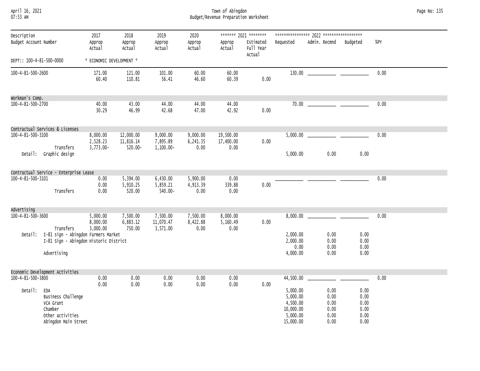April 16, 2021 Town of Abingdon Page No: 135 07:53 AM Budget/Revenue Preparation Worksheet

| Description<br>Budget Account Number |                                                                                               | 2017<br>Approp<br>Actual             | 2018<br>Approp<br>Actual             | 2019<br>Approp<br>Actual          | 2020<br>Approp<br>Actual     | Approp<br>Actual               | ******* 2021 ********<br>Estimated<br>Full Year<br>Actual | Requested                                                              | Admin. Recmnd                                | Budgeted                                     | %PY  |  |
|--------------------------------------|-----------------------------------------------------------------------------------------------|--------------------------------------|--------------------------------------|-----------------------------------|------------------------------|--------------------------------|-----------------------------------------------------------|------------------------------------------------------------------------|----------------------------------------------|----------------------------------------------|------|--|
| DEPT:: 100-4-81-500-0000             |                                                                                               | * ECONOMIC DEVELOPMENT *             |                                      |                                   |                              |                                |                                                           |                                                                        |                                              |                                              |      |  |
| 100-4-81-500-2600                    |                                                                                               | 171.00<br>60.40                      | 121.00<br>110.81                     | 101.00<br>56.41                   | 60.00<br>46.60               | 60.00<br>60.39                 | 0.00                                                      |                                                                        |                                              |                                              | 0.00 |  |
| Workman's Comp.                      |                                                                                               |                                      |                                      |                                   |                              |                                |                                                           |                                                                        |                                              |                                              |      |  |
| 100-4-81-500-2700                    |                                                                                               | 40.00<br>30.29                       | 43.00<br>46.99                       | 44.00<br>42.68                    | 44.00<br>47.00               | 44.00<br>42.92                 | 0.00                                                      |                                                                        |                                              |                                              | 0.00 |  |
|                                      | Contractual Services & Licenses                                                               |                                      |                                      |                                   |                              |                                |                                                           |                                                                        |                                              |                                              |      |  |
| 100-4-81-500-3100                    | Transfers                                                                                     | 8,000.00<br>2,528.23<br>$3,773.00 -$ | 12,000.00<br>11,816.14<br>$520.00 -$ | 9,000.00<br>7,895.89<br>1,100.00- | 9,000.00<br>6,241.35<br>0.00 | 19,500.00<br>17,400.00<br>0.00 | 0.00                                                      |                                                                        |                                              |                                              | 0.00 |  |
|                                      | Detail: Graphic design                                                                        |                                      |                                      |                                   |                              |                                |                                                           | 5,000.00                                                               | 0.00                                         | 0.00                                         |      |  |
|                                      | Contractual Service - Enterprise Lease                                                        |                                      |                                      |                                   |                              |                                |                                                           |                                                                        |                                              |                                              |      |  |
| 100-4-81-500-3101                    | Transfers                                                                                     | 0.00<br>0.00<br>0.00                 | 5,394.00<br>5,910.25<br>520.00       | 6,430.00<br>5,859.21<br>540.00-   | 5,900.00<br>4,913.39<br>0.00 | 0.00<br>339.88<br>0.00         | 0.00                                                      |                                                                        |                                              |                                              | 0.00 |  |
| Advertising                          |                                                                                               |                                      |                                      |                                   |                              |                                |                                                           |                                                                        |                                              |                                              |      |  |
| $100 - 4 - 81 - 500 - 3600$          | Transfers                                                                                     | 5,000.00<br>8,000.00<br>3,000.00     | 7,500.00<br>6,883.12<br>750.00       | 7,500.00<br>11,070.47<br>3,571.00 | 7,500.00<br>8,422.88<br>0.00 | 8,000.00<br>5,160.49<br>0.00   | 0.00                                                      |                                                                        |                                              |                                              | 0.00 |  |
| Detail:                              | I-81 sign - Abingdon Farmers Market<br>I-81 Sign - Abingdon Historic District<br>Advertising  |                                      |                                      |                                   |                              |                                |                                                           | 2,000.00<br>2,000.00<br>0.00<br>4,000.00                               | 0.00<br>0.00<br>0.00<br>0.00                 | 0.00<br>0.00<br>0.00<br>0.00                 |      |  |
|                                      | Economic Development Activities                                                               |                                      |                                      |                                   |                              |                                |                                                           |                                                                        |                                              |                                              |      |  |
| 100-4-81-500-3800                    |                                                                                               | 0.00                                 | 0.00                                 | 0.00                              | 0.00                         | 0.00                           |                                                           | 44,500.00                                                              |                                              |                                              | 0.00 |  |
| Detail:                              | EDA<br>Business Challenge<br>VCA Grant<br>Chamber<br>Other activities<br>Abingdon Main Street | 0.00                                 | 0.00                                 | 0.00                              | 0.00                         | 0.00                           | 0.00                                                      | 5,000.00<br>5,000.00<br>4,500.00<br>10,000.00<br>5,000.00<br>15,000.00 | 0.00<br>0.00<br>0.00<br>0.00<br>0.00<br>0.00 | 0.00<br>0.00<br>0.00<br>0.00<br>0.00<br>0.00 |      |  |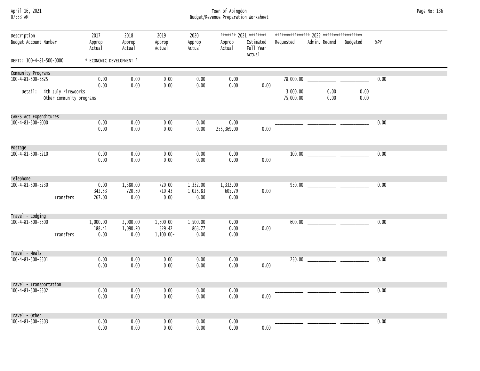April 16, 2021 Town of Abingdon Page No: 136 07:53 AM Budget/Revenue Preparation Worksheet

| Description<br>Budget Account Number |                                                 | 2017<br>Approp<br>Actual   | 2018<br>Approp<br>Actual     | 2019<br>Approp<br>Actual           | 2020<br>Approp<br>Actual     | Approp<br>Actual           | ******* 2021 ********<br>Estimated<br>Full Year<br>Actual | Requested             | Admin. Recmnd | Budgeted     | %PY  |
|--------------------------------------|-------------------------------------------------|----------------------------|------------------------------|------------------------------------|------------------------------|----------------------------|-----------------------------------------------------------|-----------------------|---------------|--------------|------|
| DEPT:: 100-4-81-500-0000             |                                                 | * ECONOMIC DEVELOPMENT *   |                              |                                    |                              |                            |                                                           |                       |               |              |      |
| Community Programs                   |                                                 |                            |                              |                                    |                              |                            |                                                           |                       |               |              |      |
| 100-4-81-500-3825                    |                                                 | 0.00<br>0.00               | 0.00<br>0.00                 | 0.00<br>0.00                       | 0.00<br>0.00                 | 0.00<br>0.00               | 0.00                                                      | 78,000.00             |               |              | 0.00 |
| Detail:                              | 4th July Firewoorks<br>Other community programs |                            |                              |                                    |                              |                            |                                                           | 3,000.00<br>75,000.00 | 0.00<br>0.00  | 0.00<br>0.00 |      |
| CARES Act Expenditures               |                                                 |                            |                              |                                    |                              |                            |                                                           |                       |               |              |      |
| 100-4-81-500-5000                    |                                                 | 0.00<br>0.00               | 0.00<br>0.00                 | 0.00<br>0.00                       | 0.00<br>0.00                 | 0.00<br>255,369.00         | 0.00                                                      |                       |               |              | 0.00 |
| Postage                              |                                                 |                            |                              |                                    |                              |                            |                                                           |                       |               |              |      |
| 100-4-81-500-5210                    |                                                 | 0.00<br>0.00               | 0.00<br>0.00                 | 0.00<br>0.00                       | 0.00<br>0.00                 | 0.00<br>0.00               | 0.00                                                      |                       |               |              | 0.00 |
| Telephone                            |                                                 |                            |                              |                                    |                              |                            |                                                           |                       |               |              |      |
| 100-4-81-500-5230                    | Transfers                                       | 0.00<br>342.53<br>267.00   | 1,380.00<br>720.80<br>0.00   | 720.00<br>710.43<br>0.00           | 1,332.00<br>1,025.83<br>0.00 | 1,332.00<br>605.79<br>0.00 | 0.00                                                      |                       |               |              | 0.00 |
| Travel - Lodging                     |                                                 |                            |                              |                                    |                              |                            |                                                           |                       |               |              |      |
| 100-4-81-500-5500                    | Transfers                                       | 1,000.00<br>188.41<br>0.00 | 2,000.00<br>1,090.20<br>0.00 | 1,500.00<br>329.42<br>$1,100.00 -$ | 1,500.00<br>863.77<br>0.00   | 0.00<br>0.00<br>0.00       | 0.00                                                      |                       |               |              | 0.00 |
| Travel - Meals                       |                                                 |                            |                              |                                    |                              |                            |                                                           |                       |               |              |      |
| 100-4-81-500-5501                    |                                                 | 0.00<br>0.00               | 0.00<br>0.00                 | 0.00<br>0.00                       | 0.00<br>0.00                 | 0.00<br>0.00               | 0.00                                                      |                       |               |              | 0.00 |
| Travel - Transportation              |                                                 |                            |                              |                                    |                              |                            |                                                           |                       |               |              |      |
| 100-4-81-500-5502                    |                                                 | 0.00<br>0.00               | 0.00<br>0.00                 | 0.00<br>0.00                       | 0.00<br>0.00                 | 0.00<br>0.00               | 0.00                                                      |                       |               |              | 0.00 |
| Travel - Other                       |                                                 |                            |                              |                                    |                              |                            |                                                           |                       |               |              |      |
| 100-4-81-500-5503                    |                                                 | 0.00<br>0.00               | 0.00<br>0.00                 | 0.00<br>0.00                       | 0.00<br>0.00                 | 0.00<br>0.00               | 0.00                                                      |                       |               |              | 0.00 |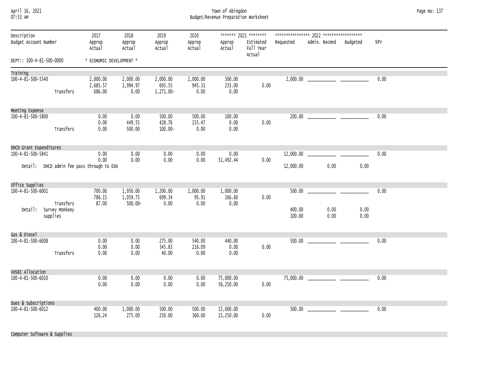| April 16, 2021 |  |
|----------------|--|
| 07.53 AM       |  |

## April 16, 2021 Town of Abingdon Page No: 137 07:53 AM Budget/Revenue Preparation Worksheet

| Description<br>Budget Account Number            |                                         | 2017<br>Approp<br>Actual                                   | 2018<br>Approp<br>Actual           | 2019<br>Approp<br>Actual        | 2020<br>Approp<br>Actual   | Approp<br>Actual           | ******* 2021 ********<br>Estimated<br>Full Year<br>Actual | Requested        | Admin. Recmnd                                                                                                                                                                                                                                                                                                                         | Budgeted     | %PY  |
|-------------------------------------------------|-----------------------------------------|------------------------------------------------------------|------------------------------------|---------------------------------|----------------------------|----------------------------|-----------------------------------------------------------|------------------|---------------------------------------------------------------------------------------------------------------------------------------------------------------------------------------------------------------------------------------------------------------------------------------------------------------------------------------|--------------|------|
| DEPT:: 100-4-81-500-0000                        |                                         | * ECONOMIC DEVELOPMENT *                                   |                                    |                                 |                            |                            |                                                           |                  |                                                                                                                                                                                                                                                                                                                                       |              |      |
| Training<br>$100 - 4 - 81 - 500 - 5540$         | Transfers                               | 2,000.00<br>2,685.57<br>686.00                             | 2,000.00<br>1,994.97<br>0.00       | 2,000.00<br>693.55<br>1,271.00- | 2,000.00<br>945.31<br>0.00 | 500.00<br>235.00<br>0.00   | 0.00                                                      |                  |                                                                                                                                                                                                                                                                                                                                       |              | 0.00 |
| Meeting Expense<br>100-4-81-500-5800            | Transfers                               | 0.00<br>0.00<br>0.00                                       | 0.00<br>449.55<br>500.00           | 500.00<br>428.76<br>$100.00 -$  | 500.00<br>155.47<br>0.00   | 100.00<br>0.00<br>0.00     | 0.00                                                      |                  |                                                                                                                                                                                                                                                                                                                                       |              | 0.00 |
| DHCD Grant Expenditures<br>100-4-81-500-5841    |                                         | 0.00<br>0.00<br>Detail: DHCD admin fee pass through to EDA | 0.00<br>0.00                       | 0.00<br>0.00                    | 0.00<br>0.00               | 0.00<br>51,492.44          | 0.00                                                      | 12,000.00        | $12,000.00$ and $\overline{a}$ and $\overline{a}$ and $\overline{a}$ and $\overline{a}$ and $\overline{a}$ and $\overline{a}$ and $\overline{a}$ and $\overline{a}$ and $\overline{a}$ and $\overline{a}$ and $\overline{a}$ and $\overline{a}$ and $\overline{a}$ and $\overline{a}$ and $\overline{a}$ and $\overline{a}$ a<br>0.00 | 0.00         | 0.00 |
| Office Supplies<br>100-4-81-500-6001<br>Detail: | Transfers<br>Survey Monkeey<br>supplies | 700.00<br>786.15<br>87.00                                  | 1,950.00<br>1,059.75<br>$500.00 -$ | 1,200.00<br>699.34<br>0.00      | 1,000.00<br>95.91<br>0.00  | 1,000.00<br>266.60<br>0.00 | 0.00                                                      | 400.00<br>100.00 | $500.00$ $\qquad \qquad$<br>0.00<br>0.00                                                                                                                                                                                                                                                                                              | 0.00<br>0.00 | 0.00 |
| Gas & Diesel<br>100-4-81-500-6008               | Transfers                               | 0.00<br>0.00<br>0.00                                       | 0.00<br>0.00<br>0.00               | 275.00<br>345.83<br>40.00       | 540.00<br>216.09<br>0.00   | 440.00<br>0.00<br>0.00     | 0.00                                                      |                  |                                                                                                                                                                                                                                                                                                                                       |              | 0.00 |
| VHSBI Allocation<br>100-4-81-500-6010           |                                         | 0.00<br>0.00                                               | 0.00<br>0.00                       | 0.00<br>0.00                    | 0.00<br>0.00               | 75,000.00<br>56,250.00     | 0.00                                                      |                  |                                                                                                                                                                                                                                                                                                                                       |              | 0.00 |
| Dues & Subscriptions<br>100-4-81-500-6012       |                                         | 400.00<br>126.24                                           | 1,000.00<br>275.00                 | 500.00<br>250.00                | 500.00<br>360.00           | 15,600.00<br>15,250.00     | 0.00                                                      |                  | $500.00$ $\qquad \qquad \qquad$                                                                                                                                                                                                                                                                                                       |              | 0.00 |

Computer Software & Supplies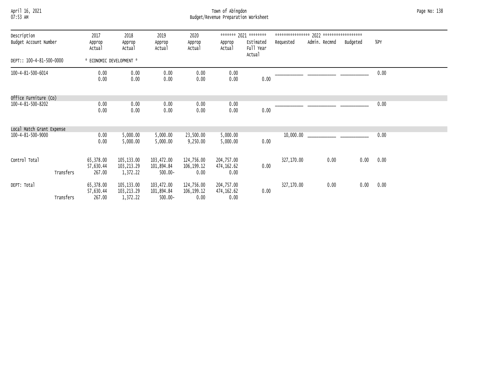## April 16, 2021 Town of Abingdon Page No: 138 07:53 AM Budget/Revenue Preparation Worksheet

| Description               | 2017                             | 2018                                   | 2019                                   | 2020                               |                                  | ******* 2021 ********            |            |               |          |      |  |
|---------------------------|----------------------------------|----------------------------------------|----------------------------------------|------------------------------------|----------------------------------|----------------------------------|------------|---------------|----------|------|--|
| Budget Account Number     | Approp<br>Actual                 | Approp<br>Actual                       | Approp<br>Actual                       | Approp<br>Actual                   | Approp<br>Actual                 | Estimated<br>Full Year<br>Actual | Requested  | Admin. Recmnd | Budgeted | %PY  |  |
| DEPT:: 100-4-81-500-0000  | * ECONOMIC DEVELOPMENT *         |                                        |                                        |                                    |                                  |                                  |            |               |          |      |  |
| 100-4-81-500-6014         | 0.00<br>0.00                     | 0.00<br>0.00                           | 0.00<br>0.00                           | 0.00<br>0.00                       | 0.00<br>0.00                     | 0.00                             |            |               |          | 0.00 |  |
| Office Furniture (Co)     |                                  |                                        |                                        |                                    |                                  |                                  |            |               |          |      |  |
| 100-4-81-500-8202         | 0.00<br>0.00                     | 0.00<br>0.00                           | 0.00<br>0.00                           | 0.00<br>0.00                       | 0.00<br>0.00                     | 0.00                             |            |               |          | 0.00 |  |
| Local Match Grant Expense |                                  |                                        |                                        |                                    |                                  |                                  |            |               |          |      |  |
| 100-4-81-500-9000         | 0.00<br>0.00                     | 5,000.00<br>5,000.00                   | 5,000.00<br>5,000.00                   | 23,500.00<br>9,250.00              | 5,000.00<br>5,000.00             | 0.00                             | 10,000.00  |               |          | 0.00 |  |
| Control Total             | 65,378.00<br>57,630.44           | 105,133.00<br>103,213.29               | 103,472.00<br>101,894.84               | 124,756.00<br>106,199.12           | 204,757.00<br>474,162.62         | 0.00                             | 327,170.00 | 0.00          | 0.00     | 0.00 |  |
| Transfers                 | 267.00                           | 1,372.22                               | $500.00 -$                             | 0.00                               | 0.00                             |                                  |            |               |          |      |  |
| DEPT: Total<br>Transfers  | 65,378.00<br>57,630.44<br>267.00 | 105,133.00<br>103, 213. 29<br>1,372.22 | 103,472.00<br>101,894.84<br>$500.00 -$ | 124,756.00<br>106, 199. 12<br>0.00 | 204,757.00<br>474,162.62<br>0.00 | 0.00                             | 327,170.00 | 0.00          | 0.00     | 0.00 |  |
|                           |                                  |                                        |                                        |                                    |                                  |                                  |            |               |          |      |  |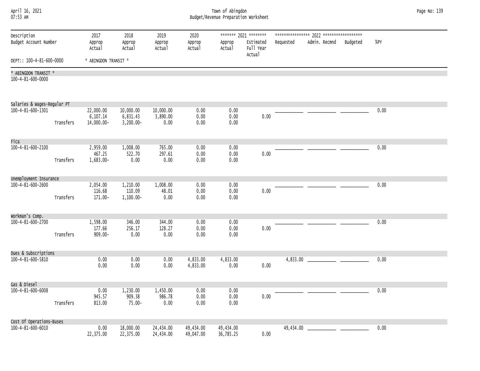| April 16, 2021<br>07:53 AM                |           |                                     |                                       |                               | Page No: 139             |                        |                                                           |           |               |          |        |  |
|-------------------------------------------|-----------|-------------------------------------|---------------------------------------|-------------------------------|--------------------------|------------------------|-----------------------------------------------------------|-----------|---------------|----------|--------|--|
| Description<br>Budget Account Number      |           | 2017<br>Approp<br>Actual            | 2018<br>Approp<br>Actual              |                               | 2020<br>Approp<br>Actual | Approp<br>Actual       | ******* 2021 ********<br>Estimated<br>Full Year<br>Actual | Requested | Admin. Recmnd | Budgeted | $%$ PY |  |
| DEPT:: 100-4-81-600-0000                  |           | * ABINGDON TRANSIT *                |                                       |                               |                          |                        |                                                           |           |               |          |        |  |
| * ABINGDON TRANSIT *<br>100-4-81-600-0000 |           |                                     |                                       |                               |                          |                        |                                                           |           |               |          |        |  |
| Salaries & Wages-Regular PT               |           |                                     |                                       |                               |                          |                        |                                                           |           |               |          |        |  |
| 100-4-81-600-1301                         | Transfers | 22,000.00<br>6,107.14<br>14,000.00- | 10,000.00<br>6,831.43<br>$3,200.00 -$ | 10,000.00<br>3,890.00<br>0.00 | 0.00<br>0.00<br>0.00     | 0.00<br>0.00<br>0.00   | 0.00                                                      |           |               |          | 0.00   |  |
| Fica                                      |           |                                     |                                       |                               |                          |                        |                                                           |           |               |          |        |  |
| $100 - 4 - 81 - 600 - 2100$               | Transfers | 2,959.00<br>467.25<br>1,683.00-     | 1,008.00<br>522.70<br>0.00            | 765.00<br>297.61<br>0.00      | 0.00<br>0.00<br>0.00     | 0.00<br>0.00<br>0.00   | 0.00                                                      |           |               |          | 0.00   |  |
| Unemployment Insurance                    |           |                                     |                                       |                               |                          |                        |                                                           |           |               |          |        |  |
| 100-4-81-600-2600                         | Transfers | 2,054.00<br>116.68<br>171.00-       | 1,210.00<br>110.09<br>$1,100.00 -$    | 1,008.00<br>48.01<br>0.00     | 0.00<br>0.00<br>0.00     | 0.00<br>0.00<br>0.00   | 0.00                                                      |           |               |          | 0.00   |  |
| Workman's Comp.                           |           |                                     |                                       |                               |                          |                        |                                                           |           |               |          |        |  |
| 100-4-81-600-2700                         | Transfers | 1,598.00<br>177.66<br>$909.00 -$    | 346.00<br>256.17<br>0.00              | 344.00<br>128.27<br>0.00      | 0.00<br>0.00<br>0.00     | 0.00<br>0.00<br>0.00   | 0.00                                                      |           |               |          | 0.00   |  |
| Dues & Subscriptions                      |           |                                     |                                       |                               |                          |                        |                                                           |           |               |          |        |  |
| 100-4-81-600-5810                         |           | 0.00<br>0.00                        | 0.00<br>0.00                          | 0.00<br>0.00                  | 4,833.00<br>4,833.00     | 4,833.00<br>0.00       | 0.00                                                      | 4,833.00  |               |          | 0.00   |  |
| Gas & Diesel                              |           |                                     |                                       |                               |                          |                        |                                                           |           |               |          |        |  |
| 100-4-81-600-6008                         | Transfers | 0.00<br>945.57<br>813.00            | 1,230.00<br>909.38<br>75.00-          | 1,450.00<br>986.78<br>0.00    | 0.00<br>0.00<br>0.00     | 0.00<br>0.00<br>0.00   | 0.00                                                      |           |               |          | 0.00   |  |
| Cost Of Operations-Buses                  |           |                                     |                                       |                               |                          |                        |                                                           |           |               |          |        |  |
| 100-4-81-600-6010                         |           | 0.00<br>22,375.00                   | 18,000.00<br>22,375.00                | 24,434.00<br>24,434.00        | 49,434.00<br>49,047.00   | 49,434.00<br>36,785.25 | 0.00                                                      | 49,434.00 |               |          | 0.00   |  |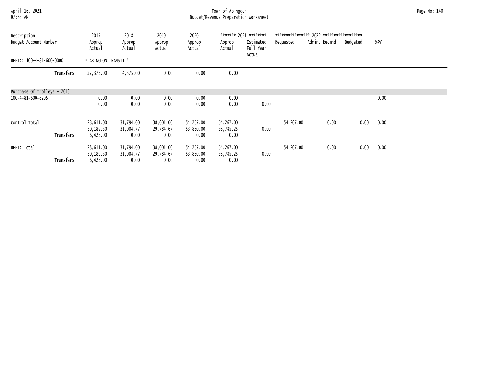# April 16, 2021 Town of Abingdon Page No: 140 07:53 AM Budget/Revenue Preparation Worksheet

| Description                 |           | 2017                               | 2018                           | 2019                           | 2020                           |                                | ******* 2021 ********            | **************** | 2022 ****************** |          |      |
|-----------------------------|-----------|------------------------------------|--------------------------------|--------------------------------|--------------------------------|--------------------------------|----------------------------------|------------------|-------------------------|----------|------|
| Budget Account Number       |           | Approp<br>Actual                   | Approp<br>Actual               | Approp<br>Actual               | Approp<br>Actual               | Approp<br>Actual               | Estimated<br>Full Year<br>Actual | Requested        | Admin. Recmnd           | Budgeted | %PY  |
| DEPT:: 100-4-81-600-0000    |           | * ABINGDON TRANSIT *               |                                |                                |                                |                                |                                  |                  |                         |          |      |
|                             | Transfers | 22,375.00                          | 4,375.00                       | 0.00                           | 0.00                           | 0.00                           |                                  |                  |                         |          |      |
| Purchase Of Trolleys - 2013 |           |                                    |                                |                                |                                |                                |                                  |                  |                         |          |      |
| 100-4-81-600-8205           |           | 0.00<br>0.00                       | 0.00<br>0.00                   | 0.00<br>0.00                   | 0.00<br>0.00                   | 0.00<br>0.00                   | 0.00                             |                  |                         |          | 0.00 |
| Control Total               | Transfers | 28,611.00<br>30,189.30<br>6,425.00 | 31,794.00<br>31,004.77<br>0.00 | 38,001.00<br>29,784.67<br>0.00 | 54,267.00<br>53,880.00<br>0.00 | 54,267.00<br>36,785.25<br>0.00 | 0.00                             | 54,267.00        | 0.00                    | 0.00     | 0.00 |
| DEPT: Total                 | Transfers | 28,611.00<br>30,189.30<br>6,425.00 | 31,794.00<br>31,004.77<br>0.00 | 38,001.00<br>29,784.67<br>0.00 | 54,267.00<br>53,880.00<br>0.00 | 54,267.00<br>36,785.25<br>0.00 | 0.00                             | 54,267.00        | 0.00                    | 0.00     | 0.00 |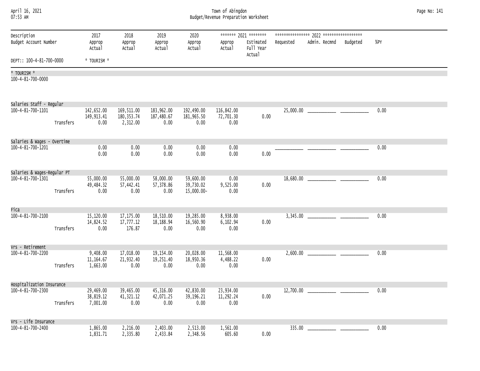| April 16, 2021<br>07:53 AM           |           |                                    | Town of Abingdon<br>Budget/Revenue Preparation Worksheet |                                  |                                      |                                 |                                                           |           |                        |  |      |  |  |  |
|--------------------------------------|-----------|------------------------------------|----------------------------------------------------------|----------------------------------|--------------------------------------|---------------------------------|-----------------------------------------------------------|-----------|------------------------|--|------|--|--|--|
| Description<br>Budget Account Number |           | 2017<br>Approp<br>Actual           | 2018<br>Approp<br>Actual                                 | 2019<br>Approp<br>Actual         | 2020<br>Approp<br>Actual             | Approp<br>Actual                | ******* 2021 ********<br>Estimated<br>Full Year<br>Actual | Requested | Admin. Recmnd Budgeted |  | %PY  |  |  |  |
| DEPT:: 100-4-81-700-0000             |           | * TOURISM *                        |                                                          |                                  |                                      |                                 |                                                           |           |                        |  |      |  |  |  |
| * TOURISM *<br>100-4-81-700-0000     |           |                                    |                                                          |                                  |                                      |                                 |                                                           |           |                        |  |      |  |  |  |
| Salaries Staff - Regular             |           |                                    |                                                          |                                  |                                      |                                 |                                                           |           |                        |  |      |  |  |  |
| 100-4-81-700-1101                    | Transfers | 142,652.00<br>149,913.41<br>0.00   | 169,511.00<br>180, 353.74<br>2,312.00                    | 183,962.00<br>187,480.67<br>0.00 | 192,490.00<br>181,965.50<br>0.00     | 116,842.00<br>72,701.30<br>0.00 | 0.00                                                      |           |                        |  | 0.00 |  |  |  |
| Salaries & Wages - Overtime          |           |                                    |                                                          |                                  |                                      |                                 |                                                           |           |                        |  |      |  |  |  |
| 100-4-81-700-1201                    |           | 0.00<br>0.00                       | 0.00<br>0.00                                             | 0.00<br>0.00                     | 0.00<br>0.00                         | 0.00<br>0.00                    | 0.00                                                      |           |                        |  | 0.00 |  |  |  |
| Salaries & Wages-Regular PT          |           |                                    |                                                          |                                  |                                      |                                 |                                                           |           |                        |  |      |  |  |  |
| 100-4-81-700-1301                    | Transfers | 55,000.00<br>49,484.32<br>0.00     | 55,000.00<br>57,442.41<br>0.00                           | 58,000.00<br>57,378.86<br>0.00   | 59,600.00<br>39,730.02<br>15,000.00- | 0.00<br>9,525.00<br>0.00        | 0.00                                                      |           |                        |  | 0.00 |  |  |  |
| Fica                                 |           |                                    |                                                          |                                  |                                      |                                 |                                                           |           |                        |  |      |  |  |  |
| 100-4-81-700-2100                    | Transfers | 15,120.00<br>14,824.52<br>0.00     | 17,175.00<br>17,777.12<br>176.87                         | 18,510.00<br>18,188.94<br>0.00   | 19,285.00<br>16,560.90<br>0.00       | 8,938.00<br>6,102.94<br>0.00    | 0.00                                                      |           |                        |  | 0.00 |  |  |  |
| Vrs - Retirement                     |           |                                    |                                                          |                                  |                                      |                                 |                                                           |           |                        |  |      |  |  |  |
| 100-4-81-700-2200                    | Transfers | 9,408.00<br>11, 164.67<br>1,663.00 | 17,018.00<br>21,932.40<br>0.00                           | 19,154.00<br>19,251.40<br>0.00   | 20,028.00<br>18,950.36<br>0.00       | 11,568.00<br>4,488.22<br>0.00   | 0.00                                                      |           |                        |  | 0.00 |  |  |  |
| Hospitalization Insurance            |           |                                    |                                                          |                                  |                                      |                                 |                                                           |           |                        |  |      |  |  |  |
| 100-4-81-700-2300                    | Transfers | 29,469.00<br>38,819.12<br>7,001.00 | 39,465.00<br>41,321.12<br>0.00                           | 45,316.00<br>42,071.25<br>0.00   | 42,830.00<br>39,196.21<br>0.00       | 23,934.00<br>11,292.24<br>0.00  | 0.00                                                      | 12,700.00 |                        |  | 0.00 |  |  |  |
| Vrs - Life Insurance                 |           |                                    |                                                          |                                  |                                      |                                 |                                                           |           |                        |  |      |  |  |  |
| 100-4-81-700-2400                    |           | 1,865.00<br>1,831.71               | 2,216.00<br>2,335.80                                     | 2,403.00<br>2,433.84             | 2,513.00<br>2,348.56                 | 1,561.00<br>605.60              | 0.00                                                      | 335.00    |                        |  | 0.00 |  |  |  |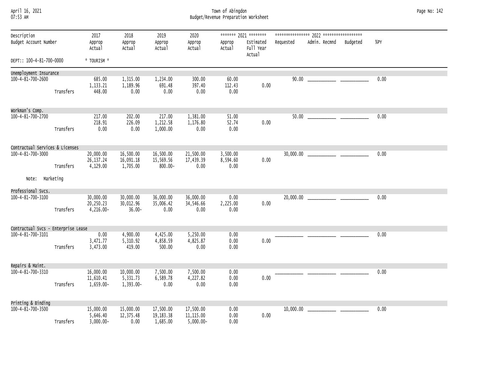| April 16, 2021 |  |
|----------------|--|
| 07.52 AM       |  |

## April 16, 2021 Town of Abingdon Page No: 142 07:53 AM Budget/Revenue Preparation Worksheet

|                                      |           |                                       |                                     |                                    |                                         |                              | ******* 2021 ********            |           |                         |      |
|--------------------------------------|-----------|---------------------------------------|-------------------------------------|------------------------------------|-----------------------------------------|------------------------------|----------------------------------|-----------|-------------------------|------|
| Description<br>Budget Account Number |           | 2017<br>Approp<br>Actual              | 2018<br>Approp<br>Actual            | 2019<br>Approp<br>Actual           | 2020<br>Approp<br>Actual                | Approp<br>Actual             | Estimated<br>Full Year<br>Actual | Requested | Admin. Recmnd Budgeted  | %PY  |
| DEPT:: 100-4-81-700-0000             |           | * TOURISM *                           |                                     |                                    |                                         |                              |                                  |           |                         |      |
| Unemployment Insurance               |           |                                       |                                     |                                    |                                         |                              |                                  |           |                         |      |
| 100-4-81-700-2600                    | Transfers | 685.00<br>1,133.21<br>448.00          | 1,315.00<br>1,189.96<br>0.00        | 1,234.00<br>691.48<br>0.00         | 300.00<br>397.40<br>0.00                | 60.00<br>112.43<br>0.00      | 0.00                             |           |                         | 0.00 |
| Workman's Comp.                      |           |                                       |                                     |                                    |                                         |                              |                                  |           |                         |      |
| 100-4-81-700-2700                    | Transfers | 217,00<br>218.91<br>0.00              | 202.00<br>226.09<br>0.00            | 217.00<br>1,212.58<br>1,000.00     | 1,381.00<br>1,176.80<br>0.00            | 51.00<br>52.74<br>0.00       | 0.00                             |           | $50.00$ $\qquad \qquad$ | 0.00 |
| Contractual Services & Licenses      |           |                                       |                                     |                                    |                                         |                              |                                  |           |                         |      |
| 100-4-81-700-3000                    | Transfers | 20,000.00<br>26, 137.24<br>4,129.00   | 16,500.00<br>16,091.18<br>1,705.00  | 16,500.00<br>15,569.56<br>800.00-  | 21,500.00<br>17,439.39<br>0.00          | 3,500.00<br>8,594.60<br>0.00 | 0.00                             |           |                         | 0.00 |
| Note: Marketing                      |           |                                       |                                     |                                    |                                         |                              |                                  |           |                         |      |
| Professional Svcs.                   |           |                                       |                                     |                                    |                                         |                              |                                  |           |                         |      |
| 100-4-81-700-3100                    | Transfers | 30,000.00<br>20,250.23<br>4,216.00-   | 30,000.00<br>30,012.96<br>$36.00 -$ | 36,000.00<br>35,006.42<br>0.00     | 36,000.00<br>34,546.66<br>0.00          | 0.00<br>2,225.00<br>0.00     | 0.00                             |           |                         | 0.00 |
| Contractual Svcs - Enterprise Lease  |           |                                       |                                     |                                    |                                         |                              |                                  |           |                         |      |
| 100-4-81-700-3101                    | Transfers | 0.00<br>3,471.77<br>3,473.00          | 4,900.00<br>5,310.92<br>419.00      | 4,425.00<br>4,858.59<br>500.00     | 5,250.00<br>4,825.87<br>0.00            | 0.00<br>0.00<br>0.00         | 0.00                             |           |                         | 0.00 |
| Repairs & Maint.                     |           |                                       |                                     |                                    |                                         |                              |                                  |           |                         |      |
| 100-4-81-700-3310                    | Transfers | 16,000.00<br>11,610.41<br>1,659.00-   | 10,000.00<br>5,331.73<br>1,393.00-  | 7,500.00<br>6,589.78<br>0.00       | 7,500.00<br>4,227.82<br>0.00            | 0.00<br>0.00<br>0.00         | 0.00                             |           |                         | 0.00 |
| Printing & Binding                   |           |                                       |                                     |                                    |                                         |                              |                                  |           |                         |      |
| 100-4-81-700-3500                    | Transfers | 15,000.00<br>5,646.40<br>$3,000.00 -$ | 15,000.00<br>12,375.48<br>0.00      | 17,500.00<br>19,183.38<br>1,685.00 | 17,500.00<br>11, 115.00<br>$5,000.00 -$ | 0.00<br>0.00<br>0.00         | 0.00                             |           |                         | 0.00 |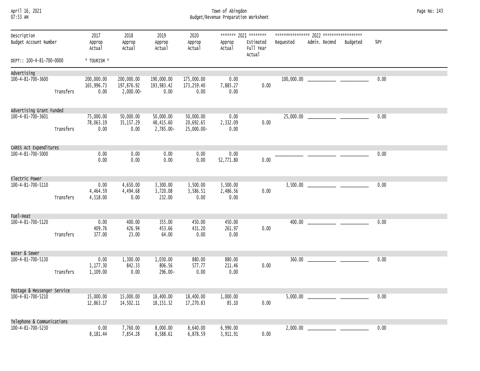| April 16, 2021 |  |
|----------------|--|
| 07.52 AM       |  |

April 16, 2021 Town of Abingdon Page No: 143 07:53 AM Budget/Revenue Preparation Worksheet

| Description<br>Budget Account Number | 2017<br>Approp<br>Actual         | 2018<br>Approp<br>Actual                 | 2019<br>Approp<br>Actual            | 2020<br>Approp<br>Actual             | Approp<br>Actual             | ******* 2021 ********<br>Estimated<br>Full Year<br>Actual | Requested | Admin. Recmnd | Budgeted | %PY  |
|--------------------------------------|----------------------------------|------------------------------------------|-------------------------------------|--------------------------------------|------------------------------|-----------------------------------------------------------|-----------|---------------|----------|------|
| DEPT:: 100-4-81-700-0000             | * TOURISM *                      |                                          |                                     |                                      |                              |                                                           |           |               |          |      |
| Advertising                          |                                  |                                          |                                     |                                      |                              |                                                           |           |               |          |      |
| 100-4-81-700-3600<br>Transfers       | 200,000.00<br>165,996.73<br>0.00 | 200,000.00<br>197,876.92<br>$2,000.00 -$ | 190,000.00<br>193,983.42<br>0.00    | 175,000.00<br>173,259.40<br>0.00     | 0.00<br>7,885.27<br>0.00     | 0.00                                                      |           |               |          | 0.00 |
|                                      |                                  |                                          |                                     |                                      |                              |                                                           |           |               |          |      |
| Advertising Grant Funded             |                                  |                                          |                                     |                                      |                              |                                                           |           |               |          |      |
| 100-4-81-700-3601<br>Transfers       | 75,000.00<br>78,063.19<br>0.00   | 50,000.00<br>35, 157.29<br>0.00          | 50,000.00<br>48,415.60<br>2,785.00- | 50,000.00<br>20,692.65<br>25,000.00- | 0.00<br>2,332.09<br>0.00     | 0.00                                                      |           |               |          | 0.00 |
| CARES Act Expenditures               |                                  |                                          |                                     |                                      |                              |                                                           |           |               |          |      |
| 100-4-81-700-5000                    | 0.00<br>0.00                     | 0.00<br>0.00                             | 0.00<br>0.00                        | 0.00<br>0.00                         | 0.00<br>52,771.80            | 0.00                                                      |           |               |          | 0.00 |
| Electric Power                       |                                  |                                          |                                     |                                      |                              |                                                           |           |               |          |      |
| 100-4-81-700-5110<br>Transfers       | 0.00<br>4,464.59<br>4,518.00     | 4,650.00<br>4,494.68<br>0.00             | 3,300.00<br>3,720.08<br>232.00      | 3,500.00<br>3,586.51<br>0.00         | 3,500.00<br>2,486.56<br>0.00 | 0.00                                                      |           |               |          | 0.00 |
| Fuel-Heat                            |                                  |                                          |                                     |                                      |                              |                                                           |           |               |          |      |
| 100-4-81-700-5120<br>Transfers       | 0.00<br>409.76<br>377.00         | 400.00<br>426.94<br>23.00                | 355.00<br>453.66<br>64.00           | 450.00<br>431.20<br>0.00             | 450.00<br>261.97<br>0.00     | 0.00                                                      |           |               |          | 0.00 |
| Water & Sewer                        |                                  |                                          |                                     |                                      |                              |                                                           |           |               |          |      |
| 100-4-81-700-5130<br>Transfers       | 0.00<br>1,177.30<br>1,109.00     | 1,300.00<br>842.33<br>0.00               | 1,030.00<br>806.56<br>296.00-       | 880.00<br>577.77<br>0.00             | 880.00<br>211.46<br>0.00     | 0.00                                                      |           |               |          | 0.00 |
| Postage & Messenger Service          |                                  |                                          |                                     |                                      |                              |                                                           |           |               |          |      |
| 100-4-81-700-5210                    | 15,000.00<br>12,863.17           | 15,000.00<br>14,502.11                   | 18,400.00<br>18, 151.32             | 18,400.00<br>17,270.83               | 1,000.00<br>85.10            | 0.00                                                      |           |               |          | 0.00 |
| Telephone & Communications           |                                  |                                          |                                     |                                      |                              |                                                           |           |               |          |      |
| 100-4-81-700-5230                    | 0.00<br>8,181.44                 | 7,760.00<br>7,854.28                     | 8,000.00<br>8,588.61                | 8,640.00<br>6,878.59                 | 6,990.00<br>3,911.91         | 0.00                                                      |           |               |          | 0.00 |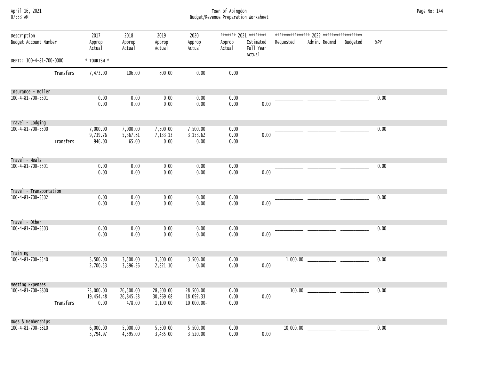| April 16, 2021<br>07:53 AM           |                          | Town of Abingdon<br>Budget/Revenue Preparation Worksheet |                                       |                                         |                      |                                                           |           |                        |  |      |  |  |  |
|--------------------------------------|--------------------------|----------------------------------------------------------|---------------------------------------|-----------------------------------------|----------------------|-----------------------------------------------------------|-----------|------------------------|--|------|--|--|--|
| Description<br>Budget Account Number | 2017<br>Approp<br>Actual | 2018<br>Approp<br>Actual                                 | 2019<br>Approp<br>Actual              | 2020<br>Approp<br>Actual                | Approp<br>Actual     | ******* 2021 ********<br>Estimated<br>Full Year<br>Actual | Requested | Admin. Recmnd Budgeted |  | %PY  |  |  |  |
| DEPT:: 100-4-81-700-0000             | * TOURISM *              |                                                          |                                       |                                         |                      |                                                           |           |                        |  |      |  |  |  |
| Transfers                            | 7,473.00                 | 106.00                                                   | 800.00                                | 0.00                                    | 0.00                 |                                                           |           |                        |  |      |  |  |  |
| Insurance - Boiler                   |                          |                                                          |                                       |                                         |                      |                                                           |           |                        |  |      |  |  |  |
| 100-4-81-700-5301                    |                          | 0.00<br>0.00                                             | 0.00<br>0.00<br>0.00<br>0.00          | 0.00<br>0.00                            | 0.00<br>0.00         | 0.00                                                      |           |                        |  | 0.00 |  |  |  |
| Travel - Lodging                     |                          |                                                          |                                       |                                         |                      |                                                           |           |                        |  |      |  |  |  |
| 100-4-81-700-5500<br>Transfers       | 7,000.00<br>9,739.76     | 7,000.00<br>5,367.61<br>946.00                           | 7,500.00<br>7,133.13<br>65.00<br>0.00 | 7,500.00<br>3,153.62<br>0.00            | 0.00<br>0.00<br>0.00 | 0.00                                                      |           |                        |  | 0.00 |  |  |  |
| Travel - Meals                       |                          |                                                          |                                       |                                         |                      |                                                           |           |                        |  |      |  |  |  |
| 100-4-81-700-5501                    |                          | 0.00<br>0.00                                             | 0.00<br>0.00<br>0.00<br>0.00          | 0.00<br>0.00                            | 0.00<br>0.00         | 0.00                                                      |           |                        |  | 0.00 |  |  |  |
| Travel - Transportation              |                          |                                                          |                                       |                                         |                      |                                                           |           |                        |  |      |  |  |  |
| 100-4-81-700-5502                    |                          | 0.00<br>0.00                                             | 0.00<br>0.00<br>0.00<br>0.00          | 0.00<br>0.00                            | 0.00<br>0.00         | 0.00                                                      |           |                        |  | 0.00 |  |  |  |
| Travel - Other                       |                          |                                                          |                                       |                                         |                      |                                                           |           |                        |  |      |  |  |  |
| 100-4-81-700-5503                    |                          | 0.00<br>0.00                                             | 0.00<br>0.00<br>0.00<br>0.00          | 0.00<br>0.00                            | 0.00<br>0.00         | 0.00                                                      |           |                        |  | 0.00 |  |  |  |
| Training                             |                          |                                                          |                                       |                                         |                      |                                                           |           |                        |  |      |  |  |  |
| 100-4-81-700-5540                    | 3,500.00<br>2,700.53     | 3,500.00<br>3,396.36                                     | 3,500.00<br>2,821.10                  | 3,500.00<br>0.00                        | 0.00<br>0.00         | 0.00                                                      |           |                        |  | 0.00 |  |  |  |
| Meeting Expenses                     |                          |                                                          |                                       |                                         |                      |                                                           |           |                        |  |      |  |  |  |
| 100-4-81-700-5800<br>Transfers       | 23,000.00<br>19,454.48   | 26,500.00<br>26,845.58<br>0.00<br>478.00                 | 28,500.00<br>30,269.68<br>1,100.00    | 28,500.00<br>18,092.33<br>$10,000.00 -$ | 0.00<br>0.00<br>0.00 | 0.00                                                      | 100.00    |                        |  | 0.00 |  |  |  |
| Dues & Memberships                   |                          |                                                          |                                       |                                         |                      |                                                           |           |                        |  |      |  |  |  |
| 100-4-81-700-5810                    | 6,000.00<br>3,794.97     | 5,000.00<br>4,595.00                                     | 5,500.00<br>3,435.00                  | 5,500.00<br>3,520.00                    | 0.00<br>0.00         | 0.00                                                      |           |                        |  | 0.00 |  |  |  |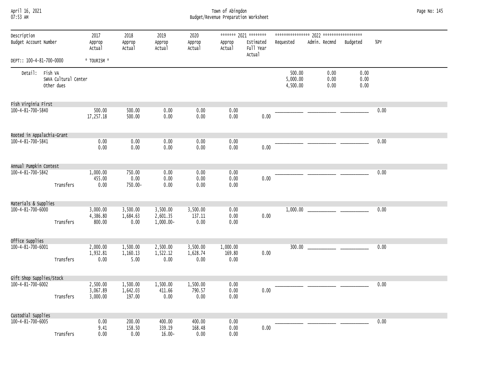April 16, 2021 Town of Abingdon Page No: 145 07:53 AM Budget/Revenue Preparation Worksheet

| Description<br>Budget Account Number            |                                               | 2017<br>Approp<br>Actual         | 2018<br>Approp<br>Actual       | 2019<br>Approp<br>Actual            | 2020<br>Approp<br>Actual     | Approp<br>Actual           | ******* 2021 ********<br>Estimated<br>Full Year<br>Actual | Requested                      | Admin. Recmnd        | Budgeted             | %PY  |
|-------------------------------------------------|-----------------------------------------------|----------------------------------|--------------------------------|-------------------------------------|------------------------------|----------------------------|-----------------------------------------------------------|--------------------------------|----------------------|----------------------|------|
| DEPT:: 100-4-81-700-0000                        |                                               | * TOURISM *                      |                                |                                     |                              |                            |                                                           |                                |                      |                      |      |
| Detail:                                         | Fish VA<br>SWVA Cultural Center<br>Other dues |                                  |                                |                                     |                              |                            |                                                           | 500.00<br>5,000.00<br>4,500.00 | 0.00<br>0.00<br>0.00 | 0.00<br>0.00<br>0.00 |      |
| Fish Virginia First                             |                                               |                                  |                                |                                     |                              |                            |                                                           |                                |                      |                      |      |
| 100-4-81-700-5840                               |                                               | 500.00<br>17,257.18              | 500.00<br>500.00               | 0.00<br>0.00                        | 0.00<br>0.00                 | 0.00<br>0.00               | 0.00                                                      |                                |                      |                      | 0.00 |
| Rooted in Appalachia-Grant<br>100-4-81-700-5841 |                                               | 0.00<br>0.00                     | 0.00<br>0.00                   | 0.00<br>0.00                        | 0.00<br>0.00                 | 0.00<br>0.00               | 0.00                                                      |                                |                      |                      | 0.00 |
| Annual Pumpkin Contest                          |                                               |                                  |                                |                                     |                              |                            |                                                           |                                |                      |                      |      |
| 100-4-81-700-5842                               | Transfers                                     | 1,000.00<br>455.00<br>0.00       | 750.00<br>0.00<br>750.00-      | 0.00<br>0.00<br>0.00                | 0.00<br>0.00<br>0.00         | 0.00<br>0.00<br>0.00       | 0.00                                                      |                                |                      |                      | 0.00 |
| Materials & Supplies                            |                                               |                                  |                                |                                     |                              |                            |                                                           |                                |                      |                      |      |
| 100-4-81-700-6000                               | Transfers                                     | 3,000.00<br>4,386.80<br>800.00   | 3,500.00<br>1,684.63<br>0.00   | 3,500.00<br>2,601.35<br>$1,000.00-$ | 3,500.00<br>137.11<br>0.00   | 0.00<br>0.00<br>0.00       | 0.00                                                      |                                |                      |                      | 0.00 |
| Office Supplies                                 |                                               |                                  |                                |                                     |                              |                            |                                                           |                                |                      |                      |      |
| 100-4-81-700-6001                               | Transfers                                     | 2,000.00<br>1,932.81<br>0.00     | 1,500.00<br>1,160.13<br>5.00   | 2,500.00<br>1,522.12<br>0.00        | 3,500.00<br>1,628.74<br>0.00 | 1,000.00<br>169.80<br>0.00 | 0.00                                                      |                                |                      |                      | 0.00 |
| Gift Shop Supplies/Stock                        |                                               |                                  |                                |                                     |                              |                            |                                                           |                                |                      |                      |      |
| 100-4-81-700-6002                               | Transfers                                     | 2,500.00<br>3,067.89<br>3,000.00 | 1,500.00<br>1,642.03<br>197.00 | 1,500.00<br>411.66<br>0.00          | 1,500.00<br>790.57<br>0.00   | 0.00<br>0.00<br>0.00       | 0.00                                                      |                                |                      |                      | 0.00 |
| Custodial Supplies<br>100-4-81-700-6005         | Transfers                                     | 0.00<br>9.41<br>0.00             | 200.00<br>158.50<br>0.00       | 400.00<br>339.19<br>$16.00 -$       | 400.00<br>168.48<br>0.00     | 0.00<br>0.00<br>0.00       | 0.00                                                      |                                |                      |                      | 0.00 |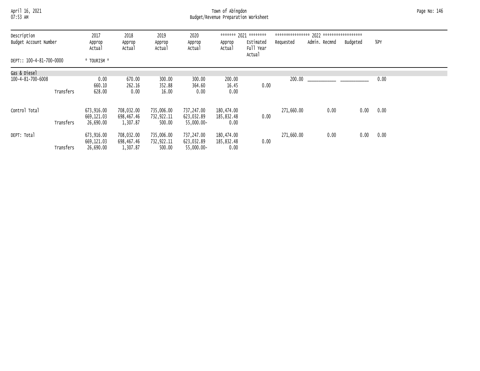April 16, 2021 Town of Abingdon Page No: 146 07:53 AM Budget/Revenue Preparation Worksheet

| Description<br>Budget Account Number<br>DEPT:: 100-4-81-700-0000 |                        | 2017<br>Approp<br>Actual<br>* TOURISM *            | 2018<br>Approp<br>Actual                         | 2019<br>Approp<br>Actual                     | 2020<br>Approp<br>Actual                             | Approp<br>Actual                         | ******* 2021 ********<br>Estimated<br>Full Year<br>Actual | ****************<br>Requested | 2022 *******************<br>Admin. Recmnd | Budgeted | %PY  |
|------------------------------------------------------------------|------------------------|----------------------------------------------------|--------------------------------------------------|----------------------------------------------|------------------------------------------------------|------------------------------------------|-----------------------------------------------------------|-------------------------------|-------------------------------------------|----------|------|
| Gas & Diesel<br>100-4-81-700-6008                                |                        | 0.00<br>660.10                                     | 670.00<br>262.16                                 | 300.00<br>352.88                             | 300.00<br>364.60                                     | 200.00<br>16.45                          | 0.00                                                      | 200.00                        |                                           |          | 0.00 |
| Control Total                                                    | Transfers              | 628.00<br>673,916.00<br>669,121.03                 | 0.00<br>708,032.00<br>698,467.46                 | 16.00<br>735,006.00<br>732,922.11            | 0.00<br>737,247.00<br>623,032.89                     | 0.00<br>180,474.00<br>185,832.48         | 0.00                                                      | 271,660.00                    | 0.00                                      | 0.00     | 0.00 |
| DEPT: Total                                                      | Transfers<br>Transfers | 26,690.00<br>673,916.00<br>669,121.03<br>26,690.00 | 1,307.87<br>708,032.00<br>698,467.46<br>1,307.87 | 500.00<br>735,006.00<br>732,922.11<br>500.00 | 55,000.00-<br>737,247.00<br>623,032.89<br>55,000.00- | 0.00<br>180,474.00<br>185,832.48<br>0.00 | 0.00                                                      | 271,660.00                    | 0.00                                      | 0.00     | 0.00 |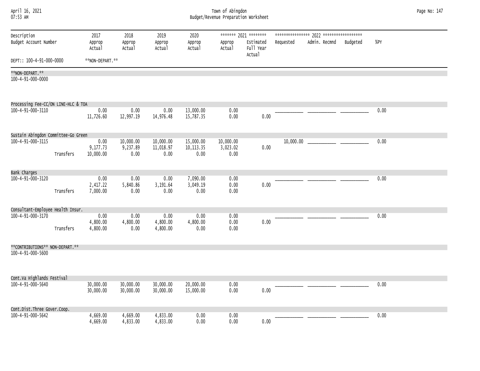| April 16, 2021<br>07:53 AM                             |           |                               |                               |                                |                                 | Town of Abingdon<br>Budget/Revenue Preparation Worksheet |                                                           |                                        |      | Page No: 147 |
|--------------------------------------------------------|-----------|-------------------------------|-------------------------------|--------------------------------|---------------------------------|----------------------------------------------------------|-----------------------------------------------------------|----------------------------------------|------|--------------|
| Description<br>Budget Account Number                   |           | 2017<br>Approp<br>Actual      | 2018<br>Approp<br>Actual      | 2019<br>Approp<br>Actual       | 2020<br>Approp<br>Actual        | Approp<br>Actual                                         | ******* 2021 ********<br>Estimated<br>Full Year<br>Actual | Admin. Recmnd<br>Requested<br>Budgeted | %PY  |              |
| DEPT:: 100-4-91-000-0000                               |           | **NON-DEPART.**               |                               |                                |                                 |                                                          |                                                           |                                        |      |              |
| **NON-DEPART.**<br>100-4-91-000-0000                   |           |                               |                               |                                |                                 |                                                          |                                                           |                                        |      |              |
|                                                        |           |                               |                               |                                |                                 |                                                          |                                                           |                                        |      |              |
| Processing Fee-CC/ON LINE-HLC & TOA                    |           |                               |                               |                                |                                 |                                                          |                                                           |                                        |      |              |
| 100-4-91-000-3110                                      |           | 0.00<br>11,726.60             | 0.00<br>12,997.19             | 0.00<br>14,976.48              | 13,000.00<br>15,787.35          | 0.00<br>0.00                                             | 0.00                                                      |                                        | 0.00 |              |
| Sustain Abingdon Committee-Go Green                    |           |                               |                               |                                |                                 |                                                          |                                                           |                                        |      |              |
| 100-4-91-000-3115                                      | Transfers | 0.00<br>9,177.73<br>10,000.00 | 10,000.00<br>9,237.89<br>0.00 | 10,000.00<br>11,018.97<br>0.00 | 15,000.00<br>10, 113.35<br>0.00 | 10,000.00<br>3,023.02<br>0.00                            | 0.00                                                      | 10,000.00                              | 0.00 |              |
|                                                        |           |                               |                               |                                |                                 |                                                          |                                                           |                                        |      |              |
| Bank Charges                                           |           |                               |                               |                                |                                 |                                                          |                                                           |                                        |      |              |
| 100-4-91-000-3120                                      | Transfers | 0.00<br>2,417.22<br>7,000.00  | 0.00<br>5,840.86<br>0.00      | 0.00<br>3,191.64<br>0.00       | 7,090.00<br>3,049.19<br>0.00    | 0.00<br>0.00<br>0.00                                     | 0.00                                                      |                                        | 0.00 |              |
|                                                        |           |                               |                               |                                |                                 |                                                          |                                                           |                                        |      |              |
| Consultant-Employee Health Insur.<br>100-4-91-000-3170 |           | 0.00                          | 0.00                          | 0.00                           | 0.00                            | 0.00                                                     |                                                           |                                        | 0.00 |              |
|                                                        | Transfers | 4,800.00<br>4,800.00          | 4,800.00<br>0.00              | 4,800.00<br>4,800.00           | 4,800.00<br>0.00                | 0.00<br>0.00                                             | 0.00                                                      |                                        |      |              |
| **CONTRIBUTIONS** NON-DEPART.**                        |           |                               |                               |                                |                                 |                                                          |                                                           |                                        |      |              |
| 100-4-91-000-5600                                      |           |                               |                               |                                |                                 |                                                          |                                                           |                                        |      |              |
| Cont.Va Highlands Festival                             |           |                               |                               |                                |                                 |                                                          |                                                           |                                        |      |              |
| 100-4-91-000-5640                                      |           | 30,000.00<br>30,000.00        | 30,000.00<br>30,000.00        | 30,000.00<br>30,000.00         | 20,000.00<br>15,000.00          | 0.00<br>0.00                                             | 0.00                                                      |                                        | 0.00 |              |
| Cont.Dist.Three Gover.Coop.                            |           |                               |                               |                                |                                 |                                                          |                                                           |                                        |      |              |
| 100-4-91-000-5642                                      |           | 4,669.00<br>4,669.00          | 4,669.00<br>4,833.00          | 4,833.00<br>4,833.00           | 0.00<br>0.00                    | 0.00<br>0.00                                             | 0.00                                                      |                                        | 0.00 |              |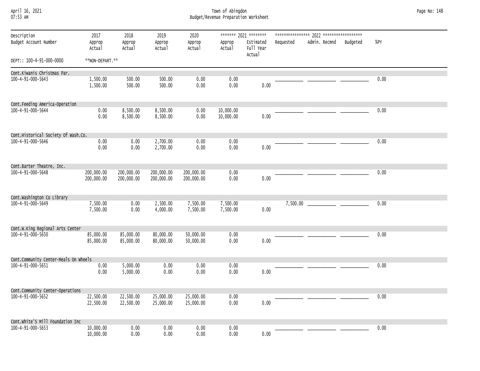April 16, 2021 Town of Abingdon Page No: 148 07:53 AM Budget/Revenue Preparation Worksheet

| Description<br>Budget Account Number  | 2017<br>Approp<br>Actual | 2018<br>Approp<br>Actual | 2019<br>Approp<br>Actual | 2020<br>Approp<br>Actual | Approp<br>Actual     | ******* 2021 ********<br>Estimated<br>Full Year<br>Actual | Requested | Admin. Recmnd | Budgeted | %PY  |
|---------------------------------------|--------------------------|--------------------------|--------------------------|--------------------------|----------------------|-----------------------------------------------------------|-----------|---------------|----------|------|
| DEPT:: 100-4-91-000-0000              | **NON-DEPART.**          |                          |                          |                          |                      |                                                           |           |               |          |      |
| Cont.Kiwanis Christmas Par.           |                          |                          |                          |                          |                      |                                                           |           |               |          |      |
| 100-4-91-000-5643                     | 1,500.00<br>1,500.00     | 500.00<br>500.00         | 500.00<br>500.00         | 0.00<br>0.00             | 0.00<br>0.00         | 0.00                                                      |           |               |          | 0.00 |
| Cont.Feeding America-Operation        |                          |                          |                          |                          |                      |                                                           |           |               |          |      |
| 100-4-91-000-5644                     | 0.00                     | 8,500.00                 | 8,500.00                 | 0.00                     | 10,000.00            |                                                           |           |               |          | 0.00 |
|                                       | 0.00                     | 8,500.00                 | 8,500.00                 | 0.00                     | 10,000.00            | 0.00                                                      |           |               |          |      |
| Cont.Historical Society Of Wash.Co.   |                          |                          |                          |                          |                      |                                                           |           |               |          |      |
| 100-4-91-000-5646                     | 0.00<br>0.00             | 0.00<br>0.00             | 2,700.00<br>2,700.00     | 0.00<br>0.00             | 0.00<br>0.00         | 0.00                                                      |           |               |          | 0.00 |
| Cont.Barter Theatre, Inc.             |                          |                          |                          |                          |                      |                                                           |           |               |          |      |
| 100-4-91-000-5648                     | 200,000.00<br>200,000.00 | 200,000.00<br>200,000.00 | 200,000.00<br>200,000.00 | 200,000.00<br>200,000.00 | 0.00<br>0.00         | 0.00                                                      |           |               |          | 0.00 |
| Cont.Washington Co Library            |                          |                          |                          |                          |                      |                                                           |           |               |          |      |
| 100-4-91-000-5649                     | 7,500.00<br>7,500.00     | 0.00<br>0.00             | 2,500.00<br>4,000.00     | 7,500.00<br>7,500.00     | 7,500.00<br>7,500.00 | 0.00                                                      | 7,500.00  |               |          | 0.00 |
| Cont.W.King Regional Arts Center      |                          |                          |                          |                          |                      |                                                           |           |               |          |      |
| 100-4-91-000-5650                     | 85,000.00<br>85,000.00   | 85,000.00<br>85,000.00   | 80,000.00<br>80,000.00   | 50,000.00<br>50,000.00   | 0.00<br>0.00         | 0.00                                                      |           |               |          | 0.00 |
| Cont.Community Center-Meals On Wheels |                          |                          |                          |                          |                      |                                                           |           |               |          |      |
| 100-4-91-000-5651                     | 0.00<br>0.00             | 5,000.00<br>5,000.00     | 0.00<br>0.00             | 0.00<br>0.00             | 0.00<br>0.00         | 0.00                                                      |           |               |          | 0.00 |
| Cont.Community Center-Operations      |                          |                          |                          |                          |                      |                                                           |           |               |          |      |
| 100-4-91-000-5652                     | 22,500.00<br>22,500.00   | 22,500.00<br>22,500.00   | 25,000.00<br>25,000.00   | 25,000.00<br>25,000.00   | 0.00<br>0.00         | 0.00                                                      |           |               |          | 0.00 |
| Cont.White'S Mill Foundation Inc      |                          |                          |                          |                          |                      |                                                           |           |               |          |      |
| 100-4-91-000-5653                     | 10,000.00<br>10,000.00   | 0.00<br>0.00             | 0.00<br>0.00             | 0.00<br>0.00             | 0.00<br>0.00         | 0.00                                                      |           |               |          | 0.00 |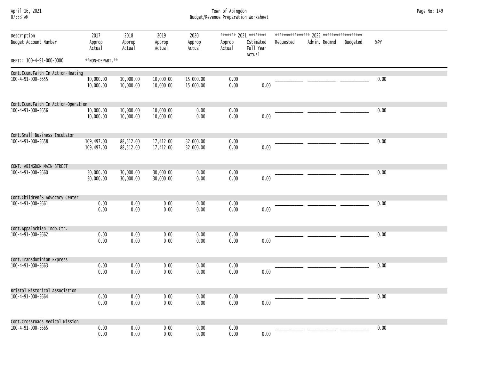| April 16, 2021 |  |
|----------------|--|
| 07.52 AM       |  |

## April 16, 2021 Town of Abingdon Page No: 149 07:53 AM Budget/Revenue Preparation Worksheet

| Description<br>Budget Account Number | 2017<br>Approp<br>Actual | 2018<br>Approp<br>Actual | 2019<br>Approp<br>Actual | 2020<br>Approp<br>Actual | Approp<br>Actual | ******* 2021 ********<br>Estimated<br>Full Year<br>Actual | Requested | Admin. Recmnd | Budgeted | $%$ PY |
|--------------------------------------|--------------------------|--------------------------|--------------------------|--------------------------|------------------|-----------------------------------------------------------|-----------|---------------|----------|--------|
| DEPT:: 100-4-91-000-0000             | **NON-DEPART.**          |                          |                          |                          |                  |                                                           |           |               |          |        |
| Cont.Ecum.Faith In Action-Heating    |                          |                          |                          |                          |                  |                                                           |           |               |          |        |
| 100-4-91-000-5655                    | 10,000.00<br>10,000.00   | 10,000.00<br>10,000.00   | 10,000.00<br>10,000.00   | 15,000.00<br>15,000.00   | 0.00<br>0.00     | 0.00                                                      |           |               |          | 0.00   |
| Cont.Ecum.Faith In Action-Operation  |                          |                          |                          |                          |                  |                                                           |           |               |          |        |
| 100-4-91-000-5656                    | 10,000.00<br>10,000.00   | 10,000.00<br>10,000.00   | 10,000.00<br>10,000.00   | 0.00<br>0.00             | 0.00<br>0.00     | 0.00                                                      |           |               |          | 0.00   |
| Cont.Small Business Incubator        |                          |                          |                          |                          |                  |                                                           |           |               |          |        |
| 100-4-91-000-5658                    | 109,497.00<br>109,497.00 | 88,512.00<br>88,512.00   | 17,412.00<br>17,412.00   | 32,000.00<br>32,000.00   | 0.00<br>0.00     | 0.00                                                      |           |               |          | 0.00   |
| CONT. ABINGDON MAIN STREET           |                          |                          |                          |                          |                  |                                                           |           |               |          |        |
| 100-4-91-000-5660                    | 30,000.00<br>30,000.00   | 30,000.00<br>30,000.00   | 30,000.00<br>30,000.00   | 0.00<br>0.00             | 0.00<br>0.00     | 0.00                                                      |           |               |          | 0.00   |
| Cont.Children'S Advocacy Center      |                          |                          |                          |                          |                  |                                                           |           |               |          |        |
| 100-4-91-000-5661                    | 0.00<br>0.00             | 0.00<br>0.00             | 0.00<br>0.00             | 0.00<br>0.00             | 0.00<br>0.00     | 0.00                                                      |           |               |          | 0.00   |
| Cont.Appalachian Indp.Ctr.           |                          |                          |                          |                          |                  |                                                           |           |               |          |        |
| 100-4-91-000-5662                    | 0.00<br>0.00             | 0.00<br>0.00             | 0.00<br>0.00             | 0.00<br>0.00             | 0.00<br>0.00     | 0.00                                                      |           |               |          | 0.00   |
| Cont.Transdominion Express           |                          |                          |                          |                          |                  |                                                           |           |               |          |        |
| 100-4-91-000-5663                    | 0.00<br>0.00             | 0.00<br>0.00             | 0.00<br>0.00             | 0.00<br>0.00             | 0.00<br>0.00     | 0.00                                                      |           |               |          | 0.00   |
| Bristol Historical Association       |                          |                          |                          |                          |                  |                                                           |           |               |          |        |
| 100-4-91-000-5664                    | 0.00<br>0.00             | 0.00<br>0.00             | 0.00<br>0.00             | 0.00<br>0.00             | 0.00<br>0.00     | 0.00                                                      |           |               |          | 0.00   |
| Cont.Crossroads Medical Mission      |                          |                          |                          |                          |                  |                                                           |           |               |          |        |
| 100-4-91-000-5665                    | 0.00<br>0.00             | 0.00<br>0.00             | 0.00<br>0.00             | 0.00<br>0.00             | 0.00<br>0.00     | 0.00                                                      |           |               |          | 0.00   |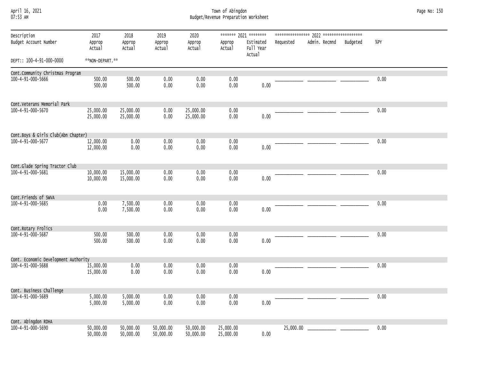April 16, 2021 Town of Abingdon Page No: 150 07:53 AM Budget/Revenue Preparation Worksheet

| Description<br>Budget Account Number | 2017<br>Approp<br>Actual | 2018<br>Approp<br>Actual | 2019<br>Approp<br>Actual | 2020<br>Approp<br>Actual | Approp<br>Actual       | ******* 2021 ********<br>Estimated<br>Full Year<br>Actual | Requested | Admin. Recmnd | Budgeted | %PY  |
|--------------------------------------|--------------------------|--------------------------|--------------------------|--------------------------|------------------------|-----------------------------------------------------------|-----------|---------------|----------|------|
| DEPT:: 100-4-91-000-0000             | **NON-DEPART.**          |                          |                          |                          |                        |                                                           |           |               |          |      |
| Cont.Community Christmas Program     |                          |                          |                          |                          |                        |                                                           |           |               |          |      |
| 100-4-91-000-5666                    | 500.00<br>500.00         | 500.00<br>500.00         | 0.00<br>0.00             | 0.00<br>0.00             | 0.00<br>0.00           | 0.00                                                      |           |               |          | 0.00 |
| Cont.Veterans Memorial Park          |                          |                          |                          |                          |                        |                                                           |           |               |          |      |
| 100-4-91-000-5670                    | 25,000.00<br>25,000.00   | 25,000.00<br>25,000.00   | 0.00<br>0.00             | 25,000.00<br>25,000.00   | 0.00<br>0.00           | 0.00                                                      |           |               |          | 0.00 |
| Cont.Boys & Girls Club(Abn Chapter)  |                          |                          |                          |                          |                        |                                                           |           |               |          |      |
| 100-4-91-000-5677                    | 12,000.00<br>12,000.00   | 0.00<br>0.00             | 0.00<br>0.00             | 0.00<br>0.00             | 0.00<br>0.00           | 0.00                                                      |           |               |          | 0.00 |
| Cont.Glade Spring Tractor Club       |                          |                          |                          |                          |                        |                                                           |           |               |          |      |
| 100-4-91-000-5681                    | 10,000.00<br>10,000.00   | 15,000.00<br>15,000.00   | 0.00<br>0.00             | 0.00<br>0.00             | 0.00<br>0.00           | 0.00                                                      |           |               |          | 0.00 |
| Cont.Friends of SWVA                 |                          |                          |                          |                          |                        |                                                           |           |               |          |      |
| 100-4-91-000-5685                    | 0.00<br>0.00             | 7,500.00<br>7,500.00     | 0.00<br>0.00             | 0.00<br>0.00             | 0.00<br>0.00           | 0.00                                                      |           |               |          | 0.00 |
| Cont.Rotary Frolics                  |                          |                          |                          |                          |                        |                                                           |           |               |          |      |
| 100-4-91-000-5687                    | 500.00<br>500.00         | 500.00<br>500.00         | 0.00<br>0.00             | 0.00<br>0.00             | 0.00<br>0.00           | 0.00                                                      |           |               |          | 0.00 |
| Cont. Economic Development Authority |                          |                          |                          |                          |                        |                                                           |           |               |          |      |
| 100-4-91-000-5688                    | 15,000.00<br>15,000.00   | 0.00<br>0.00             | 0.00<br>0.00             | 0.00<br>0.00             | 0.00<br>0.00           | 0.00                                                      |           |               |          | 0.00 |
| Cont. Business Challenge             |                          |                          |                          |                          |                        |                                                           |           |               |          |      |
| 100-4-91-000-5689                    | 5,000.00<br>5,000.00     | 5,000.00<br>5,000.00     | 0.00<br>0.00             | 0.00<br>0.00             | 0.00<br>0.00           | 0.00                                                      |           |               |          | 0.00 |
| Cont. Abingdon RDHA                  |                          |                          |                          |                          |                        |                                                           |           |               |          |      |
| 100-4-91-000-5690                    | 50,000.00<br>50,000.00   | 50,000.00<br>50,000.00   | 50,000.00<br>50,000.00   | 50,000.00<br>50,000.00   | 25,000.00<br>25,000.00 | 0.00                                                      | 25,000.00 |               |          | 0.00 |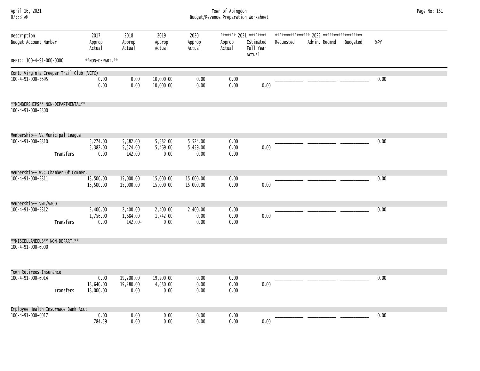| April 16, 2021<br>07:53 AM                                    |           | Town of Abingdon<br>Budget/Revenue Preparation Worksheet |                                 |                               |                          |                      |                                                           |           |               |          |      |  |  |  |
|---------------------------------------------------------------|-----------|----------------------------------------------------------|---------------------------------|-------------------------------|--------------------------|----------------------|-----------------------------------------------------------|-----------|---------------|----------|------|--|--|--|
| Description<br>Budget Account Number                          |           | 2017<br>Approp<br>Actual                                 | 2018<br>Approp<br>Actual        | 2019<br>Approp<br>Actual      | 2020<br>Approp<br>Actual | Approp<br>Actual     | ******* 2021 ********<br>Estimated<br>Full Year<br>Actual | Requested | Admin. Recmnd | Budgeted | %PY  |  |  |  |
| DEPT:: 100-4-91-000-0000                                      |           | **NON-DEPART.**                                          |                                 |                               |                          |                      |                                                           |           |               |          |      |  |  |  |
| Cont. Virginia Creeper Trail Club (VCTC)<br>100-4-91-000-5695 |           | 0.00<br>0.00                                             | 0.00<br>0.00                    | 10,000.00<br>10,000.00        | 0.00<br>0.00             | 0.00<br>0.00         | 0.00                                                      |           |               |          | 0.00 |  |  |  |
| **MEMBERSHIPS** NON-DEPARTMENTAL**<br>100-4-91-000-5800       |           |                                                          |                                 |                               |                          |                      |                                                           |           |               |          |      |  |  |  |
| Membership-- Va Municipal League<br>100-4-91-000-5810         |           | 5,274.00<br>5,382.00                                     | 5,382.00<br>5,524.00            | 5,382.00<br>5,469.00          | 5,524.00<br>5,459.00     | 0.00<br>0.00         | 0.00                                                      |           |               |          | 0.00 |  |  |  |
|                                                               | Transfers | 0.00                                                     | 142.00                          | 0.00                          | 0.00                     | 0.00                 |                                                           |           |               |          |      |  |  |  |
| Membership-- W.C.Chamber Of Commer.                           |           |                                                          |                                 |                               |                          |                      |                                                           |           |               |          |      |  |  |  |
| 100-4-91-000-5811                                             |           | 13,500.00<br>13,500.00                                   | 15,000.00<br>15,000.00          | 15,000.00<br>15,000.00        | 15,000.00<br>15,000.00   | 0.00<br>0.00         | 0.00                                                      |           |               |          | 0.00 |  |  |  |
| Membership-- VML/VACO                                         |           |                                                          |                                 |                               |                          |                      |                                                           |           |               |          |      |  |  |  |
| 100-4-91-000-5812                                             | Transfers | 2,400.00<br>1,756.00<br>0.00                             | 2,400.00<br>1,684.00<br>142.00- | 2,400.00<br>1,742.00<br>0.00  | 2,400.00<br>0.00<br>0.00 | 0.00<br>0.00<br>0.00 | 0.00                                                      |           |               |          | 0.00 |  |  |  |
| **MISCELLANEOUS** NON-DEPART.**<br>100-4-91-000-6000          |           |                                                          |                                 |                               |                          |                      |                                                           |           |               |          |      |  |  |  |
| Town Retirees-Insurance                                       |           |                                                          |                                 |                               |                          |                      |                                                           |           |               |          |      |  |  |  |
| 100-4-91-000-6014                                             | Transfers | 0.00<br>18,640.00<br>18,000.00                           | 19,200.00<br>19,280.00<br>0.00  | 19,200.00<br>4,680.00<br>0.00 | 0.00<br>0.00<br>0.00     | 0.00<br>0.00<br>0.00 | 0.00                                                      |           |               |          | 0.00 |  |  |  |
|                                                               |           |                                                          |                                 |                               |                          |                      |                                                           |           |               |          |      |  |  |  |
| Employee Health Insurnace Bank Acct<br>100-4-91-000-6017      |           | 0.00<br>784.59                                           | 0.00<br>0.00                    | 0.00<br>0.00                  | 0.00<br>0.00             | 0.00<br>0.00         | 0.00                                                      |           |               |          | 0.00 |  |  |  |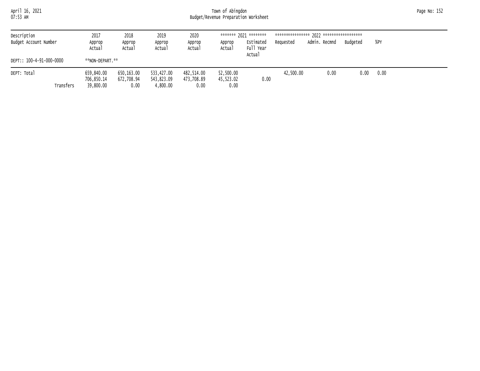| April 16, 2021<br>07:53 AM |                                       |                                  |                                      |                                  | Town of Abingdon<br>Budget/Revenue Preparation Worksheet |                                  |           |               |          |      | Page No: 152 |
|----------------------------|---------------------------------------|----------------------------------|--------------------------------------|----------------------------------|----------------------------------------------------------|----------------------------------|-----------|---------------|----------|------|--------------|
| Description                | 2017                                  | 2018                             | 2019                                 | 2020                             |                                                          | ******* 2021 ********            |           |               |          |      |              |
| Budget Account Number      | Approp<br>Actual                      | Approp<br>Actual                 | Approp<br>Actual                     | Approp<br>Actual                 | Approp<br>Actual                                         | Estimated<br>Full Year<br>Actual | Requested | Admin. Recmnd | Budgeted | %PY  |              |
| DEPT:: 100-4-91-000-0000   | **NON-DEPART.**                       |                                  |                                      |                                  |                                                          |                                  |           |               |          |      |              |
| DEPT: Total<br>Transfers   | 659,840,00<br>706,850,14<br>39,800.00 | 650,163.00<br>672,708.94<br>0.00 | 533,427.00<br>543,823.09<br>4,800.00 | 482,514.00<br>473,708.89<br>0.00 | 52,500.00<br>45,523.02<br>0.00                           | 0.00                             | 42,500,00 | 0.00          | 0.00     | 0.00 |              |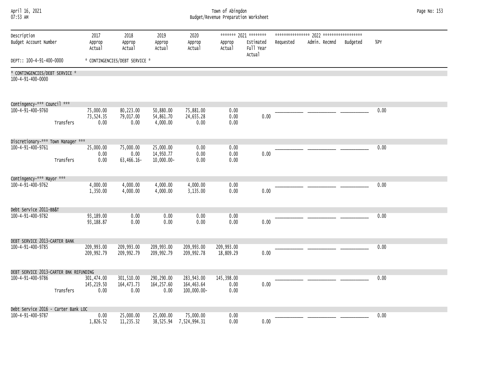| April 16, 2021<br>07:53 AM                          |           |                                |                                 |                                         |                                | Town of Abingdon<br>Budget/Revenue Preparation Worksheet |                                                           |           |               |          |      | Page No: 153 |
|-----------------------------------------------------|-----------|--------------------------------|---------------------------------|-----------------------------------------|--------------------------------|----------------------------------------------------------|-----------------------------------------------------------|-----------|---------------|----------|------|--------------|
| Description<br>Budget Account Number                |           | 2017<br>Approp<br>Actual       | 2018<br>Approp<br>Actual        | 2019<br>Approp<br>Actual                | 2020<br>Approp<br>Actual       | Approp<br>Actual                                         | ******* 2021 ********<br>Estimated<br>Full Year<br>Actual | Requested | Admin. Recmnd | Budgeted | %PY  |              |
| DEPT:: 100-4-91-400-0000                            |           |                                | * CONTINGENCIES/DEBT SERVICE *  |                                         |                                |                                                          |                                                           |           |               |          |      |              |
| * CONTINGENCIES/DEBT SERVICE *<br>100-4-91-400-0000 |           |                                |                                 |                                         |                                |                                                          |                                                           |           |               |          |      |              |
| Contingency-*** Council ***                         |           |                                |                                 |                                         |                                |                                                          |                                                           |           |               |          |      |              |
| 100-4-91-400-9760                                   | Transfers | 75,000.00<br>73,524.35<br>0.00 | 80,223.00<br>79,017.00<br>0.00  | 50,880.00<br>54,861.70<br>4,000.00      | 75,881.00<br>24,655.28<br>0.00 | 0.00<br>0.00<br>0.00                                     | 0.00                                                      |           |               |          | 0.00 |              |
|                                                     |           |                                |                                 |                                         |                                |                                                          |                                                           |           |               |          |      |              |
| Discretionary-*** Town Manager ***                  |           |                                |                                 |                                         |                                |                                                          |                                                           |           |               |          |      |              |
| 100-4-91-400-9761                                   | Transfers | 25,000.00<br>0.00<br>0.00      | 75,000.00<br>0.00<br>63,466.16- | 25,000.00<br>14,950.77<br>$10,000.00 -$ | 0.00<br>0.00<br>0.00           | 0.00<br>0.00<br>0.00                                     | 0.00                                                      |           |               |          | 0.00 |              |
|                                                     |           |                                |                                 |                                         |                                |                                                          |                                                           |           |               |          |      |              |
| Contingency-*** Mayor ***                           |           |                                |                                 |                                         |                                |                                                          |                                                           |           |               |          |      |              |
| 100-4-91-400-9762                                   |           | 4,000.00<br>1,350.00           | 4,000.00<br>4,000.00            | 4,000.00<br>4,000.00                    | 4,000.00<br>3,135.00           | 0.00<br>0.00                                             | 0.00                                                      |           |               |          | 0.00 |              |
| Debt Service 2011-BB&T                              |           |                                |                                 |                                         |                                |                                                          |                                                           |           |               |          |      |              |
| 100-4-91-400-9782                                   |           | 93,189.00<br>93, 188.87        | 0.00<br>0.00                    | 0.00<br>0.00                            | 0.00<br>0.00                   | 0.00<br>0.00                                             | 0.00                                                      |           |               |          | 0.00 |              |
| DEBT SERVICE 2013-CARTER BANK                       |           |                                |                                 |                                         |                                |                                                          |                                                           |           |               |          |      |              |
| 100-4-91-400-9785                                   |           | 209,993.00<br>209,992.79       | 209,993.00<br>209,992.79        | 209,993.00<br>209,992.79                | 209,993.00<br>209,992.78       | 209,993.00<br>18,809.29                                  | 0.00                                                      |           |               |          | 0.00 |              |
| DEBT SERVICE 2013-CARTER BNK REFUNDING              |           |                                |                                 |                                         |                                |                                                          |                                                           |           |               |          |      |              |
| 100-4-91-400-9786                                   |           | 301,474.00<br>145,219.50       | 301,510.00<br>164, 473. 73      | 290,290.00<br>164, 257.60               | 283,943.00<br>164,463.64       | 145,398.00<br>0.00                                       | 0.00                                                      |           |               |          | 0.00 |              |
|                                                     | Transfers | 0.00                           | 0.00                            | 0.00                                    | 100,000.00-                    | 0.00                                                     |                                                           |           |               |          |      |              |
| Debt Service 2016 - Carter Bank LOC                 |           |                                |                                 |                                         |                                |                                                          |                                                           |           |               |          |      |              |
| 100-4-91-400-9787                                   |           | 0.00<br>1,826.52               | 25,000.00<br>11,235.32          | 25,000.00<br>38,525.94                  | 75,000.00<br>7,524,994.31      | 0.00<br>0.00                                             | 0.00                                                      |           |               |          | 0.00 |              |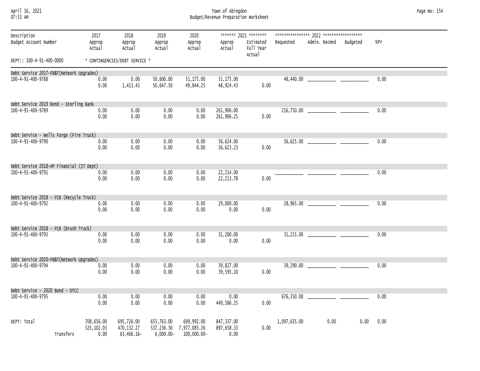April 16, 2021 Town of Abingdon Page No: 154 07:53 AM Budget/Revenue Preparation Worksheet

| Description<br>Budget Account Number      |           | 2017<br>Approp<br>Actual         | 2018<br>Approp<br>Actual                  | 2019<br>Approp<br>Actual  | 2020<br>Approp<br>Actual                             | Approp<br>Actual                 | ******* 2021 ********<br>Estimated<br>Full Year<br>Actual | Requested    | Admin. Recmnd | Budgeted | %PY  |  |
|-------------------------------------------|-----------|----------------------------------|-------------------------------------------|---------------------------|------------------------------------------------------|----------------------------------|-----------------------------------------------------------|--------------|---------------|----------|------|--|
| DEPT:: 100-4-91-400-0000                  |           |                                  | * CONTINGENCIES/DEBT SERVICE *            |                           |                                                      |                                  |                                                           |              |               |          |      |  |
| Debt Service 2017-FB&T (Network Upgrades) |           |                                  |                                           |                           |                                                      |                                  |                                                           |              |               |          |      |  |
| 100-4-91-400-9788                         |           | 0.00<br>0.00                     | 0.00<br>1,413.43                          | 50,600.00<br>50,647.50    | 51,175.00<br>49,844.25                               | 51,175.00<br>48,924.43           | 0.00                                                      |              |               |          | 0.00 |  |
| Debt Service 2019 Bond - Sterling Bank    |           |                                  |                                           |                           |                                                      |                                  |                                                           |              |               |          |      |  |
| 100-4-91-400-9789                         |           | 0.00<br>0.00                     | 0.00<br>0.00                              | 0.00<br>0.00              | 0.00<br>0.00                                         | 261,906.00<br>261,906.25         | 0.00                                                      |              |               |          | 0.00 |  |
| Debt Service - Wells Fargo (Fire Truck)   |           |                                  |                                           |                           |                                                      |                                  |                                                           |              |               |          |      |  |
| 100-4-91-400-9790                         |           | 0.00<br>0.00                     | 0.00<br>0.00                              | 0.00<br>0.00              | 0.00<br>0.00                                         | 56,624.00<br>56,623.23           | 0.00                                                      |              |               |          | 0.00 |  |
| Debt Service 2018-HP Financial (IT Dept)  |           |                                  |                                           |                           |                                                      |                                  |                                                           |              |               |          |      |  |
| 100-4-91-400-9791                         |           | 0.00<br>0.00                     | 0.00<br>0.00                              | 0.00<br>0.00              | 0.00<br>0.00                                         | 22,214.00<br>22, 213.78          | 0.00                                                      |              |               |          | 0.00 |  |
| Debt Service 2018 - FCB (Recycle Truck)   |           |                                  |                                           |                           |                                                      |                                  |                                                           |              |               |          |      |  |
| 100-4-91-400-9792                         |           | 0.00                             | 0.00                                      | 0.00                      | 0.00                                                 | 29,000.00                        |                                                           |              |               |          | 0.00 |  |
|                                           |           | 0.00                             | 0.00                                      | 0.00                      | 0.00                                                 | 0.00                             | 0.00                                                      |              |               |          |      |  |
| Debt Service 2018 - FCB (Brush Truck)     |           |                                  |                                           |                           |                                                      |                                  |                                                           |              |               |          |      |  |
| 100-4-91-400-9793                         |           | 0.00<br>0.00                     | 0.00<br>0.00                              | 0.00<br>0.00              | 0.00<br>0.00                                         | 31,200.00<br>0.00                | 0.00                                                      |              |               |          | 0.00 |  |
| Debt Service 2020-FB&T(Network Upgrades)  |           |                                  |                                           |                           |                                                      |                                  |                                                           |              |               |          |      |  |
| 100-4-91-400-9794                         |           | 0.00<br>0.00                     | 0.00<br>0.00                              | 0.00<br>0.00              | 0.00<br>0.00                                         | 39,827.00<br>39,595.10           | 0.00                                                      |              |               |          | 0.00 |  |
| Debt Service - 2020 Bond - DTCC           |           |                                  |                                           |                           |                                                      |                                  |                                                           |              |               |          |      |  |
| 100-4-91-400-9795                         |           | 0.00<br>0.00                     | 0.00<br>0.00                              | 0.00<br>0.00              | 0.00<br>0.00                                         | 0.00<br>449,586.25               | 0.00                                                      |              |               |          | 0.00 |  |
| DEPT: Total                               | Transfers | 708,656.00<br>525,102.03<br>0.00 | 695,726.00<br>470, 132.27<br>$63,466.16-$ | 655,763.00<br>$6,000.00-$ | 699,992.00<br>537,236.30 7,977,085.26<br>100,000.00- | 847,337.00<br>897,658.33<br>0.00 | 0.00                                                      | 1,097,635.00 | 0.00          | 0.00     | 0.00 |  |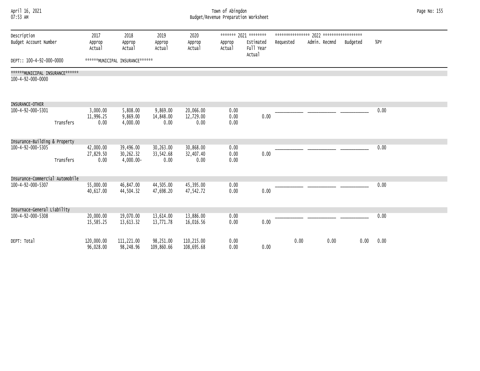| April 16, 2021 |  |
|----------------|--|
| $07:53$ AM     |  |

# April 16, 2021 Town of Abingdon Page No: 155 07:53 AM Budget/Revenue Preparation Worksheet

| Description                     | 2017                    | 2018                            | 2019                    | 2020                     |                  | ******* 2021 ********            |           |               |          |      |
|---------------------------------|-------------------------|---------------------------------|-------------------------|--------------------------|------------------|----------------------------------|-----------|---------------|----------|------|
| Budget Account Number           | Approp<br>Actual        | Approp<br>Actual                | Approp<br>Actual        | Approp<br>Actual         | Approp<br>Actual | Estimated<br>Full Year<br>Actual | Requested | Admin. Recmnd | Budgeted | %PY  |
| DEPT:: 100-4-92-000-0000        |                         | ******MUNICIPAL INSURANCE****** |                         |                          |                  |                                  |           |               |          |      |
| ******MUNICIPAL INSURANCE****** |                         |                                 |                         |                          |                  |                                  |           |               |          |      |
| 100-4-92-000-0000               |                         |                                 |                         |                          |                  |                                  |           |               |          |      |
|                                 |                         |                                 |                         |                          |                  |                                  |           |               |          |      |
| <b>INSURANCE-OTHER</b>          |                         |                                 |                         |                          |                  |                                  |           |               |          |      |
| 100-4-92-000-5301               | 3,000.00                | 5,808.00<br>9,869.00            | 9,869.00                | 20,066.00                | 0.00             | 0.00                             |           |               |          | 0.00 |
| Transfers                       | 11,996.25<br>0.00       | 4,000.00                        | 14,848.00<br>0.00       | 12,729.00<br>0.00        | 0.00<br>0.00     |                                  |           |               |          |      |
|                                 |                         |                                 |                         |                          |                  |                                  |           |               |          |      |
| Insurance-Building & Property   |                         |                                 |                         |                          |                  |                                  |           |               |          |      |
| 100-4-92-000-5305               | 42,000.00<br>27,829.50  | 39,496.00<br>30,262.32          | 30,263.00<br>33,542.68  | 30,868.00<br>32,407.40   | 0.00<br>0.00     | 0.00                             |           |               |          | 0.00 |
| Transfers                       | 0.00                    | $4,000.00 -$                    | 0.00                    | 0.00                     | 0.00             |                                  |           |               |          |      |
|                                 |                         |                                 |                         |                          |                  |                                  |           |               |          |      |
| Insurance-Commercial Automobile |                         |                                 |                         |                          |                  |                                  |           |               |          |      |
| 100-4-92-000-5307               | 55,000.00<br>40,617.00  | 46,847.00<br>44,504.32          | 44,505.00<br>47,698.20  | 45,395.00<br>47,542.72   | 0.00<br>0.00     | 0.00                             |           |               |          | 0.00 |
|                                 |                         |                                 |                         |                          |                  |                                  |           |               |          |      |
| Insurnace-General Liability     |                         |                                 |                         |                          |                  |                                  |           |               |          |      |
| 100-4-92-000-5308               | 20,000.00               | 19,070.00                       | 13,614.00               | 13,886.00                | 0.00             |                                  |           |               |          | 0.00 |
|                                 | 15,585.25               | 13,613.32                       | 13,771.78               | 16,016.56                | 0.00             | 0.00                             |           |               |          |      |
|                                 |                         |                                 |                         |                          |                  |                                  |           |               |          |      |
| DEPT: Total                     | 120,000.00<br>96,028.00 | 111,221.00<br>98,248.96         | 98,251.00<br>109,860.66 | 110,215.00<br>108,695.68 | 0.00<br>0.00     | 0.00                             | 0.00      | 0.00          | 0.00     | 0.00 |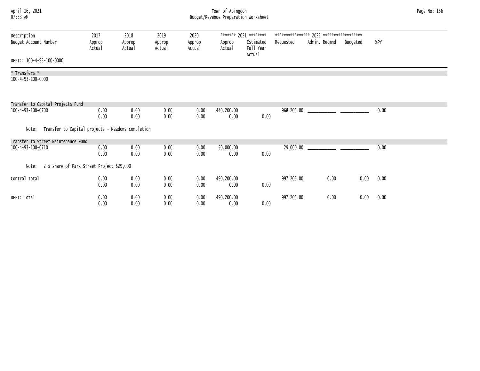# April 16, 2021 Town of Abingdon Page No: 156 07:53 AM Budget/Revenue Preparation Worksheet

| Description                                     | 2017                                              | 2018             | 2019             | 2020             |                  | ******* 2021 ********  |            |               |          |      |  |
|-------------------------------------------------|---------------------------------------------------|------------------|------------------|------------------|------------------|------------------------|------------|---------------|----------|------|--|
| Budget Account Number                           | Approp<br>Actual                                  | Approp<br>Actual | Approp<br>Actual | Approp<br>Actual | Approp<br>Actual | Estimated<br>Full Year | Requested  | Admin. Recmnd | Budgeted | %PY  |  |
| DEPT:: 100-4-93-100-0000                        |                                                   |                  |                  |                  |                  | Actual                 |            |               |          |      |  |
| * Transfers *                                   |                                                   |                  |                  |                  |                  |                        |            |               |          |      |  |
| 100-4-93-100-0000                               |                                                   |                  |                  |                  |                  |                        |            |               |          |      |  |
|                                                 |                                                   |                  |                  |                  |                  |                        |            |               |          |      |  |
| Transfer to Capital Projects Fund               |                                                   |                  |                  |                  |                  |                        |            |               |          |      |  |
| 100-4-93-100-0700                               | 0.00                                              | 0.00             | 0.00             | 0.00             | 440,200.00       |                        |            |               |          | 0.00 |  |
|                                                 | 0.00                                              | 0.00             | 0.00             | 0.00             | 0.00             | 0.00                   |            |               |          |      |  |
| Note:                                           | Transfer to Capital projects - Meadows completion |                  |                  |                  |                  |                        |            |               |          |      |  |
| Transfer to Street Maintenance Fund             |                                                   |                  |                  |                  |                  |                        |            |               |          |      |  |
| 100-4-93-100-0710                               | 0.00                                              | 0.00             | 0.00             | 0.00             | 50,000.00        |                        |            |               |          | 0.00 |  |
|                                                 | 0.00                                              | 0.00             | 0.00             | 0.00             | 0.00             | 0.00                   |            |               |          |      |  |
| Note: 2 % share of Park Street Project \$29,000 |                                                   |                  |                  |                  |                  |                        |            |               |          |      |  |
| Control Total                                   | 0.00                                              | 0.00             | 0.00             | 0.00             | 490,200.00       |                        | 997,205.00 | 0.00          | 0.00     | 0.00 |  |
|                                                 | 0.00                                              | 0.00             | 0.00             | 0.00             | 0.00             | 0.00                   |            |               |          |      |  |
| DEPT: Total                                     | 0.00                                              | 0.00             | 0.00             | 0.00             | 490,200.00       |                        | 997,205.00 | 0.00          | 0.00     | 0.00 |  |
|                                                 | 0.00                                              | 0.00             | 0.00             | 0.00             | 0.00             | 0.00                   |            |               |          |      |  |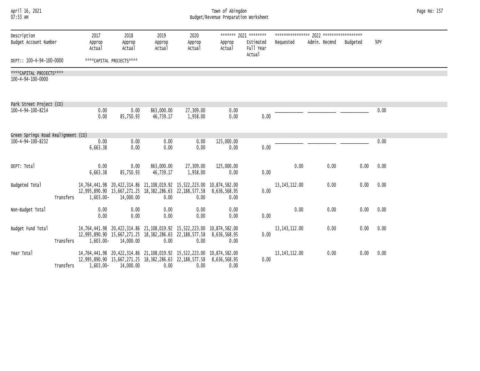| April 16, 2021 |  |
|----------------|--|
| $07.53$ AM     |  |

## April 16, 2021 Town of Abingdon Page No: 157 07:53 AM Budget/Revenue Preparation Worksheet

| Description                         |           | 2017                                                                  | 2018                     | 2019                                                                                                                                                  | 2020                  |                                                                               | ******* 2021 ********            |                 |               |          |      |
|-------------------------------------|-----------|-----------------------------------------------------------------------|--------------------------|-------------------------------------------------------------------------------------------------------------------------------------------------------|-----------------------|-------------------------------------------------------------------------------|----------------------------------|-----------------|---------------|----------|------|
| Budget Account Number               |           | Approp<br>Actual                                                      | Approp<br>Actual         | Approp<br>Actual                                                                                                                                      | Approp<br>Actual      | Approp<br>Actual                                                              | Estimated<br>Full Year<br>Actual | Requested       | Admin. Recmnd | Budgeted | %PY  |
| DEPT:: 100-4-94-100-0000            |           |                                                                       | ****CAPITAL PROJECTS**** |                                                                                                                                                       |                       |                                                                               |                                  |                 |               |          |      |
| ****CAPITAL PROJECTS****            |           |                                                                       |                          |                                                                                                                                                       |                       |                                                                               |                                  |                 |               |          |      |
| 100-4-94-100-0000                   |           |                                                                       |                          |                                                                                                                                                       |                       |                                                                               |                                  |                 |               |          |      |
| Park Street Project (CO)            |           |                                                                       |                          |                                                                                                                                                       |                       |                                                                               |                                  |                 |               |          |      |
| 100-4-94-100-8214                   |           | 0.00<br>0.00                                                          | 0.00<br>85,750.93        | 863,000.00<br>46,739.17                                                                                                                               | 27,309.00<br>1,958.00 | 0.00<br>0.00                                                                  | 0.00                             |                 |               |          | 0.00 |
| Green Springs Road Realignment (CO) |           |                                                                       |                          |                                                                                                                                                       |                       |                                                                               |                                  |                 |               |          |      |
| 100-4-94-100-8232                   |           | 0.00<br>6,663.38                                                      | 0.00<br>0.00             | 0.00<br>0.00                                                                                                                                          | 0.00<br>0.00          | 125,000.00<br>0.00                                                            | 0.00                             |                 |               |          | 0.00 |
| DEPT: Total                         |           | 0.00<br>6,663.38                                                      | 0.00<br>85,750.93        | 863,000.00<br>46,739.17                                                                                                                               | 27,309.00<br>1,958.00 | 125,000.00<br>0.00                                                            | 0.00                             | 0.00            | 0.00          | 0.00     | 0.00 |
| Budgeted Total                      | Transfers | 1,603.00-                                                             | 14,000.00                | 14,764,441.98 20,422,314.86 21,108,019.92 15,522,223.00 10,874,582.00<br>12,995,890.90 15,667,271.25 18,382,286.63 22,188,577.58 8,636,568.95<br>0.00 | 0.00                  | 0.00                                                                          | 0.00                             | 13, 143, 112.00 | 0.00          | 0.00     | 0.00 |
| Non-Budget Total                    |           | 0.00<br>0.00                                                          | 0.00<br>0.00             | 0.00<br>0.00                                                                                                                                          | 0.00<br>0.00          | 0.00<br>0.00                                                                  | 0.00                             | 0.00            | 0.00          | 0.00     | 0.00 |
| Budget Fund Total                   | Transfers | 14,764,441.98 20,422,314.86 21,108,019.92 15,522,223.00 10,874,582.00 | $1,603.00 - 14,000.00$   | 12,995,890.90 15,667,271.25 18,382,286.63 22,188,577.58 8,636,568.95<br>0.00                                                                          | 0.00                  | 0.00                                                                          | 0.00                             | 13, 143, 112.00 | 0.00          | 0.00     | 0.00 |
| Year Total                          | Transfers |                                                                       | $1,603.00 - 14,000.00$   | 12,995,890.90 15,667,271.25 18,382,286.63 22,188,577.58 8,636,568.95<br>0.00                                                                          | 0.00                  | 14,764,441.98 20,422,314.86 21,108,019.92 15,522,223.00 10,874,582.00<br>0.00 | 0.00                             | 13, 143, 112.00 | 0.00          | 0.00     | 0.00 |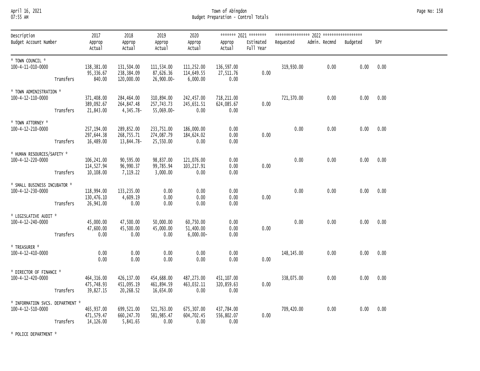# April 16, 2021 Town of Abingdon Page No: 158 07:55 AM Budget Preparation - Control Totals

| Description                                           |           | 2017                                            | 2018                                   | 2019                                   | 2020                                   |                                             | ******* 2021 ********  |            |                        |      |        |
|-------------------------------------------------------|-----------|-------------------------------------------------|----------------------------------------|----------------------------------------|----------------------------------------|---------------------------------------------|------------------------|------------|------------------------|------|--------|
| Budget Account Number                                 |           | Approp<br>Actual                                | Approp<br>Actual                       | Approp<br>Actual                       | Approp<br>Actual                       | Approp<br>Actual                            | Estimated<br>Full Year | Requested  | Admin. Recmnd Budgeted |      | $%$ PY |
| * TOWN COUNCIL *<br>100-4-11-010-0000                 | Transfers | 138,381.00<br>95,336.67<br>840.00               | 131,504.00<br>238,384.09<br>120,000.00 | 111,534.00<br>87,626.36<br>26,900.00-  | 111,252.00<br>114,649.55<br>6,000.00   | 136,597.00<br>27,511.76<br>0.00             | 0.00                   | 319,930.00 | 0.00                   | 0.00 | 0.00   |
| * TOWN ADMINISTRATION *<br>100-4-12-110-0000          | Transfers | 371,408.00<br>389,092.67<br>21,843.00           | 284,464.00<br>264,847.48<br>4,345.78-  | 310,894.00<br>257,743.73<br>55,069.00- | 242,457.00<br>245,651.51<br>0.00       | 718,211.00<br>624,085.67<br>0.00            | 0.00                   | 721,370.00 | 0.00                   | 0.00 | 0.00   |
| * TOWN ATTORNEY *<br>100-4-12-210-0000                |           | 257,194.00<br>297,644.38<br>Transfers 16,489.00 | 289,852.00<br>268,755.71<br>13,844.78- | 233,751.00<br>274,087.79<br>25,550.00  | 186,000.00<br>184,624.02<br>0.00       | 0.00<br>0.00<br>0.00                        | 0.00                   | 0.00       | 0.00                   | 0.00 | 0.00   |
| * HUMAN RESOURCES/SAFETY *<br>100-4-12-220-0000       | Transfers | 106,241.00<br>114,527.94<br>10,108.00           | 90,595.00<br>96,990.37<br>7,119.22     | 98,837.00<br>99,785.94<br>3,000.00     | 121,076.00<br>103, 217.91<br>0.00      | 0.00<br>0.00<br>0.00                        | 0.00                   | 0.00       | 0.00                   | 0.00 | 0.00   |
| * SMALL BUSINESS INCUBATOR *<br>100-4-12-230-0000     | Transfers | 118,994.00<br>130,476.10<br>26,941.00           | 133,235.00<br>4,609.19<br>0.00         | 0.00<br>0.00<br>0.00                   | 0.00<br>0.00<br>0.00                   | 0.00<br>0.00<br>0.00                        | 0.00                   | 0.00       | 0.00                   | 0.00 | 0.00   |
| * LEGISLATIVE AUDIT *<br>100-4-12-240-0000            | Transfers | 45,000.00<br>47,600.00<br>0.00                  | 47,500.00<br>45,500.00<br>0.00         | 50,000.00<br>45,000.00<br>0.00         | 60,750.00<br>51,400.00<br>$6,000.00 -$ | 0.00<br>0.00<br>0.00                        | 0.00                   | 0.00       | 0.00                   | 0.00 | 0.00   |
| * TREASURER *<br>100-4-12-410-0000                    |           | 0.00<br>0.00                                    | 0.00<br>0.00                           | 0.00<br>0.00                           | 0.00<br>0.00                           | 0.00<br>0.00                                | 0.00                   | 148,145.00 | 0.00                   | 0.00 | 0.00   |
| * DIRECTOR OF FINANCE *<br>100-4-12-420-0000          | Transfers | 464,316.00<br>475,748.93<br>39,827.15           | 426,137.00<br>451,095.19<br>20,268.52  | 454,688.00<br>461,894.59<br>16,654.00  | 487,273.00<br>463,032.11<br>0.00       | 451,107.00<br>320,859.63<br>0.00            | 0.00                   | 338,075.00 | 0.00                   | 0.00 | 0.00   |
| * INFORMATION SVCS. DEPARTMENT *<br>100-4-12-510-0000 | Transfers | 465,937.00<br>471,579.47<br>14,126.00           | 699,521.00<br>660,247.70<br>5,841.65   | 521,763.00<br>581,985.47<br>0.00       | 604,702.45<br>0.00                     | 675,307.00 437,784.00<br>556,802.07<br>0.00 | 0.00                   | 709,420.00 | 0.00                   | 0.00 | 0.00   |

\* POLICE DEPARTMENT \*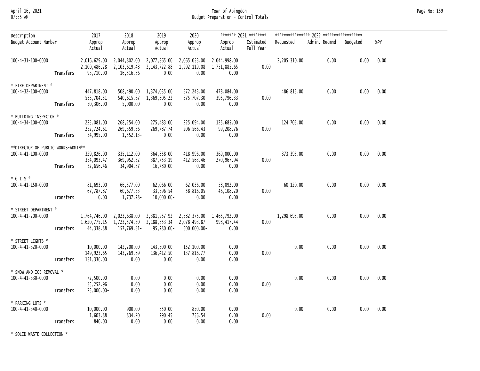# April 16, 2021 Town of Abingdon Page No: 159 07:55 AM Budget Preparation - Control Totals

| Description                                             |           | 2017                                      | 2018                                                                                                                                              | 2019                                                                                                          | 2020                             | ******* 2021 ********            |                        |              |               |          |           |
|---------------------------------------------------------|-----------|-------------------------------------------|---------------------------------------------------------------------------------------------------------------------------------------------------|---------------------------------------------------------------------------------------------------------------|----------------------------------|----------------------------------|------------------------|--------------|---------------|----------|-----------|
| Budget Account Number                                   |           | Approp<br>Actual                          | Approp<br>Actual                                                                                                                                  | Approp<br>Actual                                                                                              | Approp<br>Actual                 | Approp<br>Actual                 | Estimated<br>Full Year | Requested    | Admin. Recmnd | Budgeted | %PY       |
| 100-4-31-100-0000                                       | Transfers | 2,016,629.00<br>2,100,486.28<br>93,710.00 | 16,516.86                                                                                                                                         | 2,044,802.00 2,077,865.00 2,065,053.00<br>2, 103, 619.48 2, 143, 722.88 1, 992, 119.08 1, 751, 885.65<br>0.00 | 0.00                             | 2,044,998.00<br>0.00             | 0.00                   | 2,205,310.00 | 0.00          | 0.00     | 0.00      |
| * FIRE DEPARTMENT *<br>100-4-32-100-0000                | Transfers | 447,818.00<br>533,704.51<br>50,306.00     | 5,000.00                                                                                                                                          | 508,490.00  1,374,035.00  572,243.00<br>540,615.67 1,369,805.22<br>0.00                                       | 575,707.30<br>0.00               | 478,084.00<br>395,796.33<br>0.00 | 0.00                   | 486,815.00   | 0.00          | 0.00     | 0.00      |
| * BUILDING INSPECTOR *<br>100-4-34-100-0000             | Transfers | 225,081.00<br>252,724.61<br>34,995.00     | 268,254.00<br>269,359.56<br>1,552.13-                                                                                                             | 275,483.00<br>269,787.74<br>0.00                                                                              | 225,094.00<br>206,566.43<br>0.00 | 125,685.00<br>99,208.76<br>0.00  | 0.00                   | 124,705.00   | 0.00          | 0.00     | 0.00      |
| **DIRECTOR OF PUBLIC WORKS-ADMIN**<br>100-4-41-100-0000 | Transfers | 329,826.00<br>354,093.47<br>32,656.46     | 335,112.00<br>369,952.32<br>34,904.87                                                                                                             | 364,858.00<br>387,753.19<br>16,780.00                                                                         | 418,996.00<br>412,563.46<br>0.00 | 369,000.00<br>270,967.94<br>0.00 | 0.00                   | 373,395.00   | 0.00          |          | 0.00 0.00 |
| $*$ G I S $*$<br>100-4-41-150-0000                      | Transfers | 81,693.00<br>67,787.87<br>0.00            | 66,577.00<br>60,677.33<br>1,737.78-                                                                                                               | 62,066.00<br>33,596.54<br>10,000.00-                                                                          | 62,036.00<br>58,816.05<br>0.00   | 58,092.00<br>46,108.20<br>0.00   | 0.00                   | 60,120.00    | 0.00          |          | 0.00 0.00 |
| * STREET DEPARTMENT *<br>100-4-41-200-0000              |           | Transfers 44,338.88                       | 1,764,746.00 2,023,638.00 2,381,957.92 2,582,375.00 1,465,792.00<br>1,620,775.15 1,723,574.30 2,188,853.34 2,078,493.87 998,417.44<br>157,769.31- |                                                                                                               | 95,780.00- 500,000.00-           | 0.00                             | 0.00                   | 1,298,695.00 | 0.00          |          | 0.00 0.00 |
| * STREET LIGHTS *<br>100-4-41-320-0000                  | Transfers | 10,000.00<br>149,923.65<br>131,336.00     | 142,200.00<br>143,269.69<br>0.00                                                                                                                  | 143,500.00<br>136,412.50<br>0.00                                                                              | 152,100.00<br>137,816.77<br>0.00 | 0.00<br>0.00<br>0.00             | 0.00                   | 0.00         | 0.00          |          | 0.00 0.00 |
| * SNOW AND ICE REMOVAL *<br>100-4-41-330-0000           | Transfers | 72,500.00<br>35,252.96<br>25,000.00-      | 0.00<br>0.00<br>0.00                                                                                                                              | 0.00<br>0.00<br>0.00                                                                                          | 0.00<br>0.00<br>0.00             | 0.00<br>0.00<br>0.00             | 0.00                   | 0.00         | 0.00          |          | 0.00 0.00 |
| * PARKING LOTS *<br>100-4-41-340-0000                   | Transfers | 10,000.00<br>1,603.88<br>840.00           | 900.00<br>834.20<br>0.00                                                                                                                          | 850.00<br>790.45<br>0.00                                                                                      | 850.00<br>756.54<br>0.00         | 0.00<br>0.00<br>0.00             | 0.00                   | 0.00         | 0.00          | 0.00     | 0.00      |

\* SOLID WASTE COLLECTION \*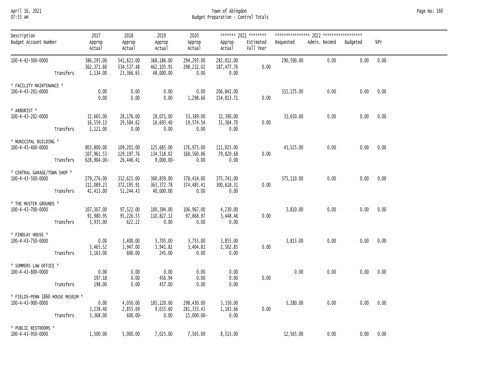## April 16, 2021 Town of Abingdon Page No: 160 07:55 AM Budget Preparation - Control Totals

| Description                                            |           | 2017                                    | 2018                                    | 2019                                     | 2020                                    |                                   | ******* 2021 ********  |            |               |          |           |
|--------------------------------------------------------|-----------|-----------------------------------------|-----------------------------------------|------------------------------------------|-----------------------------------------|-----------------------------------|------------------------|------------|---------------|----------|-----------|
| Budget Account Number                                  |           | Approp<br>Actual                        | Approp<br>Actual                        | Approp<br>Actual                         | Approp<br>Actual                        | Approp<br>Actual                  | Estimated<br>Full Year | Requested  | Admin. Recmnd | Budgeted | %PY       |
| 100-4-42-300-0000                                      | Transfers | 386,295.00<br>362, 371.60<br>1,134.00   | 541,821.00<br>534, 537.48<br>23,366.65  | 368,186.00<br>462,105.91<br>48,000.00    | 294,293.00<br>298,232.02<br>0.00        | 282,012.00<br>187, 477.76<br>0.00 | 0.00                   | 290,590.00 | 0.00          | 0.00     | 0.00      |
| * FACILITY MAINTENANCE *<br>100-4-43-201-0000          |           | 0.00<br>0.00                            | 0.00<br>0.00                            | 0.00<br>0.00                             | 0.00<br>1,298.66                        | 206,841.00<br>154,813.71          | 0.00                   | 315,175.00 | 0.00          |          | 0.00 0.00 |
| * ARBORIST *<br>100-4-43-202-0000                      | Transfers | 32,665.00<br>16,559.13<br>2,121.00      | 28,176.00<br>29,584.62<br>0.00          | 28,071.00<br>16,693.40<br>0.00           | 33,389.00<br>19,574.54<br>0.00          | 32,390.00<br>31,364.70<br>0.00    | 0.00                   | 33,650.00  | 0.00          |          | 0.00 0.00 |
| * MUNICIPAL BUILDING *<br>100-4-43-400-0000            | Transfers | 803,800.00<br>107,961.53<br>628,904.00- | 109,201.00<br>129, 197. 76<br>26,446.41 | 125,685.00<br>134,518.02<br>$9,000.00 -$ | 176,975.00<br>168,560.86<br>0.00        | 111,025.00<br>79,820.68<br>0.00   | 0.00                   | 43,525.00  | 0.00          | 0.00     | 0.00      |
| * CENTRAL GARAGE/TOWN SHOP *<br>100-4-43-500-0000      | Transfers | 279,276.00<br>311,089.23<br>42,413.00   | 312,621.00<br>372,195.91<br>51,244.43   | 360,839.00<br>363, 372.78<br>40,000.00   | 378,414.00<br>374,485.41<br>0.00        | 375,741.00<br>300,618.31<br>0.00  | 0.00                   | 375,110.00 | 0.00          | 0.00     | 0.00      |
| * THE MUSTER GROUNDS *<br>100-4-43-700-0000            | Transfers | 107,307.00<br>91,980.95<br>3,935.00     | 97,522.00<br>95,226.55<br>622.22        | 100,394.00<br>110,827.12<br>0.00         | 106,967.00<br>97,868.97<br>0.00         | 4,230.00<br>3,448.46<br>0.00      | 0.00                   | 3,810.00   | 0.00          | 0.00     | 0.00      |
| * FINDLAY HOUSE *<br>100-4-43-750-0000                 | Transfers | 0.00<br>3,465.52<br>3,163.00            | 3,400.00<br>3,947.00<br>600.00          | 3,705.00<br>3,941.82<br>245.00           | 3,755.00<br>3,404.81<br>0.00            | 3,855.00<br>2,502.85<br>0.00      | 0.00                   | 3,815.00   | 0.00          | 0.00     | 0.00      |
| * SUMMERS LAW OFFICE *<br>100-4-43-800-0000            | Transfers | 0.00<br>197.18<br>198.00                | 0.00<br>0.00<br>0.00                    | 0.00<br>456.94<br>457.00                 | 0.00<br>0.00<br>0.00                    | 0.00<br>0.00<br>0.00              | 0.00                   | 0.00       | 0.00          | 0.00     | 0.00      |
| * FIELDS-PENN 1860 HOUSE MUSEUM *<br>100-4-43-900-0000 | Transfers | 0.00<br>3,238.40<br>3,368.00            | 4,050.00<br>2,855.69<br>$600.00 -$      | 185,120.00<br>9,035.60<br>0.00           | 298,430.00<br>281, 333.43<br>15,000.00- | 3,330.00<br>1,183.66<br>0.00      | 0.00                   | 5,280.00   | 0.00          | 0.00     | 0.00      |
| * PUBLIC RESTROOMS *<br>100-4-43-950-0000              |           | 1,500.00                                | 5,000.00                                | 7,025.00                                 | 7,565.00                                | 8,515.00                          |                        | 12,565.00  | 0.00          |          | 0.00 0.00 |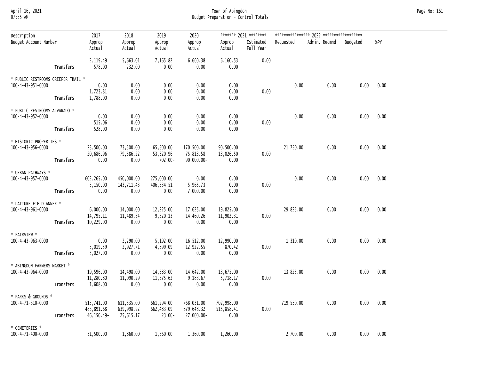# April 16, 2021 Town of Abingdon Page No: 161 07:55 AM Budget Preparation - Control Totals

| Description                        |           | 2017                   | 2018                   | 2019                   | 2020                    |                        | ******* 2021 ********  |            |               |          |           |
|------------------------------------|-----------|------------------------|------------------------|------------------------|-------------------------|------------------------|------------------------|------------|---------------|----------|-----------|
| Budget Account Number              |           | Approp<br>Actual       | Approp<br>Actual       | Approp<br>Actual       | Approp<br>Actual        | Approp<br>Actual       | Estimated<br>Full Year | Requested  | Admin. Recmnd | Budgeted | %PY       |
|                                    | Transfers | 2,119.49<br>578.00     | 5,663.01<br>232.00     | 7,165.82<br>0.00       | 6,660.38<br>0.00        | 6,160.53<br>0.00       | 0.00                   |            |               |          |           |
| * PUBLIC RESTROOMS CREEPER TRAIL * |           |                        |                        |                        |                         |                        |                        |            |               |          |           |
| 100-4-43-951-0000                  |           | 0.00<br>1,723.81       | 0.00<br>0.00           | 0.00<br>0.00           | 0.00<br>0.00            | 0.00<br>0.00           | 0.00                   | 0.00       | 0.00          | 0.00     | 0.00      |
|                                    | Transfers | 1,788.00               | 0.00                   | 0.00                   | 0.00                    | 0.00                   |                        |            |               |          |           |
| * PUBLIC RESTROOMS ALVARADO *      |           |                        |                        |                        |                         |                        |                        |            |               |          |           |
| 100-4-43-952-0000                  |           | 0.00                   | 0.00                   | 0.00                   | 0.00                    | 0.00                   |                        | 0.00       | 0.00          | 0.00     | 0.00      |
|                                    | Transfers | 515.06<br>528.00       | 0.00<br>0.00           | 0.00<br>0.00           | 0.00<br>0.00            | 0.00<br>0.00           | 0.00                   |            |               |          |           |
| * HISTORIC PROPERTIES *            |           |                        |                        |                        |                         |                        |                        |            |               |          |           |
| 100-4-43-956-0000                  |           | 23,500.00<br>20,686.96 | 73,500.00<br>79,586.22 | 65,500.00<br>53,320.96 | 170,500.00<br>75,813.58 | 90,500.00<br>13,026.50 | 0.00                   | 21,750.00  | 0.00          | 0.00     | 0.00      |
|                                    | Transfers | 0.00                   | 0.00                   | 702.00-                | $90,000.00 -$           | 0.00                   |                        |            |               |          |           |
| * URBAN PATHWAYS *                 |           |                        |                        |                        |                         |                        |                        |            |               |          |           |
| 100-4-43-957-0000                  |           | 602,265.00             | 450,000.00             | 275,000.00             | 0.00                    | 0.00                   |                        | 0.00       | 0.00          | 0.00     | 0.00      |
|                                    |           | 5,150.00               | 143,711.43             | 406,534.51             | 5,965.73                | 0.00                   | 0.00                   |            |               |          |           |
|                                    | Transfers | 0.00                   | 0.00                   | 0.00                   | 7,000.00                | 0.00                   |                        |            |               |          |           |
| * LATTURE FIELD ANNEX *            |           |                        |                        |                        |                         |                        |                        |            |               |          |           |
| 100-4-43-961-0000                  |           | 6,000.00               | 14,000.00              | 12,225.00              | 17,625.00               | 19,825.00              |                        | 29,825.00  | 0.00          | 0.00     | 0.00      |
|                                    | Transfers | 14,795.11              | 11,489.34<br>0.00      | 9,320.13<br>0.00       | 14,460.26<br>0.00       | 11,902.31<br>0.00      | 0.00                   |            |               |          |           |
|                                    |           | 10,229.00              |                        |                        |                         |                        |                        |            |               |          |           |
| $*$ FAIRVIEW $*$                   |           |                        |                        |                        |                         |                        |                        |            |               |          |           |
| 100-4-43-963-0000                  |           | 0.00                   | 2,290.00               | 5,192.00               | 16,512.00               | 12,990.00<br>870.42    | 0.00                   | 1,310.00   | 0.00          | 0.00     | 0.00      |
|                                    | Transfers | 5,019.59<br>5,027.00   | 2,927.71<br>0.00       | 4,899.09<br>0.00       | 12,922.55<br>0.00       | 0.00                   |                        |            |               |          |           |
|                                    |           |                        |                        |                        |                         |                        |                        |            |               |          |           |
| * ABINGDON FARMERS MARKET *        |           |                        |                        |                        |                         |                        |                        |            |               |          |           |
| 100-4-43-964-0000                  |           | 19,596.00<br>11,280.80 | 14,498.00<br>11,090.29 | 14,583.00<br>11,575.62 | 14,642.00<br>9,183.67   | 13,675.00<br>5,718.17  | 0.00                   | 13,825.00  | 0.00          | 0.00     | 0.00      |
|                                    | Transfers | 1,608.00               | 0.00                   | 0.00                   | 0.00                    | 0.00                   |                        |            |               |          |           |
| * PARKS & GROUNDS *                |           |                        |                        |                        |                         |                        |                        |            |               |          |           |
| 100-4-71-310-0000                  |           | 515,741.00             | 611,535.00             | 661,294.00             | 768,031.00              | 702,998.00             |                        | 719,530.00 | 0.00          | 0.00     | 0.00      |
|                                    |           | 483,891.68             | 639,998.92             | 662,483.09             | 679,648.32              | 515,858.41             | 0.00                   |            |               |          |           |
|                                    | Transfers | 46,150.49-             | 25,615.17              | $23.00 -$              | 27,000.00-              | 0.00                   |                        |            |               |          |           |
| * CEMETERIES *                     |           |                        |                        |                        |                         |                        |                        |            |               |          |           |
| 100-4-71-400-0000                  |           | 31,500.00              | 1,860.00               | 1,360.00               | 1,360.00                | 1,260.00               |                        | 2,700.00   | 0.00          |          | 0.00 0.00 |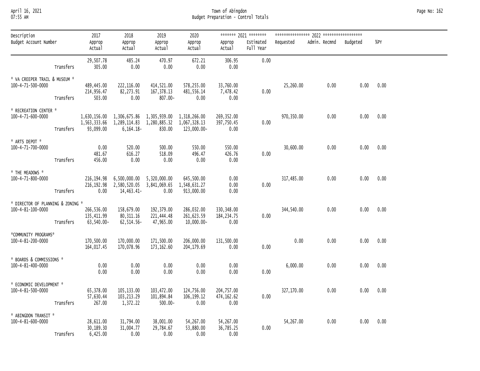## April 16, 2021 Town of Abingdon Page No: 162 07:55 AM Budget Preparation - Control Totals

| Description                                            |           | 2017                                   | 2018                                   | 2019                                                                                                                    | 2020                                      |                                    | ******* 2021 ********  |            |                        |      |           |
|--------------------------------------------------------|-----------|----------------------------------------|----------------------------------------|-------------------------------------------------------------------------------------------------------------------------|-------------------------------------------|------------------------------------|------------------------|------------|------------------------|------|-----------|
| Budget Account Number                                  |           | Approp<br>Actual                       | Approp<br>Actual                       | Approp<br>Actual                                                                                                        | Approp<br>Actual                          | Approp<br>Actual                   | Estimated<br>Full Year | Requested  | Admin. Recmnd Budgeted |      | %PY       |
|                                                        | Transfers | 29,507.78<br>305.00                    | 485.24<br>0.00                         | 470.97<br>0.00                                                                                                          | 672.21<br>0.00                            | 306.95<br>0.00                     | 0.00                   |            |                        |      |           |
| * VA CREEPER TRAIL & MUSEUM *<br>100-4-71-500-0000     |           | 489,445.00<br>214,956.47               | 222,116.00<br>82,273.91                | 414,521.00<br>167,378.13                                                                                                | 578,255.00<br>481,556.14                  | 33,760.00<br>7,478.42              | 0.00                   | 25,260.00  | 0.00                   |      | 0.00 0.00 |
|                                                        | Transfers | 503.00                                 | 0.00                                   | 807.00-                                                                                                                 | 0.00                                      | 0.00                               |                        |            |                        |      |           |
| * RECREATION CENTER *<br>100-4-71-600-0000             | Transfers | 93,099.00                              | $6,164.18-$                            | 1,630,156.00  1,306,675.86  1,305,939.00  1,318,266.00<br>1,563,333.66 1,289,114.83 1,280,885.32 1,067,328.13<br>830.00 | 123,000.00-                               | 269,352.00<br>397,750.45<br>0.00   | 0.00                   | 970,350.00 | 0.00                   |      | 0.00 0.00 |
| * ARTS DEPOT *<br>100-4-71-700-0000                    | Transfers | 0.00<br>481.67<br>456.00               | 520.00<br>616.27<br>0.00               | 500.00<br>518.09<br>0.00                                                                                                | 550.00<br>496.47<br>0.00                  | 550.00<br>426.76<br>0.00           | 0.00                   | 30,600.00  | 0.00                   |      | 0.00 0.00 |
| * THE MEADOWS *<br>100-4-71-800-0000                   | Transfers | 216,194.98<br>$0.00\,$                 | 14,463.41-                             | 6,500,000.00 5,320,000.00<br>216, 192.98 2, 580, 520.05 3, 841, 069.65 1, 548, 631.27<br>0.00                           | 645,500.00<br>913,000.00                  | 0.00<br>0.00<br>0.00               | 0.00                   | 317,485.00 | 0.00                   |      | 0.00 0.00 |
| * DIRECTOR OF PLANNING & ZONING *<br>100-4-81-100-0000 | Transfers | 266,536.00<br>135,411.99<br>63,540.00- | 158,679.00<br>80, 311.16<br>62,514.56- | 192,379.00<br>221,444.48<br>47,965.00                                                                                   | 286,032.00<br>261,623.59<br>$10,000.00 -$ | 330,348.00<br>184, 234. 75<br>0.00 | 0.00                   | 344,540.00 | 0.00                   |      | 0.00 0.00 |
| *COMMUNITY PROGRAMS*<br>100-4-81-200-0000              |           | 170,500.00<br>164,017.45               | 170,000.00<br>170,078.96               | 171,500.00<br>173,162.60                                                                                                | 206,000.00<br>204,179.69                  | 131,500.00<br>0.00                 | 0.00                   | 0.00       | 0.00                   |      | 0.00 0.00 |
| * BOARDS & COMMISSIONS *<br>100-4-81-400-0000          |           | 0.00<br>0.00                           | 0.00<br>0.00                           | 0.00<br>0.00                                                                                                            | 0.00<br>0.00                              | 0.00<br>0.00                       | 0.00                   | 6,000.00   | 0.00                   |      | 0.00 0.00 |
| * ECONOMIC DEVELOPMENT *<br>100-4-81-500-0000          | Transfers | 65,378.00<br>57,630.44<br>267.00       | 105,133.00<br>103, 213.29<br>1, 372.22 | 103,472.00<br>101,894.84<br>$500.00 -$                                                                                  | 124,756.00<br>106, 199. 12<br>0.00        | 204,757.00<br>474, 162.62<br>0.00  | 0.00                   | 327,170.00 | 0.00                   |      | 0.00 0.00 |
| * ABINGDON TRANSIT *<br>100-4-81-600-0000              | Transfers | 28,611.00<br>30,189.30<br>6,425.00     | 31,794.00<br>31,004.77<br>0.00         | 38,001.00<br>29,784.67<br>0.00                                                                                          | 54,267.00<br>53,880.00<br>0.00            | 54,267.00<br>36,785.25<br>0.00     | 0.00                   | 54,267.00  | 0.00                   | 0.00 | 0.00      |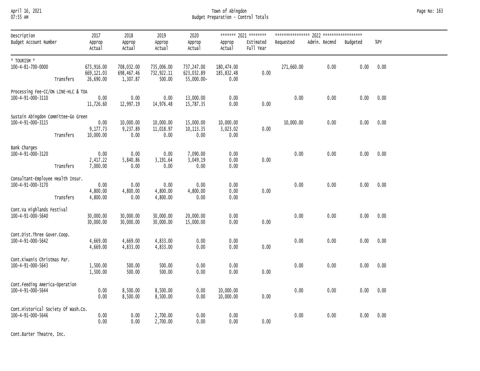## April 16, 2021 Town of Abingdon Page No: 163 07:55 AM Budget Preparation - Control Totals

| Description                                              |           | 2017                          | 2018                          | 2019                           | 2020                            |                               | ******* 2021 ********  |            |               |          |      |
|----------------------------------------------------------|-----------|-------------------------------|-------------------------------|--------------------------------|---------------------------------|-------------------------------|------------------------|------------|---------------|----------|------|
| Budget Account Number                                    |           | Approp<br>Actual              | Approp<br>Actual              | Approp<br>Actual               | Approp<br>Actual                | Approp<br>Actual              | Estimated<br>Full Year | Requested  | Admin. Recmnd | Budgeted | %PY  |
| * TOURISM *<br>100-4-81-700-0000                         |           | 673,916.00                    | 708,032.00                    | 735,006.00                     | 737,247.00                      | 180,474.00                    |                        | 271,660.00 | 0.00          | 0.00     | 0.00 |
|                                                          | Transfers | 669,121.03<br>26,690.00       | 698,467.46<br>1,307.87        | 732,922.11<br>500.00           | 623,032.89<br>55,000.00-        | 185,832.48<br>0.00            | 0.00                   |            |               |          |      |
| Processing Fee-CC/ON LINE-HLC & TOA                      |           |                               |                               |                                |                                 |                               |                        |            |               |          |      |
| 100-4-91-000-3110                                        |           | 0.00<br>11,726.60             | 0.00<br>12,997.19             | 0.00<br>14,976.48              | 13,000.00<br>15,787.35          | 0.00<br>0.00                  | 0.00                   | 0.00       | 0.00          | 0.00     | 0.00 |
| Sustain Abingdon Committee-Go Green                      |           |                               |                               |                                |                                 |                               |                        |            |               |          |      |
| 100-4-91-000-3115                                        | Transfers | 0.00<br>9,177.73<br>10,000.00 | 10,000.00<br>9,237.89<br>0.00 | 10,000.00<br>11,018.97<br>0.00 | 15,000.00<br>10, 113.35<br>0.00 | 10,000.00<br>3,023.02<br>0.00 | 0.00                   | 10,000.00  | 0.00          | 0.00     | 0.00 |
| Bank Charges                                             |           |                               |                               |                                |                                 |                               |                        |            |               |          |      |
| 100-4-91-000-3120                                        | Transfers | 0.00<br>2,417.22<br>7,000.00  | 0.00<br>5,840.86<br>0.00      | 0.00<br>3,191.64<br>0.00       | 7,090.00<br>3,049.19<br>0.00    | 0.00<br>0.00<br>0.00          | 0.00                   | 0.00       | 0.00          | 0.00     | 0.00 |
| Consultant-Employee Health Insur.                        |           |                               |                               |                                |                                 |                               |                        |            |               |          |      |
| 100-4-91-000-3170                                        |           | 0.00<br>4,800.00              | 0.00<br>4,800.00              | 0.00<br>4,800.00               | 0.00<br>4,800.00                | 0.00<br>0.00                  | 0.00                   | 0.00       | 0.00          | 0.00     | 0.00 |
|                                                          | Transfers | 4,800.00                      | 0.00                          | 4,800.00                       | 0.00                            | 0.00                          |                        |            |               |          |      |
| Cont.Va Highlands Festival<br>100-4-91-000-5640          |           | 30,000.00                     | 30,000.00                     | 30,000.00                      | 20,000.00                       | 0.00                          |                        | 0.00       | 0.00          | 0.00     | 0.00 |
|                                                          |           | 30,000.00                     | 30,000.00                     | 30,000.00                      | 15,000.00                       | 0.00                          | 0.00                   |            |               |          |      |
| Cont.Dist.Three Gover.Coop.<br>100-4-91-000-5642         |           | 4,669.00<br>4,669.00          | 4,669.00<br>4,833.00          | 4,833.00<br>4,833.00           | 0.00<br>0.00                    | 0.00<br>0.00                  | $0.00\,$               | 0.00       | 0.00          | 0.00     | 0.00 |
| Cont.Kiwanis Christmas Par.                              |           |                               |                               |                                |                                 |                               |                        |            |               |          |      |
| 100-4-91-000-5643                                        |           | 1,500.00<br>1,500.00          | 500.00<br>500.00              | 500.00<br>500.00               | 0.00<br>0.00                    | 0.00<br>0.00                  | 0.00                   | 0.00       | 0.00          | 0.00     | 0.00 |
| Cont.Feeding America-Operation<br>100-4-91-000-5644      |           | 0.00                          | 8,500.00                      | 8,500.00                       | 0.00                            | 10,000.00                     |                        | 0.00       | 0.00          | 0.00     | 0.00 |
|                                                          |           | 0.00                          | 8,500.00                      | 8,500.00                       | 0.00                            | 10,000.00                     | 0.00                   |            |               |          |      |
| Cont.Historical Society Of Wash.Co.<br>100-4-91-000-5646 |           | 0.00<br>0.00                  | 0.00<br>0.00                  | 2,700.00<br>2,700.00           | 0.00<br>0.00                    | 0.00<br>0.00                  | 0.00                   | 0.00       | 0.00          | 0.00     | 0.00 |
|                                                          |           |                               |                               |                                |                                 |                               |                        |            |               |          |      |

Cont.Barter Theatre, Inc.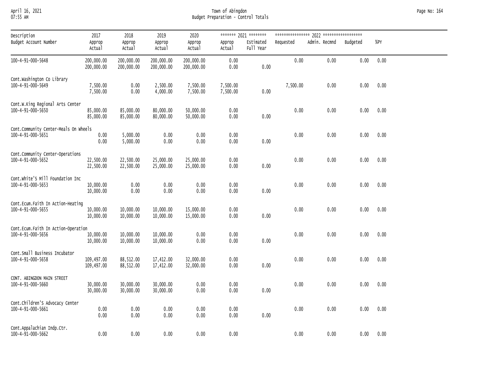## April 16, 2021 Town of Abingdon Page No: 164 07:55 AM Budget Preparation - Control Totals

| Description                                                 | 2017                     | 2018                     | 2019                     | 2020                     |                      | ******* 2021 ********  |           |               |          |      |
|-------------------------------------------------------------|--------------------------|--------------------------|--------------------------|--------------------------|----------------------|------------------------|-----------|---------------|----------|------|
| Budget Account Number                                       | Approp<br>Actual         | Approp<br>Actual         | Approp<br>Actual         | Approp<br>Actual         | Approp<br>Actual     | Estimated<br>Full Year | Requested | Admin. Recmnd | Budgeted | %PY  |
| 100-4-91-000-5648                                           | 200,000.00<br>200,000.00 | 200,000.00<br>200,000.00 | 200,000.00<br>200,000.00 | 200,000.00<br>200,000.00 | 0.00<br>0.00         | 0.00                   | 0.00      | 0.00          | 0.00     | 0.00 |
| Cont.Washington Co Library<br>100-4-91-000-5649             | 7,500.00<br>7,500.00     | 0.00<br>0.00             | 2,500.00<br>4,000.00     | 7,500.00<br>7,500.00     | 7,500.00<br>7,500.00 | 0.00                   | 7,500.00  | 0.00          | 0.00     | 0.00 |
| Cont.W.King Regional Arts Center<br>100-4-91-000-5650       | 85,000.00<br>85,000.00   | 85,000.00<br>85,000.00   | 80,000.00<br>80,000.00   | 50,000.00<br>50,000.00   | 0.00<br>0.00         | 0.00                   | 0.00      | 0.00          | 0.00     | 0.00 |
| Cont. Community Center-Meals On Wheels<br>100-4-91-000-5651 | 0.00<br>0.00             | 5,000.00<br>5,000.00     | 0.00<br>0.00             | 0.00<br>0.00             | 0.00<br>0.00         | 0.00                   | 0.00      | 0.00          | 0.00     | 0.00 |
| Cont.Community Center-Operations<br>100-4-91-000-5652       | 22,500.00<br>22,500.00   | 22,500.00<br>22,500.00   | 25,000.00<br>25,000.00   | 25,000.00<br>25,000.00   | 0.00<br>0.00         | 0.00                   | 0.00      | 0.00          | 0.00     | 0.00 |
| Cont.White'S Mill Foundation Inc<br>100-4-91-000-5653       | 10,000.00<br>10,000.00   | 0.00<br>0.00             | 0.00<br>0.00             | 0.00<br>0.00             | 0.00<br>0.00         | 0.00                   | 0.00      | 0.00          | 0.00     | 0.00 |
| Cont.Ecum.Faith In Action-Heating<br>100-4-91-000-5655      | 10,000.00<br>10,000.00   | 10,000.00<br>10,000.00   | 10,000.00<br>10,000.00   | 15,000.00<br>15,000.00   | 0.00<br>0.00         | 0.00                   | 0.00      | 0.00          | 0.00     | 0.00 |
| Cont.Ecum.Faith In Action-Operation<br>100-4-91-000-5656    | 10,000.00<br>10,000.00   | 10,000.00<br>10,000.00   | 10,000.00<br>10,000.00   | 0.00<br>0.00             | 0.00<br>0.00         | 0.00                   | 0.00      | 0.00          | 0.00     | 0.00 |
| Cont.Small Business Incubator<br>100-4-91-000-5658          | 109,497.00<br>109,497.00 | 88,512.00<br>88,512.00   | 17,412.00<br>17,412.00   | 32,000.00<br>32,000.00   | 0.00<br>0.00         | 0.00                   | 0.00      | 0.00          | 0.00     | 0.00 |
| CONT. ABINGDON MAIN STREET<br>100-4-91-000-5660             | 30,000.00<br>30,000.00   | 30,000.00<br>30,000.00   | 30,000.00<br>30,000.00   | 0.00<br>0.00             | 0.00<br>0.00         | 0.00                   | 0.00      | 0.00          | 0.00     | 0.00 |
| Cont.Children's Advocacy Center<br>100-4-91-000-5661        | 0.00<br>0.00             | 0.00<br>0.00             | 0.00<br>0.00             | 0.00<br>0.00             | 0.00<br>0.00         | 0.00                   | 0.00      | 0.00          | 0.00     | 0.00 |
| Cont.Appalachian Indp.Ctr.<br>100-4-91-000-5662             | 0.00                     | 0.00                     | 0.00                     | 0.00                     | 0.00                 |                        | 0.00      | 0.00          | 0.00     | 0.00 |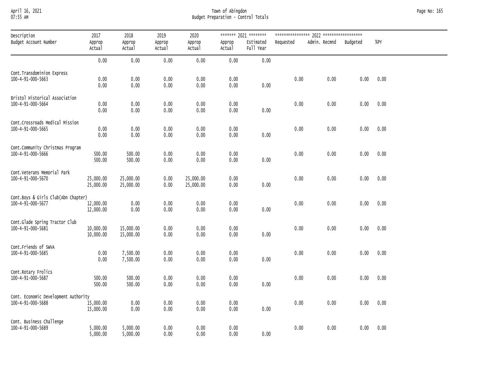# April 16, 2021 Town of Abingdon Page No: 165 07:55 AM Budget Preparation - Control Totals

| Description                                               | 2017                   | 2018                   | 2019             | 2020                   |                  | ******* 2021 ********  |           |               |          |      |
|-----------------------------------------------------------|------------------------|------------------------|------------------|------------------------|------------------|------------------------|-----------|---------------|----------|------|
| Budget Account Number                                     | Approp<br>Actual       | Approp<br>Actual       | Approp<br>Actual | Approp<br>Actual       | Approp<br>Actual | Estimated<br>Full Year | Requested | Admin. Recmnd | Budgeted | %PY  |
|                                                           | 0.00                   | 0.00                   | 0.00             | 0.00                   | 0.00             | 0.00                   |           |               |          |      |
| Cont. Transdominion Express<br>100-4-91-000-5663          | 0.00<br>0.00           | 0.00<br>0.00           | 0.00<br>0.00     | 0.00<br>0.00           | 0.00<br>0.00     | 0.00                   | 0.00      | $0.00\,$      | 0.00     | 0.00 |
| Bristol Historical Association<br>100-4-91-000-5664       | 0.00<br>0.00           | 0.00<br>0.00           | 0.00<br>0.00     | 0.00<br>0.00           | 0.00<br>0.00     | 0.00                   | 0.00      | $0.00\,$      | 0.00     | 0.00 |
| Cont.Crossroads Medical Mission<br>100-4-91-000-5665      | 0.00<br>0.00           | 0.00<br>0.00           | 0.00<br>0.00     | 0.00<br>0.00           | 0.00<br>0.00     | 0.00                   | 0.00      | $0.00\,$      | 0.00     | 0.00 |
| Cont.Community Christmas Program<br>100-4-91-000-5666     | 500.00<br>500.00       | 500.00<br>500.00       | 0.00<br>0.00     | 0.00<br>0.00           | 0.00<br>0.00     | 0.00                   | 0.00      | $0.00\,$      | 0.00     | 0.00 |
| Cont.Veterans Memorial Park<br>100-4-91-000-5670          | 25,000.00<br>25,000.00 | 25,000.00<br>25,000.00 | 0.00<br>0.00     | 25,000.00<br>25,000.00 | 0.00<br>0.00     | 0.00                   | 0.00      | 0.00          | 0.00     | 0.00 |
| Cont.Boys & Girls Club(Abn Chapter)<br>100-4-91-000-5677  | 12,000.00<br>12,000.00 | 0.00<br>0.00           | 0.00<br>0.00     | 0.00<br>0.00           | 0.00<br>0.00     | 0.00                   | 0.00      | $0.00\,$      | 0.00     | 0.00 |
| Cont.Glade Spring Tractor Club<br>100-4-91-000-5681       | 10,000.00<br>10,000.00 | 15,000.00<br>15,000.00 | 0.00<br>0.00     | 0.00<br>0.00           | 0.00<br>0.00     | 0.00                   | 0.00      | 0.00          | 0.00     | 0.00 |
| Cont.Friends of SWVA<br>100-4-91-000-5685                 | 0.00<br>0.00           | 7,500.00<br>7,500.00   | 0.00<br>0.00     | 0.00<br>0.00           | 0.00<br>0.00     | 0.00                   | 0.00      | $0.00\,$      | 0.00     | 0.00 |
| Cont.Rotary Frolics<br>100-4-91-000-5687                  | 500.00<br>500.00       | 500.00<br>500.00       | 0.00<br>0.00     | 0.00<br>0.00           | 0.00<br>0.00     | 0.00                   | 0.00      | 0.00          | 0.00     | 0.00 |
| Cont. Economic Development Authority<br>100-4-91-000-5688 | 15,000.00<br>15,000.00 | 0.00<br>0.00           | 0.00<br>0.00     | 0.00<br>0.00           | 0.00<br>0.00     | 0.00                   | 0.00      | $0.00\,$      | 0.00     | 0.00 |
| Cont. Business Challenge<br>100-4-91-000-5689             | 5,000.00<br>5,000.00   | 5,000.00<br>5,000.00   | 0.00<br>0.00     | 0.00<br>0.00           | 0.00<br>0.00     | 0.00                   | 0.00      | 0.00          | 0.00     | 0.00 |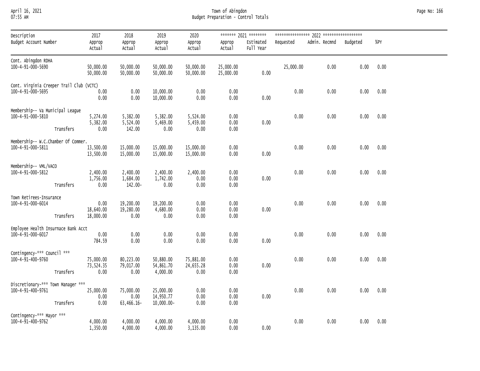## April 16, 2021 Town of Abingdon Page No: 166 07:55 AM Budget Preparation - Control Totals

| Description                                                          | 2017                           | 2018                            | 2019                                 | 2020                           |                        | ******* 2021 ********  |           |               |          |      |
|----------------------------------------------------------------------|--------------------------------|---------------------------------|--------------------------------------|--------------------------------|------------------------|------------------------|-----------|---------------|----------|------|
| Budget Account Number                                                | Approp<br>Actual               | Approp<br>Actual                | Approp<br>Actual                     | Approp<br>Actual               | Approp<br>Actual       | Estimated<br>Full Year | Requested | Admin. Recmnd | Budgeted | %PY  |
| Cont. Abingdon RDHA<br>100-4-91-000-5690                             | 50,000.00<br>50,000.00         | 50,000.00<br>50,000.00          | 50,000.00<br>50,000.00               | 50,000.00<br>50,000.00         | 25,000.00<br>25,000.00 | 0.00                   | 25,000.00 | 0.00          | 0.00     | 0.00 |
| Cont. Virginia Creeper Trail Club (VCTC)<br>100-4-91-000-5695        | 0.00<br>0.00                   | 0.00<br>0.00                    | 10,000.00<br>10,000.00               | 0.00<br>0.00                   | 0.00<br>0.00           | 0.00                   | 0.00      | 0.00          | 0.00     | 0.00 |
| Membership-- Va Municipal League<br>100-4-91-000-5810<br>Transfers   | 5,274.00<br>5,382.00<br>0.00   | 5,382.00<br>5,524.00<br>142.00  | 5,382.00<br>5,469.00<br>0.00         | 5,524.00<br>5,459.00<br>0.00   | 0.00<br>0.00<br>0.00   | 0.00                   | 0.00      | 0.00          | 0.00     | 0.00 |
| Membership-- W.C.Chamber Of Commer.<br>100-4-91-000-5811             | 13,500.00<br>13,500.00         | 15,000.00<br>15,000.00          | 15,000.00<br>15,000.00               | 15,000.00<br>15,000.00         | 0.00<br>0.00           | 0.00                   | 0.00      | 0.00          | 0.00     | 0.00 |
| Membership-- VML/VACO<br>100-4-91-000-5812<br>Transfers              | 2,400.00<br>1,756.00<br>0.00   | 2,400.00<br>1,684.00<br>142.00- | 2,400.00<br>1,742.00<br>0.00         | 2,400.00<br>0.00<br>0.00       | 0.00<br>0.00<br>0.00   | 0.00                   | 0.00      | 0.00          | 0.00     | 0.00 |
| Town Retirees-Insurance<br>100-4-91-000-6014<br>Transfers            | 0.00<br>18,640.00<br>18,000.00 | 19,200.00<br>19,280.00<br>0.00  | 19,200.00<br>4,680.00<br>0.00        | 0.00<br>0.00<br>0.00           | 0.00<br>0.00<br>0.00   | 0.00                   | 0.00      | 0.00          | 0.00     | 0.00 |
| Employee Health Insurnace Bank Acct<br>100-4-91-000-6017             | 0.00<br>784.59                 | 0.00<br>0.00                    | 0.00<br>0.00                         | 0.00<br>0.00                   | 0.00<br>0.00           | 0.00                   | 0.00      | 0.00          | 0.00     | 0.00 |
| Contingency-*** Council ***<br>100-4-91-400-9760<br>Transfers        | 75,000.00<br>73,524.35<br>0.00 | 80,223.00<br>79,017.00<br>0.00  | 50,880.00<br>54,861.70<br>4,000.00   | 75,881.00<br>24,655.28<br>0.00 | 0.00<br>0.00<br>0.00   | 0.00                   | 0.00      | 0.00          | 0.00     | 0.00 |
| Discretionary-*** Town Manager ***<br>100-4-91-400-9761<br>Transfers | 25,000.00<br>0.00<br>0.00      | 75,000.00<br>0.00<br>63,466.16- | 25,000.00<br>14,950.77<br>10,000.00- | 0.00<br>0.00<br>0.00           | 0.00<br>0.00<br>0.00   | 0.00                   | 0.00      | 0.00          | 0.00     | 0.00 |
| Contingency-*** Mayor ***<br>100-4-91-400-9762                       | 4,000.00<br>1,350.00           | 4,000.00<br>4,000.00            | 4,000.00<br>4,000.00                 | 4,000.00<br>3,135.00           | 0.00<br>0.00           | 0.00                   | 0.00      | 0.00          | 0.00     | 0.00 |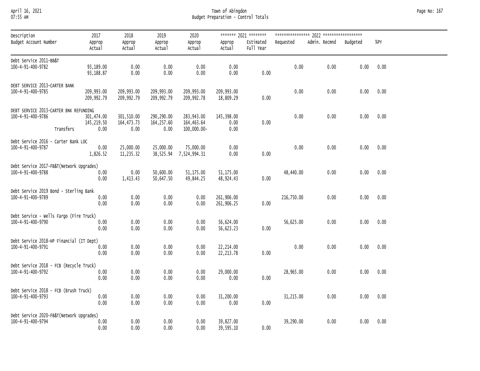## April 16, 2021 Town of Abingdon Page No: 167 07:55 AM Budget Preparation - Control Totals

| Description                                                              | 2017                             | 2018                               | 2019                              | 2020                                       |                            | ******* 2021 ********  |            |               |          |        |
|--------------------------------------------------------------------------|----------------------------------|------------------------------------|-----------------------------------|--------------------------------------------|----------------------------|------------------------|------------|---------------|----------|--------|
| Budget Account Number                                                    | Approp<br>Actual                 | Approp<br>Actual                   | Approp<br>Actual                  | Approp<br>Actual                           | Approp<br>Actual           | Estimated<br>Full Year | Requested  | Admin. Recmnd | Budgeted | $%$ PY |
| Debt Service 2011-BB&T<br>100-4-91-400-9782                              | 93,189.00<br>93,188.87           | 0.00<br>0.00                       | 0.00<br>0.00                      | 0.00<br>0.00                               | 0.00<br>0.00               | 0.00                   | 0.00       | 0.00          | 0.00     | 0.00   |
| DEBT SERVICE 2013-CARTER BANK<br>100-4-91-400-9785                       | 209,993.00<br>209,992.79         | 209,993.00<br>209,992.79           | 209,993.00<br>209,992.79          | 209,993.00<br>209,992.78                   | 209,993.00<br>18,809.29    | 0.00                   | 0.00       | 0.00          | 0.00     | 0.00   |
| DEBT SERVICE 2013-CARTER BNK REFUNDING<br>100-4-91-400-9786<br>Transfers | 301,474.00<br>145,219.50<br>0.00 | 301,510.00<br>164, 473. 73<br>0.00 | 290,290.00<br>164, 257.60<br>0.00 | 283,943.00<br>164,463.64<br>$100,000.00 -$ | 145,398.00<br>0.00<br>0.00 | 0.00                   | 0.00       | 0.00          | 0.00     | 0.00   |
| Debt Service 2016 - Carter Bank LOC<br>100-4-91-400-9787                 | 0.00<br>1,826.52                 | 25,000.00<br>11,235.32             | 25,000.00                         | 75,000.00<br>38, 525.94 7, 524, 994.31     | 0.00<br>0.00               | 0.00                   | 0.00       | 0.00          | 0.00     | 0.00   |
| Debt Service 2017-FB&T(Network Upgrades)<br>100-4-91-400-9788            | 0.00<br>0.00                     | 0.00<br>1,413.43                   | 50,600.00<br>50,647.50            | 51,175.00<br>49,844.25                     | 51,175.00<br>48,924.43     | 0.00                   | 48,440.00  | 0.00          | 0.00     | 0.00   |
| Debt Service 2019 Bond - Sterling Bank<br>100-4-91-400-9789              | 0.00<br>0.00                     | 0.00<br>0.00                       | 0.00<br>0.00                      | 0.00<br>0.00                               | 261,906.00<br>261,906.25   | 0.00                   | 216,750.00 | 0.00          | 0.00     | 0.00   |
| Debt Service - Wells Fargo (Fire Truck)<br>100-4-91-400-9790             | 0.00<br>0.00                     | 0.00<br>0.00                       | 0.00<br>0.00                      | 0.00<br>0.00                               | 56,624.00<br>56,623.23     | 0.00                   | 56,625.00  | 0.00          | 0.00     | 0.00   |
| Debt Service 2018-HP Financial (IT Dept)<br>100-4-91-400-9791            | 0.00<br>0.00                     | 0.00<br>0.00                       | 0.00<br>0.00                      | 0.00<br>0.00                               | 22,214.00<br>22, 213.78    | 0.00                   | 0.00       | 0.00          | 0.00     | 0.00   |
| Debt Service 2018 - FCB (Recycle Truck)<br>100-4-91-400-9792             | 0.00<br>0.00                     | 0.00<br>0.00                       | 0.00<br>0.00                      | 0.00<br>0.00                               | 29,000.00<br>0.00          | 0.00                   | 28,965.00  | 0.00          | 0.00     | 0.00   |
| Debt Service 2018 - FCB (Brush Truck)<br>100-4-91-400-9793               | 0.00<br>0.00                     | 0.00<br>0.00                       | 0.00<br>0.00                      | 0.00<br>0.00                               | 31,200.00<br>0.00          | 0.00                   | 31,215.00  | 0.00          | 0.00     | 0.00   |
| Debt Service 2020-FB&T(Network Upgrades)<br>100-4-91-400-9794            | 0.00<br>0.00                     | 0.00<br>0.00                       | 0.00<br>0.00                      | 0.00<br>0.00                               | 39,827.00<br>39,595.10     | 0.00                   | 39,290.00  | 0.00          | 0.00     | 0.00   |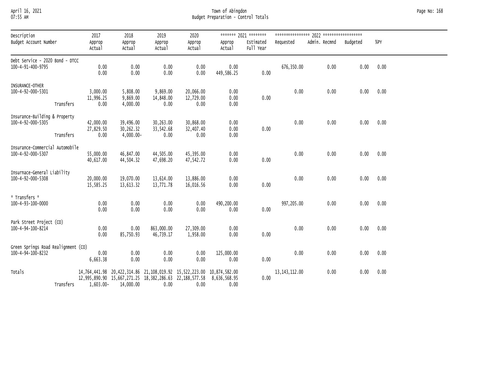## April 16, 2021 Town of Abingdon Page No: 168 07:55 AM Budget Preparation - Control Totals

| Description<br>Budget Account Number                            | 2017<br>Approp<br>Actual       | 2018<br>Approp<br>Actual            | 2019<br>Approp<br>Actual       | 2020<br>Approp<br>Actual                                                                                                                              | Approp<br>Actual     | ******* 2021 ********<br>Estimated<br>Full Year | Requested       | Admin. Recmnd | Budgeted | %PY  |
|-----------------------------------------------------------------|--------------------------------|-------------------------------------|--------------------------------|-------------------------------------------------------------------------------------------------------------------------------------------------------|----------------------|-------------------------------------------------|-----------------|---------------|----------|------|
| Debt Service - 2020 Bond - DTCC<br>100-4-91-400-9795            | 0.00<br>0.00                   | 0.00<br>0.00                        | 0.00<br>0.00                   | 0.00<br>0.00                                                                                                                                          | 0.00<br>449,586.25   | 0.00                                            | 676,350.00      | 0.00          | 0.00     | 0.00 |
| INSURANCE-OTHER<br>100-4-92-000-5301<br>Transfers               | 3,000.00<br>11,996.25<br>0.00  | 5,808.00<br>9,869.00<br>4,000.00    | 9,869.00<br>14,848.00<br>0.00  | 20,066.00<br>12,729.00<br>0.00                                                                                                                        | 0.00<br>0.00<br>0.00 | 0.00                                            | 0.00            | 0.00          | 0.00     | 0.00 |
| Insurance-Building & Property<br>100-4-92-000-5305<br>Transfers | 42,000.00<br>27,829.50<br>0.00 | 39,496.00<br>30,262.32<br>4,000.00- | 30,263.00<br>33,542.68<br>0.00 | 30,868.00<br>32,407.40<br>0.00                                                                                                                        | 0.00<br>0.00<br>0.00 | 0.00                                            | 0.00            | 0.00          | 0.00     | 0.00 |
| Insurance-Commercial Automobile<br>100-4-92-000-5307            | 55,000.00<br>40,617.00         | 46,847.00<br>44,504.32              | 44,505.00<br>47,698.20         | 45,395.00<br>47,542.72                                                                                                                                | 0.00<br>0.00         | 0.00                                            | 0.00            | 0.00          | 0.00     | 0.00 |
| Insurnace-General Liability<br>100-4-92-000-5308                | 20,000.00<br>15,585.25         | 19,070.00<br>13,613.32              | 13,614.00<br>13,771.78         | 13,886.00<br>16,016.56                                                                                                                                | 0.00<br>0.00         | 0.00                                            | 0.00            | 0.00          | 0.00     | 0.00 |
| * Transfers *<br>100-4-93-100-0000                              | 0.00<br>0.00                   | 0.00<br>0.00                        | 0.00<br>0.00                   | 0.00<br>0.00                                                                                                                                          | 490,200.00<br>0.00   | 0.00                                            | 997,205.00      | 0.00          | 0.00     | 0.00 |
| Park Street Project (CO)<br>100-4-94-100-8214                   | 0.00<br>0.00                   | 0.00<br>85,750.93                   | 863,000.00<br>46,739.17        | 27,309.00<br>1,958.00                                                                                                                                 | 0.00<br>0.00         | 0.00                                            | 0.00            | 0.00          | 0.00     | 0.00 |
| Green Springs Road Realignment (CO)<br>100-4-94-100-8232        | 0.00<br>6,663.38               | 0.00<br>0.00                        | 0.00<br>0.00                   | 0.00<br>0.00                                                                                                                                          | 125,000.00<br>0.00   | 0.00                                            | 0.00            | 0.00          | 0.00     | 0.00 |
| Totals<br>Transfers                                             |                                | $1,603.00 - 14,000.00$              | 0.00                           | 14,764,441.98 20,422,314.86 21,108,019.92 15,522,223.00 10,874,582.00<br>12,995,890.90 15,667,271.25 18,382,286.63 22,188,577.58 8,636,568.95<br>0.00 | 0.00                 | 0.00                                            | 13, 143, 112.00 | 0.00          | 0.00     | 0.00 |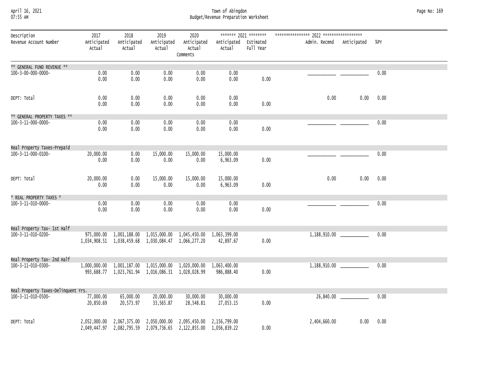#### April 16, 2021 Town of Abingdon Page No: 169 07:55 AM Budget/Revenue Preparation Worksheet

| Description<br>Revenue Account Number                     | 2017<br>Anticipated<br>Actual | 2018<br>Anticipated<br>Actual | 2019<br>Anticipated<br>Actual                                                                                                        | 2020<br>Anticipated<br>Actual<br>Comments | Anticipated Estimated<br>Actual | Full Year | Admin. Recmnd | Anticipated            | %PY  |
|-----------------------------------------------------------|-------------------------------|-------------------------------|--------------------------------------------------------------------------------------------------------------------------------------|-------------------------------------------|---------------------------------|-----------|---------------|------------------------|------|
| ** GENERAL FUND REVENUE **                                |                               |                               |                                                                                                                                      |                                           |                                 |           |               |                        |      |
| 100-3-00-000-0000-                                        | 0.00<br>0.00                  | 0.00<br>0.00                  | 0.00<br>0.00                                                                                                                         | 0.00<br>0.00                              | 0.00<br>0.00                    | 0.00      |               |                        | 0.00 |
| DEPT: Total                                               | 0.00<br>0.00                  | 0.00<br>0.00                  | 0.00<br>0.00                                                                                                                         | 0.00<br>0.00                              | 0.00<br>0.00                    | 0.00      | 0.00          | 0.00                   | 0.00 |
| ** GENERAL PROPERTY TAXES **                              |                               |                               |                                                                                                                                      |                                           |                                 |           |               |                        |      |
| 100-3-11-000-0000-                                        | 0.00<br>0.00                  | 0.00<br>0.00                  | 0.00<br>0.00                                                                                                                         | 0.00<br>0.00                              | 0.00<br>0.00                    | 0.00      |               |                        | 0.00 |
| Real Property Taxes-Prepaid                               |                               |                               |                                                                                                                                      |                                           |                                 |           |               |                        |      |
| 100-3-11-000-0100-                                        | 20,000.00<br>0.00             | 0.00<br>0.00                  | 15,000.00<br>0.00                                                                                                                    | 15,000.00<br>0.00                         | 15,000.00<br>6,963.09           | 0.00      |               |                        | 0.00 |
| DEPT: Total                                               | 20,000.00<br>0.00             | 0.00<br>0.00                  | 15,000.00<br>0.00                                                                                                                    | 15,000.00<br>0.00                         | 15,000.00<br>6,963.09           | 0.00      | 0.00          | 0.00                   | 0.00 |
| * REAL PROPERTY TAXES *                                   |                               |                               |                                                                                                                                      |                                           |                                 |           |               |                        |      |
| 100-3-11-010-0000-                                        | 0.00<br>0.00                  | 0.00<br>0.00                  | 0.00<br>0.00                                                                                                                         | 0.00<br>0.00                              | 0.00<br>0.00                    | 0.00      |               |                        | 0.00 |
| Real Property Tax- 1st Half                               |                               |                               |                                                                                                                                      |                                           |                                 |           |               |                        |      |
| 100-3-11-010-0200-                                        |                               |                               | 975,000.00  1,001,188.00  1,015,000.00  1,045,450.00  1,063,399.00<br>1,034,908.51 1,038,459.68 1,030,084.47 1,066,277.20            |                                           | 42,897.67                       | 0.00      |               |                        | 0.00 |
| Real Property Tax- 2nd Half                               |                               |                               |                                                                                                                                      |                                           |                                 |           |               |                        |      |
| 100-3-11-010-0300-                                        |                               |                               | $1,000,000.00$ $1,001,187.00$ $1,015,000.00$ $1,020,000.00$ $1,063,400.00$<br>993,688.77 1,023,761.94 1,016,086.31 1,028,028.99      |                                           | 986,888.40                      | 0.00      |               |                        | 0.00 |
|                                                           |                               |                               |                                                                                                                                      |                                           |                                 |           |               |                        |      |
| Real Property Taxes-Delinquent Yrs.<br>100-3-11-010-0500- | 77,000.00<br>20,850.69        | 65,000.00<br>20,573.97        | 20,000.00<br>33,565.87                                                                                                               | 30,000.00<br>28,548.81                    | 30,000.00<br>27,053.15          | 0.00      |               | 26,840.00 ____________ | 0.00 |
| DEPT: Total                                               |                               |                               | 2,052,000.00 2,067,375.00 2,050,000.00 2,095,450.00 2,156,799.00<br>2,049,447.97 2,082,795.59 2,079,736.65 2,122,855.00 1,056,839.22 |                                           |                                 | 0.00      | 2,404,660.00  | 0.00                   | 0.00 |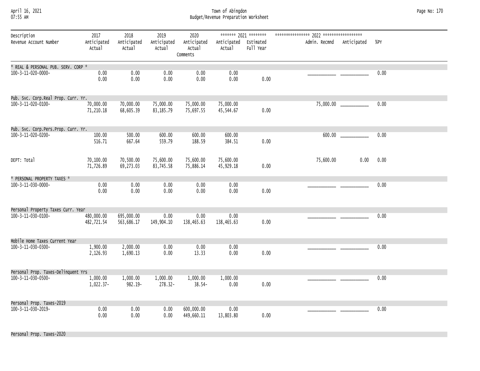April 16, 2021 Town of Abingdon Page No: 170 07:55 AM Budget/Revenue Preparation Worksheet

| Description<br>Revenue Account Number                     | 2017<br>Anticipated<br>Actual | 2018<br>Anticipated<br>Actual | 2019<br>Anticipated<br>Actual | 2020<br>Anticipated<br>Actual<br>Comments | Anticipated Estimated<br>Actual | ******* 2021 ********<br>Full Year | Admin. Recmnd | Anticipated            | %PY  |
|-----------------------------------------------------------|-------------------------------|-------------------------------|-------------------------------|-------------------------------------------|---------------------------------|------------------------------------|---------------|------------------------|------|
| * REAL & PERSONAL PUB. SERV. CORP *<br>100-3-11-020-0000- | 0.00                          | 0.00                          | 0.00                          | 0.00                                      | 0.00                            |                                    |               |                        | 0.00 |
|                                                           | 0.00                          | 0.00                          | 0.00                          | 0.00                                      | 0.00                            | 0.00                               |               |                        |      |
| Pub. Svc. Corp.Real Prop. Curr. Yr.                       |                               |                               |                               |                                           |                                 |                                    |               |                        |      |
| 100-3-11-020-0100-                                        | 70,000.00<br>71,210.18        | 70,000.00<br>68,605.39        | 75,000.00<br>83,185.79        | 75,000.00<br>75,697.55                    | 75,000.00<br>45,544.67          | 0.00                               |               | 75,000.00 ____________ | 0.00 |
| Pub. Svc. Corp.Pers.Prop. Curr. Yr.                       |                               |                               |                               |                                           |                                 |                                    |               |                        |      |
| 100-3-11-020-0200-                                        | 100.00<br>516.71              | 500.00<br>667.64              | 600.00<br>559.79              | 600.00<br>188.59                          | 600.00<br>384.51                | 0.00                               | 600.00        |                        | 0.00 |
| DEPT: Total                                               | 70,100.00<br>71,726.89        | 70,500.00<br>69,273.03        | 75,600.00<br>83,745.58        | 75,600.00<br>75,886.14                    | 75,600.00<br>45,929.18          | 0.00                               | 75,600.00     | 0.00                   | 0.00 |
| * PERSONAL PROPERTY TAXES *                               |                               |                               |                               |                                           |                                 |                                    |               |                        |      |
| 100-3-11-030-0000-                                        | 0.00<br>0.00                  | 0.00<br>0.00                  | 0.00<br>0.00                  | 0.00<br>0.00                              | 0.00<br>0.00                    | 0.00                               |               |                        | 0.00 |
| Personal Property Taxes Curr. Year                        |                               |                               |                               |                                           |                                 |                                    |               |                        |      |
| 100-3-11-030-0100-                                        | 480,000.00<br>482,721.54      | 695,000.00<br>563,686.17      | 0.00<br>149,904.10            | 0.00<br>138,465.63                        | 0.00<br>138,465.63              | 0.00                               |               |                        | 0.00 |
| Mobile Home Taxes Current Year                            |                               |                               |                               |                                           |                                 |                                    |               |                        |      |
| 100-3-11-030-0300-                                        | 1,900.00<br>2,126.93          | 2,000.00<br>1,690.13          | 0.00<br>0.00                  | 0.00<br>13.33                             | 0.00<br>0.00                    | 0.00                               |               |                        | 0.00 |
| Personal Prop. Taxes-Delinquent Yrs                       |                               |                               |                               |                                           |                                 |                                    |               |                        |      |
| 100-3-11-030-0500-                                        | 1,000.00<br>1,022.37-         | 1,000.00<br>982.19-           | 1,000.00<br>278.32-           | 1,000.00<br>38.54-                        | 1,000.00<br>0.00                | 0.00                               |               |                        | 0.00 |
| Personal Prop. Taxes-2019                                 |                               |                               |                               |                                           |                                 |                                    |               |                        |      |
| 100-3-11-030-2019-                                        | 0.00<br>0.00                  | 0.00<br>0.00                  | 0.00<br>0.00                  | 600,000.00<br>449,660.11                  | 0.00<br>13,803.80               | 0.00                               |               |                        | 0.00 |

Personal Prop. Taxes-2020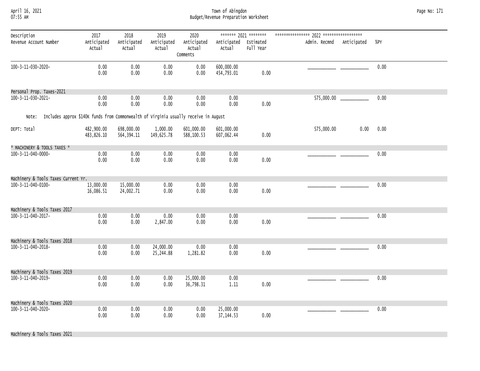April 16, 2021 Town of Abingdon Page No: 171 07:55 AM Budget/Revenue Preparation Worksheet

| Description                                                                                   | 2017                  | 2018                  | 2019                  | 2020                  |                                 | ******* 2021 ******** |               |             |      |
|-----------------------------------------------------------------------------------------------|-----------------------|-----------------------|-----------------------|-----------------------|---------------------------------|-----------------------|---------------|-------------|------|
| Revenue Account Number                                                                        | Anticipated<br>Actual | Anticipated<br>Actual | Anticipated<br>Actual | Anticipated<br>Actual | Anticipated Estimated<br>Actual | Full Year             | Admin. Recmnd | Anticipated | %PY  |
|                                                                                               |                       |                       |                       | Comments              |                                 |                       |               |             |      |
| 100-3-11-030-2020-                                                                            | 0.00                  | 0.00                  | 0.00                  | 0.00                  | 600,000.00                      |                       |               |             | 0.00 |
|                                                                                               | 0.00                  | 0.00                  | 0.00                  | 0.00                  | 454,793.01                      | 0.00                  |               |             |      |
|                                                                                               |                       |                       |                       |                       |                                 |                       |               |             |      |
| Personal Prop. Taxes-2021                                                                     |                       |                       |                       |                       |                                 |                       |               |             |      |
| 100-3-11-030-2021-                                                                            | 0.00                  | 0.00                  | 0.00                  | 0.00                  | 0.00                            |                       | 575,000.00    |             | 0.00 |
|                                                                                               | 0.00                  | 0.00                  | 0.00                  | 0.00                  | 0.00                            | 0.00                  |               |             |      |
| Includes approx \$140K funds from Commonwealth of Virginia usually receive in August<br>Note: |                       |                       |                       |                       |                                 |                       |               |             |      |
| DEPT: Total                                                                                   | 482,900.00            | 698,000.00            | 1,000.00              | 601,000.00            | 601,000.00                      |                       | 575,000.00    | 0.00        | 0.00 |
|                                                                                               | 483,826.10            | 564, 394.11           | 149,625.78            | 588,100.53            | 607,062.44                      | 0.00                  |               |             |      |
| * MACHINERY & TOOLS TAXES *                                                                   |                       |                       |                       |                       |                                 |                       |               |             |      |
| 100-3-11-040-0000-                                                                            | 0.00                  | 0.00                  | 0.00                  | 0.00                  | 0.00                            |                       |               |             | 0.00 |
|                                                                                               | 0.00                  | 0.00                  | 0.00                  | 0.00                  | 0.00                            | 0.00                  |               |             |      |
|                                                                                               |                       |                       |                       |                       |                                 |                       |               |             |      |
| Machinery & Tools Taxes Current Yr.                                                           |                       |                       |                       |                       |                                 |                       |               |             |      |
| 100-3-11-040-0100-                                                                            | 13,000.00             | 15,000.00             | 0.00                  | 0.00                  | 0.00                            |                       |               |             | 0.00 |
|                                                                                               | 16,086.51             | 24,002.71             | 0.00                  | 0.00                  | 0.00                            | 0.00                  |               |             |      |
|                                                                                               |                       |                       |                       |                       |                                 |                       |               |             |      |
| Machinery & Tools Taxes 2017                                                                  |                       |                       |                       |                       |                                 |                       |               |             |      |
| 100-3-11-040-2017-                                                                            | 0.00<br>0.00          | 0.00<br>0.00          | 0.00<br>2,847.00      | 0.00<br>0.00          | 0.00<br>0.00                    | 0.00                  |               |             | 0.00 |
|                                                                                               |                       |                       |                       |                       |                                 |                       |               |             |      |
| Machinery & Tools Taxes 2018                                                                  |                       |                       |                       |                       |                                 |                       |               |             |      |
| 100-3-11-040-2018-                                                                            | 0.00                  | 0.00                  | 24,000.00             | 0.00                  | 0.00                            |                       |               |             | 0.00 |
|                                                                                               | 0.00                  | 0.00                  | 25,244.88             | 1,281.82              | 0.00                            | 0.00                  |               |             |      |
|                                                                                               |                       |                       |                       |                       |                                 |                       |               |             |      |
| Machinery & Tools Taxes 2019                                                                  |                       |                       |                       |                       |                                 |                       |               |             |      |
| 100-3-11-040-2019-                                                                            | 0.00                  | 0.00                  | 0.00                  | 25,000.00             | 0.00                            |                       |               |             | 0.00 |
|                                                                                               | 0.00                  | 0.00                  | 0.00                  | 36,798.31             | 1.11                            | 0.00                  |               |             |      |
|                                                                                               |                       |                       |                       |                       |                                 |                       |               |             |      |
| Machinery & Tools Taxes 2020                                                                  |                       |                       |                       |                       |                                 |                       |               |             |      |
| 100-3-11-040-2020-                                                                            | 0.00<br>0.00          | 0.00<br>0.00          | 0.00<br>0.00          | 0.00<br>0.00          | 25,000.00<br>37, 144.53         | 0.00                  |               |             | 0.00 |
|                                                                                               |                       |                       |                       |                       |                                 |                       |               |             |      |
|                                                                                               |                       |                       |                       |                       |                                 |                       |               |             |      |

Machinery & Tools Taxes 2021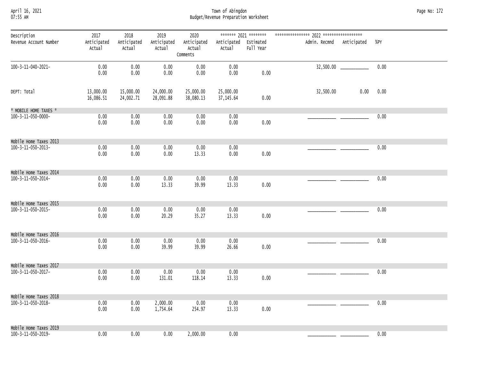#### April 16, 2021 Town of Abingdon Page No: 172 07:55 AM Budget/Revenue Preparation Worksheet

| Description                                  | 2017                   | 2018                   | 2019                   | 2020                              |                                 | ******* 2021 ******** |               |                             |      |
|----------------------------------------------|------------------------|------------------------|------------------------|-----------------------------------|---------------------------------|-----------------------|---------------|-----------------------------|------|
| Revenue Account Number                       | Anticipated<br>Actual  | Anticipated<br>Actual  | Anticipated<br>Actual  | Anticipated<br>Actual<br>Comments | Anticipated Estimated<br>Actual | Full Year             | Admin. Recmnd | Anticipated                 | %PY  |
| 100-3-11-040-2021-                           | 0.00<br>0.00           | 0.00<br>0.00           | 0.00<br>0.00           | 0.00<br>0.00                      | 0.00<br>0.00                    | 0.00                  |               | $32,500.00$ _______________ | 0.00 |
| DEPT: Total                                  | 13,000.00<br>16,086.51 | 15,000.00<br>24,002.71 | 24,000.00<br>28,091.88 | 25,000.00<br>38,080.13            | 25,000.00<br>37, 145.64         | 0.00                  | 32,500.00     | 0.00                        | 0.00 |
| * MOBILE HOME TAXES *                        |                        |                        |                        |                                   |                                 |                       |               |                             |      |
| 100-3-11-050-0000-                           | 0.00<br>0.00           | 0.00<br>0.00           | 0.00<br>0.00           | 0.00<br>0.00                      | 0.00<br>0.00                    | 0.00                  |               |                             | 0.00 |
| Mobile Home Taxes 2013                       |                        |                        |                        |                                   |                                 |                       |               |                             |      |
| 100-3-11-050-2013-                           | 0.00<br>0.00           | 0.00<br>0.00           | 0.00<br>0.00           | 0.00<br>13.33                     | 0.00<br>0.00                    | 0.00                  |               |                             | 0.00 |
| Mobile Home Taxes 2014                       |                        |                        |                        |                                   |                                 |                       |               |                             |      |
| 100-3-11-050-2014-                           | 0.00<br>0.00           | 0.00<br>0.00           | 0.00<br>13.33          | 0.00<br>39.99                     | 0.00<br>13.33                   | 0.00                  |               |                             | 0.00 |
|                                              |                        |                        |                        |                                   |                                 |                       |               |                             |      |
| Mobile Home Taxes 2015<br>100-3-11-050-2015- | 0.00<br>0.00           | 0.00<br>0.00           | 0.00<br>20.29          | 0.00<br>35.27                     | 0.00<br>13.33                   | 0.00                  |               |                             | 0.00 |
| Mobile Home Taxes 2016                       |                        |                        |                        |                                   |                                 |                       |               |                             |      |
| 100-3-11-050-2016-                           | 0.00<br>0.00           | 0.00<br>0.00           | 0.00<br>39.99          | 0.00<br>39.99                     | 0.00<br>26.66                   | 0.00                  |               |                             | 0.00 |
|                                              |                        |                        |                        |                                   |                                 |                       |               |                             |      |
| Mobile Home Taxes 2017<br>100-3-11-050-2017- | 0.00<br>0.00           | 0.00<br>0.00           | 0.00<br>131.01         | 0.00<br>118.14                    | 0.00<br>13.33                   | 0.00                  |               |                             | 0.00 |
|                                              |                        |                        |                        |                                   |                                 |                       |               |                             |      |
| Mobile Home Taxes 2018<br>100-3-11-050-2018- | 0.00<br>0.00           | 0.00<br>0.00           | 2,000.00<br>1,754.64   | 0.00<br>254.97                    | 0.00<br>13.33                   | 0.00                  |               |                             | 0.00 |
| Mobile Home Taxes 2019<br>100-3-11-050-2019- | 0.00                   | 0.00                   | 0.00                   | 2,000.00                          | 0.00                            |                       |               |                             | 0.00 |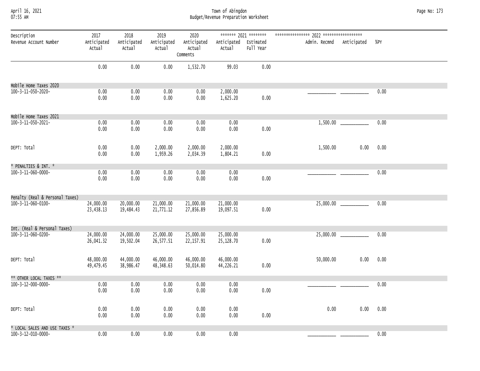#### April 16, 2021 Town of Abingdon Page No: 173 07:55 AM Budget/Revenue Preparation Worksheet

| Description                     | 2017                   | 2018                   | 2019                   | 2020                              |                                 | ******* 2021 ******** |               |                       |      |
|---------------------------------|------------------------|------------------------|------------------------|-----------------------------------|---------------------------------|-----------------------|---------------|-----------------------|------|
| Revenue Account Number          | Anticipated<br>Actual  | Anticipated<br>Actual  | Anticipated<br>Actual  | Anticipated<br>Actual<br>Comments | Anticipated Estimated<br>Actual | Full Year             | Admin. Recmnd | Anticipated           | %PY  |
|                                 | 0.00                   | 0.00                   | 0.00                   | 1,532.70                          | 99.03                           | 0.00                  |               |                       |      |
| Mobile Home Taxes 2020          |                        |                        |                        |                                   |                                 |                       |               |                       |      |
| 100-3-11-050-2020-              | 0.00<br>0.00           | 0.00<br>0.00           | 0.00<br>0.00           | 0.00<br>0.00                      | 2,000.00<br>1,625.20            | 0.00                  |               |                       | 0.00 |
| Mobile Home Taxes 2021          |                        |                        |                        |                                   |                                 |                       |               |                       |      |
| 100-3-11-050-2021-              | 0.00<br>0.00           | 0.00<br>0.00           | 0.00<br>0.00           | 0.00<br>0.00                      | 0.00<br>0.00                    | $0.00\,$              |               |                       | 0.00 |
| DEPT: Total                     | 0.00<br>0.00           | 0.00<br>0.00           | 2,000.00<br>1,959.26   | 2,000.00<br>2,034.39              | 2,000.00<br>1,804.21            | 0.00                  | 1,500.00      | 0.00                  | 0.00 |
| * PENALTIES & INT. *            |                        |                        |                        |                                   |                                 |                       |               |                       |      |
| 100-3-11-060-0000-              | 0.00<br>0.00           | 0.00<br>0.00           | 0.00<br>0.00           | 0.00<br>0.00                      | 0.00<br>0.00                    | 0.00                  |               |                       | 0.00 |
| Penalty (Real & Personal Taxes) |                        |                        |                        |                                   |                                 |                       |               |                       |      |
| 100-3-11-060-0100-              | 24,000.00<br>23,438.13 | 20,000.00<br>19,484.43 | 21,000.00<br>21,771.12 | 21,000.00<br>27,856.89            | 21,000.00<br>19,097.51          | $0.00\,$              |               |                       | 0.00 |
| Int. (Real & Personal Taxes)    |                        |                        |                        |                                   |                                 |                       |               |                       |      |
| 100-3-11-060-0200-              | 24,000.00<br>26,041.32 | 24,000.00<br>19,502.04 | 25,000.00<br>26,577.51 | 25,000.00<br>22, 157.91           | 25,000.00<br>25,128.70          | $0.00\,$              |               | 25,000.00 ___________ | 0.00 |
| DEPT: Total                     | 48,000.00<br>49,479.45 | 44,000.00<br>38,986.47 | 46,000.00<br>48,348.63 | 46,000.00<br>50,014.80            | 46,000.00<br>44,226.21          | 0.00                  | 50,000.00     | 0.00                  | 0.00 |
| ** OTHER LOCAL TAXES **         |                        |                        |                        |                                   |                                 |                       |               |                       |      |
| 100-3-12-000-0000-              | 0.00<br>0.00           | 0.00<br>0.00           | 0.00<br>0.00           | 0.00<br>0.00                      | 0.00<br>0.00                    | $0.00\,$              |               |                       | 0.00 |
| DEPT: Total                     | 0.00<br>0.00           | 0.00<br>0.00           | 0.00<br>0.00           | 0.00<br>0.00                      | 0.00<br>0.00                    | 0.00                  | 0.00          | 0.00                  | 0.00 |
| * LOCAL SALES AND USE TAXES *   |                        |                        |                        |                                   |                                 |                       |               |                       |      |
| 100-3-12-010-0000-              | 0.00                   | 0.00                   | 0.00                   | 0.00                              | 0.00                            |                       |               |                       | 0.00 |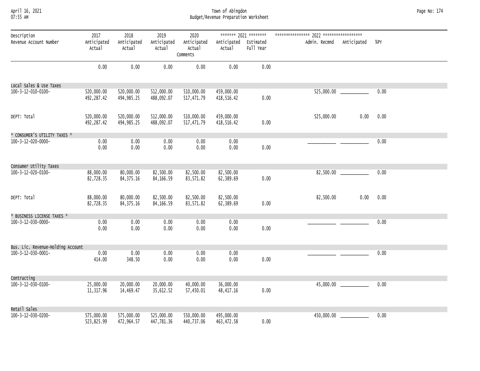#### April 16, 2021 Town of Abingdon Page No: 174 07:55 AM Budget/Revenue Preparation Worksheet

| Description                                      | 2017                     | 2018                      | 2019                     | 2020                              |                                 | ******* 2021 ******** |                           |                            |      |
|--------------------------------------------------|--------------------------|---------------------------|--------------------------|-----------------------------------|---------------------------------|-----------------------|---------------------------|----------------------------|------|
| Revenue Account Number                           | Anticipated<br>Actual    | Anticipated<br>Actual     | Anticipated<br>Actual    | Anticipated<br>Actual<br>Comments | Anticipated Estimated<br>Actual | Full Year             | Admin. Recmnd Anticipated |                            | %PY  |
|                                                  | 0.00                     | 0.00                      | 0.00                     | 0.00                              | 0.00                            | 0.00                  |                           |                            |      |
| Local Sales & Use Taxes                          |                          |                           |                          |                                   |                                 |                       |                           |                            |      |
| 100-3-12-010-0100-                               | 520,000.00<br>492,287.42 | 520,000.00<br>494, 985.25 | 512,000.00<br>488,092.07 | 510,000.00<br>517,471.79          | 459,000.00<br>418,516.42        | 0.00                  |                           | 525,000.00 _____________   | 0.00 |
| DEPT: Total                                      | 520,000.00<br>492,287.42 | 520,000.00<br>494,985.25  | 512,000.00<br>488,092.07 | 510,000.00<br>517,471.79          | 459,000.00<br>418,516.42        | 0.00                  | 525,000.00                | 0.00                       | 0.00 |
| * CONSUMER'S UTILITY TAXES *                     |                          |                           |                          |                                   |                                 |                       |                           |                            |      |
| 100-3-12-020-0000-                               | 0.00<br>0.00             | 0.00<br>0.00              | 0.00<br>0.00             | 0.00<br>0.00                      | 0.00<br>0.00                    | 0.00                  |                           |                            | 0.00 |
| Consumer Utility Taxes                           |                          |                           |                          |                                   |                                 |                       |                           |                            |      |
| 100-3-12-020-0100-                               | 88,000.00<br>82,728.35   | 80,000.00<br>84, 375. 16  | 82,500.00<br>84,166.59   | 82,500.00<br>83,571.82            | 82,500.00<br>62,389.69          | 0.00                  |                           | 82,500.00                  | 0.00 |
| DEPT: Total                                      | 88,000.00<br>82,728.35   | 80,000.00<br>84, 375. 16  | 82,500.00<br>84, 166.59  | 82,500.00<br>83,571.82            | 82,500.00<br>62,389.69          | 0.00                  | 82,500.00                 | 0.00                       | 0.00 |
| * BUSINESS LICENSE TAXES *<br>100-3-12-030-0000- | 0.00<br>0.00             | 0.00<br>0.00              | 0.00<br>0.00             | 0.00<br>0.00                      | 0.00<br>0.00                    | 0.00                  |                           |                            | 0.00 |
| Bus. Lic. Revenue-Holding Account                |                          |                           |                          |                                   |                                 |                       |                           |                            |      |
| 100-3-12-030-0001-                               | 0.00<br>414.00           | 0.00<br>348.50            | 0.00<br>0.00             | 0.00<br>0.00                      | 0.00<br>0.00                    | 0.00                  |                           |                            | 0.00 |
| Contracting                                      |                          |                           |                          |                                   |                                 |                       |                           |                            |      |
| 100-3-12-030-0100-                               | 25,000.00<br>11,317.96   | 20,000.00<br>14,469.47    | 20,000.00<br>35,612.52   | 40,000.00<br>57,450.01            | 36,000.00<br>48, 417. 16        | 0.00                  |                           | $45,000.00$ ______________ | 0.00 |
| Retail Sales                                     |                          |                           |                          |                                   |                                 |                       |                           |                            |      |
| 100-3-12-030-0200-                               | 575,000.00<br>523,825.99 | 575,000.00<br>472,964.57  | 525,000.00<br>447,781.36 | 550,000.00<br>440,737.06          | 495,000.00<br>463,472.58        | 0.00                  |                           |                            | 0.00 |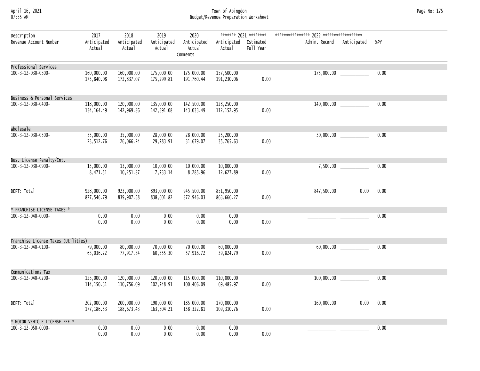#### April 16, 2021 Town of Abingdon Page No: 175 07:55 AM Budget/Revenue Preparation Worksheet

| Description                                 | 2017                      | 2018                     | 2019                     | 2020                              |                                 | ******* 2021 ******** |               |                              |      |
|---------------------------------------------|---------------------------|--------------------------|--------------------------|-----------------------------------|---------------------------------|-----------------------|---------------|------------------------------|------|
| Revenue Account Number                      | Anticipated<br>Actual     | Anticipated<br>Actual    | Anticipated<br>Actual    | Anticipated<br>Actual<br>Comments | Anticipated Estimated<br>Actual | Full Year             | Admin. Recmnd | Anticipated                  | %PY  |
| Professional Services<br>100-3-12-030-0300- | 160,000.00<br>175,840.08  | 160,000.00<br>172,837.07 | 175,000.00<br>175,299.81 | 175,000.00<br>191,760.44          | 157,500.00<br>191,230.06        | 0.00                  |               | $175,000.00$ _______________ | 0.00 |
| Business & Personal Services                |                           |                          |                          |                                   |                                 |                       |               |                              |      |
| 100-3-12-030-0400-                          | 118,000.00<br>134, 164.49 | 120,000.00<br>142,969.86 | 135,000.00<br>142,391.08 | 142,500.00<br>143,033.49          | 128,250.00<br>112, 152.95       | 0.00                  |               | 140,000.00 _______________   | 0.00 |
| Wholesale                                   |                           |                          |                          |                                   |                                 |                       |               |                              |      |
| 100-3-12-030-0500-                          | 35,000.00<br>23,512.76    | 35,000.00<br>26,066.24   | 28,000.00<br>29,783.91   | 28,000.00<br>31,679.07            | 25,200.00<br>35,765.63          | 0.00                  |               | $30,000.00$ _______________  | 0.00 |
| Bus. License Penalty/Int.                   |                           |                          |                          |                                   |                                 |                       |               |                              |      |
| 100-3-12-030-0900-                          | 15,000.00<br>8,471.51     | 13,000.00<br>10,251.87   | 10,000.00<br>7,733.14    | 10,000.00<br>8,285.96             | 10,000.00<br>12,627.89          | 0.00                  |               |                              | 0.00 |
| DEPT: Total                                 | 928,000.00<br>877,546.79  | 923,000.00<br>839,907.58 | 893,000.00<br>838,601.82 | 945,500.00<br>872,946.03          | 851,950.00<br>863,666.27        | 0.00                  | 847,500.00    | 0.00                         | 0.00 |
| * FRANCHISE LICENSE TAXES *                 |                           |                          |                          |                                   |                                 |                       |               |                              |      |
| 100-3-12-040-0000-                          | 0.00<br>0.00              | 0.00<br>0.00             | 0.00<br>0.00             | 0.00<br>0.00                      | 0.00<br>0.00                    | 0.00                  |               |                              | 0.00 |
| Franchise License Taxes (Utilities)         |                           |                          |                          |                                   |                                 |                       |               |                              |      |
| 100-3-12-040-0100-                          | 79,000.00<br>63,036.22    | 80,000.00<br>77,917.34   | 70,000.00<br>60,555.30   | 70,000.00<br>57,916.72            | 60,000.00<br>39,824.79          | 0.00                  |               |                              | 0.00 |
| Communications Tax                          |                           |                          |                          |                                   |                                 |                       |               |                              |      |
| 100-3-12-040-0200-                          | 123,000.00<br>114, 150.31 | 120,000.00<br>110,756.09 | 120,000.00<br>102,748.91 | 115,000.00<br>100,406.09          | 110,000.00<br>69,485.97         | 0.00                  | 100,000.00    |                              | 0.00 |
| DEPT: Total                                 | 202,000.00<br>177, 186.53 | 200,000.00<br>188,673.43 | 190,000.00<br>163,304.21 | 185,000.00<br>158,322.81          | 170,000.00<br>109, 310.76       | 0.00                  | 160,000.00    | 0.00                         | 0.00 |
| * MOTOR VEHICLE LICENSE FEE *               |                           |                          |                          |                                   |                                 |                       |               |                              |      |
| 100-3-12-050-0000-                          | 0.00<br>0.00              | 0.00<br>0.00             | 0.00<br>0.00             | 0.00<br>0.00                      | 0.00<br>0.00                    | 0.00                  |               |                              | 0.00 |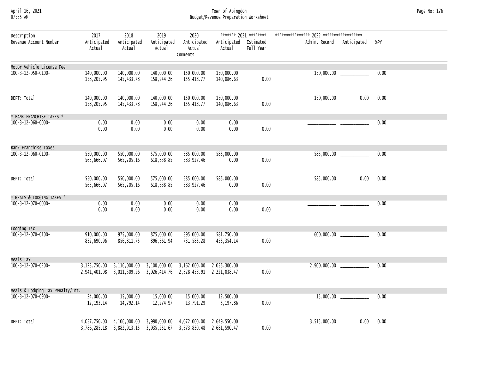#### April 16, 2021 Town of Abingdon Page No: 176 07:55 AM Budget/Revenue Preparation Worksheet

| Description<br>Revenue Account Number                  | 2017<br>Anticipated<br>Actual | 2018<br>Anticipated<br>Actual | 2019<br>Anticipated<br>Actual | 2020<br>Anticipated<br>Actual<br>Comments                                                                                                      | Anticipated Estimated<br>Actual | ******* 2021 ********<br>Full Year | Admin. Recmnd | Anticipated                  | %PY  |
|--------------------------------------------------------|-------------------------------|-------------------------------|-------------------------------|------------------------------------------------------------------------------------------------------------------------------------------------|---------------------------------|------------------------------------|---------------|------------------------------|------|
| Motor Vehicle License Fee                              |                               |                               |                               |                                                                                                                                                |                                 |                                    |               |                              |      |
| 100-3-12-050-0100-                                     | 140,000.00<br>158,205.95      | 140,000.00<br>145,433.78      | 140,000.00<br>158,944.26      | 150,000.00<br>155,418.77                                                                                                                       | 150,000.00<br>140,086.63        | 0.00                               |               | $150,000.00$ _______________ | 0.00 |
| DEPT: Total                                            | 140,000.00<br>158,205.95      | 140,000.00<br>145,433.78      | 140,000.00<br>158,944.26      | 150,000.00<br>155,418.77                                                                                                                       | 150,000.00<br>140,086.63        | 0.00                               | 150,000.00    | 0.00                         | 0.00 |
| * BANK FRANCHISE TAXES *                               |                               |                               |                               |                                                                                                                                                |                                 |                                    |               |                              |      |
| 100-3-12-060-0000-                                     | 0.00<br>0.00                  | 0.00<br>0.00                  | 0.00<br>0.00                  | 0.00<br>0.00                                                                                                                                   | 0.00<br>0.00                    | 0.00                               |               |                              | 0.00 |
| Bank Franchise Taxes                                   |                               |                               |                               |                                                                                                                                                |                                 |                                    |               |                              |      |
| 100-3-12-060-0100-                                     | 550,000.00<br>565,666.07      | 550,000.00<br>565,205.16      | 575,000.00<br>618,638.85      | 585,000.00<br>583,927.46                                                                                                                       | 585,000.00<br>0.00              | 0.00                               |               | 585,000.00 ____________      | 0.00 |
| DEPT: Total                                            | 550,000.00<br>565,666.07      | 550,000.00<br>565,205.16      | 575,000.00<br>618,638.85      | 585,000.00<br>583,927.46                                                                                                                       | 585,000.00<br>0.00              | 0.00                               | 585,000.00    | 0.00                         | 0.00 |
| * MEALS & LODGING TAXES *                              |                               |                               |                               |                                                                                                                                                |                                 |                                    |               |                              |      |
| 100-3-12-070-0000-                                     | 0.00<br>0.00                  | 0.00<br>0.00                  | 0.00<br>0.00                  | 0.00<br>0.00                                                                                                                                   | 0.00<br>0.00                    | 0.00                               |               |                              | 0.00 |
| Lodging Tax                                            |                               |                               |                               |                                                                                                                                                |                                 |                                    |               |                              |      |
| 100-3-12-070-0100-                                     | 910,000.00<br>832,690.96      | 975,000.00<br>856, 811.75     | 875,000.00<br>896,561.94      | 895,000.00<br>731,585.28                                                                                                                       | 581,750.00<br>455, 354.14       | 0.00                               |               | 600,000.00 _____________     | 0.00 |
| Meals Tax                                              |                               |                               |                               |                                                                                                                                                |                                 |                                    |               |                              |      |
| 100-3-12-070-0200-                                     |                               |                               |                               | 3, 123, 750.00 3, 116, 000.00 3, 100, 000.00 3, 162, 000.00 2, 055, 300.00<br>2,941,401.08 3,011,309.26 3,026,414.76 2,828,453.91 2,221,038.47 |                                 | 0.00                               |               | $2,900,000.00$ _____________ | 0.00 |
|                                                        |                               |                               |                               |                                                                                                                                                |                                 |                                    |               |                              |      |
| Meals & Lodging Tax Penalty/Int.<br>100-3-12-070-0900- | 24,000.00<br>12, 193. 14      | 15,000.00<br>14,792.14        | 15,000.00<br>12,274.97        | 15,000.00<br>13,791.29                                                                                                                         | 12,500.00<br>5,197.86           | 0.00                               |               | $15,000.00$ ______________   | 0.00 |
| DEPT: Total                                            |                               |                               |                               | 4,057,750.00 4,106,000.00 3,990,000.00 4,072,000.00 2,649,550.00<br>3,786,285.18 3,882,913.15 3,935,251.67 3,573,830.48 2,681,590.47           |                                 | 0.00                               | 3,515,000.00  | 0.00                         | 0.00 |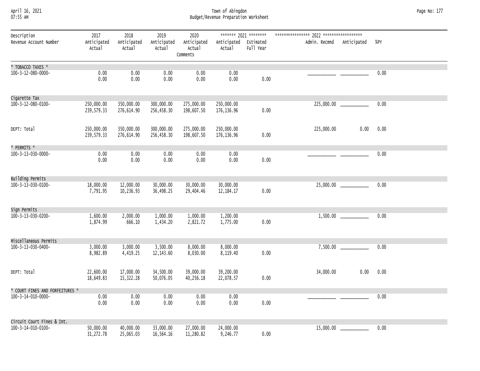April 16, 2021 Town of Abingdon Page No: 177 07:55 AM Budget/Revenue Preparation Worksheet

| Description<br>Revenue Account Number | 2017<br>Anticipated<br>Actual | 2018<br>Anticipated<br>Actual | 2019<br>Anticipated<br>Actual | 2020<br>Anticipated<br>Actual<br>Comments | Anticipated Estimated<br>Actual | ******* 2021 ********<br>Full Year | Admin. Recmnd | Anticipated                 | %PY  |
|---------------------------------------|-------------------------------|-------------------------------|-------------------------------|-------------------------------------------|---------------------------------|------------------------------------|---------------|-----------------------------|------|
| * TOBACCO TAXES *                     |                               |                               |                               |                                           |                                 |                                    |               |                             |      |
| 100-3-12-080-0000-                    | 0.00<br>0.00                  | 0.00<br>0.00                  | 0.00<br>0.00                  | 0.00<br>0.00                              | 0.00<br>0.00                    | 0.00                               |               |                             | 0.00 |
| Cigarette Tax                         |                               |                               |                               |                                           |                                 |                                    |               |                             |      |
| 100-3-12-080-0100-                    | 250,000.00<br>239,579.33      | 350,000.00<br>276,614.90      | 300,000.00<br>256,458.30      | 275,000.00<br>198,607.50                  | 250,000.00<br>176, 136.96       | 0.00                               |               |                             | 0.00 |
| DEPT: Total                           | 250,000.00<br>239,579.33      | 350,000.00<br>276,614.90      | 300,000.00<br>256,458.30      | 275,000.00<br>198,607.50                  | 250,000.00<br>176, 136.96       | 0.00                               | 225,000.00    | 0.00                        | 0.00 |
| * PERMITS *                           |                               |                               |                               |                                           |                                 |                                    |               |                             |      |
| 100-3-13-030-0000-                    | 0.00<br>0.00                  | 0.00<br>0.00                  | 0.00<br>0.00                  | 0.00<br>0.00                              | 0.00<br>0.00                    | 0.00                               |               |                             | 0.00 |
| Building Permits                      |                               |                               |                               |                                           |                                 |                                    |               |                             |      |
| 100-3-13-030-0100-                    | 18,000.00<br>7,791.95         | 12,000.00<br>10,236.93        | 30,000.00<br>36,498.25        | 30,000.00<br>29,404.46                    | 30,000.00<br>12, 184. 17        | 0.00                               |               | $25,000.00$ _______________ | 0.00 |
| Sign Permits                          |                               |                               |                               |                                           |                                 |                                    |               |                             |      |
| 100-3-13-030-0200-                    | 1,600.00<br>1,874.99          | 2,000.00<br>666.10            | 1,000.00<br>1,434.20          | 1,000.00<br>2,821.72                      | 1,200.00<br>1,775.00            | 0.00                               |               |                             | 0.00 |
| Miscellaneous Permits                 |                               |                               |                               |                                           |                                 |                                    |               |                             |      |
| 100-3-13-030-0400-                    | 3,000.00<br>8,982.89          | 3,000.00<br>4,419.25          | 3,500.00<br>12, 143.60        | 8,000.00<br>8,030.00                      | 8,000.00<br>8,119.40            | 0.00                               |               | 7,500.00 ____________       | 0.00 |
| DEPT: Total                           | 22,600.00<br>18,649.83        | 17,000.00<br>15,322.28        | 34,500.00<br>50,076.05        | 39,000.00<br>40,256.18                    | 39,200.00<br>22,078.57          | 0.00                               | 34,000.00     | 0.00                        | 0.00 |
| * COURT FINES AND FORFEITURES *       |                               |                               |                               |                                           |                                 |                                    |               |                             |      |
| 100-3-14-010-0000-                    | 0.00<br>0.00                  | 0.00<br>0.00                  | 0.00<br>0.00                  | 0.00<br>0.00                              | 0.00<br>0.00                    | 0.00                               |               |                             | 0.00 |
| Circuit Court Fines & Int.            |                               |                               |                               |                                           |                                 |                                    |               |                             |      |
| 100-3-14-010-0100-                    | 50,000.00<br>31,272.78        | 40,000.00<br>25,065.03        | 33,000.00<br>16,564.16        | 27,000.00<br>11,280.82                    | 24,000.00<br>9,246.77           | 0.00                               |               |                             | 0.00 |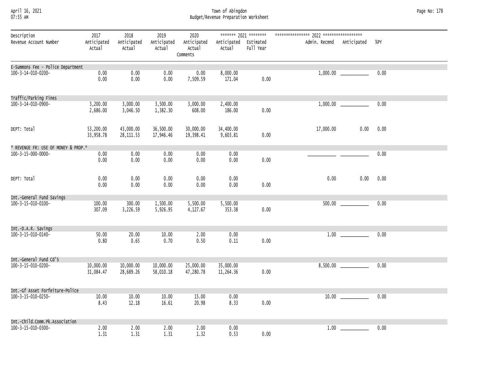#### April 16, 2021 Town of Abingdon Page No: 178 07:55 AM Budget/Revenue Preparation Worksheet

| Description<br>Revenue Account Number                   | 2017<br>Anticipated<br>Actual | 2018<br>Anticipated<br>Actual | 2019<br>Anticipated<br>Actual | 2020<br>Anticipated<br>Actual | Anticipated Estimated<br>Actual | ******* 2021 ********<br>Full Year | Admin. Recmnd | Anticipated | %PY  |
|---------------------------------------------------------|-------------------------------|-------------------------------|-------------------------------|-------------------------------|---------------------------------|------------------------------------|---------------|-------------|------|
|                                                         |                               |                               |                               | Comments                      |                                 |                                    |               |             |      |
| E-Summons Fee - Police Department<br>100-3-14-010-0200- | 0.00<br>0.00                  | 0.00<br>0.00                  | 0.00<br>0.00                  | 0.00<br>7,509.59              | 8,000.00<br>171.04              | 0.00                               |               |             | 0.00 |
| Traffic/Parking Fines                                   |                               |                               |                               |                               |                                 |                                    |               |             |      |
| 100-3-14-010-0900-                                      | 3,200.00<br>2,686.00          | 3,000.00<br>3,046.50          | 3,500.00<br>1,382.30          | 3,000.00<br>608.00            | 2,400.00<br>186.00              | 0.00                               | 1,000.00      |             | 0.00 |
| DEPT: Total                                             | 53,200.00<br>33,958.78        | 43,000.00<br>28, 111.53       | 36,500.00<br>17,946.46        | 30,000.00<br>19,398.41        | 34,400.00<br>9,603.81           | 0.00                               | 17,000.00     | 0.00        | 0.00 |
| * REVENUE FR: USE OF MONEY & PROP.*                     |                               |                               |                               |                               |                                 |                                    |               |             |      |
| 100-3-15-000-0000-                                      | 0.00<br>0.00                  | 0.00<br>0.00                  | 0.00<br>0.00                  | 0.00<br>0.00                  | 0.00<br>0.00                    | 0.00                               |               |             | 0.00 |
| DEPT: Total                                             | 0.00<br>0.00                  | 0.00<br>0.00                  | 0.00<br>0.00                  | 0.00<br>0.00                  | 0.00<br>0.00                    | 0.00                               | 0.00          | 0.00        | 0.00 |
| Int.-General Fund Savings                               |                               |                               |                               |                               |                                 |                                    |               |             |      |
| 100-3-15-010-0100-                                      | 100.00<br>307.09              | 300.00<br>3,226.59            | 1,500.00<br>5,926.95          | 5,500.00<br>4,127.67          | 5,500.00<br>353.38              | 0.00                               | 500.00        |             | 0.00 |
| Int.-D.A.R. Savings                                     |                               |                               |                               |                               |                                 |                                    |               |             |      |
| 100-3-15-010-0140-                                      | 50.00<br>0.80                 | 20.00<br>0.65                 | 10.00<br>0.70                 | 2.00<br>0.50                  | 0.00<br>0.11                    | 0.00                               |               |             | 0.00 |
| Int.-General Fund Cd'S                                  |                               |                               |                               |                               |                                 |                                    |               |             |      |
| 100-3-15-010-0200-                                      | 10,000.00<br>31,084.47        | 10,000.00<br>28,689.26        | 10,000.00<br>58,010.18        | 25,000.00<br>47,280.78        | 35,000.00<br>11,264.36          | 0.00                               |               |             | 0.00 |
| Int.-Gf Asset Forfeiture-Police                         |                               |                               |                               |                               |                                 |                                    |               |             |      |
| 100-3-15-010-0250-                                      | 10.00<br>8.43                 | 10.00<br>12.18                | 10.00<br>16.61                | 15.00<br>20.98                | 0.00<br>8.33                    | 0.00                               | 10.00         |             | 0.00 |
| Int.-Child.Comm.Pk.Association                          |                               |                               |                               |                               |                                 |                                    |               |             |      |
| 100-3-15-010-0300-                                      | 2.00<br>1.31                  | 2.00<br>1.31                  | 2.00<br>1.31                  | 2.00<br>1.32                  | 0.00<br>0.53                    | 0.00                               | 1.00          |             | 0.00 |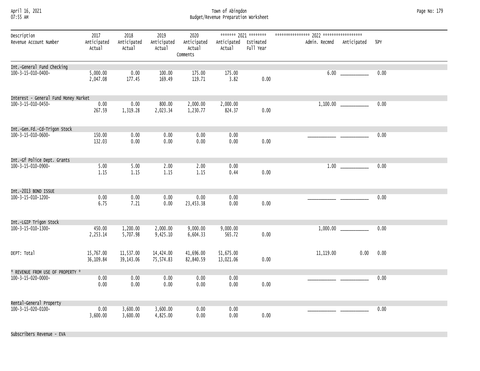April 16, 2021 Town of Abingdon Page No: 179 07:55 AM Budget/Revenue Preparation Worksheet

| Description<br>Revenue Account Number            | 2017<br>Anticipated<br>Actual | 2018<br>Anticipated<br>Actual | 2019<br>Anticipated<br>Actual | 2020<br>Anticipated<br>Actual<br>Comments | Anticipated Estimated<br>Actual | ******* 2021 ********<br>Full Year | Admin. Recmnd Anticipated |      | %PY  |
|--------------------------------------------------|-------------------------------|-------------------------------|-------------------------------|-------------------------------------------|---------------------------------|------------------------------------|---------------------------|------|------|
| Int.-General Fund Checking<br>100-3-15-010-0400- | 5,000.00                      | 0.00                          | 100.00                        | 175.00                                    | 175.00                          |                                    |                           |      | 0.00 |
|                                                  | 2,047.08                      | 177.45                        | 169.49                        | 119.71                                    | 3.82                            | 0.00                               |                           |      |      |
| Interest - General Fund Money Market             |                               |                               |                               |                                           |                                 |                                    |                           |      |      |
| 100-3-15-010-0450-                               | 0.00<br>267.59                | 0.00<br>1,319.28              | 800.00<br>2,023.34            | 2,000.00<br>1,230.77                      | 2,000.00<br>824.37              | 0.00                               |                           |      | 0.00 |
| Int.-Gen.Fd.-Cd-Trigon Stock                     |                               |                               |                               |                                           |                                 |                                    |                           |      |      |
| 100-3-15-010-0600-                               | 150.00<br>132.03              | 0.00<br>0.00                  | 0.00<br>0.00                  | 0.00<br>0.00                              | 0.00<br>0.00                    | 0.00                               |                           |      | 0.00 |
| Int.-Gf Police Dept. Grants                      |                               |                               |                               |                                           |                                 |                                    |                           |      |      |
| 100-3-15-010-0900-                               | 5.00<br>1.15                  | 5.00<br>1.15                  | 2.00<br>1.15                  | 2.00<br>1.15                              | 0.00<br>0.44                    | 0.00                               |                           |      | 0.00 |
| Int.-2013 BOND ISSUE                             |                               |                               |                               |                                           |                                 |                                    |                           |      |      |
| 100-3-15-010-1200-                               | 0.00<br>6.75                  | 0.00<br>7.21                  | 0.00<br>0.00                  | 0.00<br>23,453.38                         | 0.00<br>0.00                    | 0.00                               |                           |      | 0.00 |
| Int.-LGIP Trigon Stock                           |                               |                               |                               |                                           |                                 |                                    |                           |      |      |
| 100-3-15-010-1300-                               | 450.00<br>2,253.14            | 1,200.00<br>5,707.98          | 2,000.00<br>9,425.10          | 9,000.00<br>6,604.33                      | 9,000.00<br>565.72              | 0.00                               |                           |      | 0.00 |
| DEPT: Total                                      | 15,767.00<br>36,109.84        | 11,537.00<br>39,143.06        | 14,424.00<br>75,574.83        | 41,696.00<br>82,840.59                    | 51,675.00<br>13,021.06          | 0.00                               | 11, 119.00                | 0.00 | 0.00 |
| * REVENUE FROM USE OF PROPERTY *                 |                               |                               |                               |                                           |                                 |                                    |                           |      |      |
| 100-3-15-020-0000-                               | 0.00<br>0.00                  | 0.00<br>0.00                  | 0.00<br>0.00                  | 0.00<br>0.00                              | 0.00<br>0.00                    | 0.00                               |                           |      | 0.00 |
| Rental-General Property                          |                               |                               |                               |                                           |                                 |                                    |                           |      |      |
| 100-3-15-020-0100-                               | 0.00<br>3,600.00              | 3,600.00<br>3,600.00          | 3,600.00<br>4,825.00          | 0.00<br>0.00                              | 0.00<br>0.00                    | 0.00                               |                           |      | 0.00 |

Subscribers Revenue - EVA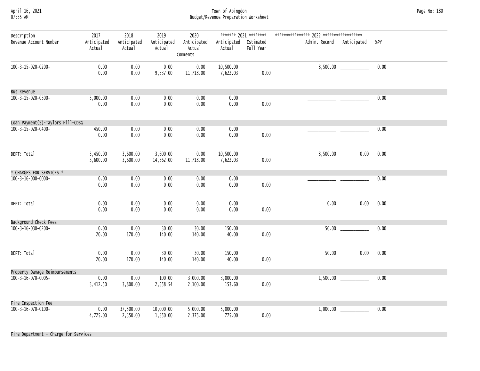#### April 16, 2021 Town of Abingdon Page No: 180 07:55 AM Budget/Revenue Preparation Worksheet

| Description                       | 2017                  | 2018                  | 2019                  | 2020                              |                                 | ******* 2021 ******** |                           |      |      |
|-----------------------------------|-----------------------|-----------------------|-----------------------|-----------------------------------|---------------------------------|-----------------------|---------------------------|------|------|
| Revenue Account Number            | Anticipated<br>Actual | Anticipated<br>Actual | Anticipated<br>Actual | Anticipated<br>Actual<br>Comments | Anticipated Estimated<br>Actual | Full Year             | Admin. Recmnd Anticipated |      | %PY  |
| 100-3-15-020-0200-                | 0.00<br>0.00          | 0.00<br>0.00          | 0.00<br>9,537.00      | 0.00<br>11,718.00                 | 10,500.00<br>7,622.03           | 0.00                  |                           |      | 0.00 |
| <b>Bus Revenue</b>                |                       |                       |                       |                                   |                                 |                       |                           |      |      |
| 100-3-15-020-0300-                | 5,000.00<br>0.00      | 0.00<br>0.00          | 0.00<br>0.00          | 0.00<br>0.00                      | 0.00<br>0.00                    | 0.00                  |                           |      | 0.00 |
| Loan Payment(S)-Taylors Hill-CDBG |                       |                       |                       |                                   |                                 |                       |                           |      |      |
| 100-3-15-020-0400-                | 450.00<br>0.00        | 0.00<br>0.00          | 0.00<br>0.00          | 0.00<br>0.00                      | 0.00<br>0.00                    | 0.00                  |                           |      | 0.00 |
| DEPT: Total                       | 5,450.00<br>3,600.00  | 3,600.00<br>3,600.00  | 3,600.00<br>14,362.00 | 0.00<br>11,718.00                 | 10,500.00<br>7,622.03           | 0.00                  | 8,500.00                  | 0.00 | 0.00 |
| * CHARGES FOR SERVICES *          |                       |                       |                       |                                   |                                 |                       |                           |      |      |
| $100 - 3 - 16 - 000 - 0000 -$     | 0.00<br>0.00          | 0.00<br>0.00          | 0.00<br>0.00          | 0.00<br>0.00                      | 0.00<br>0.00                    | 0.00                  |                           |      | 0.00 |
| DEPT: Total                       | 0.00<br>0.00          | 0.00<br>0.00          | 0.00<br>0.00          | 0.00<br>0.00                      | 0.00<br>0.00                    | 0.00                  | 0.00                      | 0.00 | 0.00 |
| Background Check Fees             |                       |                       |                       |                                   |                                 |                       |                           |      |      |
| 100-3-16-030-0200-                | 0.00<br>20.00         | 0.00<br>170.00        | 30.00<br>140.00       | 30.00<br>140.00                   | 150.00<br>40.00                 | 0.00                  | 50.00                     |      | 0.00 |
| DEPT: Total                       | 0.00<br>20.00         | 0.00<br>170.00        | 30.00<br>140.00       | 30.00<br>140.00                   | 150.00<br>40.00                 | 0.00                  | 50.00                     | 0.00 | 0.00 |
| Property Damage Reimbursements    |                       |                       |                       |                                   |                                 |                       |                           |      |      |
| $100 - 3 - 16 - 070 - 0005 -$     | 0.00<br>3,412.50      | 0.00<br>3,800.00      | 100.00<br>2,558.54    | 3,000.00<br>2,100.00              | 3,000.00<br>153.60              | 0.00                  |                           |      | 0.00 |
| Fire Inspection Fee               |                       |                       |                       |                                   |                                 |                       |                           |      |      |
| 100-3-16-070-0100-                | 0.00<br>4,725.00      | 37,500.00<br>2,350.00 | 10,000.00<br>1,350.00 | 5,000.00<br>2,375.00              | 5,000.00<br>775.00              | 0.00                  |                           |      | 0.00 |

Fire Department - Charge for Services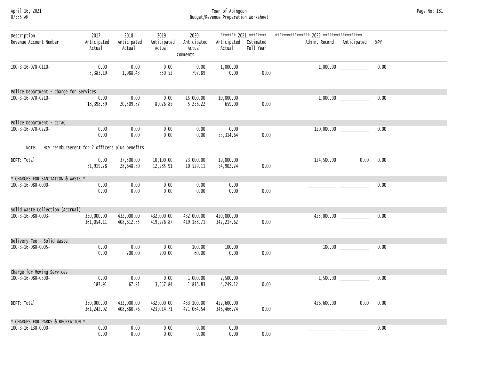April 16, 2021 Town of Abingdon Page No: 181 07:55 AM Budget/Revenue Preparation Worksheet

| Description                                             | 2017                      | 2018                     | 2019                     | 2020                              |                                 | ******* 2021 ******** |               |                           |      |
|---------------------------------------------------------|---------------------------|--------------------------|--------------------------|-----------------------------------|---------------------------------|-----------------------|---------------|---------------------------|------|
| Revenue Account Number                                  | Anticipated<br>Actual     | Anticipated<br>Actual    | Anticipated<br>Actual    | Anticipated<br>Actual<br>Comments | Anticipated Estimated<br>Actual | Full Year             | Admin. Recmnd | Anticipated               | %PY  |
| 100-3-16-070-0110-                                      | 0.00<br>5,383.19          | 0.00<br>1,988.43         | 0.00<br>350.52           | 0.00<br>797.89                    | 1,000.00<br>0.00                | 0.00                  |               |                           | 0.00 |
| Police Department - Charge for Services                 |                           |                          |                          |                                   |                                 |                       |               |                           |      |
| 100-3-16-070-0210-                                      | 0.00<br>18,398.59         | 0.00<br>20,509.87        | 0.00<br>8,026.85         | 15,000.00<br>5,256.22             | 10,000.00<br>659.00             | 0.00                  |               |                           | 0.00 |
| Police Department - CITAC                               |                           |                          |                          |                                   |                                 |                       |               |                           |      |
| 100-3-16-070-0220-                                      | 0.00<br>0.00              | 0.00<br>0.00             | 0.00<br>0.00             | 0.00<br>0.00                      | 0.00<br>53, 314.64              | 0.00                  |               | 120,000.00 ______________ | 0.00 |
| HCS reimbursement for 2 officers plus benefits<br>Note: |                           |                          |                          |                                   |                                 |                       |               |                           |      |
| DEPT: Total                                             | 0.00<br>31,919.28         | 37,500.00<br>28,648.30   | 10,100.00<br>12,285.91   | 23,000.00<br>10,529.11            | 19,000.00<br>54,902.24          | 0.00                  | 124,500.00    | 0.00                      | 0.00 |
| * CHARGES FOR SANITATION & WASTE *                      |                           |                          |                          |                                   |                                 |                       |               |                           |      |
| 100-3-16-080-0000-                                      | 0.00<br>0.00              | 0.00<br>0.00             | 0.00<br>0.00             | 0.00<br>0.00                      | 0.00<br>0.00                    | 0.00                  |               |                           | 0.00 |
| Solid Waste Collection (Accrual)                        |                           |                          |                          |                                   |                                 |                       |               |                           |      |
| 100-3-16-080-0003-                                      | 350,000.00<br>361,054.11  | 432,000.00<br>408,612.85 | 432,000.00<br>419,276.87 | 432,000.00<br>419,188.71          | 420,000.00<br>342, 217.62       | 0.00                  |               | 425,000.00 ______________ | 0.00 |
| Delivery Fee - Solid Waste                              |                           |                          |                          |                                   |                                 |                       |               |                           |      |
| 100-3-16-080-0005-                                      | 0.00<br>0.00              | 0.00<br>200.00           | 0.00<br>200.00           | 100.00<br>60.00                   | 100.00<br>0.00                  | 0.00                  |               | 100.00                    | 0.00 |
| Charge for Mowing Services                              |                           |                          |                          |                                   |                                 |                       |               |                           |      |
| $100 - 3 - 16 - 080 - 0300 -$                           | 0.00<br>187.91            | 0.00<br>67.91            | 0.00<br>3,537.84         | 1,000.00<br>1,815.83              | 2,500.00<br>4,249.12            | 0.00                  | 1,500.00      |                           | 0.00 |
| DEPT: Total                                             | 350,000.00<br>361, 242.02 | 432,000.00<br>408,880.76 | 432,000.00<br>423,014.71 | 433,100.00<br>421,064.54          | 422,600.00<br>346,466.74        | 0.00                  | 426,600.00    | 0.00                      | 0.00 |
| * CHARGES FOR PARKS & RECREATION *                      |                           |                          |                          |                                   |                                 |                       |               |                           |      |
| 100-3-16-130-0000-                                      | 0.00<br>0.00              | 0.00<br>0.00             | 0.00<br>0.00             | 0.00<br>0.00                      | 0.00<br>0.00                    | 0.00                  |               |                           | 0.00 |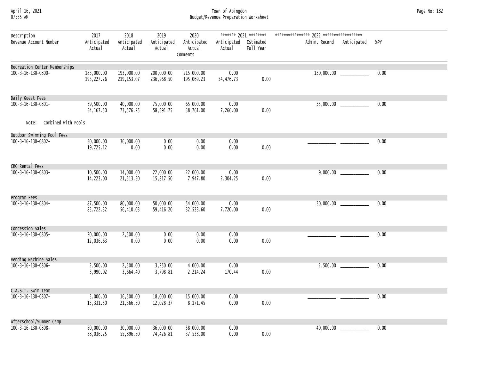#### April 16, 2021 Town of Abingdon Page No: 182 07:55 AM Budget/Revenue Preparation Worksheet

| Description                                         | 2017                      | 2018                      | 2019                     | 2020                              |                                 | ******* 2021 ******** |               |                            |      |
|-----------------------------------------------------|---------------------------|---------------------------|--------------------------|-----------------------------------|---------------------------------|-----------------------|---------------|----------------------------|------|
| Revenue Account Number                              | Anticipated<br>Actual     | Anticipated<br>Actual     | Anticipated<br>Actual    | Anticipated<br>Actual<br>Comments | Anticipated Estimated<br>Actual | Full Year             | Admin. Recmnd | Anticipated                | %PY  |
| Recreation Center Memberships<br>100-3-16-130-0800- | 183,000.00<br>193, 227.26 | 193,000.00<br>219, 153.07 | 200,000.00<br>236,968.50 | 215,000.00<br>195,069.23          | 0.00<br>54,476.73               | 0.00                  | 130,000.00    |                            | 0.00 |
| Daily Guest Fees                                    |                           |                           |                          |                                   |                                 |                       |               |                            |      |
| $100 - 3 - 16 - 130 - 0801 -$                       | 39,500.00<br>54, 167.50   | 40,000.00<br>73,576.25    | 75,000.00<br>58,591.75   | 65,000.00<br>38,761.00            | 0.00<br>7,266.00                | 0.00                  |               | $35,000.00$ ______________ | 0.00 |
| Combined with Pools<br>Note:                        |                           |                           |                          |                                   |                                 |                       |               |                            |      |
| Outdoor Swimming Pool Fees                          |                           |                           |                          |                                   |                                 |                       |               |                            |      |
| 100-3-16-130-0802-                                  | 30,000.00<br>19,725.12    | 36,000.00<br>0.00         | 0.00<br>0.00             | 0.00<br>0.00                      | 0.00<br>0.00                    | 0.00                  |               |                            | 0.00 |
| CRC Rental Fees                                     |                           |                           |                          |                                   |                                 |                       |               |                            |      |
| 100-3-16-130-0803-                                  | 10,500.00<br>14,223.00    | 14,000.00<br>21,513.50    | 22,000.00<br>15,817.50   | 22,000.00<br>7,947.80             | 0.00<br>2,304.25                | 0.00                  |               |                            | 0.00 |
| Program Fees                                        |                           |                           |                          |                                   |                                 |                       |               |                            |      |
| 100-3-16-130-0804-                                  | 87,500.00<br>85,722.32    | 80,000.00<br>56,410.03    | 50,000.00<br>59,416.20   | 54,000.00<br>32,533.60            | 0.00<br>7,720.00                | 0.00                  | 30,000.00     |                            | 0.00 |
| Concession Sales                                    |                           |                           |                          |                                   |                                 |                       |               |                            |      |
| 100-3-16-130-0805-                                  | 20,000.00<br>12,036.63    | 2,500.00<br>0.00          | 0.00<br>0.00             | 0.00<br>0.00                      | 0.00<br>0.00                    | 0.00                  |               |                            | 0.00 |
| Vending Machine Sales                               |                           |                           |                          |                                   |                                 |                       |               |                            |      |
| 100-3-16-130-0806-                                  | 2,500.00<br>3,990.02      | 2,500.00<br>3,664.40      | 3,250.00<br>3,798.81     | 4,000.00<br>2,214.24              | 0.00<br>170.44                  | 0.00                  | 2,500.00      |                            | 0.00 |
| C.A.S.T. Swim Team                                  |                           |                           |                          |                                   |                                 |                       |               |                            |      |
| 100-3-16-130-0807-                                  | 5,000.00<br>15,331.50     | 16,500.00<br>21,366.50    | 18,000.00<br>12,028.37   | 15,000.00<br>8,171.45             | 0.00<br>0.00                    | 0.00                  |               |                            | 0.00 |
| Afterschool/Summer Camp                             |                           |                           |                          |                                   |                                 |                       |               |                            |      |
| 100-3-16-130-0808-                                  | 50,000.00<br>38,036.25    | 30,000.00<br>55,896.50    | 36,000.00<br>74,426.81   | 58,000.00<br>37,538.00            | 0.00<br>0.00                    | 0.00                  | 40,000.00     |                            | 0.00 |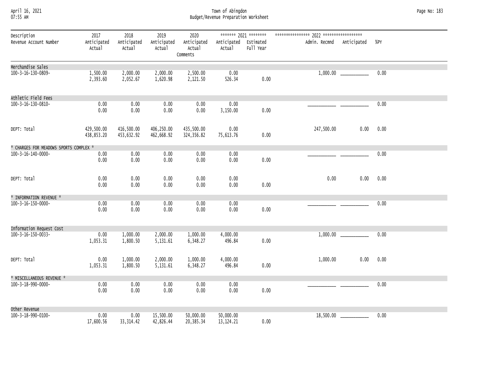April 16, 2021 Town of Abingdon Page No: 183 07:55 AM Budget/Revenue Preparation Worksheet

| Description<br>Revenue Account Number         | 2017<br>Anticipated<br>Actual | 2018<br>Anticipated<br>Actual | 2019<br>Anticipated<br>Actual | 2020<br>Anticipated<br>Actual<br>Comments | Anticipated Estimated<br>Actual | ******* 2021 ********<br>Full Year | Admin. Recmnd Anticipated |      | %PY  |
|-----------------------------------------------|-------------------------------|-------------------------------|-------------------------------|-------------------------------------------|---------------------------------|------------------------------------|---------------------------|------|------|
| Merchandise Sales                             |                               |                               |                               |                                           | 0.00                            |                                    |                           |      | 0.00 |
| 100-3-16-130-0809-                            | 1,500.00<br>2,393.60          | 2,000.00<br>2,052.67          | 2,000.00<br>1,620.98          | 2,500.00<br>2,121.50                      | 526.34                          | 0.00                               |                           |      |      |
| Athletic Field Fees                           |                               |                               |                               |                                           |                                 |                                    |                           |      |      |
| 100-3-16-130-0810-                            | 0.00<br>0.00                  | 0.00<br>0.00                  | 0.00<br>0.00                  | 0.00<br>0.00                              | 0.00<br>3,150.00                | 0.00                               |                           |      | 0.00 |
| DEPT: Total                                   | 429,500.00<br>438,853.20      | 416,500.00<br>453,632.92      | 406,250.00<br>462,668.92      | 435,500.00<br>324, 356.82                 | 0.00<br>75,613.76               | 0.00                               | 247,500.00                | 0.00 | 0.00 |
| * CHARGES FOR MEADOWS SPORTS COMPLEX *        |                               |                               |                               |                                           |                                 |                                    |                           |      |      |
| 100-3-16-140-0000-                            | 0.00<br>0.00                  | 0.00<br>0.00                  | 0.00<br>0.00                  | 0.00<br>0.00                              | 0.00<br>0.00                    | 0.00                               |                           |      | 0.00 |
| DEPT: Total                                   | 0.00<br>0.00                  | 0.00<br>0.00                  | 0.00<br>0.00                  | 0.00<br>0.00                              | 0.00<br>0.00                    | 0.00                               | 0.00                      | 0.00 | 0.00 |
| * INFORMATION REVENUE *<br>100-3-16-150-0000- | 0.00<br>0.00                  | 0.00<br>0.00                  | 0.00<br>0.00                  | 0.00<br>0.00                              | 0.00<br>0.00                    | 0.00                               |                           |      | 0.00 |
| Information Request Cost                      |                               |                               |                               |                                           |                                 |                                    |                           |      |      |
| 100-3-16-150-0033-                            | 0.00<br>1,053.31              | 1,000.00<br>1,800.50          | 2,000.00<br>5,131.61          | 1,000.00<br>6,348.27                      | 4,000.00<br>496.84              | 0.00                               |                           |      | 0.00 |
| DEPT: Total                                   | 0.00<br>1,053.31              | 1,000.00<br>1,800.50          | 2,000.00<br>5,131.61          | 1,000.00<br>6,348.27                      | 4,000.00<br>496.84              | 0.00                               | 1,000.00                  | 0.00 | 0.00 |
| * MISCELLANEOUS REVENUE *                     |                               |                               |                               |                                           |                                 |                                    |                           |      |      |
| 100-3-18-990-0000-                            | 0.00<br>0.00                  | 0.00<br>0.00                  | 0.00<br>0.00                  | 0.00<br>0.00                              | 0.00<br>0.00                    | 0.00                               |                           |      | 0.00 |
| Other Revenue                                 |                               |                               |                               |                                           |                                 |                                    |                           |      |      |
| 100-3-18-990-0100-                            | 0.00<br>17,600.56             | 0.00<br>33, 314.42            | 15,500.00<br>42,826.44        | 50,000.00<br>20,385.34                    | 50,000.00<br>13, 124. 21        | 0.00                               |                           |      | 0.00 |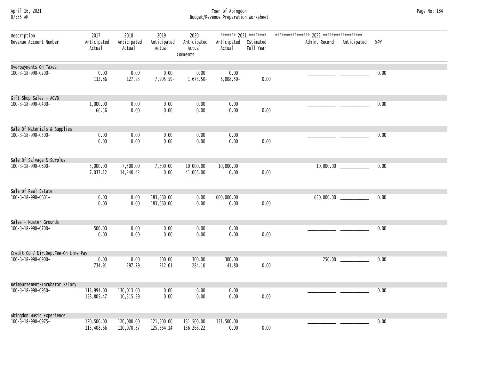## April 16, 2021 Town of Abingdon Page No: 184 07:55 AM Budget/Revenue Preparation Worksheet

| Description<br>Revenue Account Number | 2017<br>Anticipated<br>Actual | 2018<br>Anticipated<br>Actual | 2019<br>Anticipated<br>Actual | 2020<br>Anticipated<br>Actual<br>Comments | Anticipated Estimated<br>Actual | ******* 2021 ********<br>Full Year | Admin. Recmnd Anticipated |                            | %PY  |
|---------------------------------------|-------------------------------|-------------------------------|-------------------------------|-------------------------------------------|---------------------------------|------------------------------------|---------------------------|----------------------------|------|
| Overpayments On Taxes                 |                               |                               |                               |                                           |                                 |                                    |                           |                            |      |
| 100-3-18-990-0200-                    | 0.00<br>132.86                | 0.00<br>127.93                | 0.00<br>7,905.59-             | 0.00<br>1,673.50-                         | 0.00<br>$6,008.50 -$            | 0.00                               |                           |                            | 0.00 |
| Gift Shop Sales - ACVB                |                               |                               |                               |                                           |                                 |                                    |                           |                            |      |
| 100-3-18-990-0400-                    | 1,000.00<br>66.36             | 0.00<br>0.00                  | 0.00<br>0.00                  | 0.00<br>0.00                              | 0.00<br>0.00                    | 0.00                               |                           |                            | 0.00 |
| Sale Of Materials & Supplies          |                               |                               |                               |                                           |                                 |                                    |                           |                            |      |
| 100-3-18-990-0500-                    | 0.00<br>0.00                  | 0.00<br>0.00                  | 0.00<br>0.00                  | 0.00<br>0.00                              | 0.00<br>0.00                    | 0.00                               |                           |                            | 0.00 |
| Sale Of Salvage & Surplus             |                               |                               |                               |                                           |                                 |                                    |                           |                            |      |
| 100-3-18-990-0600-                    | 5,000.00<br>7,037.12          | 7,500.00<br>14,240.42         | 7,500.00<br>0.00              | 10,000.00<br>41,065.00                    | 10,000.00<br>0.00               | 0.00                               |                           | $10,000.00$ ______________ | 0.00 |
| Sale of Real Estate                   |                               |                               |                               |                                           |                                 |                                    |                           |                            |      |
| 100-3-18-990-0601-                    | 0.00<br>0.00                  | 0.00<br>0.00                  | 183,660.00<br>183,660.00      | 0.00<br>0.00                              | 600,000.00<br>0.00              | 0.00                               |                           | 650,000.00 _____________   | 0.00 |
| Sales - Muster Grounds                |                               |                               |                               |                                           |                                 |                                    |                           |                            |      |
| 100-3-18-990-0700-                    | 500.00<br>0.00                | 0.00<br>0.00                  | 0.00<br>0.00                  | 0.00<br>0.00                              | 0.00<br>0.00                    | 0.00                               |                           |                            | 0.00 |
| Credit Cd / Dir.Dep.Fee-On Line Pay   |                               |                               |                               |                                           |                                 |                                    |                           |                            |      |
| 100-3-18-990-0900-                    | 0.00<br>734.91                | 0.00<br>297.79                | 300.00<br>212.01              | 300.00<br>284.10                          | 300.00<br>41.80                 | 0.00                               |                           | $250.00$ _____________     | 0.00 |
| Reimbursement-Incubator Salary        |                               |                               |                               |                                           |                                 |                                    |                           |                            |      |
| 100-3-18-990-0950-                    | 118,994.00<br>158,805.47      | 130,013.00<br>10,315.39       | 0.00<br>0.00                  | 0.00<br>0.00                              | 0.00<br>0.00                    | 0.00                               |                           |                            | 0.00 |
| Abingdon Music Experience             |                               |                               |                               |                                           |                                 |                                    |                           |                            |      |
| $100 - 3 - 18 - 990 - 0975 -$         | 120,500.00<br>113,408.66      | 120,000.00<br>110,970.87      | 121,500.00<br>125,564.14      | 131,500.00<br>136,266.22                  | 131,500.00<br>0.00              | 0.00                               |                           |                            | 0.00 |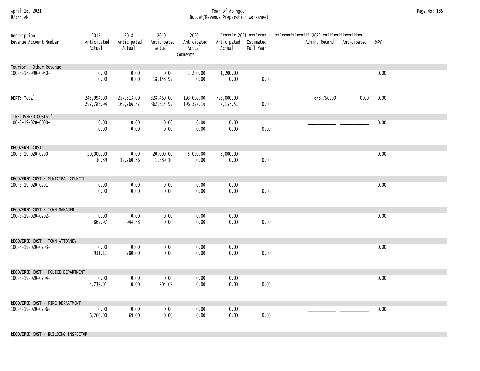### April 16, 2021 Town of Abingdon Page No: 185 07:55 AM Budget/Revenue Preparation Worksheet

| Description<br>Revenue Account Number                    | 2017<br>Anticipated<br>Actual | 2018<br>Anticipated<br>Actual | 2019<br>Anticipated<br>Actual | 2020<br>Anticipated<br>Actual<br>Comments | Anticipated Estimated<br>Actual | Full Year | Admin. Recmnd Anticipated |      | %PY  |
|----------------------------------------------------------|-------------------------------|-------------------------------|-------------------------------|-------------------------------------------|---------------------------------|-----------|---------------------------|------|------|
| Tourism - Other Revenue<br>100-3-18-990-0980-            | 0.00<br>0.00                  | 0.00<br>0.00                  | 0.00<br>18,158.92             | 1,200.00<br>0.00                          | 1,200.00<br>0.00                | 0.00      |                           |      | 0.00 |
| DEPT: Total                                              | 245,994.00<br>297,785.94      | 257,513.00<br>169,266.82      | 328,460.00<br>362,515.92      | 193,000.00<br>196, 327.16                 | 793,000.00<br>7,157.51          | 0.00      | 678,750.00                | 0.00 | 0.00 |
| * RECOVERED COSTS *<br>100-3-19-020-0000-                | 0.00<br>0.00                  | 0.00<br>0.00                  | 0.00<br>0.00                  | 0.00<br>0.00                              | 0.00<br>0.00                    | 0.00      |                           |      | 0.00 |
| RECOVERED COST<br>100-3-19-020-0200-                     | 20,000.00<br>30.89            | 0.00<br>19,260.66             | 20,000.00<br>1,389.10         | 5,000.00<br>0.00                          | 5,000.00<br>0.00                | 0.00      |                           |      | 0.00 |
| RECOVERED COST - MUNICIPAL COUNCIL<br>100-3-19-020-0201- | 0.00<br>0.00                  | 0.00<br>0.00                  | 0.00<br>0.00                  | 0.00<br>0.00                              | 0.00<br>0.00                    | 0.00      |                           |      | 0.00 |
| RECOVERED COST - TOWN MANAGER<br>100-3-19-020-0202-      | 0.00<br>862.97                | 0.00<br>944.88                | 0.00<br>0.00                  | 0.00<br>0.00                              | 0.00<br>0.00                    | 0.00      |                           |      | 0.00 |
| RECOVERED COST - TOWN ATTORNEY<br>100-3-19-020-0203-     | 0.00<br>931.11                | 0.00<br>280.00                | 0.00<br>0.00                  | 0.00<br>0.00                              | 0.00<br>0.00                    | 0.00      |                           |      | 0.00 |
| RECOVERED COST - POLICE DEPARTMENT<br>100-3-19-020-0204- | 0.00<br>4,739.01              | 0.00<br>0.00                  | 0.00<br>204.69                | 0.00<br>0.00                              | 0.00<br>0.00                    | 0.00      |                           |      | 0.00 |
| RECOVERED COST - FIRE DEPARTMENT<br>100-3-19-020-0206-   | 0.00<br>6,260.00              | 0.00<br>69.00                 | 0.00<br>0.00                  | 0.00<br>0.00                              | 0.00<br>0.00                    | 0.00      |                           |      | 0.00 |

RECOVERED COST - BUILDING INSPECTOR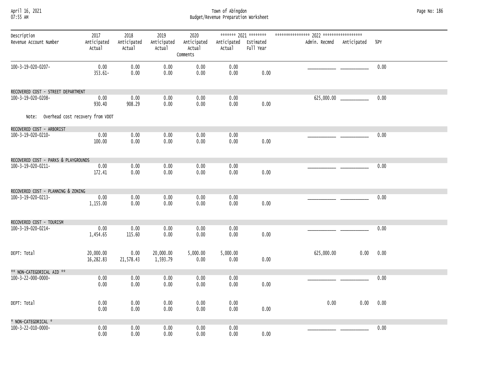April 16, 2021 Town of Abingdon Page No: 186 07:55 AM Budget/Revenue Preparation Worksheet

|                                           |                               |                               |                               | 2020                              |                                 | ******* 2021 ******** |               |             |      |
|-------------------------------------------|-------------------------------|-------------------------------|-------------------------------|-----------------------------------|---------------------------------|-----------------------|---------------|-------------|------|
| Description<br>Revenue Account Number     | 2017<br>Anticipated<br>Actual | 2018<br>Anticipated<br>Actual | 2019<br>Anticipated<br>Actual | Anticipated<br>Actual<br>Comments | Anticipated Estimated<br>Actual | Full Year             | Admin. Recmnd | Anticipated | %PY  |
| 100-3-19-020-0207-                        | 0.00<br>$353.61 -$            | 0.00<br>0.00                  | 0.00<br>0.00                  | 0.00<br>0.00                      | 0.00<br>0.00                    | 0.00                  |               |             | 0.00 |
| RECOVERED COST - STREET DEPARTMENT        |                               |                               |                               |                                   |                                 |                       |               |             |      |
| 100-3-19-020-0208-                        | 0.00<br>930.40                | 0.00<br>908.29                | 0.00<br>$0.00\,$              | 0.00<br>0.00                      | 0.00<br>0.00                    | 0.00                  |               |             | 0.00 |
| Note: Overhead cost recovery from VDOT    |                               |                               |                               |                                   |                                 |                       |               |             |      |
| RECOVERED COST - ARBORIST                 |                               |                               |                               |                                   |                                 |                       |               |             |      |
| 100-3-19-020-0210-                        | 0.00<br>100.00                | 0.00<br>0.00                  | 0.00<br>0.00                  | 0.00<br>0.00                      | 0.00<br>0.00                    | 0.00                  |               |             | 0.00 |
| RECOVERED COST - PARKS & PLAYGROUNDS      |                               |                               |                               |                                   |                                 |                       |               |             |      |
| 100-3-19-020-0211-                        | 0.00<br>172.41                | 0.00<br>0.00                  | 0.00<br>0.00                  | 0.00<br>0.00                      | 0.00<br>0.00                    | 0.00                  |               |             | 0.00 |
| RECOVERED COST - PLANNING & ZONING        |                               |                               |                               |                                   |                                 |                       |               |             |      |
| 100-3-19-020-0213-                        | 0.00<br>1,155.00              | 0.00<br>0.00                  | 0.00<br>0.00                  | 0.00<br>0.00                      | 0.00<br>0.00                    | 0.00                  |               |             | 0.00 |
| RECOVERED COST - TOURISM                  |                               |                               |                               |                                   |                                 |                       |               |             |      |
| 100-3-19-020-0214-                        | 0.00<br>1,454.65              | 0.00<br>115.60                | 0.00<br>$0.00\,$              | 0.00<br>0.00                      | 0.00<br>0.00                    | 0.00                  |               |             | 0.00 |
| DEPT: Total                               | 20,000.00<br>16,282.83        | 0.00<br>21,578.43             | 20,000.00<br>1,593.79         | 5,000.00<br>0.00                  | 5,000.00<br>0.00                | 0.00                  | 625,000.00    | 0.00        | 0.00 |
| ** NON-CATEGORICAL AID **                 |                               |                               |                               |                                   |                                 |                       |               |             |      |
| $100 - 3 - 22 - 000 - 0000 -$             | 0.00<br>0.00                  | 0.00<br>0.00                  | 0.00<br>$0.00\,$              | 0.00<br>0.00                      | 0.00<br>0.00                    | 0.00                  |               |             | 0.00 |
| DEPT: Total                               | 0.00<br>0.00                  | 0.00<br>0.00                  | $0.00\,$<br>0.00              | 0.00<br>0.00                      | 0.00<br>$0.00\,$                | 0.00                  | 0.00          | 0.00        | 0.00 |
| * NON-CATEGORICAL *<br>100-3-22-010-0000- | 0.00                          | 0.00                          | 0.00                          | 0.00                              | 0.00                            |                       |               |             | 0.00 |
|                                           | 0.00                          | 0.00                          | 0.00                          | 0.00                              | 0.00                            | 0.00                  |               |             |      |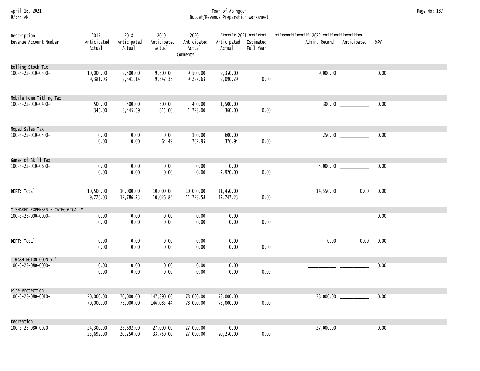April 16, 2021 Town of Abingdon Page No: 187 07:55 AM Budget/Revenue Preparation Worksheet

| Description<br>Revenue Account Number | 2017<br>Anticipated<br>Actual | 2018<br>Anticipated<br>Actual | 2019<br>Anticipated<br>Actual | 2020<br>Anticipated<br>Actual<br>Comments | Anticipated Estimated<br>Actual | ******* 2021 ********<br>Full Year | Admin. Recmnd | Anticipated                | %PY  |
|---------------------------------------|-------------------------------|-------------------------------|-------------------------------|-------------------------------------------|---------------------------------|------------------------------------|---------------|----------------------------|------|
| Rolling Stock Tax                     |                               |                               |                               |                                           |                                 |                                    |               |                            |      |
| 100-3-22-010-0300-                    | 10,000.00<br>9,381.03         | 9,500.00<br>9,341.14          | 9,500.00<br>9,347.35          | 9,500.00<br>9,297.63                      | 9,350.00<br>9,090.29            | 0.00                               |               |                            | 0.00 |
| Mobile Home Titling Tax               |                               |                               |                               |                                           |                                 |                                    |               |                            |      |
| 100-3-22-010-0400-                    | 500.00<br>345.00              | 500.00<br>3,445.59            | 500.00<br>615.00              | 400.00<br>1,728.00                        | 1,500.00<br>360.00              | 0.00                               |               |                            | 0.00 |
| Moped Sales Tax                       |                               |                               |                               |                                           |                                 |                                    |               |                            |      |
| 100-3-22-010-0500-                    | 0.00<br>0.00                  | 0.00<br>0.00                  | 0.00<br>64.49                 | 100.00<br>702.95                          | 600.00<br>376.94                | 0.00                               |               | $250.00$ _____________     | 0.00 |
| Games of Skill Tax                    |                               |                               |                               |                                           |                                 |                                    |               |                            |      |
| 100-3-22-010-0600-                    | 0.00<br>0.00                  | 0.00<br>0.00                  | 0.00<br>0.00                  | 0.00<br>0.00                              | 0.00<br>7,920.00                | 0.00                               |               |                            | 0.00 |
| DEPT: Total                           | 10,500.00<br>9,726.03         | 10,000.00<br>12,786.73        | 10,000.00<br>10,026.84        | 10,000.00<br>11,728.58                    | 11,450.00<br>17,747.23          | 0.00                               | 14,550.00     | 0.00                       | 0.00 |
| * SHARED EXPENSES - CATEGORICAL *     |                               |                               |                               |                                           |                                 |                                    |               |                            |      |
| $100 - 3 - 23 - 000 - 0000 -$         | 0.00<br>0.00                  | 0.00<br>0.00                  | 0.00<br>0.00                  | 0.00<br>0.00                              | 0.00<br>0.00                    | 0.00                               |               |                            | 0.00 |
| DEPT: Total                           | 0.00<br>0.00                  | 0.00<br>0.00                  | 0.00<br>0.00                  | 0.00<br>0.00                              | 0.00<br>0.00                    | 0.00                               | 0.00          | 0.00                       | 0.00 |
| * WASHINGTON COUNTY *                 |                               |                               |                               |                                           |                                 |                                    |               |                            |      |
| $100 - 3 - 23 - 080 - 0000 -$         | 0.00<br>0.00                  | 0.00<br>0.00                  | 0.00<br>0.00                  | 0.00<br>0.00                              | 0.00<br>0.00                    | 0.00                               |               |                            | 0.00 |
| Fire Protection                       |                               |                               |                               |                                           |                                 |                                    |               |                            |      |
| 100-3-23-080-0010-                    | 70,000.00<br>70,000.00        | 70,000.00<br>75,000.00        | 147,890.00<br>146,083.44      | 78,000.00<br>78,000.00                    | 78,000.00<br>78,000.00          | 0.00                               |               | $78,000.00$ ______________ | 0.00 |
| Recreation                            |                               |                               |                               |                                           |                                 |                                    |               |                            |      |
| 100-3-23-080-0020-                    | 24,300.00<br>23,692.00        | 23,692.00<br>20,250.00        | 27,000.00<br>33,750.00        | 27,000.00<br>27,000.00                    | 0.00<br>20,250.00               | 0.00                               |               | 27,000.00 _____________    | 0.00 |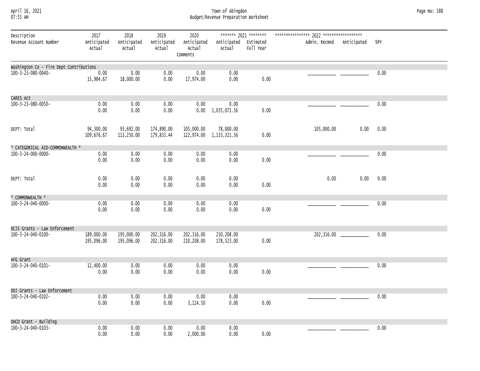#### April 16, 2021 Town of Abingdon Page No: 188 07:55 AM Budget/Revenue Preparation Worksheet

| Description                             | 2017                     | 2018                     | 2019                     | 2020                                  |                                 |           |                           |                           |      |
|-----------------------------------------|--------------------------|--------------------------|--------------------------|---------------------------------------|---------------------------------|-----------|---------------------------|---------------------------|------|
| Revenue Account Number                  | Anticipated<br>Actual    | Anticipated<br>Actual    | Anticipated<br>Actual    | Anticipated<br>Actual<br>Comments     | Anticipated Estimated<br>Actual | Full Year | Admin. Recmnd Anticipated |                           | %PY  |
| Washington Co - Fire Dept Contributions |                          |                          |                          |                                       |                                 |           |                           |                           |      |
| 100-3-23-080-0040-                      | 0.00<br>15,984.67        | 0.00<br>18,000.00        | 0.00<br>0.00             | 0.00<br>17,974.00                     | 0.00<br>0.00                    | 0.00      |                           |                           | 0.00 |
| CARES ACt                               |                          |                          |                          |                                       |                                 |           |                           |                           |      |
| 100-3-23-080-0050-                      | 0.00<br>0.00             | 0.00<br>0.00             | 0.00<br>0.00             | 0.00                                  | 0.00<br>0.00 1,035,071.56       | 0.00      |                           |                           | 0.00 |
| DEPT: Total                             | 94,300.00<br>109,676.67  | 93,692.00<br>113,250.00  | 174,890.00<br>179,833.44 | 105,000.00<br>122,974.00 1,133,321.56 | 78,000.00                       | 0.00      | 105,000.00                | 0.00                      | 0.00 |
| * CATEGORICAL AID-COMMONWEALTH *        |                          |                          |                          |                                       |                                 |           |                           |                           |      |
| 100-3-24-000-0000-                      | 0.00<br>0.00             | 0.00<br>0.00             | 0.00<br>0.00             | 0.00<br>0.00                          | 0.00<br>0.00                    | 0.00      |                           |                           | 0.00 |
| DEPT: Total                             | 0.00<br>0.00             | 0.00<br>0.00             | 0.00<br>0.00             | 0.00<br>0.00                          | 0.00<br>0.00                    | 0.00      | 0.00                      | 0.00                      | 0.00 |
| * COMMONWEALTH *                        |                          |                          |                          |                                       |                                 |           |                           |                           |      |
| 100-3-24-040-0000-                      | 0.00<br>0.00             | 0.00<br>0.00             | 0.00<br>0.00             | 0.00<br>0.00                          | 0.00<br>0.00                    | 0.00      |                           |                           | 0.00 |
| DCJS Grants - Law Enforcement           |                          |                          |                          |                                       |                                 |           |                           |                           |      |
| 100-3-24-040-0100-                      | 189,000.00<br>195,096.00 | 195,000.00<br>195,096.00 | 202,316.00<br>202,316.00 | 202,316.00<br>210,208.00              | 210,208.00<br>178,523.00        | 0.00      |                           | 202,316.00 ______________ | 0.00 |
| AFG Grant                               |                          |                          |                          |                                       |                                 |           |                           |                           |      |
| 100-3-24-040-0101-                      | 12,400.00<br>0.00        | 0.00<br>0.00             | 0.00<br>0.00             | 0.00<br>0.00                          | 0.00<br>0.00                    | 0.00      |                           |                           | 0.00 |
| DOJ Grants - Law Enforcement            |                          |                          |                          |                                       |                                 |           |                           |                           |      |
| 100-3-24-040-0102-                      | 0.00<br>0.00             | 0.00<br>0.00             | 0.00<br>0.00             | 0.00<br>3,114.50                      | 0.00<br>0.00                    | 0.00      |                           |                           | 0.00 |
| DHCD Grant - Building                   |                          |                          |                          |                                       |                                 |           |                           |                           |      |
| 100-3-24-040-0103-                      | 0.00<br>0.00             | 0.00<br>0.00             | 0.00<br>0.00             | 0.00<br>2,000.00                      | 0.00<br>0.00                    | 0.00      |                           |                           | 0.00 |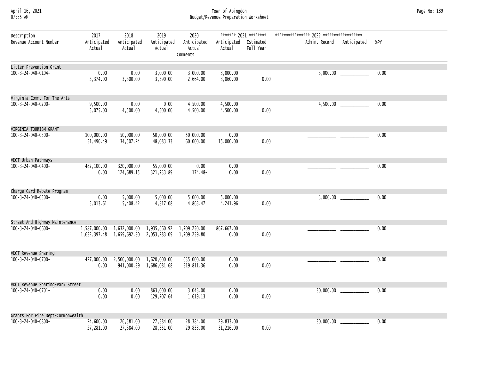#### April 16, 2021 Town of Abingdon Page No: 189 07:55 AM Budget/Revenue Preparation Worksheet

| Description<br>Revenue Account Number | 2017<br>Anticipated<br>Actual | 2018<br>Anticipated<br>Actual        | 2019<br>Anticipated<br>Actual                                                                                 | 2020<br>Anticipated<br>Actual<br>Comments | Anticipated Estimated<br>Actual | ******* 2021 ********<br>Full Year | Admin. Recmnd | Anticipated                | %PY  |
|---------------------------------------|-------------------------------|--------------------------------------|---------------------------------------------------------------------------------------------------------------|-------------------------------------------|---------------------------------|------------------------------------|---------------|----------------------------|------|
| Litter Prevention Grant               |                               |                                      |                                                                                                               |                                           |                                 |                                    |               |                            |      |
| 100-3-24-040-0104-                    | 0.00<br>3,374.00              | 0.00<br>3,300.00                     | 3,000.00<br>3,390.00                                                                                          | 3,000.00<br>2,664.00                      | 3,000.00<br>3,060.00            | 0.00                               | 3,000.00      |                            | 0.00 |
| Virginia Comm. For The Arts           |                               |                                      |                                                                                                               |                                           |                                 |                                    |               |                            |      |
| 100-3-24-040-0200-                    | 9,500.00<br>5,075.00          | 0.00<br>4,500.00                     | 0.00<br>4,500.00                                                                                              | 4,500.00<br>4,500.00                      | 4,500.00<br>4,500.00            | 0.00                               |               |                            | 0.00 |
| VIRGINIA TOURISM GRANT                |                               |                                      |                                                                                                               |                                           |                                 |                                    |               |                            |      |
| $100 - 3 - 24 - 040 - 0300 -$         | 100,000.00<br>51,490.49       | 50,000.00<br>34,507.24               | 50,000.00<br>48,083.33                                                                                        | 50,000,00<br>60,000.00                    | 0.00<br>15,000.00               | 0.00                               |               |                            | 0.00 |
| VDOT Urban Pathways                   |                               |                                      |                                                                                                               |                                           |                                 |                                    |               |                            |      |
| 100-3-24-040-0400-                    | 482,100.00<br>0.00            | 320,000.00<br>124,689.15             | 55,000.00<br>321,733.89                                                                                       | 0.00<br>174.48-                           | 0.00<br>0.00                    | 0.00                               |               |                            | 0.00 |
| Charge Card Rebate Program            |                               |                                      |                                                                                                               |                                           |                                 |                                    |               |                            |      |
| 100-3-24-040-0500-                    | 0.00<br>5,013.61              | 5,000.00<br>5,408.42                 | 5,000.00<br>4,817.08                                                                                          | 5,000.00<br>4,863.47                      | 5,000.00<br>4,241.96            | 0.00                               |               | $3,000.00$ _______________ | 0.00 |
| Street And Highway Maintenance        |                               |                                      |                                                                                                               |                                           |                                 |                                    |               |                            |      |
| 100-3-24-040-0600-                    |                               |                                      | 1,587,000.00  1,632,000.00  1,935,660.92  1,709,250.00<br>1,632,397.48 1,659,692.80 2,053,283.09 1,709,259.80 |                                           | 867,667.00<br>0.00              | 0.00                               |               |                            | 0.00 |
| VDOT Revenue Sharing                  |                               |                                      |                                                                                                               |                                           |                                 |                                    |               |                            |      |
| 100-3-24-040-0700-                    | 0.00                          | 427,000.00 2,500,000.00 1,620,000.00 | 941,000.89 1,686,081.68                                                                                       | 635,000.00<br>319,811.36                  | 0.00<br>0.00                    | 0.00                               |               |                            | 0.00 |
| VDOT Revenue Sharing-Park Street      |                               |                                      |                                                                                                               |                                           |                                 |                                    |               |                            |      |
| 100-3-24-040-0701-                    | 0.00<br>0.00                  | 0.00<br>0.00                         | 863,000.00<br>129,707.64                                                                                      | 3,043.00<br>1,619.13                      | 0.00<br>0.00                    | 0.00                               |               |                            | 0.00 |
| Grants For Fire Dept-Commonwealth     |                               |                                      |                                                                                                               |                                           |                                 |                                    |               |                            |      |
| 100-3-24-040-0800-                    | 24,600.00<br>27,281.00        | 26,581.00<br>27,384.00               | 27,384.00<br>28,351.00                                                                                        | 28,384.00<br>29,833.00                    | 29,833.00<br>31,216.00          | 0.00                               | 30,000.00     |                            | 0.00 |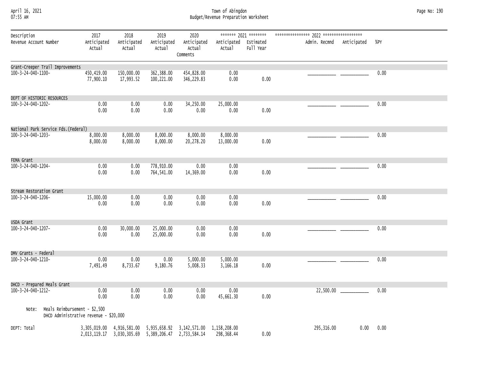April 16, 2021 Town of Abingdon Page No: 190 07:55 AM Budget/Revenue Preparation Worksheet

| Description                                                                      | 2017                    | 2018                                                                                                                    | 2019                     | 2020                              |                                 | ******* 2021 ******** |               |             |      |
|----------------------------------------------------------------------------------|-------------------------|-------------------------------------------------------------------------------------------------------------------------|--------------------------|-----------------------------------|---------------------------------|-----------------------|---------------|-------------|------|
| Revenue Account Number                                                           | Anticipated<br>Actual   | Anticipated<br>Actual                                                                                                   | Anticipated<br>Actual    | Anticipated<br>Actual<br>Comments | Anticipated Estimated<br>Actual | Full Year             | Admin. Recmnd | Anticipated | %PY  |
| Grant-Creeper Trail Improvements                                                 |                         |                                                                                                                         |                          |                                   |                                 |                       |               |             |      |
| 100-3-24-040-1100-                                                               | 450,419.00<br>77,900.10 | 150,000.00<br>17,993.52                                                                                                 | 362,388.00<br>100,221.00 | 454,828.00<br>346,229.83          | 0.00<br>0.00                    | 0.00                  |               |             | 0.00 |
| DEPT OF HISTORIC RESOURCES                                                       |                         |                                                                                                                         |                          |                                   |                                 |                       |               |             |      |
| 100-3-24-040-1202-                                                               | 0.00<br>0.00            | 0.00<br>0.00                                                                                                            | 0.00<br>0.00             | 34,250.00<br>0.00                 | 25,000.00<br>0.00               | 0.00                  |               |             | 0.00 |
| National Park Service Fds. (Federal)                                             |                         |                                                                                                                         |                          |                                   |                                 |                       |               |             |      |
| 100-3-24-040-1203-                                                               | 8,000.00<br>8,000.00    | 8,000.00<br>8,000.00                                                                                                    | 8,000.00<br>8,000.00     | 8,000.00<br>20,278.20             | 8,000.00<br>13,000.00           | 0.00                  |               |             | 0.00 |
| FEMA Grant                                                                       |                         |                                                                                                                         |                          |                                   |                                 |                       |               |             |      |
| 100-3-24-040-1204-                                                               | 0.00<br>0.00            | 0.00<br>0.00                                                                                                            | 778,910.00<br>764,541.00 | 0.00<br>14,369.00                 | 0.00<br>0.00                    | 0.00                  |               |             | 0.00 |
| Stream Restoration Grant                                                         |                         |                                                                                                                         |                          |                                   |                                 |                       |               |             |      |
| 100-3-24-040-1206-                                                               | 15,000.00<br>0.00       | 0.00<br>0.00                                                                                                            | 0.00<br>0.00             | 0.00<br>0.00                      | 0.00<br>0.00                    | 0.00                  |               |             | 0.00 |
| USDA Grant                                                                       |                         |                                                                                                                         |                          |                                   |                                 |                       |               |             |      |
| 100-3-24-040-1207-                                                               | 0.00<br>0.00            | 30,000.00<br>0.00                                                                                                       | 25,000.00<br>25,000.00   | 0.00<br>0.00                      | 0.00<br>0.00                    | 0.00                  |               |             | 0.00 |
| DMV Grants - Federal                                                             |                         |                                                                                                                         |                          |                                   |                                 |                       |               |             |      |
| 100-3-24-040-1210-                                                               | 0.00<br>7,491.49        | 0.00<br>8,733.67                                                                                                        | 0.00<br>9,180.76         | 5,000.00<br>5,008.33              | 5,000.00<br>3,166.18            | 0.00                  |               |             | 0.00 |
| DHCD - Prepared Meals Grant                                                      |                         |                                                                                                                         |                          |                                   |                                 |                       |               |             |      |
| 100-3-24-040-1212-                                                               | 0.00<br>0.00            | 0.00<br>0.00                                                                                                            | 0.00<br>0.00             | 0.00<br>0.00                      | 0.00<br>45,661.30               | 0.00                  | 22,500.00     |             | 0.00 |
| Meals Reimbursement - \$2,500<br>Note:<br>DHCD Administrative revenue - \$20,000 |                         |                                                                                                                         |                          |                                   |                                 |                       |               |             |      |
| DEPT: Total                                                                      |                         | 3,305,019.00 4,916,581.00 5,935,658.92 3,142,571.00 1,158,208.00<br>2,013,119.17 3,030,305.69 5,389,206.47 2,733,584.14 |                          |                                   | 298,368.44                      | 0.00                  | 295, 316.00   | 0.00        | 0.00 |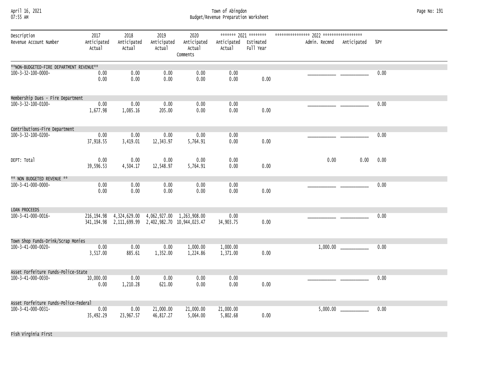April 16, 2021 Town of Abingdon Page No: 191 07:55 AM Budget/Revenue Preparation Worksheet

| Description<br>Revenue Account Number    | 2017<br>Anticipated<br>Actual | 2018<br>Anticipated<br>Actual                                                                                             | 2019<br>Anticipated<br>Actual | 2020<br>Anticipated<br>Actual<br>Comments | Anticipated Estimated<br>Actual | ******* 2021 ********<br>Full Year | Admin. Recmnd Anticipated |                           | %PY  |
|------------------------------------------|-------------------------------|---------------------------------------------------------------------------------------------------------------------------|-------------------------------|-------------------------------------------|---------------------------------|------------------------------------|---------------------------|---------------------------|------|
| **NON-BUDGETED-FIRE DEPARTMENT REVENUE** |                               |                                                                                                                           |                               |                                           |                                 |                                    |                           |                           |      |
| 100-3-32-100-0000-                       | 0.00<br>0.00                  | 0.00<br>0.00                                                                                                              | 0.00<br>0.00                  | 0.00<br>0.00                              | 0.00<br>0.00                    | 0.00                               |                           |                           | 0.00 |
| Membership Dues - Fire Department        |                               |                                                                                                                           |                               |                                           |                                 |                                    |                           |                           |      |
| 100-3-32-100-0100-                       | 0.00<br>1,677.98              | 0.00<br>1,085.16                                                                                                          | 0.00<br>205.00                | 0.00<br>0.00                              | 0.00<br>0.00                    | 0.00                               |                           |                           | 0.00 |
| Contributions-Fire Department            |                               |                                                                                                                           |                               |                                           |                                 |                                    |                           |                           |      |
| 100-3-32-100-0200-                       | 0.00<br>37,918.55             | 0.00<br>3,419.01                                                                                                          | 0.00<br>12,343.97             | 0.00<br>5,764.91                          | 0.00<br>0.00                    | 0.00                               |                           |                           | 0.00 |
| DEPT: Total                              | 0.00<br>39,596.53             | 0.00<br>4,504.17                                                                                                          | 0.00<br>12,548.97             | 0.00<br>5,764.91                          | 0.00<br>0.00                    | 0.00                               | 0.00                      | 0.00                      | 0.00 |
| ** NON BUDGETED REVENUE **               |                               |                                                                                                                           |                               |                                           |                                 |                                    |                           |                           |      |
| 100-3-41-000-0000-                       | 0.00<br>0.00                  | 0.00<br>0.00                                                                                                              | 0.00<br>0.00                  | 0.00<br>0.00                              | 0.00<br>0.00                    | 0.00                               |                           |                           | 0.00 |
| LOAN PROCEEDS                            |                               |                                                                                                                           |                               |                                           |                                 |                                    |                           |                           |      |
| 100-3-41-000-0016-                       |                               | 216, 194.98 4, 324, 629.00 4, 062, 927.00 1, 263, 908.00<br>341, 194. 98 2, 111, 699. 99 2, 402, 982. 70 10, 944, 023. 47 |                               |                                           | 0.00<br>34,903.75               | 0.00                               |                           |                           | 0.00 |
| Town Shop Funds-Drink/Scrap Monies       |                               |                                                                                                                           |                               |                                           |                                 |                                    |                           |                           |      |
| 100-3-41-000-0020-                       | 0.00<br>3,517.00              | 0.00<br>885.61                                                                                                            | 0.00<br>1,352.00              | 1,000.00<br>1,224.86                      | 1,000.00<br>1,371.00            | 0.00                               | 1,000.00                  |                           | 0.00 |
| Asset Forfeiture Funds-Police-State      |                               |                                                                                                                           |                               |                                           |                                 |                                    |                           |                           |      |
| 100-3-41-000-0030-                       | 10,000.00<br>0.00             | 0.00<br>1,210.28                                                                                                          | 0.00<br>621.00                | 0.00<br>0.00                              | 0.00<br>0.00                    | 0.00                               |                           |                           | 0.00 |
| Asset Forfeiture Funds-Police-Federal    |                               |                                                                                                                           |                               |                                           |                                 |                                    |                           |                           |      |
| 100-3-41-000-0031-                       | 0.00<br>35,492.29             | 0.00<br>23,967.57                                                                                                         | 21,000.00<br>46,817.27        | 21,000.00<br>5,064.00                     | 21,000.00<br>5,802.68           | 0.00                               |                           | $5,000.00$ ______________ | 0.00 |

Fish Virginia First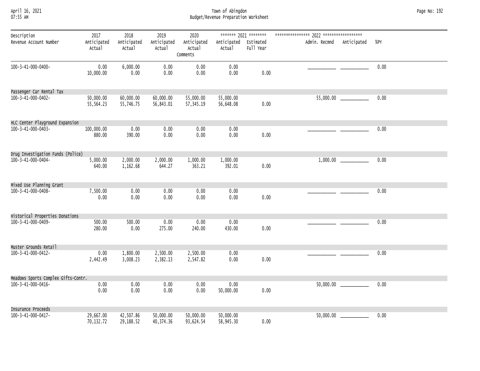April 16, 2021 Town of Abingdon Page No: 192 07:55 AM Budget/Revenue Preparation Worksheet

| Description<br>Revenue Account Number | 2017<br>Anticipated    | 2018<br>Anticipated    | 2019<br>Anticipated    | 2020<br>Anticipated     | Anticipated Estimated  |           | Admin. Recmnd Anticipated | %PY  |
|---------------------------------------|------------------------|------------------------|------------------------|-------------------------|------------------------|-----------|---------------------------|------|
|                                       | Actual                 | Actual                 | Actual                 | Actual<br>Comments      | Actual                 | Full Year |                           |      |
| 100-3-41-000-0400-                    | 0.00<br>10,000.00      | 6,000.00<br>0.00       | 0.00<br>0.00           | 0.00<br>0.00            | 0.00<br>0.00           | 0.00      |                           | 0.00 |
| Passenger Car Rental Tax              |                        |                        |                        |                         |                        |           |                           |      |
| 100-3-41-000-0402-                    | 50,000.00<br>55,564.23 | 60,000.00<br>55,746.75 | 60,000.00<br>56,843.01 | 55,000.00<br>57, 345.19 | 55,000.00<br>56,648.08 | 0.00      |                           | 0.00 |
| HLC Center Playground Expansion       |                        |                        |                        |                         |                        |           |                           |      |
| 100-3-41-000-0403-                    | 100,000.00<br>880.00   | 0.00<br>390.00         | 0.00<br>0.00           | 0.00<br>0.00            | 0.00<br>0.00           | 0.00      |                           | 0.00 |
| Drug Investigation Funds (Police)     |                        |                        |                        |                         |                        |           |                           |      |
| 100-3-41-000-0404-                    | 5,000.00<br>640.00     | 2,000.00<br>1,162.68   | 2,000.00<br>644.27     | 1,000.00<br>363.21      | 1,000.00<br>392.01     | 0.00      |                           | 0.00 |
| Mixed Use Planning Grant              |                        |                        |                        |                         |                        |           |                           |      |
| 100-3-41-000-0408-                    | 7,500.00<br>0.00       | 0.00<br>0.00           | 0.00<br>0.00           | 0.00<br>0.00            | 0.00<br>0.00           | 0.00      |                           | 0.00 |
| Historical Properties Donations       |                        |                        |                        |                         |                        |           |                           |      |
| 100-3-41-000-0409-                    | 500.00<br>280.00       | 500.00<br>0.00         | 0.00<br>275.00         | 0.00<br>240.00          | 0.00<br>430.00         | 0.00      |                           | 0.00 |
| Muster Grounds Retail                 |                        |                        |                        |                         |                        |           |                           |      |
| 100-3-41-000-0412-                    | 0.00<br>2,442.49       | 1,800.00<br>3,008.23   | 2,500.00<br>2,382.13   | 2,500.00<br>2,547.82    | 0.00<br>0.00           | 0.00      |                           | 0.00 |
| Meadows Sports Complex Gifts-Contr.   |                        |                        |                        |                         |                        |           |                           |      |
| 100-3-41-000-0416-                    | 0.00<br>0.00           | 0.00<br>0.00           | 0.00<br>0.00           | 0.00<br>0.00            | 0.00<br>50,000.00      | 0.00      |                           | 0.00 |
| Insurance Proceeds                    |                        |                        |                        |                         |                        |           |                           |      |
| 100-3-41-000-0417-                    | 29,667.00<br>70,132.72 | 42,507.86<br>29,188.52 | 50,000.00<br>40,374.36 | 50,000.00<br>93,624.54  | 50,000.00<br>58,945.30 | 0.00      |                           | 0.00 |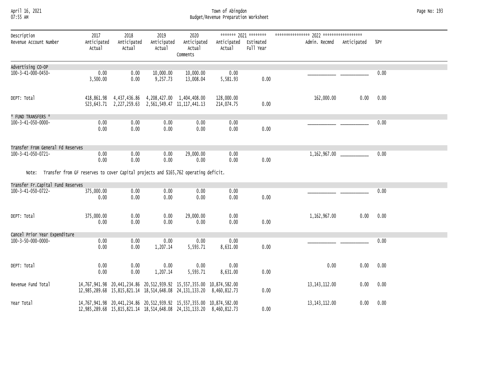#### April 16, 2021 Town of Abingdon Page No: 193 07:55 AM Budget/Revenue Preparation Worksheet

| Description<br>Revenue Account Number                                                      | 2017<br>Anticipated<br>Actual | 2018<br>Anticipated<br>Actual                                                                                     | 2019<br>Anticipated<br>Actual | 2020<br>Anticipated<br>Actual<br>Comments                                                                                                               | Anticipated Estimated<br>Actual | ******* 2021 ********<br>Full Year | Admin. Recmnd   | Anticipated | %PY  |
|--------------------------------------------------------------------------------------------|-------------------------------|-------------------------------------------------------------------------------------------------------------------|-------------------------------|---------------------------------------------------------------------------------------------------------------------------------------------------------|---------------------------------|------------------------------------|-----------------|-------------|------|
| Advertising CO-OP                                                                          |                               |                                                                                                                   |                               |                                                                                                                                                         |                                 |                                    |                 |             |      |
| 100-3-41-000-0450-                                                                         | 0.00<br>3,500.00              | 0.00<br>0.00                                                                                                      | 10,000.00<br>9,257.73         | 10,000.00<br>13,008.04                                                                                                                                  | 0.00<br>5,581.93                | 0.00                               |                 |             | 0.00 |
| DEPT: Total                                                                                |                               | 418,861.98  4,437,436.86  4,208,427.00  1,404,408.00<br>523, 643.71 2, 227, 259.63 2, 561, 549.47 11, 117, 441.13 |                               |                                                                                                                                                         | 128,000.00<br>214,074.75        | 0.00                               | 162,000.00      | 0.00        | 0.00 |
| * FUND TRANSFERS *                                                                         |                               |                                                                                                                   |                               |                                                                                                                                                         |                                 |                                    |                 |             |      |
| 100-3-41-050-0000-                                                                         | 0.00<br>0.00                  | 0.00<br>0.00                                                                                                      | 0.00<br>0.00                  | 0.00<br>0.00                                                                                                                                            | 0.00<br>0.00                    | 0.00                               |                 |             | 0.00 |
| Transfer From General Fd Reserves                                                          |                               |                                                                                                                   |                               |                                                                                                                                                         |                                 |                                    |                 |             |      |
| 100-3-41-050-0721-                                                                         | 0.00<br>0.00                  | 0.00<br>0.00                                                                                                      | 0.00<br>0.00                  | 29,000.00<br>0.00                                                                                                                                       | 0.00<br>0.00                    | 0.00                               |                 |             | 0.00 |
| Note: Transfer from GF reserves to cover Capital projects and \$165,762 operating deficit. |                               |                                                                                                                   |                               |                                                                                                                                                         |                                 |                                    |                 |             |      |
| Transfer Fr.Capital Fund Reserves                                                          |                               |                                                                                                                   |                               |                                                                                                                                                         |                                 |                                    |                 |             |      |
| 100-3-41-050-0722-                                                                         | 375,000.00<br>0.00            | 0.00<br>0.00                                                                                                      | 0.00<br>0.00                  | 0.00<br>0.00                                                                                                                                            | 0.00<br>0.00                    | 0.00                               |                 |             | 0.00 |
| DEPT: Total                                                                                | 375,000.00<br>0.00            | 0.00<br>0.00                                                                                                      | 0.00<br>0.00                  | 29,000.00<br>0.00                                                                                                                                       | 0.00<br>0.00                    | 0.00                               | 1,162,967.00    | 0.00        | 0.00 |
| Cancel Prior Year Expenditure                                                              |                               |                                                                                                                   |                               |                                                                                                                                                         |                                 |                                    |                 |             |      |
| 100-3-50-000-0000-                                                                         | 0.00<br>0.00                  | 0.00<br>0.00                                                                                                      | 0.00<br>1,207.14              | 0.00<br>5,593.71                                                                                                                                        | 0.00<br>8,631.00                | 0.00                               |                 |             | 0.00 |
| DEPT: Total                                                                                | 0.00<br>0.00                  | 0.00<br>0.00                                                                                                      | 0.00<br>1,207.14              | 0.00<br>5,593.71                                                                                                                                        | 0.00<br>8,631.00                | 0.00                               | 0.00            | 0.00        | 0.00 |
| Revenue Fund Total                                                                         |                               |                                                                                                                   |                               | 14,767,941.98 20,441,234.86 20,512,939.92 15,557,355.00 10,874,582.00<br>12, 985, 289.68 15, 815, 821.14 18, 514, 648.08 24, 131, 133.20 8, 460, 812.73 |                                 | 0.00                               | 13, 143, 112.00 | 0.00        | 0.00 |
| Year Total                                                                                 |                               |                                                                                                                   |                               | 14,767,941.98 20,441,234.86 20,512,939.92 15,557,355.00 10,874,582.00<br>12,985,289.68 15,815,821.14 18,514,648.08 24,131,133.20 8,460,812.73           |                                 | 0.00                               | 13, 143, 112.00 | 0.00        | 0.00 |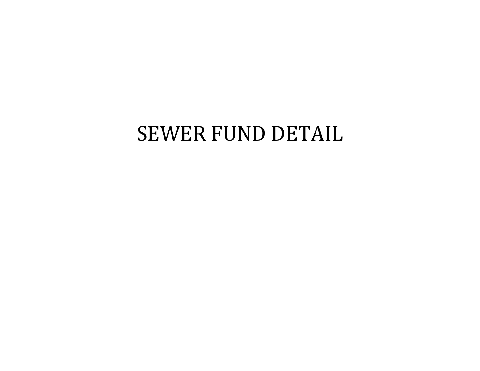# SEWER FUND DETAIL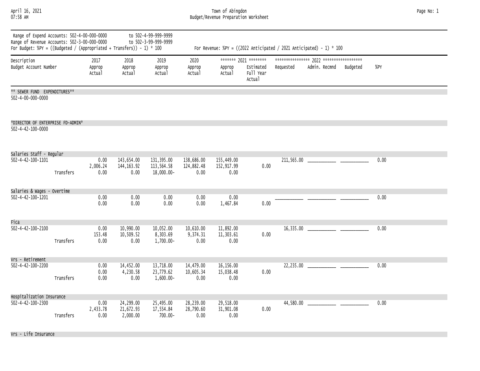#### April 16, 2021 Town of Abingdon Page No: 1 07:58 AM Budget/Revenue Preparation Worksheet

| Page No: 1 |  |  |
|------------|--|--|
|------------|--|--|

| Range of Expend Accounts: 502-4-00-000-0000<br>Range of Revenue Accounts: 502-3-00-000-0000<br>For Budget: %PY = ((Budgeted / (Appropriated + Transfers)) - 1) * 100 |           |                          |                                    | to 502-4-99-999-9999<br>to 502-3-99-999-9999 | For Revenue: %PY = $((2022 \text{ Anticipated } / 2021 \text{ Anticipated}) - 1) * 100$ |                                  |                                                           |            |                                                                 |          |      |  |
|----------------------------------------------------------------------------------------------------------------------------------------------------------------------|-----------|--------------------------|------------------------------------|----------------------------------------------|-----------------------------------------------------------------------------------------|----------------------------------|-----------------------------------------------------------|------------|-----------------------------------------------------------------|----------|------|--|
| Description<br>Budget Account Number                                                                                                                                 |           | 2017<br>Approp<br>Actual | 2018<br>Approp<br>Actual           | 2019<br>Approp<br>Actual                     | 2020<br>Approp<br>Actual                                                                | Approp<br>Actual                 | ******* 2021 ********<br>Estimated<br>Full Year<br>Actual | Requested  | Admin. Recmnd                                                   | Budgeted | %PY  |  |
| ** SEWER FUND EXPENDITURES**<br>502-4-00-000-0000                                                                                                                    |           |                          |                                    |                                              |                                                                                         |                                  |                                                           |            |                                                                 |          |      |  |
| *DIRECTOR OF ENTERPRISE FD-ADMIN*<br>502-4-42-100-0000                                                                                                               |           |                          |                                    |                                              |                                                                                         |                                  |                                                           |            |                                                                 |          |      |  |
| Salaries Staff - Regular<br>502-4-42-100-1101                                                                                                                        | Transfers | 0.00<br>2,006.24<br>0.00 | 143,654.00<br>144, 163. 92<br>0.00 | 131,395.00<br>113,564.58<br>18,000.00-       | 138,686.00<br>124,882.48<br>0.00                                                        | 155,449.00<br>152,917.99<br>0.00 | 0.00                                                      | 211,565.00 | <u> 1990 - Johann Barbara, martxa a</u>                         |          | 0.00 |  |
| Salaries & Wages - Overtime<br>$502 - 4 - 42 - 100 - 1201$                                                                                                           |           | 0.00<br>0.00             | 0.00<br>0.00                       | 0.00<br>0.00                                 | 0.00<br>0.00                                                                            | 0.00<br>1,467.84                 | 0.00                                                      |            |                                                                 |          | 0.00 |  |
| Fica<br>$502 - 4 - 42 - 100 - 2100$                                                                                                                                  | Transfers | 0.00<br>153.48<br>0.00   | 10,990.00<br>10,509.52<br>0.00     | 10,052.00<br>8,303.69<br>1,700.00-           | 10,610.00<br>9,374.31<br>0.00                                                           | 11,892.00<br>11,303.61<br>0.00   | 0.00                                                      |            |                                                                 |          | 0.00 |  |
| Vrs - Retirement<br>502-4-42-100-2200                                                                                                                                | Transfers | 0.00<br>0.00<br>0.00     | 14,452.00<br>4,230.58<br>0.00      | 13,718.00<br>23,779.62<br>$1,600.00-$        | 14,479.00<br>10,605.34<br>0.00                                                          | 16,156.00<br>15,038.48<br>0.00   | 0.00                                                      |            |                                                                 |          | 0.00 |  |
| Hospitalization Insurance<br>$502 - 4 - 42 - 100 - 2300$                                                                                                             | Transfers | 0.00<br>2,433.78<br>0.00 | 24,299.00<br>21,672.93<br>2,000.00 | 25,495.00<br>17,554.84<br>700.00-            | 28,239.00<br>28,790.60<br>0.00                                                          | 29,518.00<br>31,901.08<br>0.00   | 0.00                                                      | 44,580.00  | <u> 1990 - Johann Barn, mars an t-Amerikaansk kommunister (</u> |          | 0.00 |  |

Vrs - Life Insurance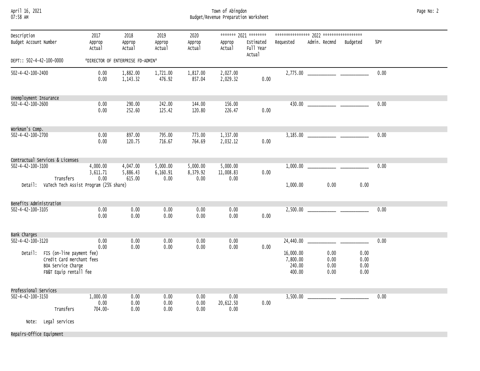April 16, 2021 Town of Abingdon Page No: 2 07:58 AM Budget/Revenue Preparation Worksheet

| Description<br>Budget Account Number                                                                              | 2017<br>Approp<br>Actual     | 2018<br>Approp<br>Actual          | 2019<br>Approp<br>Actual     | 2020<br>Approp<br>Actual     | Approp<br>Actual              | ******* 2021 ********<br>Estimated<br>Full Year<br>Actual | Requested                                 | Admin. Recmnd                | Budgeted                     | %PY  |
|-------------------------------------------------------------------------------------------------------------------|------------------------------|-----------------------------------|------------------------------|------------------------------|-------------------------------|-----------------------------------------------------------|-------------------------------------------|------------------------------|------------------------------|------|
| DEPT:: 502-4-42-100-0000                                                                                          |                              | *DIRECTOR OF ENTERPRISE FD-ADMIN* |                              |                              |                               |                                                           |                                           |                              |                              |      |
| 502-4-42-100-2400                                                                                                 | 0.00<br>0.00                 | 1,882.00<br>1,143.32              | 1,721.00<br>476.92           | 1,817.00<br>857.04           | 2,027.00<br>2,029.32          | 0.00                                                      |                                           |                              |                              | 0.00 |
| Unemployment Insurance                                                                                            |                              |                                   |                              |                              |                               |                                                           |                                           |                              |                              |      |
| $502 - 4 - 42 - 100 - 2600$                                                                                       | 0.00<br>0.00                 | 290.00<br>252.60                  | 242.00<br>125.42             | 144.00<br>120.80             | 156.00<br>226.47              | 0.00                                                      |                                           | 430.00                       |                              | 0.00 |
| Workman's Comp.                                                                                                   |                              |                                   |                              |                              |                               |                                                           |                                           |                              |                              |      |
| $502 - 4 - 42 - 100 - 2700$                                                                                       | 0.00<br>0.00                 | 897.00<br>120.75                  | 795.00<br>716.67             | 773.00<br>764.69             | 1,337.00<br>2,032.12          | 0.00                                                      |                                           |                              |                              | 0.00 |
| Contractual Services & Licenses                                                                                   |                              |                                   |                              |                              |                               |                                                           |                                           |                              |                              |      |
| $502 - 4 - 42 - 100 - 3100$<br>Transfers                                                                          | 4,000.00<br>3,611.71<br>0.00 | 4,047.00<br>5,886.43<br>615.00    | 5,000.00<br>6,160.91<br>0.00 | 5,000.00<br>8,379.92<br>0.00 | 5,000.00<br>11,008.83<br>0.00 | 0.00                                                      |                                           |                              |                              | 0.00 |
| Detail: VaTech Tech Assist Program (25% share)                                                                    |                              |                                   |                              |                              |                               |                                                           | 1,000.00                                  | 0.00                         | 0.00                         |      |
| Benefits Administration                                                                                           |                              |                                   |                              |                              |                               |                                                           |                                           |                              |                              |      |
| 502-4-42-100-3105                                                                                                 | 0.00<br>0.00                 | 0.00<br>0.00                      | 0.00<br>0.00                 | 0.00<br>0.00                 | 0.00<br>0.00                  | 0.00                                                      |                                           |                              |                              | 0.00 |
| Bank Charges                                                                                                      |                              |                                   |                              |                              |                               |                                                           |                                           |                              |                              |      |
| $502 - 4 - 42 - 100 - 3120$                                                                                       | 0.00<br>0.00                 | 0.00<br>0.00                      | 0.00<br>0.00                 | 0.00<br>0.00                 | 0.00<br>0.00                  | 0.00                                                      |                                           |                              |                              | 0.00 |
| FIS (on-line payment fee)<br>Detail:<br>Credit Card merchant fees<br>BOA Service Charge<br>FB&T Equip rentall fee |                              |                                   |                              |                              |                               |                                                           | 16,000.00<br>7,800.00<br>240.00<br>400.00 | 0.00<br>0.00<br>0.00<br>0.00 | 0.00<br>0.00<br>0.00<br>0.00 |      |
| Professional Services                                                                                             |                              |                                   |                              |                              |                               |                                                           |                                           |                              |                              |      |
| $502 - 4 - 42 - 100 - 3150$<br>Transfers                                                                          | 1,000.00<br>0.00<br>704.00-  | 0.00<br>0.00<br>0.00              | 0.00<br>0.00<br>0.00         | 0.00<br>0.00<br>0.00         | 0.00<br>20,612.50<br>0.00     | 0.00                                                      |                                           |                              |                              | 0.00 |
| Legal services<br>Note:                                                                                           |                              |                                   |                              |                              |                               |                                                           |                                           |                              |                              |      |

Repairs-Office Equipment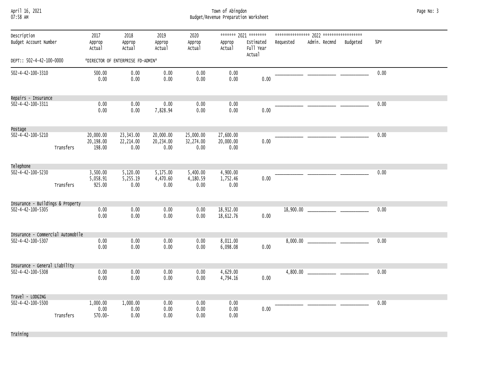April 16, 2021 Town of Abingdon Page No: 3 07:58 AM Budget/Revenue Preparation Worksheet

| Description<br>Budget Account Number |           | 2017<br>Approp<br>Actual         | 2018<br>Approp<br>Actual          | 2019<br>Approp<br>Actual       | 2020<br>Approp<br>Actual       | Approp<br>Actual               | ******* 2021 ********<br>Estimated<br>Full Year<br>Actual | Requested | Admin. Recmnd | Budgeted | $%$ PY |
|--------------------------------------|-----------|----------------------------------|-----------------------------------|--------------------------------|--------------------------------|--------------------------------|-----------------------------------------------------------|-----------|---------------|----------|--------|
| DEPT:: 502-4-42-100-0000             |           |                                  | *DIRECTOR OF ENTERPRISE FD-ADMIN* |                                |                                |                                |                                                           |           |               |          |        |
| 502-4-42-100-3310                    |           | 500.00<br>0.00                   | 0.00<br>0.00                      | 0.00<br>0.00                   | 0.00<br>0.00                   | 0.00<br>0.00                   | 0.00                                                      |           |               |          | 0.00   |
| Repairs - Insurance                  |           |                                  |                                   |                                |                                |                                |                                                           |           |               |          |        |
| 502-4-42-100-3311                    |           | 0.00<br>0.00                     | 0.00<br>0.00                      | 0.00<br>7,828.94               | 0.00<br>0.00                   | 0.00<br>0.00                   | 0.00                                                      |           |               |          | 0.00   |
| Postage                              |           |                                  |                                   |                                |                                |                                |                                                           |           |               |          |        |
| $502 - 4 - 42 - 100 - 5210$          | Transfers | 20,000.00<br>20,198.00<br>198.00 | 23,343.00<br>22,214.00<br>0.00    | 20,000.00<br>20,234.00<br>0.00 | 25,000.00<br>32,274.00<br>0.00 | 27,600.00<br>20,000.00<br>0.00 | 0.00                                                      |           |               |          | 0.00   |
| Telephone                            |           |                                  |                                   |                                |                                |                                |                                                           |           |               |          |        |
| 502-4-42-100-5230                    | Transfers | 3,500.00<br>5,058.91<br>925.00   | 5,120.00<br>5,255.19<br>0.00      | 5,175.00<br>4,470.60<br>0.00   | 5,400.00<br>4,180.59<br>0.00   | 4,900.00<br>1,752.46<br>0.00   | 0.00                                                      |           |               |          | 0.00   |
| Insurance - Buildings & Property     |           |                                  |                                   |                                |                                |                                |                                                           |           |               |          |        |
| $502 - 4 - 42 - 100 - 5305$          |           | 0.00<br>0.00                     | 0.00<br>0.00                      | 0.00<br>0.00                   | 0.00<br>0.00                   | 18,912.00<br>18,612.76         | 0.00                                                      | 18,900.00 |               |          | 0.00   |
| Insurance - Commercial Automobile    |           |                                  |                                   |                                |                                |                                |                                                           |           |               |          |        |
| $502 - 4 - 42 - 100 - 5307$          |           | 0.00<br>0.00                     | 0.00<br>0.00                      | 0.00<br>0.00                   | 0.00<br>0.00                   | 8,011.00<br>6,098.08           | 0.00                                                      |           |               |          | 0.00   |
| Insurance - General Liability        |           |                                  |                                   |                                |                                |                                |                                                           |           |               |          |        |
| $502 - 4 - 42 - 100 - 5308$          |           | 0.00<br>0.00                     | 0.00<br>0.00                      | 0.00<br>0.00                   | 0.00<br>0.00                   | 4,629.00<br>4,794.16           | 0.00                                                      |           |               |          | 0.00   |
| Travel - LODGING                     |           |                                  |                                   |                                |                                |                                |                                                           |           |               |          |        |
| $502 - 4 - 42 - 100 - 5500$          | Transfers | 1,000.00<br>0.00<br>$570.00 -$   | 1,000.00<br>0.00<br>0.00          | 0.00<br>0.00<br>0.00           | 0.00<br>0.00<br>0.00           | 0.00<br>0.00<br>0.00           | 0.00                                                      |           |               |          | 0.00   |

Training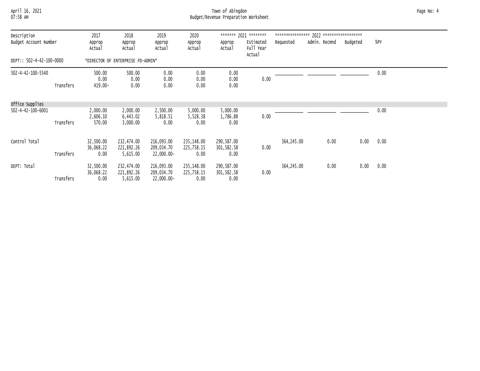## April 16, 2021 Town of Abingdon Page No: 4 07:58 AM Budget/Revenue Preparation Worksheet

| Description<br>Budget Account Number |           | 2017<br>Approp<br>Actual       | 2018<br>Approp<br>Actual             | 2019<br>Approp<br>Actual               | 2020<br>Approp<br>Actual         | Approp<br>Actual                 | ******* 2021 ********<br>Estimated<br>Full Year<br>Actual | Requested  | Admin. Recmnd | Budgeted | %PY  |  |
|--------------------------------------|-----------|--------------------------------|--------------------------------------|----------------------------------------|----------------------------------|----------------------------------|-----------------------------------------------------------|------------|---------------|----------|------|--|
| DEPT:: 502-4-42-100-0000             |           |                                | *DIRECTOR OF ENTERPRISE FD-ADMIN*    |                                        |                                  |                                  |                                                           |            |               |          |      |  |
| 502-4-42-100-5540                    | Transfers | 500.00<br>0.00<br>419.00-      | 500.00<br>0.00<br>0.00               | 0.00<br>0.00<br>0.00                   | 0.00<br>0.00<br>0.00             | 0.00<br>0.00<br>0.00             | 0.00                                                      |            |               |          | 0.00 |  |
| Office Supplies                      |           |                                |                                      |                                        |                                  |                                  |                                                           |            |               |          |      |  |
| 502-4-42-100-6001                    | Transfers | 2,000.00<br>2,606.10<br>570.00 | 2,000.00<br>6,443.02<br>3,000.00     | 2,500.00<br>5,818.51<br>0.00           | 5,000.00<br>5,528.38<br>0.00     | 5,000.00<br>1,786.88<br>0.00     | 0.00                                                      |            |               |          | 0.00 |  |
| Control Total                        | Transfers | 32,500.00<br>36,068.22<br>0.00 | 232,474.00<br>221,892.26<br>5,615.00 | 216,093.00<br>209,034.70<br>22,000.00- | 235,148.00<br>225,758.15<br>0.00 | 290,587.00<br>301,582.58<br>0.00 | 0.00                                                      | 364,245.00 | 0.00          | 0.00     | 0.00 |  |
| DEPT: Total                          | Transfers | 32,500.00<br>36,068.22<br>0.00 | 232,474.00<br>221,892.26<br>5,615.00 | 216,093.00<br>209,034.70<br>22,000.00- | 235,148.00<br>225,758.15<br>0.00 | 290,587.00<br>301,582.58<br>0.00 | 0.00                                                      | 364,245.00 | 0.00          | 0.00     | 0.00 |  |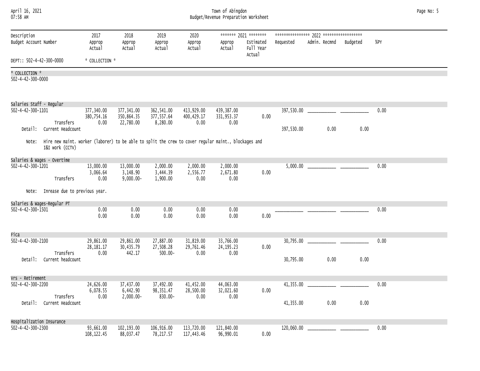| April 16, 2021<br>07:58 AM                               |                                                                                                                         |                                  |                                       |                                      |                                  | Town of Abingdon<br>Budget/Revenue Preparation Worksheet |                                                           |            |               |          |      | Page No: 5 |
|----------------------------------------------------------|-------------------------------------------------------------------------------------------------------------------------|----------------------------------|---------------------------------------|--------------------------------------|----------------------------------|----------------------------------------------------------|-----------------------------------------------------------|------------|---------------|----------|------|------------|
| Description<br>Budget Account Number                     |                                                                                                                         | 2017<br>Approp<br>Actual         | 2018<br>Approp<br>Actual              | 2019<br>Approp<br>Actual             | 2020<br>Approp<br>Actual         | Approp<br>Actual                                         | ******* 2021 ********<br>Estimated<br>Full Year<br>Actual | Requested  | Admin. Recmnd | Budgeted | %PY  |            |
| DEPT:: 502-4-42-300-0000                                 |                                                                                                                         | * COLLECTION *                   |                                       |                                      |                                  |                                                          |                                                           |            |               |          |      |            |
| * COLLECTION *<br>$502 - 4 - 42 - 300 - 0000$            |                                                                                                                         |                                  |                                       |                                      |                                  |                                                          |                                                           |            |               |          |      |            |
| Salaries Staff - Regular<br>502-4-42-300-1101<br>Detail: | Transfers<br>Current Headcount                                                                                          | 377,340.00<br>380,754.16<br>0.00 | 377,341.00<br>350,864.35<br>22,780.00 | 362,541.00<br>377,557.64<br>8,280.00 | 413,929.00<br>400,429.17<br>0.00 | 439,387.00<br>331,953.37<br>0.00                         | 0.00                                                      | 397,530.00 | 0.00          | 0.00     | 0.00 |            |
| Note:                                                    | Hire new maint. worker (laborer) to be able to split the crew to cover regular maint., blockages and<br>I&I work (CCTV) |                                  |                                       |                                      |                                  |                                                          |                                                           |            |               |          |      |            |
| $502 - 4 - 42 - 300 - 1201$                              | Salaries & Wages - Overtime<br>Transfers                                                                                | 13,000.00<br>3,066.64<br>0.00    | 13,000.00<br>3,148.90<br>$9,000.00 -$ | 2,000.00<br>3,444.39<br>1,900.00     | 2,000.00<br>2,556.77<br>0.00     | 2,000.00<br>2,671.80<br>0.00                             | 0.00                                                      |            |               |          | 0.00 |            |
|                                                          | Note: Inrease due to previous year.                                                                                     |                                  |                                       |                                      |                                  |                                                          |                                                           |            |               |          |      |            |
| 502-4-42-300-1501                                        | Salaries & Wages-Regular PT                                                                                             | 0.00<br>0.00                     | 0.00<br>0.00                          | 0.00<br>0.00                         | 0.00<br>0.00                     | 0.00<br>0.00                                             | 0.00                                                      |            |               |          | 0.00 |            |
| Fica<br>$502 - 4 - 42 - 300 - 2100$                      | Transfers                                                                                                               | 29,861.00<br>28, 181. 17<br>0.00 | 29,861.00<br>30,435.79<br>442.17      | 27,887.00<br>27,508.28<br>$500.00 -$ | 31,819.00<br>29,761.46<br>0.00   | 33,766.00<br>24, 195. 23<br>0.00                         | 0.00                                                      |            |               |          | 0.00 |            |
|                                                          | Detail: Current headcount                                                                                               |                                  |                                       |                                      |                                  |                                                          |                                                           | 30,795.00  | 0.00          | 0.00     |      |            |
| Vrs - Retirement                                         |                                                                                                                         |                                  |                                       |                                      |                                  |                                                          |                                                           |            |               |          |      |            |
| $502 - 4 - 42 - 300 - 2200$                              | Transfers                                                                                                               | 24,626.00<br>6,078.55<br>0.00    | 37,437.00<br>6,442.90<br>$2,000.00 -$ | 37,492.00<br>98,351.47<br>830.00-    | 41,452.00<br>28,500.00<br>0.00   | 44,063.00<br>32,021.60<br>0.00                           | 0.00                                                      | 41,355.00  |               |          | 0.00 |            |
|                                                          | Detail: Current Headcount                                                                                               |                                  |                                       |                                      |                                  |                                                          |                                                           | 41,355.00  | 0.00          | 0.00     |      |            |
| Hosnitalization Insurance                                |                                                                                                                         |                                  |                                       |                                      |                                  |                                                          |                                                           |            |               |          |      |            |

Hospitalization Insurance 502-4-42-300-2300 93,661.00 102,193.00 106,916.00 113,720.00 121,840.00 120,060.00 \_\_\_\_\_\_\_\_\_\_\_\_\_ \_\_\_\_\_\_\_\_\_\_\_\_\_ 0.00 108,122.45 88,037.47 78,217.57 117,443.46 96,990.01 0.00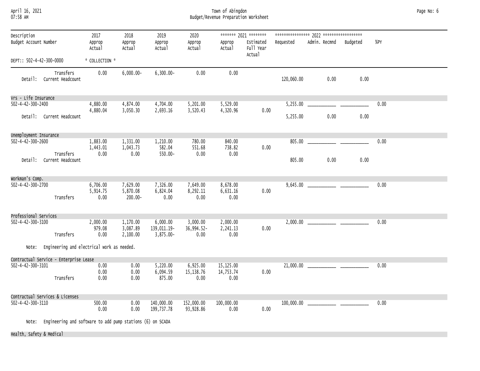| April 16, 2021  |  |
|-----------------|--|
| <b>07.50 AM</b> |  |

April 16, 2021 Town of Abingdon Page No: 6 07:58 AM Budget/Revenue Preparation Worksheet

| Description                                         | 2017                         | 2018                             | 2019                                 | 2020                           |                              | ******* 2021 ********            |            |                        |      |      |
|-----------------------------------------------------|------------------------------|----------------------------------|--------------------------------------|--------------------------------|------------------------------|----------------------------------|------------|------------------------|------|------|
| Budget Account Number                               | Approp<br>Actual             | Approp<br>Actual                 | Approp<br>Actual                     | Approp<br>Actual               | Approp<br>Actual             | Estimated<br>Full Year<br>Actual | Requested  | Admin. Recmnd Budgeted |      | %PY  |
| DEPT:: 502-4-42-300-0000                            | * COLLECTION *               |                                  |                                      |                                |                              |                                  |            |                        |      |      |
| Transfers<br>Detail: Current Headcount              | 0.00                         | $6,000.00 -$                     | $6,300.00 -$                         | 0.00                           | 0.00                         |                                  | 120,060.00 | 0.00                   | 0.00 |      |
| Vrs - Life Insurance                                |                              |                                  |                                      |                                |                              |                                  |            |                        |      |      |
| $502 - 4 - 42 - 300 - 2400$                         | 4,880.00<br>4,880.04         | 4,874.00<br>3,050.30             | 4,704.00<br>2,693.16                 | 5,201.00<br>3,520.43           | 5,529.00<br>4,320.96         | 0.00                             |            |                        |      | 0.00 |
| Detail: Current Headcount                           |                              |                                  |                                      |                                |                              |                                  | 5,255.00   | 0.00                   | 0.00 |      |
| Unemployment Insurance                              |                              |                                  |                                      |                                |                              |                                  |            |                        |      |      |
| $502 - 4 - 42 - 300 - 2600$                         | 1,883.00<br>1,443.01         | 1,331.00<br>1,043.73             | 1,210.00<br>582.04                   | 780.00<br>551.68               | 840.00<br>738.82             | 0.00                             |            |                        |      | 0.00 |
| Transfers<br>Detail: Current Headcount              | 0.00                         | 0.00                             | 550.00-                              | 0.00                           | 0.00                         |                                  | 805.00     | 0.00                   | 0.00 |      |
| Workman's Comp.                                     |                              |                                  |                                      |                                |                              |                                  |            |                        |      |      |
| $502 - 4 - 42 - 300 - 2700$<br>Transfers            | 6,706.00<br>5,914.75<br>0.00 | 7,629.00<br>5,870.08<br>200.00-  | 7,326.00<br>6,824.04<br>0.00         | 7,649.00<br>8,292.11<br>0.00   | 8,678.00<br>6,631.16<br>0.00 | 0.00                             |            |                        |      | 0.00 |
| Professional Services                               |                              |                                  |                                      |                                |                              |                                  |            |                        |      |      |
| $502 - 4 - 42 - 300 - 3100$<br>Transfers            | 2,000.00<br>979.08<br>0.00   | 1,170.00<br>3,087.89<br>2,100.00 | 6,000.00<br>139,011.19-<br>3,875.00- | 3,000.00<br>36,994.52-<br>0.00 | 2,000.00<br>2,241.13<br>0.00 | 0.00                             |            |                        |      | 0.00 |
| Engineering and electrical work as needed.<br>Note: |                              |                                  |                                      |                                |                              |                                  |            |                        |      |      |
| Contractual Service - Enterprise Lease              |                              |                                  |                                      |                                |                              |                                  |            |                        |      |      |
| $502 - 4 - 42 - 300 - 3101$                         | 0.00<br>0.00                 | 0.00<br>0.00                     | 5,220.00<br>6,094.59                 | 6,925.00<br>15, 138.76         | 15,125.00<br>14,753.74       | 0.00                             |            |                        |      | 0.00 |
| Transfers                                           | 0.00                         | 0.00                             | 875.00                               | 0.00                           | 0.00                         |                                  |            |                        |      |      |
| Contractual Services & Licenses                     |                              |                                  |                                      |                                |                              |                                  |            |                        |      |      |
| 502-4-42-300-3110                                   | 500.00<br>0.00               | 0.00<br>0.00                     | 140,000.00<br>199,737.78             | 152,000.00<br>93,928.86        | 100,000.00<br>0.00           | 0.00                             |            |                        |      | 0.00 |

Health, Safety & Medical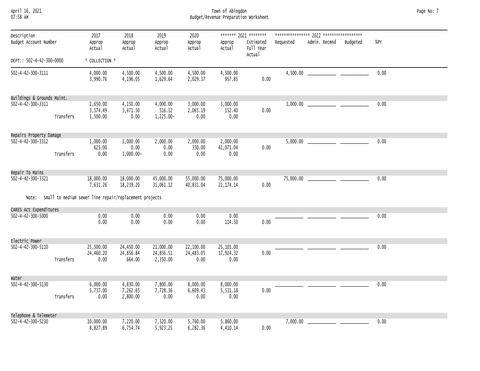| April 16, 2021 |  |
|----------------|--|
| 07.58 AM       |  |

April 16, 2021 Town of Abingdon Page No: 7 07:58 AM Budget/Revenue Preparation Worksheet

| Description<br>Budget Account Number |           | 2017<br>Approp<br>Actual                               | 2018<br>Approp<br>Actual         | 2019<br>Approp<br>Actual           | 2020<br>Approp<br>Actual       | Approp<br>Actual               | ******* 2021 ********<br>Estimated<br>Full Year<br>Actual | Requested | Admin. Recmnd | Budgeted | %PY  |
|--------------------------------------|-----------|--------------------------------------------------------|----------------------------------|------------------------------------|--------------------------------|--------------------------------|-----------------------------------------------------------|-----------|---------------|----------|------|
| DEPT:: 502-4-42-300-0000             |           | * COLLECTION *                                         |                                  |                                    |                                |                                |                                                           |           |               |          |      |
| 502-4-42-300-3111                    |           | 4,000.00<br>3,990.76                                   | 4,500.00<br>4,196.05             | 4,500.00<br>1,629.64               | 4,500.00<br>2,029.37           | 4,500.00<br>957.85             | 0.00                                                      | 4,500.00  |               |          | 0.00 |
| Buildings & Grounds Maint.           |           |                                                        |                                  |                                    |                                |                                |                                                           |           |               |          |      |
| $502 - 4 - 42 - 300 - 3311$          | Transfers | 2,650.00<br>3,574.49<br>1,500.00                       | 4,150.00<br>3,471.50<br>0.00     | 4,000.00<br>1516.12<br>1,225.00-   | 3,000.00<br>2,065.19<br>0.00   | 3,000.00<br>152.40<br>0.00     | 0.00                                                      | 3,000.00  |               |          | 0.00 |
| Repairs Property Damage              |           |                                                        |                                  |                                    |                                |                                |                                                           |           |               |          |      |
| $502 - 4 - 42 - 300 - 3312$          | Transfers | 1,000.00<br>625.00<br>0.00                             | 1,000.00<br>0.00<br>$1,000.00 -$ | 2,000.00<br>0.00<br>0.00           | 2,000.00<br>350.00<br>0.00     | 2,000.00<br>41,071.04<br>0.00  | 0.00                                                      | 5,000.00  |               |          | 0.00 |
| Repair To Mains                      |           |                                                        |                                  |                                    |                                |                                |                                                           |           |               |          |      |
| 502-4-42-300-3321                    |           | 18,000.00<br>7,631.26                                  | 18,000.00<br>18,239.20           | 45,000.00<br>31,061.12             | 55,000.00<br>40,831.04         | 75,000.00<br>21, 174. 14       | 0.00                                                      | 75,000.00 |               |          | 0.00 |
| Note:                                |           | Small to medium sewer line repair/replacement projects |                                  |                                    |                                |                                |                                                           |           |               |          |      |
| CARES Act Expenditures               |           |                                                        |                                  |                                    |                                |                                |                                                           |           |               |          |      |
| $502 - 4 - 42 - 300 - 5000$          |           | 0.00<br>0.00                                           | 0.00<br>0.00                     | 0.00<br>0.00                       | 0.00<br>0.00                   | 0.00<br>114.50                 | 0.00                                                      |           |               |          | 0.00 |
| Electric Power                       |           |                                                        |                                  |                                    |                                |                                |                                                           |           |               |          |      |
| 502-4-42-300-5110                    | Transfers | 25,500.00<br>24,460.20<br>0.00                         | 24,450.00<br>24,856.84<br>664.00 | 21,000.00<br>24,856.51<br>2,350.00 | 22,100.00<br>24,483.05<br>0.00 | 25,101.00<br>17,924.32<br>0.00 | 0.00                                                      |           |               |          | 0.00 |
| Water                                |           |                                                        |                                  |                                    |                                |                                |                                                           |           |               |          |      |
| $502 - 4 - 42 - 300 - 5130$          | Transfers | 6,000.00<br>5,737.00<br>0.00                           | 4,830.00<br>7,262.65<br>2,800.00 | 7,800.00<br>7,728.36<br>0.00       | 8,000.00<br>6,609.43<br>0.00   | 8,000.00<br>5,531.18<br>0.00   | 0.00                                                      |           |               |          | 0.00 |
| Telephone & Telemeter                |           |                                                        |                                  |                                    |                                |                                |                                                           |           |               |          |      |
| $502 - 4 - 42 - 300 - 5230$          |           | 10,000.00<br>8,827.89                                  | 7,220.00<br>6,754.74             | 7,320.00<br>5,923.25               | 5,760.00<br>6,282.36           | 5,860.00<br>4,410.14           | 0.00                                                      | 7,000.00  |               |          | 0.00 |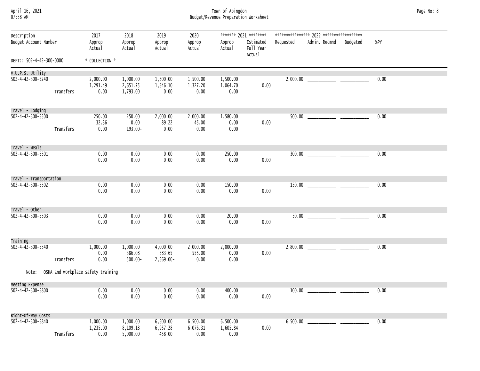| April 16, 2021 |  |
|----------------|--|
| 07.58 AM       |  |

April 16, 2021 Town of Abingdon Page No: 8 07:58 AM Budget/Revenue Preparation Worksheet

| Description<br>Budget Account Number |           | 2017<br>Approp<br>Actual           | 2018<br>Approp<br>Actual         | 2019<br>Approp<br>Actual        | 2020<br>Approp<br>Actual     | Approp<br>Actual             | ******* 2021 ********<br>Estimated<br>Full Year<br>Actual | Requested | Admin. Recmnd                                              | Budgeted | %PY  |
|--------------------------------------|-----------|------------------------------------|----------------------------------|---------------------------------|------------------------------|------------------------------|-----------------------------------------------------------|-----------|------------------------------------------------------------|----------|------|
| DEPT:: 502-4-42-300-0000             |           | * COLLECTION *                     |                                  |                                 |                              |                              |                                                           |           |                                                            |          |      |
| V.U.P.S. Utility                     |           |                                    |                                  |                                 |                              |                              |                                                           |           |                                                            |          |      |
| $502 - 4 - 42 - 300 - 5240$          | Transfers | 2,000.00<br>1,291.49<br>0.00       | 1,000.00<br>2,651.75<br>1,793.00 | 1,500.00<br>1,346.10<br>0.00    | 1,500.00<br>1,327.20<br>0.00 | 1,500.00<br>1,064.70<br>0.00 | 0.00                                                      |           |                                                            |          | 0.00 |
| Travel - Lodging                     |           |                                    |                                  |                                 |                              |                              |                                                           |           |                                                            |          |      |
| $502 - 4 - 42 - 300 - 5500$          | Transfers | 250.00<br>32.36<br>0.00            | 250.00<br>0.00<br>193.00-        | 2,000.00<br>89.22<br>0.00       | 2,000.00<br>45.00<br>0.00    | 1,580.00<br>0.00<br>0.00     | 0.00                                                      |           |                                                            |          | 0.00 |
| Travel - Meals                       |           |                                    |                                  |                                 |                              |                              |                                                           |           |                                                            |          |      |
| 502-4-42-300-5501                    |           | 0.00<br>0.00                       | 0.00<br>0.00                     | 0.00<br>0.00                    | 0.00<br>0.00                 | 250.00<br>0.00               | 0.00                                                      |           |                                                            |          | 0.00 |
| Travel - Transportation              |           |                                    |                                  |                                 |                              |                              |                                                           |           |                                                            |          |      |
| 502-4-42-300-5502                    |           | 0.00<br>0.00                       | 0.00<br>0.00                     | 0.00<br>0.00                    | 0.00<br>0.00                 | 150.00<br>0.00               | 0.00                                                      |           |                                                            |          | 0.00 |
| Travel - Other                       |           |                                    |                                  |                                 |                              |                              |                                                           |           |                                                            |          |      |
| 502-4-42-300-5503                    |           | 0.00<br>0.00                       | 0.00<br>0.00                     | 0.00<br>0.00                    | 0.00<br>0.00                 | 20.00<br>0.00                | 0.00                                                      |           |                                                            |          | 0.00 |
| Training                             |           |                                    |                                  |                                 |                              |                              |                                                           |           |                                                            |          |      |
| $502 - 4 - 42 - 300 - 5540$          | Transfers | 1,000.00<br>0.00<br>0.00           | 1,000.00<br>386.08<br>$500.00 -$ | 4,000.00<br>383.65<br>2,569.00- | 2,000.00<br>555.00<br>0.00   | 2,000.00<br>0.00<br>0.00     | 0.00                                                      |           |                                                            |          | 0.00 |
| Note:                                |           | OSHA and workplace safety training |                                  |                                 |                              |                              |                                                           |           |                                                            |          |      |
| Meeting Expense                      |           |                                    |                                  |                                 |                              |                              |                                                           |           |                                                            |          |      |
| $502 - 4 - 42 - 300 - 5800$          |           | 0.00<br>0.00                       | 0.00<br>0.00                     | 0.00<br>0.00                    | 0.00<br>0.00                 | 400.00<br>0.00               | 0.00                                                      | 100.00    | <u> 1989 - Johann Barn, mars ar breist fan de Fryske k</u> |          | 0.00 |
| Right-Of-Way Costs                   |           |                                    |                                  |                                 |                              |                              |                                                           |           |                                                            |          |      |
| $502 - 4 - 42 - 300 - 5840$          | Transfers | 1,000.00<br>1,235.00<br>0.00       | 1,000.00<br>8,109.18<br>5,000.00 | 6,500.00<br>6,957.28<br>458.00  | 6,500.00<br>6,076.31<br>0.00 | 6,500.00<br>1,605.84<br>0.00 | 0.00                                                      |           |                                                            |          | 0.00 |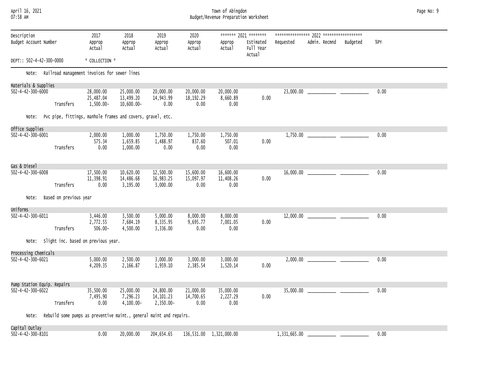| April 16, 2021<br>07:58 AM           |                        |                                                    |                                                                     |                                    |                                  | Town of Abingdon<br>Budget/Revenue Preparation Worksheet |                                                           |              |                        |      | Page No: 9 |
|--------------------------------------|------------------------|----------------------------------------------------|---------------------------------------------------------------------|------------------------------------|----------------------------------|----------------------------------------------------------|-----------------------------------------------------------|--------------|------------------------|------|------------|
| Description<br>Budget Account Number |                        | 2017<br>Approp<br>Actual                           | 2018<br>Approp<br>Actual                                            | 2019<br>Approp<br>Actual           | 2020<br>Approp<br>Actual         | Approp<br>Actual                                         | ******* 2021 ********<br>Estimated<br>Full Year<br>Actual | Requested    | Admin. Recmnd Budgeted | %PY  |            |
| DEPT:: 502-4-42-300-0000             |                        | * COLLECTION *                                     |                                                                     |                                    |                                  |                                                          |                                                           |              |                        |      |            |
|                                      |                        | Note: Railroad management invoices for sewer lines |                                                                     |                                    |                                  |                                                          |                                                           |              |                        |      |            |
| Materials & Supplies                 |                        |                                                    |                                                                     |                                    |                                  |                                                          |                                                           |              |                        |      |            |
| 502-4-42-300-6000                    | Transfers              | 28,000.00<br>25,487.04<br>$1,500.00 -$             | 25,000.00<br>13,499.20<br>10,600.00-                                | 20,000.00<br>14,943.99<br>0.00     | 20,000.00<br>18, 192. 29<br>0.00 | 20,000.00<br>8,660.89<br>0.00                            | 0.00                                                      |              |                        | 0.00 |            |
| Note:                                |                        |                                                    | Pvc pipe, fittings, manhole frames and covers, gravel, etc.         |                                    |                                  |                                                          |                                                           |              |                        |      |            |
| Office Supplies                      |                        |                                                    |                                                                     |                                    |                                  |                                                          |                                                           |              |                        |      |            |
| 502-4-42-300-6001                    | Transfers              | 2,000.00<br>575.34<br>0.00                         | 1,000.00<br>1,659.85<br>1,000.00                                    | 1,750.00<br>1,488.97<br>0.00       | 1,750.00<br>837.60<br>0.00       | 1,750.00<br>507.01<br>0.00                               | 0.00                                                      |              |                        | 0.00 |            |
| Gas & Diesel                         |                        |                                                    |                                                                     |                                    |                                  |                                                          |                                                           |              |                        |      |            |
| 502-4-42-300-6008                    | Transfers              | 17,500.00<br>11,398.91<br>0.00                     | 10,620.00<br>14,486.68<br>3,195.00                                  | 12,500.00<br>16,983.25<br>3,000.00 | 15,600.00<br>15,097.97<br>0.00   | 16,600.00<br>11,408.26<br>0.00                           | 0.00                                                      |              |                        | 0.00 |            |
| Note:                                | Based on previous year |                                                    |                                                                     |                                    |                                  |                                                          |                                                           |              |                        |      |            |
| Uniforms                             |                        |                                                    |                                                                     |                                    |                                  |                                                          |                                                           |              |                        |      |            |
| 502-4-42-300-6011                    | Transfers              | 3,446.00<br>2,772.55<br>$506.00 -$                 | 3,500.00<br>7,684.19<br>4,500.00                                    | 5,000.00<br>8,335.95<br>3,336.00   | 8,000.00<br>9,695.77<br>0.00     | 8,000.00<br>7,001.05<br>0.00                             | 0.00                                                      |              |                        | 0.00 |            |
| Note:                                |                        | Slight inc. based on previous year.                |                                                                     |                                    |                                  |                                                          |                                                           |              |                        |      |            |
| Processing Chemicals                 |                        |                                                    |                                                                     |                                    |                                  |                                                          |                                                           |              |                        |      |            |
| 502-4-42-300-6021                    |                        | 5,000.00<br>4,209.35                               | 2,500.00<br>2,166.87                                                | 3,000.00<br>1,959.10               | 3,000.00<br>2,385.54             | 3,000.00<br>1,520.14                                     | 0.00                                                      |              |                        | 0.00 |            |
| Pump Station Equip. Repairs          |                        |                                                    |                                                                     |                                    |                                  |                                                          |                                                           |              |                        |      |            |
| 502-4-42-300-6022                    |                        | 35,500.00<br>7,495.90                              | 25,000.00<br>7,296.23                                               | 24,800.00<br>14, 101.23            | 21,000.00<br>14,700.65           | 35,000.00<br>2,227.29                                    | 0.00                                                      | 35,000.00    |                        | 0.00 |            |
|                                      | Transfers              | 0.00                                               | $4,100.00 -$                                                        | 2,350.00-                          | 0.00                             | 0.00                                                     |                                                           |              |                        |      |            |
| Note:                                |                        |                                                    | Rebuild some pumps as preventive maint., general maint and repairs. |                                    |                                  |                                                          |                                                           |              |                        |      |            |
| Capital Outlay<br>502-4-42-300-8101  |                        | 0.00                                               | 20,000.00                                                           | 204,654.65                         |                                  | 136,531.00 1,321,000.00                                  |                                                           | 1,331,665.00 |                        | 0.00 |            |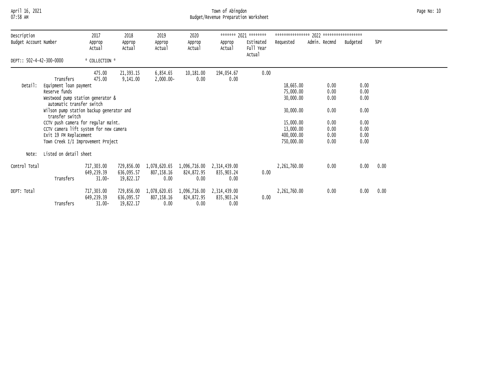# April 16, 2021 Town of Abingdon Page No: 10 07:58 AM Budget/Revenue Preparation Worksheet

| Description              |                                                                                                                                                                                                                                                                                                                                        | 2017                                  |                                       | ******* 2021 ********<br>2018<br>2019<br>2020 |                                    |                                    |                                  |                                                                                                        |                                                              |                                                              |      |  |
|--------------------------|----------------------------------------------------------------------------------------------------------------------------------------------------------------------------------------------------------------------------------------------------------------------------------------------------------------------------------------|---------------------------------------|---------------------------------------|-----------------------------------------------|------------------------------------|------------------------------------|----------------------------------|--------------------------------------------------------------------------------------------------------|--------------------------------------------------------------|--------------------------------------------------------------|------|--|
| Budget Account Number    |                                                                                                                                                                                                                                                                                                                                        | Approp<br>Actual                      | Approp<br>Actual                      | Approp<br>Actual                              | Approp<br>Actual                   | Approp<br>Actual                   | Estimated<br>Full Year<br>Actual | Requested                                                                                              | Admin. Recmnd                                                | Budgeted                                                     | %PY  |  |
| DEPT:: 502-4-42-300-0000 |                                                                                                                                                                                                                                                                                                                                        | * COLLECTION *                        |                                       |                                               |                                    |                                    |                                  |                                                                                                        |                                                              |                                                              |      |  |
| Detail:                  | Transfers<br>Equipment loan payment<br>Reserve funds<br>Westwood pump station generator &<br>automatic transfer switch<br>Wilson pump station backup generator and<br>transfer switch<br>CCTV push camera for regular maint.<br>CCTV camera lift system for new camera<br>Exit 19 FM Replacement<br>Town Creek I/I Improvement Project | 475.00<br>475.00                      | 21,393.15<br>9,141.00                 | 6,854.65<br>2,000.00-                         | 10,181.00<br>0.00                  | 194,054.67<br>0.00                 | 0.00                             | 18,665.00<br>75,000.00<br>30,000.00<br>30,000.00<br>15,000.00<br>13,000.00<br>400,000.00<br>750,000.00 | 0.00<br>0.00<br>0.00<br>0.00<br>0.00<br>0.00<br>0.00<br>0.00 | 0.00<br>0.00<br>0.00<br>0.00<br>0.00<br>0.00<br>0.00<br>0.00 |      |  |
| Note:                    | Listed on detail sheet                                                                                                                                                                                                                                                                                                                 |                                       |                                       |                                               |                                    |                                    |                                  |                                                                                                        |                                                              |                                                              |      |  |
| Control Total            | Transfers                                                                                                                                                                                                                                                                                                                              | 717,303.00<br>649,239.39<br>$31.00 -$ | 729,856.00<br>636,095.57<br>19,822.17 | 1,078,620.65<br>807,158.16<br>0.00            | 1,096,716.00<br>824,872.95<br>0.00 | 2,314,439.00<br>835,903.24<br>0.00 | 0.00                             | 2,261,760.00                                                                                           | 0.00                                                         | 0.00                                                         | 0.00 |  |
| DEPT: Total              | Transfers                                                                                                                                                                                                                                                                                                                              | 717,303.00<br>649,239.39<br>$31.00 -$ | 729,856.00<br>636,095.57<br>19,822.17 | 1,078,620.65<br>807,158.16<br>0.00            | 1,096,716.00<br>824,872.95<br>0.00 | 2,314,439.00<br>835,903.24<br>0.00 | 0.00                             | 2,261,760.00                                                                                           | 0.00                                                         | 0.00                                                         | 0.00 |  |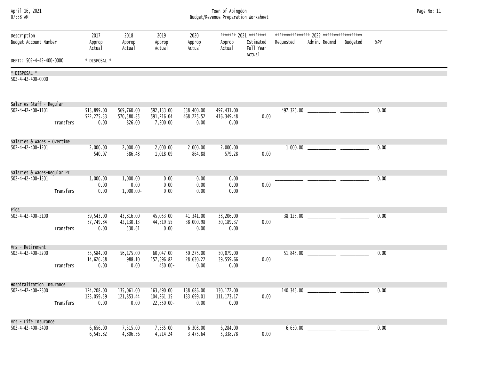| April 16, 2021<br>07:58 AM               |                                  |                                    |                                          |                                  | Town of Abingdon                    | Budget/Revenue Preparation Worksheet                      |               |                                   |      | Page No: 11 |
|------------------------------------------|----------------------------------|------------------------------------|------------------------------------------|----------------------------------|-------------------------------------|-----------------------------------------------------------|---------------|-----------------------------------|------|-------------|
| Description<br>Budget Account Number     | 2017<br>Approp<br>Actual         | 2018<br>Approp<br>Actual           | 2019<br>Approp<br>Actual                 | 2020<br>Approp<br>Actual         | Approp<br>Actual                    | ******* 2021 ********<br>Estimated<br>Full Year<br>Actual | Requested     | Admin. Recmnd Budgeted            | %PY  |             |
| DEPT:: 502-4-42-400-0000                 | * DISPOSAL *                     |                                    |                                          |                                  |                                     |                                                           |               |                                   |      |             |
| * DISPOSAL *<br>502-4-42-400-0000        |                                  |                                    |                                          |                                  |                                     |                                                           |               |                                   |      |             |
| Salaries Staff - Regular                 |                                  |                                    |                                          |                                  |                                     |                                                           |               |                                   |      |             |
| 502-4-42-400-1101<br>Transfers           | 513,899.00<br>522,275.33<br>0.00 | 569,760.00<br>570,580.85<br>826.00 | 592,133.00<br>591,216.04<br>7,200.00     | 538,400.00<br>468,225.52<br>0.00 | 497,431.00<br>416, 349.48<br>0.00   | 0.00                                                      |               |                                   | 0.00 |             |
| Salaries & Wages - Overtime              |                                  |                                    |                                          |                                  |                                     |                                                           |               |                                   |      |             |
| 502-4-42-400-1201                        | 2,000.00<br>540.07               | 2,000.00<br>386.48                 | 2,000.00<br>1,018.09                     | 2,000.00<br>864.88               | 2,000.00<br>579.28                  | 0.00                                                      |               |                                   | 0.00 |             |
| Salaries & Wages-Regular PT              |                                  |                                    |                                          |                                  |                                     |                                                           |               |                                   |      |             |
| 502-4-42-400-1501<br>Transfers           | 1,000.00<br>0.00<br>0.00         | 1,000.00<br>0.00<br>$1,000.00-$    | 0.00<br>0.00<br>0.00                     | 0.00<br>0.00<br>0.00             | 0.00<br>0.00<br>0.00                | 0.00                                                      |               |                                   | 0.00 |             |
| Fica                                     |                                  |                                    |                                          |                                  |                                     |                                                           |               |                                   |      |             |
| 502-4-42-400-2100<br>Transfers           | 39,543.00<br>37,749.84<br>0.00   | 43,816.00<br>42,130.13<br>530.61   | 45,053.00<br>44,519.55<br>0.00           | 41,341.00<br>38,000.98<br>0.00   | 38,206.00<br>30,189.37<br>0.00      | 0.00                                                      |               |                                   | 0.00 |             |
| Vrs - Retirement                         |                                  |                                    |                                          |                                  |                                     |                                                           |               |                                   |      |             |
| 502-4-42-400-2200<br>Transfers           | 33,584.00<br>14,626.38<br>0.00   | 56,175.00<br>988.10<br>0.00        | 60,047.00<br>157,596.82<br>450.00-       | 50,275.00<br>28,630.22<br>0.00   | 50,079.00<br>39,559.66<br>0.00      | 0.00                                                      |               |                                   | 0.00 |             |
| Hospitalization Insurance                |                                  |                                    |                                          |                                  |                                     |                                                           |               |                                   |      |             |
| $502 - 4 - 42 - 400 - 2300$<br>Transfers | 124,208.00<br>123,059.59<br>0.00 | 135,061.00<br>121,853.44<br>0.00   | 163,490.00<br>104, 261. 15<br>22,550.00- | 138,686.00<br>133,699.01<br>0.00 | 130, 172.00<br>111, 173. 17<br>0.00 | 0.00                                                      | 140,345.00    |                                   | 0.00 |             |
| Vrs - Life Insurance                     |                                  |                                    |                                          |                                  |                                     |                                                           |               |                                   |      |             |
| 502-4-42-400-2400                        | 6,656.00<br>6,545.82             | 7,315.00<br>4,806.36               | 7,535.00<br>4,214.24                     | 6,308.00<br>3,475.64             | 6,284.00<br>5,338.78                | 0.00                                                      | $6,650.00$ __ | the company of the company of the | 0.00 |             |

Fica

 $\overline{a}$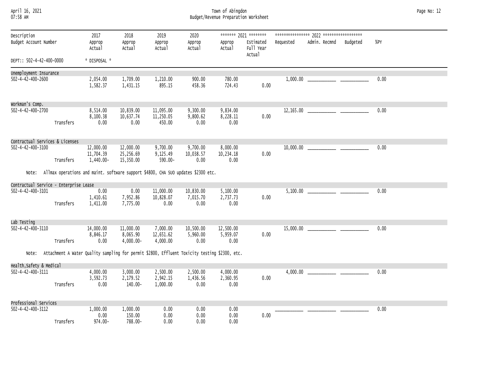April 16, 2021 Town of Abingdon Page No: 12 07:58 AM Budget/Revenue Preparation Worksheet

| Description<br>Budget Account Number   |           | 2017<br>Approp<br>Actual                                                                      | 2018<br>Approp<br>Actual              | 2019<br>Approp<br>Actual          | 2020<br>Approp<br>Actual      | Approp<br>Actual              | ******* 2021 ********<br>Estimated<br>Full Year<br>Actual | Requested | Admin. Recmnd | Budgeted | %PY  |
|----------------------------------------|-----------|-----------------------------------------------------------------------------------------------|---------------------------------------|-----------------------------------|-------------------------------|-------------------------------|-----------------------------------------------------------|-----------|---------------|----------|------|
| DEPT:: 502-4-42-400-0000               |           | * DISPOSAL *                                                                                  |                                       |                                   |                               |                               |                                                           |           |               |          |      |
| Unemployment Insurance                 |           |                                                                                               |                                       |                                   |                               |                               |                                                           |           |               |          |      |
| $502 - 4 - 42 - 400 - 2600$            |           | 2,054.00<br>1,582.37                                                                          | 1,709.00<br>1,431.15                  | 1,210.00<br>895.15                | 900.00<br>458.36              | 780.00<br>724.43              | 0.00                                                      |           |               |          | 0.00 |
| Workman's Comp.                        |           |                                                                                               |                                       |                                   |                               |                               |                                                           |           |               |          |      |
| 502-4-42-400-2700                      | Transfers | 8,514.00<br>8,100.38<br>0.00                                                                  | 10,839.00<br>10,637.74<br>0.00        | 11,095.00<br>11,250.05<br>450.00  | 9,300.00<br>9,800.62<br>0.00  | 9,834.00<br>8,228.11<br>0.00  | 0.00                                                      |           |               |          | 0.00 |
| Contractual Services & Licenses        |           |                                                                                               |                                       |                                   |                               |                               |                                                           |           |               |          |      |
| 502-4-42-400-3100                      | Transfers | 12,000.00<br>11,704.39<br>$1,440.00 -$                                                        | 12,000.00<br>25,256.69<br>15,350.00   | 9,700.00<br>9,125.49<br>590.00-   | 9,700.00<br>10,038.57<br>0.00 | 8,000.00<br>10,234.18<br>0.00 | 0.00                                                      |           |               |          | 0.00 |
| Note:                                  |           | Allmax operations and maint. software support \$4800, CHA SUO updates \$2300 etc.             |                                       |                                   |                               |                               |                                                           |           |               |          |      |
| Contractual Service - Enterprise Lease |           |                                                                                               |                                       |                                   |                               |                               |                                                           |           |               |          |      |
| 502-4-42-400-3101                      | Transfers | 0.00<br>1,410.61<br>1,411.00                                                                  | 0.00<br>7,952.86<br>7,775.00          | 11,000.00<br>10,828.07<br>0.00    | 10,830.00<br>7,015.70<br>0.00 | 5,100.00<br>2,737.73<br>0.00  | 0.00                                                      |           |               |          | 0.00 |
| Lab Testing                            |           |                                                                                               |                                       |                                   |                               |                               |                                                           |           |               |          |      |
| 502-4-42-400-3110                      | Transfers | 14,000.00<br>8,846.17<br>0.00                                                                 | 11,000.00<br>8,065.90<br>$4,000.00 -$ | 7,000.00<br>12,651.62<br>4,000.00 | 10,500.00<br>5,960.00<br>0.00 | 12,500.00<br>5,959.07<br>0.00 | 0.00                                                      |           |               |          | 0.00 |
| Note:                                  |           | Attachment A Water Quality sampling for permit \$2800, Effluent Toxicity testing \$2300, etc. |                                       |                                   |                               |                               |                                                           |           |               |          |      |
| Health, Safety & Medical               |           |                                                                                               |                                       |                                   |                               |                               |                                                           |           |               |          |      |
| 502-4-42-400-3111                      | Transfers | 4,000.00<br>3,592.73<br>0.00                                                                  | 3,000.00<br>2,179.52<br>140.00-       | 2,500.00<br>2,942.15<br>1,000.00  | 2,500.00<br>1,436.56<br>0.00  | 4,000.00<br>2,360.95<br>0.00  | 0.00                                                      |           |               |          | 0.00 |
|                                        |           |                                                                                               |                                       |                                   |                               |                               |                                                           |           |               |          |      |
| Professional Services                  |           |                                                                                               |                                       |                                   |                               |                               |                                                           |           |               |          |      |
| 502-4-42-400-3112                      | Transfers | 1,000.00<br>0.00<br>974.00-                                                                   | 1,000.00<br>150.00<br>788.00-         | 0.00<br>0.00<br>0.00              | 0.00<br>0.00<br>0.00          | 0.00<br>0.00<br>0.00          | 0.00                                                      |           |               |          | 0.00 |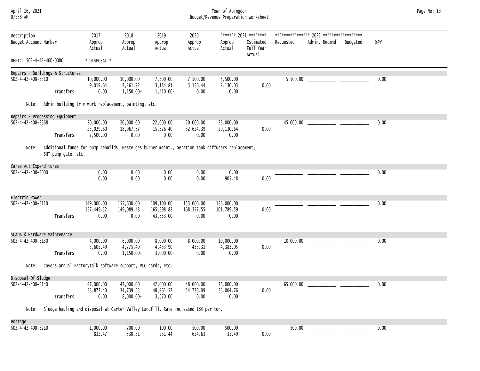April 16, 2021 Town of Abingdon Page No: 13 07:58 AM Budget/Revenue Preparation Worksheet

| Description<br>Budget Account Number |                     | 2017<br>Approp<br>Actual                                                                          | 2018<br>Approp<br>Actual          | 2019<br>Approp<br>Actual             | 2020<br>Approp<br>Actual   | Approp<br>Actual              | ******* 2021 ********<br>Estimated<br>Full Year<br>Actual | Requested | Admin. Recmnd | Budgeted | %PY  |  |
|--------------------------------------|---------------------|---------------------------------------------------------------------------------------------------|-----------------------------------|--------------------------------------|----------------------------|-------------------------------|-----------------------------------------------------------|-----------|---------------|----------|------|--|
| DEPT:: 502-4-42-400-0000             |                     | * DISPOSAL *                                                                                      |                                   |                                      |                            |                               |                                                           |           |               |          |      |  |
| Repairs - Buildings & Structures     |                     |                                                                                                   |                                   |                                      |                            |                               |                                                           |           |               |          |      |  |
| $502 - 4 - 42 - 400 - 3310$          |                     | 10,000.00                                                                                         | 10,000.00                         | 7,500.00                             | 7,500.00                   | 5,500.00                      |                                                           |           |               |          | 0.00 |  |
|                                      | Transfers           | 9,019.64<br>0.00                                                                                  | 7,261.92<br>$1,150.00 -$          | 3,184.81<br>1,410.00-                | 3,150.44<br>0.00           | 2,130.03<br>0.00              | 0.00                                                      |           |               |          |      |  |
|                                      |                     |                                                                                                   |                                   |                                      |                            |                               |                                                           |           |               |          |      |  |
| Note:                                |                     | Admin building trim work replacement, painting, etc.                                              |                                   |                                      |                            |                               |                                                           |           |               |          |      |  |
| Repairs - Processing Equipment       |                     |                                                                                                   |                                   |                                      |                            |                               |                                                           |           |               |          |      |  |
| 502-4-42-400-3368                    |                     | 20,000.00                                                                                         | 20,000.00                         | 22,000.00                            | 20,000.00                  | 25,000.00                     |                                                           |           |               |          | 0.00 |  |
|                                      | Transfers           | 23,029.60<br>2,500.00                                                                             | 18,967.67<br>0.00                 | 15,526.40<br>0.00                    | 32,624.39<br>0.00          | 29,130.64<br>0.00             | 0.00                                                      |           |               |          |      |  |
| Note:                                | SHT pump gate, etc. | Additional funds for pump rebuilds, waste gas burner maint., aeration tank diffusers replacement, |                                   |                                      |                            |                               |                                                           |           |               |          |      |  |
| Cares Act Expenditures               |                     |                                                                                                   |                                   |                                      |                            |                               |                                                           |           |               |          |      |  |
| 502-4-42-400-5000                    |                     | 0.00<br>0.00                                                                                      | 0.00<br>0.00                      | 0.00<br>0.00                         | 0.00<br>0.00               | 0.00<br>905.48                | 0.00                                                      |           |               |          | 0.00 |  |
| Electric Power                       |                     |                                                                                                   |                                   |                                      |                            |                               |                                                           |           |               |          |      |  |
| 502-4-42-400-5110                    |                     | 149,000.00                                                                                        | 155,630.00                        | 109,100.00                           | 153,000.00                 | 153,000.00                    |                                                           |           |               |          | 0.00 |  |
|                                      | Transfers           | 157,449.52<br>0.00                                                                                | 149,089.48<br>0.00                | 165,598.82<br>43,853.00              | 168, 357.55<br>0.00        | 101,789.59<br>0.00            | 0.00                                                      |           |               |          |      |  |
| SCADA & Hardware Maintenance         |                     |                                                                                                   |                                   |                                      |                            |                               |                                                           |           |               |          |      |  |
| 502-4-42-400-5130                    | Transfers           | 4,000.00<br>3,605.49<br>0.00                                                                      | 6,000.00<br>4,775.40<br>1,150.00- | 8,000.00<br>4,433.90<br>$3,000.00 -$ | 8,000.00<br>433.31<br>0.00 | 10,000.00<br>4,383.05<br>0.00 | 0.00                                                      |           |               |          | 0.00 |  |
| Note:                                |                     | Covers annual Factorytalk software support, PLC cards, etc.                                       |                                   |                                      |                            |                               |                                                           |           |               |          |      |  |
| Disposal Of Sludge                   |                     |                                                                                                   |                                   |                                      |                            |                               |                                                           |           |               |          |      |  |
| 502-4-42-400-5140                    |                     | 47,000.00                                                                                         | 47,000.00                         | 42,000.00                            | 48,000.00                  | 75,000.00                     |                                                           |           |               |          | 0.00 |  |
|                                      | Transfers           | 38,877.40<br>0.00                                                                                 | 34,739.63<br>$8,000.00 -$         | 48,961.57<br>3,670.00                | 54,776.09<br>0.00          | 33,004.76<br>0.00             | 0.00                                                      |           |               |          |      |  |
| Note:                                |                     | sludge hauling and disposal at Carter Valley Landfill. Rate increased 18% per ton.                |                                   |                                      |                            |                               |                                                           |           |               |          |      |  |
|                                      |                     |                                                                                                   |                                   |                                      |                            |                               |                                                           |           |               |          |      |  |
| Postage<br>502-4-42-400-5210         |                     | 1,000.00                                                                                          | 700.00                            | 100.00                               | 500.00                     | 500.00                        |                                                           | 500.00    |               |          | 0.00 |  |
|                                      |                     | 832.47                                                                                            | 530.51                            | 231.44                               | 624.63                     | 35.49                         | 0.00                                                      |           |               |          |      |  |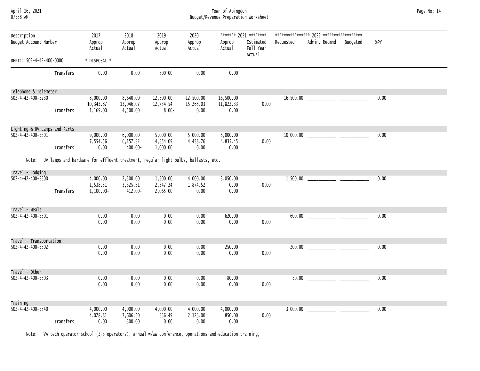| April 16, 2021<br>07:58 AM                                   |           |                                                                                   |                                    |                                    |                                | Town of Abingdon               | Budget/Revenue Preparation Worksheet                      |           |                           |      | Page No: 14 |
|--------------------------------------------------------------|-----------|-----------------------------------------------------------------------------------|------------------------------------|------------------------------------|--------------------------------|--------------------------------|-----------------------------------------------------------|-----------|---------------------------|------|-------------|
| Description<br>Budget Account Number                         |           | 2017<br>Approp<br>Actual                                                          | 2018<br>Approp<br>Actual           | 2019<br>Approp<br>Actual           | 2020<br>Approp<br>Actual       | Approp<br>Actual               | ******* 2021 ********<br>Estimated<br>Full Year<br>Actual | Requested | Admin. Recmnd<br>Budgeted | %PY  |             |
| DEPT:: 502-4-42-400-0000                                     |           | * DISPOSAL *                                                                      |                                    |                                    |                                |                                |                                                           |           |                           |      |             |
|                                                              | Transfers | 0.00                                                                              | 0.00                               | 300.00                             | 0.00                           | 0.00                           |                                                           |           |                           |      |             |
| Telephone & Telemeter                                        |           |                                                                                   |                                    |                                    |                                |                                |                                                           |           |                           |      |             |
| $502 - 4 - 42 - 400 - 5230$                                  | Transfers | 8,000.00<br>10,343.87<br>1,169.00                                                 | 8,640.00<br>13,046.07<br>4,500.00  | 12,500.00<br>12,734.54<br>$8.00 -$ | 12,500.00<br>15,265.03<br>0.00 | 16,500.00<br>11,822.33<br>0.00 | 0.00                                                      |           |                           | 0.00 |             |
|                                                              |           |                                                                                   |                                    |                                    |                                |                                |                                                           |           |                           |      |             |
| Lighting & UV Lamps and Parts<br>$502 - 4 - 42 - 400 - 5301$ |           | 9,000.00<br>7,554.56                                                              | 6,000.00<br>6,157.82               | 5,000.00<br>4,354.09               | 5,000.00<br>4,438.76           | 5,000.00<br>4,835.45           | 0.00                                                      |           |                           | 0.00 |             |
|                                                              | Transfers | 0.00                                                                              | $400.00 -$                         | 1,000.00                           | 0.00                           | 0.00                           |                                                           |           |                           |      |             |
| Note:                                                        |           | UV lamps and hardware for effluent treatment, regular light bulbs, ballasts, etc. |                                    |                                    |                                |                                |                                                           |           |                           |      |             |
| Travel - Lodging<br>$502 - 4 - 42 - 400 - 5500$              | Transfers | 4,000.00<br>1,538.51<br>$1,100.00 -$                                              | 2,500.00<br>3,325.61<br>$412.00 -$ | 1,500.00<br>2,347.24<br>2,065.00   | 4,000.00<br>1,874.52<br>0.00   | 3,050.00<br>0.00<br>0.00       | 0.00                                                      |           |                           | 0.00 |             |
|                                                              |           |                                                                                   |                                    |                                    |                                |                                |                                                           |           |                           |      |             |
| Travel - Meals<br>502-4-42-400-5501                          |           | 0.00<br>0.00                                                                      | 0.00<br>0.00                       | 0.00<br>0.00                       | 0.00<br>0.00                   | 620.00<br>0.00                 | 0.00                                                      |           |                           | 0.00 |             |
| Travel - Transportation                                      |           |                                                                                   |                                    |                                    |                                |                                |                                                           |           |                           |      |             |
| 502-4-42-400-5502                                            |           | 0.00<br>0.00                                                                      | 0.00<br>0.00                       | 0.00<br>0.00                       | 0.00<br>0.00                   | 250.00<br>0.00                 | 0.00                                                      |           | 200.00                    | 0.00 |             |
| Travel - Other                                               |           |                                                                                   |                                    |                                    |                                |                                |                                                           |           |                           |      |             |
| 502-4-42-400-5503                                            |           | 0.00<br>0.00                                                                      | 0.00<br>0.00                       | 0.00<br>0.00                       | 0.00<br>0.00                   | 80.00<br>0.00                  | 0.00                                                      |           |                           | 0.00 |             |
| Training                                                     |           |                                                                                   |                                    |                                    |                                |                                |                                                           |           |                           |      |             |
| 502-4-42-400-5540                                            | Transfers | 4,000.00<br>4,028.81<br>0.00                                                      | 4,000.00<br>7,606.50<br>300.00     | 4,000.00<br>336.49<br>0.00         | 4,000.00<br>2,123.00<br>0.00   | 4,000.00<br>850.00<br>0.00     | 0.00                                                      |           |                           | 0.00 |             |

Note: VA tech operator school (2-3 operators), annual w/ww conference, operations and education training,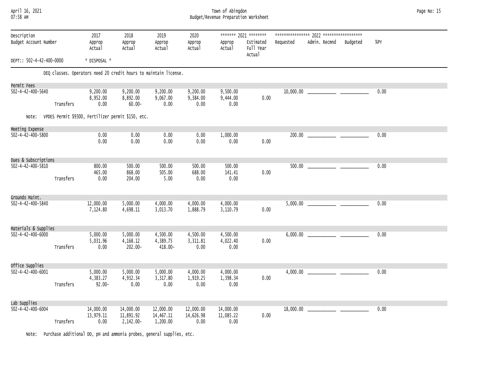| April 16, 2021 |  |
|----------------|--|
| 07:58 AM       |  |

# April 16, 2021 Town of Abingdon Page No: 15 07:58 AM Budget/Revenue Preparation Worksheet

| Description                 |           | 2017              | 2018                                                             | 2019                  | 2020              |                   | ******* 2021 ********            |           |                        |                                                                                                                                                                                                                              |      |
|-----------------------------|-----------|-------------------|------------------------------------------------------------------|-----------------------|-------------------|-------------------|----------------------------------|-----------|------------------------|------------------------------------------------------------------------------------------------------------------------------------------------------------------------------------------------------------------------------|------|
| Budget Account Number       |           | Approp<br>Actual  | Approp<br>Actual                                                 | Approp<br>Actual      | Approp<br>Actual  | Approp<br>Actual  | Estimated<br>Full Year<br>Actual | Requested | Admin. Recmnd Budgeted |                                                                                                                                                                                                                              | %PY  |
| DEPT:: 502-4-42-400-0000    |           | * DISPOSAL *      |                                                                  |                       |                   |                   |                                  |           |                        |                                                                                                                                                                                                                              |      |
|                             |           |                   | DEQ classes. Operators need 20 credit hours to maintain license. |                       |                   |                   |                                  |           |                        |                                                                                                                                                                                                                              |      |
| Permit Fees                 |           |                   |                                                                  |                       |                   |                   |                                  |           |                        |                                                                                                                                                                                                                              |      |
| $502 - 4 - 42 - 400 - 5640$ |           | 9,200.00          | 9,200.00                                                         | 9,200.00              | 9,200.00          | 9,500.00          |                                  |           |                        |                                                                                                                                                                                                                              | 0.00 |
|                             |           | 8,952.00          | 8,892.00                                                         | 9,067.00              | 9,384.00          | 9,444.00          | 0.00                             |           |                        |                                                                                                                                                                                                                              |      |
|                             | Transfers | 0.00              | $60.00 -$                                                        | 0.00                  | 0.00              | 0.00              |                                  |           |                        |                                                                                                                                                                                                                              |      |
| Note:                       |           |                   | VPDES Permit \$9300, Fertilizer permit \$150, etc.               |                       |                   |                   |                                  |           |                        |                                                                                                                                                                                                                              |      |
| Meeting Expense             |           |                   |                                                                  |                       |                   |                   |                                  |           |                        |                                                                                                                                                                                                                              |      |
| $502 - 4 - 42 - 400 - 5800$ |           | 0.00              | 0.00                                                             | 0.00                  | 0.00              | 1,000.00          |                                  |           |                        |                                                                                                                                                                                                                              | 0.00 |
|                             |           | 0.00              | 0.00                                                             | 0.00                  | 0.00              | 0.00              | 0.00                             |           |                        |                                                                                                                                                                                                                              |      |
| Dues & Subscriptions        |           |                   |                                                                  |                       |                   |                   |                                  |           |                        |                                                                                                                                                                                                                              |      |
| $502 - 4 - 42 - 400 - 5810$ |           | 800.00            | 500.00                                                           | 500.00                | 500.00            | 500.00            |                                  |           |                        | $500.00$ $\qquad \qquad$                                                                                                                                                                                                     | 0.00 |
|                             |           | 465.00            | 868.00                                                           | 505.00                | 688.00            | 141.41            | 0.00                             |           |                        |                                                                                                                                                                                                                              |      |
|                             | Transfers | 0.00              | 204.00                                                           | 5.00                  | 0.00              | 0.00              |                                  |           |                        |                                                                                                                                                                                                                              |      |
| Grounds Maint.              |           |                   |                                                                  |                       |                   |                   |                                  |           |                        |                                                                                                                                                                                                                              |      |
| $502 - 4 - 42 - 400 - 5840$ |           | 12,000.00         | 5,000.00                                                         | 4,000.00              | 4,000.00          | 4,000.00          |                                  |           |                        |                                                                                                                                                                                                                              | 0.00 |
|                             |           | 7,124.80          | 4,698.11                                                         | 3,013.70              | 1,888.79          | 3,110.79          | 0.00                             |           |                        |                                                                                                                                                                                                                              |      |
| Materials & Supplies        |           |                   |                                                                  |                       |                   |                   |                                  |           |                        |                                                                                                                                                                                                                              |      |
| $502 - 4 - 42 - 400 - 6000$ |           | 5,000.00          | 5,000.00                                                         | 4,500.00              | 4,500.00          | 4,500.00          |                                  |           |                        | $6,000.00$ and $100$ and $100$ and $100$ and $100$ and $100$ and $100$ and $100$ and $100$ and $100$ and $100$ and $100$ and $100$ and $100$ and $100$ and $100$ and $100$ and $100$ and $100$ and $100$ and $100$ and $100$ | 0.00 |
|                             |           | 5,031.96          | 4,168.12                                                         | 4,389.75              | 3,311.81          | 4,022.40          | 0.00                             |           |                        |                                                                                                                                                                                                                              |      |
|                             | Transfers | 0.00              | 202.00-                                                          | $418.00 -$            | 0.00              | 0.00              |                                  |           |                        |                                                                                                                                                                                                                              |      |
| Office Supplies             |           |                   |                                                                  |                       |                   |                   |                                  |           |                        |                                                                                                                                                                                                                              |      |
| $502 - 4 - 42 - 400 - 6001$ |           | 5,000.00          | 5,000.00                                                         | 5,000.00              | 4,000.00          | 4,000.00          |                                  |           |                        |                                                                                                                                                                                                                              | 0.00 |
|                             |           | 4,383.27          | 4,932.34                                                         | 3,317.80              | 1,919.25          | 1,398.34          | 0.00                             |           |                        |                                                                                                                                                                                                                              |      |
|                             | Transfers | $92.00 -$         | 0.00                                                             | 0.00                  | 0.00              | 0.00              |                                  |           |                        |                                                                                                                                                                                                                              |      |
| Lab Supplies                |           |                   |                                                                  |                       |                   |                   |                                  |           |                        |                                                                                                                                                                                                                              |      |
| $502 - 4 - 42 - 400 - 6004$ |           | 14,000.00         | 14,000.00                                                        | 12,000.00             | 12,000.00         | 14,000.00         |                                  |           |                        |                                                                                                                                                                                                                              | 0.00 |
|                             | Transfers | 13,979.11<br>0.00 | 11,891.92<br>2,142.00-                                           | 14,467.11<br>1,200.00 | 14,626.98<br>0.00 | 11,085.22<br>0.00 | 0.00                             |           |                        |                                                                                                                                                                                                                              |      |
|                             |           |                   |                                                                  |                       |                   |                   |                                  |           |                        |                                                                                                                                                                                                                              |      |

Note: Purchase additional DO, pH and ammonia probes, general supplies, etc.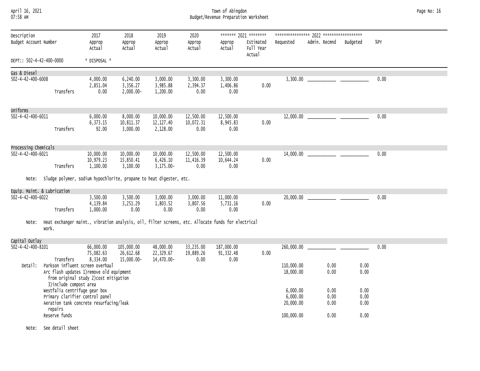April 16, 2021 Town of Abingdon Page No: 16 07:58 AM Budget/Revenue Preparation Worksheet

| Description<br>Budget Account Number                                                                                 | 2017<br>Approp<br>Actual                                                            | 2018<br>Approp<br>Actual              | 2019<br>Approp<br>Actual             | 2020<br>Approp<br>Actual       | Approp<br>Actual                | ******* 2021 ********<br>Estimated<br>Full Year<br>Actual | Requested                         | Admin. Recmnd        | Budgeted             | %PY  |
|----------------------------------------------------------------------------------------------------------------------|-------------------------------------------------------------------------------------|---------------------------------------|--------------------------------------|--------------------------------|---------------------------------|-----------------------------------------------------------|-----------------------------------|----------------------|----------------------|------|
| DEPT:: 502-4-42-400-0000                                                                                             | * DISPOSAL *                                                                        |                                       |                                      |                                |                                 |                                                           |                                   |                      |                      |      |
| Gas & Diesel                                                                                                         |                                                                                     |                                       |                                      |                                |                                 |                                                           |                                   |                      |                      |      |
| $502 - 4 - 42 - 400 - 6008$                                                                                          | 4,000.00<br>2,851.04                                                                | 6,240.00<br>3,356.27                  | 3,000.00<br>3,985.88                 | 3,300.00<br>2,394.37           | 3,300.00<br>1,406.86            | 0.00                                                      |                                   |                      |                      | 0.00 |
| Transfers                                                                                                            | 0.00                                                                                | $2,000.00 -$                          | 1,200.00                             | 0.00                           | 0.00                            |                                                           |                                   |                      |                      |      |
| Uniforms                                                                                                             |                                                                                     |                                       |                                      |                                |                                 |                                                           |                                   |                      |                      |      |
| 502-4-42-400-6011                                                                                                    | 6,000.00<br>6,373.15                                                                | 8,000.00<br>10,811.37                 | 10,000.00<br>12, 127.40              | 12,500.00<br>10,072.31         | 12,500.00<br>8,945.83           | 0.00                                                      |                                   |                      |                      | 0.00 |
| Transfers                                                                                                            | 92.00                                                                               | 3,000.00                              | 2,128.00                             | 0.00                           | 0.00                            |                                                           |                                   |                      |                      |      |
| Processing Chemicals                                                                                                 |                                                                                     |                                       |                                      |                                |                                 |                                                           |                                   |                      |                      |      |
| 502-4-42-400-6021                                                                                                    | 10,000.00<br>10,979.23                                                              | 10,000.00<br>15,850.41                | 10,000.00<br>6,426.10                | 12,500.00<br>11,416.39         | 12,500.00<br>10,644.24          | 0.00                                                      |                                   |                      |                      | 0.00 |
| Transfers                                                                                                            | 1,100.00                                                                            | 3,100.00                              | 3,175.00-                            | 0.00                           | 0.00                            |                                                           |                                   |                      |                      |      |
| Sludge polymer, sodium hypochlorite, propane to heat digester, etc.<br>Note:                                         |                                                                                     |                                       |                                      |                                |                                 |                                                           |                                   |                      |                      |      |
| Equip. Maint. & Lubrication                                                                                          |                                                                                     |                                       |                                      |                                |                                 |                                                           |                                   |                      |                      |      |
| $502 - 4 - 42 - 400 - 6022$<br>Transfers                                                                             | 3,500.00<br>4,139.84<br>1,000.00                                                    | 3,500.00<br>3,251.29<br>0.00          | 3,000.00<br>1,803.52<br>0.00         | 3,000.00<br>3,807.56<br>0.00   | 11,000.00<br>5,731.16<br>0.00   | 0.00                                                      |                                   |                      |                      | 0.00 |
| Heat exchanger maint., vibration analysis, oil, filter screens, etc. Allocate funds for electrical<br>Note:<br>work. |                                                                                     |                                       |                                      |                                |                                 |                                                           |                                   |                      |                      |      |
| Capital Outlay                                                                                                       |                                                                                     |                                       |                                      |                                |                                 |                                                           |                                   |                      |                      |      |
| 502-4-42-400-8101<br>Transfers                                                                                       | 66,000.00<br>75,082.63<br>8,334.00                                                  | 105,000.00<br>26,612.68<br>15,000.00- | 48,000.00<br>22,329.67<br>14,470.00- | 33,235.00<br>19,889.26<br>0.00 | 187,000.00<br>91,332.48<br>0.00 | 0.00                                                      | 260,000.00                        |                      |                      | 0.00 |
| Parkson influent screen overhaul<br>Detail:<br>3) include compost area                                               | Arc flash updates 1) remove old equipment<br>from original study 2) cost mitigation |                                       |                                      |                                |                                 |                                                           | 110,000.00<br>18,000.00           | 0.00<br>0.00         | 0.00<br>0.00         |      |
| Westfalia centrifuge gear box<br>Primary clarifier control panel                                                     | Aeration tank concrete resurfacing/leak                                             |                                       |                                      |                                |                                 |                                                           | 6,000.00<br>6,000.00<br>20,000.00 | 0.00<br>0.00<br>0.00 | 0.00<br>0.00<br>0.00 |      |
| repairs<br>Reserve funds                                                                                             |                                                                                     |                                       |                                      |                                |                                 |                                                           | 100,000.00                        | 0.00                 | 0.00                 |      |

Note: See detail sheet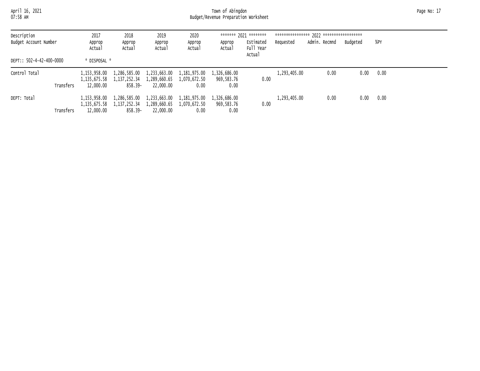April 16, 2021 Town of Abingdon Page No: 17 07:58 AM Budget/Revenue Preparation Worksheet

| Description              | 2017             | 2018                                            | 2019                         | 2020                         |                            | ******* 2021 ********            | **************** | 7022 ****************** |          |      |
|--------------------------|------------------|-------------------------------------------------|------------------------------|------------------------------|----------------------------|----------------------------------|------------------|-------------------------|----------|------|
| Budget Account Number    | Approp<br>Actual | Approp<br>Actual                                | Approp<br>Actual             | Approp<br>Actual             | Approp<br>Actual           | Estimated<br>Full Year<br>Actual | Requested        | Admin. Recmnd           | Budgeted | %PY  |
| DEPT:: 502-4-42-400-0000 | * DISPOSAL *     |                                                 |                              |                              |                            |                                  |                  |                         |          |      |
| Control Total            | 1.153.958.00     | 1,286,585.00<br>1, 135, 675. 58 1, 137, 252. 34 | 1,233,663.00<br>1,289,660.65 | 1,181,975.00<br>1,070,672.50 | 1,326,686.00<br>969,583.76 | 0.00                             | 1,293,405.00     | 0.00                    | 0.00     | 0.00 |
| Transfers                | 12,000,00        | 858.39-                                         | 22,000,00                    | 0.00                         | 0.00                       |                                  |                  |                         |          |      |
| DEPT: Total              | 1.153.958.00     | 1,286,585.00<br>1, 135, 675. 58 1, 137, 252. 34 | 1,233,663.00<br>1,289,660.65 | 1,181,975.00<br>1,070,672.50 | 1,326,686.00<br>969,583.76 | 0.00                             | 1,293,405.00     | 0.00                    | 0.00     | 0.00 |
| Transfers                | 12,000,00        | 858.39-                                         | 22,000,00                    | 0.00                         | 0.00                       |                                  |                  |                         |          |      |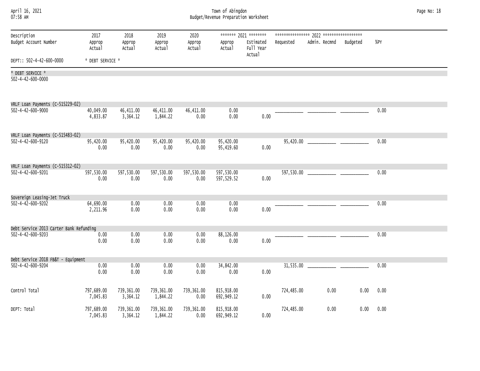| April 16, 2021<br>07:58 AM                            |                          |                          |                          |                          | Town of Abingdon<br>Budget/Revenue Preparation Worksheet |                                                           |            |                        |      |      | Page No: 18 |
|-------------------------------------------------------|--------------------------|--------------------------|--------------------------|--------------------------|----------------------------------------------------------|-----------------------------------------------------------|------------|------------------------|------|------|-------------|
| Description<br>Budget Account Number                  | 2017<br>Approp<br>Actual | 2018<br>Approp<br>Actual | 2019<br>Approp<br>Actual | 2020<br>Approp<br>Actual | Approp<br>Actual                                         | ******* 2021 ********<br>Estimated<br>Full Year<br>Actual | Requested  | Admin. Recmnd Budgeted |      | %PY  |             |
| DEPT:: 502-4-42-600-0000                              | * DEBT SERVICE *         |                          |                          |                          |                                                          |                                                           |            |                        |      |      |             |
| * DEBT SERVICE *<br>502-4-42-600-0000                 |                          |                          |                          |                          |                                                          |                                                           |            |                        |      |      |             |
| VRLF Loan Payments (C-515229-02)<br>502-4-42-600-9000 | 40,049.00<br>4,833.87    | 46,411.00<br>3,364.12    | 46,411.00<br>1,844.22    | 46,411.00<br>0.00        | 0.00<br>0.00                                             | 0.00                                                      |            |                        |      | 0.00 |             |
| VRLF Loan Payments (C-515483-02)<br>502-4-42-600-9120 | 95,420,00<br>0.00        | 95,420.00<br>0.00        | 95,420.00<br>0.00        | 95,420.00<br>0.00        | 95,420.00<br>95,419.60                                   | 0.00                                                      | 95,420.00  |                        |      | 0.00 |             |
| VRLF Loan Payments (C-515312-02)<br>502-4-42-600-9201 | 597,530.00<br>0.00       | 597,530.00<br>0.00       | 597,530.00<br>0.00       | 597,530.00<br>0.00       | 597,530.00<br>597,529.52                                 | 0.00                                                      |            |                        |      | 0.00 |             |
| Sovereign Leasing-Jet Truck                           |                          |                          |                          |                          |                                                          |                                                           |            |                        |      |      |             |
| 502-4-42-600-9202                                     | 64,690.00<br>2,211.96    | 0.00<br>0.00             | 0.00<br>0.00             | 0.00<br>0.00             | 0.00<br>0.00                                             | 0.00                                                      |            |                        |      | 0.00 |             |
| Debt Service 2013 Carter Bank Refunding               |                          |                          |                          |                          |                                                          |                                                           |            |                        |      |      |             |
| 502-4-42-600-9203                                     | 0.00<br>0.00             | 0.00<br>0.00             | 0.00<br>0.00             | 0.00<br>0.00             | 88,126.00<br>0.00                                        | 0.00                                                      |            |                        |      | 0.00 |             |
| Debt Service 2018 FB&T - Equipment                    |                          |                          |                          |                          |                                                          |                                                           |            |                        |      |      |             |
| 502-4-42-600-9204                                     | 0.00<br>0.00             | 0.00<br>0.00             | 0.00<br>0.00             | 0.00<br>0.00             | 34,842.00<br>0.00                                        | 0.00                                                      | 31,535.00  |                        |      | 0.00 |             |
| Control Total                                         | 797,689.00<br>7,045.83   | 739,361.00<br>3,364.12   | 739,361.00<br>1,844.22   | 739,361.00<br>0.00       | 815,918.00<br>692,949.12                                 | 0.00                                                      | 724,485.00 | 0.00                   | 0.00 | 0.00 |             |
| DEPT: Total                                           | 797,689.00<br>7,045.83   | 739,361.00<br>3,364.12   | 739,361.00<br>1,844.22   | 739,361.00<br>0.00       | 815,918.00<br>692,949.12                                 | 0.00                                                      | 724,485.00 | 0.00                   | 0.00 | 0.00 |             |
|                                                       |                          |                          |                          |                          |                                                          |                                                           |            |                        |      |      |             |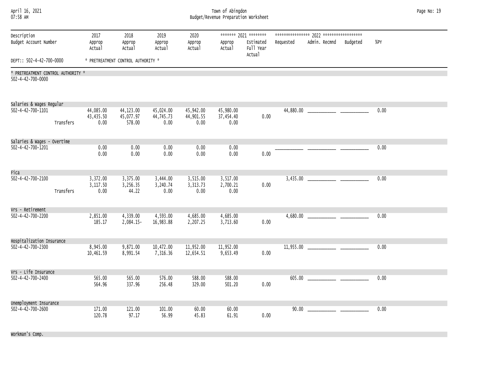| April 16, 2021<br>07:58 AM                              |           |                                |                                    |                                |                                | Town of Abingdon<br>Budget/Revenue Preparation Worksheet |                                                           |           |               |          |      | Page No: 19 |
|---------------------------------------------------------|-----------|--------------------------------|------------------------------------|--------------------------------|--------------------------------|----------------------------------------------------------|-----------------------------------------------------------|-----------|---------------|----------|------|-------------|
| Description<br>Budget Account Number                    |           | 2017<br>Approp<br>Actual       | 2018<br>Approp<br>Actual           | 2019<br>Approp<br>Actual       | 2020<br>Approp<br>Actual       | Approp<br>Actual                                         | ******* 2021 ********<br>Estimated<br>Full Year<br>Actual | Requested | Admin. Recmnd | Budgeted | %PY  |             |
| DEPT:: 502-4-42-700-0000                                |           |                                | * PRETREATMENT CONTROL AUTHORITY * |                                |                                |                                                          |                                                           |           |               |          |      |             |
| * PRETREATMENT CONTROL AUTHORITY *<br>502-4-42-700-0000 |           |                                |                                    |                                |                                |                                                          |                                                           |           |               |          |      |             |
| Salaries & Wages Regular                                |           |                                |                                    |                                |                                |                                                          |                                                           |           |               |          |      |             |
| 502-4-42-700-1101                                       | Transfers | 44,085.00<br>43,435.50<br>0.00 | 44,123.00<br>45,077.97<br>578.00   | 45,024.00<br>44,745.73<br>0.00 | 45,942.00<br>44,901.55<br>0.00 | 45,980.00<br>37,454.40<br>0.00                           | 0.00                                                      |           |               |          | 0.00 |             |
| Salaries & Wages - Overtime                             |           |                                |                                    |                                |                                |                                                          |                                                           |           |               |          |      |             |
| 502-4-42-700-1201                                       |           | 0.00<br>0.00                   | 0.00<br>0.00                       | 0.00<br>0.00                   | 0.00<br>0.00                   | 0.00<br>0.00                                             | 0.00                                                      |           |               |          | 0.00 |             |
| Fica                                                    |           |                                |                                    |                                |                                |                                                          |                                                           |           |               |          |      |             |
| $502 - 4 - 42 - 700 - 2100$                             | Transfers | 3,372.00<br>3,117.50<br>0.00   | 3,375.00<br>3,256.35<br>44.22      | 3,444.00<br>3,240.74<br>0.00   | 3,515.00<br>3,313.73<br>0.00   | 3,517.00<br>2,700.21<br>0.00                             | 0.00                                                      |           |               |          | 0.00 |             |
| Vrs - Retirement                                        |           |                                |                                    |                                |                                |                                                          |                                                           |           |               |          |      |             |
| 502-4-42-700-2200                                       |           | 2,851.00<br>185.17             | 4,339.00<br>2,084.15-              | 4,593.00<br>16,983.88          | 4,685.00<br>2,207.25           | 4,685.00<br>3,713.60                                     | 0.00                                                      |           |               |          | 0.00 |             |
| Hospitalization Insurance                               |           |                                |                                    |                                |                                |                                                          |                                                           |           |               |          |      |             |
| 502-4-42-700-2300                                       |           | 8,945.00<br>10,461.59          | 9,871.00<br>8,991.54               | 10,472.00<br>7,316.36          | 11,952.00<br>12,654.51         | 11,952.00<br>9,653.49                                    | 0.00                                                      |           |               |          | 0.00 |             |
| Vrs - Life Insurance                                    |           |                                |                                    |                                |                                |                                                          |                                                           |           |               |          |      |             |
| 502-4-42-700-2400                                       |           | 565.00<br>564.96               | 565.00<br>337.96                   | 576.00<br>256.48               | 588.00<br>329.00               | 588.00<br>501.20                                         | 0.00                                                      | 605.00    |               |          | 0.00 |             |
| Unemployment Insurance                                  |           |                                |                                    |                                |                                |                                                          |                                                           |           |               |          |      |             |
| 502-4-42-700-2600                                       |           | 171.00<br>120.78               | 121.00<br>97.17                    | 101.00<br>56.99                | 60.00<br>45.83                 | 60.00<br>61.91                                           | 0.00                                                      | 90.00     |               |          | 0.00 |             |

Workman's Comp.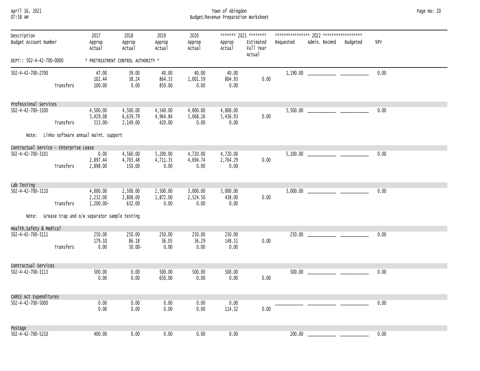April 16, 2021 Town of Abingdon Page No: 20 07:58 AM Budget/Revenue Preparation Worksheet

| Description<br>Budget Account Number   |           | 2017<br>Approp<br>Actual                     | 2018<br>Approp<br>Actual           | 2019<br>Approp<br>Actual       | 2020<br>Approp<br>Actual     | Approp<br>Actual             | ******* 2021 ********<br>Estimated<br>Full Year<br>Actual | Requested | Admin. Recmnd<br>Budgeted | %PY  |  |
|----------------------------------------|-----------|----------------------------------------------|------------------------------------|--------------------------------|------------------------------|------------------------------|-----------------------------------------------------------|-----------|---------------------------|------|--|
| DEPT:: 502-4-42-700-0000               |           |                                              | * PRETREATMENT CONTROL AUTHORITY * |                                |                              |                              |                                                           |           |                           |      |  |
| 502-4-42-700-2700                      | Transfers | 47.00<br>102.44<br>100.00                    | 39.00<br>38.24<br>0.00             | 40.00<br>864.33<br>850.00      | 40.00<br>1,001.59<br>0.00    | 40.00<br>804.93<br>0.00      | 0.00                                                      |           |                           | 0.00 |  |
| Professional Services                  |           |                                              |                                    |                                |                              |                              |                                                           |           |                           |      |  |
| $502 - 4 - 42 - 700 - 3100$            | Transfers | 4,500.00<br>3,429.08<br>$513.00 -$           | 4,500.00<br>6,639.79<br>2,149.00   | 4,540.00<br>4,964.84<br>420.00 | 4,800.00<br>5,068.26<br>0.00 | 4,800.00<br>5,436.93<br>0.00 | 0.00                                                      |           |                           | 0.00 |  |
| Note:                                  |           | Linko software annual maint. support         |                                    |                                |                              |                              |                                                           |           |                           |      |  |
| Contractual Service - Enterprise Lease |           |                                              |                                    |                                |                              |                              |                                                           |           |                           |      |  |
| 502-4-42-700-3101                      | Transfers | 0.00<br>2,897.44<br>2,898.00                 | 4,560.00<br>4,703.48<br>150.00     | 5,200.00<br>4,711.35<br>0.00   | 4,720.00<br>4,694.74<br>0.00 | 4,720.00<br>2,764.29<br>0.00 | 0.00                                                      |           |                           | 0.00 |  |
| Lab Testing                            |           |                                              |                                    |                                |                              |                              |                                                           |           |                           |      |  |
| 502-4-42-700-3110                      | Transfers | 4,000.00<br>2,232.00<br>$1,200.00 -$         | 2,500.00<br>2,808.00<br>632,00     | 2,500.00<br>1,872.00<br>0.00   | 3,000.00<br>2,524.50<br>0.00 | 3,000.00<br>438.00<br>0.00   | 0.00                                                      |           |                           | 0.00 |  |
| Note:                                  |           | Grease trap and o/w separator sample testing |                                    |                                |                              |                              |                                                           |           |                           |      |  |
| Health, Safety & Medical               |           |                                              |                                    |                                |                              |                              |                                                           |           |                           |      |  |
| 502-4-42-700-3111                      | Transfers | 250.00<br>179.10<br>0.00                     | 250.00<br>86.18<br>$50.00 -$       | 250.00<br>36.05<br>0.00        | 250.00<br>36.29<br>0.00      | 250.00<br>148.51<br>0.00     | 0.00                                                      |           |                           | 0.00 |  |
| Contractual Services                   |           |                                              |                                    |                                |                              |                              |                                                           |           |                           |      |  |
| 502-4-42-700-3113                      |           | 500.00<br>0.00                               | 0.00<br>0.00                       | 500.00<br>650.00               | 500.00<br>0.00               | 500.00<br>0.00               | 0.00                                                      |           |                           | 0.00 |  |
| CARES Act Expenditures                 |           |                                              |                                    |                                |                              |                              |                                                           |           |                           |      |  |
| $502 - 4 - 42 - 700 - 5000$            |           | 0.00<br>0.00                                 | 0.00<br>0.00                       | 0.00<br>0.00                   | 0.00<br>0.00                 | 0.00<br>114.32               | 0.00                                                      |           |                           | 0.00 |  |
| Postage<br>502-4-42-700-5210           |           | 400.00                                       | 0.00                               | 0.00                           | 0.00                         | 0.00                         |                                                           | 200.00    |                           | 0.00 |  |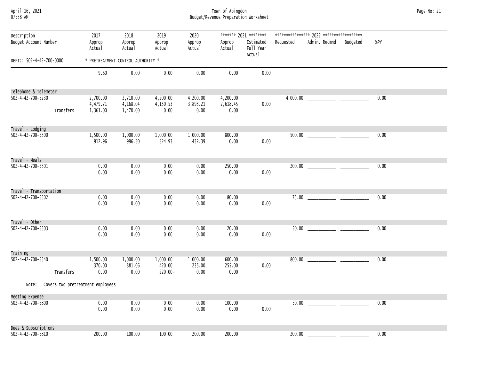| April 16, 2021<br>07:58 AM                                       |           |                                   |                                                                |                               |                              | Town of Abingdon<br>Budget/Revenue Preparation Worksheet |                                                           |           |                                 |      | Page No: 21 |
|------------------------------------------------------------------|-----------|-----------------------------------|----------------------------------------------------------------|-------------------------------|------------------------------|----------------------------------------------------------|-----------------------------------------------------------|-----------|---------------------------------|------|-------------|
| Description<br>Budget Account Number<br>DEPT:: 502-4-42-700-0000 |           | 2017<br>Approp<br>Actual          | 2018<br>Approp<br>Actual<br>* PRETREATMENT CONTROL AUTHORITY * | 2019<br>Approp<br>Actual      | 2020<br>Approp<br>Actual     | Approp<br>Actual                                         | ******* 2021 ********<br>Estimated<br>Full Year<br>Actual | Requested | Admin. Recmnd<br>Budgeted       | %PY  |             |
|                                                                  |           | 9.60                              | 0.00                                                           | 0.00                          | 0.00                         | 0.00                                                     | 0.00                                                      |           |                                 |      |             |
| Telephone & Telemeter                                            |           |                                   |                                                                |                               |                              |                                                          |                                                           |           |                                 |      |             |
| 502-4-42-700-5230                                                | Transfers | 2,700.00<br>4,479.71<br>1,361.00  | 2,710.00<br>4,168.04<br>1,470.00                               | 4,200.00<br>4,150.53<br>0.00  | 4,200.00<br>3,895.21<br>0.00 | 4,200.00<br>2,618.45<br>0.00                             | 0.00                                                      |           |                                 | 0.00 |             |
| Travel - Lodging<br>502-4-42-700-5500                            |           | 1,500.00<br>912.96                | 1,000.00<br>996.30                                             | 1,000.00<br>824.93            | 1,000.00<br>432.39           | 800.00<br>0.00                                           | 0.00                                                      |           |                                 | 0.00 |             |
| Travel - Meals<br>502-4-42-700-5501                              |           | 0.00<br>0.00                      | 0.00<br>0.00                                                   | 0.00<br>0.00                  | 0.00<br>0.00                 | 250.00<br>0.00                                           | 0.00                                                      |           |                                 | 0.00 |             |
| Travel - Transportation<br>502-4-42-700-5502                     |           | 0.00                              | 0.00                                                           | 0.00                          | 0.00                         | 80.00                                                    |                                                           |           |                                 | 0.00 |             |
|                                                                  |           | 0.00                              | 0.00                                                           | 0.00                          | 0.00                         | 0.00                                                     | 0.00                                                      |           |                                 |      |             |
| Travel - Other<br>502-4-42-700-5503                              |           | 0.00<br>0.00                      | 0.00<br>0.00                                                   | 0.00<br>0.00                  | 0.00<br>0.00                 | 20.00<br>0.00                                            | 0.00                                                      |           |                                 | 0.00 |             |
| Training<br>$502 - 4 - 42 - 700 - 5540$                          | Transfers | 1,500.00<br>370.00<br>0.00        | 1,000.00<br>881.06<br>0.00                                     | 1,000.00<br>420.00<br>220.00- | 1,000.00<br>235.00<br>0.00   | 600.00<br>255.00<br>0.00                                 | 0.00                                                      | 800.00    | <u> Alexandria (Alexandria)</u> | 0.00 |             |
| Note:                                                            |           | Covers two pretreatment employees |                                                                |                               |                              |                                                          |                                                           |           |                                 |      |             |
| Meeting Expense<br>$502 - 4 - 42 - 700 - 5800$                   |           | 0.00<br>0.00                      | 0.00<br>0.00                                                   | 0.00<br>0.00                  | 0.00<br>0.00                 | 100.00<br>0.00                                           | 0.00                                                      | 50.00     |                                 | 0.00 |             |
| Dues & Subscriptions<br>502-4-42-700-5810                        |           | 200.00                            | 100.00                                                         | 100.00                        | 200.00                       | 200.00                                                   |                                                           | 200.00    |                                 | 0.00 |             |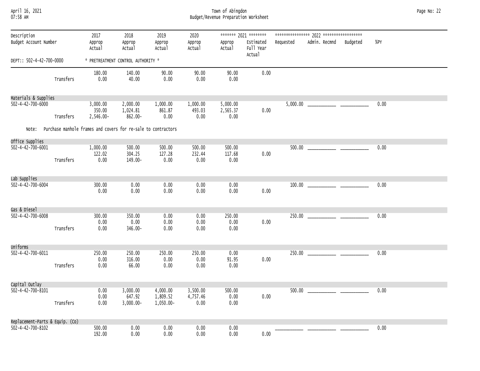April 16, 2021 Town of Abingdon Page No: 22 07:58 AM Budget/Revenue Preparation Worksheet

| Description<br>Budget Account Number           |           | 2017<br>Approp<br>Actual                                      | 2018<br>Approp<br>Actual           | 2019<br>Approp<br>Actual          | 2020<br>Approp<br>Actual     | Approp<br>Actual             | ******* 2021 ********<br>Estimated<br>Full Year<br>Actual | Requested | Admin. Recmnd                                                                                           | Budgeted | %PY  |
|------------------------------------------------|-----------|---------------------------------------------------------------|------------------------------------|-----------------------------------|------------------------------|------------------------------|-----------------------------------------------------------|-----------|---------------------------------------------------------------------------------------------------------|----------|------|
| DEPT:: 502-4-42-700-0000                       |           |                                                               | * PRETREATMENT CONTROL AUTHORITY * |                                   |                              |                              |                                                           |           |                                                                                                         |          |      |
|                                                | Transfers | 180.00<br>0.00                                                | 140.00<br>40.00                    | 90.00<br>0.00                     | 90.00<br>0.00                | 90.00<br>0.00                | 0.00                                                      |           |                                                                                                         |          |      |
| Materials & Supplies                           |           |                                                               |                                    |                                   |                              |                              |                                                           |           |                                                                                                         |          |      |
| 502-4-42-700-6000                              | Transfers | 3,000.00<br>350.00<br>2,546.00-                               | 2,000.00<br>1,024.81<br>862.00-    | 1,000.00<br>861.87<br>0.00        | 1,000.00<br>493.03<br>0.00   | 5,000.00<br>2,565.37<br>0.00 | 0.00                                                      |           |                                                                                                         |          | 0.00 |
| Note:                                          |           | Purchase manhole frames and covers for re-sale to contractors |                                    |                                   |                              |                              |                                                           |           |                                                                                                         |          |      |
| Office Supplies<br>$502 - 4 - 42 - 700 - 6001$ | Transfers | 1,000.00<br>122.02<br>0.00                                    | 500.00<br>304.25<br>149.00-        | 500.00<br>127.28<br>0.00          | 500.00<br>232.44<br>0.00     | 500.00<br>117.68<br>0.00     | 0.00                                                      |           |                                                                                                         |          | 0.00 |
| Lab Supplies                                   |           |                                                               |                                    |                                   |                              |                              |                                                           |           |                                                                                                         |          |      |
| 502-4-42-700-6004                              |           | 300.00<br>0.00                                                | 0.00<br>0.00                       | 0.00<br>0.00                      | 0.00<br>0.00                 | 0.00<br>0.00                 | 0.00                                                      | 100.00    |                                                                                                         |          | 0.00 |
| Gas & Diesel                                   |           |                                                               |                                    |                                   |                              |                              |                                                           |           |                                                                                                         |          |      |
| 502-4-42-700-6008                              | Transfers | 300.00<br>0.00<br>0.00                                        | 350.00<br>0.00<br>346.00-          | 0.00<br>0.00<br>0.00              | 0.00<br>0.00<br>0.00         | 250.00<br>0.00<br>0.00       | 0.00                                                      |           | $250.00$ $\frac{1}{250.00}$ $\frac{1}{250.00}$ $\frac{1}{250.00}$ $\frac{1}{250.00}$ $\frac{1}{250.00}$ |          | 0.00 |
| Uniforms                                       |           |                                                               |                                    |                                   |                              |                              |                                                           |           |                                                                                                         |          |      |
| $502 - 4 - 42 - 700 - 6011$                    | Transfers | 250.00<br>0.00<br>0.00                                        | 250.00<br>316.00<br>66.00          | 250.00<br>0.00<br>0.00            | 250.00<br>0.00<br>0.00       | 0.00<br>91.95<br>0.00        | 0.00                                                      |           | 250.00                                                                                                  |          | 0.00 |
| Capital Outlay                                 |           |                                                               |                                    |                                   |                              |                              |                                                           |           |                                                                                                         |          |      |
| 502-4-42-700-8101                              | Transfers | 0.00<br>0.00<br>0.00                                          | 3,000.00<br>647.92<br>$3,000.00 -$ | 4,000.00<br>1,809.52<br>1,050.00- | 3,500.00<br>4,757.46<br>0.00 | 500.00<br>0.00<br>0.00       | 0.00                                                      |           |                                                                                                         |          | 0.00 |
| Replacement-Parts & Equip. (Co)                |           |                                                               |                                    |                                   |                              |                              |                                                           |           |                                                                                                         |          |      |
| 502-4-42-700-8102                              |           | 500.00<br>192.00                                              | 0.00<br>0.00                       | 0.00<br>0.00                      | 0.00<br>0.00                 | 0.00<br>0.00                 | 0.00                                                      |           |                                                                                                         |          | 0.00 |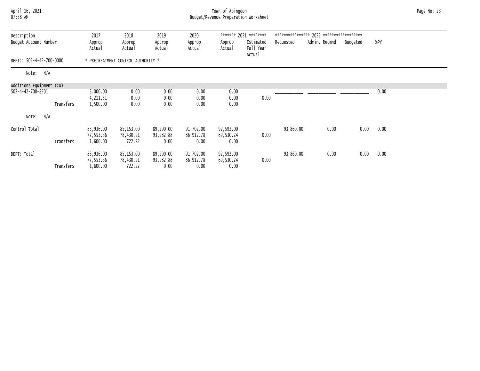# April 16, 2021 Town of Abingdon Page No: 23 07:58 AM Budget/Revenue Preparation Worksheet

| Description<br>Budget Account Number |           | 2017<br>Approp<br>Actual           | 2018<br>Approp<br>Actual           | 2019<br>Approp<br>Actual       | 2020<br>Approp<br>Actual       | Approp<br>Actual               | ******* 2021 ********<br>Estimated<br>Full Year<br>Actual | Requested | Admin. Recmnd | Budgeted | %PY  |
|--------------------------------------|-----------|------------------------------------|------------------------------------|--------------------------------|--------------------------------|--------------------------------|-----------------------------------------------------------|-----------|---------------|----------|------|
| DEPT:: 502-4-42-700-0000             |           |                                    | * PRETREATMENT CONTROL AUTHORITY * |                                |                                |                                |                                                           |           |               |          |      |
| Note: N/A                            |           |                                    |                                    |                                |                                |                                |                                                           |           |               |          |      |
| Additions Equipment (Co)             |           |                                    |                                    |                                |                                |                                |                                                           |           |               |          |      |
| 502-4-42-700-8201                    | Transfers | 3,000.00<br>4, 211.51<br>1,500.00  | 0.00<br>0.00<br>0.00               | 0.00<br>0.00<br>0.00           | 0.00<br>0.00<br>0.00           | 0.00<br>0.00<br>0.00           | 0.00                                                      |           |               |          | 0.00 |
| Note: N/A                            |           |                                    |                                    |                                |                                |                                |                                                           |           |               |          |      |
| Control Total                        | Transfers | 83,936.00<br>77,553.36<br>1,600.00 | 85,153.00<br>78,430.91<br>722.22   | 89,290.00<br>93,982.88<br>0.00 | 91,702.00<br>86,912.78<br>0.00 | 92,592.00<br>69,530.24<br>0.00 | 0.00                                                      | 93,860.00 | 0.00          | 0.00     | 0.00 |
| DEPT: Total                          | Transfers | 83,936.00<br>77,553.36<br>1,600.00 | 85,153.00<br>78,430.91<br>722.22   | 89,290.00<br>93,982.88<br>0.00 | 91,702.00<br>86,912.78<br>0.00 | 92,592.00<br>69,530.24<br>0.00 | 0.00                                                      | 93,860.00 | 0.00          | 0.00     | 0.00 |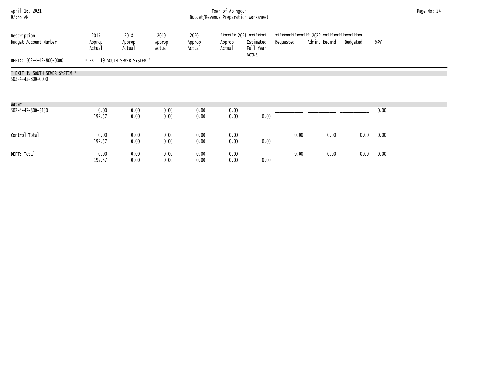## April 16, 2021 Town of Abingdon Page No: 24 07:58 AM Budget/Revenue Preparation Worksheet

| Description<br>Budget Account Number                          | 2017<br>Approp<br>Actual | 2018<br>Approp<br>Actual       | 2019<br>Approp<br>Actual | 2020<br>Approp<br>Actual | Approp<br>Actual | ******* 2021 ********<br>Estimated<br>Full Year<br>Actual | Requested | Admin. Recmnd | Budgeted | %PY  |  |
|---------------------------------------------------------------|--------------------------|--------------------------------|--------------------------|--------------------------|------------------|-----------------------------------------------------------|-----------|---------------|----------|------|--|
| DEPT:: 502-4-42-800-0000                                      |                          | * EXIT 19 SOUTH SEWER SYSTEM * |                          |                          |                  |                                                           |           |               |          |      |  |
| * EXIT 19 SOUTH SEWER SYSTEM *<br>$502 - 4 - 42 - 800 - 0000$ |                          |                                |                          |                          |                  |                                                           |           |               |          |      |  |
| Water                                                         |                          |                                |                          |                          |                  |                                                           |           |               |          |      |  |
| 502-4-42-800-5130                                             | 0.00<br>192.57           | 0.00<br>0.00                   | 0.00<br>0.00             | 0.00<br>0.00             | 0.00<br>0.00     | 0.00                                                      |           |               |          | 0.00 |  |
| Control Total                                                 | 0.00<br>192.57           | 0.00<br>0.00                   | 0.00<br>0.00             | 0.00<br>0.00             | 0.00<br>0.00     | 0.00                                                      | 0.00      | 0.00          | 0.00     | 0.00 |  |
| DEPT: Total                                                   | 0.00<br>192.57           | 0.00<br>0.00                   | 0.00<br>0.00             | 0.00<br>0.00             | 0.00<br>0.00     | 0.00                                                      | 0.00      | 0.00          | 0.00     | 0.00 |  |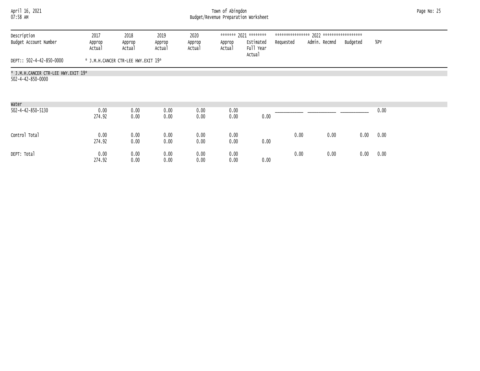## April 16, 2021 Town of Abingdon Page No: 25 07:58 AM Budget/Revenue Preparation Worksheet

| Description                                              | 2017             | 2018                                | 2019             | 2020             |                  | ******* 2021 ********            |           |               |          |      |  |
|----------------------------------------------------------|------------------|-------------------------------------|------------------|------------------|------------------|----------------------------------|-----------|---------------|----------|------|--|
| Budget Account Number                                    | Approp<br>Actual | Approp<br>Actual                    | Approp<br>Actual | Approp<br>Actual | Approp<br>Actual | Estimated<br>Full Year<br>Actual | Requested | Admin. Recmnd | Budgeted | %PY  |  |
| DEPT:: 502-4-42-850-0000                                 |                  | * J.M.H.CANCER CTR-LEE HWY.EXIT 19* |                  |                  |                  |                                  |           |               |          |      |  |
| * J.M.H.CANCER CTR-LEE HWY.EXIT 19*<br>502-4-42-850-0000 |                  |                                     |                  |                  |                  |                                  |           |               |          |      |  |
| Water                                                    |                  |                                     |                  |                  |                  |                                  |           |               |          |      |  |
| 502-4-42-850-5130                                        | 0.00<br>274.92   | 0.00<br>0.00                        | 0.00<br>0.00     | 0.00<br>0.00     | 0.00<br>0.00     | 0.00                             |           |               |          | 0.00 |  |
| Control Total                                            | 0.00<br>274.92   | 0.00<br>0.00                        | 0.00<br>0.00     | 0.00<br>0.00     | 0.00<br>0.00     | 0.00                             | 0.00      | 0.00          | 0.00     | 0.00 |  |
| DEPT: Total                                              | 0.00<br>274.92   | 0.00<br>0.00                        | 0.00<br>0.00     | 0.00<br>0.00     | 0.00<br>0.00     | 0.00                             | 0.00      | 0.00          | 0.00     | 0.00 |  |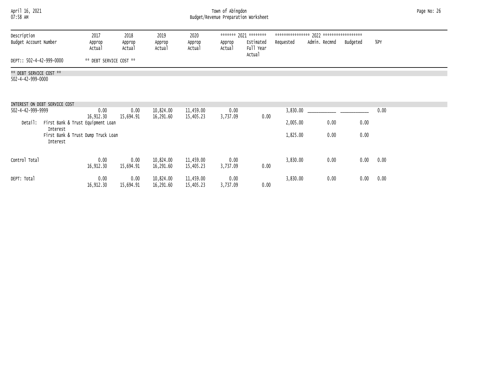## April 16, 2021 Town of Abingdon Page No: 26 07:58 AM Budget/Revenue Preparation Worksheet

| Description<br>Budget Account Number         |                               | 2017<br>Approp<br>Actual           | 2018<br>Approp<br>Actual | 2019<br>Approp<br>Actual | 2020<br>Approp<br>Actual | Approp<br>Actual | ******* 2021 ********<br>Estimated<br>Full Year<br>Actual | Requested | Admin. Recmnd | Budgeted | %PY  |
|----------------------------------------------|-------------------------------|------------------------------------|--------------------------|--------------------------|--------------------------|------------------|-----------------------------------------------------------|-----------|---------------|----------|------|
| DEPT:: 502-4-42-999-0000                     |                               | ** DEBT SERVICE COST **            |                          |                          |                          |                  |                                                           |           |               |          |      |
| ** DEBT SERVICE COST **<br>502-4-42-999-0000 |                               |                                    |                          |                          |                          |                  |                                                           |           |               |          |      |
|                                              | INTEREST ON DEBT SERVICE COST |                                    |                          |                          |                          |                  |                                                           |           |               |          |      |
| 502-4-42-999-9999                            |                               | 0.00<br>16,912.30                  | 0.00<br>15,694.91        | 10,824.00<br>16,291.60   | 11,459.00<br>15,405.23   | 0.00<br>3,737.09 | 0.00                                                      | 3,830.00  |               |          | 0.00 |
| Detail:                                      | Interest                      | First Bank & Trust Equipment Loan  |                          |                          |                          |                  |                                                           | 2,005.00  | 0.00          | 0.00     |      |
|                                              | Interest                      | First Bank & Trust Dump Truck Loan |                          |                          |                          |                  |                                                           | 1,825.00  | 0.00          | 0.00     |      |
| Control Total                                |                               | 0.00<br>16,912.30                  | 0.00<br>15,694.91        | 10,824.00<br>16,291.60   | 11,459.00<br>15,405.23   | 0.00<br>3,737.09 | 0.00                                                      | 3,830.00  | 0.00          | 0.00     | 0.00 |
| DEPT: Total                                  |                               | 0.00<br>16,912.30                  | 0.00<br>15,694.91        | 10,824.00<br>16,291.60   | 11,459.00<br>15,405.23   | 0.00<br>3,737.09 | 0.00                                                      | 3,830.00  | 0.00          | 0.00     | 0.00 |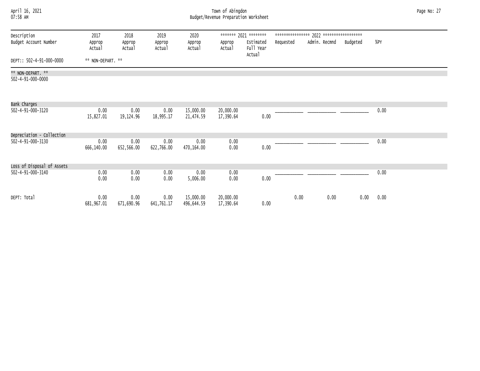| April 16, 2021<br>07:58 AM             |                          | Town of Abingdon<br>Budget/Revenue Preparation Worksheet |                          |                          |                        |                                                           |           |               |          |      |  |
|----------------------------------------|--------------------------|----------------------------------------------------------|--------------------------|--------------------------|------------------------|-----------------------------------------------------------|-----------|---------------|----------|------|--|
| Description<br>Budget Account Number   | 2017<br>Approp<br>Actual | 2018<br>Approp<br>Actual                                 | 2019<br>Approp<br>Actual | 2020<br>Approp<br>Actual | Approp<br>Actual       | ******* 2021 ********<br>Estimated<br>Full Year<br>Actual | Requested | Admin. Recmnd | Budgeted | %PY  |  |
| DEPT:: 502-4-91-000-0000               | ** NON-DEPART, **        |                                                          |                          |                          |                        |                                                           |           |               |          |      |  |
| ** NON-DEPART. **<br>502-4-91-000-0000 |                          |                                                          |                          |                          |                        |                                                           |           |               |          |      |  |
| Bank Charges                           |                          |                                                          |                          |                          |                        |                                                           |           |               |          |      |  |
| 502-4-91-000-3120                      | 0.00<br>15,827.01        | 0.00<br>19,124.96                                        | 0.00<br>18,995.17        | 15,000.00<br>21,474.59   | 20,000.00<br>17,390.64 | 0.00                                                      |           |               |          | 0.00 |  |
| Depreciation - Collection              |                          |                                                          |                          |                          |                        |                                                           |           |               |          |      |  |
| 502-4-91-000-3130                      | 0.00<br>666,140.00       | 0.00<br>652,566.00                                       | 0.00<br>622,766.00       | 0.00<br>470,164.00       | 0.00<br>0.00           | 0.00                                                      |           |               |          | 0.00 |  |
| Loss of Disposal of Assets             |                          |                                                          |                          |                          |                        |                                                           |           |               |          |      |  |
| 502-4-91-000-3140                      | 0.00<br>0.00             | 0.00<br>0.00                                             | 0.00<br>0.00             | 0.00<br>5,006.00         | 0.00<br>0.00           | 0.00                                                      |           |               |          | 0.00 |  |
| DEPT: Total                            | 0.00<br>681, 967.01      | 0.00<br>671,690.96                                       | 0.00<br>641,761.17       | 15,000.00<br>496,644.59  | 20,000.00<br>17,390.64 | 0.00                                                      | 0.00      | 0.00          | 0.00     | 0.00 |  |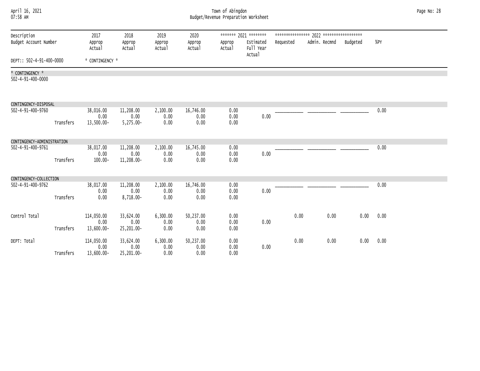| Town of Abingdon<br>April 16, 2021<br>Budget/Revenue Preparation Worksheet<br>07:58 AM |           |                                  |                                   |                          |                           |                      |                                                           |           | Page No: 28   |          |      |  |
|----------------------------------------------------------------------------------------|-----------|----------------------------------|-----------------------------------|--------------------------|---------------------------|----------------------|-----------------------------------------------------------|-----------|---------------|----------|------|--|
| Description<br>Budget Account Number                                                   |           | 2017<br>Approp<br>Actual         | 2018<br>Approp<br>Actual          | 2019<br>Approp<br>Actual | 2020<br>Approp<br>Actual  | Approp<br>Actual     | ******* 2021 ********<br>Estimated<br>Full Year<br>Actual | Requested | Admin. Recmnd | Budgeted | %PY  |  |
| DEPT:: 502-4-91-400-0000                                                               |           | * CONTINGENCY *                  |                                   |                          |                           |                      |                                                           |           |               |          |      |  |
| * CONTINGENCY *<br>502-4-91-400-0000                                                   |           |                                  |                                   |                          |                           |                      |                                                           |           |               |          |      |  |
| CONTINGENCY-DISPOSAL                                                                   |           |                                  |                                   |                          |                           |                      |                                                           |           |               |          |      |  |
| 502-4-91-400-9760                                                                      | Transfers | 38,016.00<br>0.00<br>13,500.00-  | 11,208.00<br>0.00<br>$5,275.00 -$ | 2,100.00<br>0.00<br>0.00 | 16,746.00<br>0.00<br>0.00 | 0.00<br>0.00<br>0.00 | 0.00                                                      |           |               |          | 0.00 |  |
| CONTINGENCY-ADMINISTRATION                                                             |           |                                  |                                   |                          |                           |                      |                                                           |           |               |          |      |  |
| 502-4-91-400-9761                                                                      | Transfers | 38,017.00<br>0.00<br>$100.00 -$  | 11,208.00<br>0.00<br>11,208.00-   | 2,100.00<br>0.00<br>0.00 | 16,745.00<br>0.00<br>0.00 | 0.00<br>0.00<br>0.00 | 0.00                                                      |           |               |          | 0.00 |  |
| CONTINGENCY-COLLECTION                                                                 |           |                                  |                                   |                          |                           |                      |                                                           |           |               |          |      |  |
| 502-4-91-400-9762                                                                      | Transfers | 38,017.00<br>0.00<br>0.00        | 11,208.00<br>0.00<br>8,718.00-    | 2,100.00<br>0.00<br>0.00 | 16,746.00<br>0.00<br>0.00 | 0.00<br>0.00<br>0.00 | 0.00                                                      |           |               |          | 0.00 |  |
| Control Total                                                                          | Transfers | 114,050.00<br>0.00<br>13,600.00- | 33,624.00<br>0.00<br>25,201.00-   | 6,300.00<br>0.00<br>0.00 | 50,237.00<br>0.00<br>0.00 | 0.00<br>0.00<br>0.00 | 0.00                                                      | 0.00      | 0.00          | 0.00     | 0.00 |  |
| DEPT: Total                                                                            | Transfers | 114,050.00<br>0.00<br>13,600.00- | 33,624.00<br>0.00<br>25,201.00-   | 6,300.00<br>0.00<br>0.00 | 50,237.00<br>0.00<br>0.00 | 0.00<br>0.00<br>0.00 | 0.00                                                      | 0.00      | 0.00          | 0.00     | 0.00 |  |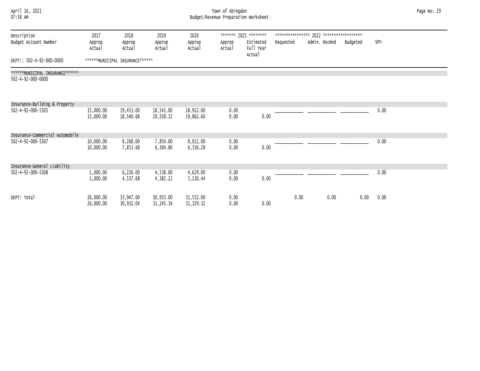| April 16, 2021 |  |
|----------------|--|
| 07.58 AM       |  |

# April 16, 2021 Town of Abingdon Page No: 29 07:58 AM Budget/Revenue Preparation Worksheet

| Description<br>Budget Account Number | 2017<br>Approp<br>Actual | 2018<br>Approp<br>Actual        | 2019<br>Approp<br>Actual | 2020<br>Approp<br>Actual | Approp<br>Actual | ******* 2021 ********<br>Estimated<br>Full Year<br>Actual | Requested | Admin. Recmnd | Budgeted | $%$ PY |  |
|--------------------------------------|--------------------------|---------------------------------|--------------------------|--------------------------|------------------|-----------------------------------------------------------|-----------|---------------|----------|--------|--|
| DEPT:: 502-4-92-000-0000             |                          | ******MUNICIPAL INSURANCE****** |                          |                          |                  |                                                           |           |               |          |        |  |
| ******MUNICIPAL INSURANCE******      |                          |                                 |                          |                          |                  |                                                           |           |               |          |        |  |
| 502-4-92-000-0000                    |                          |                                 |                          |                          |                  |                                                           |           |               |          |        |  |
|                                      |                          |                                 |                          |                          |                  |                                                           |           |               |          |        |  |
|                                      |                          |                                 |                          |                          |                  |                                                           |           |               |          |        |  |
| Insurance-Building & Property        |                          |                                 |                          |                          |                  |                                                           |           |               |          |        |  |
| 502-4-92-000-5305                    | 15,000.00                | 19,453.00                       | 18,541.00                | 18,912.00                | 0.00             |                                                           |           |               |          | 0.00   |  |
|                                      | 15,000.00                | 18,540.68                       | 20,558.32                | 19,862.60                | 0.00             | 0.00                                                      |           |               |          |        |  |
|                                      |                          |                                 |                          |                          |                  |                                                           |           |               |          |        |  |
| Insurance-Commercial Automobile      |                          |                                 |                          |                          |                  |                                                           |           |               |          |        |  |
| 502-4-92-000-5307                    | 10,000.00<br>10,000.00   | 8,268.00                        | 7,854.00                 | 8,011.00                 | 0.00<br>0.00     | 0.00                                                      |           |               |          | 0.00   |  |
|                                      |                          | 7,853.68                        | 6,304.80                 | 6,336.28                 |                  |                                                           |           |               |          |        |  |
|                                      |                          |                                 |                          |                          |                  |                                                           |           |               |          |        |  |
| Insurance-General Liability          |                          |                                 |                          |                          |                  |                                                           |           |               |          |        |  |
| 502-4-92-000-5308                    | 1,000.00                 | 6,226.00                        | 4,538.00                 | 4,629.00                 | 0.00             |                                                           |           |               |          | 0.00   |  |
|                                      | 1,000.00                 | 4,537.68                        | 4,382.22                 | 5,130.44                 | 0.00             | 0.00                                                      |           |               |          |        |  |
|                                      |                          |                                 |                          |                          |                  |                                                           |           |               |          |        |  |
| DEPT: Total                          | 26,000.00                | 33,947.00                       | 30,933.00                | 31,552.00                | 0.00             |                                                           | 0.00      | 0.00          | 0.00     | 0.00   |  |
|                                      | 26,000.00                | 30,932.04                       | 31,245.34                | 31, 329.32               | 0.00             | 0.00                                                      |           |               |          |        |  |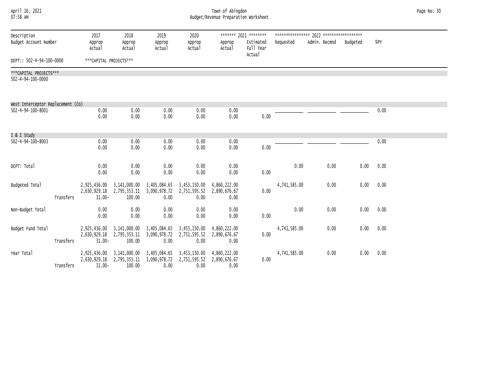| April 16, 2021 |  |
|----------------|--|
| 07.58 AM       |  |

## April 16, 2021 Town of Abingdon Page No: 30 07:58 AM Budget/Revenue Preparation Worksheet

| Description<br>Budget Account Number                   |           | 2017<br>Approp<br>Actual               | 2018<br>Approp<br>Actual            | 2019<br>Approp<br>Actual                                                                 | 2020<br>Approp<br>Actual                                                                                                                     | Approp<br>Actual                     | ******* 2021 ********<br>Estimated<br>Full Year<br>Actual | Requested    | Admin. Recmnd | Budgeted | %PY  |  |
|--------------------------------------------------------|-----------|----------------------------------------|-------------------------------------|------------------------------------------------------------------------------------------|----------------------------------------------------------------------------------------------------------------------------------------------|--------------------------------------|-----------------------------------------------------------|--------------|---------------|----------|------|--|
| DEPT:: 502-4-94-100-0000                               |           | ***CAPITAL PROJECTS***                 |                                     |                                                                                          |                                                                                                                                              |                                      |                                                           |              |               |          |      |  |
| ***CAPITAL PROJECTS***<br>502-4-94-100-0000            |           |                                        |                                     |                                                                                          |                                                                                                                                              |                                      |                                                           |              |               |          |      |  |
| West Interceptor Replacement (Co)<br>502-4-94-100-8001 |           | 0.00<br>0.00                           | 0.00<br>0.00                        | 0.00<br>0.00                                                                             | 0.00<br>0.00                                                                                                                                 | 0.00<br>0.00                         | 0.00                                                      |              |               |          | 0.00 |  |
| I & I Study                                            |           |                                        |                                     |                                                                                          |                                                                                                                                              |                                      |                                                           |              |               |          |      |  |
| 502-4-94-100-8003                                      |           | 0.00<br>0.00                           | 0.00<br>0.00                        | 0.00<br>0.00                                                                             | 0.00<br>0.00                                                                                                                                 | 0.00<br>0.00                         | 0.00                                                      |              |               |          | 0.00 |  |
| DEPT: Total                                            |           | 0.00<br>0.00                           | 0.00<br>0.00                        | 0.00<br>0.00                                                                             | 0.00<br>0.00                                                                                                                                 | 0.00<br>0.00                         | 0.00                                                      | 0.00         | 0.00          | 0.00     | 0.00 |  |
| Budgeted Total                                         | Transfers | $31.00 -$                              | 2,630,929.18 2,795,353.11<br>100.00 | 2,925,436.00 3,141,000.00 3,405,084.65 3,453,150.00<br>3,090,978.72 2,751,595.52<br>0.00 | 0.00                                                                                                                                         | 4,860,222.00<br>2,890,676.67<br>0.00 | 0.00                                                      | 4,741,585.00 | 0.00          | 0.00     | 0.00 |  |
| Non-Budget Total                                       |           | 0.00<br>0.00                           | 0.00<br>0.00                        | 0.00<br>0.00                                                                             | 0.00<br>0.00                                                                                                                                 | 0.00<br>0.00                         | 0.00                                                      | 0.00         | 0.00          | 0.00     | 0.00 |  |
| Budget Fund Total                                      | Transfers | 2,630,929.18 2,795,353.11<br>$31.00 -$ | 100.00                              | 0.00                                                                                     | 2,925,436.00 3,141,000.00 3,405,084.65 3,453,150.00 4,860,222.00<br>3,090,978.72 2,751,595.52 2,890,676.67<br>0.00                           | 0.00                                 | 0.00                                                      | 4,741,585.00 | 0.00          | 0.00     | 0.00 |  |
| Year Total                                             | Transfers | $31.00 -$                              | 100.00                              | 0.00                                                                                     | 2,925,436.00 3,141,000.00 3,405,084.65 3,453,150.00 4,860,222.00<br>2,630,929.18 2,795,353.11 3,090,978.72 2,751,595.52 2,890,676.67<br>0.00 | 0.00                                 | 0.00                                                      | 4,741,585.00 | 0.00          | 0.00     | 0.00 |  |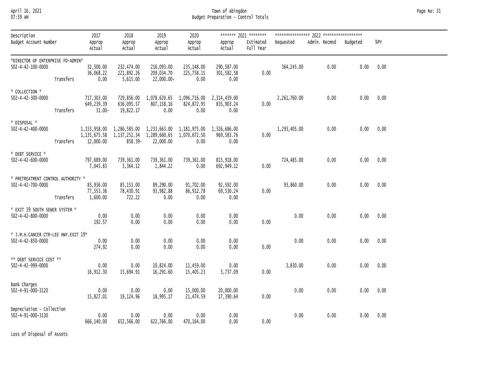## April 16, 2021 Town of Abingdon Page No: 31 07:59 AM Budget Preparation - Control Totals

| Description                                                        |           | 2017                                  | 2018                                 | 2019                                                                            | 2020                                                                       |                                  | ******* 2021 ********  |              |               |          |      |
|--------------------------------------------------------------------|-----------|---------------------------------------|--------------------------------------|---------------------------------------------------------------------------------|----------------------------------------------------------------------------|----------------------------------|------------------------|--------------|---------------|----------|------|
| Budget Account Number                                              |           | Approp<br>Actual                      | Approp<br>Actual                     | Approp<br>Actual                                                                | Approp<br>Actual                                                           | Approp<br>Actual                 | Estimated<br>Full Year | Requested    | Admin. Recmnd | Budgeted | %PY  |
| *DIRECTOR OF ENTERPRISE FD-ADMIN*<br>$502 - 4 - 42 - 100 - 0000$   | Transfers | 32,500.00<br>36,068.22<br>0.00        | 232,474.00<br>221,892.26<br>5,615.00 | 216,093.00<br>209,034.70<br>22,000.00-                                          | 235,148.00<br>225,758.15<br>0.00                                           | 290,587.00<br>301,582.58<br>0.00 | 0.00                   | 364,245.00   | 0.00          | 0.00     | 0.00 |
| * COLLECTION *<br>$502 - 4 - 42 - 300 - 0000$                      | Transfers | 717,303.00<br>649,239.39<br>$31.00 -$ | 636,095.57<br>19,822.17              | 807,158.16<br>0.00                                                              | 729,856.00  1,078,620.65  1,096,716.00  2,314,439.00<br>824,872.95<br>0.00 | 835,903.24<br>0.00               | 0.00                   | 2,261,760.00 | 0.00          | 0.00     | 0.00 |
| * DISPOSAL *<br>$502 - 4 - 42 - 400 - 0000$                        | Transfers | 12,000.00                             |                                      | 1, 135, 675.58 1, 137, 252.34 1, 289, 660.65 1, 070, 672.50<br>858.39-22,000.00 | 1,153,958.00 1,286,585.00 1,233,663.00 1,181,975.00 1,326,686.00<br>0.00   | 969,583.76<br>0.00               | 0.00                   | 1,293,405.00 | 0.00          | 0.00     | 0.00 |
| * DEBT SERVICE *<br>$502 - 4 - 42 - 600 - 0000$                    |           | 797,689.00<br>7,045.83                | 739,361.00<br>3,364.12               | 739,361.00<br>1,844.22                                                          | 739,361.00<br>0.00                                                         | 815,918.00<br>692,949.12         | 0.00                   | 724,485.00   | 0.00          | 0.00     | 0.00 |
| * PRETREATMENT CONTROL AUTHORITY *<br>502-4-42-700-0000            | Transfers | 83,936.00<br>77,553.36<br>1,600.00    | 85,153.00<br>78,430.91<br>722.22     | 89,290.00<br>93,982.88<br>0.00                                                  | 91,702.00<br>86, 912.78<br>0.00                                            | 92,592.00<br>69,530.24<br>0.00   | 0.00                   | 93,860.00    | 0.00          | 0.00     | 0.00 |
| * EXIT 19 SOUTH SEWER SYSTEM *<br>$502 - 4 - 42 - 800 - 0000$      |           | 0.00<br>192.57                        | 0.00<br>0.00                         | 0.00<br>0.00                                                                    | 0.00<br>0.00                                                               | 0.00<br>0.00                     | 0.00                   | 0.00         | 0.00          | 0.00     | 0.00 |
| * J.M.H.CANCER CTR-LEE HWY.EXIT 19*<br>$502 - 4 - 42 - 850 - 0000$ |           | 0.00<br>274.92                        | 0.00<br>0.00                         | 0.00<br>0.00                                                                    | 0.00<br>0.00                                                               | 0.00<br>0.00                     | 0.00                   | 0.00         | 0.00          | 0.00     | 0.00 |
| ** DEBT SERVICE COST **<br>502-4-42-999-0000                       |           | 0.00<br>16,912.30                     | 0.00<br>15,694.91                    | 10,824.00<br>16,291.60                                                          | 11,459.00<br>15,405.23                                                     | 0.00<br>3,737.09                 | 0.00                   | 3,830.00     | 0.00          | 0.00     | 0.00 |
| Bank Charges<br>502-4-91-000-3120                                  |           | 0.00<br>15,827.01                     | 0.00<br>19,124.96                    | 0.00<br>18,995.17                                                               | 15,000.00<br>21,474.59                                                     | 20,000.00<br>17,390.64           | 0.00                   | 0.00         | 0.00          | 0.00     | 0.00 |
| Depreciation - Collection<br>502-4-91-000-3130                     |           | 0.00<br>666,140.00                    | 0.00<br>652,566.00                   | 0.00<br>622,766.00                                                              | 0.00<br>470,164.00                                                         | 0.00<br>0.00                     | 0.00                   | 0.00         | 0.00          | 0.00     | 0.00 |

Loss of Disposal of Assets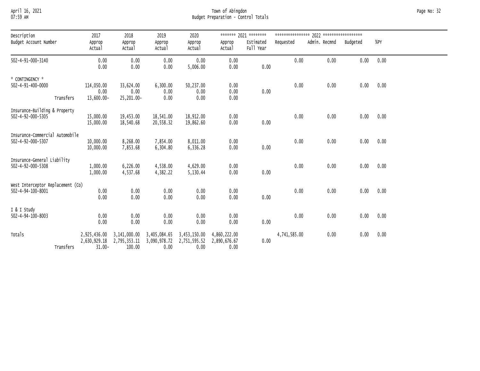# April 16, 2021 Town of Abingdon Page No: 32 07:59 AM Budget Preparation - Control Totals

| Description                                            | 2017                                      | 2018                                   | 2019                                 | 2020                                 |                                      | ******* 2021 ********  |              |               |          |      |  |
|--------------------------------------------------------|-------------------------------------------|----------------------------------------|--------------------------------------|--------------------------------------|--------------------------------------|------------------------|--------------|---------------|----------|------|--|
| Budget Account Number                                  | Approp<br>Actual                          | Approp<br>Actual                       | Approp<br>Actual                     | Approp<br>Actual                     | Approp<br>Actual                     | Estimated<br>Full Year | Requested    | Admin. Recmnd | Budgeted | %PY  |  |
| 502-4-91-000-3140                                      | 0.00<br>0.00                              | 0.00<br>0.00                           | 0.00<br>0.00                         | 0.00<br>5,006.00                     | 0.00<br>0.00                         | 0.00                   | 0.00         | 0.00          | 0.00     | 0.00 |  |
| * CONTINGENCY *<br>502-4-91-400-0000<br>Transfers      | 114,050.00<br>0.00<br>13,600.00-          | 33,624.00<br>0.00<br>25,201.00-        | 6,300.00<br>0.00<br>0.00             | 50,237.00<br>0.00<br>0.00            | 0.00<br>0.00<br>0.00                 | 0.00                   | 0.00         | 0.00          | 0.00     | 0.00 |  |
| Insurance-Building & Property<br>502-4-92-000-5305     | 15,000.00<br>15,000.00                    | 19,453.00<br>18,540.68                 | 18,541.00<br>20,558.32               | 18,912.00<br>19,862.60               | 0.00<br>0.00                         | 0.00                   | 0.00         | 0.00          | 0.00     | 0.00 |  |
| Insurance-Commercial Automobile<br>502-4-92-000-5307   | 10,000.00<br>10,000.00                    | 8,268.00<br>7,853.68                   | 7,854.00<br>6,304.80                 | 8,011.00<br>6,336.28                 | 0.00<br>0.00                         | 0.00                   | 0.00         | 0.00          | 0.00     | 0.00 |  |
| Insurance-General Liability<br>502-4-92-000-5308       | 1,000.00<br>1,000.00                      | 6,226.00<br>4,537.68                   | 4,538.00<br>4,382.22                 | 4,629.00<br>5,130.44                 | 0.00<br>0.00                         | 0.00                   | 0.00         | 0.00          | 0.00     | 0.00 |  |
| West Interceptor Replacement (Co)<br>502-4-94-100-8001 | 0.00<br>0.00                              | 0.00<br>0.00                           | 0.00<br>0.00                         | 0.00<br>0.00                         | 0.00<br>0.00                         | 0.00                   | 0.00         | 0.00          | 0.00     | 0.00 |  |
| I & I Study<br>502-4-94-100-8003                       | 0.00<br>0.00                              | 0.00<br>0.00                           | 0.00<br>0.00                         | 0.00<br>0.00                         | 0.00<br>0.00                         | 0.00                   | 0.00         | 0.00          | 0.00     | 0.00 |  |
| Totals<br>Transfers                                    | 2,925,436.00<br>2,630,929.18<br>$31.00 -$ | 3,141,000.00<br>2,795,353.11<br>100.00 | 3,405,084.65<br>3,090,978.72<br>0.00 | 3,453,150.00<br>2,751,595.52<br>0.00 | 4,860,222.00<br>2,890,676.67<br>0.00 | 0.00                   | 4,741,585.00 | 0.00          | 0.00     | 0.00 |  |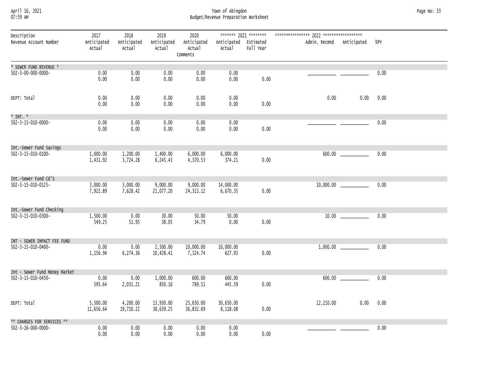### April 16, 2021 Town of Abingdon Page No: 33 07:59 AM Budget/Revenue Preparation Worksheet

| Description<br>Revenue Account Number                       | 2017<br>Anticipated   | 2018<br>Anticipated   | 2019<br>Anticipated    | 2020<br>Anticipated    | Anticipated Estimated | ******* 2021 ******** | Admin. Recmnd | Anticipated                | %PY  |
|-------------------------------------------------------------|-----------------------|-----------------------|------------------------|------------------------|-----------------------|-----------------------|---------------|----------------------------|------|
|                                                             | Actual                | Actual                | Actual                 | Actual<br>Comments     | Actual                | Full Year             |               |                            |      |
| * SEWER FUND REVENUE *                                      |                       |                       |                        |                        |                       |                       |               |                            |      |
| $502 - 3 - 00 - 000 - 0000 -$                               | 0.00<br>0.00          | 0.00<br>0.00          | 0.00<br>0.00           | 0.00<br>0.00           | 0.00<br>0.00          | 0.00                  |               |                            | 0.00 |
| DEPT: Total                                                 | 0.00<br>0.00          | 0.00<br>0.00          | 0.00<br>0.00           | 0.00<br>0.00           | 0.00<br>0.00          | 0.00                  | 0.00          | 0.00                       | 0.00 |
| $*$ INT. $*$                                                |                       |                       |                        |                        |                       |                       |               |                            |      |
| $502 - 3 - 15 - 010 - 0000 -$                               | 0.00<br>0.00          | 0.00<br>0.00          | 0.00<br>0.00           | 0.00<br>0.00           | 0.00<br>0.00          | 0.00                  |               |                            | 0.00 |
| Int.-Sewer Fund Savings                                     |                       |                       |                        |                        |                       |                       |               |                            |      |
| 502-3-15-010-0100-                                          | 1,000.00<br>1,431.92  | 1,200.00<br>3,724.28  | 1,400.00<br>6,245.43   | 6,000.00<br>4,370.53   | 6,000.00<br>374.21    | 0.00                  |               |                            | 0.00 |
| Int.-Sewer Fund Cd'S                                        |                       |                       |                        |                        |                       |                       |               |                            |      |
| 502-3-15-010-0125-                                          | 3,000.00<br>7,922.89  | 3,000.00<br>7,628.42  | 9,000.00<br>21,077.20  | 9,000.00<br>24, 313.12 | 14,000.00<br>6,670.35 | 0.00                  |               | $10,000.00$ ______________ | 0.00 |
| Int.-Sewer Fund Checking                                    |                       |                       |                        |                        |                       |                       |               |                            |      |
| 502-3-15-010-0300-                                          | 1,500.00<br>549.25    | 0.00<br>51.95         | 30.00<br>38.05         | 50.00<br>34.79         | 50.00<br>0.00         | 0.00                  |               |                            | 0.00 |
| INT - SEWER IMPACT FEE FUND                                 |                       |                       |                        |                        |                       |                       |               |                            |      |
| 502-3-15-010-0400-                                          | 0.00<br>1,156.94      | 0.00<br>6,274.36      | 2,500.00<br>10,428.41  | 10,000.00<br>7,324.74  | 10,000.00<br>627.93   | 0.00                  |               |                            | 0.00 |
| Int - Sewer Fund Money Market                               |                       |                       |                        |                        |                       |                       |               |                            |      |
| 502-3-15-010-0450-                                          | 0.00<br>595.64        | 0.00<br>2,031.21      | 1,000.00<br>850.16     | 600.00<br>789.51       | 600.00<br>445.59      | 0.00                  |               |                            | 0.00 |
| DEPT: Total                                                 | 5,500.00<br>11,656.64 | 4,200.00<br>19,710.22 | 13,930.00<br>38,639.25 | 25,650.00<br>36,832.69 | 30,650.00<br>8,118.08 | 0.00                  | 12,210.00     | 0.00                       | 0.00 |
| ** CHARGES FOR SERVICES **<br>$502 - 3 - 16 - 000 - 0000 -$ | 0.00                  | 0.00                  | 0.00                   | 0.00                   | 0.00                  |                       |               |                            | 0.00 |
|                                                             | 0.00                  | 0.00                  | 0.00                   | 0.00                   | 0.00                  | 0.00                  |               |                            |      |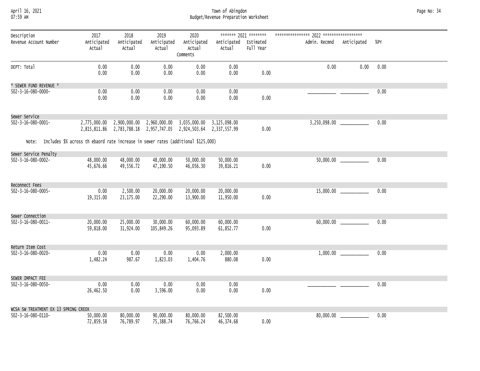#### April 16, 2021 Town of Abingdon Page No: 34 07:59 AM Budget/Revenue Preparation Worksheet

| Description<br>Revenue Account Number                                                   | 2017<br>Anticipated | 2018<br>Anticipated   | 2019<br>Anticipated                                              | 2020<br>Anticipated    | Anticipated Estimated  |           | Admin. Recmnd Anticipated |                                | %PY  |
|-----------------------------------------------------------------------------------------|---------------------|-----------------------|------------------------------------------------------------------|------------------------|------------------------|-----------|---------------------------|--------------------------------|------|
|                                                                                         | Actual              | Actual                | Actual                                                           | Actual                 | Actual                 | Full Year |                           |                                |      |
|                                                                                         |                     |                       |                                                                  | Comments               |                        |           |                           |                                |      |
| DEPT: Total                                                                             | 0.00                | 0.00                  | 0.00                                                             | 0.00                   | 0.00                   |           | 0.00                      | 0.00                           | 0.00 |
|                                                                                         | 0.00                | 0.00                  | 0.00                                                             | 0.00                   | 0.00                   | 0.00      |                           |                                |      |
| * SEWER FUND REVENUE *                                                                  |                     |                       |                                                                  |                        |                        |           |                           |                                |      |
| $502 - 3 - 16 - 080 - 0000 -$                                                           | 0.00<br>0.00        | 0.00<br>0.00          | 0.00<br>0.00                                                     | 0.00<br>0.00           | 0.00<br>0.00           | 0.00      |                           |                                | 0.00 |
|                                                                                         |                     |                       |                                                                  |                        |                        |           |                           |                                |      |
| Sewer Service                                                                           |                     |                       |                                                                  |                        |                        |           |                           |                                |      |
| $502 - 3 - 16 - 080 - 0001 -$                                                           |                     |                       | 2,775,000.00 2,900,000.00 2,960,000.00 3,035,000.00 3,125,098.00 |                        |                        |           |                           | $3,250,098.00$ _______________ | 0.00 |
|                                                                                         |                     |                       | 2,815,811.86 2,783,788.18 2,957,747.05 2,924,503.64 2,337,557.99 |                        |                        | 0.00      |                           |                                |      |
|                                                                                         |                     |                       |                                                                  |                        |                        |           |                           |                                |      |
| Note: Includes \$% across th ebaord rate increase in sewer rates (additional \$125,000) |                     |                       |                                                                  |                        |                        |           |                           |                                |      |
| Sewer Service Penalty<br>$502 - 3 - 16 - 080 - 0002 -$                                  | 48,000.00           | 48,000.00             | 48,000.00                                                        | 50,000.00              | 50,000.00              |           |                           | 50,000.00 ______________       | 0.00 |
|                                                                                         | 45,676.66           | 49,556.72             | 47,190.50                                                        | 46,056.30              | 39,816.21              | 0.00      |                           |                                |      |
|                                                                                         |                     |                       |                                                                  |                        |                        |           |                           |                                |      |
| Reconnect Fees                                                                          |                     |                       |                                                                  |                        |                        |           |                           |                                |      |
| $502 - 3 - 16 - 080 - 0005 -$                                                           | 0.00<br>19,315.00   | 2,500.00<br>23,175.00 | 20,000.00<br>22,290.00                                           | 20,000.00<br>13,900.00 | 20,000.00<br>11,950.00 | 0.00      |                           |                                | 0.00 |
|                                                                                         |                     |                       |                                                                  |                        |                        |           |                           |                                |      |
| Sewer Connection                                                                        |                     |                       |                                                                  |                        |                        |           |                           |                                |      |
| $502 - 3 - 16 - 080 - 0011 -$                                                           | 20,000.00           | 25,000.00             | 30,000.00                                                        | 60,000.00              | 60,000.00              |           |                           |                                | 0.00 |
|                                                                                         | 59,818.00           | 31,924.00             | 105,849.26                                                       | 95,093.89              | 61,852.77              | 0.00      |                           |                                |      |
|                                                                                         |                     |                       |                                                                  |                        |                        |           |                           |                                |      |
| Return Item Cost<br>$502 - 3 - 16 - 080 - 0020 -$                                       | 0.00                | 0.00                  | 0.00                                                             | 0.00                   | 2,000.00               |           |                           |                                | 0.00 |
|                                                                                         | 1,482.24            | 987.67                | 1,823.03                                                         | 1,404.76               | 880.08                 | 0.00      |                           |                                |      |
|                                                                                         |                     |                       |                                                                  |                        |                        |           |                           |                                |      |
| SEWER IMPACT FEE                                                                        |                     |                       |                                                                  |                        |                        |           |                           |                                |      |
| $502 - 3 - 16 - 080 - 0050 -$                                                           | 0.00<br>26,462.50   | 0.00<br>0.00          | 0.00<br>3,596.00                                                 | 0.00<br>0.00           | 0.00<br>0.00           | 0.00      |                           |                                | 0.00 |
|                                                                                         |                     |                       |                                                                  |                        |                        |           |                           |                                |      |
| WCSA SW TREATMENT EX 13 SPRING CREEK                                                    |                     |                       |                                                                  |                        |                        |           |                           |                                |      |
| 502-3-16-080-0110-                                                                      | 50,000.00           | 80,000.00             | 90,000.00                                                        | 80,000.00              | 82,500.00              |           |                           | 80,000.00                      | 0.00 |
|                                                                                         | 72,859.58           | 76,789.97             | 75,388.74                                                        | 76,766.24              | 46,374.68              | 0.00      |                           |                                |      |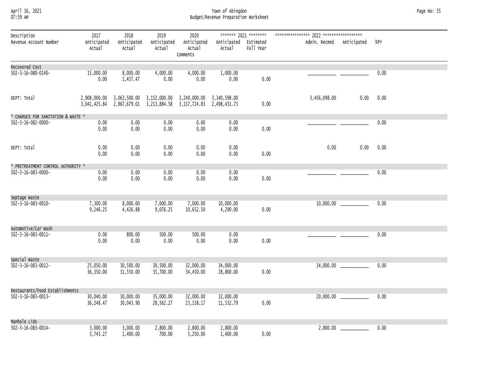## April 16, 2021 Town of Abingdon Page No: 35 07:59 AM Budget/Revenue Preparation Worksheet

| Description                        | 2017                   | 2018                   | 2019                                                                                                                                 | 2020                              |                                 | ******* 2021 ******** |               |             |      |
|------------------------------------|------------------------|------------------------|--------------------------------------------------------------------------------------------------------------------------------------|-----------------------------------|---------------------------------|-----------------------|---------------|-------------|------|
| Revenue Account Number             | Anticipated<br>Actual  | Anticipated<br>Actual  | Anticipated<br>Actual                                                                                                                | Anticipated<br>Actual<br>Comments | Anticipated Estimated<br>Actual | Full Year             | Admin. Recmnd | Anticipated | %PY  |
| Recovered Cost                     |                        |                        |                                                                                                                                      |                                   |                                 |                       |               |             |      |
| 502-3-16-080-0140-                 | 15,000.00<br>0.00      | 8,000.00<br>1,457.47   | 4,000.00<br>0.00                                                                                                                     | 4,000.00<br>0.00                  | 1,000.00<br>0.00                | 0.00                  |               |             | 0.00 |
| DEPT: Total                        |                        |                        | 2,908,000.00 3,063,500.00 3,152,000.00 3,249,000.00 3,340,598.00<br>3,041,425.84 2,967,679.01 3,213,884.58 3,157,724.83 2,498,431.73 |                                   |                                 | 0.00                  | 3,456,098.00  | 0.00        | 0.00 |
| * CHARGES FOR SANITATION & WASTE * |                        |                        |                                                                                                                                      |                                   |                                 |                       |               |             |      |
| $502 - 3 - 16 - 082 - 0000 -$      | 0.00<br>0.00           | 0.00<br>0.00           | 0.00<br>0.00                                                                                                                         | 0.00<br>0.00                      | 0.00<br>0.00                    | 0.00                  |               |             | 0.00 |
| DEPT: Total                        | 0.00<br>0.00           | 0.00<br>0.00           | 0.00<br>0.00                                                                                                                         | 0.00<br>0.00                      | 0.00<br>0.00                    | 0.00                  | 0.00          | 0.00        | 0.00 |
| * PRETREATMENT CONTROL AUTHORITY * |                        |                        |                                                                                                                                      |                                   |                                 |                       |               |             |      |
| $502 - 3 - 16 - 083 - 0000 -$      | 0.00<br>0.00           | 0.00<br>0.00           | 0.00<br>0.00                                                                                                                         | 0.00<br>0.00                      | 0.00<br>0.00                    | 0.00                  |               |             | 0.00 |
| Septage Waste                      |                        |                        |                                                                                                                                      |                                   |                                 |                       |               |             |      |
| 502-3-16-083-0010-                 | 7,300.00<br>9,246.25   | 8,000.00<br>4,426.88   | 7,000.00<br>9,076.25                                                                                                                 | 7,000.00<br>10,652.50             | 10,000.00<br>4,290.00           | 0.00                  |               |             | 0.00 |
| Automotive/Car Wash                |                        |                        |                                                                                                                                      |                                   |                                 |                       |               |             |      |
| 502-3-16-083-0011-                 | 0.00<br>0.00           | 800.00<br>0.00         | 500.00<br>0.00                                                                                                                       | 500.00<br>0.00                    | 0.00<br>0.00                    | 0.00                  |               |             | 0.00 |
| Special Waste                      |                        |                        |                                                                                                                                      |                                   |                                 |                       |               |             |      |
| 502-3-16-083-0012-                 | 25,050.00<br>36,350.00 | 30,500.00<br>31,550.00 | 30,500.00<br>35,700.00                                                                                                               | 32,000.00<br>34,450.00            | 34,000.00<br>28,800.00          | 0.00                  |               |             | 0.00 |
| Restaurants/Food Establishments    |                        |                        |                                                                                                                                      |                                   |                                 |                       |               |             |      |
| $502 - 3 - 16 - 083 - 0013 -$      | 30,040.00<br>36,248.47 | 30,000.00<br>30,043.90 | 35,000.00<br>28,562.27                                                                                                               | 32,000.00<br>23, 158. 17          | 32,000.00<br>11,532.79          | 0.00                  |               |             | 0.00 |
| Manhole Lids                       |                        |                        |                                                                                                                                      |                                   |                                 |                       |               |             |      |
| $502 - 3 - 16 - 083 - 0014 -$      | 3,000.00<br>3,743.27   | 3,000.00<br>1,400.00   | 2,800.00<br>700.00                                                                                                                   | 2,800.00<br>5,250.00              | 2,800.00<br>1,400.00            | 0.00                  |               |             | 0.00 |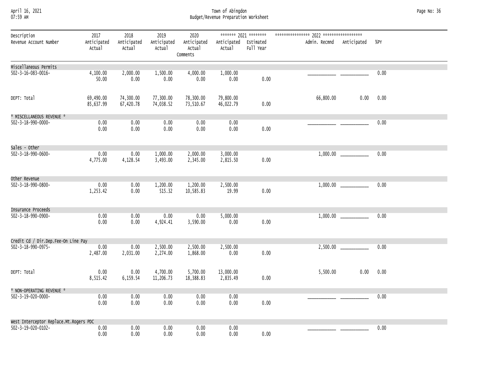## April 16, 2021 Town of Abingdon Page No: 36 07:59 AM Budget/Revenue Preparation Worksheet

| Description<br>Revenue Account Number  | 2017<br>Anticipated<br>Actual | 2018<br>Anticipated<br>Actual | 2019<br>Anticipated<br>Actual | 2020<br>Anticipated<br>Actual | Anticipated Estimated<br>Actual | ******* 2021 ********<br>Full Year | Admin. Recmnd | Anticipated | %PY  |
|----------------------------------------|-------------------------------|-------------------------------|-------------------------------|-------------------------------|---------------------------------|------------------------------------|---------------|-------------|------|
|                                        |                               |                               |                               | Comments                      |                                 |                                    |               |             |      |
| Miscellaneous Permits                  |                               |                               |                               |                               |                                 |                                    |               |             |      |
| $502 - 3 - 16 - 083 - 0016 -$          | 4,100.00<br>50.00             | 2,000.00<br>0.00              | 1,500.00<br>0.00              | 4,000.00<br>0.00              | 1,000.00<br>0.00                | 0.00                               |               |             | 0.00 |
| DEPT: Total                            | 69,490.00<br>85,637.99        | 74,300.00<br>67,420.78        | 77,300.00<br>74,038.52        | 78,300.00<br>73,510.67        | 79,800.00<br>46,022.79          | 0.00                               | 66,800.00     | 0.00        | 0.00 |
| * MISCELLANEOUS REVENUE *              |                               |                               |                               |                               |                                 |                                    |               |             |      |
| $502 - 3 - 18 - 990 - 0000 -$          | 0.00<br>0.00                  | 0.00<br>0.00                  | 0.00<br>0.00                  | 0.00<br>0.00                  | 0.00<br>0.00                    | 0.00                               |               |             | 0.00 |
| Sales - Other                          |                               |                               |                               |                               |                                 |                                    |               |             |      |
| $502 - 3 - 18 - 990 - 0600 -$          | 0.00<br>4,775.00              | 0.00<br>4,128.54              | 1,000.00<br>3,493.00          | 2,000.00<br>2,345.00          | 3,000.00<br>2,815.50            | 0.00                               |               |             | 0.00 |
| Other Revenue                          |                               |                               |                               |                               |                                 |                                    |               |             |      |
| 502-3-18-990-0800-                     | 0.00<br>1,253.42              | 0.00<br>0.00                  | 1,200.00<br>515.32            | 1,200.00<br>10,585.83         | 2,500.00<br>19.99               | 0.00                               |               |             | 0.00 |
| Insurance Proceeds                     |                               |                               |                               |                               |                                 |                                    |               |             |      |
| 502-3-18-990-0900-                     | 0.00<br>0.00                  | 0.00<br>0.00                  | 0.00<br>4,924.41              | 0.00<br>3,590.00              | 5,000.00<br>0.00                | 0.00                               |               |             | 0.00 |
| Credit Cd / Dir.Dep.Fee-On Line Pay    |                               |                               |                               |                               |                                 |                                    |               |             |      |
| 502-3-18-990-0975-                     | 0.00<br>2,487.00              | 0.00<br>2,031.00              | 2,500.00<br>2,274.00          | 2,500.00<br>1,868.00          | 2,500.00<br>0.00                | 0.00                               |               |             | 0.00 |
| DEPT: Total                            | 0.00<br>8,515.42              | 0.00<br>6,159.54              | 4,700.00<br>11,206.73         | 5,700.00<br>18,388.83         | 13,000.00<br>2,835.49           | 0.00                               | 5,500.00      | 0.00        | 0.00 |
| * NON-OPERATING REVENUE *              |                               |                               |                               |                               |                                 |                                    |               |             |      |
| 502-3-19-020-0000-                     | 0.00<br>0.00                  | 0.00<br>0.00                  | 0.00<br>0.00                  | 0.00<br>0.00                  | 0.00<br>0.00                    | 0.00                               |               |             | 0.00 |
| West Interceptor Replace.Mt.Rogers PDC |                               |                               |                               |                               |                                 |                                    |               |             |      |
| $502 - 3 - 19 - 020 - 0102 -$          | 0.00<br>0.00                  | 0.00<br>0.00                  | 0.00<br>0.00                  | 0.00<br>0.00                  | 0.00<br>0.00                    | 0.00                               |               |             | 0.00 |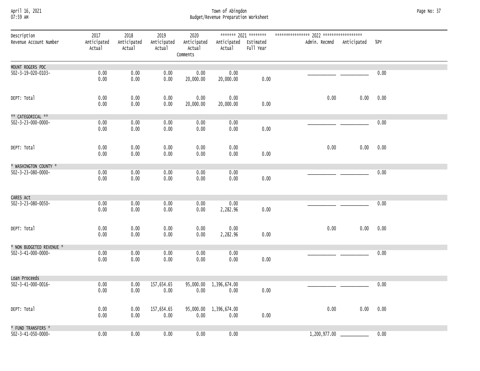#### April 16, 2021 Town of Abingdon Page No: 37 07:59 AM Budget/Revenue Preparation Worksheet

| Description<br>Revenue Account Number | 2017<br>Anticipated<br>Actual | 2018<br>Anticipated<br>Actual | 2019<br>Anticipated<br>Actual | 2020<br>Anticipated<br>Actual | Anticipated Estimated<br>Actual | ******* 2021 ********<br>Full Year | Admin. Recmnd Anticipated |      | %PY  |
|---------------------------------------|-------------------------------|-------------------------------|-------------------------------|-------------------------------|---------------------------------|------------------------------------|---------------------------|------|------|
|                                       |                               |                               |                               | Comments                      |                                 |                                    |                           |      |      |
| MOUNT ROGERS PDC                      |                               |                               |                               |                               |                                 |                                    |                           |      |      |
| 502-3-19-020-0103-                    | 0.00<br>0.00                  | 0.00<br>0.00                  | 0.00<br>0.00                  | 0.00<br>20,000.00             | 0.00<br>20,000.00               | 0.00                               |                           |      | 0.00 |
| DEPT: Total                           | 0.00<br>0.00                  | 0.00<br>0.00                  | 0.00<br>0.00                  | 0.00<br>20,000.00             | 0.00<br>20,000.00               | 0.00                               | $0.00\,$                  | 0.00 | 0.00 |
| ** CATEGORICAL **                     |                               |                               |                               |                               |                                 |                                    |                           |      |      |
| $502 - 3 - 23 - 000 - 0000 -$         | 0.00<br>0.00                  | 0.00<br>0.00                  | 0.00<br>0.00                  | 0.00<br>0.00                  | 0.00<br>0.00                    | 0.00                               |                           |      | 0.00 |
| DEPT: Total                           | 0.00<br>0.00                  | 0.00<br>0.00                  | 0.00<br>0.00                  | 0.00<br>0.00                  | 0.00<br>0.00                    | 0.00                               | 0.00                      | 0.00 | 0.00 |
| * WASHINGTON COUNTY *                 |                               |                               |                               |                               |                                 |                                    |                           |      |      |
| $502 - 3 - 23 - 080 - 0000 -$         | 0.00<br>0.00                  | 0.00<br>0.00                  | 0.00<br>0.00                  | 0.00<br>0.00                  | 0.00<br>0.00                    | 0.00                               |                           |      | 0.00 |
| CARES ACt                             |                               |                               |                               |                               |                                 |                                    |                           |      |      |
| 502-3-23-080-0050-                    | 0.00<br>0.00                  | 0.00<br>0.00                  | 0.00<br>0.00                  | 0.00<br>0.00                  | 0.00<br>2,282.96                | 0.00                               |                           |      | 0.00 |
| DEPT: Total                           | 0.00<br>0.00                  | 0.00<br>0.00                  | 0.00<br>0.00                  | 0.00<br>0.00                  | 0.00<br>2,282.96                | 0.00                               | 0.00                      | 0.00 | 0.00 |
| * NON BUDGETED REVENUE *              |                               |                               |                               |                               |                                 |                                    |                           |      |      |
| 502-3-41-000-0000-                    | 0.00<br>0.00                  | 0.00<br>0.00                  | 0.00<br>0.00                  | 0.00<br>0.00                  | 0.00<br>0.00                    | 0.00                               |                           |      | 0.00 |
| Loan Proceeds                         |                               |                               |                               |                               |                                 |                                    |                           |      |      |
| $502 - 3 - 41 - 000 - 0016 -$         | 0.00<br>0.00                  | 0.00<br>0.00                  | 157,654.65<br>0.00            | 0.00                          | 95,000.00 1,396,674.00<br>0.00  | 0.00                               |                           |      | 0.00 |
| DEPT: Total                           | 0.00<br>0.00                  | 0.00<br>0.00                  | 157,654.65<br>0.00            | 0.00                          | 95,000.00 1,396,674.00<br>0.00  | 0.00                               | 0.00                      | 0.00 | 0.00 |
| * FUND TRANSFERS *                    |                               |                               |                               |                               |                                 |                                    |                           |      |      |
| $502 - 3 - 41 - 050 - 0000 -$         | 0.00                          | 0.00                          | 0.00                          | 0.00                          | 0.00                            |                                    | 1,200,977.00              |      | 0.00 |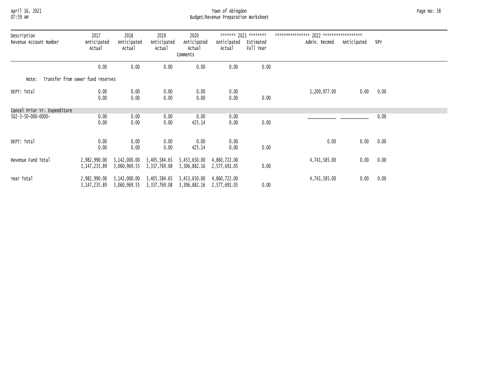#### April 16, 2021 Town of Abingdon Page No: 38 07:59 AM Budget/Revenue Preparation Worksheet

| Description<br>Revenue Account Number      | 2017<br>Anticipated<br>Actual   | 2018<br>Anticipated<br>Actual | 2019<br>Anticipated<br>Actual             | 2020<br>Anticipated<br>Actual<br>Comments | Anticipated<br>Actual        | ******* 2021 ********<br>Estimated<br>Full Year | Admin. Recmnd | Anticipated | %PY  |
|--------------------------------------------|---------------------------------|-------------------------------|-------------------------------------------|-------------------------------------------|------------------------------|-------------------------------------------------|---------------|-------------|------|
|                                            | 0.00                            | 0.00                          | 0.00                                      | 0.00                                      | 0.00                         | 0.00                                            |               |             |      |
| Transfer from sewer fund reserves<br>Note: |                                 |                               |                                           |                                           |                              |                                                 |               |             |      |
| DEPT: Total                                | 0.00<br>0.00                    | 0.00<br>0.00                  | 0.00<br>0.00                              | 0.00<br>0.00                              | 0.00<br>0.00                 | 0.00                                            | 1,200,977.00  | 0.00        | 0.00 |
| Cancel Prior Yr. Expenditure               |                                 |                               |                                           |                                           |                              |                                                 |               |             |      |
| $502 - 3 - 50 - 000 - 0000 -$              | 0.00<br>0.00                    | 0.00<br>0.00                  | 0.00<br>0.00                              | 0.00<br>425.14                            | 0.00<br>0.00                 | 0.00                                            |               |             | 0.00 |
| DEPT: Total                                | 0.00<br>0.00                    | 0.00<br>0.00                  | 0.00<br>0.00                              | 0.00<br>425.14                            | 0.00<br>0.00                 | 0.00                                            | 0.00          | 0.00        | 0.00 |
| Revenue Fund Total                         | 2,982,990.00<br>3, 147, 235, 89 | 3,142,000.00<br>3,060,969.55  | 3,405,584.65<br>3,337,769.08              | 3,453,650.00<br>3,306,882.16              | 4,860,722.00<br>2,577,691.05 | 0.00                                            | 4,741,585.00  | 0.00        | 0.00 |
| Year Total                                 | 2,982,990.00<br>3, 147, 235.89  | 3,142,000.00                  | 3,405,584.65<br>3,060,969.55 3,337,769.08 | 3,453,650.00<br>3,306,882.16 2,577,691.05 | 4,860,722.00                 | 0.00                                            | 4,741,585.00  | 0.00        | 0.00 |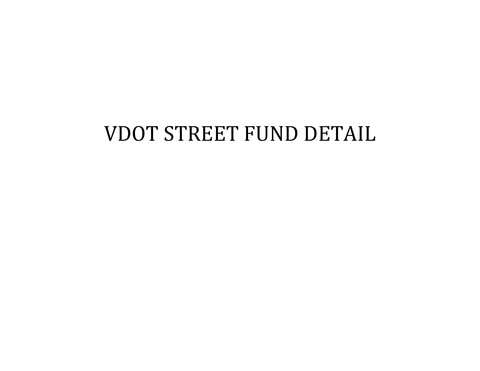# VDOT STREET FUND DETAIL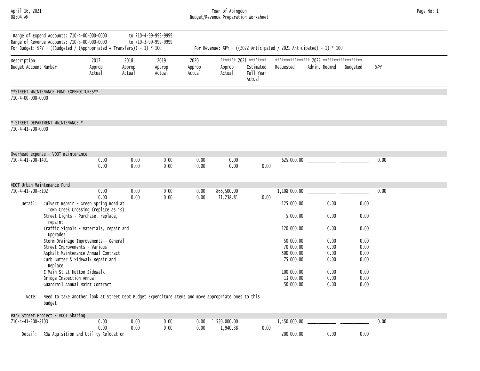#### April 16, 2021 Town of Abingdon Page No: 1 08:04 AM Budget/Revenue Preparation Worksheet

| Page No: 1 |  |  |
|------------|--|--|
|------------|--|--|

|                                      | Range of Expend Accounts: 710-4-00-000-0000<br>Range of Revenue Accounts: 710-3-00-000-0000<br>For Budget: %PY = $((Budgeted / (Appropriated + Transfers)) - 1) * 100$ |                          |                          | to 710-4-99-999-9999<br>to 710-3-99-999-9999 |                          |                         |                                                           |                                      | For Revenue: %PY = $((2022 \text{ Anticipated } / 2021 \text{ Anticipated}) - 1) * 100$ |                      |      |
|--------------------------------------|------------------------------------------------------------------------------------------------------------------------------------------------------------------------|--------------------------|--------------------------|----------------------------------------------|--------------------------|-------------------------|-----------------------------------------------------------|--------------------------------------|-----------------------------------------------------------------------------------------|----------------------|------|
| Description<br>Budget Account Number |                                                                                                                                                                        | 2017<br>Approp<br>Actual | 2018<br>Approp<br>Actual | 2019<br>Approp<br>Actual                     | 2020<br>Approp<br>Actual | Approp<br>Actual        | ******* 2021 ********<br>Estimated<br>Full Year<br>Actual | Requested                            | Admin. Recmnd                                                                           | Budgeted             | %PY  |
| 710-4-00-000-0000                    | **STREET MAINTENANCE FUND EXPENDITURES**                                                                                                                               |                          |                          |                                              |                          |                         |                                                           |                                      |                                                                                         |                      |      |
| 710-4-41-200-0000                    | * STREET DEPARTMENT MAINTENANCE *                                                                                                                                      |                          |                          |                                              |                          |                         |                                                           |                                      |                                                                                         |                      |      |
| 710-4-41-200-1401                    | Overhead expense - VDOT maintenance                                                                                                                                    | 0.00                     | 0.00                     | 0.00                                         | 0.00                     | 0.00                    |                                                           | 625,000.00                           |                                                                                         |                      | 0.00 |
|                                      |                                                                                                                                                                        | 0.00                     | 0.00                     | 0.00                                         | 0.00                     | 0.00                    | 0.00                                                      |                                      |                                                                                         |                      |      |
| 710-4-41-200-8102                    | VDOT Urban Maintenance Fund                                                                                                                                            | 0.00<br>0.00             | 0.00<br>0.00             | 0.00<br>0.00                                 | 0.00<br>0.00             | 866,500.00<br>71,238.81 | 0.00                                                      | 1,108,000.00                         |                                                                                         |                      | 0.00 |
|                                      | Detail: Culvert Repair - Green Spring Road at<br>Town Creek Crossing (replace as is)<br>Street Lights - Purchase, replace,<br>repaint                                  |                          |                          |                                              |                          |                         |                                                           | 125,000.00<br>5,000.00               | 0.00<br>0.00                                                                            | 0.00<br>0.00         |      |
|                                      | Traffic Signals - Materials, repair and<br>Upgrades<br>Storm Drainage Improvements - General                                                                           |                          |                          |                                              |                          |                         |                                                           | 120,000.00<br>50,000.00              | 0.00<br>0.00                                                                            | 0.00<br>0.00         |      |
|                                      | Street Improvements - Various<br>Asphalt Maintenance Annual Contract<br>Curb Gutter & Sidewalk Repair and<br>Replace                                                   |                          |                          |                                              |                          |                         |                                                           | 70,000.00<br>500,000.00<br>75,000.00 | 0.00<br>0.00<br>0.00                                                                    | 0.00<br>0.00<br>0.00 |      |
|                                      | E Main St at Hutton Sidewalk<br>Bridge Inspection Annual<br>Guardrail Annual Maint Contract                                                                            |                          |                          |                                              |                          |                         |                                                           | 100,000.00<br>13,000.00<br>50,000.00 | 0.00<br>0.00<br>0.00                                                                    | 0.00<br>0.00<br>0.00 |      |
| Note:                                | Need to take another look at Street Dept Budget Expenditure Items and move appropriate ones to this<br>budget                                                          |                          |                          |                                              |                          |                         |                                                           |                                      |                                                                                         |                      |      |
| 710-4-41-200-8103                    | Park Street Project - VDOT Sharing                                                                                                                                     | 0.00                     | 0.00                     | 0.00                                         | 0.00                     | 1,550,000.00            |                                                           | 1,450,000.00                         |                                                                                         |                      | 0.00 |
|                                      | Detail: ROW Aquisition and Utility Relocation                                                                                                                          | 0.00                     | 0.00                     | 0.00                                         | 0.00                     | 1,940.38                | 0.00                                                      | 200,000.00                           | 0.00                                                                                    | 0.00                 |      |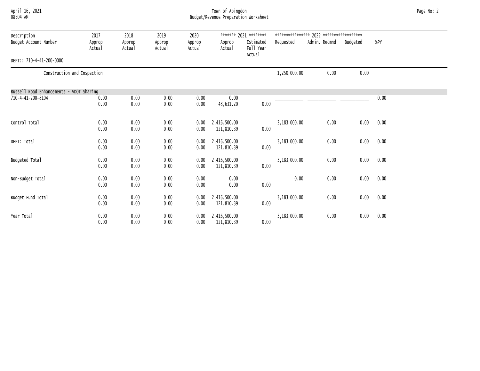#### April 16, 2021 Town of Abingdon Page No: 2 08:04 AM Budget/Revenue Preparation Worksheet

| Description<br>Budget Account Number     | 2017<br>Approp<br>Actual | 2018<br>Approp<br>Actual | 2019<br>Approp<br>Actual | 2020<br>Approp<br>Actual | Approp<br>Actual  | ******* 2021 ********<br>Estimated<br>Full Year<br>Actual | Requested    | Admin. Recmnd | Budgeted | %PY  |
|------------------------------------------|--------------------------|--------------------------|--------------------------|--------------------------|-------------------|-----------------------------------------------------------|--------------|---------------|----------|------|
| DEPT:: 710-4-41-200-0000                 |                          |                          |                          |                          |                   |                                                           |              |               |          |      |
| Construction and Inspection              |                          |                          |                          |                          |                   |                                                           | 1,250,000.00 | 0.00          | 0.00     |      |
|                                          |                          |                          |                          |                          |                   |                                                           |              |               |          |      |
| Russell Road Enhancements - VDOT Sharing |                          |                          |                          |                          |                   |                                                           |              |               |          |      |
| 710-4-41-200-8104                        | 0.00<br>0.00             | 0.00<br>0.00             | 0.00<br>0.00             | 0.00<br>0.00             | 0.00<br>48,631.20 | 0.00                                                      |              |               |          | 0.00 |
| Control Total                            | 0.00                     | 0.00                     | 0.00                     | 0.00                     | 2,416,500.00      |                                                           | 3,183,000.00 | 0.00          | 0.00     | 0.00 |
|                                          | 0.00                     | 0.00                     | 0.00                     | 0.00                     | 121,810.39        | 0.00                                                      |              |               |          |      |
| DEPT: Total                              | 0.00                     | 0.00                     | 0.00                     | 0.00                     | 2,416,500.00      |                                                           | 3,183,000.00 | 0.00          | 0.00     | 0.00 |
|                                          | 0.00                     | 0.00                     | 0.00                     | 0.00                     | 121,810.39        | 0.00                                                      |              |               |          |      |
| Budgeted Total                           | 0.00                     | 0.00                     | 0.00                     | 0.00                     | 2,416,500.00      |                                                           | 3,183,000.00 | 0.00          | 0.00     | 0.00 |
|                                          | 0.00                     | 0.00                     | 0.00                     | 0.00                     | 121,810.39        | 0.00                                                      |              |               |          |      |
| Non-Budget Total                         | 0.00                     | 0.00                     | 0.00                     | 0.00                     | 0.00              |                                                           | 0.00         | 0.00          | 0.00     | 0.00 |
|                                          | 0.00                     | 0.00                     | 0.00                     | 0.00                     | 0.00              | 0.00                                                      |              |               |          |      |
| Budget Fund Total                        | 0.00                     | 0.00                     | 0.00                     | 0.00                     | 2,416,500.00      |                                                           | 3,183,000.00 | 0.00          | 0.00     | 0.00 |
|                                          | 0.00                     | 0.00                     | 0.00                     | 0.00                     | 121,810.39        | 0.00                                                      |              |               |          |      |
| Year Total                               | 0.00                     | 0.00                     | 0.00                     | 0.00                     | 2,416,500.00      |                                                           | 3,183,000.00 | 0.00          | 0.00     | 0.00 |
|                                          | 0.00                     | 0.00                     | 0.00                     | 0.00                     | 121,810.39        | 0.00                                                      |              |               |          |      |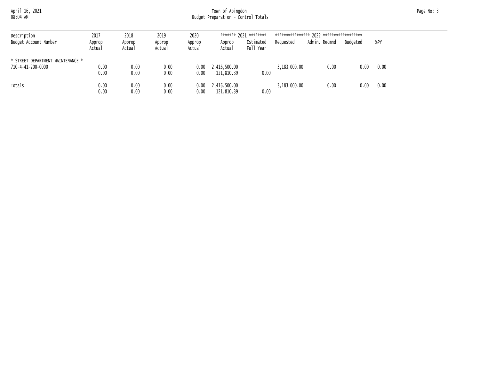## April 16, 2021 Town of Abingdon Page No: 3 08:04 AM Budget Preparation - Control Totals

| Description<br>Budget Account Number                   | 2017<br>Approp<br>Actual | 2018<br>Approp<br>Actual | 2019<br>Approp<br>Actual | 2020<br>Approp<br>Actual | Approp<br>Actual           | ******* 2021 ********<br>Estimated<br>Full Year | Requested    | Admin. Recmnd | Budgeted | %PY  |
|--------------------------------------------------------|--------------------------|--------------------------|--------------------------|--------------------------|----------------------------|-------------------------------------------------|--------------|---------------|----------|------|
| * STREET DEPARTMENT MAINTENANCE *<br>710-4-41-200-0000 | 0.00                     | 0.00                     | 0.00                     | 0.00                     | 2,416,500.00               |                                                 | 3,183,000.00 | 0.00          | 0.00     | 0.00 |
| Totals                                                 | 0.00<br>0.00             | 0.00<br>0.00             | 0.00<br>0.00             | 0.00<br>0.00             | 121,810.39<br>2,416,500.00 | 0.00                                            | 3,183,000.00 | 0.00          | 0.00     | 0.00 |
|                                                        | 0.00                     | 0.00                     | 0.00                     | 0.00                     | 121,810.39                 | 0.00                                            |              |               |          |      |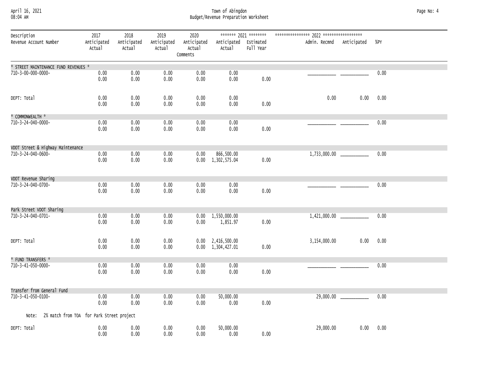## April 16, 2021 Town of Abingdon Page No: 4 08:04 AM Budget/Revenue Preparation Worksheet

| Description<br>Revenue Account Number              | 2017<br>Anticipated<br>Actual | 2018<br>Anticipated<br>Actual | 2019<br>Anticipated<br>Actual | 2020<br>Anticipated<br>Actual<br>Comments | Anticipated Estimated<br>Actual                | ******* 2021 ********<br>Full Year | Admin. Recmnd Anticipated |                           | %PY  |
|----------------------------------------------------|-------------------------------|-------------------------------|-------------------------------|-------------------------------------------|------------------------------------------------|------------------------------------|---------------------------|---------------------------|------|
| * STREET MAINTENANCE FUND REVENUES *               |                               |                               |                               |                                           |                                                |                                    |                           |                           |      |
| 710-3-00-000-0000-                                 | 0.00<br>0.00                  | 0.00<br>0.00                  | 0.00<br>0.00                  | 0.00<br>0.00                              | 0.00<br>0.00                                   | 0.00                               |                           |                           | 0.00 |
| DEPT: Total                                        | 0.00<br>0.00                  | 0.00<br>0.00                  | 0.00<br>0.00                  | 0.00<br>0.00                              | 0.00<br>0.00                                   | 0.00                               | 0.00                      | 0.00                      | 0.00 |
| * COMMONWEALTH *                                   |                               |                               |                               |                                           |                                                |                                    |                           |                           |      |
| 710-3-24-040-0000-                                 | 0.00<br>0.00                  | 0.00<br>0.00                  | 0.00<br>0.00                  | 0.00<br>0.00                              | 0.00<br>0.00                                   | 0.00                               |                           |                           | 0.00 |
| VDOT Street & Highway Maintenance                  |                               |                               |                               |                                           |                                                |                                    |                           |                           |      |
| 710-3-24-040-0600-                                 | 0.00<br>0.00                  | 0.00<br>0.00                  | 0.00<br>0.00                  | 0.00                                      | 866,500.00<br>$0.00 \quad 1,302,575.04$        | 0.00                               |                           |                           | 0.00 |
| VDOT Revenue Sharing                               |                               |                               |                               |                                           |                                                |                                    |                           |                           |      |
| 710-3-24-040-0700-                                 | 0.00<br>0.00                  | 0.00<br>0.00                  | 0.00<br>0.00                  | 0.00<br>0.00                              | 0.00<br>0.00                                   | 0.00                               |                           |                           | 0.00 |
| Park Street VDOT Sharing                           |                               |                               |                               |                                           |                                                |                                    |                           |                           |      |
| 710-3-24-040-0701-                                 | 0.00<br>0.00                  | 0.00<br>0.00                  | 0.00<br>0.00                  | 0.00                                      | 0.00 1,550,000.00<br>1,851.97                  | 0.00                               |                           |                           | 0.00 |
| DEPT: Total                                        | 0.00<br>0.00                  | 0.00<br>0.00                  | 0.00<br>0.00                  |                                           | 0.00 2,416,500.00<br>$0.00 \quad 1,304,427.01$ | 0.00                               | 3,154,000.00              | 0.00                      | 0.00 |
| * FUND TRANSFERS *                                 |                               |                               |                               |                                           |                                                |                                    |                           |                           |      |
| 710-3-41-050-0000-                                 | 0.00<br>0.00                  | 0.00<br>0.00                  | 0.00<br>0.00                  | 0.00<br>0.00                              | 0.00<br>0.00                                   | 0.00                               |                           |                           | 0.00 |
| Transfer from General Fund                         |                               |                               |                               |                                           |                                                |                                    |                           |                           |      |
| 710-3-41-050-0100-                                 | 0.00<br>0.00                  | 0.00<br>0.00                  | 0.00<br>0.00                  | 0.00<br>0.00                              | 50,000.00<br>0.00                              | 0.00                               |                           | 29,000.00 _______________ | 0.00 |
| 2% match from TOA for Park Street project<br>Note: |                               |                               |                               |                                           |                                                |                                    |                           |                           |      |
| DEPT: Total                                        | 0.00<br>0.00                  | 0.00<br>0.00                  | 0.00<br>0.00                  | 0.00<br>0.00                              | 50,000.00<br>0.00                              | 0.00                               | 29,000.00                 | 0.00                      | 0.00 |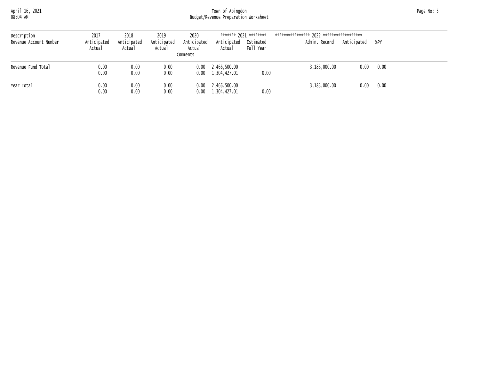#### April 16, 2021 Town of Abingdon Page No: 5 08:04 AM Budget/Revenue Preparation Worksheet

| Description<br>Revenue Account Number | 2017<br>Anticipated | 2018<br>Anticipated | 2019<br>Anticipated | 2020<br>Anticipated | Anticipated                                            | ******* 2021 ********<br>Estimated | Admin. Recmnd | Anticipated | %PY  |  |
|---------------------------------------|---------------------|---------------------|---------------------|---------------------|--------------------------------------------------------|------------------------------------|---------------|-------------|------|--|
|                                       | Actual              | Actual              | Actual              | Actual<br>Comments  | Actual                                                 | Full Year                          |               |             |      |  |
| Revenue Fund Total                    | 0.00<br>0.00        | 0.00<br>0.00        | 0.00<br>0.00        |                     | $0.00 \quad 2,466,500.00$<br>$0.00 \quad 1,304,427.01$ | 0.00                               | 3,183,000.00  | 0.00        | 0.00 |  |
| Year Total                            | 0.00<br>0.00        | 0.00<br>0.00        | 0.00<br>0.00        | 0.00<br>0.00        | 2,466,500.00<br>1,304,427.01                           | 0.00                               | 3,183,000.00  | 0.00        | 0.00 |  |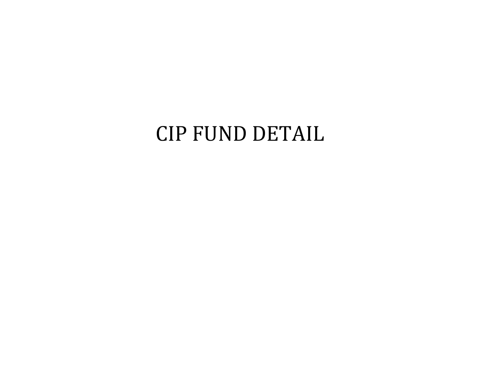# CIP FUND DETAIL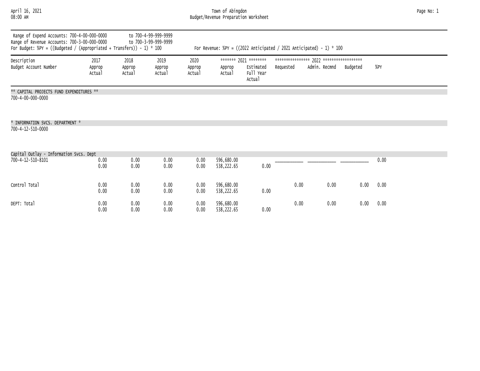#### April 16, 2021 Town of Abingdon Page No: 1 08:00 AM Budget/Revenue Preparation Worksheet

| Page No: 1 |  |  |
|------------|--|--|
|------------|--|--|

| Range of Expend Accounts: 700-4-00-000-0000<br>Range of Revenue Accounts: 700-3-00-000-0000<br>For Budget: %PY = ((Budgeted / (Appropriated + Transfers)) - 1) * 100 |                  |                  | to 700-4-99-999-9999<br>to 700-3-99-999-9999 |                  |                          |                                  |           | For Revenue: %PY = $((2022 \text{ Anticipated } / 2021 \text{ Anticipated}) - 1) * 100$ |          |      |  |
|----------------------------------------------------------------------------------------------------------------------------------------------------------------------|------------------|------------------|----------------------------------------------|------------------|--------------------------|----------------------------------|-----------|-----------------------------------------------------------------------------------------|----------|------|--|
| Description                                                                                                                                                          | 2017             | 2018             | 2019                                         | 2020             |                          | ******* 2021 ********            |           |                                                                                         |          |      |  |
| Budget Account Number                                                                                                                                                | Approp<br>Actual | Approp<br>Actual | Approp<br>Actual                             | Approp<br>Actual | Approp<br>Actual         | Estimated<br>Full Year<br>Actual | Requested | Admin. Recmnd                                                                           | Budgeted | %PY  |  |
| ** CAPITAL PROJECTS FUND EXPENDITURES **                                                                                                                             |                  |                  |                                              |                  |                          |                                  |           |                                                                                         |          |      |  |
| 700-4-00-000-0000                                                                                                                                                    |                  |                  |                                              |                  |                          |                                  |           |                                                                                         |          |      |  |
| * INFORMATION SVCS. DEPARTMENT *                                                                                                                                     |                  |                  |                                              |                  |                          |                                  |           |                                                                                         |          |      |  |
| 700-4-12-510-0000                                                                                                                                                    |                  |                  |                                              |                  |                          |                                  |           |                                                                                         |          |      |  |
| Capital Outlay - Information Svcs. Dept                                                                                                                              |                  |                  |                                              |                  |                          |                                  |           |                                                                                         |          |      |  |
| 700-4-12-510-8101                                                                                                                                                    | 0.00<br>0.00     | 0.00<br>0.00     | 0.00<br>0.00                                 | 0.00<br>0.00     | 596,680.00<br>538,222.65 | 0.00                             |           |                                                                                         |          | 0.00 |  |
| Control Total                                                                                                                                                        | 0.00<br>0.00     | 0.00<br>0.00     | 0.00<br>0.00                                 | 0.00<br>0.00     | 596,680.00<br>538,222.65 | 0.00                             | 0.00      | 0.00                                                                                    | 0.00     | 0.00 |  |
| DEPT: Total                                                                                                                                                          | 0.00             | 0.00             | 0.00                                         | 0.00             | 596,680.00               |                                  | 0.00      | 0.00                                                                                    | 0.00     | 0.00 |  |

0.00 0.00 0.00 0.00 538,222.65 0.00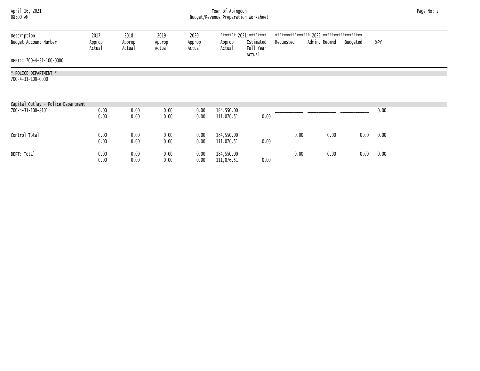## April 16, 2021 Town of Abingdon Page No: 2 08:00 AM Budget/Revenue Preparation Worksheet

| Description<br>Budget Account Number       | 2017<br>Approp<br>Actual | 2018<br>Approp<br>Actual | 2019<br>Approp<br>Actual | 2020<br>Approp<br>Actual | Approp<br>Actual         | ******* 2021 ********<br>Estimated<br>Full Year | Requested | Admin. Recmnd | Budgeted | %PY  |  |
|--------------------------------------------|--------------------------|--------------------------|--------------------------|--------------------------|--------------------------|-------------------------------------------------|-----------|---------------|----------|------|--|
| DEPT:: 700-4-31-100-0000                   |                          |                          |                          |                          |                          | Actual                                          |           |               |          |      |  |
| * POLICE DEPARTMENT *<br>700-4-31-100-0000 |                          |                          |                          |                          |                          |                                                 |           |               |          |      |  |
| Capital Outlay - Police Department         |                          |                          |                          |                          |                          |                                                 |           |               |          |      |  |
| 700-4-31-100-8101                          | 0.00<br>0.00             | 0.00<br>0.00             | 0.00<br>0.00             | 0.00<br>0.00             | 184,550.00<br>111,076.51 | 0.00                                            |           |               |          | 0.00 |  |
| Control Total                              | 0.00<br>0.00             | 0.00<br>0.00             | 0.00<br>0.00             | 0.00<br>0.00             | 184,550.00<br>111,076.51 | 0.00                                            | 0.00      | 0.00          | 0.00     | 0.00 |  |
| DEPT: Total                                | 0.00<br>0.00             | 0.00<br>0.00             | 0.00<br>0.00             | 0.00<br>0.00             | 184,550.00<br>111,076.51 | 0.00                                            | 0.00      | 0.00          | 0.00     | 0.00 |  |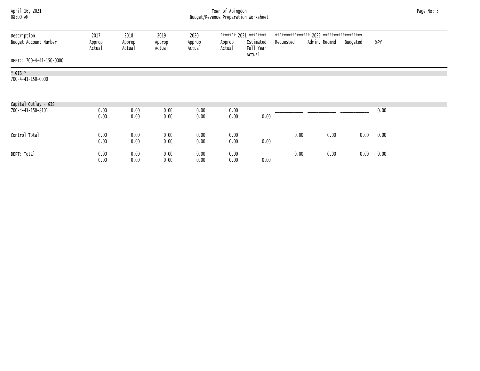## April 16, 2021 Town of Abingdon Page No: 3 08:00 AM Budget/Revenue Preparation Worksheet

| Description              | 2017             | 2018             | 2019             | 2020             |                  | ******* 2021 ********  |           |               |          |      |
|--------------------------|------------------|------------------|------------------|------------------|------------------|------------------------|-----------|---------------|----------|------|
| Budget Account Number    | Approp<br>Actual | Approp<br>Actual | Approp<br>Actual | Approp<br>Actual | Approp<br>Actual | Estimated<br>Full Year | Requested | Admin. Recmnd | Budgeted | %PY  |
| DEPT:: 700-4-41-150-0000 |                  |                  |                  |                  |                  | Actual                 |           |               |          |      |
| * GIS *                  |                  |                  |                  |                  |                  |                        |           |               |          |      |
| 700-4-41-150-0000        |                  |                  |                  |                  |                  |                        |           |               |          |      |
| Capital Outlay - GIS     |                  |                  |                  |                  |                  |                        |           |               |          |      |
| 700-4-41-150-8101        | 0.00<br>0.00     | 0.00<br>0.00     | 0.00<br>0.00     | 0.00<br>0.00     | 0.00<br>0.00     | 0.00                   |           |               |          | 0.00 |
| Control Total            | 0.00<br>0.00     | 0.00<br>0.00     | 0.00<br>0.00     | 0.00<br>0.00     | 0.00<br>0.00     | 0.00                   | 0.00      | 0.00          | 0.00     | 0.00 |
| DEPT: Total              | 0.00<br>0.00     | 0.00<br>0.00     | 0.00<br>0.00     | 0.00<br>0.00     | 0.00<br>0.00     | 0.00                   | 0.00      | 0.00          | 0.00     | 0.00 |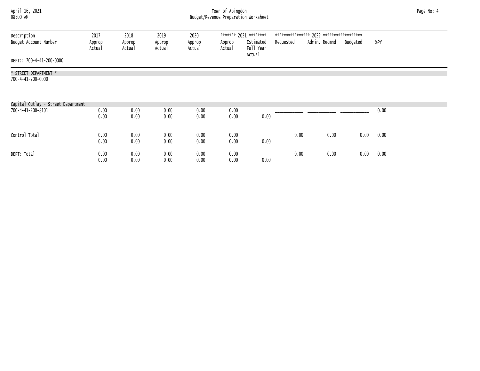## April 16, 2021 Town of Abingdon Page No: 4 08:00 AM Budget/Revenue Preparation Worksheet

| Description<br>Budget Account Number | 2017<br>Approp<br>Actual | 2018<br>Approp<br>Actual | 2019<br>Approp<br>Actual | 2020<br>Approp<br>Actual | Approp<br>Actual | ******* 2021 ********<br>Estimated<br>Full Year | Requested | Admin. Recmnd | Budgeted | %PY  |  |
|--------------------------------------|--------------------------|--------------------------|--------------------------|--------------------------|------------------|-------------------------------------------------|-----------|---------------|----------|------|--|
| DEPT:: 700-4-41-200-0000             |                          |                          |                          |                          |                  | Actual                                          |           |               |          |      |  |
| * STREET DEPARTMENT *                |                          |                          |                          |                          |                  |                                                 |           |               |          |      |  |
| 700-4-41-200-0000                    |                          |                          |                          |                          |                  |                                                 |           |               |          |      |  |
| Capital Outlay - Street Department   |                          |                          |                          |                          |                  |                                                 |           |               |          |      |  |
| 700-4-41-200-8101                    | 0.00<br>0.00             | 0.00<br>0.00             | 0.00<br>0.00             | 0.00<br>0.00             | 0.00<br>0.00     | 0.00                                            |           |               |          | 0.00 |  |
| Control Total                        | 0.00<br>0.00             | 0.00<br>0.00             | 0.00<br>0.00             | 0.00<br>0.00             | 0.00<br>0.00     | 0.00                                            | 0.00      | 0.00          | 0.00     | 0.00 |  |
| DEPT: Total                          | 0.00                     | 0.00                     | 0.00                     | 0.00                     | 0.00             |                                                 | 0.00      | 0.00          | 0.00     | 0.00 |  |

 $0.00$   $0.00$   $0.00$   $0.00$   $0.00$   $0.00$   $0.00$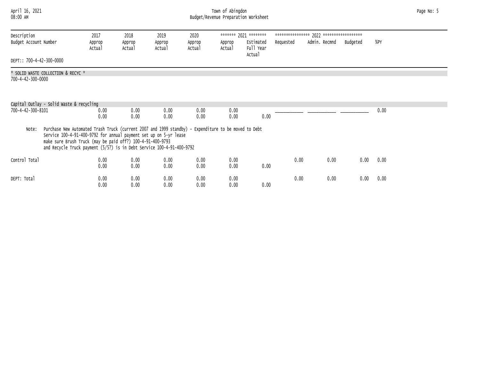## April 16, 2021 Town of Abingdon Page No: 5 08:00 AM Budget/Revenue Preparation Worksheet

| Description<br>Budget Account Number                    | 2017<br>Approp<br>Actual                                                                                                                                                                                                                                                                                         | 2018<br>Approp<br>Actual | 2019<br>Approp<br>Actual | 2020<br>Approp<br>Actual | Approp<br>Actual | ******* 2021 ********<br>Estimated<br>Full Year<br>Actual | Requested | Admin. Recmnd | Budgeted | %PY  |  |
|---------------------------------------------------------|------------------------------------------------------------------------------------------------------------------------------------------------------------------------------------------------------------------------------------------------------------------------------------------------------------------|--------------------------|--------------------------|--------------------------|------------------|-----------------------------------------------------------|-----------|---------------|----------|------|--|
| DEPT:: 700-4-42-300-0000                                |                                                                                                                                                                                                                                                                                                                  |                          |                          |                          |                  |                                                           |           |               |          |      |  |
| * SOLID WASTE COLLECTION & RECYC *<br>700-4-42-300-0000 |                                                                                                                                                                                                                                                                                                                  |                          |                          |                          |                  |                                                           |           |               |          |      |  |
| Capital Outlay - Solid Waste & recycling                |                                                                                                                                                                                                                                                                                                                  |                          |                          |                          |                  |                                                           |           |               |          |      |  |
| 700-4-42-300-8101                                       | 0.00<br>0.00                                                                                                                                                                                                                                                                                                     | 0.00<br>0.00             | 0.00<br>0.00             | 0.00<br>0.00             | 0.00<br>0.00     | 0.00                                                      |           |               |          | 0.00 |  |
| Note:                                                   | Purchase New Automated Trash Truck (current 2007 and 1999 standby) - Expenditure to be moved to Debt<br>Service 100-4-91-400-9792 for annual payment set up on 5-yr lease<br>make sure Brush Truck (may be paid off?) 100-4-91-400-9793<br>and Recycle Truck payment (5/5?) is in Debt Service 100-4-91-400-9792 |                          |                          |                          |                  |                                                           |           |               |          |      |  |
| Control Total                                           | 0.00<br>0.00                                                                                                                                                                                                                                                                                                     | 0.00<br>0.00             | 0.00<br>0.00             | 0.00<br>0.00             | 0.00<br>0.00     | 0.00                                                      | 0.00      | 0.00          | 0.00     | 0.00 |  |
| DEPT: Total                                             | 0.00<br>0.00                                                                                                                                                                                                                                                                                                     | 0.00<br>0.00             | 0.00<br>0.00             | 0.00<br>0.00             | 0.00<br>0.00     | 0.00                                                      | 0.00      | 0.00          | 0.00     | 0.00 |  |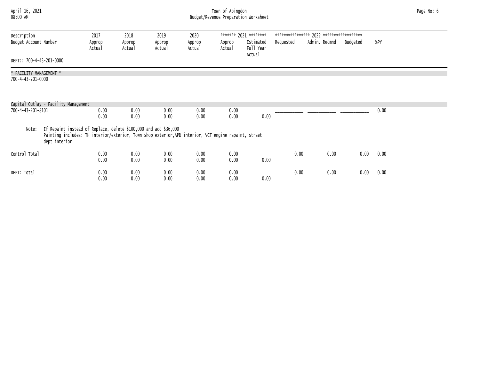## April 16, 2021 Town of Abingdon Page No: 6 08:00 AM Budget/Revenue Preparation Worksheet

| Description                          | 2017                                                                                                                                                                      | 2018             | 2019             | 2020             |                  | ******* 2021 ********  |           |               |          |      |  |
|--------------------------------------|---------------------------------------------------------------------------------------------------------------------------------------------------------------------------|------------------|------------------|------------------|------------------|------------------------|-----------|---------------|----------|------|--|
| Budget Account Number                | Approp<br>Actual                                                                                                                                                          | Approp<br>Actual | Approp<br>Actual | Approp<br>Actual | Approp<br>Actual | Estimated<br>Full Year | Requested | Admin. Recmnd | Budgeted | %PY  |  |
| DEPT:: 700-4-43-201-0000             |                                                                                                                                                                           |                  |                  |                  |                  | Actual                 |           |               |          |      |  |
| * FACILITY MANAGEMENT *              |                                                                                                                                                                           |                  |                  |                  |                  |                        |           |               |          |      |  |
| 700-4-43-201-0000                    |                                                                                                                                                                           |                  |                  |                  |                  |                        |           |               |          |      |  |
| Capital Outlay - Facility Management |                                                                                                                                                                           |                  |                  |                  |                  |                        |           |               |          |      |  |
| 700-4-43-201-8101                    | 0.00<br>0.00                                                                                                                                                              | 0.00<br>0.00     | 0.00<br>0.00     | 0.00<br>0.00     | 0.00<br>0.00     | 0.00                   |           |               |          | 0.00 |  |
| Note:<br>dept interior               | If Repaint instead of Replace, delete \$100,000 and add \$36,000<br>Painting includes: TH interior/exterior, Town shop exterior, APD interior, VCT engine repaint, street |                  |                  |                  |                  |                        |           |               |          |      |  |
| Control Total                        | 0.00<br>0.00                                                                                                                                                              | 0.00<br>0.00     | 0.00<br>0.00     | 0.00<br>0.00     | 0.00<br>0.00     | 0.00                   | 0.00      | 0.00          | 0.00     | 0.00 |  |
| DEPT: Total                          | 0.00<br>0.00                                                                                                                                                              | 0.00<br>0.00     | 0.00<br>0.00     | 0.00<br>0.00     | 0.00<br>0.00     | 0.00                   | 0.00      | 0.00          | 0.00     | 0.00 |  |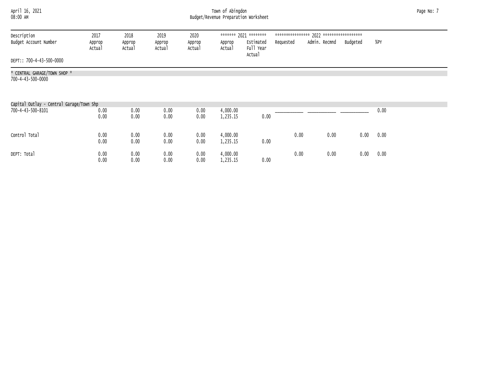## April 16, 2021 Town of Abingdon Page No: 7 08:00 AM Budget/Revenue Preparation Worksheet

| Description<br>Budget Account Number              | 2017<br>Approp<br>Actual | 2018<br>Approp<br>Actual | 2019<br>Approp<br>Actual | 2020<br>Approp<br>Actual | Approp<br>Actual     | ******* 2021 ********<br>Estimated<br>Full Year | Requested | Admin. Recmnd | Budgeted | %PY  |  |
|---------------------------------------------------|--------------------------|--------------------------|--------------------------|--------------------------|----------------------|-------------------------------------------------|-----------|---------------|----------|------|--|
| DEPT:: 700-4-43-500-0000                          |                          |                          |                          |                          |                      | Actual                                          |           |               |          |      |  |
| * CENTRAL GARAGE/TOWN SHOP *<br>700-4-43-500-0000 |                          |                          |                          |                          |                      |                                                 |           |               |          |      |  |
|                                                   |                          |                          |                          |                          |                      |                                                 |           |               |          |      |  |
| Capital Outlay - Central Garage/Town Shp          |                          |                          |                          |                          |                      |                                                 |           |               |          |      |  |
| 700-4-43-500-8101                                 | 0.00<br>0.00             | 0.00<br>0.00             | 0.00<br>0.00             | 0.00<br>0.00             | 4,000.00<br>1,235.15 | 0.00                                            |           |               |          | 0.00 |  |
| Control Total                                     | 0.00<br>0.00             | 0.00<br>0.00             | 0.00<br>0.00             | 0.00<br>0.00             | 4,000.00<br>1,235.15 | 0.00                                            | 0.00      | 0.00          | 0.00     | 0.00 |  |

DEPT: Total 0.00 0.00 0.00 0.00 4,000.00 0.00 0.00 0.00 0.00

 $0.00$   $0.00$   $0.00$   $0.00$   $0.00$   $1,235.15$   $0.00$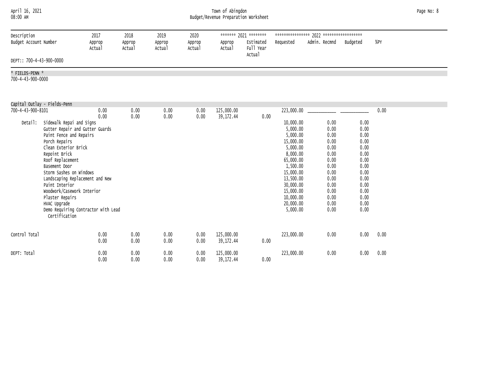## April 16, 2021 Town of Abingdon Page No: 8 08:00 AM Budget/Revenue Preparation Worksheet

| Description<br>Budget Account Number |                                                                                                                                                                                                                                                                                                                                                                                                | 2017<br>Approp<br>Actual | 2018<br>Approp<br>Actual | 2019<br>Approp<br>Actual | 2020<br>Approp<br>Actual | Approp<br>Actual         | ******* 2021 ********<br>Estimated<br>Full Year<br>Actual | Requested                                                                                                                                                                                               | Admin. Recmnd                                                                                                        | Budgeted                                                                                                             | %PY  |
|--------------------------------------|------------------------------------------------------------------------------------------------------------------------------------------------------------------------------------------------------------------------------------------------------------------------------------------------------------------------------------------------------------------------------------------------|--------------------------|--------------------------|--------------------------|--------------------------|--------------------------|-----------------------------------------------------------|---------------------------------------------------------------------------------------------------------------------------------------------------------------------------------------------------------|----------------------------------------------------------------------------------------------------------------------|----------------------------------------------------------------------------------------------------------------------|------|
| DEPT:: 700-4-43-900-0000             |                                                                                                                                                                                                                                                                                                                                                                                                |                          |                          |                          |                          |                          |                                                           |                                                                                                                                                                                                         |                                                                                                                      |                                                                                                                      |      |
| * FIELDS-PENN *<br>700-4-43-900-0000 |                                                                                                                                                                                                                                                                                                                                                                                                |                          |                          |                          |                          |                          |                                                           |                                                                                                                                                                                                         |                                                                                                                      |                                                                                                                      |      |
|                                      | Capital Outlay - Fields-Penn                                                                                                                                                                                                                                                                                                                                                                   |                          |                          |                          |                          |                          |                                                           |                                                                                                                                                                                                         |                                                                                                                      |                                                                                                                      |      |
| 700-4-43-900-8101<br>Detail:         | Sidewalk Repai and Signs<br>Gutter Repair and Gutter Guards<br>Paint Fence and Repairs<br>Porch Repairs<br>Clean Exterior Brick<br>Repoint Brick<br>Roof Replacement<br>Basement Door<br>Storm Sashes on Windows<br>Landscaping Replacement and New<br>Paint Interior<br>Woodwork/Casework Interior<br>Plaster Repairs<br>HVAC Upgrade<br>Demo Requiring Contractor with Lead<br>Certification | 0.00<br>0.00             | 0.00<br>0.00             | 0.00<br>0.00             | 0.00<br>0.00             | 125,000.00<br>39, 172.44 | 0.00                                                      | 223,000.00<br>10,000.00<br>5,000.00<br>5,000.00<br>15,000.00<br>5,000.00<br>8,000.00<br>65,000.00<br>1,500.00<br>15,000.00<br>13,500.00<br>30,000.00<br>15,000.00<br>10,000.00<br>20,000.00<br>5,000.00 | 0.00<br>0.00<br>0.00<br>0.00<br>0.00<br>0.00<br>0.00<br>0.00<br>0.00<br>0.00<br>0.00<br>0.00<br>0.00<br>0.00<br>0.00 | 0.00<br>0.00<br>0.00<br>0.00<br>0.00<br>0.00<br>0.00<br>0.00<br>0.00<br>0.00<br>0.00<br>0.00<br>0.00<br>0.00<br>0.00 | 0.00 |
| Control Total                        |                                                                                                                                                                                                                                                                                                                                                                                                | 0.00<br>0.00             | 0.00<br>0.00             | 0.00<br>0.00             | 0.00<br>0.00             | 125,000.00<br>39, 172.44 | 0.00                                                      | 223,000.00                                                                                                                                                                                              | 0.00                                                                                                                 | 0.00                                                                                                                 | 0.00 |
| DEPT: Total                          |                                                                                                                                                                                                                                                                                                                                                                                                | 0.00<br>0.00             | 0.00<br>0.00             | 0.00<br>0.00             | 0.00<br>0.00             | 125,000.00<br>39, 172.44 | 0.00                                                      | 223,000.00                                                                                                                                                                                              | 0.00                                                                                                                 | 0.00                                                                                                                 | 0.00 |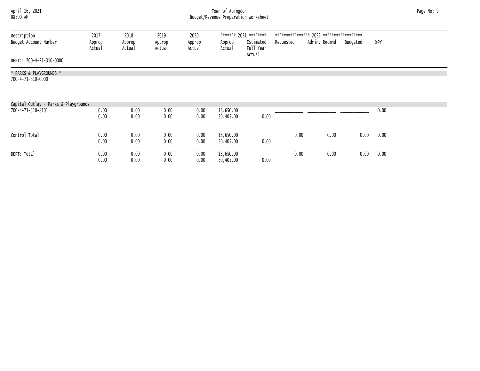## April 16, 2021 Town of Abingdon Page No: 9 08:00 AM Budget/Revenue Preparation Worksheet

| Description<br>Budget Account Number         | 2017<br>Approp<br>Actual | 2018<br>Approp<br>Actual | 2019<br>Approp<br>Actual | 2020<br>Approp<br>Actual | Approp<br>Actual       | ******* 2021 ********<br>Estimated<br>Full Year | Requested | Admin. Recmnd | Budgeted | %PY  |  |
|----------------------------------------------|--------------------------|--------------------------|--------------------------|--------------------------|------------------------|-------------------------------------------------|-----------|---------------|----------|------|--|
| DEPT:: 700-4-71-310-0000                     |                          |                          |                          |                          |                        | Actual                                          |           |               |          |      |  |
| * PARKS & PLAYGROUNDS *<br>700-4-71-310-0000 |                          |                          |                          |                          |                        |                                                 |           |               |          |      |  |
| Capital Outlay - Parks & Playgrounds         |                          |                          |                          |                          |                        |                                                 |           |               |          |      |  |
| 700-4-71-310-8101                            | 0.00<br>0.00             | 0.00<br>0.00             | 0.00<br>0.00             | 0.00<br>0.00             | 18,650.00<br>30,405.00 | 0.00                                            |           |               |          | 0.00 |  |
| Control Total                                | 0.00<br>0.00             | 0.00<br>0.00             | 0.00<br>0.00             | 0.00<br>0.00             | 18,650.00<br>30,405.00 | 0.00                                            | 0.00      | 0.00          | 0.00     | 0.00 |  |

DEPT: Total 0.00 0.00 0.00 0.00 18,650.00 0.00 0.00 0.00 0.00

 $0.00$   $0.00$   $0.00$   $0.00$   $0.00$   $30,405.00$   $0.00$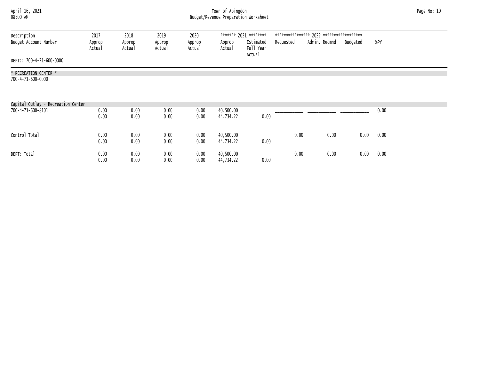## April 16, 2021 Town of Abingdon Page No: 10 08:00 AM Budget/Revenue Preparation Worksheet

| Description<br>Budget Account Number                    | 2017<br>Approp<br>Actual | 2018<br>Approp<br>Actual | 2019<br>Approp<br>Actual | 2020<br>Approp<br>Actual | Approp<br>Actual       | ******* 2021 ********<br>Estimated<br>Full Year | Requested | Admin. Recmnd | Budgeted | %PY  |  |
|---------------------------------------------------------|--------------------------|--------------------------|--------------------------|--------------------------|------------------------|-------------------------------------------------|-----------|---------------|----------|------|--|
| DEPT:: 700-4-71-600-0000                                |                          |                          |                          |                          |                        | Actual                                          |           |               |          |      |  |
| * RECREATION CENTER *<br>700-4-71-600-0000              |                          |                          |                          |                          |                        |                                                 |           |               |          |      |  |
| Capital Outlay - Recreation Center<br>700-4-71-600-8101 | 0.00<br>0.00             | 0.00<br>0.00             | 0.00<br>0.00             | 0.00<br>0.00             | 40,500.00<br>44,734.22 | 0.00                                            |           |               |          | 0.00 |  |
| Control Total                                           | 0.00<br>0.00             | 0.00<br>0.00             | 0.00<br>0.00             | 0.00<br>0.00             | 40,500.00<br>44,734.22 | 0.00                                            | 0.00      | 0.00          | 0.00     | 0.00 |  |

DEPT: Total 0.00 0.00 0.00 0.00 40,500.00 0.00 0.00 0.00 0.00

 $0.00$   $0.00$   $0.00$   $0.00$   $0.00$   $0.44,734.22$   $0.00$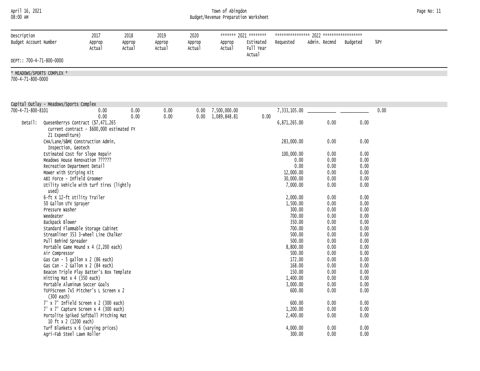#### April 16, 2021 Town of Abingdon Page No: 11 08:00 AM Budget/Revenue Preparation Worksheet

| Page No: 11 |  |
|-------------|--|
|             |  |

| Description                                     |                                                                                                                                                                                                                                                                                                                                                                                                                                                                                                                                  | 2017             | 2018             | 2019             | 2020             |                                   | ******* 2021 ********            |                                                                                                                                          |                                                                                                      |                                                                                                      |      |
|-------------------------------------------------|----------------------------------------------------------------------------------------------------------------------------------------------------------------------------------------------------------------------------------------------------------------------------------------------------------------------------------------------------------------------------------------------------------------------------------------------------------------------------------------------------------------------------------|------------------|------------------|------------------|------------------|-----------------------------------|----------------------------------|------------------------------------------------------------------------------------------------------------------------------------------|------------------------------------------------------------------------------------------------------|------------------------------------------------------------------------------------------------------|------|
| Budget Account Number                           |                                                                                                                                                                                                                                                                                                                                                                                                                                                                                                                                  | Approp<br>Actual | Approp<br>Actual | Approp<br>Actual | Approp<br>Actual | Approp<br>Actual                  | Estimated<br>Full Year<br>Actual | Requested                                                                                                                                | Admin. Recmnd                                                                                        | Budgeted                                                                                             | %PY  |
| DEPT:: 700-4-71-800-0000                        |                                                                                                                                                                                                                                                                                                                                                                                                                                                                                                                                  |                  |                  |                  |                  |                                   |                                  |                                                                                                                                          |                                                                                                      |                                                                                                      |      |
| * MEADOWS/SPORTS COMPLEX *<br>700-4-71-800-0000 |                                                                                                                                                                                                                                                                                                                                                                                                                                                                                                                                  |                  |                  |                  |                  |                                   |                                  |                                                                                                                                          |                                                                                                      |                                                                                                      |      |
|                                                 |                                                                                                                                                                                                                                                                                                                                                                                                                                                                                                                                  |                  |                  |                  |                  |                                   |                                  |                                                                                                                                          |                                                                                                      |                                                                                                      |      |
| Capital Outlay - Meadows/Sports Complex         |                                                                                                                                                                                                                                                                                                                                                                                                                                                                                                                                  |                  |                  |                  |                  |                                   |                                  |                                                                                                                                          |                                                                                                      |                                                                                                      |      |
| 700-4-71-800-8101                               |                                                                                                                                                                                                                                                                                                                                                                                                                                                                                                                                  | 0.00<br>0.00     | 0.00<br>0.00     | 0.00<br>0.00     | 0.00             | 0.00 7,500,000.00<br>1,089,848.81 | 0.00                             | 7,333,105.00                                                                                                                             |                                                                                                      |                                                                                                      | 0.00 |
| Detail:                                         | Quesenberrys Contract (\$7,471,265<br>current contract - \$600,000 estimated FY<br>21 Expenditure)                                                                                                                                                                                                                                                                                                                                                                                                                               |                  |                  |                  |                  |                                   |                                  | 6,871,265.00                                                                                                                             | 0.00                                                                                                 | 0.00                                                                                                 |      |
|                                                 | CHA/Lane/S&ME Construction Admin,<br>Inspection, Geotech                                                                                                                                                                                                                                                                                                                                                                                                                                                                         |                  |                  |                  |                  |                                   |                                  | 283,000.00                                                                                                                               | 0.00                                                                                                 | 0.00                                                                                                 |      |
|                                                 | Estimated Cost for Slope Repair<br>Meadows House Renovation ??????<br>Recreation Department Detail<br>Mower with Striping Kit<br>ABI Force - Infield Groomer<br>Utility Vehicle with turf tires (lightly<br>used)<br>6-ft X 12-ft Utility Trailer<br>50 Gallon UTV Sprayer<br>Pressure Washer<br>Weedeater<br>Backpack Blower<br>Standard Flammable Storage Cabinet                                                                                                                                                              |                  |                  |                  |                  |                                   |                                  | 100,000.00<br>0.00<br>0.00<br>12,000.00<br>30,000.00<br>7,000.00<br>2,000,00<br>1,500.00<br>300.00<br>700.00<br>350.00<br>700.00         | 0.00<br>0.00<br>0.00<br>0.00<br>0.00<br>0.00<br>0.00<br>0.00<br>0.00<br>0.00<br>0.00<br>0.00         | 0.00<br>0.00<br>0.00<br>0.00<br>0.00<br>0.00<br>0.00<br>0.00<br>0.00<br>0.00<br>0.00<br>0.00         |      |
|                                                 | Streamliner 353 3-wheel Line Chalker<br>Pull Behind Spreader<br>Portable Game Mound x 4 (2,200 each)<br>Air Compressor<br>Gas Can - 5 gallon $x$ 2 (86 each)<br>Gas Can - $2$ Gallon x $2$ (84 each)<br>Beacon Triple Play Batter's Box Template<br>Hitting Mat $x$ 4 (350 each)<br>Portable Aluminum Soccer Goals<br>TUFFScreen 7x5 Pitcher's L Screen x 2<br>$(300$ each)<br>7' x 7' Infield Screen x 2 (300 each)<br>7' x 7' Capture Screen x 4 (300 each)<br>Portolite Spiked Softball Pitching Mat<br>10 ft x 2 (1200 each) |                  |                  |                  |                  |                                   |                                  | 500.00<br>500.00<br>8,800.00<br>500.00<br>172.00<br>168.00<br>150.00<br>1,400.00<br>3,000.00<br>600.00<br>600.00<br>1,200.00<br>2,400.00 | 0.00<br>0.00<br>0.00<br>0.00<br>0.00<br>0.00<br>0.00<br>0.00<br>0.00<br>0.00<br>0.00<br>0.00<br>0.00 | 0.00<br>0.00<br>0.00<br>0.00<br>0.00<br>0.00<br>0.00<br>0.00<br>0.00<br>0.00<br>0.00<br>0.00<br>0.00 |      |
|                                                 | Turf Blankets x 6 (varying prices)<br>Agri-Fab Steel Lawn Roller                                                                                                                                                                                                                                                                                                                                                                                                                                                                 |                  |                  |                  |                  |                                   |                                  | 4,000.00<br>300.00                                                                                                                       | 0.00<br>0.00                                                                                         | 0.00<br>0.00                                                                                         |      |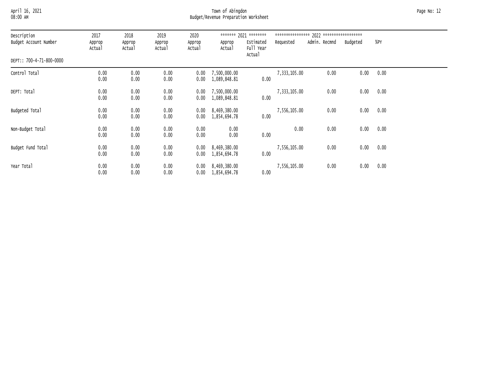## April 16, 2021 Town of Abingdon Page No: 12 08:00 AM Budget/Revenue Preparation Worksheet

| Description<br>Budget Account Number | 2017<br>Approp<br>Actual | 2018<br>Approp<br>Actual | 2019<br>Approp<br>Actual | 2020<br>Approp<br>Actual | Approp<br>Actual                          | ******* 2021 ********<br>Estimated<br>Full Year<br>Actual | Requested    | Admin. Recmnd | Budgeted | %PY  |  |
|--------------------------------------|--------------------------|--------------------------|--------------------------|--------------------------|-------------------------------------------|-----------------------------------------------------------|--------------|---------------|----------|------|--|
| DEPT:: 700-4-71-800-0000             |                          |                          |                          |                          |                                           |                                                           |              |               |          |      |  |
| Control Total                        | 0.00<br>0.00             | 0.00<br>0.00             | 0.00<br>0.00             | 0.00<br>0.00             | 7,500,000.00<br>1,089,848.81              | 0.00                                                      | 7,333,105.00 | 0.00          | 0.00     | 0.00 |  |
| DEPT: Total                          | 0.00<br>0.00             | 0.00<br>0.00             | 0.00<br>0.00             | 0.00<br>0.00             | 7,500,000.00<br>1,089,848.81              | 0.00                                                      | 7,333,105.00 | 0.00          | 0.00     | 0.00 |  |
| Budgeted Total                       | 0.00<br>0.00             | 0.00<br>0.00             | 0.00<br>0.00             | 0.00<br>0.00             | 8,469,380.00<br>1,854,694.78              | 0.00                                                      | 7,556,105.00 | 0.00          | 0.00     | 0.00 |  |
| Non-Budget Total                     | 0.00<br>0.00             | 0.00<br>0.00             | 0.00<br>0.00             | 0.00<br>0.00             | 0.00<br>0.00                              | 0.00                                                      | 0.00         | 0.00          | 0.00     | 0.00 |  |
| Budget Fund Total                    | 0.00<br>0.00             | 0.00<br>0.00             | 0.00<br>0.00             | 0.00<br>0.00             | 8,469,380.00<br>1,854,694.78              | 0.00                                                      | 7,556,105.00 | 0.00          | 0.00     | 0.00 |  |
| Year Total                           | 0.00<br>0.00             | 0.00<br>0.00             | 0.00<br>0.00             | 0.00                     | 8,469,380.00<br>$0.00 \quad 1,854,694.78$ | 0.00                                                      | 7,556,105.00 | 0.00          | 0.00     | 0.00 |  |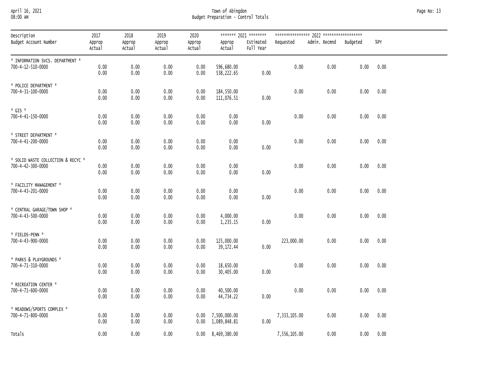## April 16, 2021 Town of Abingdon Page No: 13 08:00 AM Budget Preparation - Control Totals

| Description                                             | 2017             | 2018             | 2019             | 2020             |                                        | ******* 2021 ********  |              |               |          |        |
|---------------------------------------------------------|------------------|------------------|------------------|------------------|----------------------------------------|------------------------|--------------|---------------|----------|--------|
| Budget Account Number                                   | Approp<br>Actual | Approp<br>Actual | Approp<br>Actual | Approp<br>Actual | Approp<br>Actual                       | Estimated<br>Full Year | Requested    | Admin. Recmnd | Budgeted | $%$ PY |
| * INFORMATION SVCS. DEPARTMENT *<br>700-4-12-510-0000   | 0.00<br>0.00     | 0.00<br>0.00     | 0.00<br>0.00     | 0.00<br>0.00     | 596,680.00<br>538,222.65               | 0.00                   | 0.00         | 0.00          | 0.00     | 0.00   |
| * POLICE DEPARTMENT *<br>700-4-31-100-0000              | 0.00<br>0.00     | 0.00<br>0.00     | 0.00<br>0.00     | 0.00<br>0.00     | 184,550.00<br>111,076.51               | 0.00                   | 0.00         | 0.00          | 0.00     | 0.00   |
| $*$ GIS $*$<br>700-4-41-150-0000                        | 0.00<br>0.00     | 0.00<br>0.00     | 0.00<br>0.00     | 0.00<br>0.00     | 0.00<br>0.00                           | 0.00                   | 0.00         | 0.00          | 0.00     | 0.00   |
| * STREET DEPARTMENT *<br>700-4-41-200-0000              | 0.00<br>0.00     | 0.00<br>0.00     | 0.00<br>0.00     | 0.00<br>0.00     | 0.00<br>0.00                           | 0.00                   | 0.00         | 0.00          | 0.00     | 0.00   |
| * SOLID WASTE COLLECTION & RECYC *<br>700-4-42-300-0000 | 0.00<br>0.00     | 0.00<br>0.00     | 0.00<br>0.00     | 0.00<br>0.00     | 0.00<br>0.00                           | 0.00                   | 0.00         | 0.00          | 0.00     | 0.00   |
| * FACILITY MANAGEMENT *<br>700-4-43-201-0000            | 0.00<br>0.00     | 0.00<br>0.00     | 0.00<br>0.00     | 0.00<br>0.00     | 0.00<br>0.00                           | 0.00                   | 0.00         | 0.00          | 0.00     | 0.00   |
| * CENTRAL GARAGE/TOWN SHOP *<br>700-4-43-500-0000       | 0.00<br>0.00     | 0.00<br>0.00     | 0.00<br>0.00     | 0.00<br>0.00     | 4,000.00<br>1,235.15                   | 0.00                   | 0.00         | 0.00          | 0.00     | 0.00   |
| * FIELDS-PENN *<br>700-4-43-900-0000                    | 0.00<br>0.00     | 0.00<br>0.00     | 0.00<br>0.00     | 0.00<br>0.00     | 125,000.00<br>39, 172.44               | 0.00                   | 223,000.00   | 0.00          | 0.00     | 0.00   |
| * PARKS & PLAYGROUNDS *<br>700-4-71-310-0000            | 0.00<br>0.00     | 0.00<br>0.00     | 0.00<br>0.00     | 0.00<br>0.00     | 18,650.00<br>30,405.00                 | 0.00                   | 0.00         | 0.00          | 0.00     | 0.00   |
| * RECREATION CENTER *<br>700-4-71-600-0000              | 0.00<br>0.00     | 0.00<br>0.00     | 0.00<br>0.00     | 0.00<br>0.00     | 40,500.00<br>44,734.22                 | 0.00                   | 0.00         | 0.00          | 0.00     | 0.00   |
| * MEADOWS/SPORTS COMPLEX *<br>700-4-71-800-0000         | 0.00<br>0.00     | 0.00<br>0.00     | 0.00<br>0.00     |                  | 0.00 7,500,000.00<br>0.00 1,089,848.81 | 0.00                   | 7,333,105.00 | 0.00          | 0.00     | 0.00   |
| Totals                                                  | 0.00             | 0.00             | 0.00             |                  | $0.00 \quad 8,469,380.00$              |                        | 7,556,105.00 | 0.00          | 0.00     | 0.00   |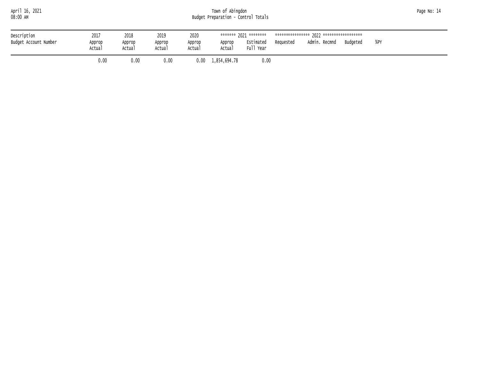| April 16, 2021<br>08:00 AM           | Town of Abingdon<br>Budget Preparation - Control Totals |                          |                          |                          |                           |                                                 |           |               |          |     | Page No: 14 |
|--------------------------------------|---------------------------------------------------------|--------------------------|--------------------------|--------------------------|---------------------------|-------------------------------------------------|-----------|---------------|----------|-----|-------------|
| Description<br>Budget Account Number | 2017<br>Approp<br>Actual                                | 2018<br>Approp<br>Actual | 2019<br>Approp<br>Actual | 2020<br>Approp<br>Actual | Approp<br>Actual          | ******* 2021 ********<br>Estimated<br>Full Year | Requested | Admin. Recmnd | Budgeted | %PY |             |
|                                      | 0.00                                                    | 0.00                     | 0.00                     |                          | $0.00 \quad 1,854,694.78$ | 0.00                                            |           |               |          |     |             |